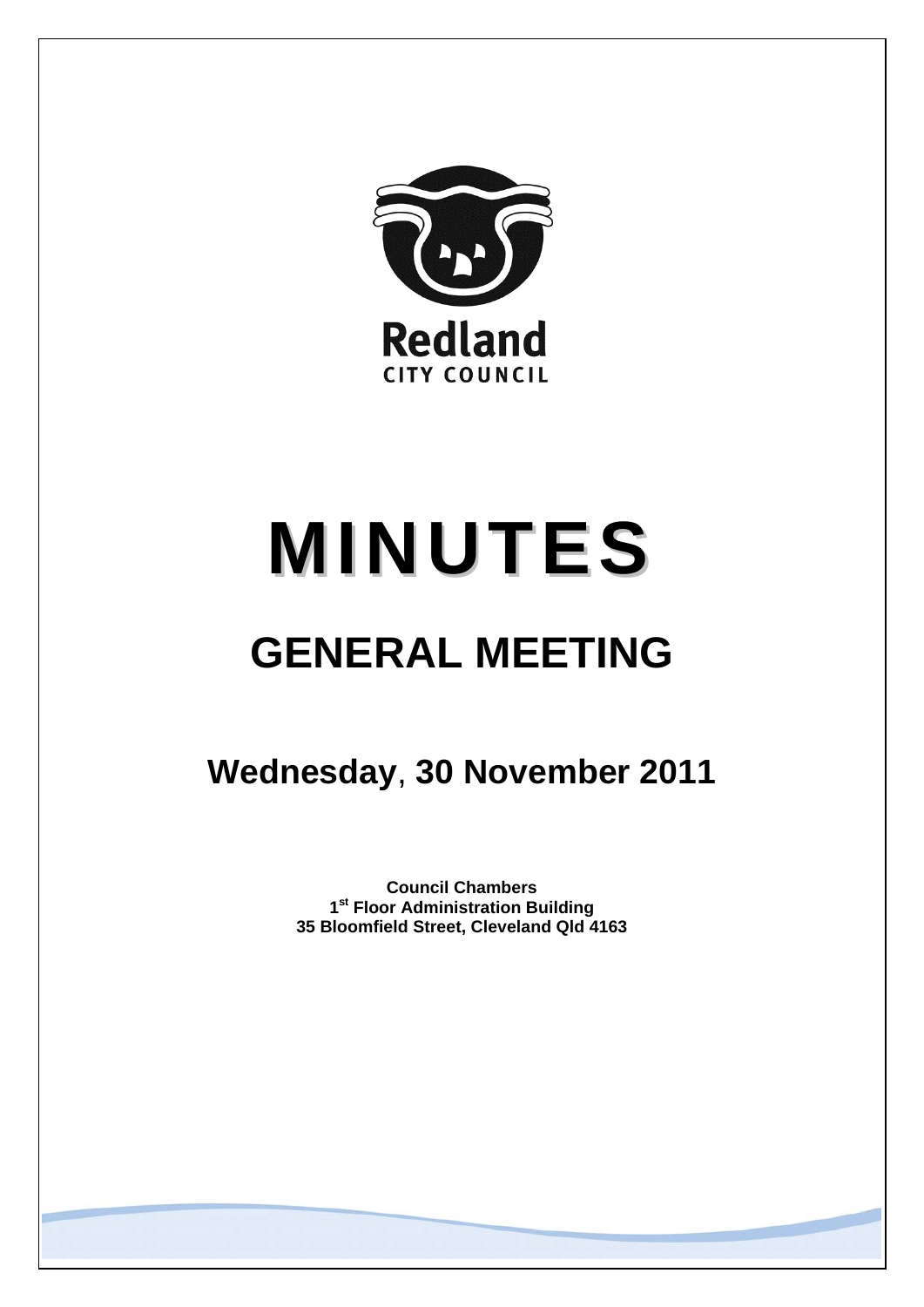

# **MINUTES**

# **GENERAL MEETING**

# **Wednesday**, **30 November 2011**

**Council Chambers 1st Floor Administration Building 35 Bloomfield Street, Cleveland Qld 4163**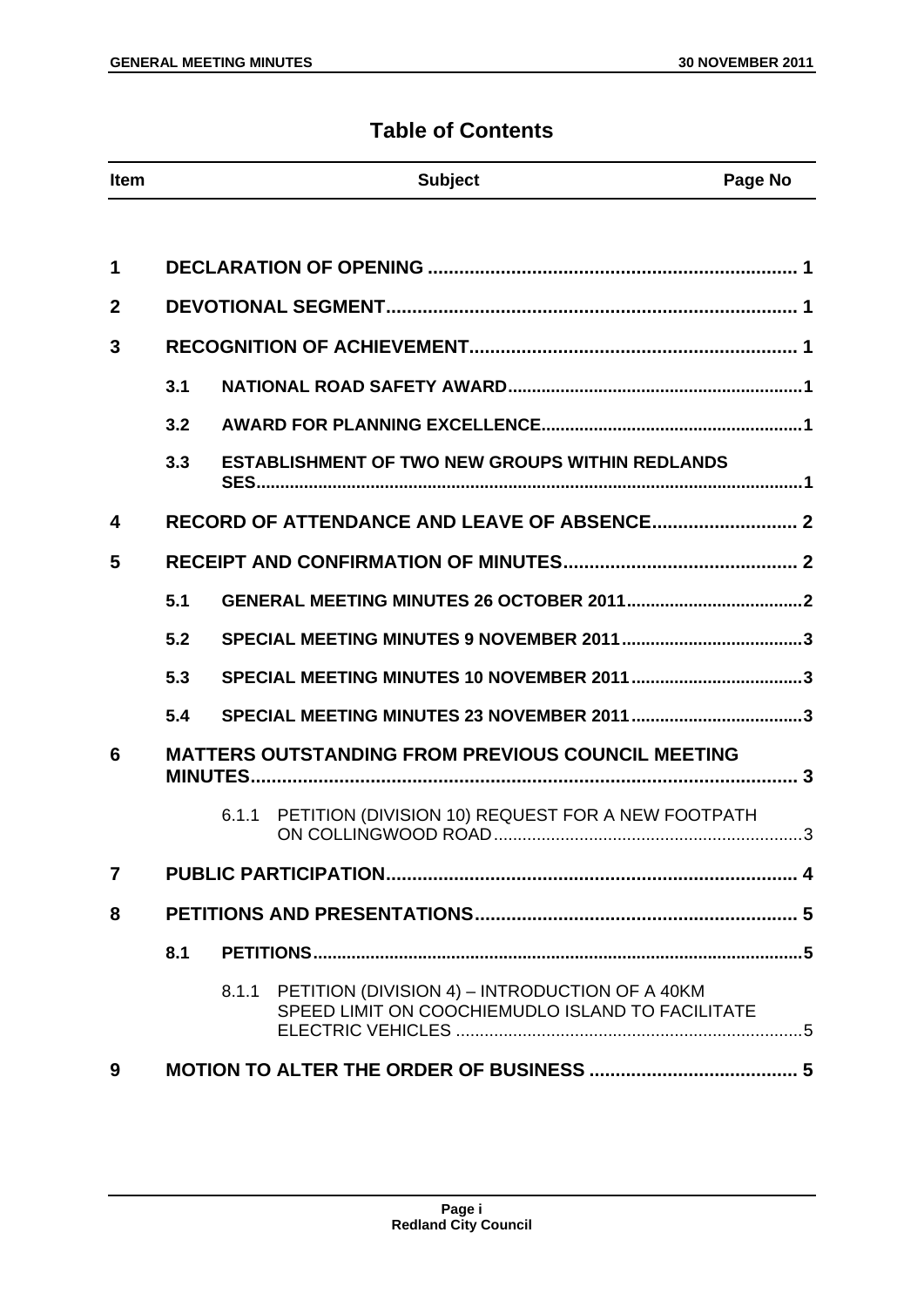# **Table of Contents**

| <b>Item</b>    |     | <b>Subject</b>                                                                                              | Page No |
|----------------|-----|-------------------------------------------------------------------------------------------------------------|---------|
|                |     |                                                                                                             |         |
| 1              |     |                                                                                                             |         |
| $\overline{2}$ |     |                                                                                                             |         |
| 3              |     |                                                                                                             |         |
|                | 3.1 |                                                                                                             |         |
|                | 3.2 |                                                                                                             |         |
|                | 3.3 | <b>ESTABLISHMENT OF TWO NEW GROUPS WITHIN REDLANDS</b><br><b>SES</b>                                        |         |
| 4              |     |                                                                                                             |         |
| 5              |     |                                                                                                             |         |
|                | 5.1 |                                                                                                             |         |
|                | 5.2 |                                                                                                             |         |
|                | 5.3 |                                                                                                             |         |
|                | 5.4 |                                                                                                             |         |
| 6              |     | <b>MATTERS OUTSTANDING FROM PREVIOUS COUNCIL MEETING</b><br><b>MINUTES</b>                                  |         |
|                |     | 6.1.1                                                                                                       |         |
| $\overline{7}$ |     |                                                                                                             |         |
| 8              |     |                                                                                                             |         |
|                | 8.1 |                                                                                                             |         |
|                |     | PETITION (DIVISION 4) - INTRODUCTION OF A 40KM<br>8.1.1<br>SPEED LIMIT ON COOCHIEMUDLO ISLAND TO FACILITATE |         |
| 9              |     |                                                                                                             |         |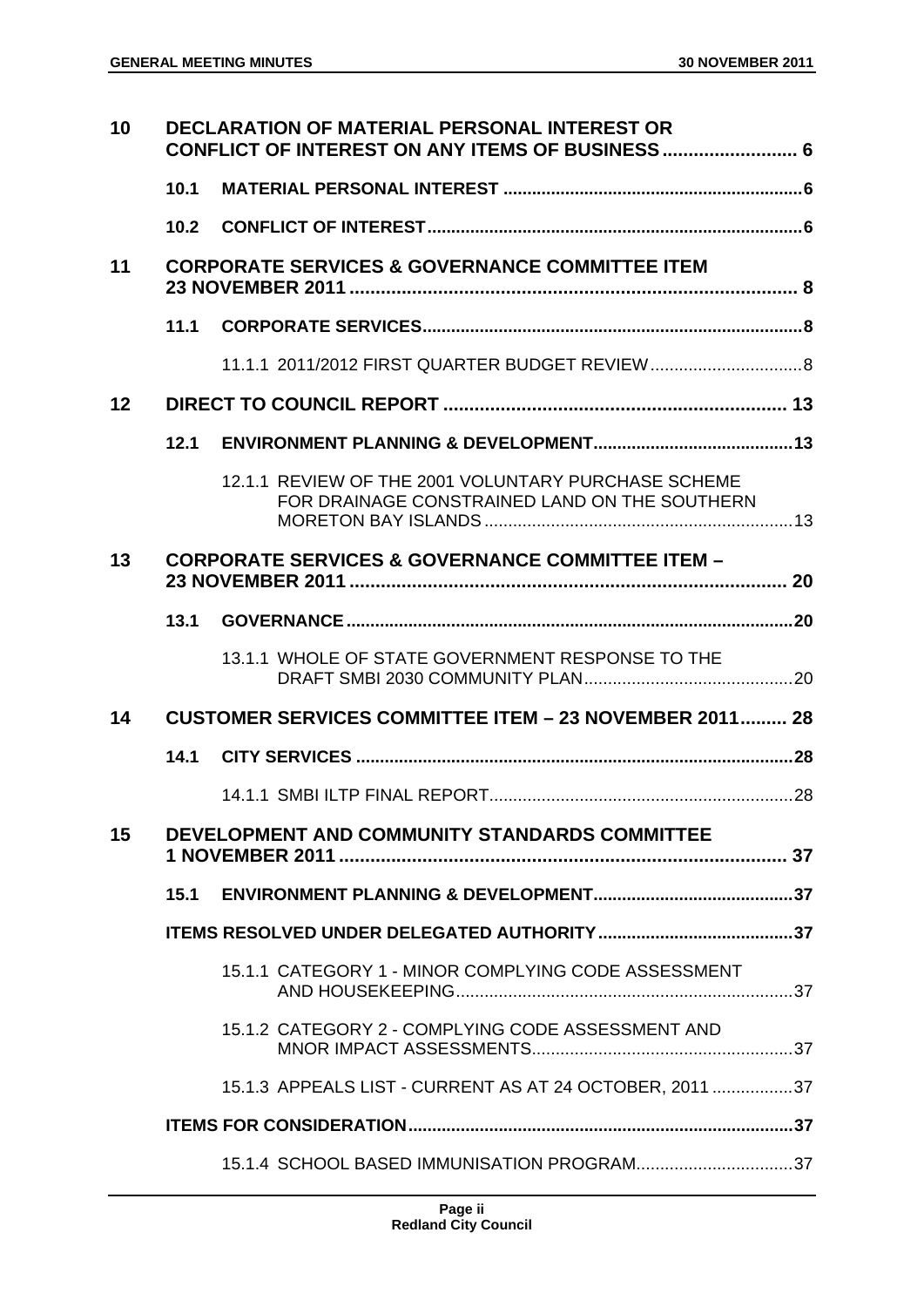| 10 | <b>DECLARATION OF MATERIAL PERSONAL INTEREST OR</b><br>CONFLICT OF INTEREST ON ANY ITEMS OF BUSINESS 6 |                                                                                                      |  |
|----|--------------------------------------------------------------------------------------------------------|------------------------------------------------------------------------------------------------------|--|
|    | 10.1                                                                                                   |                                                                                                      |  |
|    | 10.2 <sub>2</sub>                                                                                      |                                                                                                      |  |
| 11 |                                                                                                        | <b>CORPORATE SERVICES &amp; GOVERNANCE COMMITTEE ITEM</b>                                            |  |
|    | 11.1                                                                                                   |                                                                                                      |  |
|    |                                                                                                        | 11.1.1   2011/2012   FIRST QUARTER BUDGET REVIEW  8                                                  |  |
| 12 |                                                                                                        |                                                                                                      |  |
|    | 12.1                                                                                                   |                                                                                                      |  |
|    |                                                                                                        | 12.1.1 REVIEW OF THE 2001 VOLUNTARY PURCHASE SCHEME<br>FOR DRAINAGE CONSTRAINED LAND ON THE SOUTHERN |  |
| 13 |                                                                                                        | <b>CORPORATE SERVICES &amp; GOVERNANCE COMMITTEE ITEM -</b>                                          |  |
|    | 13.1                                                                                                   |                                                                                                      |  |
|    |                                                                                                        | 13.1.1 WHOLE OF STATE GOVERNMENT RESPONSE TO THE                                                     |  |
| 14 |                                                                                                        | <b>CUSTOMER SERVICES COMMITTEE ITEM - 23 NOVEMBER 2011 28</b>                                        |  |
|    | 14.1                                                                                                   |                                                                                                      |  |
|    |                                                                                                        |                                                                                                      |  |
| 15 |                                                                                                        | DEVELOPMENT AND COMMUNITY STANDARDS COMMITTEE                                                        |  |
|    | 15.1                                                                                                   |                                                                                                      |  |
|    |                                                                                                        |                                                                                                      |  |
|    |                                                                                                        | 15.1.1 CATEGORY 1 - MINOR COMPLYING CODE ASSESSMENT                                                  |  |
|    |                                                                                                        | 15.1.2 CATEGORY 2 - COMPLYING CODE ASSESSMENT AND                                                    |  |
|    |                                                                                                        | 15.1.3 APPEALS LIST - CURRENT AS AT 24 OCTOBER, 2011 37                                              |  |
|    |                                                                                                        |                                                                                                      |  |
|    |                                                                                                        | 15.1.4 SCHOOL BASED IMMUNISATION PROGRAM37                                                           |  |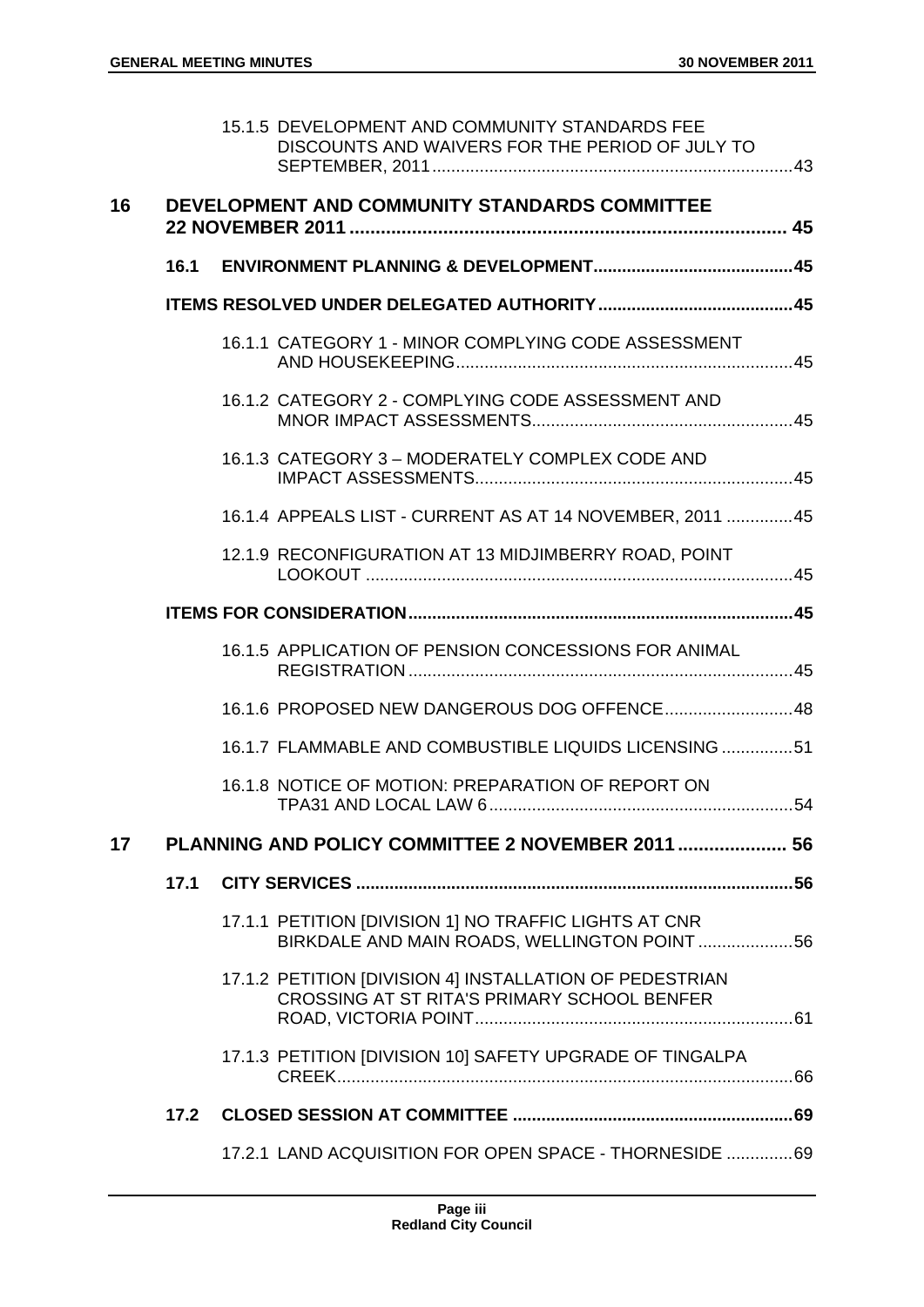|                 |      | 15.1.5 DEVELOPMENT AND COMMUNITY STANDARDS FEE<br>DISCOUNTS AND WAIVERS FOR THE PERIOD OF JULY TO      |  |
|-----------------|------|--------------------------------------------------------------------------------------------------------|--|
| 16              |      | DEVELOPMENT AND COMMUNITY STANDARDS COMMITTEE                                                          |  |
|                 | 16.1 |                                                                                                        |  |
|                 |      |                                                                                                        |  |
|                 |      | 16.1.1 CATEGORY 1 - MINOR COMPLYING CODE ASSESSMENT                                                    |  |
|                 |      | 16.1.2 CATEGORY 2 - COMPLYING CODE ASSESSMENT AND                                                      |  |
|                 |      | 16.1.3 CATEGORY 3 - MODERATELY COMPLEX CODE AND                                                        |  |
|                 |      | 16.1.4 APPEALS LIST - CURRENT AS AT 14 NOVEMBER, 2011 45                                               |  |
|                 |      | 12.1.9 RECONFIGURATION AT 13 MIDJIMBERRY ROAD, POINT                                                   |  |
|                 |      |                                                                                                        |  |
|                 |      | 16.1.5 APPLICATION OF PENSION CONCESSIONS FOR ANIMAL                                                   |  |
|                 |      | 16.1.6 PROPOSED NEW DANGEROUS DOG OFFENCE 48                                                           |  |
|                 |      | 16.1.7 FLAMMABLE AND COMBUSTIBLE LIQUIDS LICENSING 51                                                  |  |
|                 |      | 16.1.8 NOTICE OF MOTION: PREPARATION OF REPORT ON                                                      |  |
| 17 <sup>1</sup> |      | PLANNING AND POLICY COMMITTEE 2 NOVEMBER 2011  56                                                      |  |
|                 | 17.1 |                                                                                                        |  |
|                 |      | 17.1.1 PETITION [DIVISION 1] NO TRAFFIC LIGHTS AT CNR<br>BIRKDALE AND MAIN ROADS, WELLINGTON POINT 56  |  |
|                 |      | 17.1.2 PETITION [DIVISION 4] INSTALLATION OF PEDESTRIAN<br>CROSSING AT ST RITA'S PRIMARY SCHOOL BENFER |  |
|                 |      | 17.1.3 PETITION [DIVISION 10] SAFETY UPGRADE OF TINGALPA                                               |  |
|                 | 17.2 |                                                                                                        |  |
|                 |      | 17.2.1 LAND ACQUISITION FOR OPEN SPACE - THORNESIDE  69                                                |  |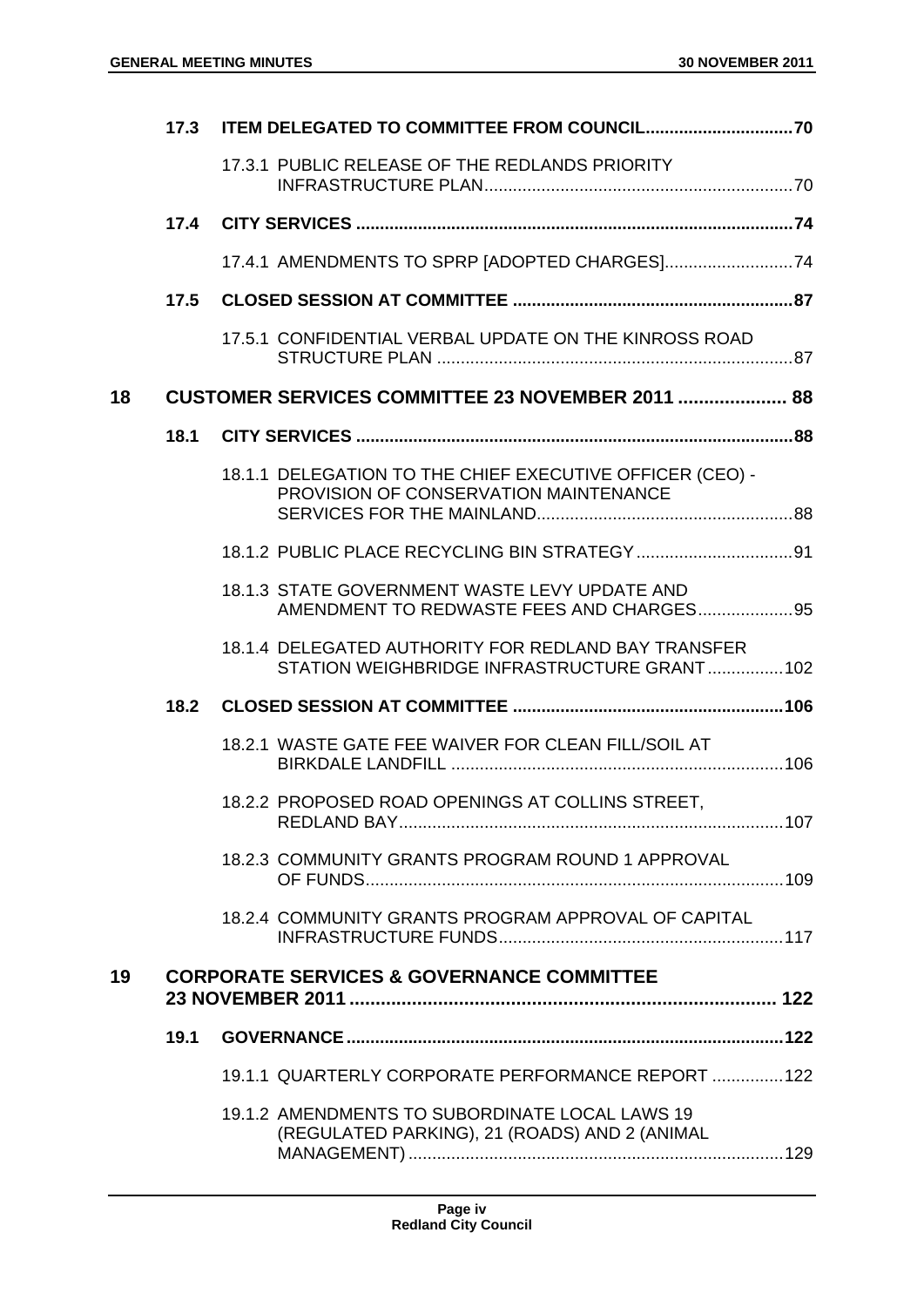|    |      | 17.3 ITEM DELEGATED TO COMMITTEE FROM COUNCIL70                                                    |  |
|----|------|----------------------------------------------------------------------------------------------------|--|
|    |      | 17.3.1 PUBLIC RELEASE OF THE REDLANDS PRIORITY                                                     |  |
|    |      |                                                                                                    |  |
|    |      |                                                                                                    |  |
|    | 17.5 |                                                                                                    |  |
|    |      | 17.5.1 CONFIDENTIAL VERBAL UPDATE ON THE KINROSS ROAD                                              |  |
| 18 |      | CUSTOMER SERVICES COMMITTEE 23 NOVEMBER 2011  88                                                   |  |
|    | 18.1 |                                                                                                    |  |
|    |      | 18.1.1 DELEGATION TO THE CHIEF EXECUTIVE OFFICER (CEO) -<br>PROVISION OF CONSERVATION MAINTENANCE  |  |
|    |      |                                                                                                    |  |
|    |      | 18.1.3 STATE GOVERNMENT WASTE LEVY UPDATE AND<br>AMENDMENT TO REDWASTE FEES AND CHARGES95          |  |
|    |      | 18.1.4 DELEGATED AUTHORITY FOR REDLAND BAY TRANSFER<br>STATION WEIGHBRIDGE INFRASTRUCTURE GRANT102 |  |
|    | 18.2 |                                                                                                    |  |
|    |      | 18.2.1 WASTE GATE FEE WAIVER FOR CLEAN FILL/SOIL AT                                                |  |
|    |      | 18.2.2 PROPOSED ROAD OPENINGS AT COLLINS STREET,                                                   |  |
|    |      | 18.2.3 COMMUNITY GRANTS PROGRAM ROUND 1 APPROVAL                                                   |  |
|    |      | 18.2.4 COMMUNITY GRANTS PROGRAM APPROVAL OF CAPITAL                                                |  |
| 19 |      | <b>CORPORATE SERVICES &amp; GOVERNANCE COMMITTEE</b>                                               |  |
|    | 19.1 |                                                                                                    |  |
|    |      | 19.1.1 QUARTERLY CORPORATE PERFORMANCE REPORT  122                                                 |  |
|    |      | 19.1.2 AMENDMENTS TO SUBORDINATE LOCAL LAWS 19<br>(REGULATED PARKING), 21 (ROADS) AND 2 (ANIMAL    |  |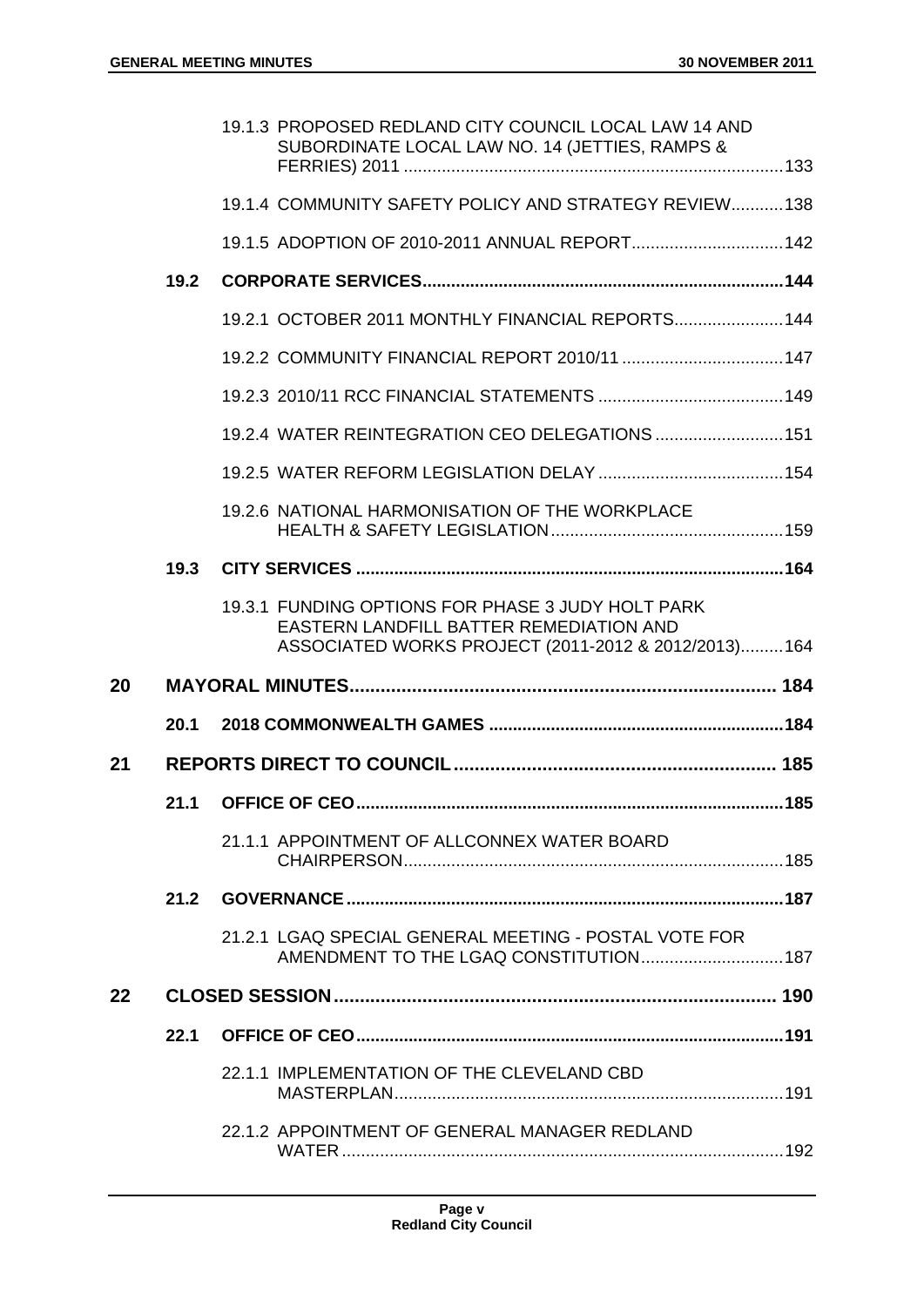|    |      | 19.1.3 PROPOSED REDLAND CITY COUNCIL LOCAL LAW 14 AND<br>SUBORDINATE LOCAL LAW NO. 14 (JETTIES, RAMPS & |  |
|----|------|---------------------------------------------------------------------------------------------------------|--|
|    |      | 19.1.4 COMMUNITY SAFETY POLICY AND STRATEGY REVIEW 138                                                  |  |
|    |      | 19.1.5 ADOPTION OF 2010-2011 ANNUAL REPORT 142                                                          |  |
|    | 19.2 |                                                                                                         |  |
|    |      | 19.2.1 OCTOBER 2011 MONTHLY FINANCIAL REPORTS 144                                                       |  |
|    |      |                                                                                                         |  |
|    |      |                                                                                                         |  |
|    |      | 19.2.4 WATER REINTEGRATION CEO DELEGATIONS  151                                                         |  |
|    |      |                                                                                                         |  |
|    |      | 19.2.6 NATIONAL HARMONISATION OF THE WORKPLACE                                                          |  |
|    | 19.3 |                                                                                                         |  |
|    |      | 19.3.1 FUNDING OPTIONS FOR PHASE 3 JUDY HOLT PARK<br>EASTERN LANDFILL BATTER REMEDIATION AND            |  |
|    |      | ASSOCIATED WORKS PROJECT (2011-2012 & 2012/2013)164                                                     |  |
| 20 |      |                                                                                                         |  |
|    | 20.1 |                                                                                                         |  |
| 21 |      |                                                                                                         |  |
|    | 21.1 |                                                                                                         |  |
|    |      | 21.1.1 APPOINTMENT OF ALLCONNEX WATER BOARD                                                             |  |
|    |      |                                                                                                         |  |
|    |      | 21.2.1 LGAQ SPECIAL GENERAL MEETING - POSTAL VOTE FOR<br>AMENDMENT TO THE LGAQ CONSTITUTION 187         |  |
| 22 |      |                                                                                                         |  |
|    | 22.1 |                                                                                                         |  |
|    |      | 22.1.1 IMPLEMENTATION OF THE CLEVELAND CBD                                                              |  |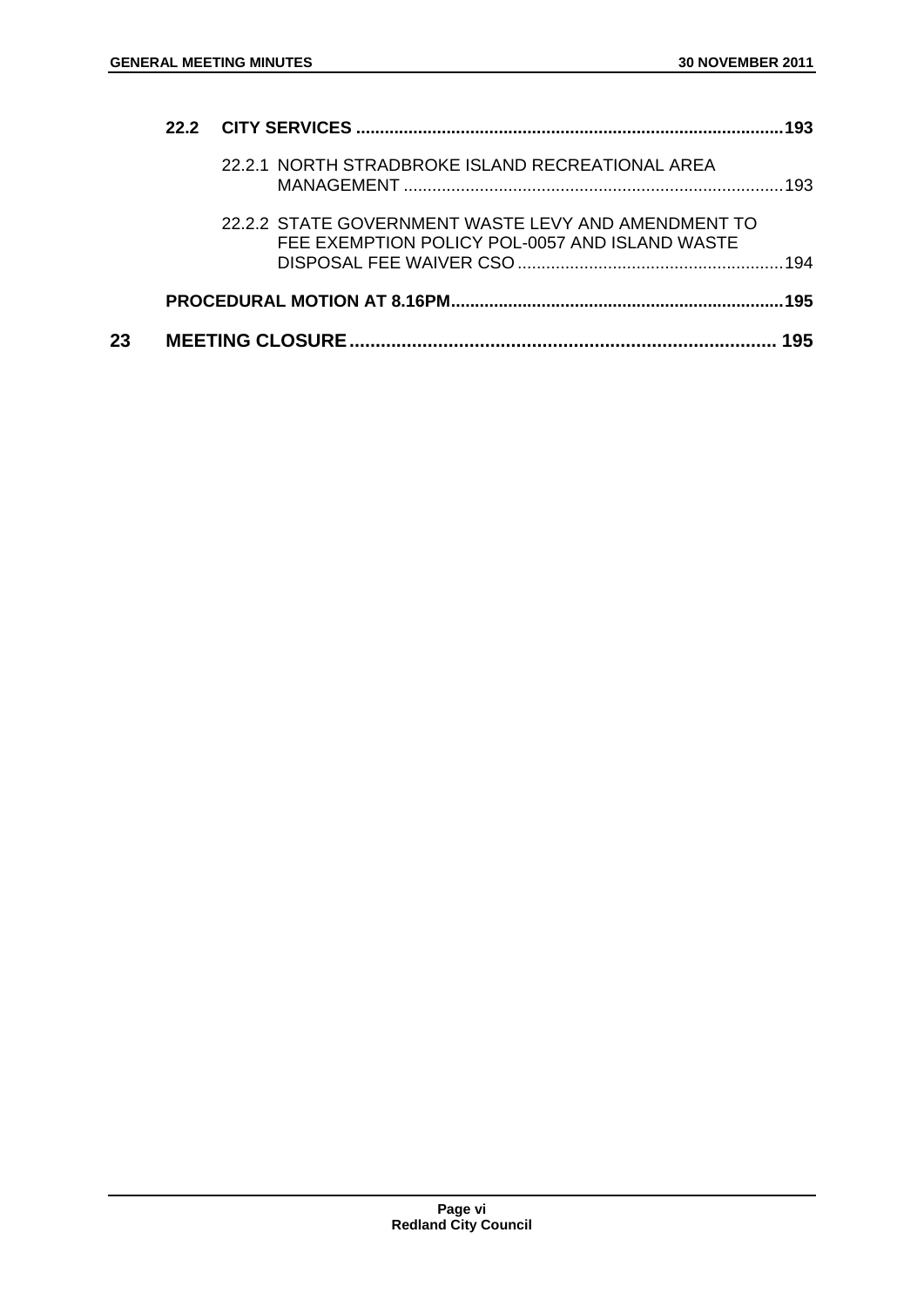|    |                                                                                                       | 193 |
|----|-------------------------------------------------------------------------------------------------------|-----|
|    | 22.2.1 NORTH STRADBROKE ISLAND RECREATIONAL AREA                                                      | 193 |
|    | 22.2.2 STATE GOVERNMENT WASTE LEVY AND AMENDMENT TO<br>FEE EXEMPTION POLICY POL-0057 AND ISLAND WASTE | 194 |
|    |                                                                                                       | 195 |
| 23 |                                                                                                       |     |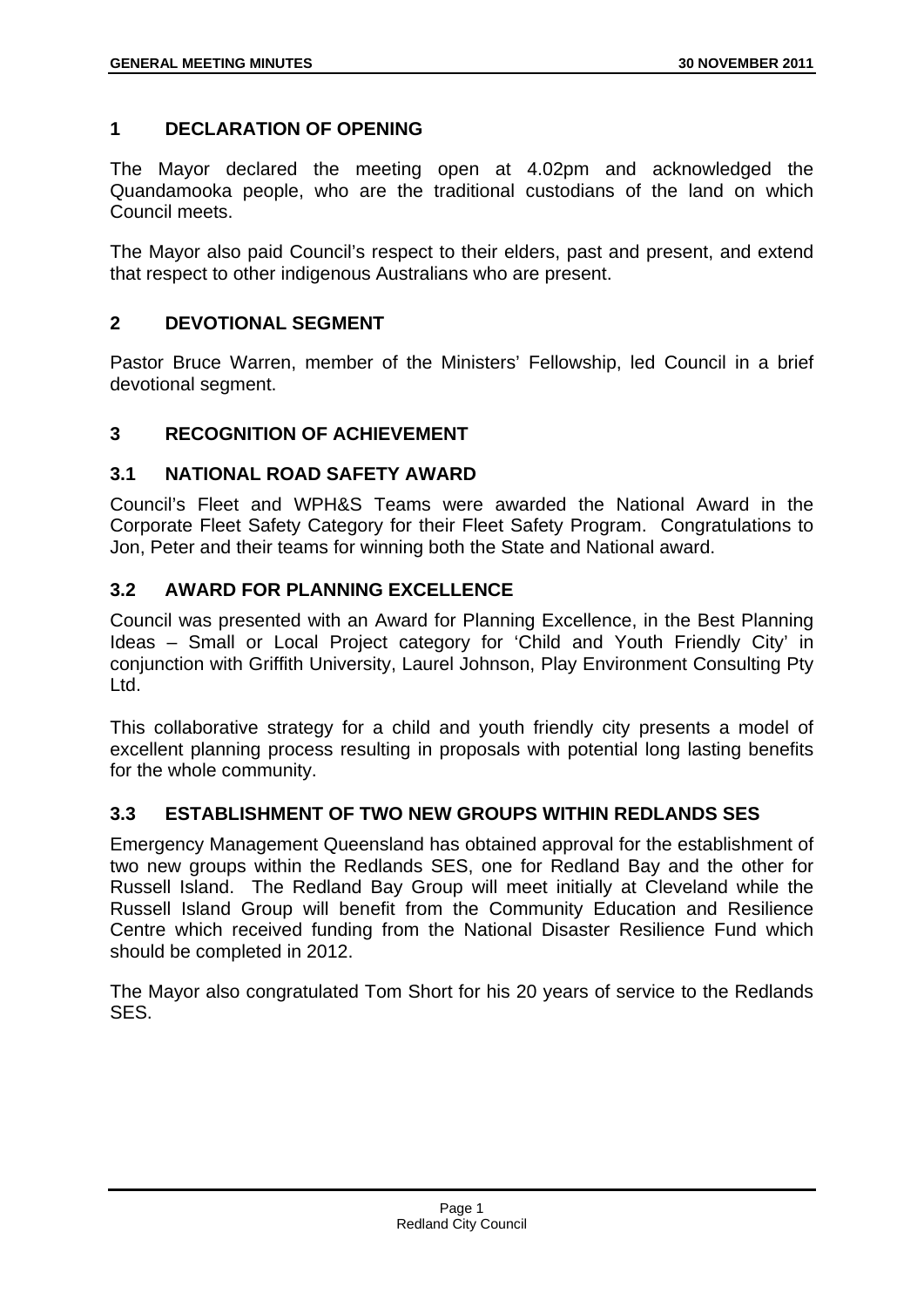# **1 DECLARATION OF OPENING**

The Mayor declared the meeting open at 4.02pm and acknowledged the Quandamooka people, who are the traditional custodians of the land on which Council meets.

The Mayor also paid Council's respect to their elders, past and present, and extend that respect to other indigenous Australians who are present.

# **2 DEVOTIONAL SEGMENT**

Pastor Bruce Warren, member of the Ministers' Fellowship, led Council in a brief devotional segment.

# **3 RECOGNITION OF ACHIEVEMENT**

# **3.1 NATIONAL ROAD SAFETY AWARD**

Council's Fleet and WPH&S Teams were awarded the National Award in the Corporate Fleet Safety Category for their Fleet Safety Program. Congratulations to Jon, Peter and their teams for winning both the State and National award.

# **3.2 AWARD FOR PLANNING EXCELLENCE**

Council was presented with an Award for Planning Excellence, in the Best Planning Ideas – Small or Local Project category for 'Child and Youth Friendly City' in conjunction with Griffith University, Laurel Johnson, Play Environment Consulting Pty Ltd.

This collaborative strategy for a child and youth friendly city presents a model of excellent planning process resulting in proposals with potential long lasting benefits for the whole community.

# **3.3 ESTABLISHMENT OF TWO NEW GROUPS WITHIN REDLANDS SES**

Emergency Management Queensland has obtained approval for the establishment of two new groups within the Redlands SES, one for Redland Bay and the other for Russell Island. The Redland Bay Group will meet initially at Cleveland while the Russell Island Group will benefit from the Community Education and Resilience Centre which received funding from the National Disaster Resilience Fund which should be completed in 2012.

The Mayor also congratulated Tom Short for his 20 years of service to the Redlands SES.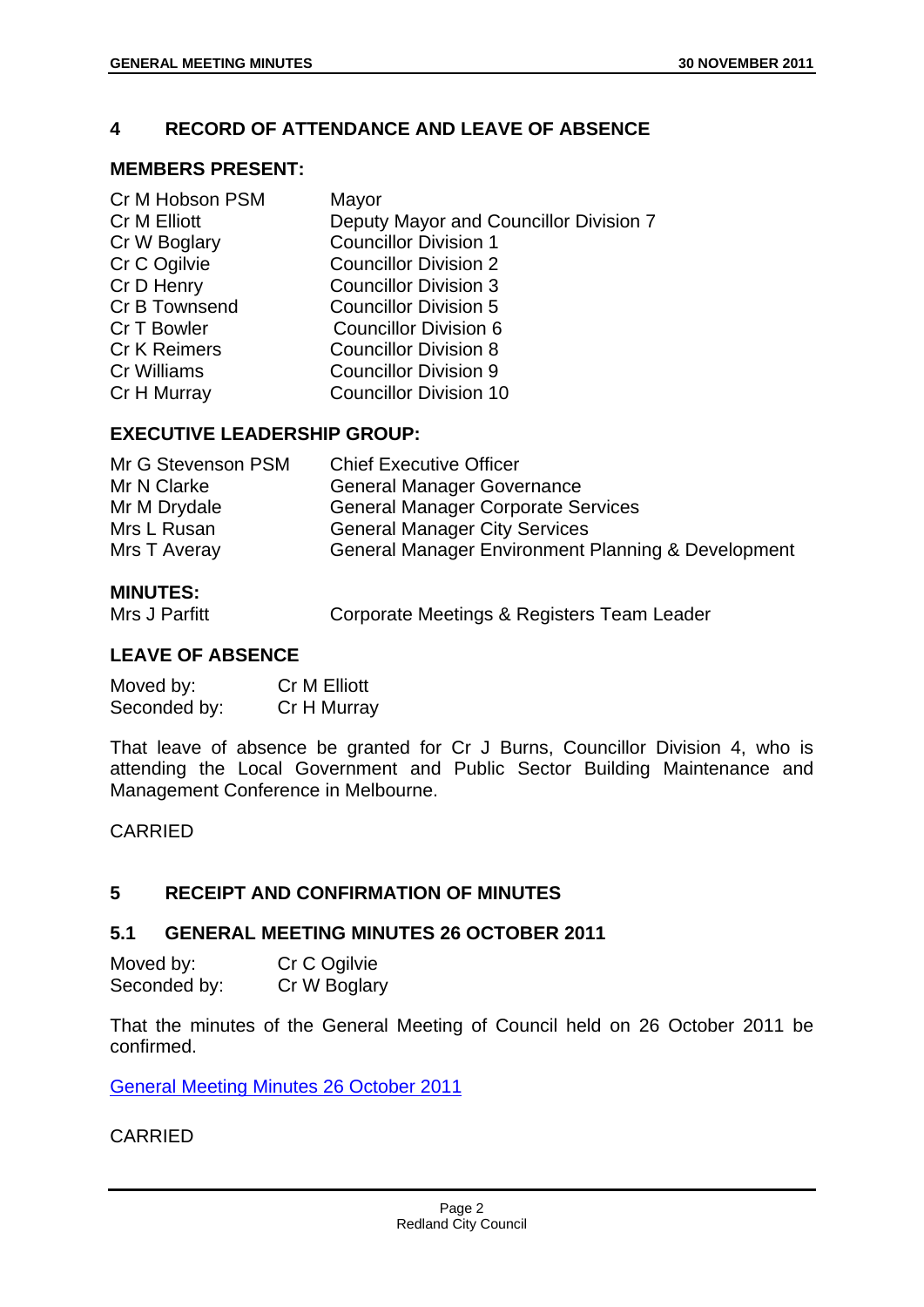# **4 RECORD OF ATTENDANCE AND LEAVE OF ABSENCE**

#### **MEMBERS PRESENT:**

| Cr M Hobson PSM     | Mayor                                  |
|---------------------|----------------------------------------|
| Cr M Elliott        | Deputy Mayor and Councillor Division 7 |
| Cr W Boglary        | <b>Councillor Division 1</b>           |
| Cr C Ogilvie        | <b>Councillor Division 2</b>           |
| Cr D Henry          | <b>Councillor Division 3</b>           |
| Cr B Townsend       | <b>Councillor Division 5</b>           |
| Cr T Bowler         | <b>Councillor Division 6</b>           |
| <b>Cr K Reimers</b> | <b>Councillor Division 8</b>           |
| <b>Cr Williams</b>  | <b>Councillor Division 9</b>           |
| Cr H Murray         | <b>Councillor Division 10</b>          |
|                     |                                        |

# **EXECUTIVE LEADERSHIP GROUP:**

| Mr G Stevenson PSM | <b>Chief Executive Officer</b>                     |
|--------------------|----------------------------------------------------|
| Mr N Clarke        | <b>General Manager Governance</b>                  |
| Mr M Drydale       | <b>General Manager Corporate Services</b>          |
| Mrs L Rusan        | <b>General Manager City Services</b>               |
| Mrs T Averay       | General Manager Environment Planning & Development |

#### **MINUTES:**

Mrs J Parfitt **Corporate Meetings & Registers Team Leader** 

# **LEAVE OF ABSENCE**

| Moved by:    | Cr M Elliott |
|--------------|--------------|
| Seconded by: | Cr H Murray  |

That leave of absence be granted for Cr J Burns, Councillor Division 4, who is attending the Local Government and Public Sector Building Maintenance and Management Conference in Melbourne.

#### CARRIED

# **5 RECEIPT AND CONFIRMATION OF MINUTES**

# **5.1 GENERAL MEETING MINUTES 26 OCTOBER 2011**

Moved by: Cr C Ogilvie Seconded by: Cr W Boglary

That the minutes of the General Meeting of Council held on 26 October 2011 be confirmed.

General Meeting Minutes 26 October 2011

# CARRIED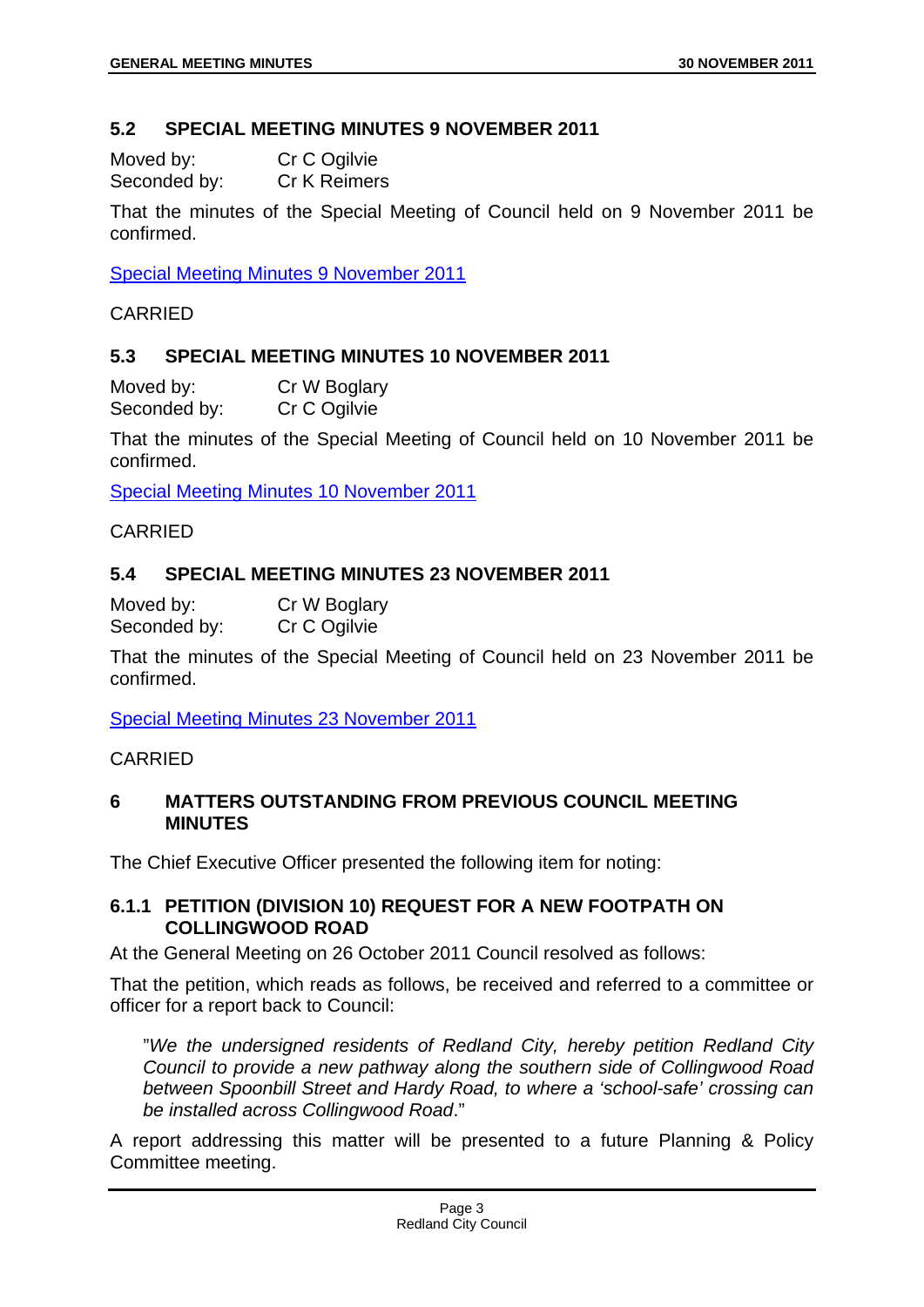# **5.2 SPECIAL MEETING MINUTES 9 NOVEMBER 2011**

Moved by: Cr C Ogilvie Seconded by: Cr K Reimers

That the minutes of the Special Meeting of Council held on 9 November 2011 be confirmed.

Special Meeting Minutes 9 November 2011

CARRIED

# **5.3 SPECIAL MEETING MINUTES 10 NOVEMBER 2011**

Moved by: Cr W Boglary Seconded by: Cr C Ogilvie

That the minutes of the Special Meeting of Council held on 10 November 2011 be confirmed.

Special Meeting Minutes 10 November 2011

CARRIED

# **5.4 SPECIAL MEETING MINUTES 23 NOVEMBER 2011**

Moved by: Cr W Boglary Seconded by: Cr C Ogilvie

That the minutes of the Special Meeting of Council held on 23 November 2011 be confirmed.

Special Meeting Minutes 23 November 2011

CARRIED

# **6 MATTERS OUTSTANDING FROM PREVIOUS COUNCIL MEETING MINUTES**

The Chief Executive Officer presented the following item for noting:

# **6.1.1 PETITION (DIVISION 10) REQUEST FOR A NEW FOOTPATH ON COLLINGWOOD ROAD**

At the General Meeting on 26 October 2011 Council resolved as follows:

That the petition, which reads as follows, be received and referred to a committee or officer for a report back to Council:

"*We the undersigned residents of Redland City, hereby petition Redland City Council to provide a new pathway along the southern side of Collingwood Road between Spoonbill Street and Hardy Road, to where a 'school-safe' crossing can be installed across Collingwood Road*."

A report addressing this matter will be presented to a future Planning & Policy Committee meeting.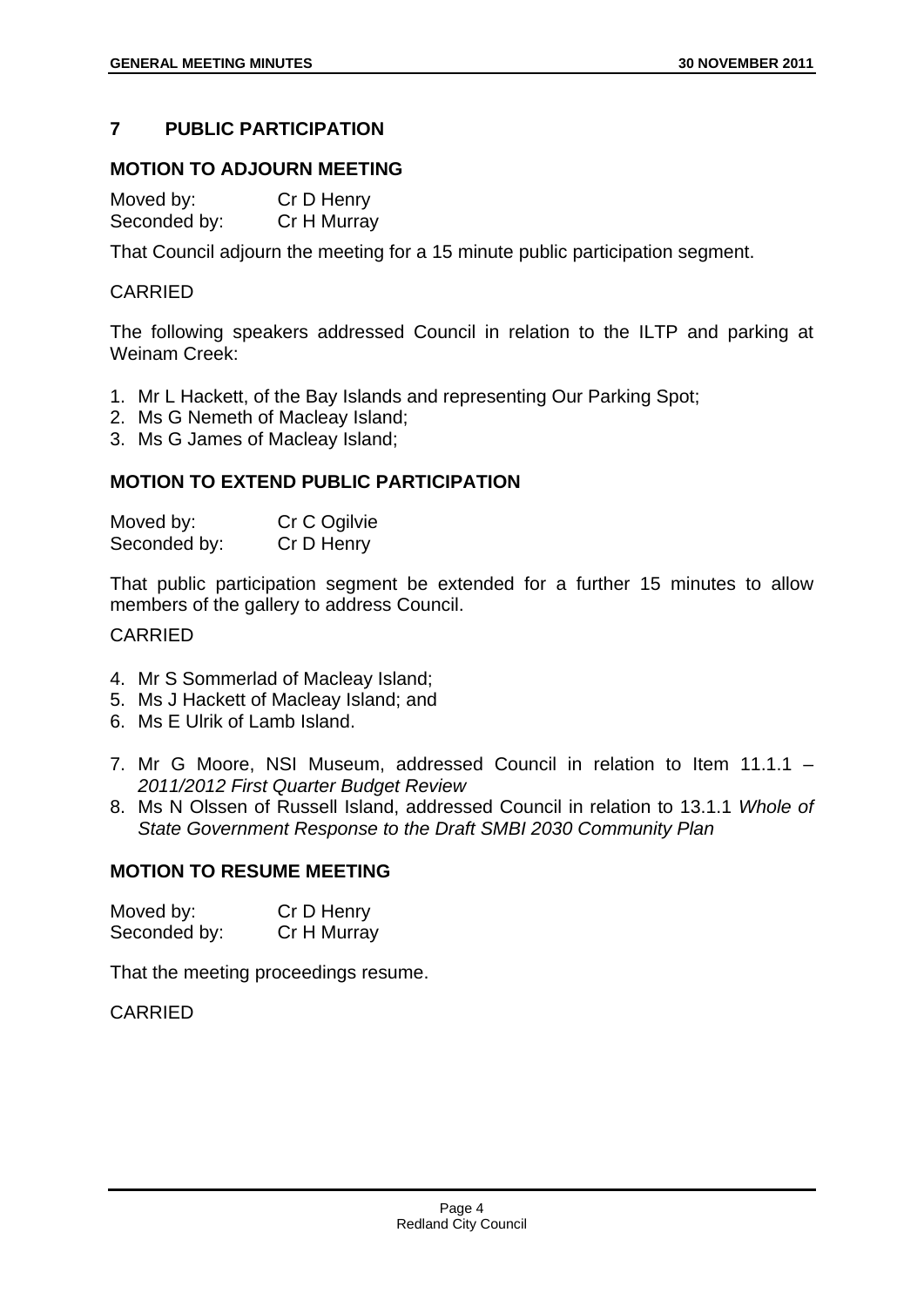# **7 PUBLIC PARTICIPATION**

# **MOTION TO ADJOURN MEETING**

Moved by: Cr D Henry Seconded by: Cr H Murray

That Council adjourn the meeting for a 15 minute public participation segment.

## CARRIED

The following speakers addressed Council in relation to the ILTP and parking at Weinam Creek:

- 1. Mr L Hackett, of the Bay Islands and representing Our Parking Spot;
- 2. Ms G Nemeth of Macleay Island;
- 3. Ms G James of Macleay Island;

# **MOTION TO EXTEND PUBLIC PARTICIPATION**

| Moved by:    | Cr C Ogilvie |
|--------------|--------------|
| Seconded by: | Cr D Henry   |

That public participation segment be extended for a further 15 minutes to allow members of the gallery to address Council.

# CARRIED

- 4. Mr S Sommerlad of Macleay Island;
- 5. Ms J Hackett of Macleay Island; and
- 6. Ms E Ulrik of Lamb Island.
- 7. Mr G Moore, NSI Museum, addressed Council in relation to Item 11.1.1 *2011/2012 First Quarter Budget Review*
- 8. Ms N Olssen of Russell Island, addressed Council in relation to 13.1.1 *Whole of State Government Response to the Draft SMBI 2030 Community Plan*

# **MOTION TO RESUME MEETING**

| Moved by:    | Cr D Henry  |
|--------------|-------------|
| Seconded by: | Cr H Murray |

That the meeting proceedings resume.

CARRIED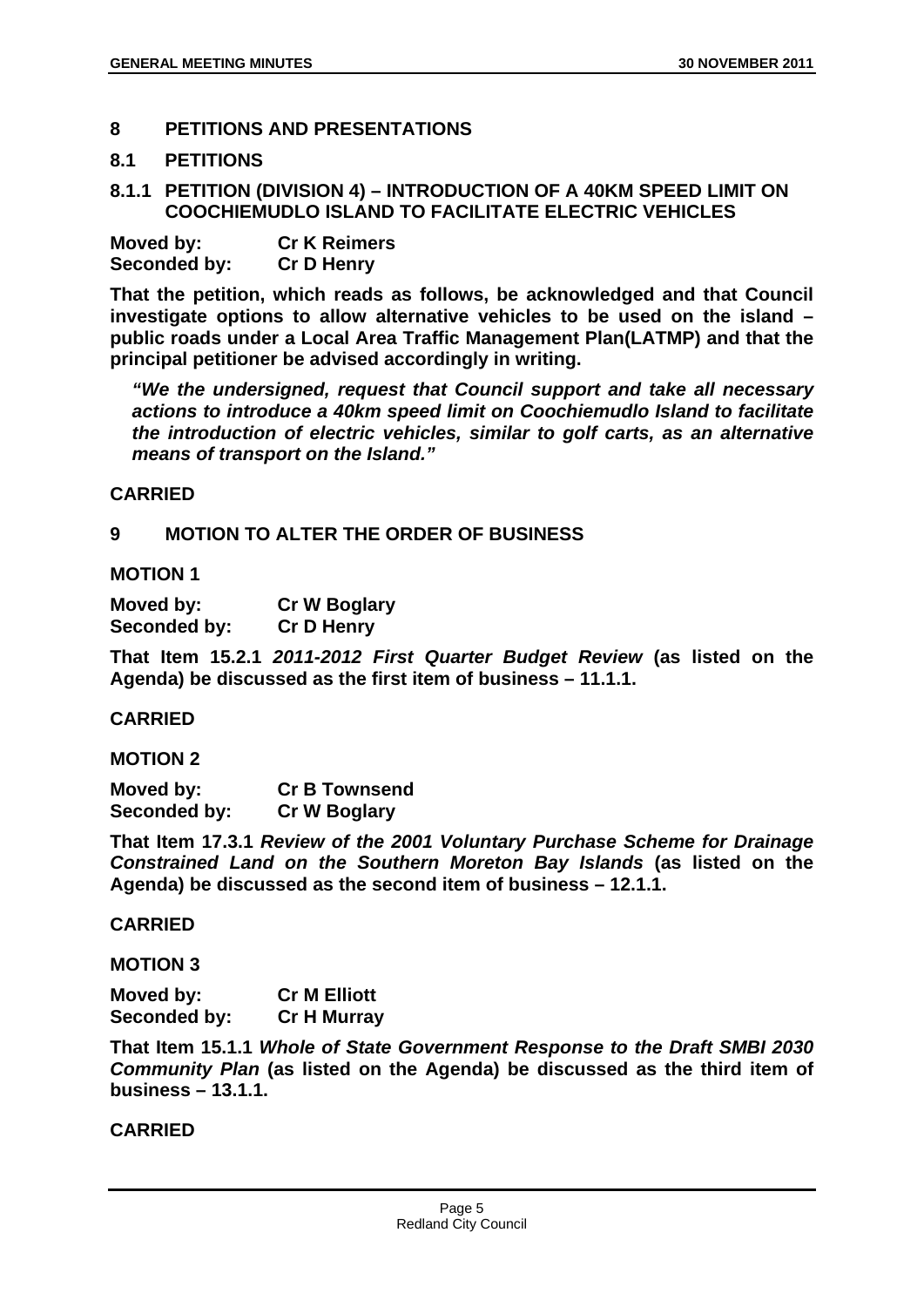# **8 PETITIONS AND PRESENTATIONS**

#### **8.1 PETITIONS**

#### **8.1.1 PETITION (DIVISION 4) – INTRODUCTION OF A 40KM SPEED LIMIT ON COOCHIEMUDLO ISLAND TO FACILITATE ELECTRIC VEHICLES**

| Moved by:    | <b>Cr K Reimers</b> |
|--------------|---------------------|
| Seconded by: | <b>Cr D Henry</b>   |

**That the petition, which reads as follows, be acknowledged and that Council investigate options to allow alternative vehicles to be used on the island – public roads under a Local Area Traffic Management Plan(LATMP) and that the principal petitioner be advised accordingly in writing.** 

*"We the undersigned, request that Council support and take all necessary actions to introduce a 40km speed limit on Coochiemudlo Island to facilitate the introduction of electric vehicles, similar to golf carts, as an alternative means of transport on the Island."* 

#### **CARRIED**

#### **9 MOTION TO ALTER THE ORDER OF BUSINESS**

#### **MOTION 1**

| Moved by:    | <b>Cr W Boglary</b> |
|--------------|---------------------|
| Seconded by: | <b>Cr D Henry</b>   |

**That Item 15.2.1** *2011-2012 First Quarter Budget Review* **(as listed on the Agenda) be discussed as the first item of business – 11.1.1.** 

#### **CARRIED**

#### **MOTION 2**

**Moved by: Cr B Townsend Seconded by: Cr W Boglary** 

**That Item 17.3.1** *Review of the 2001 Voluntary Purchase Scheme for Drainage Constrained Land on the Southern Moreton Bay Islands* **(as listed on the Agenda) be discussed as the second item of business – 12.1.1.** 

#### **CARRIED**

#### **MOTION 3**

| Moved by:    | <b>Cr M Elliott</b> |
|--------------|---------------------|
| Seconded by: | <b>Cr H Murray</b>  |

**That Item 15.1.1** *Whole of State Government Response to the Draft SMBI 2030 Community Plan* **(as listed on the Agenda) be discussed as the third item of business – 13.1.1.** 

#### **CARRIED**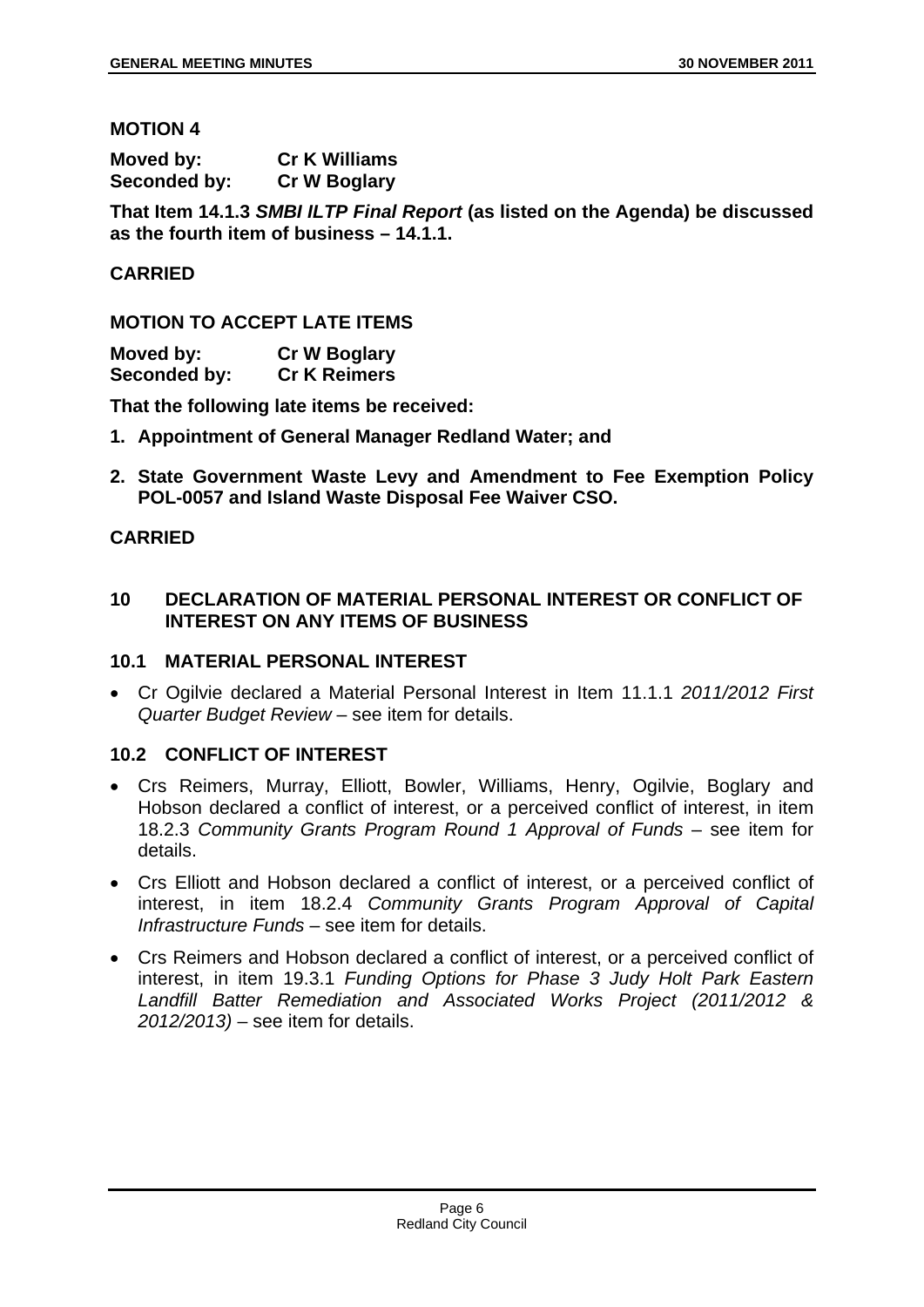#### **MOTION 4**

| Moved by:    | <b>Cr K Williams</b> |
|--------------|----------------------|
| Seconded by: | <b>Cr W Boglary</b>  |

**That Item 14.1.3** *SMBI ILTP Final Report* **(as listed on the Agenda) be discussed as the fourth item of business – 14.1.1.** 

#### **CARRIED**

#### **MOTION TO ACCEPT LATE ITEMS**

| Moved by:    | <b>Cr W Boglary</b> |
|--------------|---------------------|
| Seconded by: | <b>Cr K Reimers</b> |

**That the following late items be received:** 

- **1. Appointment of General Manager Redland Water; and**
- **2. State Government Waste Levy and Amendment to Fee Exemption Policy POL-0057 and Island Waste Disposal Fee Waiver CSO.**

#### **CARRIED**

#### **10 DECLARATION OF MATERIAL PERSONAL INTEREST OR CONFLICT OF INTEREST ON ANY ITEMS OF BUSINESS**

#### **10.1 MATERIAL PERSONAL INTEREST**

 Cr Ogilvie declared a Material Personal Interest in Item 11.1.1 *2011/2012 First Quarter Budget Review* – see item for details.

#### **10.2 CONFLICT OF INTEREST**

- Crs Reimers, Murray, Elliott, Bowler, Williams, Henry, Ogilvie, Boglary and Hobson declared a conflict of interest, or a perceived conflict of interest, in item 18.2.3 *Community Grants Program Round 1 Approval of Funds* – see item for details.
- Crs Elliott and Hobson declared a conflict of interest, or a perceived conflict of interest, in item 18.2.4 *Community Grants Program Approval of Capital Infrastructure Funds* – see item for details.
- Crs Reimers and Hobson declared a conflict of interest, or a perceived conflict of interest, in item 19.3.1 *Funding Options for Phase 3 Judy Holt Park Eastern Landfill Batter Remediation and Associated Works Project (2011/2012 & 2012/2013)* – see item for details.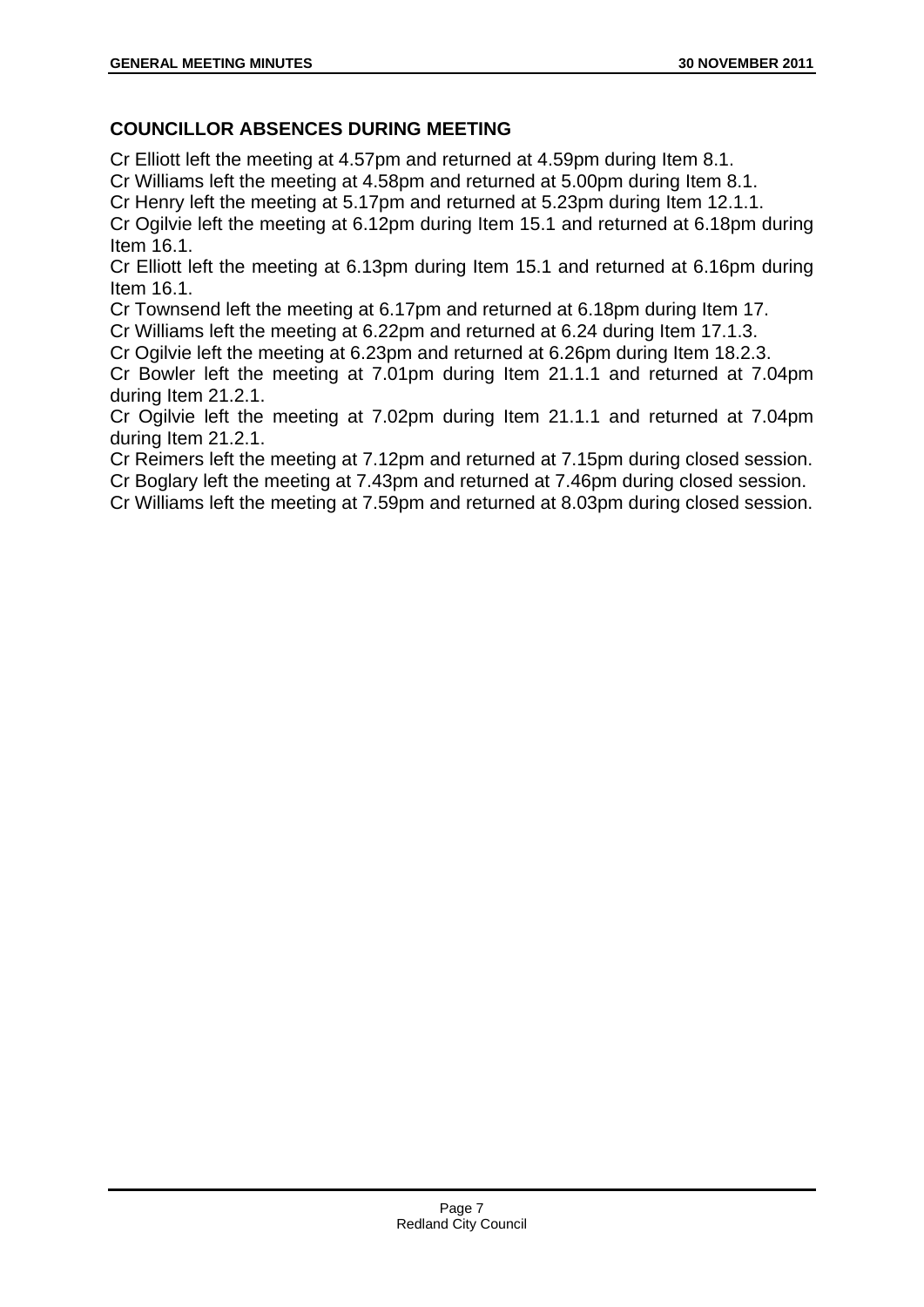# **COUNCILLOR ABSENCES DURING MEETING**

Cr Elliott left the meeting at 4.57pm and returned at 4.59pm during Item 8.1.

Cr Williams left the meeting at 4.58pm and returned at 5.00pm during Item 8.1.

Cr Henry left the meeting at 5.17pm and returned at 5.23pm during Item 12.1.1. Cr Ogilvie left the meeting at 6.12pm during Item 15.1 and returned at 6.18pm during Item 16.1.

Cr Elliott left the meeting at 6.13pm during Item 15.1 and returned at 6.16pm during Item 16.1.

Cr Townsend left the meeting at 6.17pm and returned at 6.18pm during Item 17.

Cr Williams left the meeting at 6.22pm and returned at 6.24 during Item 17.1.3.

Cr Ogilvie left the meeting at 6.23pm and returned at 6.26pm during Item 18.2.3.

Cr Bowler left the meeting at 7.01pm during Item 21.1.1 and returned at 7.04pm during Item 21.2.1.

Cr Ogilvie left the meeting at 7.02pm during Item 21.1.1 and returned at 7.04pm during Item 21.2.1.

Cr Reimers left the meeting at 7.12pm and returned at 7.15pm during closed session.

Cr Boglary left the meeting at 7.43pm and returned at 7.46pm during closed session.

Cr Williams left the meeting at 7.59pm and returned at 8.03pm during closed session.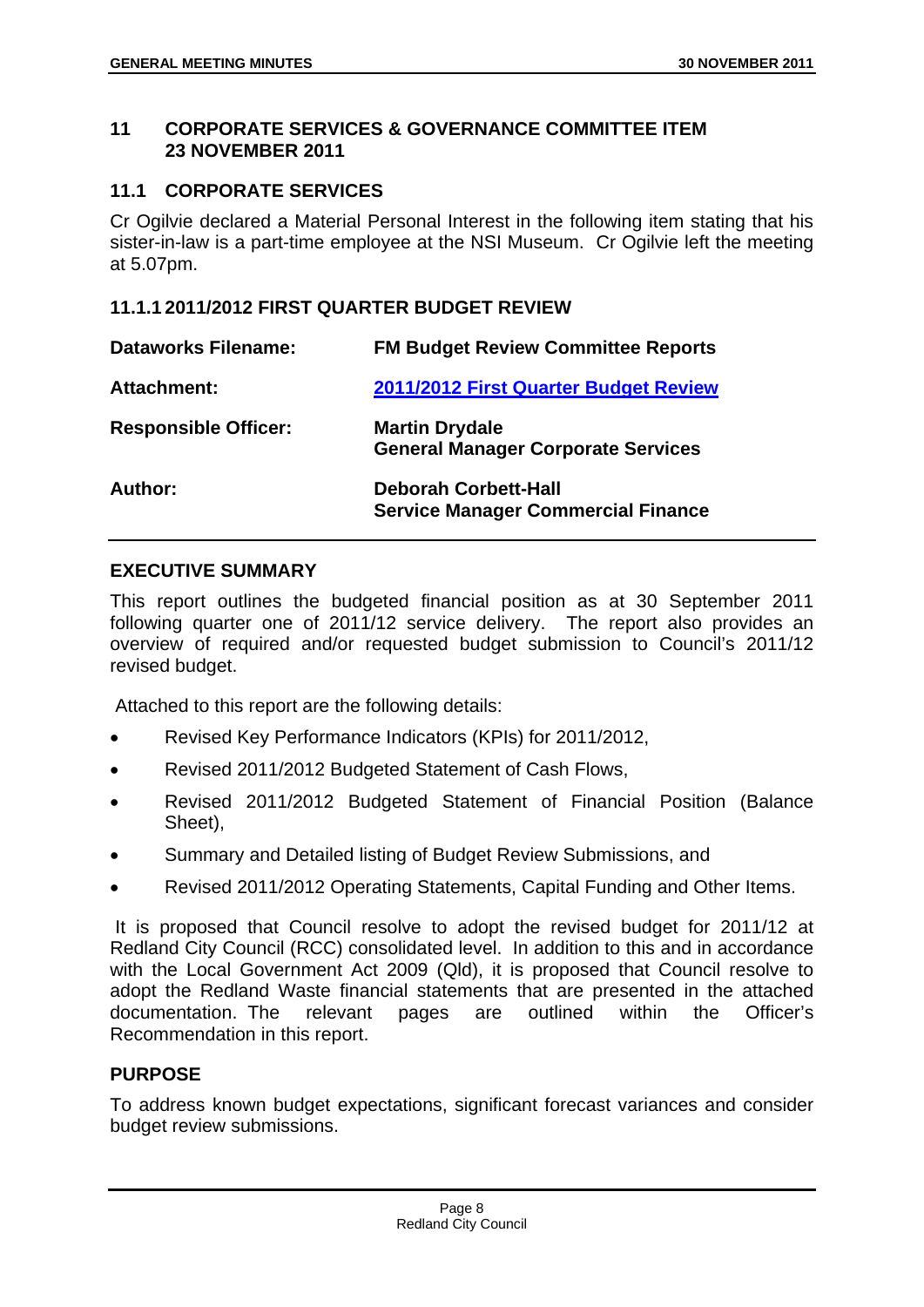#### **11 CORPORATE SERVICES & GOVERNANCE COMMITTEE ITEM 23 NOVEMBER 2011**

# **11.1 CORPORATE SERVICES**

Cr Ogilvie declared a Material Personal Interest in the following item stating that his sister-in-law is a part-time employee at the NSI Museum. Cr Ogilvie left the meeting at 5.07pm.

# **11.1.1 2011/2012 FIRST QUARTER BUDGET REVIEW**

| <b>Dataworks Filename:</b>  | <b>FM Budget Review Committee Reports</b>                                |
|-----------------------------|--------------------------------------------------------------------------|
| Attachment:                 | 2011/2012 First Quarter Budget Review                                    |
| <b>Responsible Officer:</b> | <b>Martin Drydale</b><br><b>General Manager Corporate Services</b>       |
| Author:                     | <b>Deborah Corbett-Hall</b><br><b>Service Manager Commercial Finance</b> |

# **EXECUTIVE SUMMARY**

This report outlines the budgeted financial position as at 30 September 2011 following quarter one of 2011/12 service delivery. The report also provides an overview of required and/or requested budget submission to Council's 2011/12 revised budget.

Attached to this report are the following details:

- Revised Key Performance Indicators (KPIs) for 2011/2012,
- Revised 2011/2012 Budgeted Statement of Cash Flows,
- Revised 2011/2012 Budgeted Statement of Financial Position (Balance Sheet),
- Summary and Detailed listing of Budget Review Submissions, and
- Revised 2011/2012 Operating Statements, Capital Funding and Other Items.

 It is proposed that Council resolve to adopt the revised budget for 2011/12 at Redland City Council (RCC) consolidated level. In addition to this and in accordance with the Local Government Act 2009 (Qld), it is proposed that Council resolve to adopt the Redland Waste financial statements that are presented in the attached documentation. The relevant pages are outlined within the Officer's Recommendation in this report.

# **PURPOSE**

To address known budget expectations, significant forecast variances and consider budget review submissions.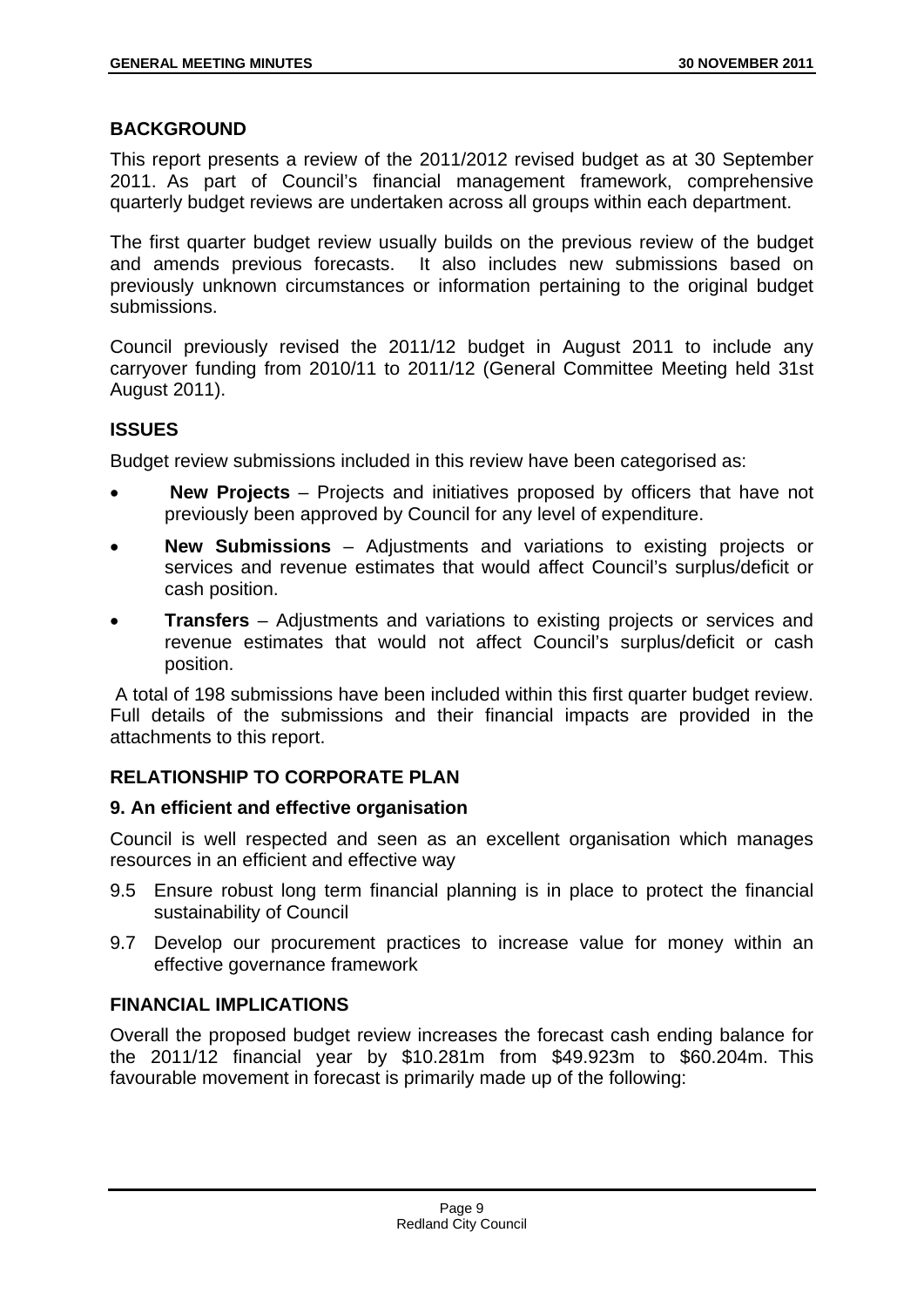# **BACKGROUND**

This report presents a review of the 2011/2012 revised budget as at 30 September 2011. As part of Council's financial management framework, comprehensive quarterly budget reviews are undertaken across all groups within each department.

The first quarter budget review usually builds on the previous review of the budget and amends previous forecasts. It also includes new submissions based on previously unknown circumstances or information pertaining to the original budget submissions.

Council previously revised the 2011/12 budget in August 2011 to include any carryover funding from 2010/11 to 2011/12 (General Committee Meeting held 31st August 2011).

# **ISSUES**

Budget review submissions included in this review have been categorised as:

- **New Projects**  Projects and initiatives proposed by officers that have not previously been approved by Council for any level of expenditure.
- **New Submissions** Adjustments and variations to existing projects or services and revenue estimates that would affect Council's surplus/deficit or cash position.
- **Transfers** Adjustments and variations to existing projects or services and revenue estimates that would not affect Council's surplus/deficit or cash position.

 A total of 198 submissions have been included within this first quarter budget review. Full details of the submissions and their financial impacts are provided in the attachments to this report.

# **RELATIONSHIP TO CORPORATE PLAN**

# **9. An efficient and effective organisation**

Council is well respected and seen as an excellent organisation which manages resources in an efficient and effective way

- 9.5 Ensure robust long term financial planning is in place to protect the financial sustainability of Council
- 9.7 Develop our procurement practices to increase value for money within an effective governance framework

# **FINANCIAL IMPLICATIONS**

Overall the proposed budget review increases the forecast cash ending balance for the 2011/12 financial year by \$10.281m from \$49.923m to \$60.204m. This favourable movement in forecast is primarily made up of the following: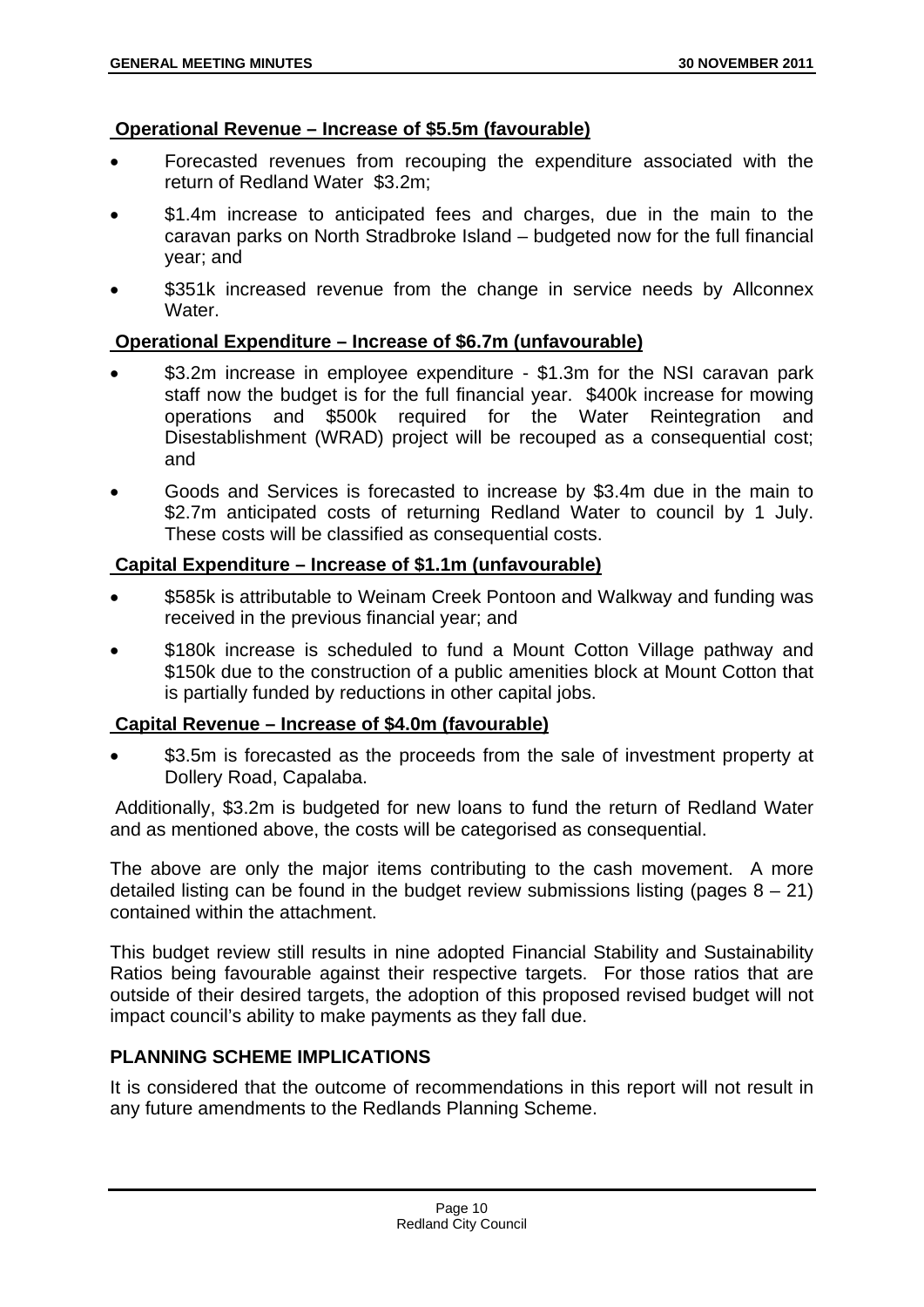# **Operational Revenue – Increase of \$5.5m (favourable)**

- Forecasted revenues from recouping the expenditure associated with the return of Redland Water \$3.2m;
- \$1.4m increase to anticipated fees and charges, due in the main to the caravan parks on North Stradbroke Island – budgeted now for the full financial year; and
- \$351k increased revenue from the change in service needs by Allconnex Water

# **Operational Expenditure – Increase of \$6.7m (unfavourable)**

- \$3.2m increase in employee expenditure \$1.3m for the NSI caravan park staff now the budget is for the full financial year. \$400k increase for mowing operations and \$500k required for the Water Reintegration and Disestablishment (WRAD) project will be recouped as a consequential cost; and
- Goods and Services is forecasted to increase by \$3.4m due in the main to \$2.7m anticipated costs of returning Redland Water to council by 1 July. These costs will be classified as consequential costs.

# **Capital Expenditure – Increase of \$1.1m (unfavourable)**

- \$585k is attributable to Weinam Creek Pontoon and Walkway and funding was received in the previous financial year; and
- \$180k increase is scheduled to fund a Mount Cotton Village pathway and \$150k due to the construction of a public amenities block at Mount Cotton that is partially funded by reductions in other capital jobs.

# **Capital Revenue – Increase of \$4.0m (favourable)**

\$3.5m is forecasted as the proceeds from the sale of investment property at Dollery Road, Capalaba.

 Additionally, \$3.2m is budgeted for new loans to fund the return of Redland Water and as mentioned above, the costs will be categorised as consequential.

The above are only the major items contributing to the cash movement. A more detailed listing can be found in the budget review submissions listing (pages  $8 - 21$ ) contained within the attachment.

This budget review still results in nine adopted Financial Stability and Sustainability Ratios being favourable against their respective targets. For those ratios that are outside of their desired targets, the adoption of this proposed revised budget will not impact council's ability to make payments as they fall due.

# **PLANNING SCHEME IMPLICATIONS**

It is considered that the outcome of recommendations in this report will not result in any future amendments to the Redlands Planning Scheme.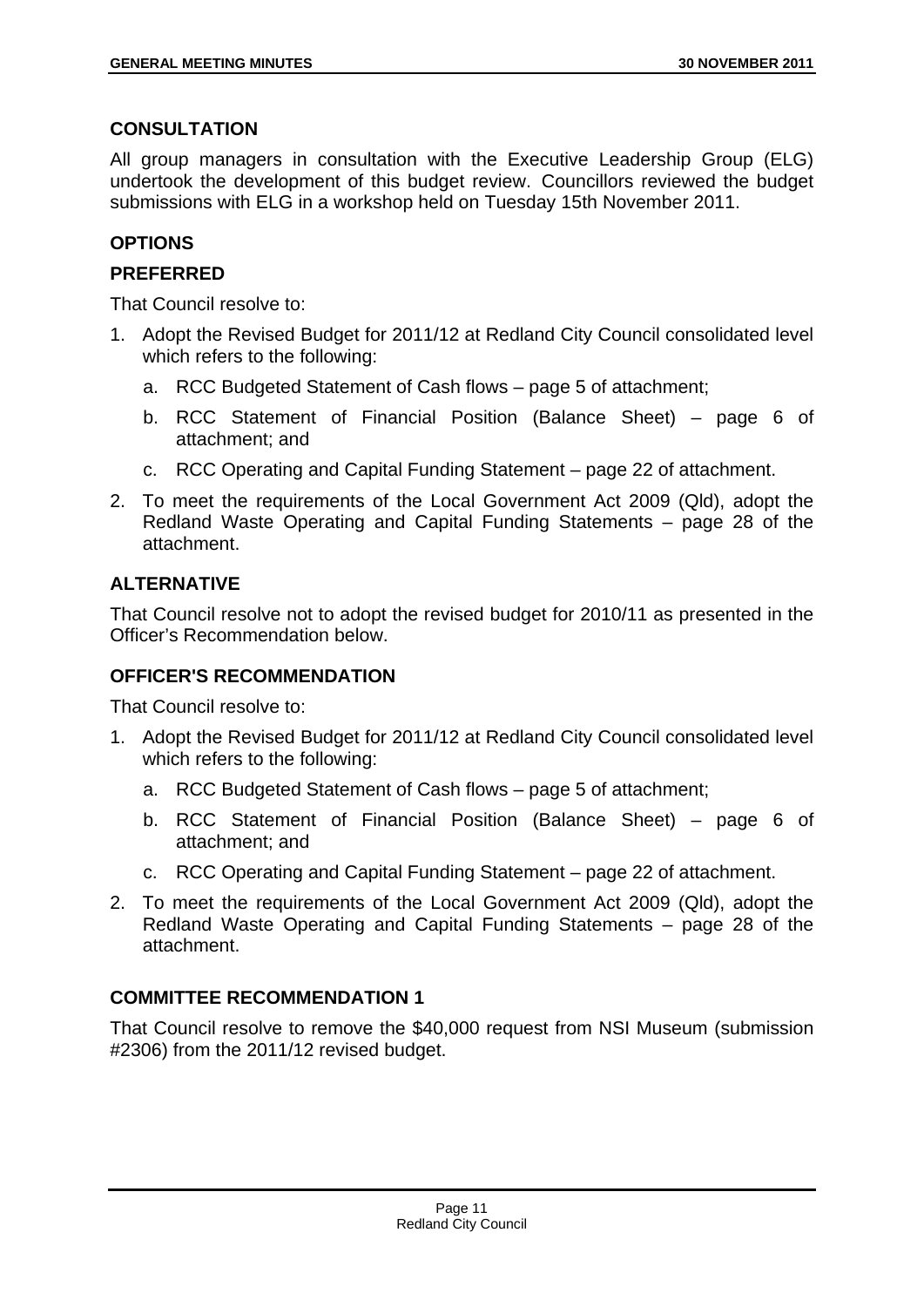# **CONSULTATION**

All group managers in consultation with the Executive Leadership Group (ELG) undertook the development of this budget review. Councillors reviewed the budget submissions with ELG in a workshop held on Tuesday 15th November 2011.

# **OPTIONS**

# **PREFERRED**

That Council resolve to:

- 1. Adopt the Revised Budget for 2011/12 at Redland City Council consolidated level which refers to the following:
	- a. RCC Budgeted Statement of Cash flows page 5 of attachment;
	- b. RCC Statement of Financial Position (Balance Sheet) page 6 of attachment; and
	- c. RCC Operating and Capital Funding Statement page 22 of attachment.
- 2. To meet the requirements of the Local Government Act 2009 (Qld), adopt the Redland Waste Operating and Capital Funding Statements – page 28 of the attachment.

# **ALTERNATIVE**

That Council resolve not to adopt the revised budget for 2010/11 as presented in the Officer's Recommendation below.

# **OFFICER'S RECOMMENDATION**

That Council resolve to:

- 1. Adopt the Revised Budget for 2011/12 at Redland City Council consolidated level which refers to the following:
	- a. RCC Budgeted Statement of Cash flows page 5 of attachment;
	- b. RCC Statement of Financial Position (Balance Sheet) page 6 of attachment; and
	- c. RCC Operating and Capital Funding Statement page 22 of attachment.
- 2. To meet the requirements of the Local Government Act 2009 (Qld), adopt the Redland Waste Operating and Capital Funding Statements – page 28 of the attachment.

# **COMMITTEE RECOMMENDATION 1**

That Council resolve to remove the \$40,000 request from NSI Museum (submission #2306) from the 2011/12 revised budget.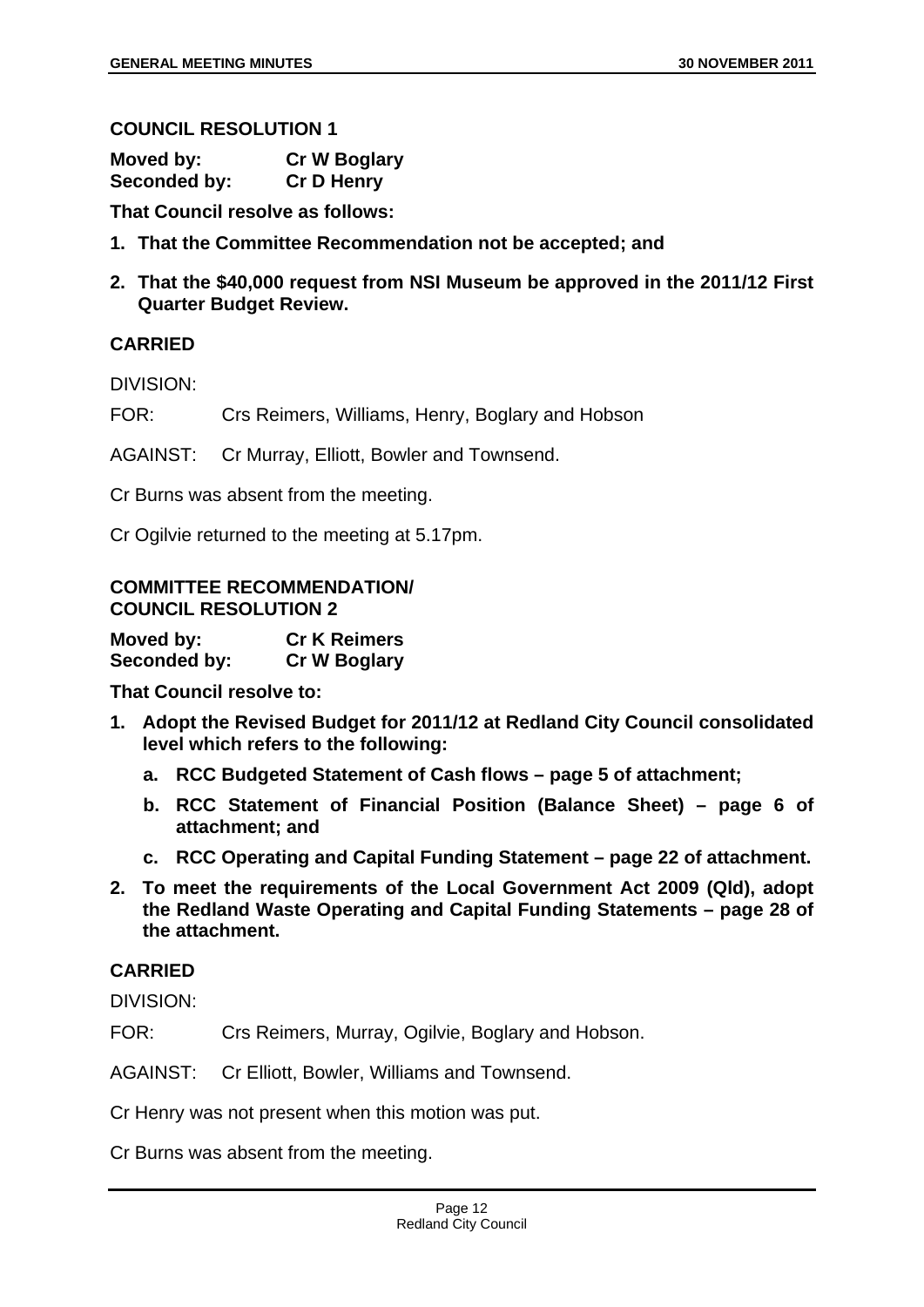#### **COUNCIL RESOLUTION 1**

| Moved by:    | <b>Cr W Boglary</b> |
|--------------|---------------------|
| Seconded by: | <b>Cr D Henry</b>   |

**That Council resolve as follows:** 

- **1. That the Committee Recommendation not be accepted; and**
- **2. That the \$40,000 request from NSI Museum be approved in the 2011/12 First Quarter Budget Review.**

# **CARRIED**

DIVISION:

FOR: Crs Reimers, Williams, Henry, Boglary and Hobson

AGAINST: Cr Murray, Elliott, Bowler and Townsend.

Cr Burns was absent from the meeting.

Cr Ogilvie returned to the meeting at 5.17pm.

# **COMMITTEE RECOMMENDATION/ COUNCIL RESOLUTION 2**

| Moved by:    | <b>Cr K Reimers</b> |
|--------------|---------------------|
| Seconded by: | <b>Cr W Boglary</b> |

**That Council resolve to:** 

- **1. Adopt the Revised Budget for 2011/12 at Redland City Council consolidated level which refers to the following:** 
	- **a. RCC Budgeted Statement of Cash flows page 5 of attachment;**
	- **b. RCC Statement of Financial Position (Balance Sheet) page 6 of attachment; and**
	- **c. RCC Operating and Capital Funding Statement page 22 of attachment.**
- **2. To meet the requirements of the Local Government Act 2009 (Qld), adopt the Redland Waste Operating and Capital Funding Statements – page 28 of the attachment.**

# **CARRIED**

DIVISION:

FOR: Crs Reimers, Murray, Ogilvie, Boglary and Hobson.

#### AGAINST: Cr Elliott, Bowler, Williams and Townsend.

Cr Henry was not present when this motion was put.

Cr Burns was absent from the meeting.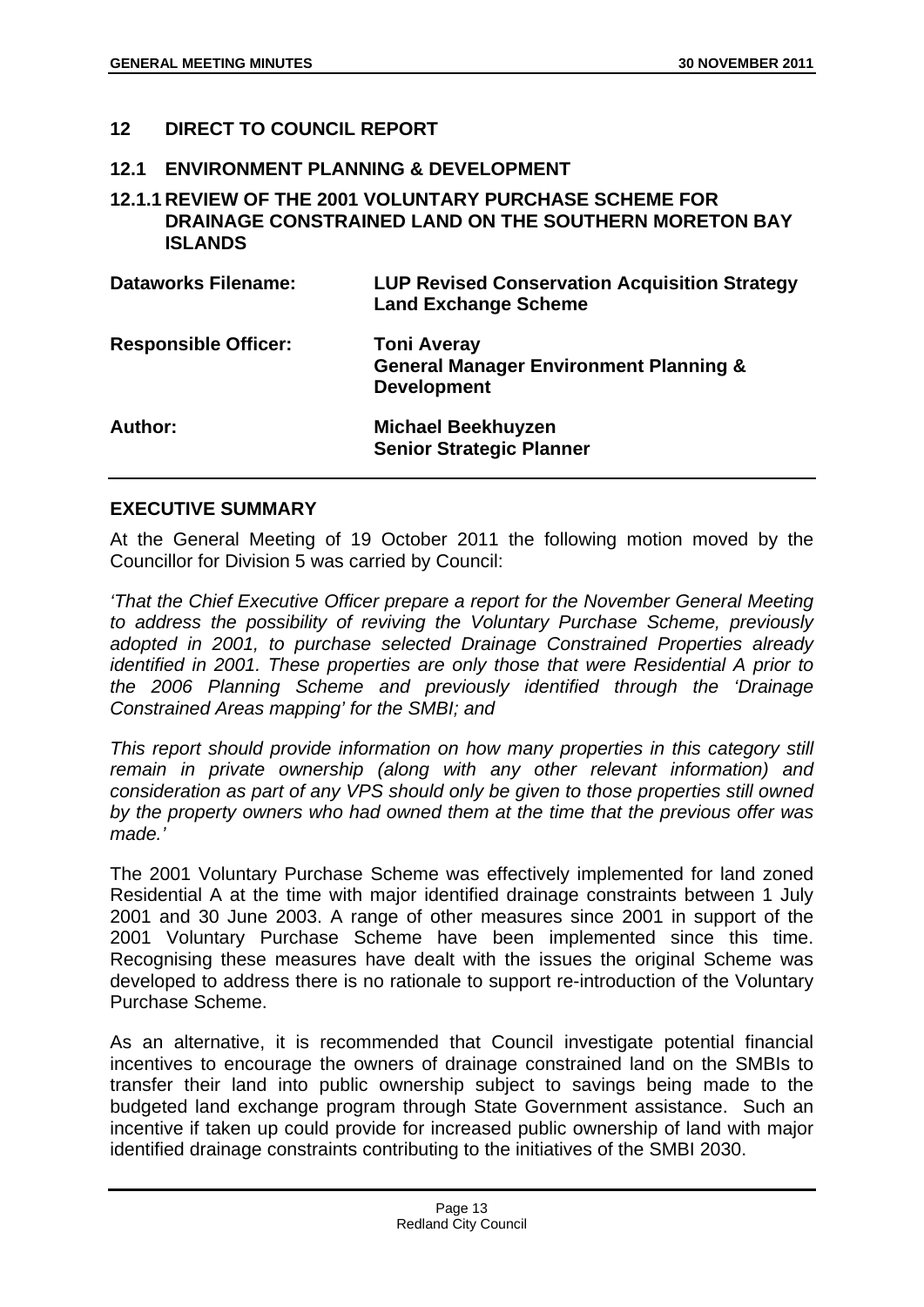#### **12 DIRECT TO COUNCIL REPORT**

#### **12.1 ENVIRONMENT PLANNING & DEVELOPMENT**

### **12.1.1 REVIEW OF THE 2001 VOLUNTARY PURCHASE SCHEME FOR DRAINAGE CONSTRAINED LAND ON THE SOUTHERN MORETON BAY ISLANDS**

| <b>Dataworks Filename:</b>  | <b>LUP Revised Conservation Acquisition Strategy</b><br><b>Land Exchange Scheme</b>           |
|-----------------------------|-----------------------------------------------------------------------------------------------|
| <b>Responsible Officer:</b> | <b>Toni Averay</b><br><b>General Manager Environment Planning &amp;</b><br><b>Development</b> |
| Author:                     | <b>Michael Beekhuyzen</b><br><b>Senior Strategic Planner</b>                                  |

#### **EXECUTIVE SUMMARY**

At the General Meeting of 19 October 2011 the following motion moved by the Councillor for Division 5 was carried by Council:

*'That the Chief Executive Officer prepare a report for the November General Meeting to address the possibility of reviving the Voluntary Purchase Scheme, previously adopted in 2001, to purchase selected Drainage Constrained Properties already identified in 2001. These properties are only those that were Residential A prior to the 2006 Planning Scheme and previously identified through the 'Drainage Constrained Areas mapping' for the SMBI; and* 

*This report should provide information on how many properties in this category still remain in private ownership (along with any other relevant information) and consideration as part of any VPS should only be given to those properties still owned by the property owners who had owned them at the time that the previous offer was made.'* 

The 2001 Voluntary Purchase Scheme was effectively implemented for land zoned Residential A at the time with major identified drainage constraints between 1 July 2001 and 30 June 2003. A range of other measures since 2001 in support of the 2001 Voluntary Purchase Scheme have been implemented since this time. Recognising these measures have dealt with the issues the original Scheme was developed to address there is no rationale to support re-introduction of the Voluntary Purchase Scheme.

As an alternative, it is recommended that Council investigate potential financial incentives to encourage the owners of drainage constrained land on the SMBIs to transfer their land into public ownership subject to savings being made to the budgeted land exchange program through State Government assistance. Such an incentive if taken up could provide for increased public ownership of land with major identified drainage constraints contributing to the initiatives of the SMBI 2030.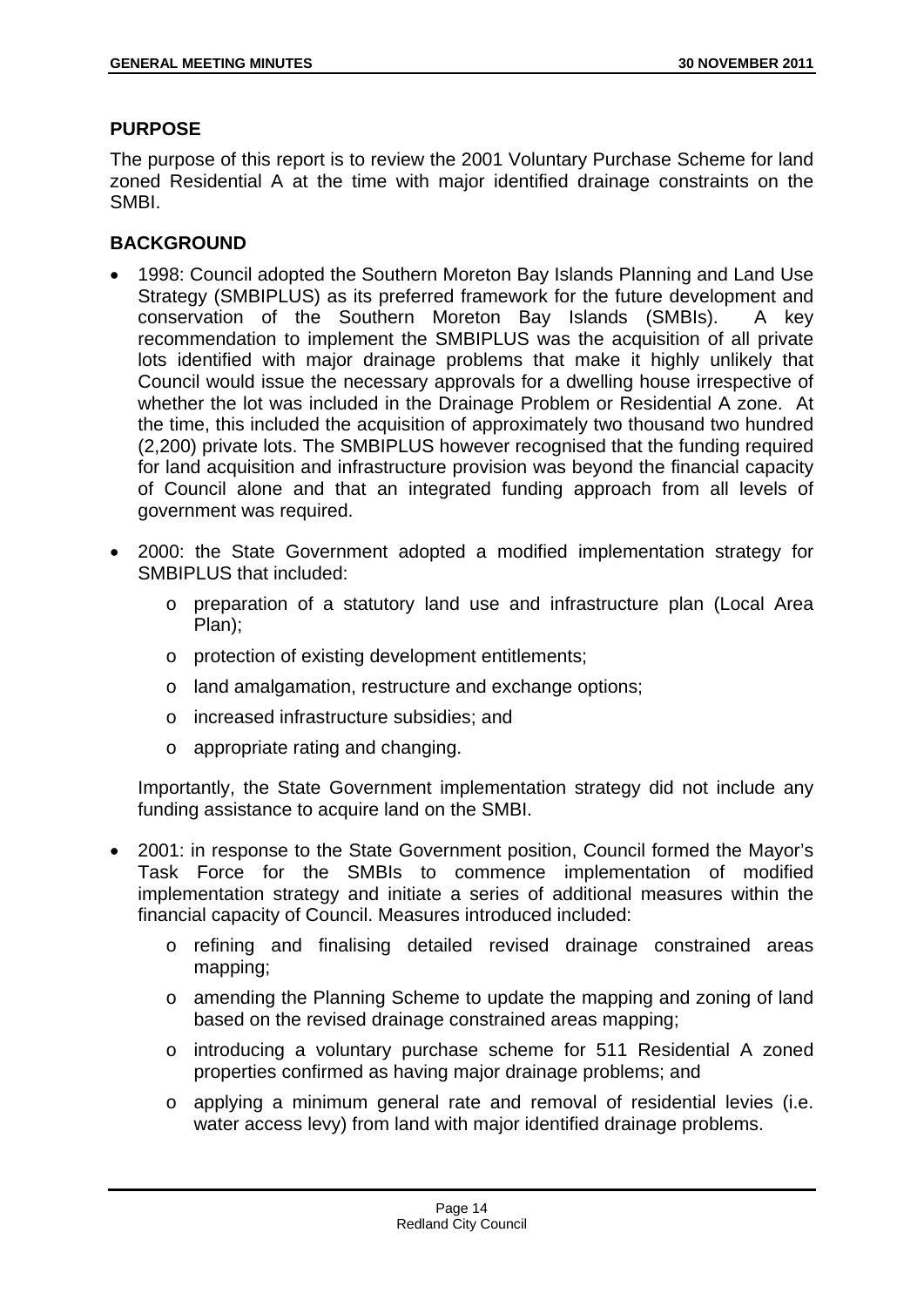#### **PURPOSE**

The purpose of this report is to review the 2001 Voluntary Purchase Scheme for land zoned Residential A at the time with major identified drainage constraints on the SMBI.

# **BACKGROUND**

- 1998: Council adopted the Southern Moreton Bay Islands Planning and Land Use Strategy (SMBIPLUS) as its preferred framework for the future development and conservation of the Southern Moreton Bay Islands (SMBIs). A key recommendation to implement the SMBIPLUS was the acquisition of all private lots identified with major drainage problems that make it highly unlikely that Council would issue the necessary approvals for a dwelling house irrespective of whether the lot was included in the Drainage Problem or Residential A zone. At the time, this included the acquisition of approximately two thousand two hundred (2,200) private lots. The SMBIPLUS however recognised that the funding required for land acquisition and infrastructure provision was beyond the financial capacity of Council alone and that an integrated funding approach from all levels of government was required.
- 2000: the State Government adopted a modified implementation strategy for SMBIPLUS that included:
	- o preparation of a statutory land use and infrastructure plan (Local Area Plan);
	- o protection of existing development entitlements;
	- o land amalgamation, restructure and exchange options;
	- o increased infrastructure subsidies; and
	- o appropriate rating and changing.

Importantly, the State Government implementation strategy did not include any funding assistance to acquire land on the SMBI.

- 2001: in response to the State Government position, Council formed the Mayor's Task Force for the SMBIs to commence implementation of modified implementation strategy and initiate a series of additional measures within the financial capacity of Council. Measures introduced included:
	- o refining and finalising detailed revised drainage constrained areas mapping;
	- o amending the Planning Scheme to update the mapping and zoning of land based on the revised drainage constrained areas mapping;
	- o introducing a voluntary purchase scheme for 511 Residential A zoned properties confirmed as having major drainage problems; and
	- o applying a minimum general rate and removal of residential levies (i.e. water access levy) from land with major identified drainage problems.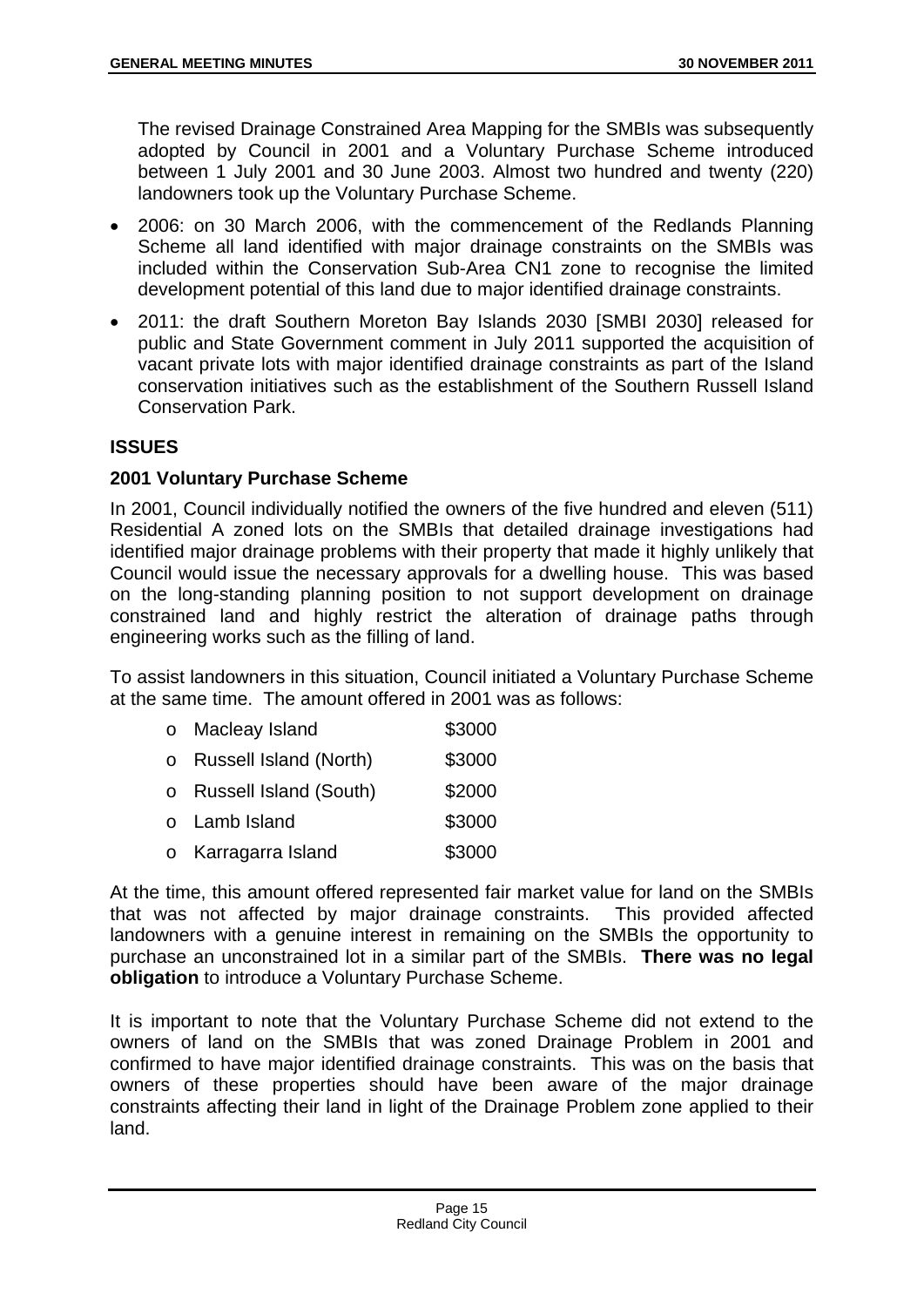The revised Drainage Constrained Area Mapping for the SMBIs was subsequently adopted by Council in 2001 and a Voluntary Purchase Scheme introduced between 1 July 2001 and 30 June 2003. Almost two hundred and twenty (220) landowners took up the Voluntary Purchase Scheme.

- 2006: on 30 March 2006, with the commencement of the Redlands Planning Scheme all land identified with major drainage constraints on the SMBIs was included within the Conservation Sub-Area CN1 zone to recognise the limited development potential of this land due to major identified drainage constraints.
- 2011: the draft Southern Moreton Bay Islands 2030 [SMBI 2030] released for public and State Government comment in July 2011 supported the acquisition of vacant private lots with major identified drainage constraints as part of the Island conservation initiatives such as the establishment of the Southern Russell Island Conservation Park.

# **ISSUES**

# **2001 Voluntary Purchase Scheme**

In 2001, Council individually notified the owners of the five hundred and eleven (511) Residential A zoned lots on the SMBIs that detailed drainage investigations had identified major drainage problems with their property that made it highly unlikely that Council would issue the necessary approvals for a dwelling house. This was based on the long-standing planning position to not support development on drainage constrained land and highly restrict the alteration of drainage paths through engineering works such as the filling of land.

To assist landowners in this situation, Council initiated a Voluntary Purchase Scheme at the same time. The amount offered in 2001 was as follows:

- o Macleav Island \$3000
- o Russell Island (North) \$3000
- o Russell Island (South) \$2000
- o Lamb Island \$3000
- o Karragarra Island \$3000

At the time, this amount offered represented fair market value for land on the SMBIs that was not affected by major drainage constraints. This provided affected landowners with a genuine interest in remaining on the SMBIs the opportunity to purchase an unconstrained lot in a similar part of the SMBIs. **There was no legal obligation** to introduce a Voluntary Purchase Scheme.

It is important to note that the Voluntary Purchase Scheme did not extend to the owners of land on the SMBIs that was zoned Drainage Problem in 2001 and confirmed to have major identified drainage constraints. This was on the basis that owners of these properties should have been aware of the major drainage constraints affecting their land in light of the Drainage Problem zone applied to their land.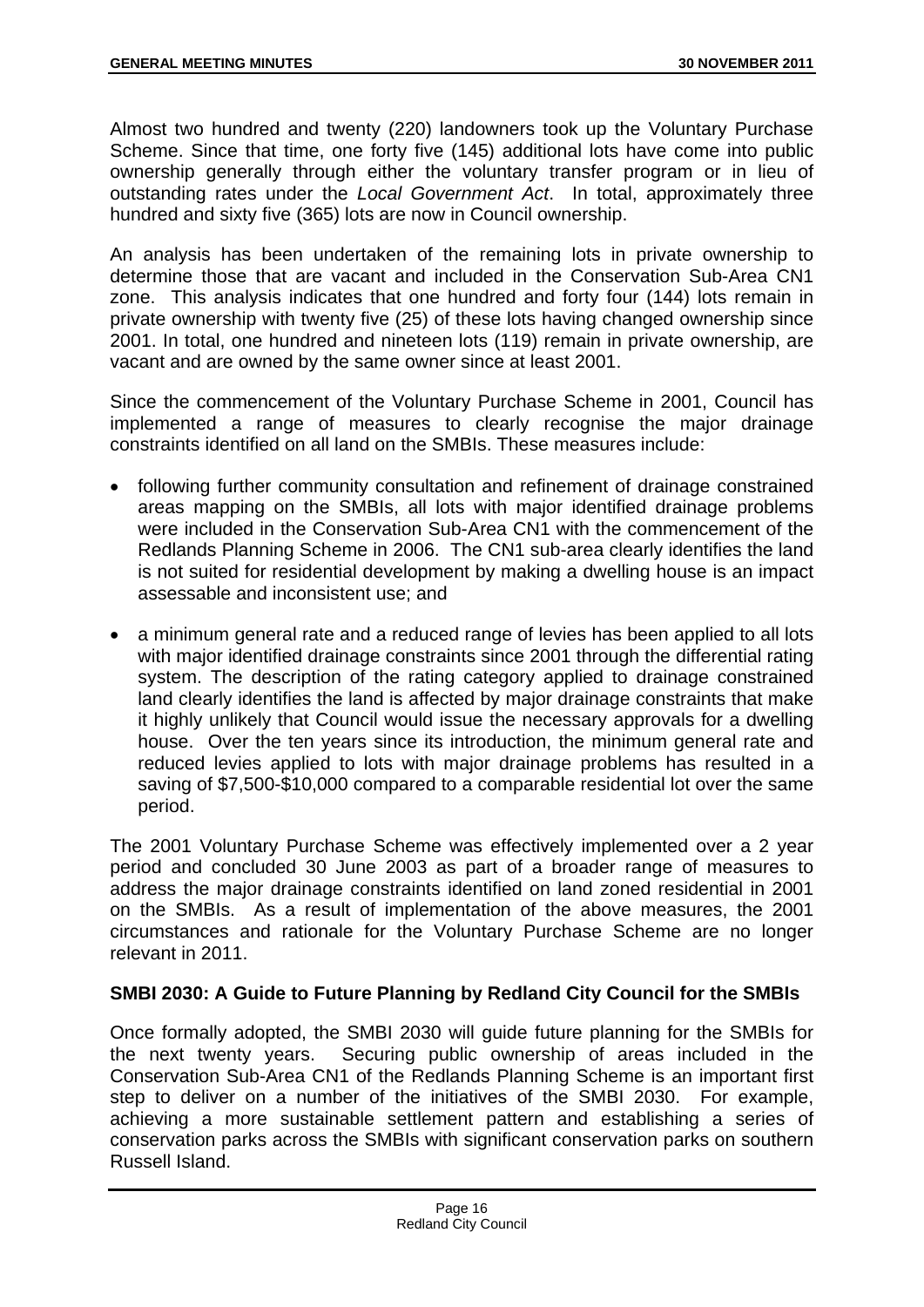Almost two hundred and twenty (220) landowners took up the Voluntary Purchase Scheme. Since that time, one forty five (145) additional lots have come into public ownership generally through either the voluntary transfer program or in lieu of outstanding rates under the *Local Government Act*. In total, approximately three hundred and sixty five (365) lots are now in Council ownership.

An analysis has been undertaken of the remaining lots in private ownership to determine those that are vacant and included in the Conservation Sub-Area CN1 zone. This analysis indicates that one hundred and forty four (144) lots remain in private ownership with twenty five (25) of these lots having changed ownership since 2001. In total, one hundred and nineteen lots (119) remain in private ownership, are vacant and are owned by the same owner since at least 2001.

Since the commencement of the Voluntary Purchase Scheme in 2001, Council has implemented a range of measures to clearly recognise the major drainage constraints identified on all land on the SMBIs. These measures include:

- following further community consultation and refinement of drainage constrained areas mapping on the SMBIs, all lots with major identified drainage problems were included in the Conservation Sub-Area CN1 with the commencement of the Redlands Planning Scheme in 2006. The CN1 sub-area clearly identifies the land is not suited for residential development by making a dwelling house is an impact assessable and inconsistent use; and
- a minimum general rate and a reduced range of levies has been applied to all lots with major identified drainage constraints since 2001 through the differential rating system. The description of the rating category applied to drainage constrained land clearly identifies the land is affected by major drainage constraints that make it highly unlikely that Council would issue the necessary approvals for a dwelling house. Over the ten years since its introduction, the minimum general rate and reduced levies applied to lots with major drainage problems has resulted in a saving of \$7,500-\$10,000 compared to a comparable residential lot over the same period.

The 2001 Voluntary Purchase Scheme was effectively implemented over a 2 year period and concluded 30 June 2003 as part of a broader range of measures to address the major drainage constraints identified on land zoned residential in 2001 on the SMBIs. As a result of implementation of the above measures, the 2001 circumstances and rationale for the Voluntary Purchase Scheme are no longer relevant in 2011.

# **SMBI 2030: A Guide to Future Planning by Redland City Council for the SMBIs**

Once formally adopted, the SMBI 2030 will guide future planning for the SMBIs for the next twenty years. Securing public ownership of areas included in the Conservation Sub-Area CN1 of the Redlands Planning Scheme is an important first step to deliver on a number of the initiatives of the SMBI 2030. For example, achieving a more sustainable settlement pattern and establishing a series of conservation parks across the SMBIs with significant conservation parks on southern Russell Island.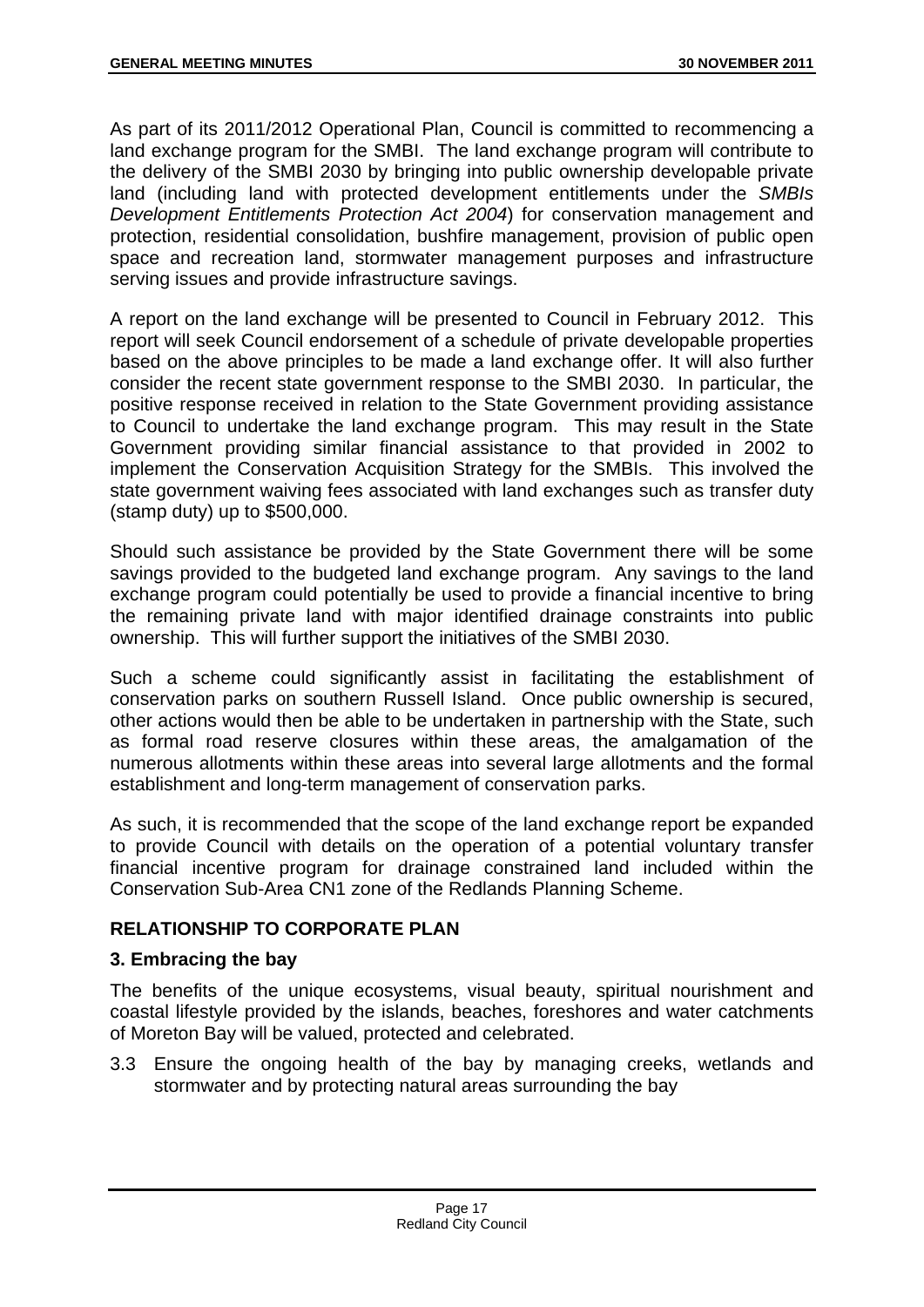As part of its 2011/2012 Operational Plan, Council is committed to recommencing a land exchange program for the SMBI. The land exchange program will contribute to the delivery of the SMBI 2030 by bringing into public ownership developable private land (including land with protected development entitlements under the *SMBIs Development Entitlements Protection Act 2004*) for conservation management and protection, residential consolidation, bushfire management, provision of public open space and recreation land, stormwater management purposes and infrastructure serving issues and provide infrastructure savings.

A report on the land exchange will be presented to Council in February 2012. This report will seek Council endorsement of a schedule of private developable properties based on the above principles to be made a land exchange offer. It will also further consider the recent state government response to the SMBI 2030. In particular, the positive response received in relation to the State Government providing assistance to Council to undertake the land exchange program. This may result in the State Government providing similar financial assistance to that provided in 2002 to implement the Conservation Acquisition Strategy for the SMBIs. This involved the state government waiving fees associated with land exchanges such as transfer duty (stamp duty) up to \$500,000.

Should such assistance be provided by the State Government there will be some savings provided to the budgeted land exchange program. Any savings to the land exchange program could potentially be used to provide a financial incentive to bring the remaining private land with major identified drainage constraints into public ownership. This will further support the initiatives of the SMBI 2030.

Such a scheme could significantly assist in facilitating the establishment of conservation parks on southern Russell Island. Once public ownership is secured, other actions would then be able to be undertaken in partnership with the State, such as formal road reserve closures within these areas, the amalgamation of the numerous allotments within these areas into several large allotments and the formal establishment and long-term management of conservation parks.

As such, it is recommended that the scope of the land exchange report be expanded to provide Council with details on the operation of a potential voluntary transfer financial incentive program for drainage constrained land included within the Conservation Sub-Area CN1 zone of the Redlands Planning Scheme.

# **RELATIONSHIP TO CORPORATE PLAN**

# **3. Embracing the bay**

The benefits of the unique ecosystems, visual beauty, spiritual nourishment and coastal lifestyle provided by the islands, beaches, foreshores and water catchments of Moreton Bay will be valued, protected and celebrated.

3.3 Ensure the ongoing health of the bay by managing creeks, wetlands and stormwater and by protecting natural areas surrounding the bay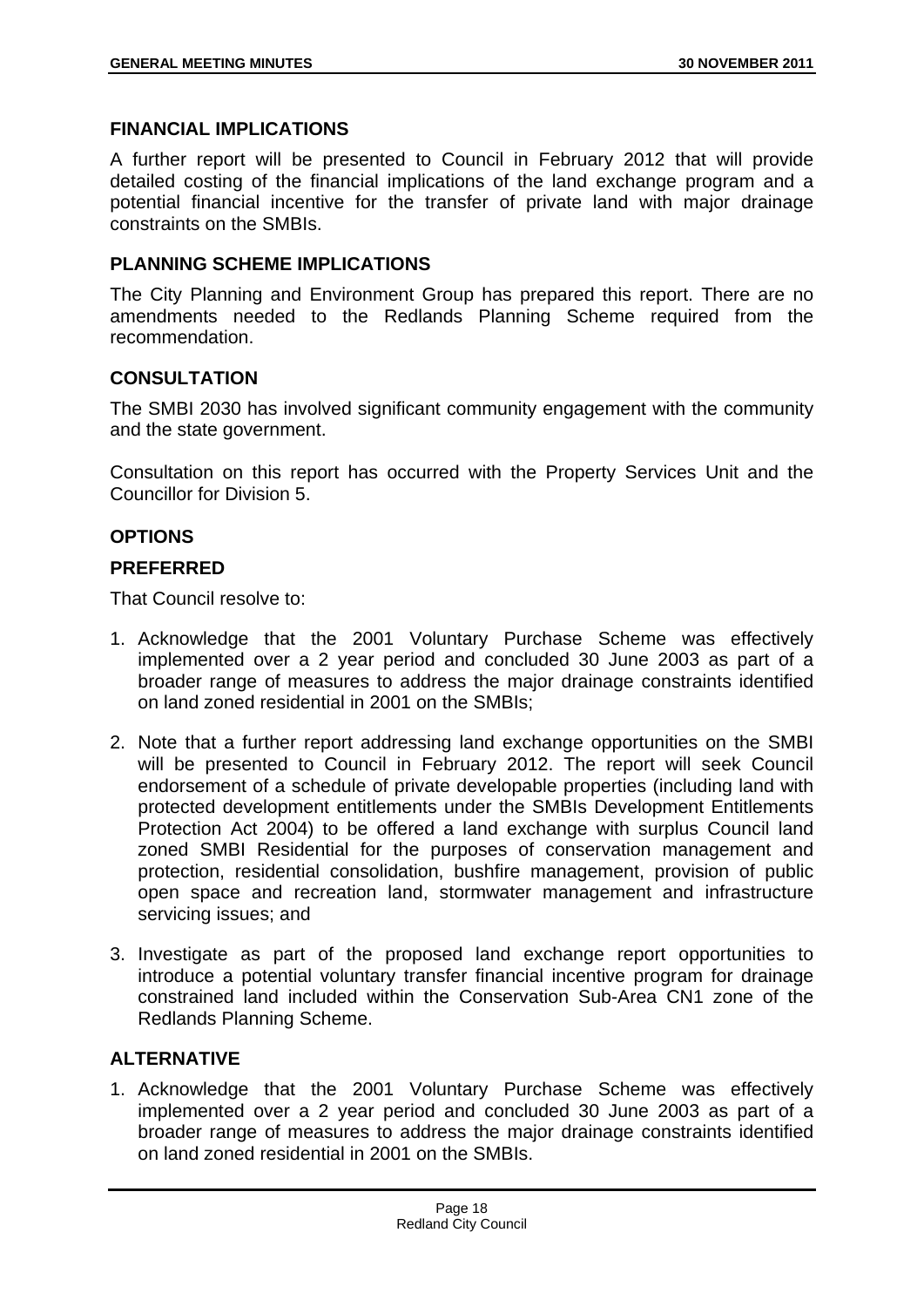## **FINANCIAL IMPLICATIONS**

A further report will be presented to Council in February 2012 that will provide detailed costing of the financial implications of the land exchange program and a potential financial incentive for the transfer of private land with major drainage constraints on the SMBIs.

# **PLANNING SCHEME IMPLICATIONS**

The City Planning and Environment Group has prepared this report. There are no amendments needed to the Redlands Planning Scheme required from the recommendation.

# **CONSULTATION**

The SMBI 2030 has involved significant community engagement with the community and the state government.

Consultation on this report has occurred with the Property Services Unit and the Councillor for Division 5.

# **OPTIONS**

# **PREFERRED**

That Council resolve to:

- 1. Acknowledge that the 2001 Voluntary Purchase Scheme was effectively implemented over a 2 year period and concluded 30 June 2003 as part of a broader range of measures to address the major drainage constraints identified on land zoned residential in 2001 on the SMBIs;
- 2. Note that a further report addressing land exchange opportunities on the SMBI will be presented to Council in February 2012. The report will seek Council endorsement of a schedule of private developable properties (including land with protected development entitlements under the SMBIs Development Entitlements Protection Act 2004) to be offered a land exchange with surplus Council land zoned SMBI Residential for the purposes of conservation management and protection, residential consolidation, bushfire management, provision of public open space and recreation land, stormwater management and infrastructure servicing issues; and
- 3. Investigate as part of the proposed land exchange report opportunities to introduce a potential voluntary transfer financial incentive program for drainage constrained land included within the Conservation Sub-Area CN1 zone of the Redlands Planning Scheme.

# **ALTERNATIVE**

1. Acknowledge that the 2001 Voluntary Purchase Scheme was effectively implemented over a 2 year period and concluded 30 June 2003 as part of a broader range of measures to address the major drainage constraints identified on land zoned residential in 2001 on the SMBIs.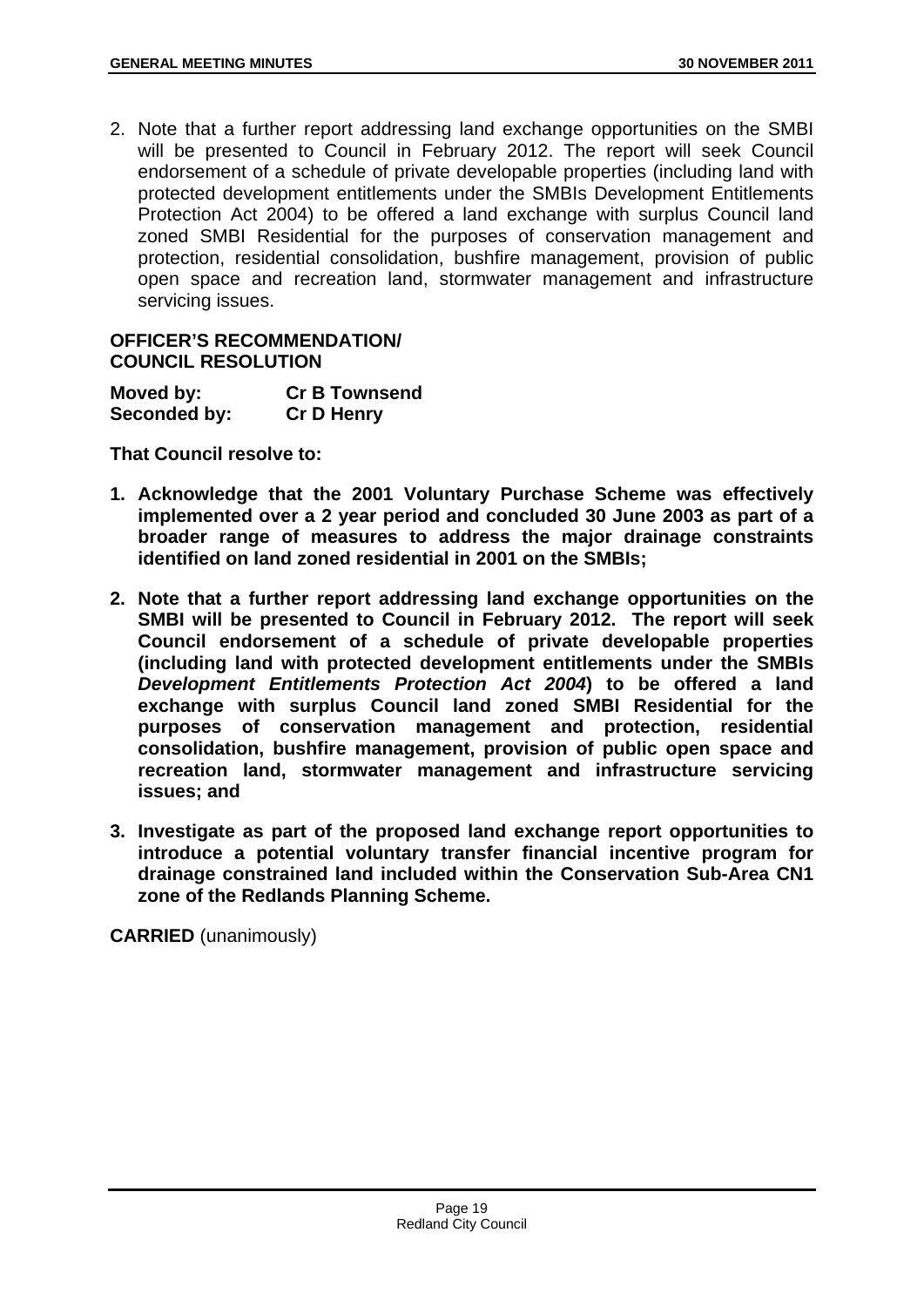2. Note that a further report addressing land exchange opportunities on the SMBI will be presented to Council in February 2012. The report will seek Council endorsement of a schedule of private developable properties (including land with protected development entitlements under the SMBIs Development Entitlements Protection Act 2004) to be offered a land exchange with surplus Council land zoned SMBI Residential for the purposes of conservation management and protection, residential consolidation, bushfire management, provision of public open space and recreation land, stormwater management and infrastructure servicing issues.

# **OFFICER'S RECOMMENDATION/ COUNCIL RESOLUTION**

| Moved by:    | <b>Cr B Townsend</b> |
|--------------|----------------------|
| Seconded by: | <b>Cr D Henry</b>    |

**That Council resolve to:** 

- **1. Acknowledge that the 2001 Voluntary Purchase Scheme was effectively implemented over a 2 year period and concluded 30 June 2003 as part of a broader range of measures to address the major drainage constraints identified on land zoned residential in 2001 on the SMBIs;**
- **2. Note that a further report addressing land exchange opportunities on the SMBI will be presented to Council in February 2012. The report will seek Council endorsement of a schedule of private developable properties (including land with protected development entitlements under the SMBIs**  *Development Entitlements Protection Act 2004***) to be offered a land exchange with surplus Council land zoned SMBI Residential for the purposes of conservation management and protection, residential consolidation, bushfire management, provision of public open space and recreation land, stormwater management and infrastructure servicing issues; and**
- **3. Investigate as part of the proposed land exchange report opportunities to introduce a potential voluntary transfer financial incentive program for drainage constrained land included within the Conservation Sub-Area CN1 zone of the Redlands Planning Scheme.**

**CARRIED** (unanimously)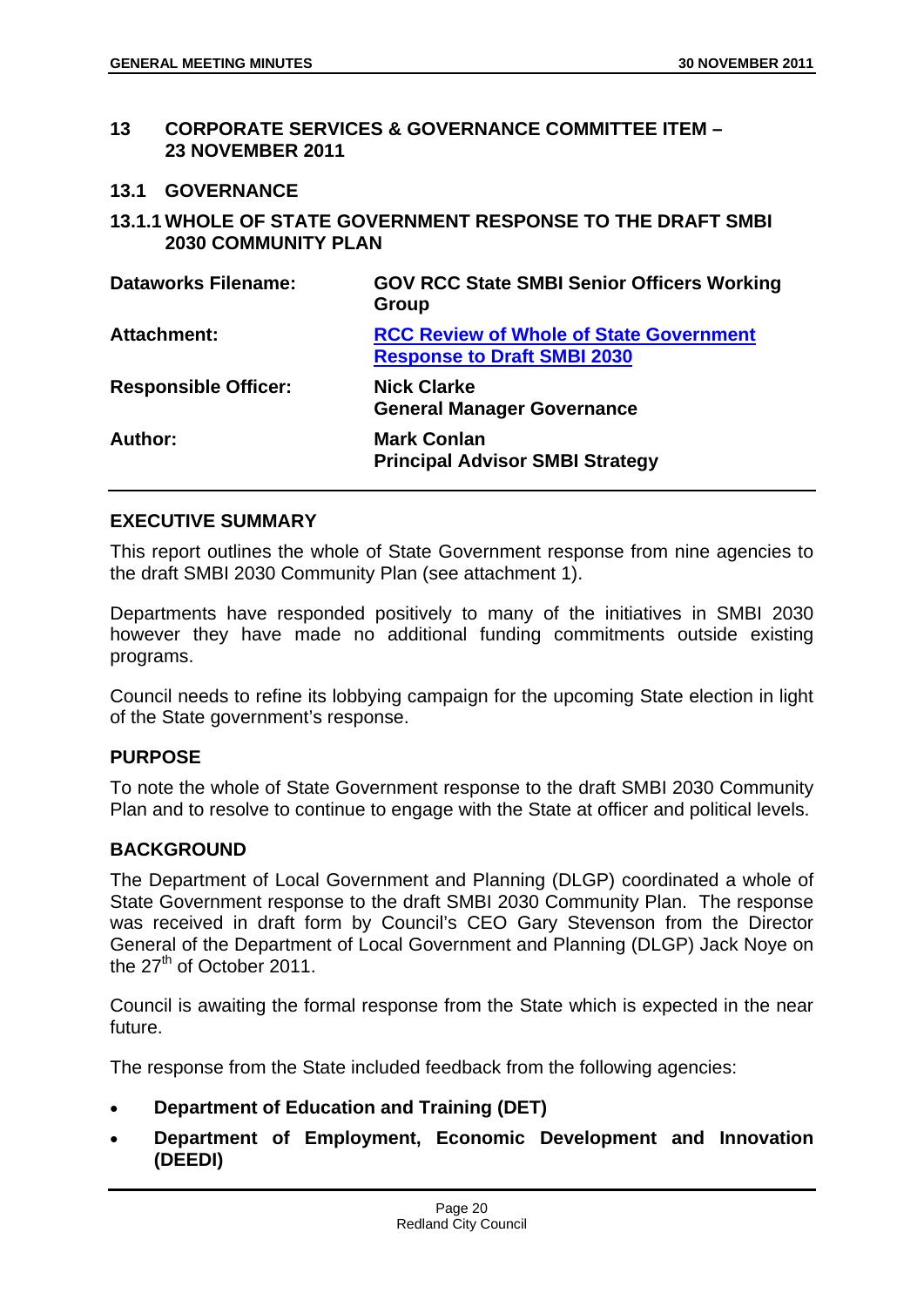#### **13 CORPORATE SERVICES & GOVERNANCE COMMITTEE ITEM – 23 NOVEMBER 2011**

#### **13.1 GOVERNANCE**

**13.1.1 WHOLE OF STATE GOVERNMENT RESPONSE TO THE DRAFT SMBI 2030 COMMUNITY PLAN** 

| <b>Dataworks Filename:</b>  | <b>GOV RCC State SMBI Senior Officers Working</b><br>Group                           |
|-----------------------------|--------------------------------------------------------------------------------------|
| <b>Attachment:</b>          | <b>RCC Review of Whole of State Government</b><br><b>Response to Draft SMBI 2030</b> |
| <b>Responsible Officer:</b> | <b>Nick Clarke</b><br><b>General Manager Governance</b>                              |
| Author:                     | <b>Mark Conlan</b><br><b>Principal Advisor SMBI Strategy</b>                         |

#### **EXECUTIVE SUMMARY**

This report outlines the whole of State Government response from nine agencies to the draft SMBI 2030 Community Plan (see attachment 1).

Departments have responded positively to many of the initiatives in SMBI 2030 however they have made no additional funding commitments outside existing programs.

Council needs to refine its lobbying campaign for the upcoming State election in light of the State government's response.

# **PURPOSE**

To note the whole of State Government response to the draft SMBI 2030 Community Plan and to resolve to continue to engage with the State at officer and political levels.

# **BACKGROUND**

The Department of Local Government and Planning (DLGP) coordinated a whole of State Government response to the draft SMBI 2030 Community Plan. The response was received in draft form by Council's CEO Gary Stevenson from the Director General of the Department of Local Government and Planning (DLGP) Jack Noye on the 27<sup>th</sup> of October 2011.

Council is awaiting the formal response from the State which is expected in the near future.

The response from the State included feedback from the following agencies:

- **Department of Education and Training (DET)**
- **Department of Employment, Economic Development and Innovation (DEEDI)**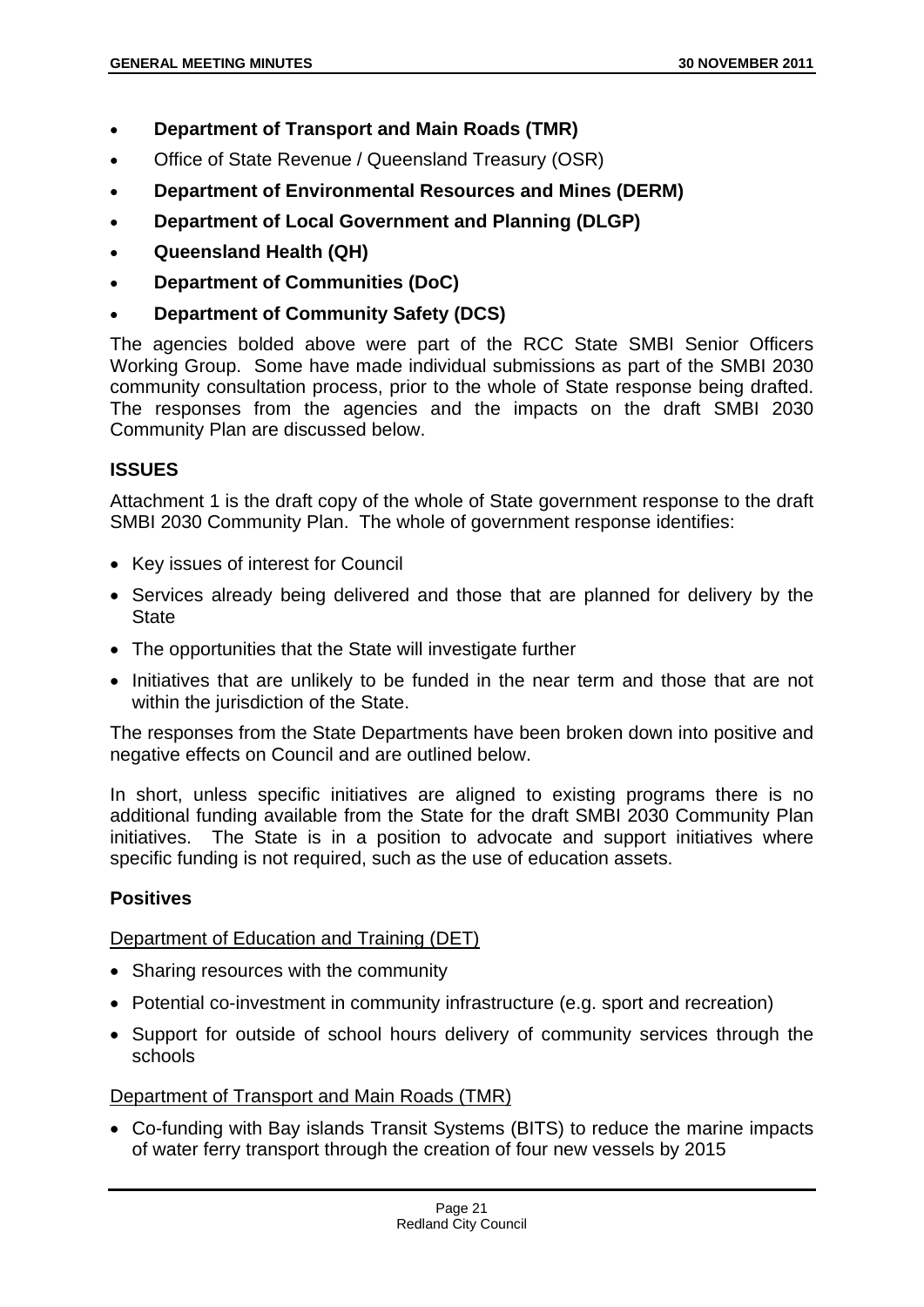- **Department of Transport and Main Roads (TMR)**
- Office of State Revenue / Queensland Treasury (OSR)
- **Department of Environmental Resources and Mines (DERM)**
- **Department of Local Government and Planning (DLGP)**
- **Queensland Health (QH)**
- **Department of Communities (DoC)**
- **Department of Community Safety (DCS)**

The agencies bolded above were part of the RCC State SMBI Senior Officers Working Group. Some have made individual submissions as part of the SMBI 2030 community consultation process, prior to the whole of State response being drafted. The responses from the agencies and the impacts on the draft SMBI 2030 Community Plan are discussed below.

# **ISSUES**

Attachment 1 is the draft copy of the whole of State government response to the draft SMBI 2030 Community Plan. The whole of government response identifies:

- Key issues of interest for Council
- Services already being delivered and those that are planned for delivery by the State
- The opportunities that the State will investigate further
- Initiatives that are unlikely to be funded in the near term and those that are not within the jurisdiction of the State.

The responses from the State Departments have been broken down into positive and negative effects on Council and are outlined below.

In short, unless specific initiatives are aligned to existing programs there is no additional funding available from the State for the draft SMBI 2030 Community Plan initiatives. The State is in a position to advocate and support initiatives where specific funding is not required, such as the use of education assets.

# **Positives**

# Department of Education and Training (DET)

- Sharing resources with the community
- Potential co-investment in community infrastructure (e.g. sport and recreation)
- Support for outside of school hours delivery of community services through the schools

# Department of Transport and Main Roads (TMR)

 Co-funding with Bay islands Transit Systems (BITS) to reduce the marine impacts of water ferry transport through the creation of four new vessels by 2015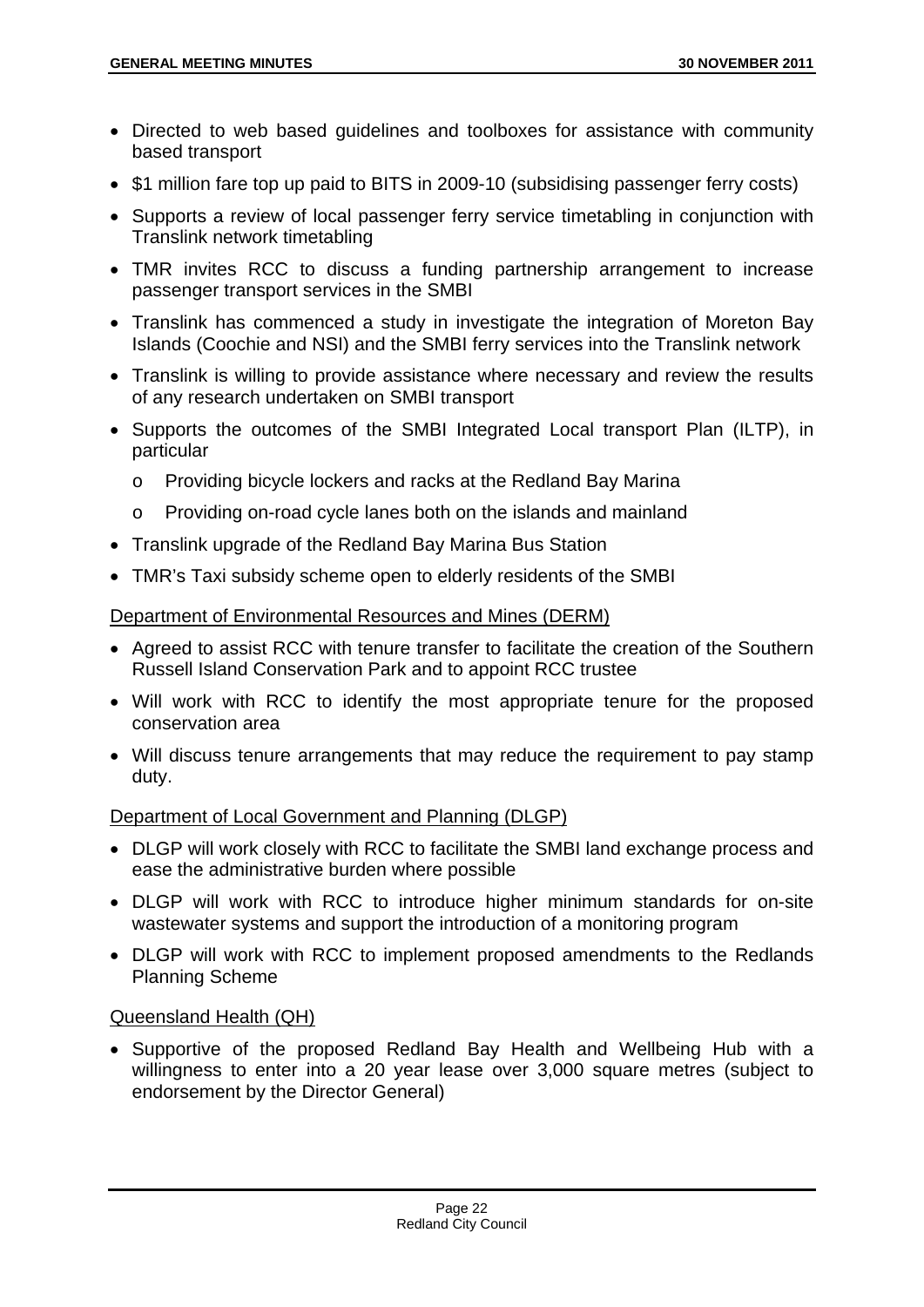- Directed to web based guidelines and toolboxes for assistance with community based transport
- \$1 million fare top up paid to BITS in 2009-10 (subsidising passenger ferry costs)
- Supports a review of local passenger ferry service timetabling in conjunction with Translink network timetabling
- TMR invites RCC to discuss a funding partnership arrangement to increase passenger transport services in the SMBI
- Translink has commenced a study in investigate the integration of Moreton Bay Islands (Coochie and NSI) and the SMBI ferry services into the Translink network
- Translink is willing to provide assistance where necessary and review the results of any research undertaken on SMBI transport
- Supports the outcomes of the SMBI Integrated Local transport Plan (ILTP), in particular
	- o Providing bicycle lockers and racks at the Redland Bay Marina
	- o Providing on-road cycle lanes both on the islands and mainland
- Translink upgrade of the Redland Bay Marina Bus Station
- TMR's Taxi subsidy scheme open to elderly residents of the SMBI

Department of Environmental Resources and Mines (DERM)

- Agreed to assist RCC with tenure transfer to facilitate the creation of the Southern Russell Island Conservation Park and to appoint RCC trustee
- Will work with RCC to identify the most appropriate tenure for the proposed conservation area
- Will discuss tenure arrangements that may reduce the requirement to pay stamp duty.

#### Department of Local Government and Planning (DLGP)

- DLGP will work closely with RCC to facilitate the SMBI land exchange process and ease the administrative burden where possible
- DLGP will work with RCC to introduce higher minimum standards for on-site wastewater systems and support the introduction of a monitoring program
- DLGP will work with RCC to implement proposed amendments to the Redlands Planning Scheme

#### Queensland Health (QH)

 Supportive of the proposed Redland Bay Health and Wellbeing Hub with a willingness to enter into a 20 year lease over 3,000 square metres (subject to endorsement by the Director General)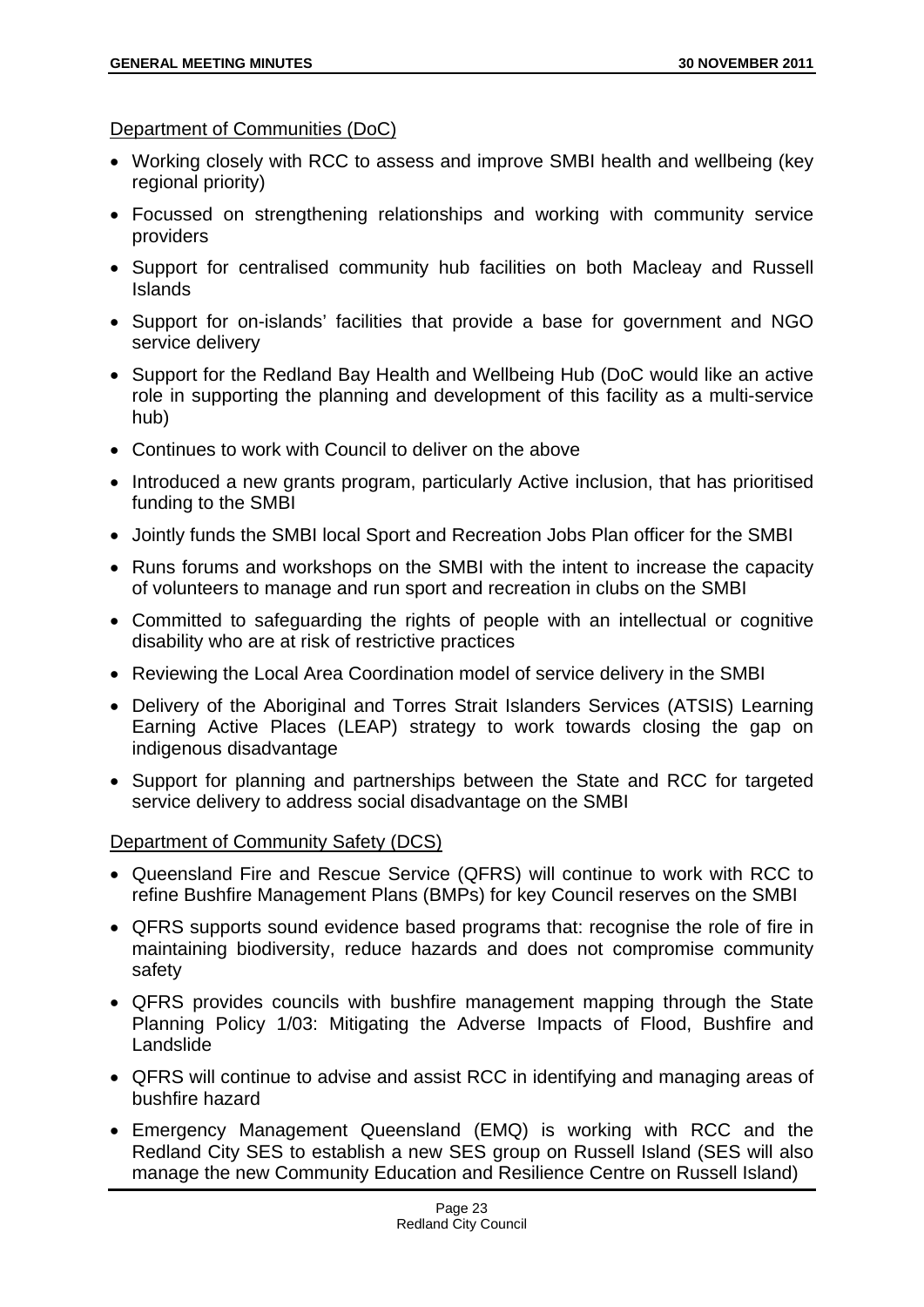Department of Communities (DoC)

- Working closely with RCC to assess and improve SMBI health and wellbeing (key regional priority)
- Focussed on strengthening relationships and working with community service providers
- Support for centralised community hub facilities on both Macleay and Russell Islands
- Support for on-islands' facilities that provide a base for government and NGO service delivery
- Support for the Redland Bay Health and Wellbeing Hub (DoC would like an active role in supporting the planning and development of this facility as a multi-service hub)
- Continues to work with Council to deliver on the above
- Introduced a new grants program, particularly Active inclusion, that has prioritised funding to the SMBI
- Jointly funds the SMBI local Sport and Recreation Jobs Plan officer for the SMBI
- Runs forums and workshops on the SMBI with the intent to increase the capacity of volunteers to manage and run sport and recreation in clubs on the SMBI
- Committed to safeguarding the rights of people with an intellectual or cognitive disability who are at risk of restrictive practices
- Reviewing the Local Area Coordination model of service delivery in the SMBI
- Delivery of the Aboriginal and Torres Strait Islanders Services (ATSIS) Learning Earning Active Places (LEAP) strategy to work towards closing the gap on indigenous disadvantage
- Support for planning and partnerships between the State and RCC for targeted service delivery to address social disadvantage on the SMBI

# Department of Community Safety (DCS)

- Queensland Fire and Rescue Service (QFRS) will continue to work with RCC to refine Bushfire Management Plans (BMPs) for key Council reserves on the SMBI
- QFRS supports sound evidence based programs that: recognise the role of fire in maintaining biodiversity, reduce hazards and does not compromise community safety
- QFRS provides councils with bushfire management mapping through the State Planning Policy 1/03: Mitigating the Adverse Impacts of Flood, Bushfire and Landslide
- QFRS will continue to advise and assist RCC in identifying and managing areas of bushfire hazard
- Emergency Management Queensland (EMQ) is working with RCC and the Redland City SES to establish a new SES group on Russell Island (SES will also manage the new Community Education and Resilience Centre on Russell Island)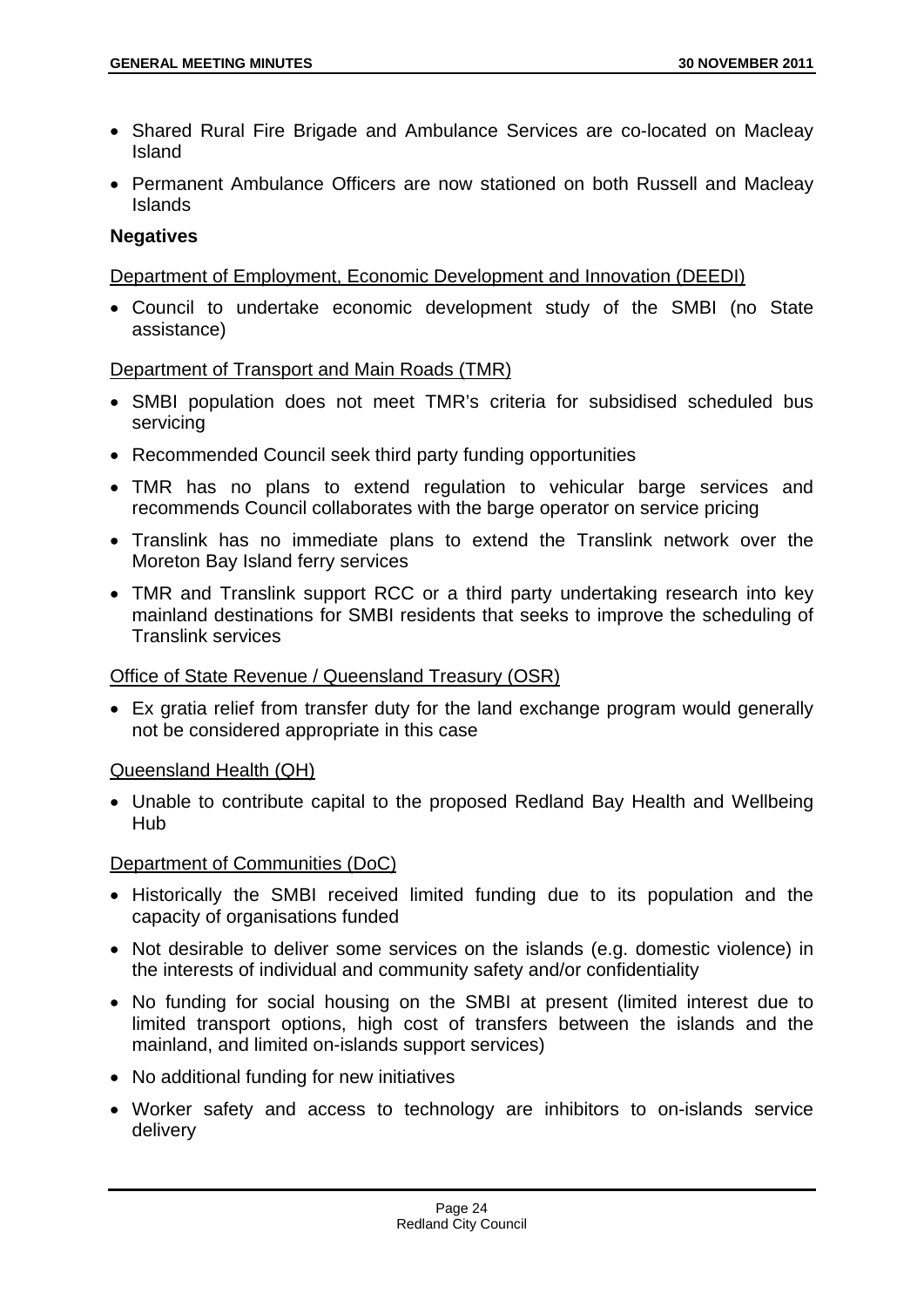- Shared Rural Fire Brigade and Ambulance Services are co-located on Macleay Island
- Permanent Ambulance Officers are now stationed on both Russell and Macleay Islands

# **Negatives**

Department of Employment, Economic Development and Innovation (DEEDI)

 Council to undertake economic development study of the SMBI (no State assistance)

#### Department of Transport and Main Roads (TMR)

- SMBI population does not meet TMR's criteria for subsidised scheduled bus servicing
- Recommended Council seek third party funding opportunities
- TMR has no plans to extend regulation to vehicular barge services and recommends Council collaborates with the barge operator on service pricing
- Translink has no immediate plans to extend the Translink network over the Moreton Bay Island ferry services
- TMR and Translink support RCC or a third party undertaking research into key mainland destinations for SMBI residents that seeks to improve the scheduling of Translink services

#### Office of State Revenue / Queensland Treasury (OSR)

 Ex gratia relief from transfer duty for the land exchange program would generally not be considered appropriate in this case

#### Queensland Health (QH)

 Unable to contribute capital to the proposed Redland Bay Health and Wellbeing Hub

# Department of Communities (DoC)

- Historically the SMBI received limited funding due to its population and the capacity of organisations funded
- Not desirable to deliver some services on the islands (e.g. domestic violence) in the interests of individual and community safety and/or confidentiality
- No funding for social housing on the SMBI at present (limited interest due to limited transport options, high cost of transfers between the islands and the mainland, and limited on-islands support services)
- No additional funding for new initiatives
- Worker safety and access to technology are inhibitors to on-islands service delivery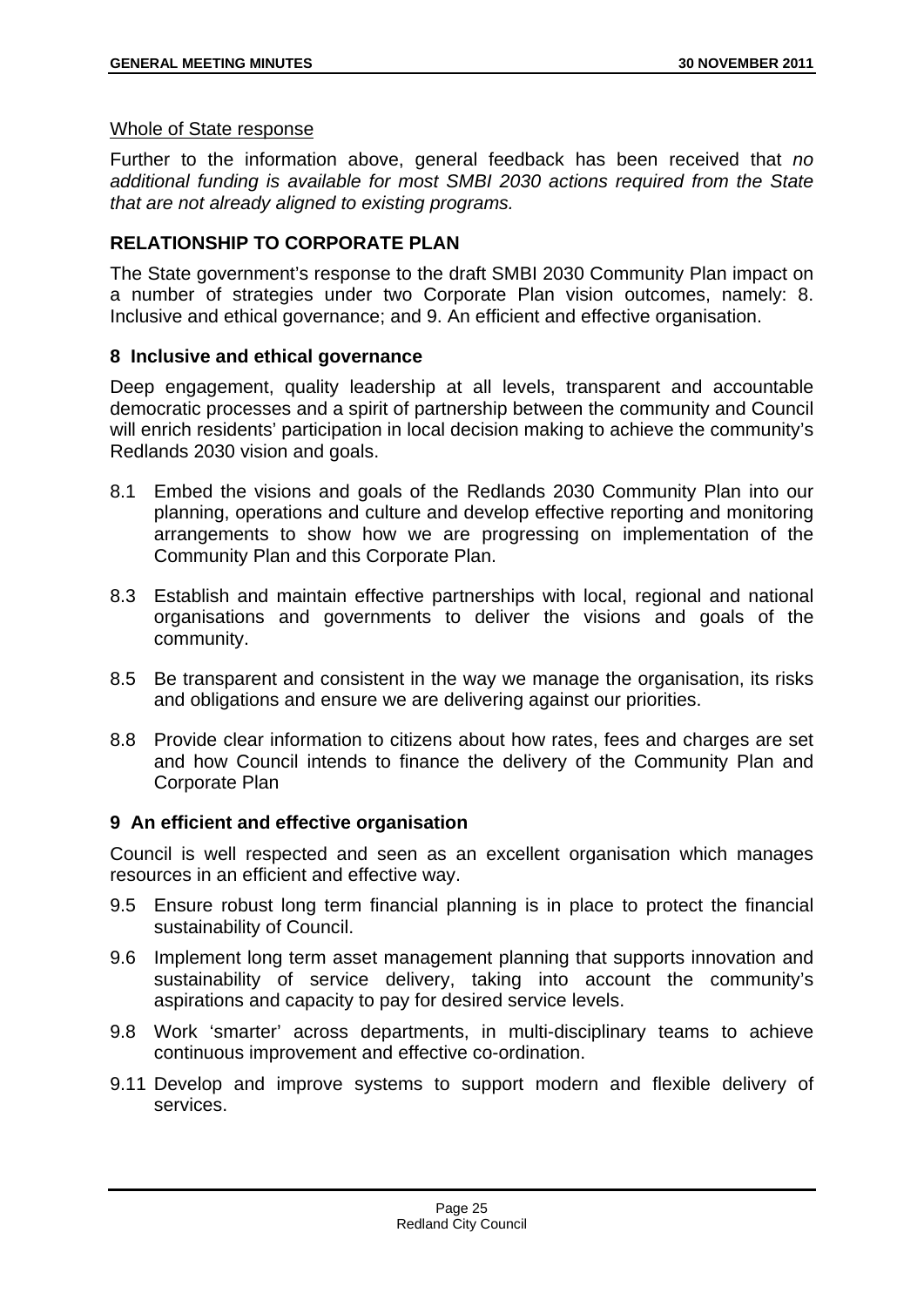#### Whole of State response

Further to the information above, general feedback has been received that *no additional funding is available for most SMBI 2030 actions required from the State that are not already aligned to existing programs.*

# **RELATIONSHIP TO CORPORATE PLAN**

The State government's response to the draft SMBI 2030 Community Plan impact on a number of strategies under two Corporate Plan vision outcomes, namely: 8. Inclusive and ethical governance; and 9. An efficient and effective organisation.

# **8 Inclusive and ethical governance**

Deep engagement, quality leadership at all levels, transparent and accountable democratic processes and a spirit of partnership between the community and Council will enrich residents' participation in local decision making to achieve the community's Redlands 2030 vision and goals.

- 8.1 Embed the visions and goals of the Redlands 2030 Community Plan into our planning, operations and culture and develop effective reporting and monitoring arrangements to show how we are progressing on implementation of the Community Plan and this Corporate Plan.
- 8.3 Establish and maintain effective partnerships with local, regional and national organisations and governments to deliver the visions and goals of the community.
- 8.5 Be transparent and consistent in the way we manage the organisation, its risks and obligations and ensure we are delivering against our priorities.
- 8.8 Provide clear information to citizens about how rates, fees and charges are set and how Council intends to finance the delivery of the Community Plan and Corporate Plan

# **9 An efficient and effective organisation**

Council is well respected and seen as an excellent organisation which manages resources in an efficient and effective way.

- 9.5 Ensure robust long term financial planning is in place to protect the financial sustainability of Council.
- 9.6 Implement long term asset management planning that supports innovation and sustainability of service delivery, taking into account the community's aspirations and capacity to pay for desired service levels.
- 9.8 Work 'smarter' across departments, in multi-disciplinary teams to achieve continuous improvement and effective co-ordination.
- 9.11 Develop and improve systems to support modern and flexible delivery of services.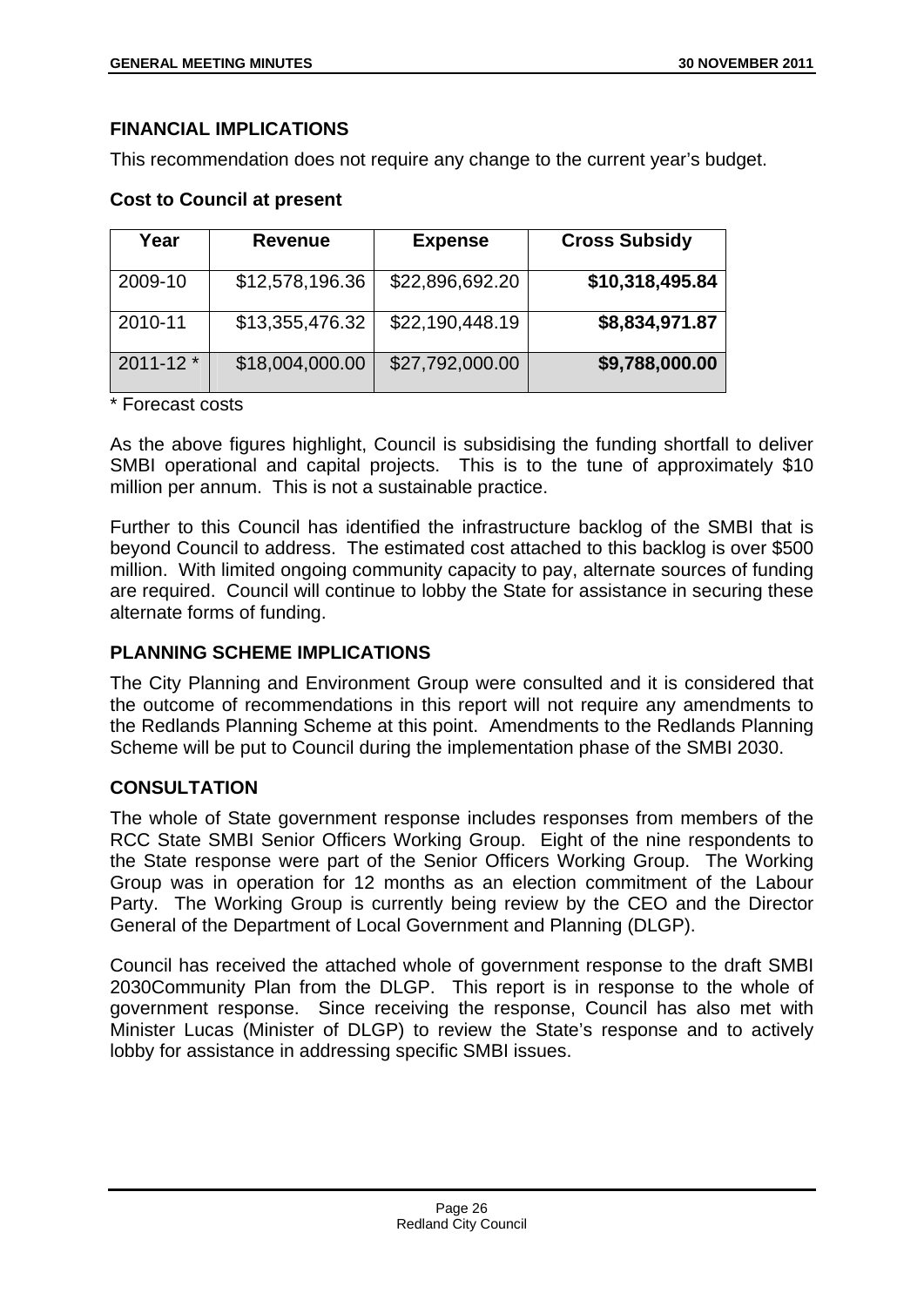# **FINANCIAL IMPLICATIONS**

This recommendation does not require any change to the current year's budget.

# **Cost to Council at present**

| Year          | <b>Revenue</b>  | <b>Expense</b>  | <b>Cross Subsidy</b> |
|---------------|-----------------|-----------------|----------------------|
| 2009-10       | \$12,578,196.36 | \$22,896,692.20 | \$10,318,495.84      |
| 2010-11       | \$13,355,476.32 | \$22,190,448.19 | \$8,834,971.87       |
| $2011 - 12$ * | \$18,004,000.00 | \$27,792,000.00 | \$9,788,000.00       |

\* Forecast costs

As the above figures highlight, Council is subsidising the funding shortfall to deliver SMBI operational and capital projects. This is to the tune of approximately \$10 million per annum. This is not a sustainable practice.

Further to this Council has identified the infrastructure backlog of the SMBI that is beyond Council to address. The estimated cost attached to this backlog is over \$500 million. With limited ongoing community capacity to pay, alternate sources of funding are required. Council will continue to lobby the State for assistance in securing these alternate forms of funding.

# **PLANNING SCHEME IMPLICATIONS**

The City Planning and Environment Group were consulted and it is considered that the outcome of recommendations in this report will not require any amendments to the Redlands Planning Scheme at this point. Amendments to the Redlands Planning Scheme will be put to Council during the implementation phase of the SMBI 2030.

# **CONSULTATION**

The whole of State government response includes responses from members of the RCC State SMBI Senior Officers Working Group. Eight of the nine respondents to the State response were part of the Senior Officers Working Group. The Working Group was in operation for 12 months as an election commitment of the Labour Party. The Working Group is currently being review by the CEO and the Director General of the Department of Local Government and Planning (DLGP).

Council has received the attached whole of government response to the draft SMBI 2030Community Plan from the DLGP. This report is in response to the whole of government response. Since receiving the response, Council has also met with Minister Lucas (Minister of DLGP) to review the State's response and to actively lobby for assistance in addressing specific SMBI issues.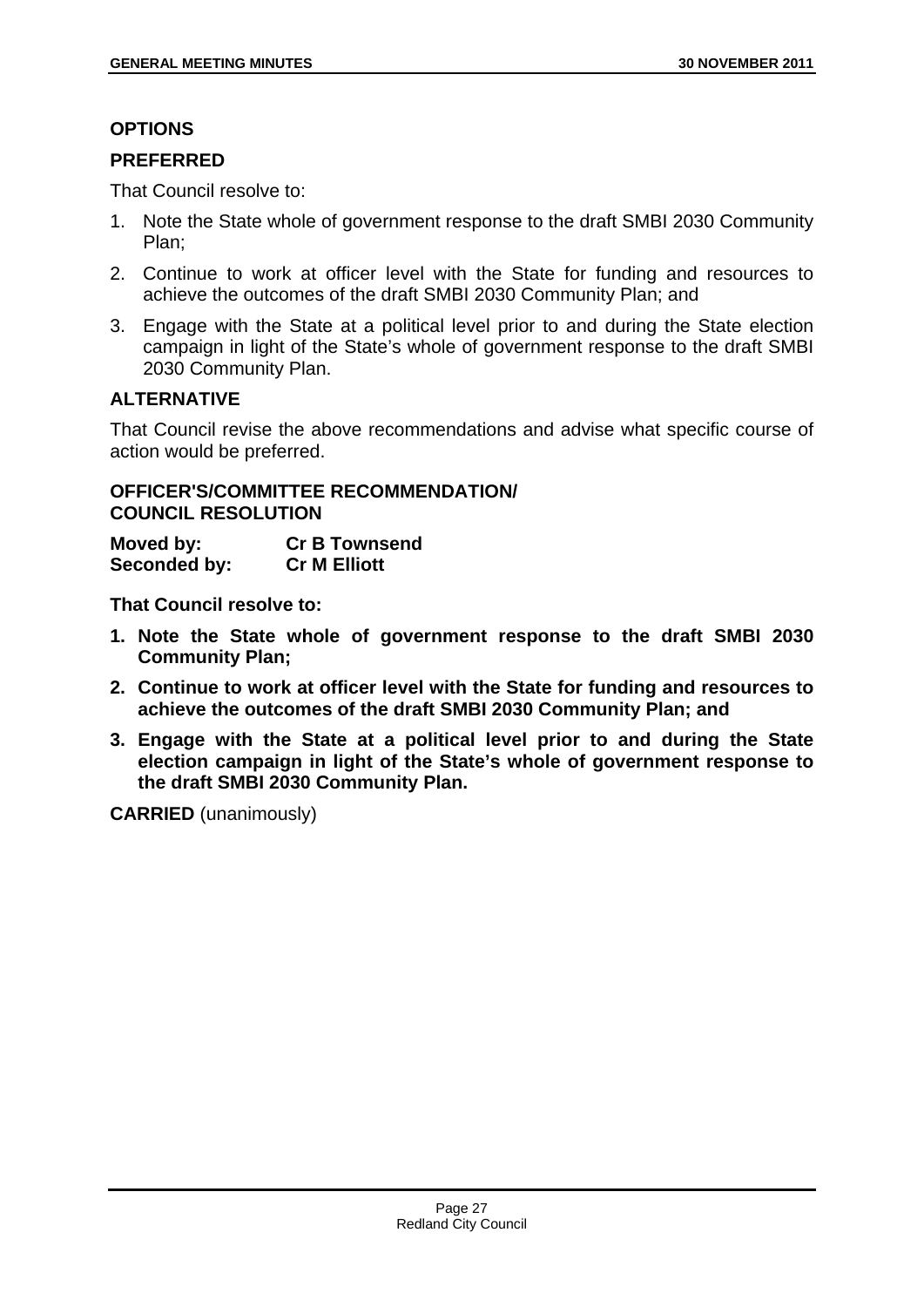# **OPTIONS**

# **PREFERRED**

That Council resolve to:

- 1. Note the State whole of government response to the draft SMBI 2030 Community Plan;
- 2. Continue to work at officer level with the State for funding and resources to achieve the outcomes of the draft SMBI 2030 Community Plan; and
- 3. Engage with the State at a political level prior to and during the State election campaign in light of the State's whole of government response to the draft SMBI 2030 Community Plan.

# **ALTERNATIVE**

That Council revise the above recommendations and advise what specific course of action would be preferred.

# **OFFICER'S/COMMITTEE RECOMMENDATION/ COUNCIL RESOLUTION**

| Moved by:    | <b>Cr B Townsend</b> |
|--------------|----------------------|
| Seconded by: | <b>Cr M Elliott</b>  |

**That Council resolve to:** 

- **1. Note the State whole of government response to the draft SMBI 2030 Community Plan;**
- **2. Continue to work at officer level with the State for funding and resources to achieve the outcomes of the draft SMBI 2030 Community Plan; and**
- **3. Engage with the State at a political level prior to and during the State election campaign in light of the State's whole of government response to the draft SMBI 2030 Community Plan.**

**CARRIED** (unanimously)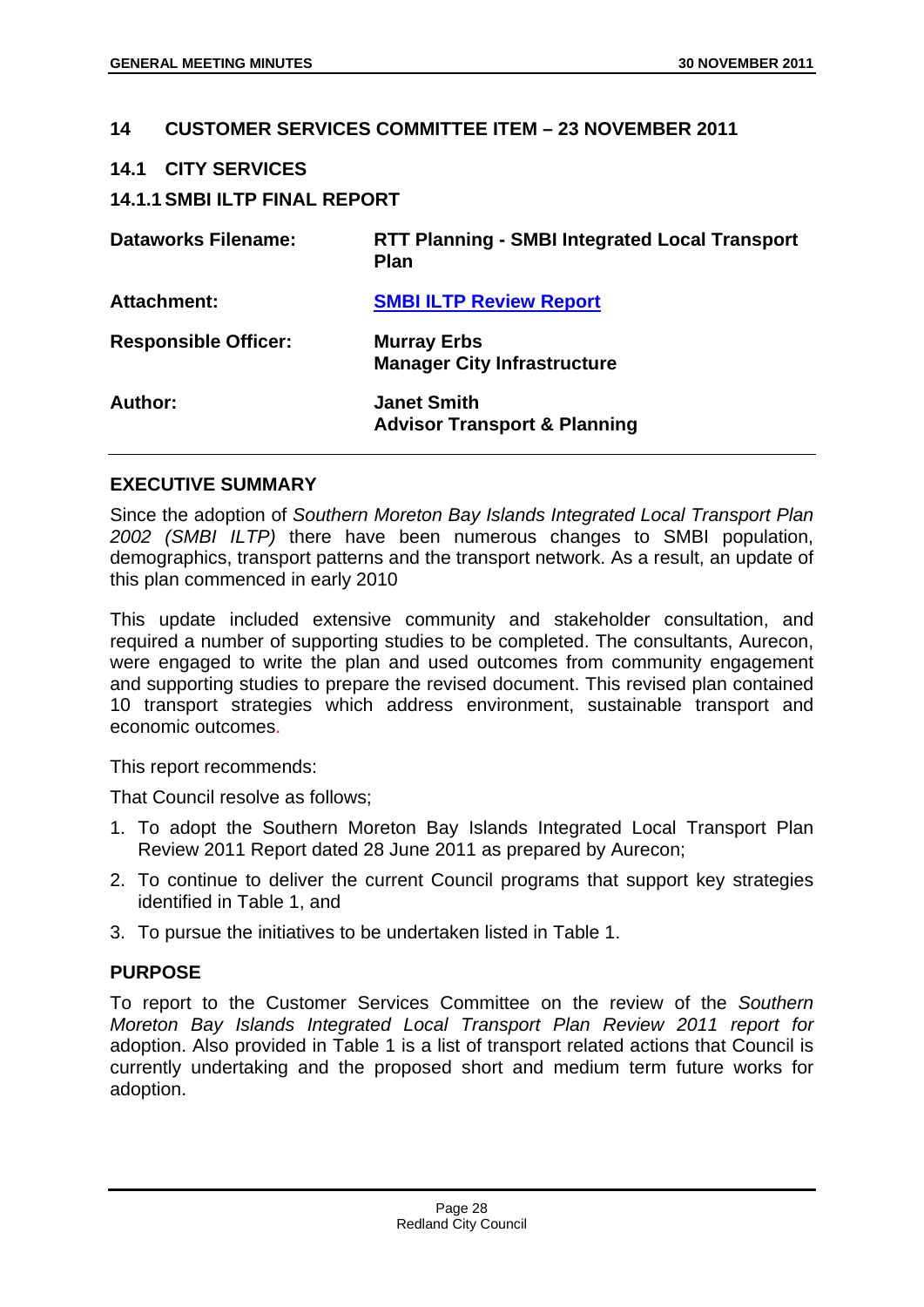## **14 CUSTOMER SERVICES COMMITTEE ITEM – 23 NOVEMBER 2011**

#### **14.1 CITY SERVICES**

## **14.1.1 SMBI ILTP FINAL REPORT**

| <b>Dataworks Filename:</b>  | <b>RTT Planning - SMBI Integrated Local Transport</b><br><b>Plan</b> |
|-----------------------------|----------------------------------------------------------------------|
| <b>Attachment:</b>          | <b>SMBI ILTP Review Report</b>                                       |
| <b>Responsible Officer:</b> | <b>Murray Erbs</b><br><b>Manager City Infrastructure</b>             |
| Author:                     | <b>Janet Smith</b><br><b>Advisor Transport &amp; Planning</b>        |

#### **EXECUTIVE SUMMARY**

Since the adoption of *Southern Moreton Bay Islands Integrated Local Transport Plan 2002 (SMBI ILTP)* there have been numerous changes to SMBI population, demographics, transport patterns and the transport network. As a result, an update of this plan commenced in early 2010

This update included extensive community and stakeholder consultation, and required a number of supporting studies to be completed. The consultants, Aurecon, were engaged to write the plan and used outcomes from community engagement and supporting studies to prepare the revised document. This revised plan contained 10 transport strategies which address environment, sustainable transport and economic outcomes.

This report recommends:

That Council resolve as follows;

- 1. To adopt the Southern Moreton Bay Islands Integrated Local Transport Plan Review 2011 Report dated 28 June 2011 as prepared by Aurecon;
- 2. To continue to deliver the current Council programs that support key strategies identified in Table 1, and
- 3. To pursue the initiatives to be undertaken listed in Table 1.

# **PURPOSE**

To report to the Customer Services Committee on the review of the *Southern Moreton Bay Islands Integrated Local Transport Plan Review 2011 report for* adoption. Also provided in Table 1 is a list of transport related actions that Council is currently undertaking and the proposed short and medium term future works for adoption.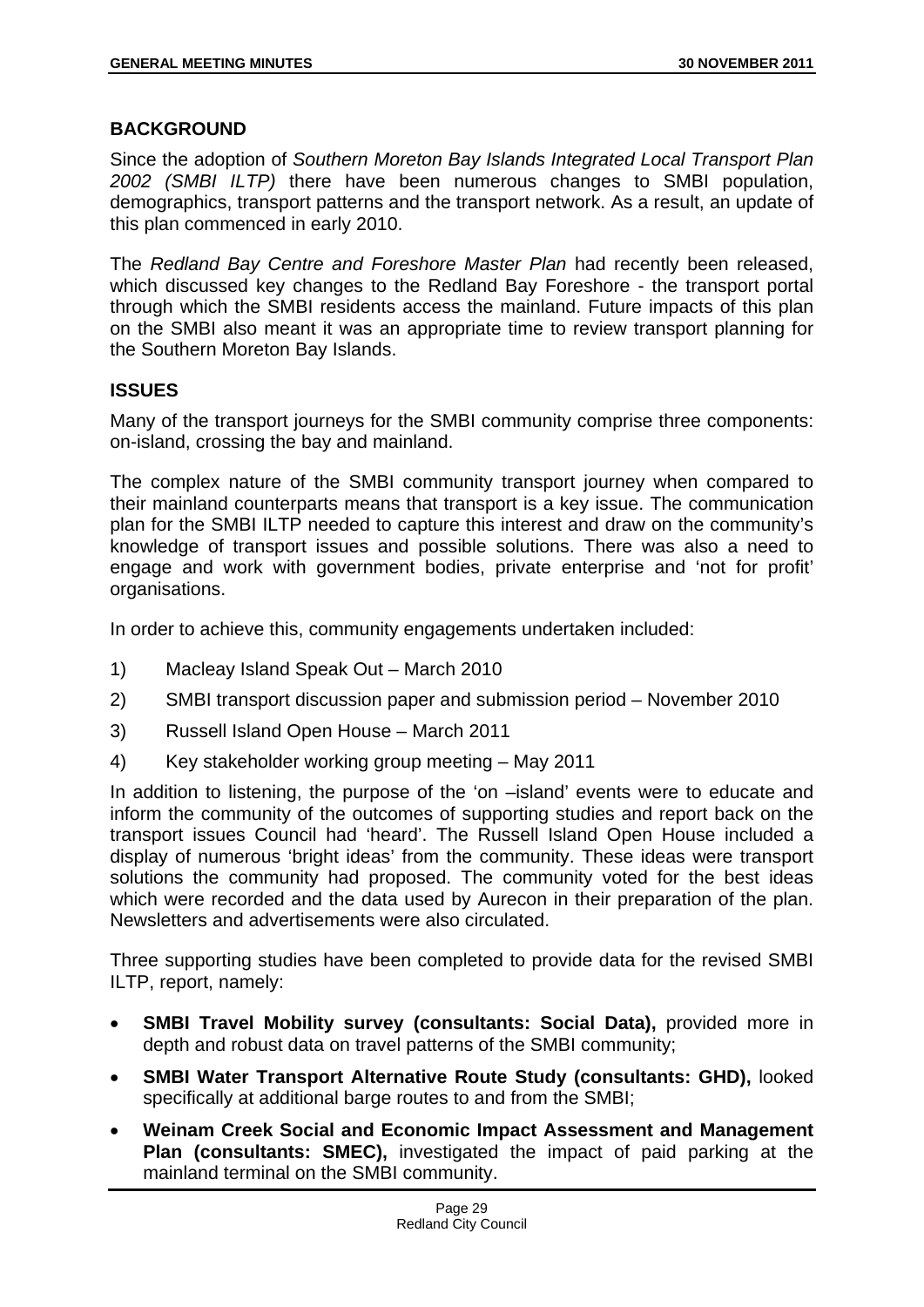# **BACKGROUND**

Since the adoption of *Southern Moreton Bay Islands Integrated Local Transport Plan 2002 (SMBI ILTP)* there have been numerous changes to SMBI population, demographics, transport patterns and the transport network. As a result, an update of this plan commenced in early 2010.

The *Redland Bay Centre and Foreshore Master Plan* had recently been released, which discussed key changes to the Redland Bay Foreshore - the transport portal through which the SMBI residents access the mainland. Future impacts of this plan on the SMBI also meant it was an appropriate time to review transport planning for the Southern Moreton Bay Islands.

# **ISSUES**

Many of the transport journeys for the SMBI community comprise three components: on-island, crossing the bay and mainland.

The complex nature of the SMBI community transport journey when compared to their mainland counterparts means that transport is a key issue. The communication plan for the SMBI ILTP needed to capture this interest and draw on the community's knowledge of transport issues and possible solutions. There was also a need to engage and work with government bodies, private enterprise and 'not for profit' organisations.

In order to achieve this, community engagements undertaken included:

- 1) Macleay Island Speak Out March 2010
- 2) SMBI transport discussion paper and submission period November 2010
- 3) Russell Island Open House March 2011
- 4) Key stakeholder working group meeting May 2011

In addition to listening, the purpose of the 'on –island' events were to educate and inform the community of the outcomes of supporting studies and report back on the transport issues Council had 'heard'. The Russell Island Open House included a display of numerous 'bright ideas' from the community. These ideas were transport solutions the community had proposed. The community voted for the best ideas which were recorded and the data used by Aurecon in their preparation of the plan. Newsletters and advertisements were also circulated.

Three supporting studies have been completed to provide data for the revised SMBI ILTP, report, namely:

- **SMBI Travel Mobility survey (consultants: Social Data),** provided more in depth and robust data on travel patterns of the SMBI community;
- **SMBI Water Transport Alternative Route Study (consultants: GHD),** looked specifically at additional barge routes to and from the SMBI;
- **Weinam Creek Social and Economic Impact Assessment and Management Plan (consultants: SMEC),** investigated the impact of paid parking at the mainland terminal on the SMBI community.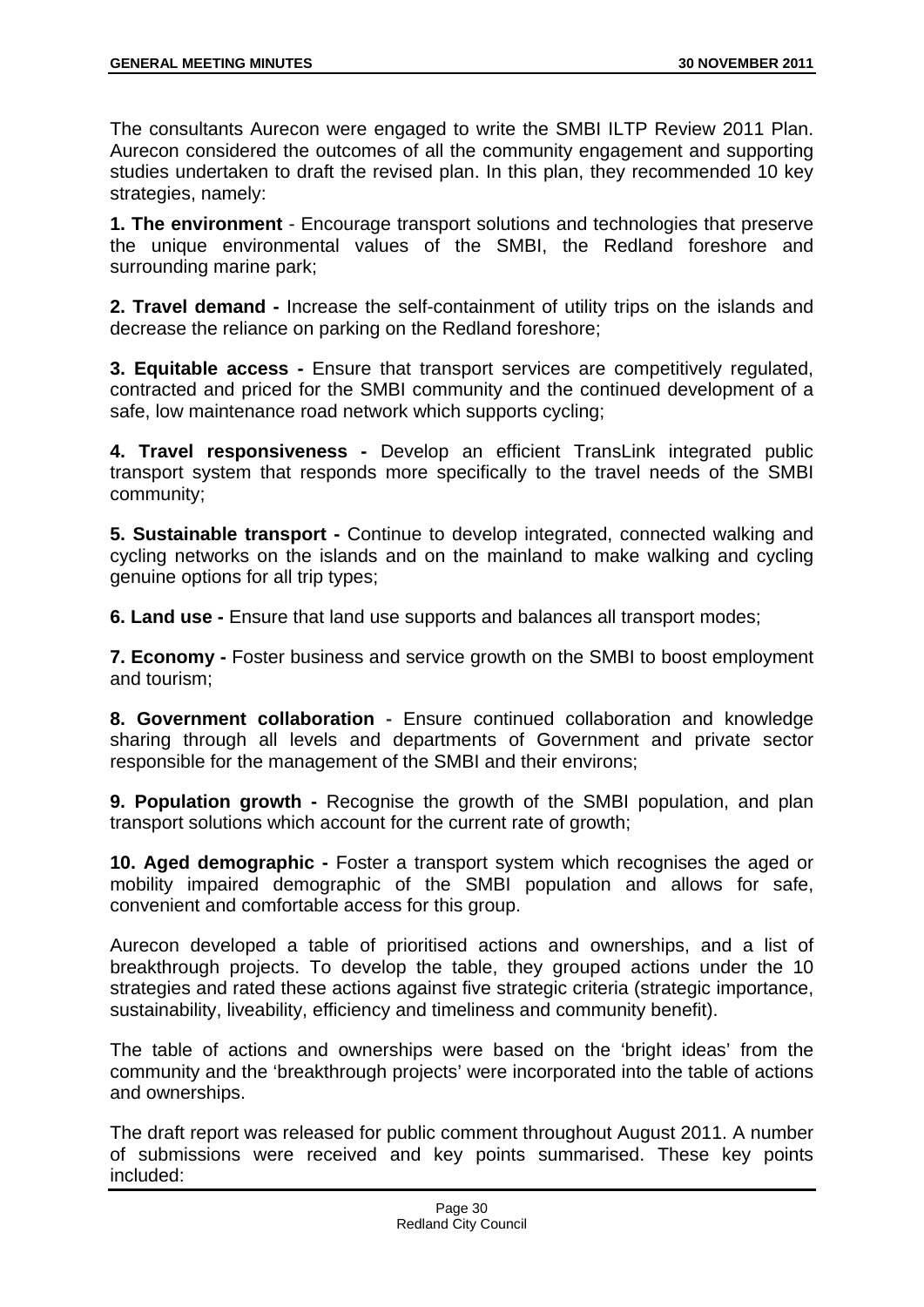The consultants Aurecon were engaged to write the SMBI ILTP Review 2011 Plan. Aurecon considered the outcomes of all the community engagement and supporting studies undertaken to draft the revised plan. In this plan, they recommended 10 key strategies, namely:

**1. The environment** - Encourage transport solutions and technologies that preserve the unique environmental values of the SMBI, the Redland foreshore and surrounding marine park;

**2. Travel demand -** Increase the self-containment of utility trips on the islands and decrease the reliance on parking on the Redland foreshore;

**3. Equitable access -** Ensure that transport services are competitively regulated, contracted and priced for the SMBI community and the continued development of a safe, low maintenance road network which supports cycling;

**4. Travel responsiveness -** Develop an efficient TransLink integrated public transport system that responds more specifically to the travel needs of the SMBI community;

**5. Sustainable transport -** Continue to develop integrated, connected walking and cycling networks on the islands and on the mainland to make walking and cycling genuine options for all trip types;

**6. Land use -** Ensure that land use supports and balances all transport modes;

**7. Economy -** Foster business and service growth on the SMBI to boost employment and tourism;

**8. Government collaboration -** Ensure continued collaboration and knowledge sharing through all levels and departments of Government and private sector responsible for the management of the SMBI and their environs;

**9. Population growth -** Recognise the growth of the SMBI population, and plan transport solutions which account for the current rate of growth;

**10. Aged demographic -** Foster a transport system which recognises the aged or mobility impaired demographic of the SMBI population and allows for safe, convenient and comfortable access for this group.

Aurecon developed a table of prioritised actions and ownerships, and a list of breakthrough projects. To develop the table, they grouped actions under the 10 strategies and rated these actions against five strategic criteria (strategic importance, sustainability, liveability, efficiency and timeliness and community benefit).

The table of actions and ownerships were based on the 'bright ideas' from the community and the 'breakthrough projects' were incorporated into the table of actions and ownerships.

The draft report was released for public comment throughout August 2011. A number of submissions were received and key points summarised. These key points included: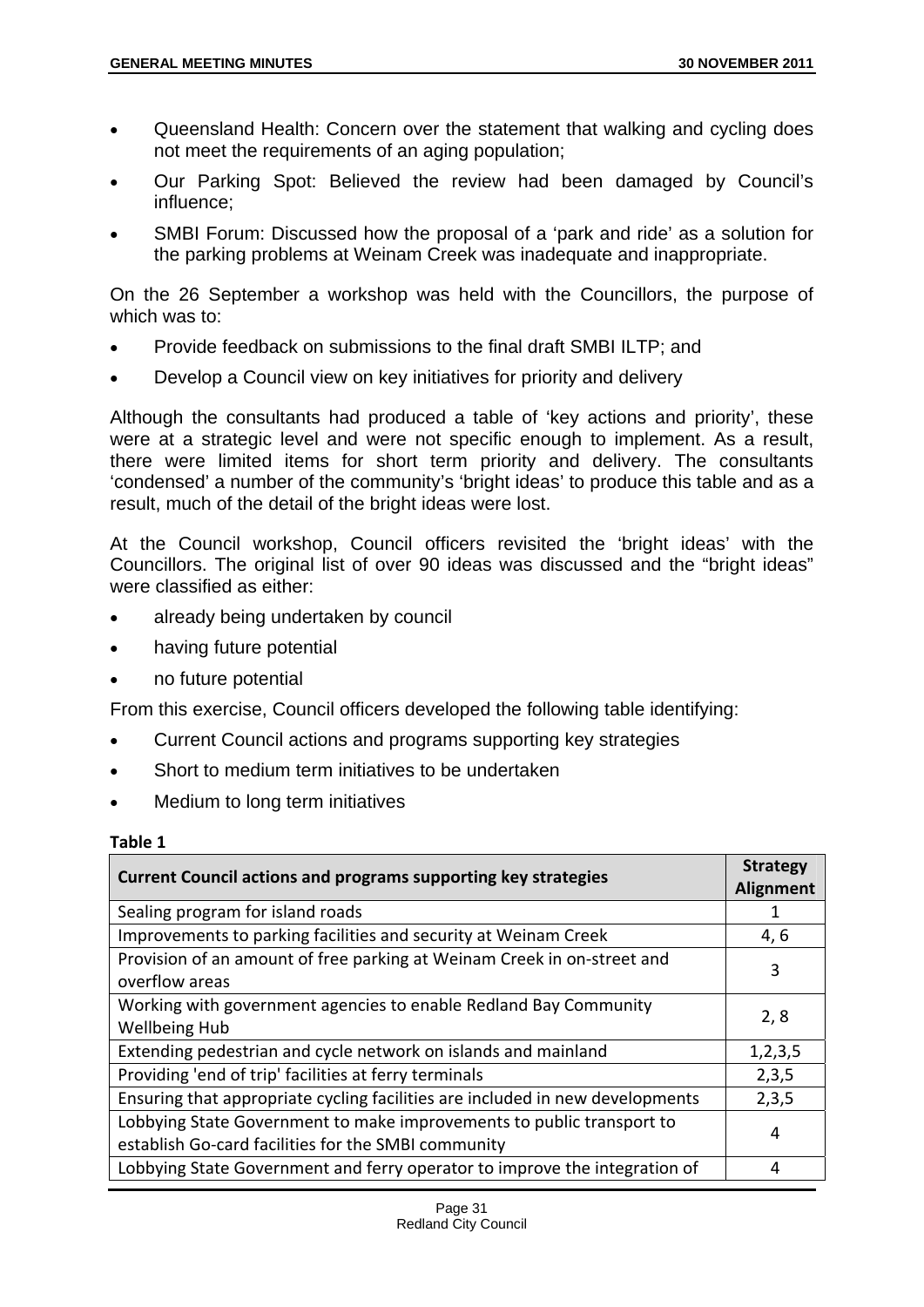- Queensland Health: Concern over the statement that walking and cycling does not meet the requirements of an aging population;
- Our Parking Spot: Believed the review had been damaged by Council's influence;
- SMBI Forum: Discussed how the proposal of a 'park and ride' as a solution for the parking problems at Weinam Creek was inadequate and inappropriate.

On the 26 September a workshop was held with the Councillors, the purpose of which was to:

- Provide feedback on submissions to the final draft SMBI ILTP; and
- Develop a Council view on key initiatives for priority and delivery

Although the consultants had produced a table of 'key actions and priority', these were at a strategic level and were not specific enough to implement. As a result, there were limited items for short term priority and delivery. The consultants 'condensed' a number of the community's 'bright ideas' to produce this table and as a result, much of the detail of the bright ideas were lost.

At the Council workshop, Council officers revisited the 'bright ideas' with the Councillors. The original list of over 90 ideas was discussed and the "bright ideas" were classified as either:

- already being undertaken by council
- having future potential
- no future potential

From this exercise, Council officers developed the following table identifying:

- Current Council actions and programs supporting key strategies
- Short to medium term initiatives to be undertaken
- Medium to long term initiatives

#### **Table 1**

| <b>Current Council actions and programs supporting key strategies</b>                                                        | <b>Strategy</b><br><b>Alignment</b> |
|------------------------------------------------------------------------------------------------------------------------------|-------------------------------------|
| Sealing program for island roads                                                                                             |                                     |
| Improvements to parking facilities and security at Weinam Creek                                                              | 4,6                                 |
| Provision of an amount of free parking at Weinam Creek in on-street and<br>overflow areas                                    | 3                                   |
| Working with government agencies to enable Redland Bay Community<br><b>Wellbeing Hub</b>                                     | 2, 8                                |
| Extending pedestrian and cycle network on islands and mainland                                                               | 1, 2, 3, 5                          |
| Providing 'end of trip' facilities at ferry terminals                                                                        | 2,3,5                               |
| Ensuring that appropriate cycling facilities are included in new developments                                                | 2,3,5                               |
| Lobbying State Government to make improvements to public transport to<br>establish Go-card facilities for the SMBI community | 4                                   |
| Lobbying State Government and ferry operator to improve the integration of                                                   | 4                                   |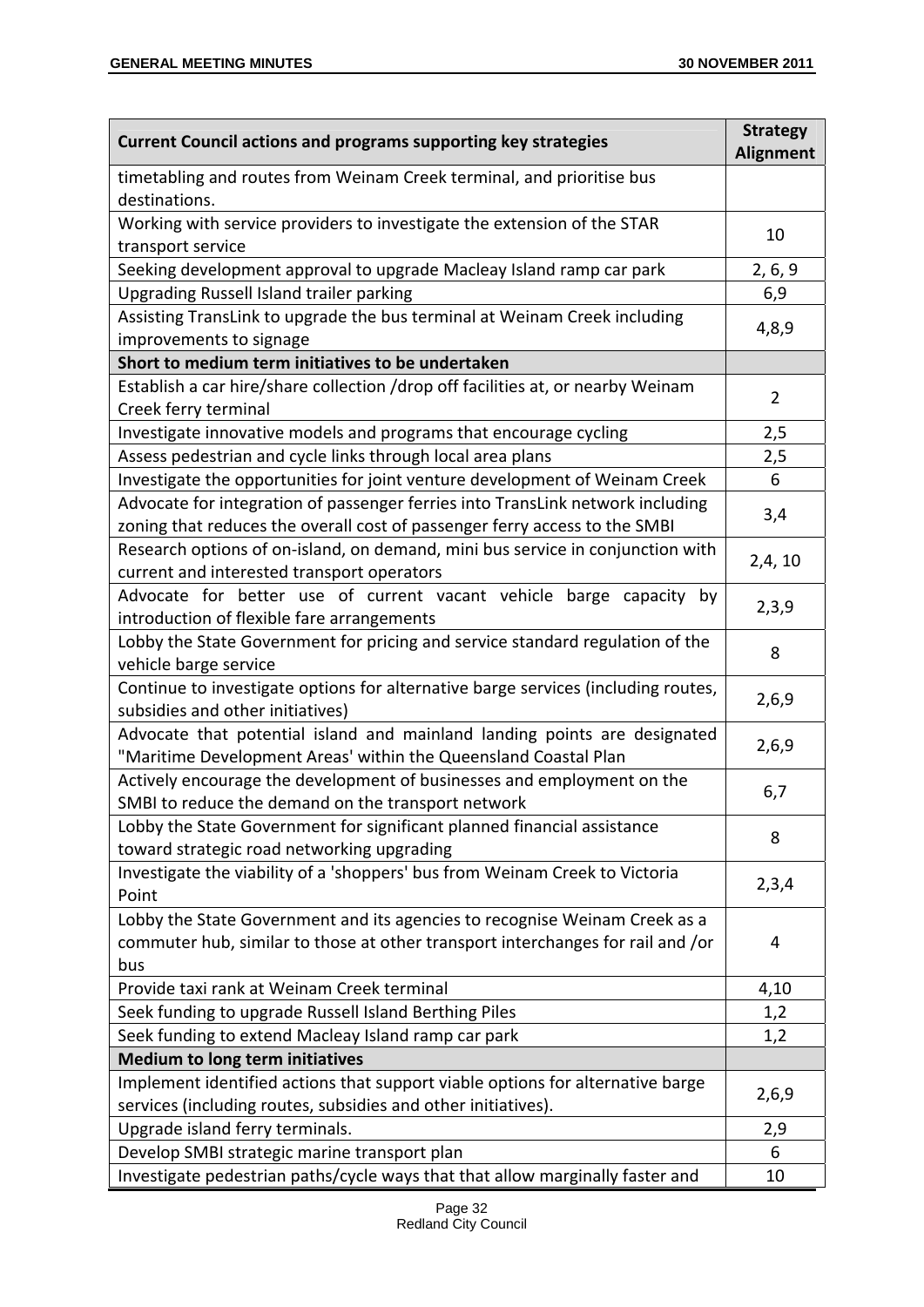| <b>Current Council actions and programs supporting key strategies</b>                                                                                                | <b>Strategy</b><br><b>Alignment</b> |  |
|----------------------------------------------------------------------------------------------------------------------------------------------------------------------|-------------------------------------|--|
| timetabling and routes from Weinam Creek terminal, and prioritise bus<br>destinations.                                                                               |                                     |  |
| Working with service providers to investigate the extension of the STAR<br>transport service                                                                         | 10                                  |  |
| Seeking development approval to upgrade Macleay Island ramp car park                                                                                                 | 2, 6, 9                             |  |
| <b>Upgrading Russell Island trailer parking</b>                                                                                                                      | 6,9                                 |  |
| Assisting TransLink to upgrade the bus terminal at Weinam Creek including<br>improvements to signage                                                                 | 4,8,9                               |  |
| Short to medium term initiatives to be undertaken                                                                                                                    |                                     |  |
| Establish a car hire/share collection /drop off facilities at, or nearby Weinam<br>Creek ferry terminal                                                              | $\overline{2}$                      |  |
| Investigate innovative models and programs that encourage cycling                                                                                                    | 2,5                                 |  |
| Assess pedestrian and cycle links through local area plans                                                                                                           | 2,5                                 |  |
| Investigate the opportunities for joint venture development of Weinam Creek                                                                                          | 6                                   |  |
| Advocate for integration of passenger ferries into TransLink network including<br>zoning that reduces the overall cost of passenger ferry access to the SMBI         | 3,4                                 |  |
| Research options of on-island, on demand, mini bus service in conjunction with<br>current and interested transport operators                                         | 2,4,10                              |  |
| Advocate for better use of current vacant vehicle barge capacity by<br>introduction of flexible fare arrangements                                                    | 2,3,9                               |  |
| Lobby the State Government for pricing and service standard regulation of the<br>vehicle barge service                                                               |                                     |  |
| Continue to investigate options for alternative barge services (including routes,<br>subsidies and other initiatives)                                                |                                     |  |
| Advocate that potential island and mainland landing points are designated<br>"Maritime Development Areas' within the Queensland Coastal Plan                         |                                     |  |
| Actively encourage the development of businesses and employment on the<br>SMBI to reduce the demand on the transport network                                         | 6,7                                 |  |
| Lobby the State Government for significant planned financial assistance<br>toward strategic road networking upgrading                                                | 8                                   |  |
| Investigate the viability of a 'shoppers' bus from Weinam Creek to Victoria<br>Point                                                                                 | 2,3,4                               |  |
| Lobby the State Government and its agencies to recognise Weinam Creek as a<br>commuter hub, similar to those at other transport interchanges for rail and /or<br>bus | 4                                   |  |
| Provide taxi rank at Weinam Creek terminal                                                                                                                           | 4,10                                |  |
| Seek funding to upgrade Russell Island Berthing Piles                                                                                                                | 1,2                                 |  |
| Seek funding to extend Macleay Island ramp car park                                                                                                                  |                                     |  |
| <b>Medium to long term initiatives</b>                                                                                                                               |                                     |  |
| Implement identified actions that support viable options for alternative barge<br>services (including routes, subsidies and other initiatives).                      | 2,6,9                               |  |
| Upgrade island ferry terminals.                                                                                                                                      | 2,9                                 |  |
| Develop SMBI strategic marine transport plan                                                                                                                         | 6                                   |  |
| Investigate pedestrian paths/cycle ways that that allow marginally faster and                                                                                        | 10                                  |  |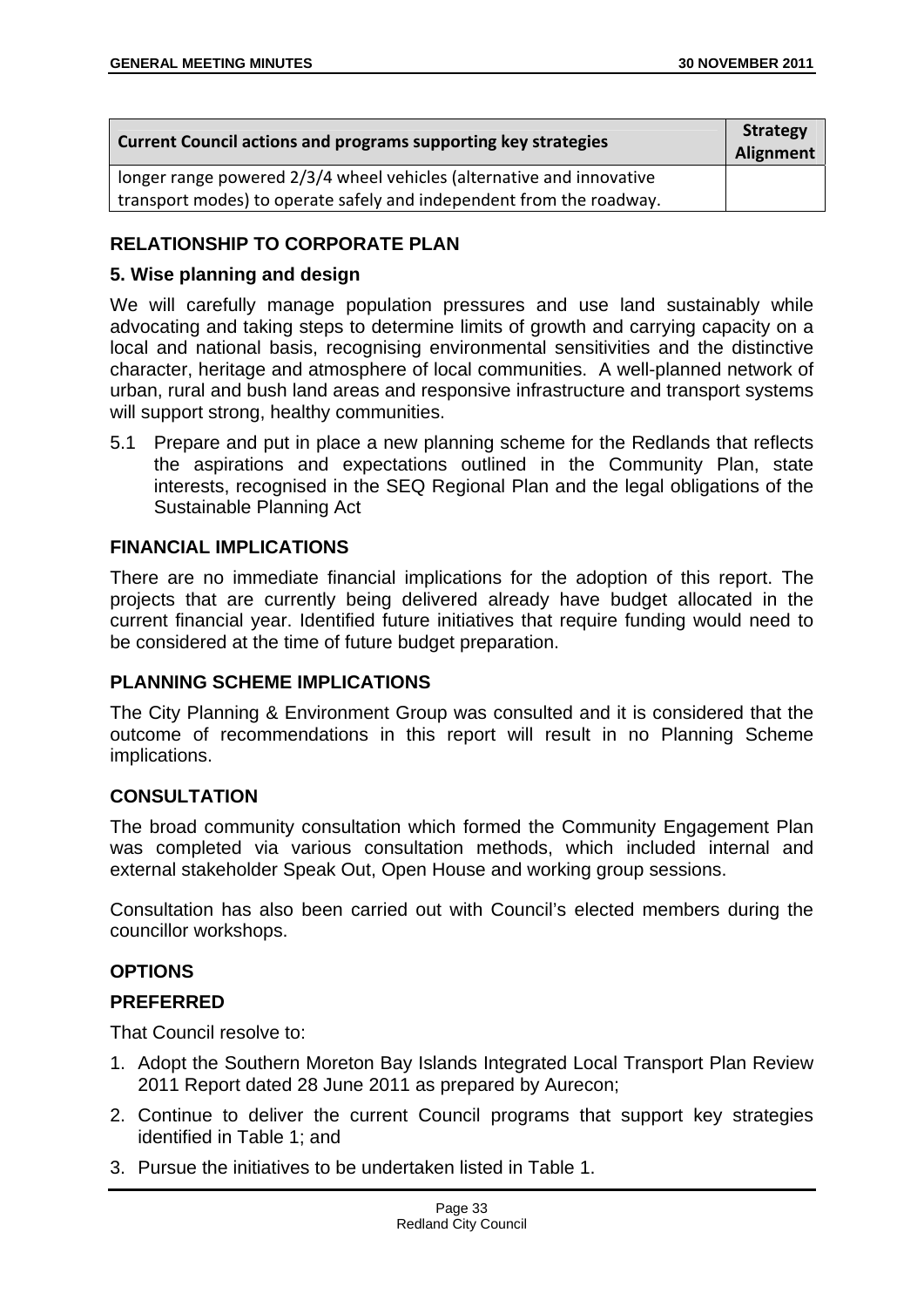| <b>Current Council actions and programs supporting key strategies</b> |  |
|-----------------------------------------------------------------------|--|
| longer range powered 2/3/4 wheel vehicles (alternative and innovative |  |
| transport modes) to operate safely and independent from the roadway.  |  |

# **RELATIONSHIP TO CORPORATE PLAN**

# **5. Wise planning and design**

We will carefully manage population pressures and use land sustainably while advocating and taking steps to determine limits of growth and carrying capacity on a local and national basis, recognising environmental sensitivities and the distinctive character, heritage and atmosphere of local communities. A well-planned network of urban, rural and bush land areas and responsive infrastructure and transport systems will support strong, healthy communities.

5.1 Prepare and put in place a new planning scheme for the Redlands that reflects the aspirations and expectations outlined in the Community Plan, state interests, recognised in the SEQ Regional Plan and the legal obligations of the Sustainable Planning Act

# **FINANCIAL IMPLICATIONS**

There are no immediate financial implications for the adoption of this report. The projects that are currently being delivered already have budget allocated in the current financial year. Identified future initiatives that require funding would need to be considered at the time of future budget preparation.

## **PLANNING SCHEME IMPLICATIONS**

The City Planning & Environment Group was consulted and it is considered that the outcome of recommendations in this report will result in no Planning Scheme implications.

# **CONSULTATION**

The broad community consultation which formed the Community Engagement Plan was completed via various consultation methods, which included internal and external stakeholder Speak Out, Open House and working group sessions.

Consultation has also been carried out with Council's elected members during the councillor workshops.

# **OPTIONS**

## **PREFERRED**

That Council resolve to:

- 1. Adopt the Southern Moreton Bay Islands Integrated Local Transport Plan Review 2011 Report dated 28 June 2011 as prepared by Aurecon;
- 2. Continue to deliver the current Council programs that support key strategies identified in Table 1; and
- 3. Pursue the initiatives to be undertaken listed in Table 1.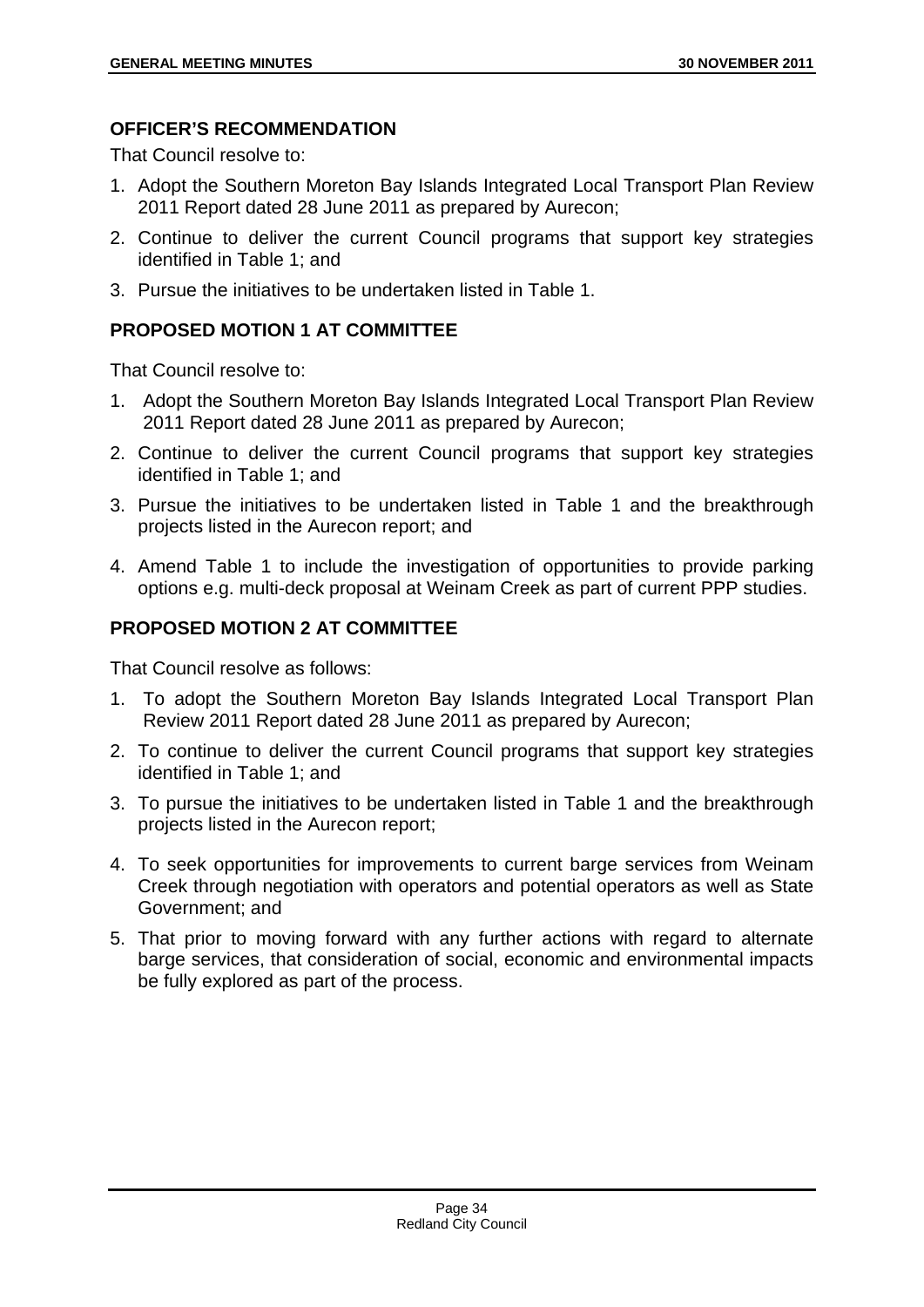# **OFFICER'S RECOMMENDATION**

That Council resolve to:

- 1. Adopt the Southern Moreton Bay Islands Integrated Local Transport Plan Review 2011 Report dated 28 June 2011 as prepared by Aurecon;
- 2. Continue to deliver the current Council programs that support key strategies identified in Table 1; and
- 3. Pursue the initiatives to be undertaken listed in Table 1.

# **PROPOSED MOTION 1 AT COMMITTEE**

That Council resolve to:

- 1. Adopt the Southern Moreton Bay Islands Integrated Local Transport Plan Review 2011 Report dated 28 June 2011 as prepared by Aurecon;
- 2. Continue to deliver the current Council programs that support key strategies identified in Table 1; and
- 3. Pursue the initiatives to be undertaken listed in Table 1 and the breakthrough projects listed in the Aurecon report; and
- 4. Amend Table 1 to include the investigation of opportunities to provide parking options e.g. multi-deck proposal at Weinam Creek as part of current PPP studies.

# **PROPOSED MOTION 2 AT COMMITTEE**

That Council resolve as follows:

- 1. To adopt the Southern Moreton Bay Islands Integrated Local Transport Plan Review 2011 Report dated 28 June 2011 as prepared by Aurecon;
- 2. To continue to deliver the current Council programs that support key strategies identified in Table 1; and
- 3. To pursue the initiatives to be undertaken listed in Table 1 and the breakthrough projects listed in the Aurecon report;
- 4. To seek opportunities for improvements to current barge services from Weinam Creek through negotiation with operators and potential operators as well as State Government; and
- 5. That prior to moving forward with any further actions with regard to alternate barge services, that consideration of social, economic and environmental impacts be fully explored as part of the process.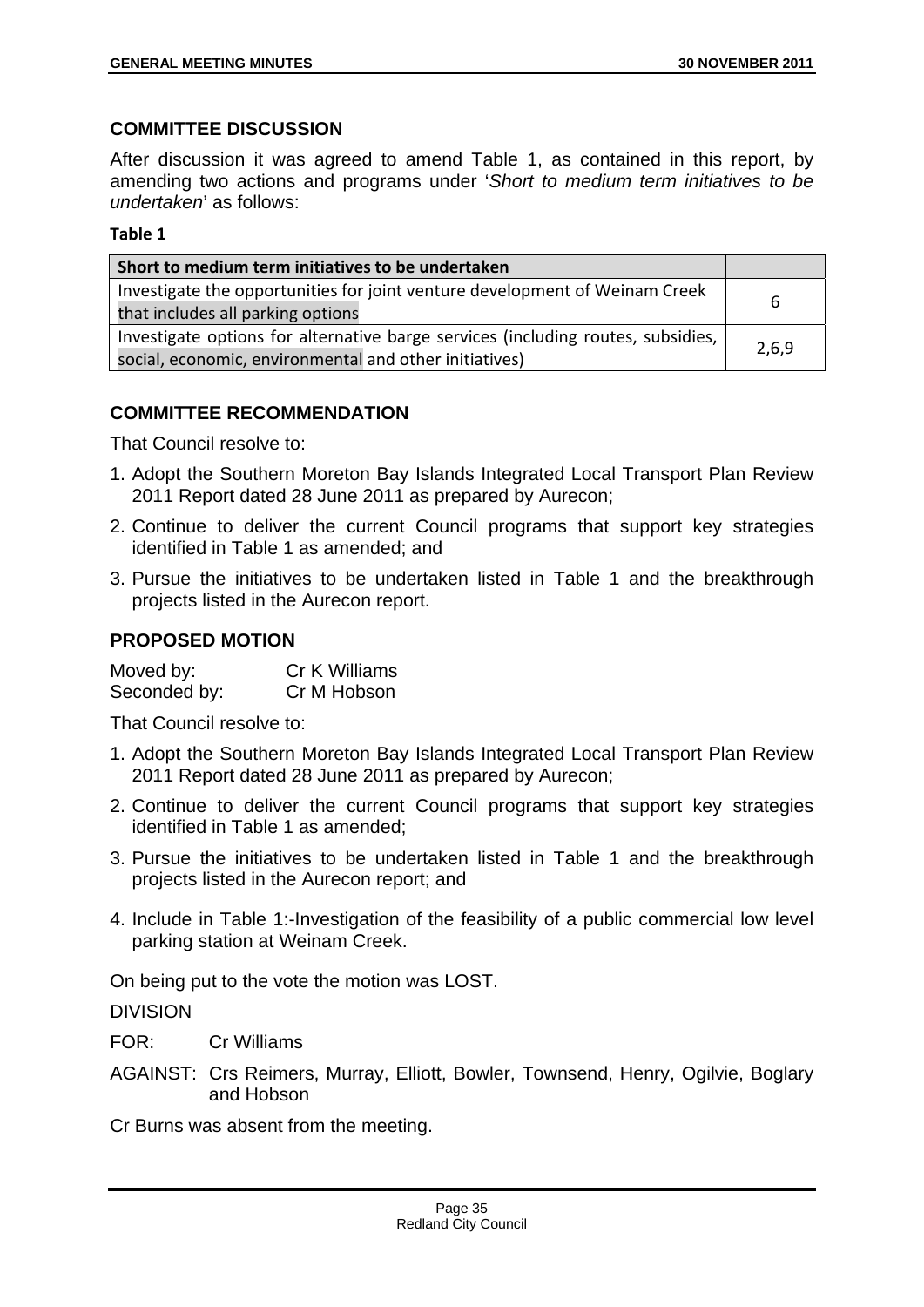## **COMMITTEE DISCUSSION**

After discussion it was agreed to amend Table 1, as contained in this report, by amending two actions and programs under '*Short to medium term initiatives to be undertaken*' as follows:

#### **Table 1**

| Short to medium term initiatives to be undertaken                                |       |
|----------------------------------------------------------------------------------|-------|
| Investigate the opportunities for joint venture development of Weinam Creek      | h     |
| that includes all parking options                                                |       |
| Investigate options for alternative barge services (including routes, subsidies, |       |
| social, economic, environmental and other initiatives)                           | 2,6,9 |

## **COMMITTEE RECOMMENDATION**

That Council resolve to:

- 1. Adopt the Southern Moreton Bay Islands Integrated Local Transport Plan Review 2011 Report dated 28 June 2011 as prepared by Aurecon;
- 2. Continue to deliver the current Council programs that support key strategies identified in Table 1 as amended; and
- 3. Pursue the initiatives to be undertaken listed in Table 1 and the breakthrough projects listed in the Aurecon report.

## **PROPOSED MOTION**

| Moved by:    | Cr K Williams |
|--------------|---------------|
| Seconded by: | Cr M Hobson   |

That Council resolve to:

- 1. Adopt the Southern Moreton Bay Islands Integrated Local Transport Plan Review 2011 Report dated 28 June 2011 as prepared by Aurecon;
- 2. Continue to deliver the current Council programs that support key strategies identified in Table 1 as amended;
- 3. Pursue the initiatives to be undertaken listed in Table 1 and the breakthrough projects listed in the Aurecon report; and
- 4. Include in Table 1:-Investigation of the feasibility of a public commercial low level parking station at Weinam Creek.

On being put to the vote the motion was LOST.

DIVISION

FOR: Cr Williams

AGAINST: Crs Reimers, Murray, Elliott, Bowler, Townsend, Henry, Ogilvie, Boglary and Hobson

Cr Burns was absent from the meeting.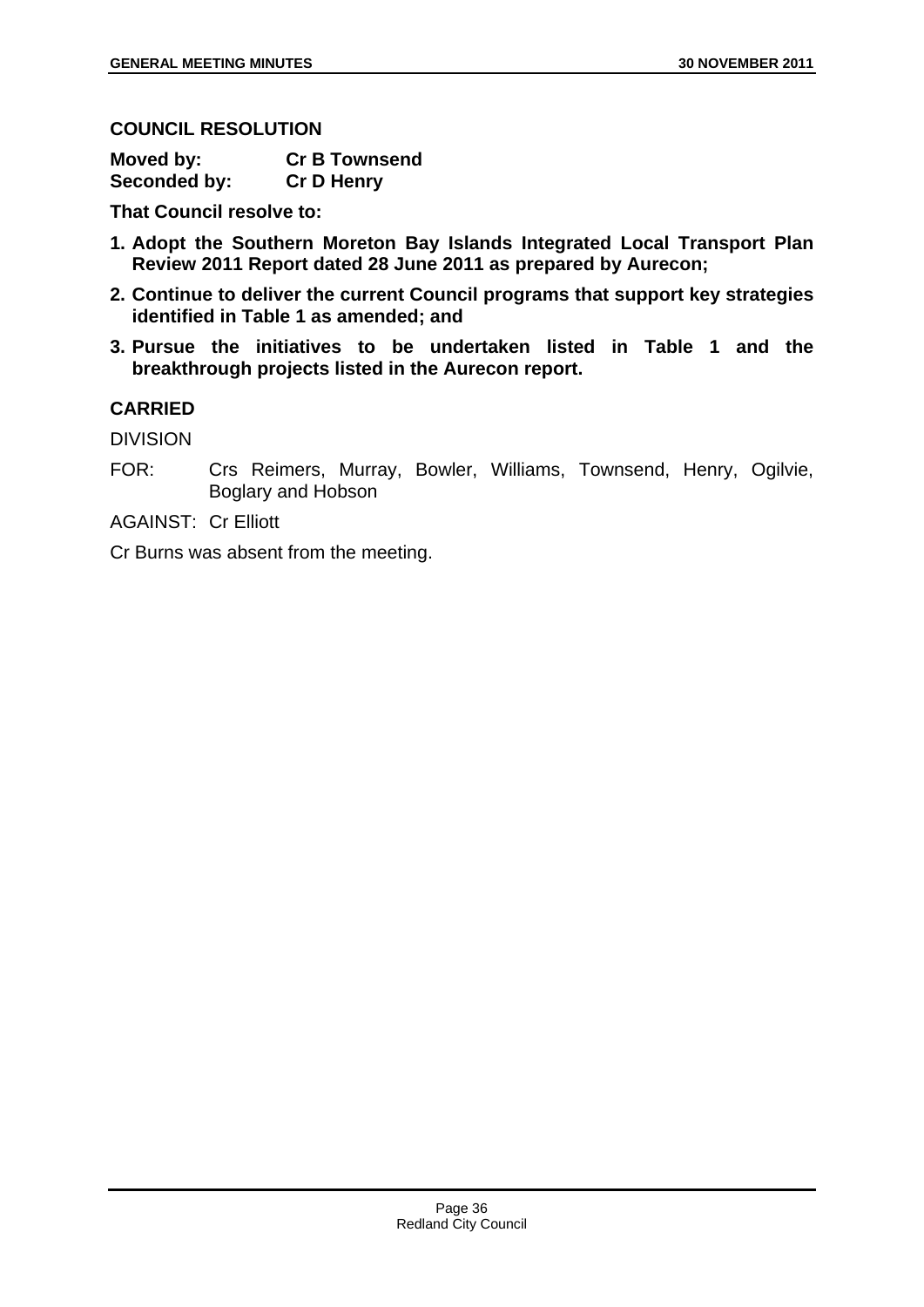**COUNCIL RESOLUTION** 

| Moved by:    | <b>Cr B Townsend</b> |
|--------------|----------------------|
| Seconded by: | <b>Cr D Henry</b>    |

**That Council resolve to:** 

- **1. Adopt the Southern Moreton Bay Islands Integrated Local Transport Plan Review 2011 Report dated 28 June 2011 as prepared by Aurecon;**
- **2. Continue to deliver the current Council programs that support key strategies identified in Table 1 as amended; and**
- **3. Pursue the initiatives to be undertaken listed in Table 1 and the breakthrough projects listed in the Aurecon report.**

# **CARRIED**

DIVISION

FOR: Crs Reimers, Murray, Bowler, Williams, Townsend, Henry, Ogilvie, Boglary and Hobson

AGAINST: Cr Elliott

Cr Burns was absent from the meeting.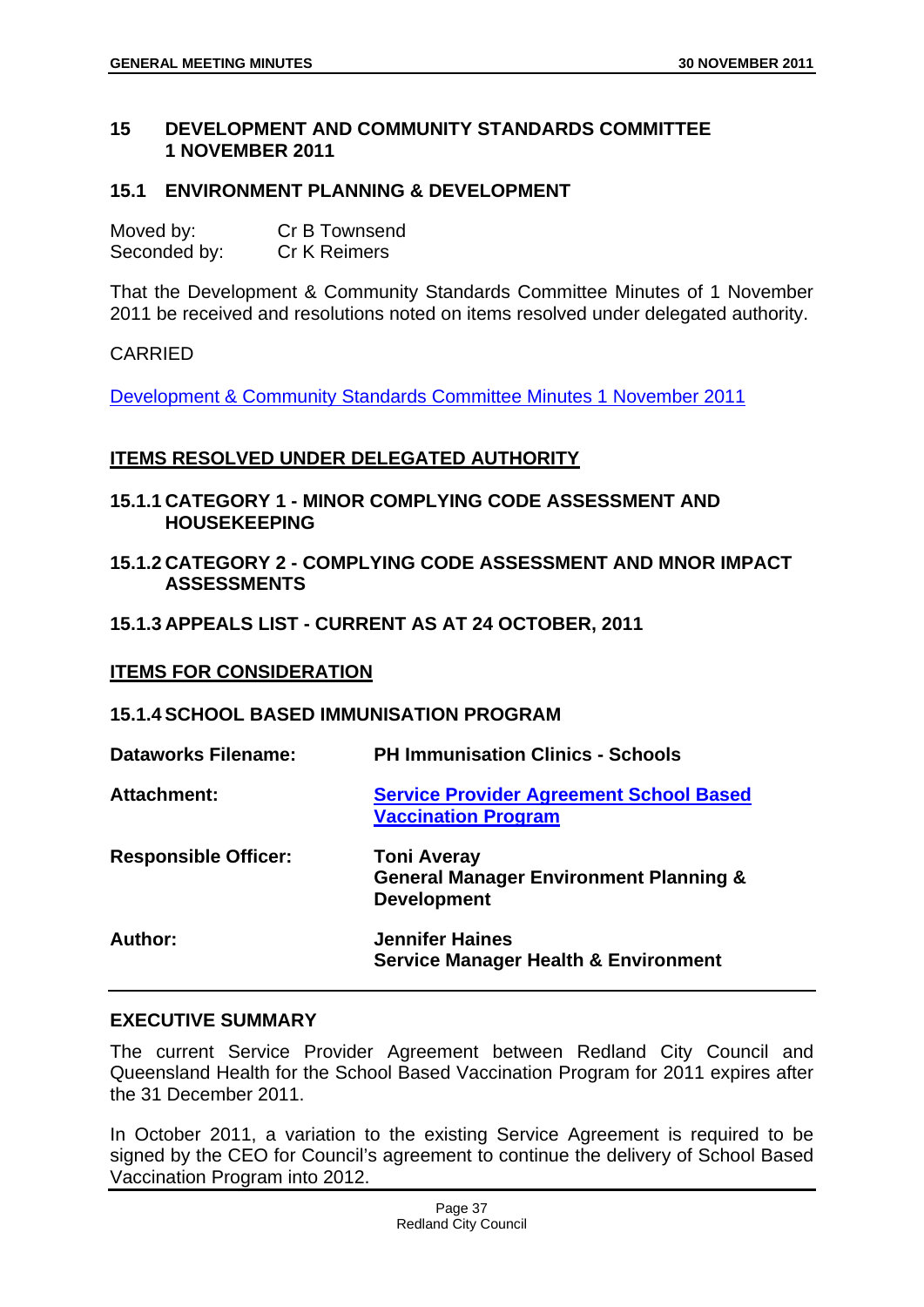#### **15 DEVELOPMENT AND COMMUNITY STANDARDS COMMITTEE 1 NOVEMBER 2011**

#### **15.1 ENVIRONMENT PLANNING & DEVELOPMENT**

| Moved by:    | Cr B Townsend |
|--------------|---------------|
| Seconded by: | Cr K Reimers  |

That the Development & Community Standards Committee Minutes of 1 November 2011 be received and resolutions noted on items resolved under delegated authority.

#### CARRIED

Development & Community Standards Committee Minutes 1 November 2011

#### **ITEMS RESOLVED UNDER DELEGATED AUTHORITY**

- **15.1.1 CATEGORY 1 MINOR COMPLYING CODE ASSESSMENT AND HOUSEKEEPING**
- **15.1.2 CATEGORY 2 COMPLYING CODE ASSESSMENT AND MNOR IMPACT ASSESSMENTS**

#### **15.1.3 APPEALS LIST - CURRENT AS AT 24 OCTOBER, 2011**

#### **ITEMS FOR CONSIDERATION**

#### **15.1.4 SCHOOL BASED IMMUNISATION PROGRAM**

| Dataworks Filename:         | <b>PH Immunisation Clinics - Schools</b>                                                      |
|-----------------------------|-----------------------------------------------------------------------------------------------|
| Attachment:                 | <b>Service Provider Agreement School Based</b><br><b>Vaccination Program</b>                  |
| <b>Responsible Officer:</b> | <b>Toni Averay</b><br><b>General Manager Environment Planning &amp;</b><br><b>Development</b> |
| Author:                     | <b>Jennifer Haines</b><br><b>Service Manager Health &amp; Environment</b>                     |

#### **EXECUTIVE SUMMARY**

The current Service Provider Agreement between Redland City Council and Queensland Health for the School Based Vaccination Program for 2011 expires after the 31 December 2011.

In October 2011, a variation to the existing Service Agreement is required to be signed by the CEO for Council's agreement to continue the delivery of School Based Vaccination Program into 2012.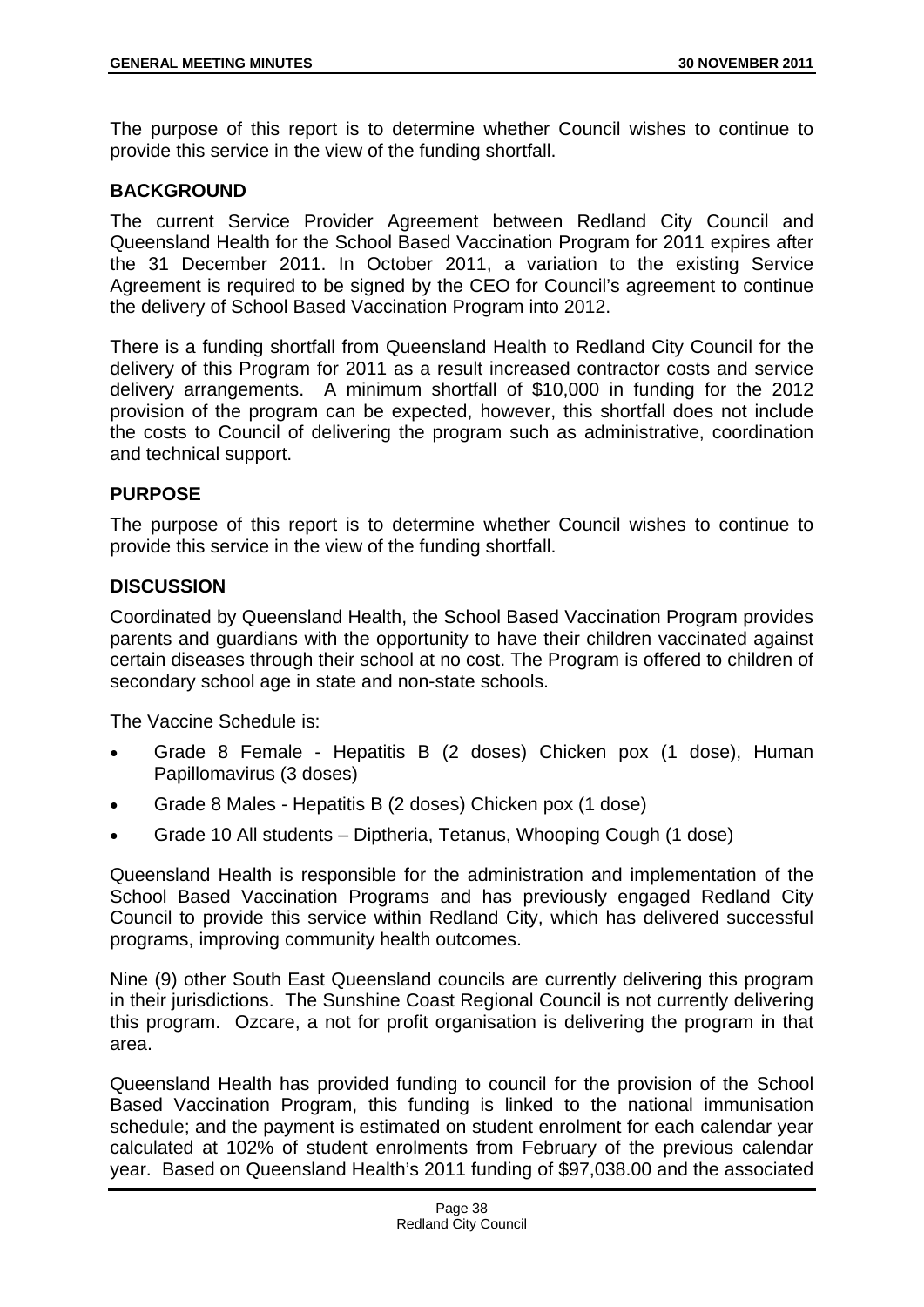The purpose of this report is to determine whether Council wishes to continue to provide this service in the view of the funding shortfall.

## **BACKGROUND**

The current Service Provider Agreement between Redland City Council and Queensland Health for the School Based Vaccination Program for 2011 expires after the 31 December 2011. In October 2011, a variation to the existing Service Agreement is required to be signed by the CEO for Council's agreement to continue the delivery of School Based Vaccination Program into 2012.

There is a funding shortfall from Queensland Health to Redland City Council for the delivery of this Program for 2011 as a result increased contractor costs and service delivery arrangements. A minimum shortfall of \$10,000 in funding for the 2012 provision of the program can be expected, however, this shortfall does not include the costs to Council of delivering the program such as administrative, coordination and technical support.

## **PURPOSE**

The purpose of this report is to determine whether Council wishes to continue to provide this service in the view of the funding shortfall.

#### **DISCUSSION**

Coordinated by Queensland Health, the School Based Vaccination Program provides parents and guardians with the opportunity to have their children vaccinated against certain diseases through their school at no cost. The Program is offered to children of secondary school age in state and non-state schools.

The Vaccine Schedule is:

- Grade 8 Female Hepatitis B (2 doses) Chicken pox (1 dose), Human Papillomavirus (3 doses)
- Grade 8 Males Hepatitis B (2 doses) Chicken pox (1 dose)
- Grade 10 All students Diptheria, Tetanus, Whooping Cough (1 dose)

Queensland Health is responsible for the administration and implementation of the School Based Vaccination Programs and has previously engaged Redland City Council to provide this service within Redland City, which has delivered successful programs, improving community health outcomes.

Nine (9) other South East Queensland councils are currently delivering this program in their jurisdictions. The Sunshine Coast Regional Council is not currently delivering this program. Ozcare, a not for profit organisation is delivering the program in that area.

Queensland Health has provided funding to council for the provision of the School Based Vaccination Program, this funding is linked to the national immunisation schedule; and the payment is estimated on student enrolment for each calendar year calculated at 102% of student enrolments from February of the previous calendar year. Based on Queensland Health's 2011 funding of \$97,038.00 and the associated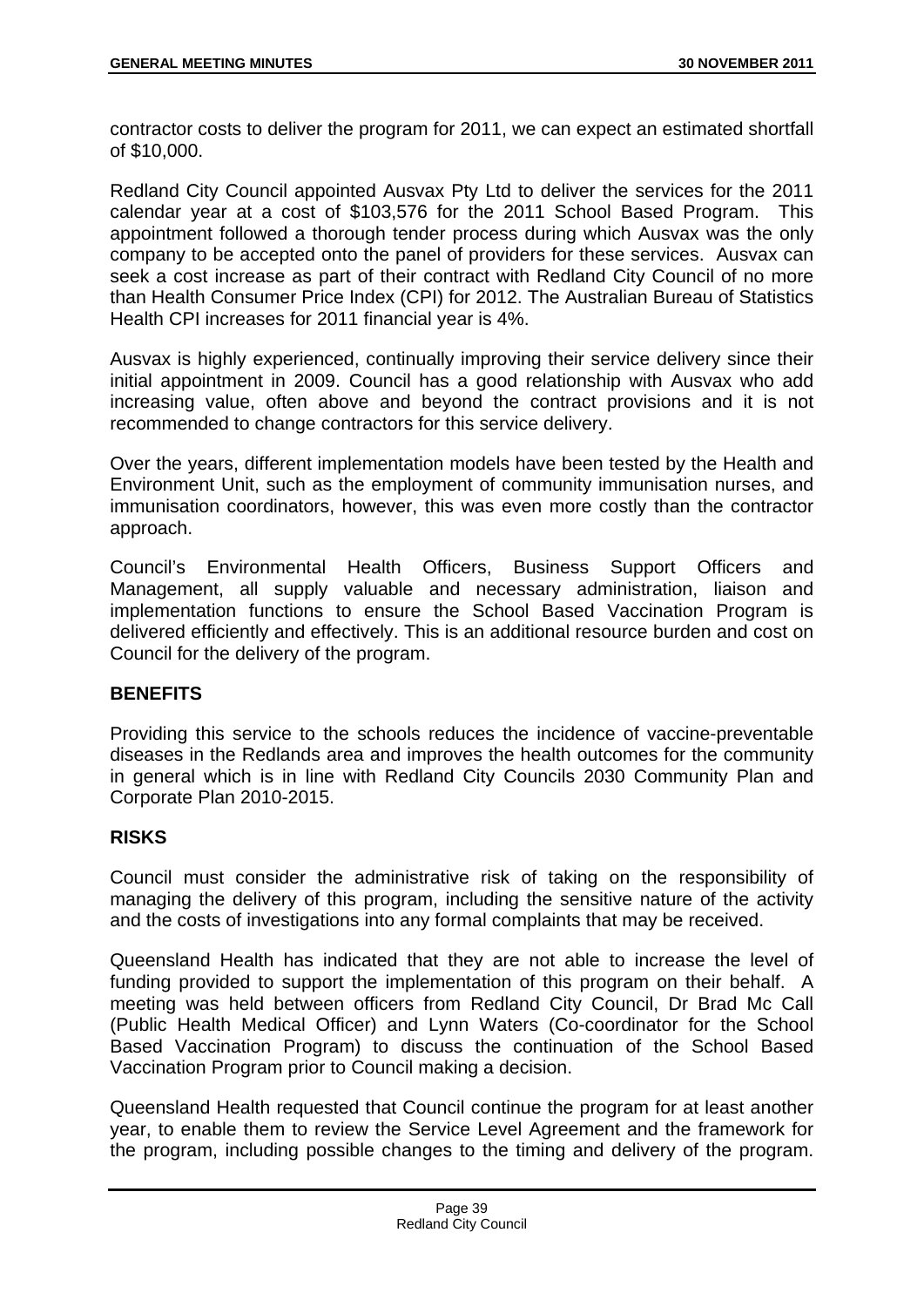contractor costs to deliver the program for 2011, we can expect an estimated shortfall of \$10,000.

Redland City Council appointed Ausvax Pty Ltd to deliver the services for the 2011 calendar year at a cost of \$103,576 for the 2011 School Based Program. This appointment followed a thorough tender process during which Ausvax was the only company to be accepted onto the panel of providers for these services. Ausvax can seek a cost increase as part of their contract with Redland City Council of no more than Health Consumer Price Index (CPI) for 2012. The Australian Bureau of Statistics Health CPI increases for 2011 financial year is 4%.

Ausvax is highly experienced, continually improving their service delivery since their initial appointment in 2009. Council has a good relationship with Ausvax who add increasing value, often above and beyond the contract provisions and it is not recommended to change contractors for this service delivery.

Over the years, different implementation models have been tested by the Health and Environment Unit, such as the employment of community immunisation nurses, and immunisation coordinators, however, this was even more costly than the contractor approach.

Council's Environmental Health Officers, Business Support Officers and Management, all supply valuable and necessary administration, liaison and implementation functions to ensure the School Based Vaccination Program is delivered efficiently and effectively. This is an additional resource burden and cost on Council for the delivery of the program.

## **BENEFITS**

Providing this service to the schools reduces the incidence of vaccine-preventable diseases in the Redlands area and improves the health outcomes for the community in general which is in line with Redland City Councils 2030 Community Plan and Corporate Plan 2010-2015.

## **RISKS**

Council must consider the administrative risk of taking on the responsibility of managing the delivery of this program, including the sensitive nature of the activity and the costs of investigations into any formal complaints that may be received.

Queensland Health has indicated that they are not able to increase the level of funding provided to support the implementation of this program on their behalf. A meeting was held between officers from Redland City Council, Dr Brad Mc Call (Public Health Medical Officer) and Lynn Waters (Co-coordinator for the School Based Vaccination Program) to discuss the continuation of the School Based Vaccination Program prior to Council making a decision.

Queensland Health requested that Council continue the program for at least another year, to enable them to review the Service Level Agreement and the framework for the program, including possible changes to the timing and delivery of the program.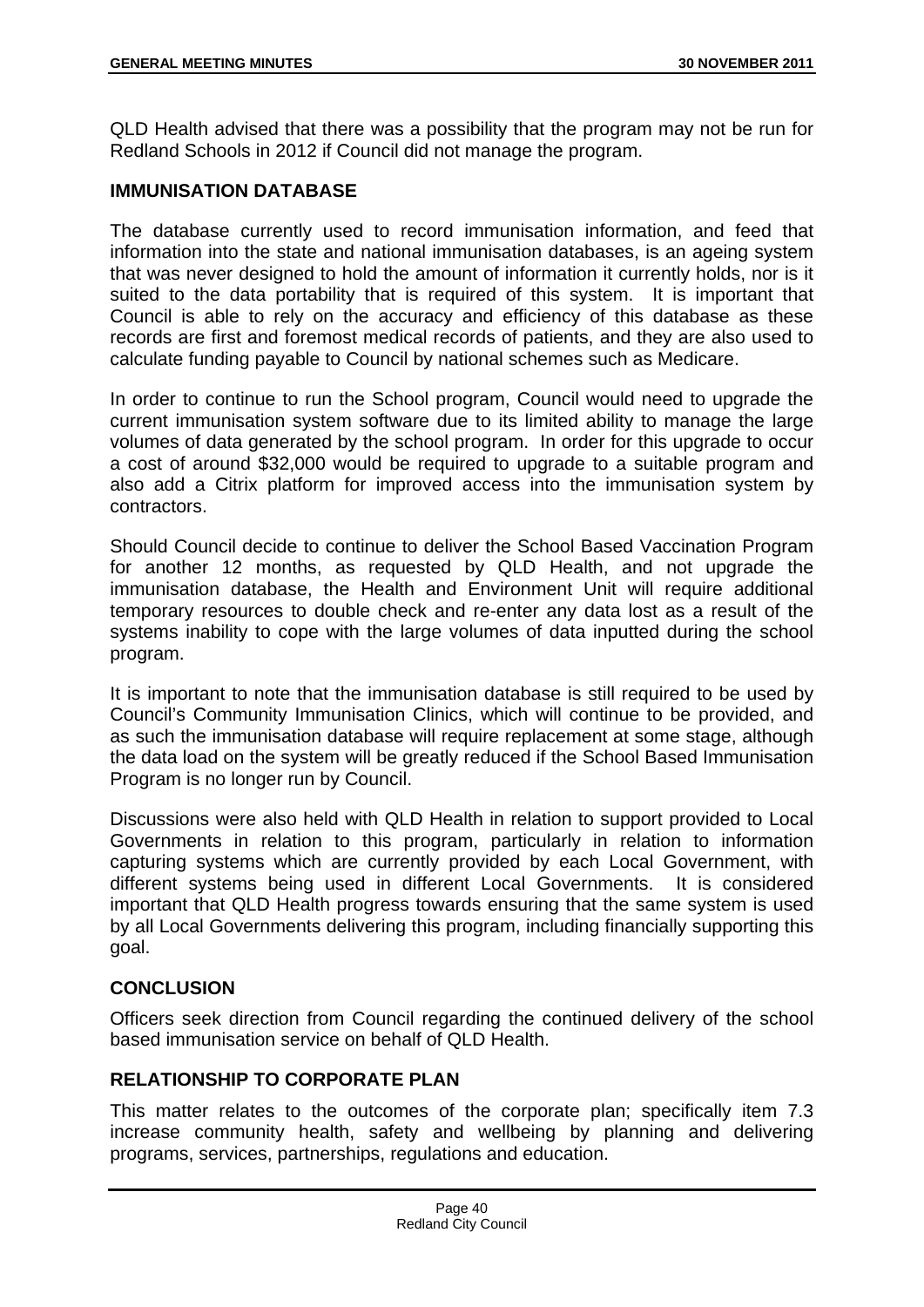QLD Health advised that there was a possibility that the program may not be run for Redland Schools in 2012 if Council did not manage the program.

## **IMMUNISATION DATABASE**

The database currently used to record immunisation information, and feed that information into the state and national immunisation databases, is an ageing system that was never designed to hold the amount of information it currently holds, nor is it suited to the data portability that is required of this system. It is important that Council is able to rely on the accuracy and efficiency of this database as these records are first and foremost medical records of patients, and they are also used to calculate funding payable to Council by national schemes such as Medicare.

In order to continue to run the School program, Council would need to upgrade the current immunisation system software due to its limited ability to manage the large volumes of data generated by the school program. In order for this upgrade to occur a cost of around \$32,000 would be required to upgrade to a suitable program and also add a Citrix platform for improved access into the immunisation system by contractors.

Should Council decide to continue to deliver the School Based Vaccination Program for another 12 months, as requested by QLD Health, and not upgrade the immunisation database, the Health and Environment Unit will require additional temporary resources to double check and re-enter any data lost as a result of the systems inability to cope with the large volumes of data inputted during the school program.

It is important to note that the immunisation database is still required to be used by Council's Community Immunisation Clinics, which will continue to be provided, and as such the immunisation database will require replacement at some stage, although the data load on the system will be greatly reduced if the School Based Immunisation Program is no longer run by Council.

Discussions were also held with QLD Health in relation to support provided to Local Governments in relation to this program, particularly in relation to information capturing systems which are currently provided by each Local Government, with different systems being used in different Local Governments. It is considered important that QLD Health progress towards ensuring that the same system is used by all Local Governments delivering this program, including financially supporting this goal.

## **CONCLUSION**

Officers seek direction from Council regarding the continued delivery of the school based immunisation service on behalf of QLD Health.

# **RELATIONSHIP TO CORPORATE PLAN**

This matter relates to the outcomes of the corporate plan; specifically item 7.3 increase community health, safety and wellbeing by planning and delivering programs, services, partnerships, regulations and education.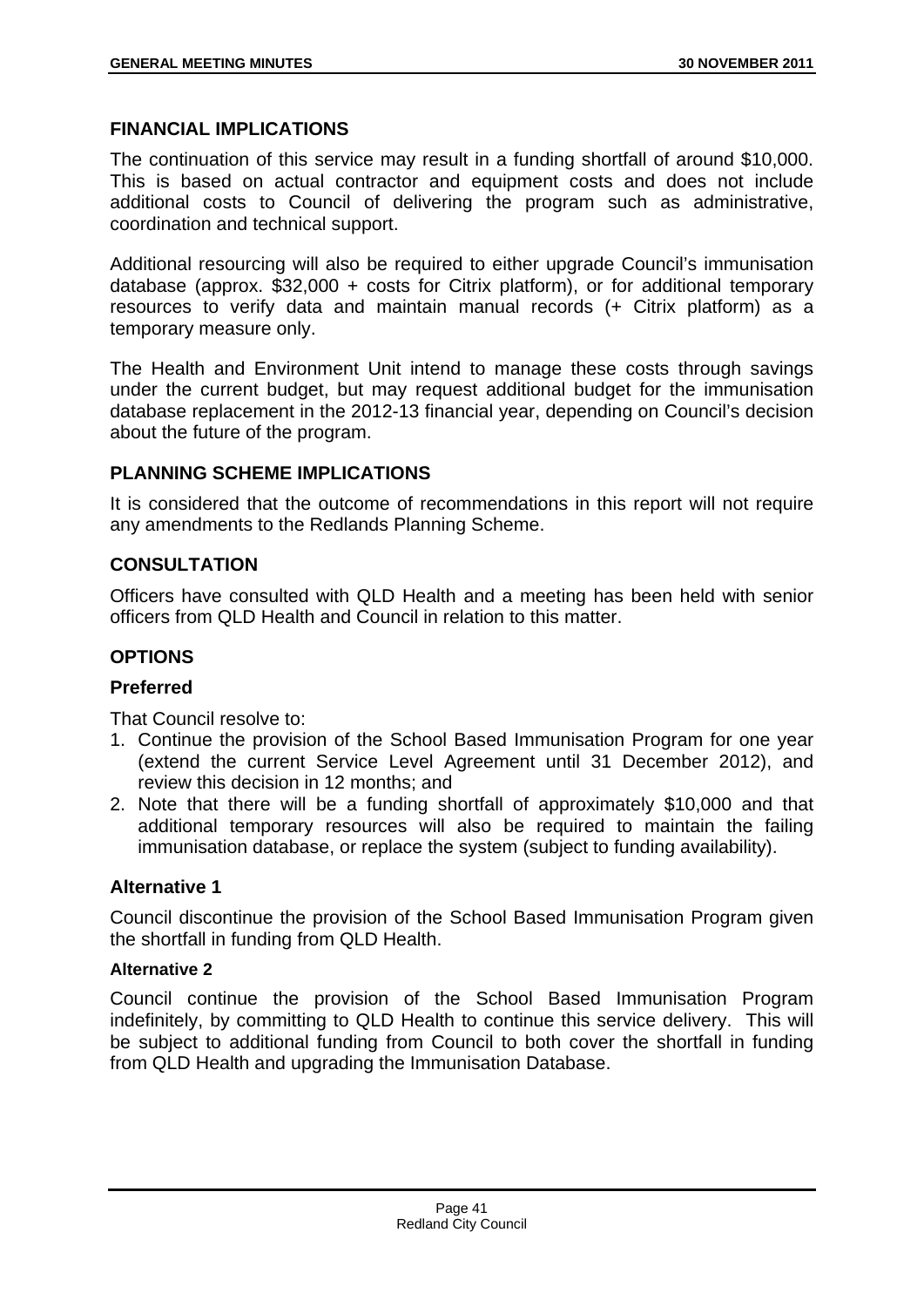#### **FINANCIAL IMPLICATIONS**

The continuation of this service may result in a funding shortfall of around \$10,000. This is based on actual contractor and equipment costs and does not include additional costs to Council of delivering the program such as administrative, coordination and technical support.

Additional resourcing will also be required to either upgrade Council's immunisation database (approx. \$32,000 + costs for Citrix platform), or for additional temporary resources to verify data and maintain manual records (+ Citrix platform) as a temporary measure only.

The Health and Environment Unit intend to manage these costs through savings under the current budget, but may request additional budget for the immunisation database replacement in the 2012-13 financial year, depending on Council's decision about the future of the program.

## **PLANNING SCHEME IMPLICATIONS**

It is considered that the outcome of recommendations in this report will not require any amendments to the Redlands Planning Scheme.

## **CONSULTATION**

Officers have consulted with QLD Health and a meeting has been held with senior officers from QLD Health and Council in relation to this matter.

## **OPTIONS**

## **Preferred**

That Council resolve to:

- 1. Continue the provision of the School Based Immunisation Program for one year (extend the current Service Level Agreement until 31 December 2012), and review this decision in 12 months; and
- 2. Note that there will be a funding shortfall of approximately \$10,000 and that additional temporary resources will also be required to maintain the failing immunisation database, or replace the system (subject to funding availability).

## **Alternative 1**

Council discontinue the provision of the School Based Immunisation Program given the shortfall in funding from QLD Health.

#### **Alternative 2**

Council continue the provision of the School Based Immunisation Program indefinitely, by committing to QLD Health to continue this service delivery. This will be subject to additional funding from Council to both cover the shortfall in funding from QLD Health and upgrading the Immunisation Database.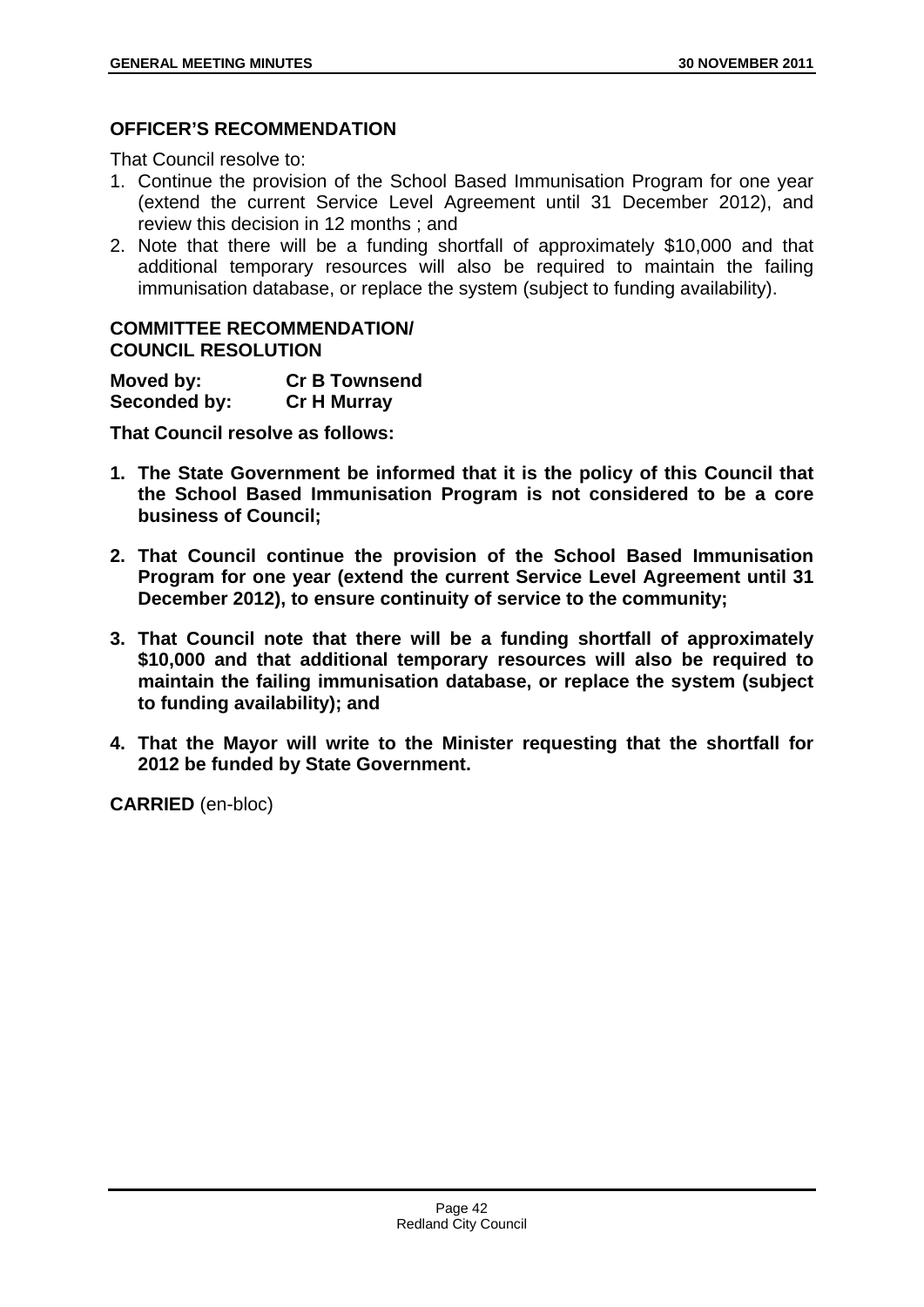## **OFFICER'S RECOMMENDATION**

That Council resolve to:

- 1. Continue the provision of the School Based Immunisation Program for one year (extend the current Service Level Agreement until 31 December 2012), and review this decision in 12 months ; and
- 2. Note that there will be a funding shortfall of approximately \$10,000 and that additional temporary resources will also be required to maintain the failing immunisation database, or replace the system (subject to funding availability).

#### **COMMITTEE RECOMMENDATION/ COUNCIL RESOLUTION**

| Moved by:    | <b>Cr B Townsend</b> |
|--------------|----------------------|
| Seconded by: | <b>Cr H Murray</b>   |

**That Council resolve as follows:** 

- **1. The State Government be informed that it is the policy of this Council that the School Based Immunisation Program is not considered to be a core business of Council;**
- **2. That Council continue the provision of the School Based Immunisation Program for one year (extend the current Service Level Agreement until 31 December 2012), to ensure continuity of service to the community;**
- **3. That Council note that there will be a funding shortfall of approximately \$10,000 and that additional temporary resources will also be required to maintain the failing immunisation database, or replace the system (subject to funding availability); and**
- **4. That the Mayor will write to the Minister requesting that the shortfall for 2012 be funded by State Government.**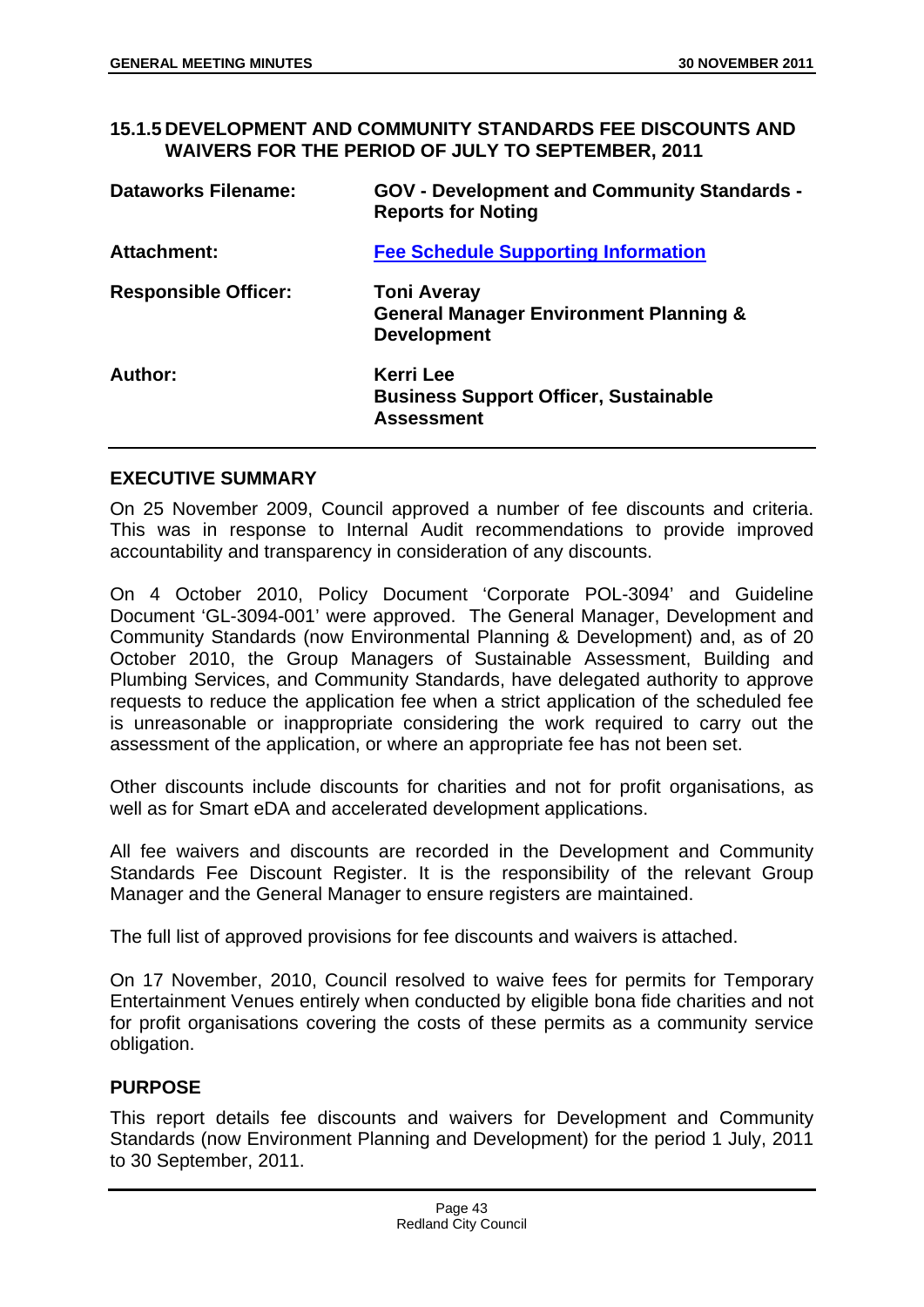#### **15.1.5 DEVELOPMENT AND COMMUNITY STANDARDS FEE DISCOUNTS AND WAIVERS FOR THE PERIOD OF JULY TO SEPTEMBER, 2011**

| <b>Dataworks Filename:</b>  | <b>GOV - Development and Community Standards -</b><br><b>Reports for Noting</b>               |
|-----------------------------|-----------------------------------------------------------------------------------------------|
| <b>Attachment:</b>          | <b>Fee Schedule Supporting Information</b>                                                    |
| <b>Responsible Officer:</b> | <b>Toni Averay</b><br><b>General Manager Environment Planning &amp;</b><br><b>Development</b> |
| Author:                     | <b>Kerri Lee</b><br><b>Business Support Officer, Sustainable</b><br><b>Assessment</b>         |

# **EXECUTIVE SUMMARY**

On 25 November 2009, Council approved a number of fee discounts and criteria. This was in response to Internal Audit recommendations to provide improved accountability and transparency in consideration of any discounts.

On 4 October 2010, Policy Document 'Corporate POL-3094' and Guideline Document 'GL-3094-001' were approved. The General Manager, Development and Community Standards (now Environmental Planning & Development) and, as of 20 October 2010, the Group Managers of Sustainable Assessment, Building and Plumbing Services, and Community Standards, have delegated authority to approve requests to reduce the application fee when a strict application of the scheduled fee is unreasonable or inappropriate considering the work required to carry out the assessment of the application, or where an appropriate fee has not been set.

Other discounts include discounts for charities and not for profit organisations, as well as for Smart eDA and accelerated development applications.

All fee waivers and discounts are recorded in the Development and Community Standards Fee Discount Register. It is the responsibility of the relevant Group Manager and the General Manager to ensure registers are maintained.

The full list of approved provisions for fee discounts and waivers is attached.

On 17 November, 2010, Council resolved to waive fees for permits for Temporary Entertainment Venues entirely when conducted by eligible bona fide charities and not for profit organisations covering the costs of these permits as a community service obligation.

## **PURPOSE**

This report details fee discounts and waivers for Development and Community Standards (now Environment Planning and Development) for the period 1 July, 2011 to 30 September, 2011.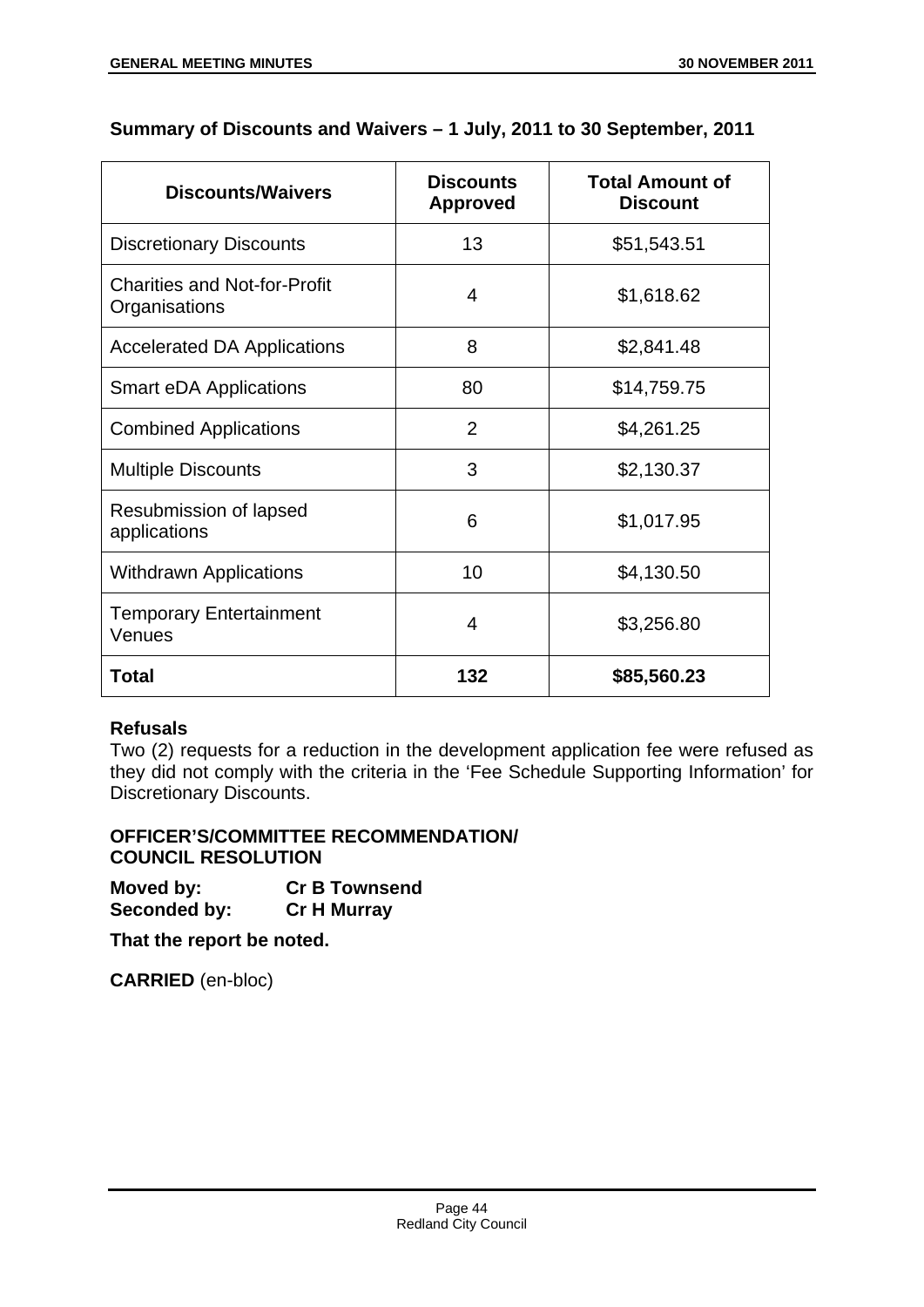# **Summary of Discounts and Waivers – 1 July, 2011 to 30 September, 2011**

| <b>Discounts/Waivers</b>                             | <b>Discounts</b><br><b>Approved</b> | <b>Total Amount of</b><br><b>Discount</b> |
|------------------------------------------------------|-------------------------------------|-------------------------------------------|
| <b>Discretionary Discounts</b>                       | 13                                  | \$51,543.51                               |
| <b>Charities and Not-for-Profit</b><br>Organisations | 4                                   | \$1,618.62                                |
| <b>Accelerated DA Applications</b>                   | 8                                   | \$2,841.48                                |
| <b>Smart eDA Applications</b>                        | 80                                  | \$14,759.75                               |
| <b>Combined Applications</b>                         | 2                                   | \$4,261.25                                |
| <b>Multiple Discounts</b>                            | 3                                   | \$2,130.37                                |
| Resubmission of lapsed<br>applications               | 6                                   | \$1,017.95                                |
| <b>Withdrawn Applications</b>                        | 10                                  | \$4,130.50                                |
| <b>Temporary Entertainment</b><br>Venues             | 4                                   | \$3,256.80                                |
| Total                                                | 132                                 | \$85,560.23                               |

## **Refusals**

Two (2) requests for a reduction in the development application fee were refused as they did not comply with the criteria in the 'Fee Schedule Supporting Information' for Discretionary Discounts.

#### **OFFICER'S/COMMITTEE RECOMMENDATION/ COUNCIL RESOLUTION**

| Moved by:           | <b>Cr B Townsend</b> |
|---------------------|----------------------|
| <b>Seconded by:</b> | <b>Cr H Murray</b>   |

**That the report be noted.**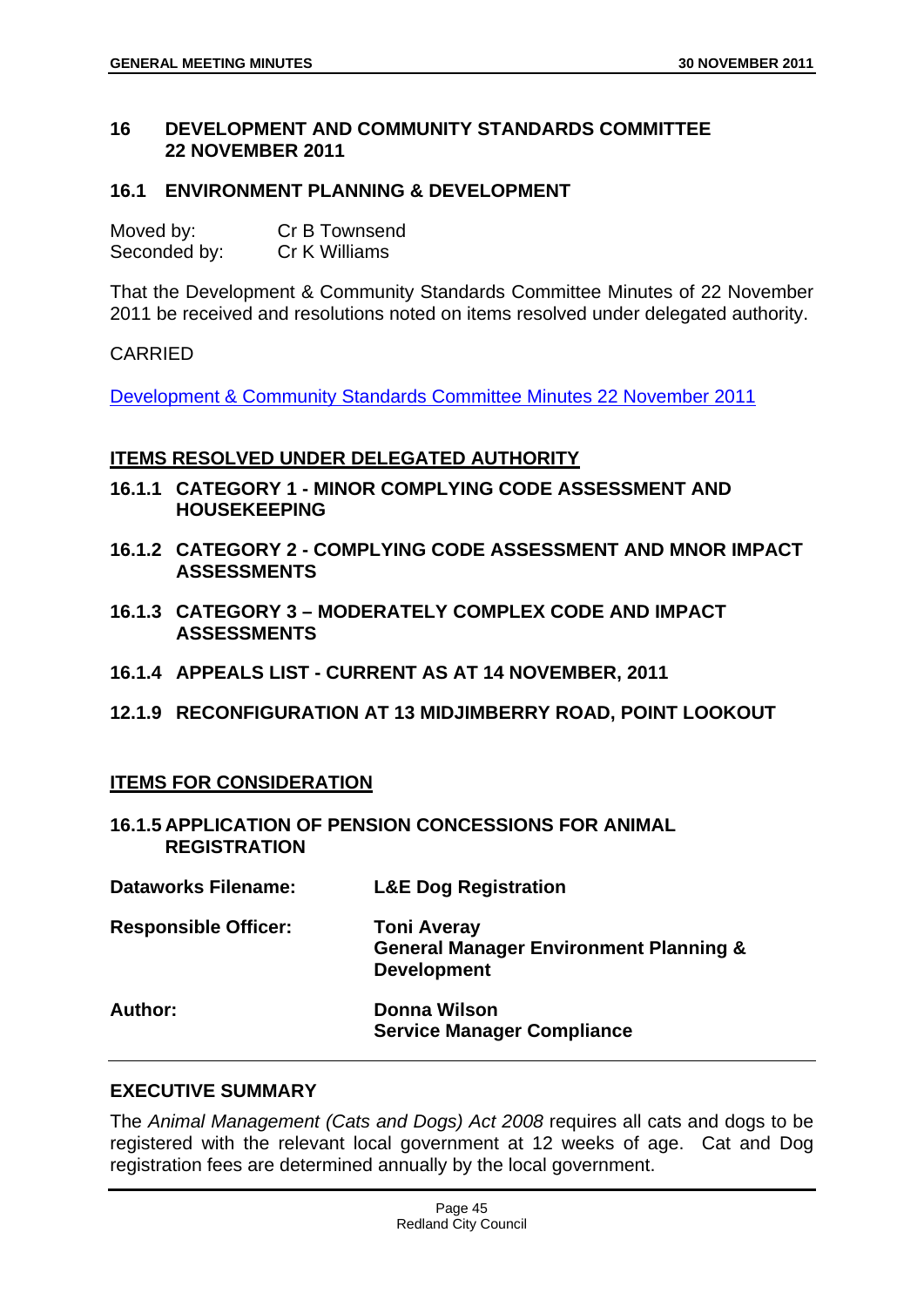#### **16 DEVELOPMENT AND COMMUNITY STANDARDS COMMITTEE 22 NOVEMBER 2011**

#### **16.1 ENVIRONMENT PLANNING & DEVELOPMENT**

| Moved by:    | Cr B Townsend |
|--------------|---------------|
| Seconded by: | Cr K Williams |

That the Development & Community Standards Committee Minutes of 22 November 2011 be received and resolutions noted on items resolved under delegated authority.

#### CARRIED

Development & Community Standards Committee Minutes 22 November 2011

#### **ITEMS RESOLVED UNDER DELEGATED AUTHORITY**

- **16.1.1 CATEGORY 1 MINOR COMPLYING CODE ASSESSMENT AND HOUSEKEEPING**
- **16.1.2 CATEGORY 2 COMPLYING CODE ASSESSMENT AND MNOR IMPACT ASSESSMENTS**
- **16.1.3 CATEGORY 3 MODERATELY COMPLEX CODE AND IMPACT ASSESSMENTS**
- **16.1.4 APPEALS LIST CURRENT AS AT 14 NOVEMBER, 2011**
- **12.1.9 RECONFIGURATION AT 13 MIDJIMBERRY ROAD, POINT LOOKOUT**

## **ITEMS FOR CONSIDERATION**

**16.1.5 APPLICATION OF PENSION CONCESSIONS FOR ANIMAL REGISTRATION** 

| <b>Dataworks Filename:</b>  | <b>L&amp;E Dog Registration</b>                                                               |
|-----------------------------|-----------------------------------------------------------------------------------------------|
| <b>Responsible Officer:</b> | <b>Toni Averay</b><br><b>General Manager Environment Planning &amp;</b><br><b>Development</b> |
| Author:                     | Donna Wilson<br><b>Service Manager Compliance</b>                                             |

#### **EXECUTIVE SUMMARY**

The *Animal Management (Cats and Dogs) Act 2008* requires all cats and dogs to be registered with the relevant local government at 12 weeks of age. Cat and Dog registration fees are determined annually by the local government.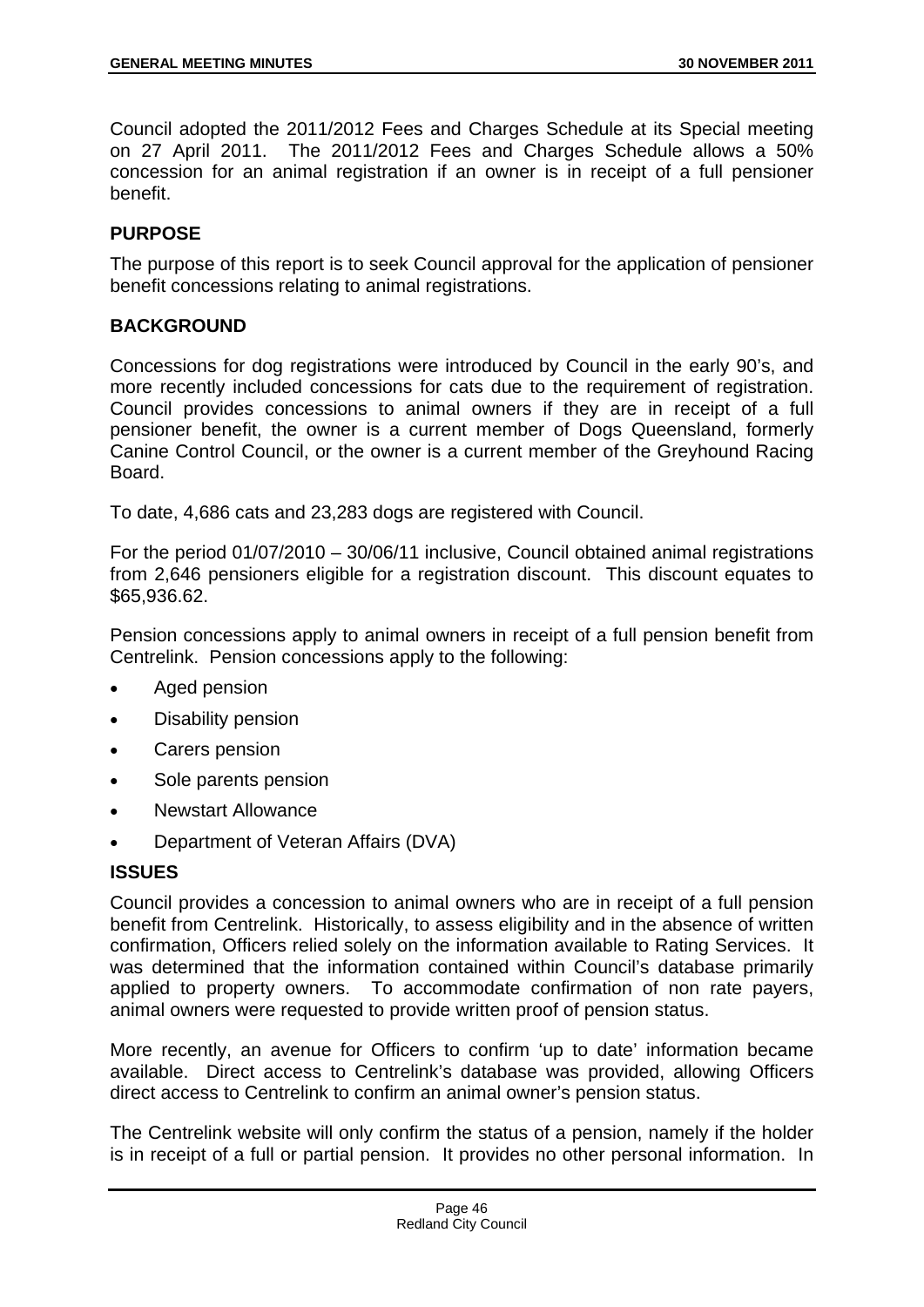Council adopted the 2011/2012 Fees and Charges Schedule at its Special meeting on 27 April 2011. The 2011/2012 Fees and Charges Schedule allows a 50% concession for an animal registration if an owner is in receipt of a full pensioner benefit.

## **PURPOSE**

The purpose of this report is to seek Council approval for the application of pensioner benefit concessions relating to animal registrations.

#### **BACKGROUND**

Concessions for dog registrations were introduced by Council in the early 90's, and more recently included concessions for cats due to the requirement of registration. Council provides concessions to animal owners if they are in receipt of a full pensioner benefit, the owner is a current member of Dogs Queensland, formerly Canine Control Council, or the owner is a current member of the Greyhound Racing Board.

To date, 4,686 cats and 23,283 dogs are registered with Council.

For the period 01/07/2010 – 30/06/11 inclusive, Council obtained animal registrations from 2,646 pensioners eligible for a registration discount. This discount equates to \$65,936.62.

Pension concessions apply to animal owners in receipt of a full pension benefit from Centrelink. Pension concessions apply to the following:

- Aged pension
- Disability pension
- Carers pension
- Sole parents pension
- Newstart Allowance
- Department of Veteran Affairs (DVA)

## **ISSUES**

Council provides a concession to animal owners who are in receipt of a full pension benefit from Centrelink. Historically, to assess eligibility and in the absence of written confirmation, Officers relied solely on the information available to Rating Services. It was determined that the information contained within Council's database primarily applied to property owners. To accommodate confirmation of non rate payers, animal owners were requested to provide written proof of pension status.

More recently, an avenue for Officers to confirm 'up to date' information became available. Direct access to Centrelink's database was provided, allowing Officers direct access to Centrelink to confirm an animal owner's pension status.

The Centrelink website will only confirm the status of a pension, namely if the holder is in receipt of a full or partial pension. It provides no other personal information. In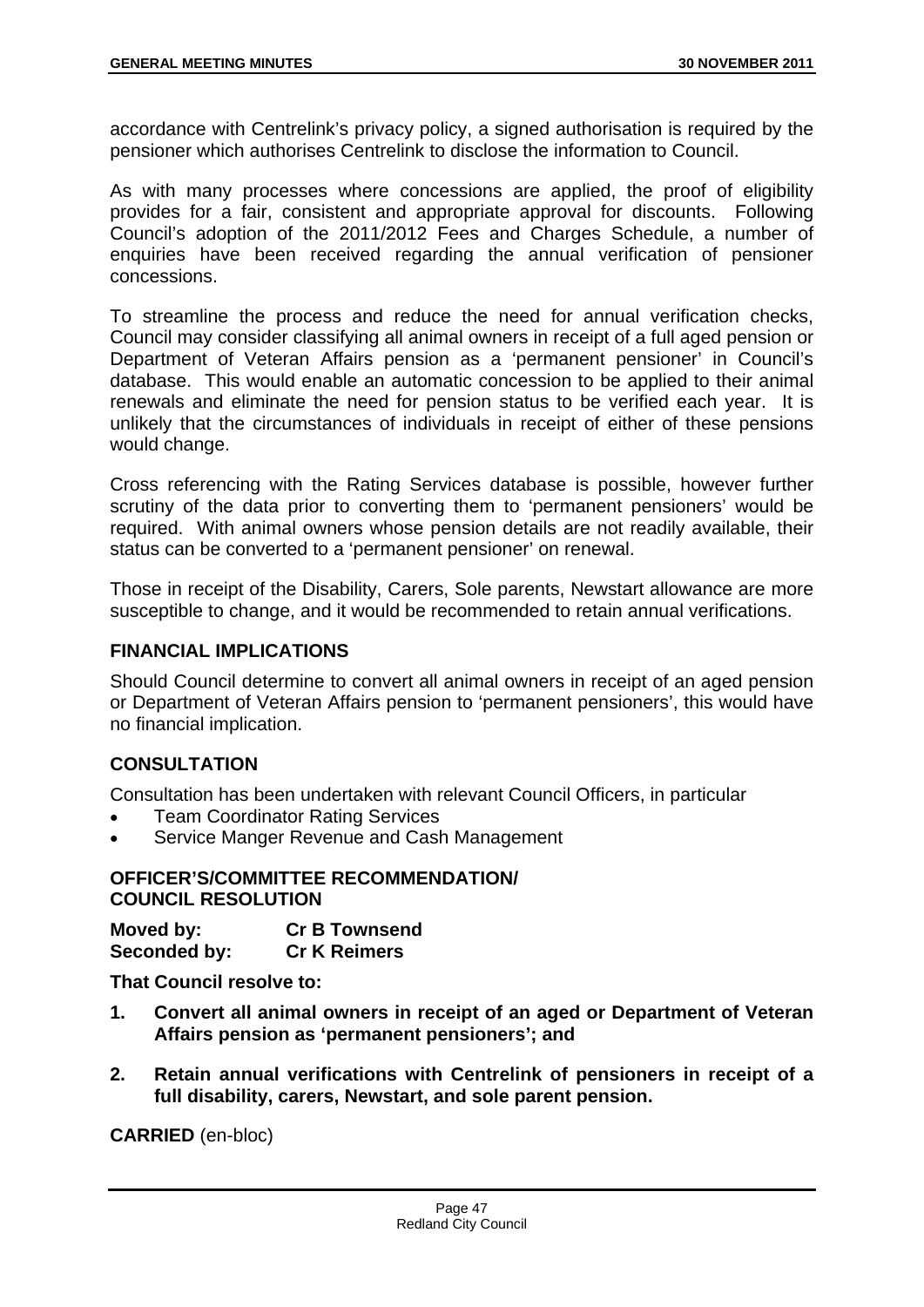accordance with Centrelink's privacy policy, a signed authorisation is required by the pensioner which authorises Centrelink to disclose the information to Council.

As with many processes where concessions are applied, the proof of eligibility provides for a fair, consistent and appropriate approval for discounts. Following Council's adoption of the 2011/2012 Fees and Charges Schedule, a number of enquiries have been received regarding the annual verification of pensioner concessions.

To streamline the process and reduce the need for annual verification checks, Council may consider classifying all animal owners in receipt of a full aged pension or Department of Veteran Affairs pension as a 'permanent pensioner' in Council's database. This would enable an automatic concession to be applied to their animal renewals and eliminate the need for pension status to be verified each year. It is unlikely that the circumstances of individuals in receipt of either of these pensions would change.

Cross referencing with the Rating Services database is possible, however further scrutiny of the data prior to converting them to 'permanent pensioners' would be required. With animal owners whose pension details are not readily available, their status can be converted to a 'permanent pensioner' on renewal.

Those in receipt of the Disability, Carers, Sole parents, Newstart allowance are more susceptible to change, and it would be recommended to retain annual verifications.

#### **FINANCIAL IMPLICATIONS**

Should Council determine to convert all animal owners in receipt of an aged pension or Department of Veteran Affairs pension to 'permanent pensioners', this would have no financial implication.

## **CONSULTATION**

Consultation has been undertaken with relevant Council Officers, in particular

- Team Coordinator Rating Services
- Service Manger Revenue and Cash Management

#### **OFFICER'S/COMMITTEE RECOMMENDATION/ COUNCIL RESOLUTION**

| Moved by:    | <b>Cr B Townsend</b> |
|--------------|----------------------|
| Seconded by: | <b>Cr K Reimers</b>  |

**That Council resolve to:** 

- **1. Convert all animal owners in receipt of an aged or Department of Veteran Affairs pension as 'permanent pensioners'; and**
- **2. Retain annual verifications with Centrelink of pensioners in receipt of a full disability, carers, Newstart, and sole parent pension.**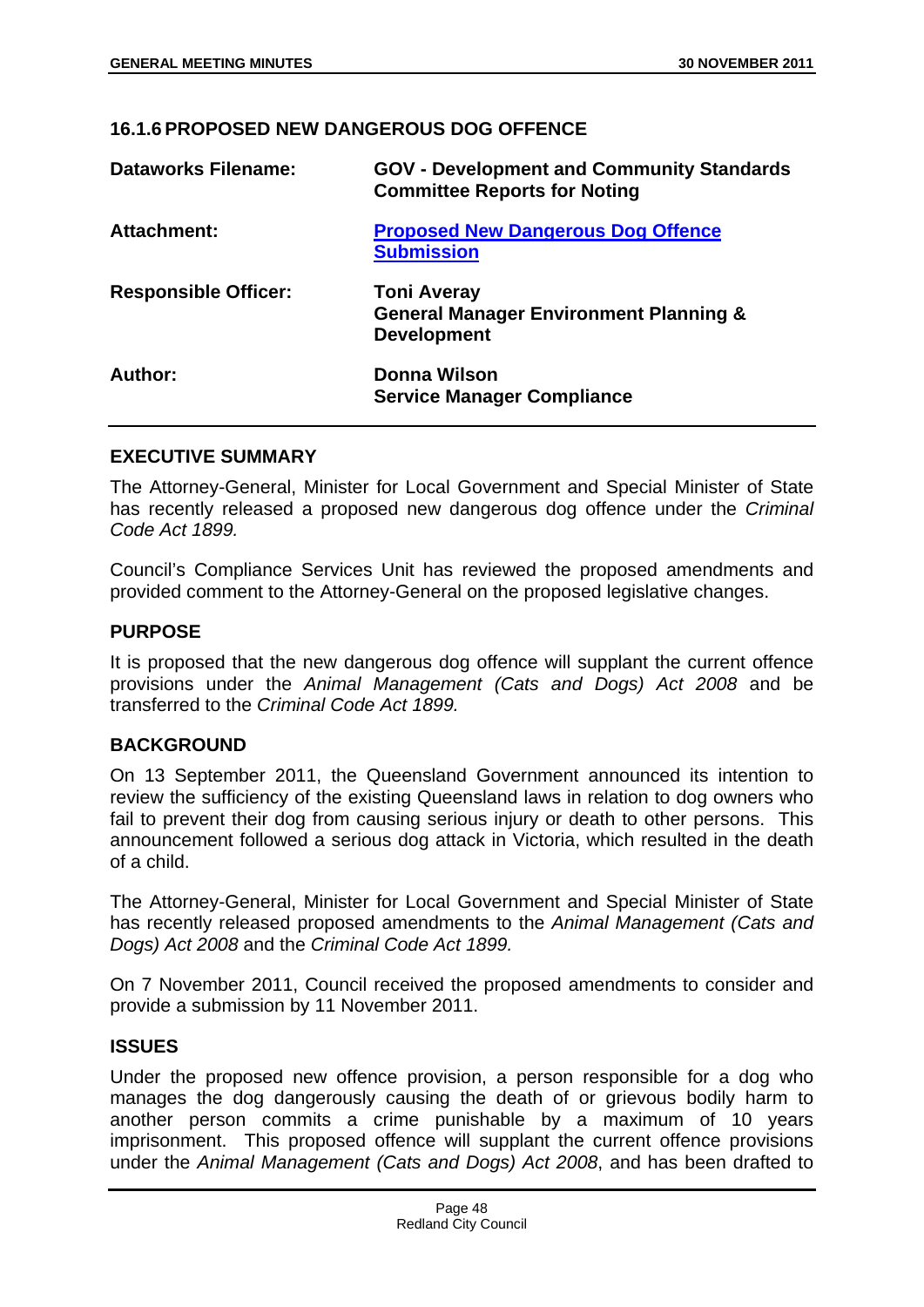## **16.1.6 PROPOSED NEW DANGEROUS DOG OFFENCE**

| <b>Dataworks Filename:</b>  | <b>GOV - Development and Community Standards</b><br><b>Committee Reports for Noting</b>       |
|-----------------------------|-----------------------------------------------------------------------------------------------|
| <b>Attachment:</b>          | <b>Proposed New Dangerous Dog Offence</b><br><b>Submission</b>                                |
| <b>Responsible Officer:</b> | <b>Toni Averay</b><br><b>General Manager Environment Planning &amp;</b><br><b>Development</b> |
| Author:                     | Donna Wilson<br><b>Service Manager Compliance</b>                                             |

#### **EXECUTIVE SUMMARY**

The Attorney-General, Minister for Local Government and Special Minister of State has recently released a proposed new dangerous dog offence under the *Criminal Code Act 1899.* 

Council's Compliance Services Unit has reviewed the proposed amendments and provided comment to the Attorney-General on the proposed legislative changes.

## **PURPOSE**

It is proposed that the new dangerous dog offence will supplant the current offence provisions under the *Animal Management (Cats and Dogs) Act 2008* and be transferred to the *Criminal Code Act 1899.* 

## **BACKGROUND**

On 13 September 2011, the Queensland Government announced its intention to review the sufficiency of the existing Queensland laws in relation to dog owners who fail to prevent their dog from causing serious injury or death to other persons. This announcement followed a serious dog attack in Victoria, which resulted in the death of a child.

The Attorney-General, Minister for Local Government and Special Minister of State has recently released proposed amendments to the *Animal Management (Cats and Dogs) Act 2008* and the *Criminal Code Act 1899.*

On 7 November 2011, Council received the proposed amendments to consider and provide a submission by 11 November 2011.

## **ISSUES**

Under the proposed new offence provision, a person responsible for a dog who manages the dog dangerously causing the death of or grievous bodily harm to another person commits a crime punishable by a maximum of 10 years imprisonment. This proposed offence will supplant the current offence provisions under the *Animal Management (Cats and Dogs) Act 2008*, and has been drafted to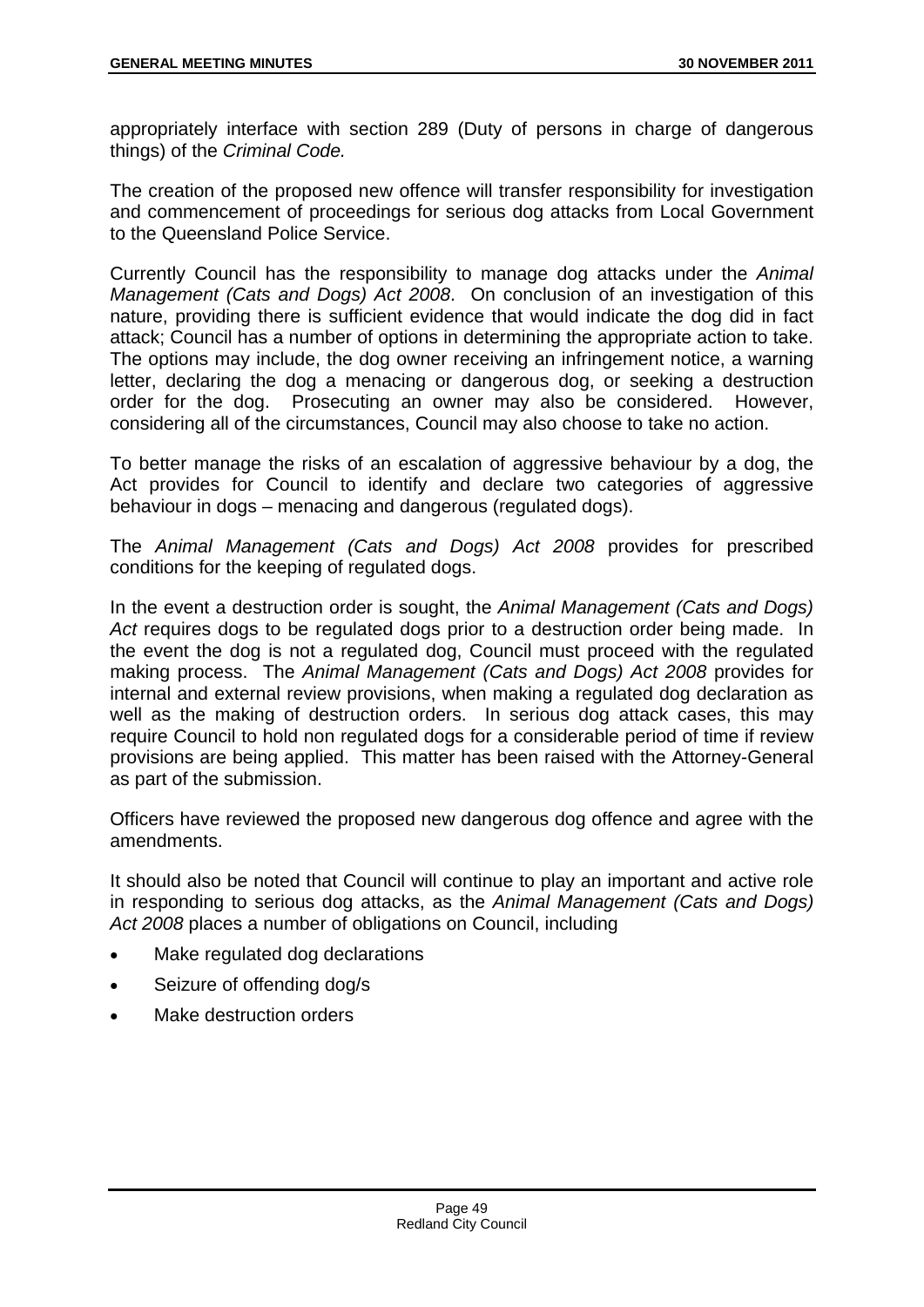appropriately interface with section 289 (Duty of persons in charge of dangerous things) of the *Criminal Code.*

The creation of the proposed new offence will transfer responsibility for investigation and commencement of proceedings for serious dog attacks from Local Government to the Queensland Police Service.

Currently Council has the responsibility to manage dog attacks under the *Animal Management (Cats and Dogs) Act 2008*. On conclusion of an investigation of this nature, providing there is sufficient evidence that would indicate the dog did in fact attack; Council has a number of options in determining the appropriate action to take. The options may include, the dog owner receiving an infringement notice, a warning letter, declaring the dog a menacing or dangerous dog, or seeking a destruction order for the dog. Prosecuting an owner may also be considered. However, considering all of the circumstances, Council may also choose to take no action.

To better manage the risks of an escalation of aggressive behaviour by a dog, the Act provides for Council to identify and declare two categories of aggressive behaviour in dogs – menacing and dangerous (regulated dogs).

The *Animal Management (Cats and Dogs) Act 2008* provides for prescribed conditions for the keeping of regulated dogs.

In the event a destruction order is sought, the *Animal Management (Cats and Dogs)*  Act requires dogs to be regulated dogs prior to a destruction order being made. In the event the dog is not a regulated dog, Council must proceed with the regulated making process. The *Animal Management (Cats and Dogs) Act 2008* provides for internal and external review provisions, when making a regulated dog declaration as well as the making of destruction orders. In serious dog attack cases, this may require Council to hold non regulated dogs for a considerable period of time if review provisions are being applied. This matter has been raised with the Attorney-General as part of the submission.

Officers have reviewed the proposed new dangerous dog offence and agree with the amendments.

It should also be noted that Council will continue to play an important and active role in responding to serious dog attacks, as the *Animal Management (Cats and Dogs) Act 2008* places a number of obligations on Council, including

- Make regulated dog declarations
- Seizure of offending dog/s
- Make destruction orders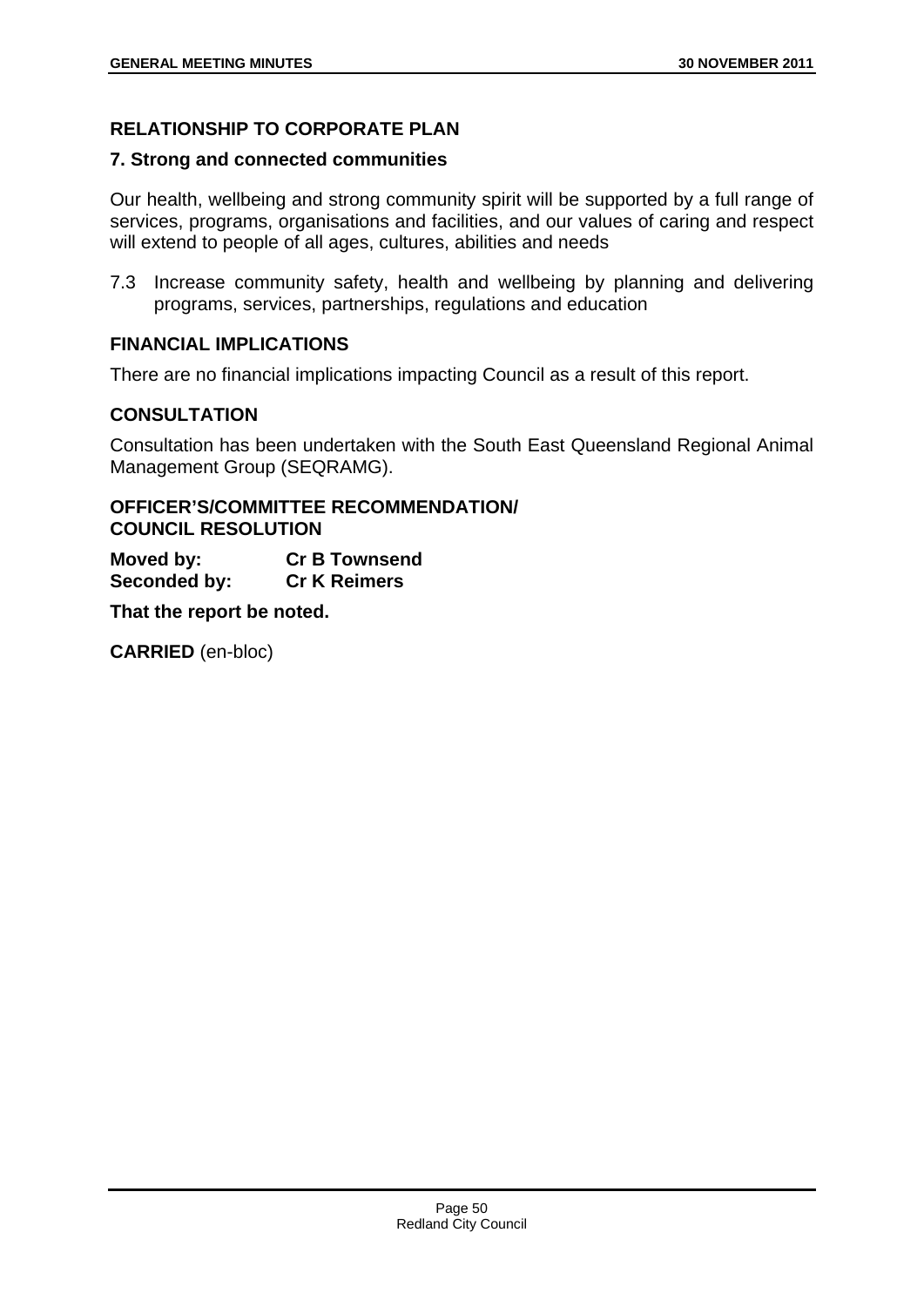# **RELATIONSHIP TO CORPORATE PLAN**

## **7. Strong and connected communities**

Our health, wellbeing and strong community spirit will be supported by a full range of services, programs, organisations and facilities, and our values of caring and respect will extend to people of all ages, cultures, abilities and needs

7.3 Increase community safety, health and wellbeing by planning and delivering programs, services, partnerships, regulations and education

# **FINANCIAL IMPLICATIONS**

There are no financial implications impacting Council as a result of this report.

# **CONSULTATION**

Consultation has been undertaken with the South East Queensland Regional Animal Management Group (SEQRAMG).

# **OFFICER'S/COMMITTEE RECOMMENDATION/ COUNCIL RESOLUTION**

**Moved by: Cr B Townsend Seconded by: Cr K Reimers** 

**That the report be noted.**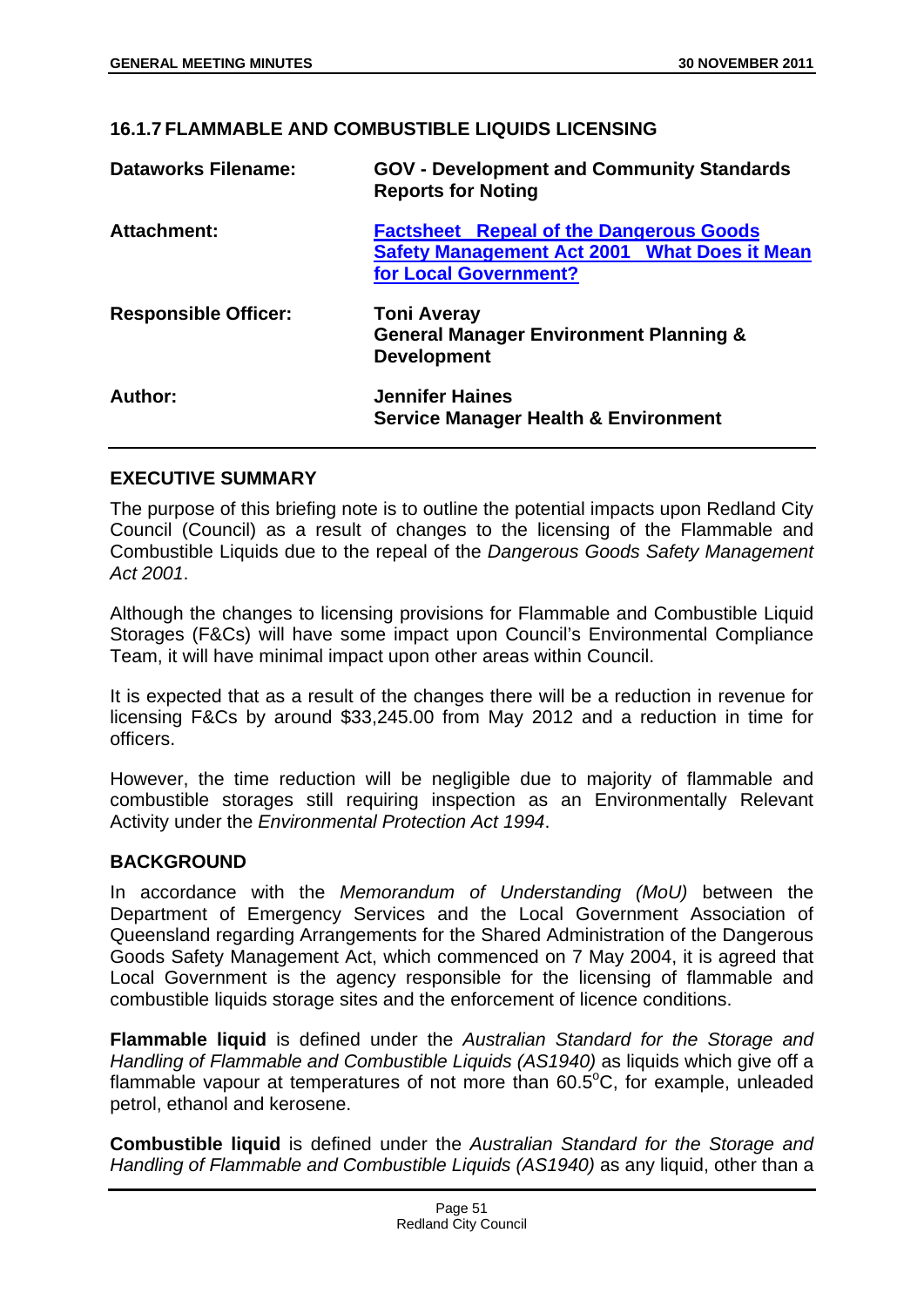## **16.1.7 FLAMMABLE AND COMBUSTIBLE LIQUIDS LICENSING**

| <b>Dataworks Filename:</b>  | <b>GOV - Development and Community Standards</b><br><b>Reports for Noting</b>                                                  |  |
|-----------------------------|--------------------------------------------------------------------------------------------------------------------------------|--|
| <b>Attachment:</b>          | <b>Factsheet Repeal of the Dangerous Goods</b><br><b>Safety Management Act 2001 What Does it Mean</b><br>for Local Government? |  |
| <b>Responsible Officer:</b> | <b>Toni Averay</b><br><b>General Manager Environment Planning &amp;</b><br><b>Development</b>                                  |  |
| Author:                     | <b>Jennifer Haines</b><br><b>Service Manager Health &amp; Environment</b>                                                      |  |

## **EXECUTIVE SUMMARY**

The purpose of this briefing note is to outline the potential impacts upon Redland City Council (Council) as a result of changes to the licensing of the Flammable and Combustible Liquids due to the repeal of the *Dangerous Goods Safety Management Act 2001*.

Although the changes to licensing provisions for Flammable and Combustible Liquid Storages (F&Cs) will have some impact upon Council's Environmental Compliance Team, it will have minimal impact upon other areas within Council.

It is expected that as a result of the changes there will be a reduction in revenue for licensing F&Cs by around \$33,245.00 from May 2012 and a reduction in time for officers.

However, the time reduction will be negligible due to majority of flammable and combustible storages still requiring inspection as an Environmentally Relevant Activity under the *Environmental Protection Act 1994*.

## **BACKGROUND**

In accordance with the *Memorandum of Understanding (MoU)* between the Department of Emergency Services and the Local Government Association of Queensland regarding Arrangements for the Shared Administration of the Dangerous Goods Safety Management Act, which commenced on 7 May 2004, it is agreed that Local Government is the agency responsible for the licensing of flammable and combustible liquids storage sites and the enforcement of licence conditions.

**Flammable liquid** is defined under the *Australian Standard for the Storage and Handling of Flammable and Combustible Liquids (AS1940)* as liquids which give off a flammable vapour at temperatures of not more than  $60.5^{\circ}$ C, for example, unleaded petrol, ethanol and kerosene.

**Combustible liquid** is defined under the *Australian Standard for the Storage and Handling of Flammable and Combustible Liquids (AS1940)* as any liquid, other than a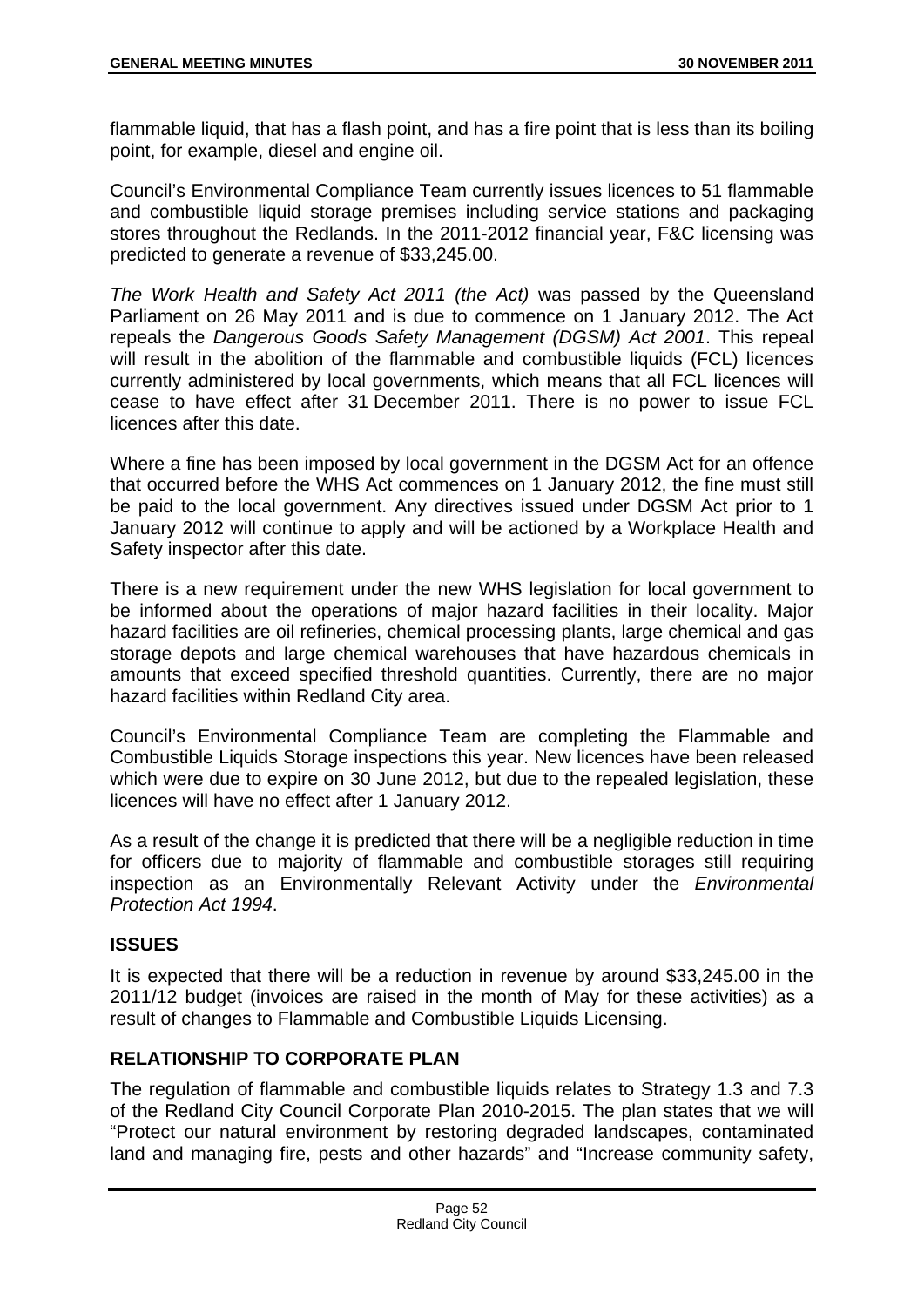flammable liquid, that has a flash point, and has a fire point that is less than its boiling point, for example, diesel and engine oil.

Council's Environmental Compliance Team currently issues licences to 51 flammable and combustible liquid storage premises including service stations and packaging stores throughout the Redlands. In the 2011-2012 financial year, F&C licensing was predicted to generate a revenue of \$33,245.00.

*The Work Health and Safety Act 2011 (the Act)* was passed by the Queensland Parliament on 26 May 2011 and is due to commence on 1 January 2012. The Act repeals the *Dangerous Goods Safety Management (DGSM) Act 2001*. This repeal will result in the abolition of the flammable and combustible liquids (FCL) licences currently administered by local governments, which means that all FCL licences will cease to have effect after 31 December 2011. There is no power to issue FCL licences after this date.

Where a fine has been imposed by local government in the DGSM Act for an offence that occurred before the WHS Act commences on 1 January 2012, the fine must still be paid to the local government. Any directives issued under DGSM Act prior to 1 January 2012 will continue to apply and will be actioned by a Workplace Health and Safety inspector after this date.

There is a new requirement under the new WHS legislation for local government to be informed about the operations of major hazard facilities in their locality. Major hazard facilities are oil refineries, chemical processing plants, large chemical and gas storage depots and large chemical warehouses that have hazardous chemicals in amounts that exceed specified threshold quantities. Currently, there are no major hazard facilities within Redland City area.

Council's Environmental Compliance Team are completing the Flammable and Combustible Liquids Storage inspections this year. New licences have been released which were due to expire on 30 June 2012, but due to the repealed legislation, these licences will have no effect after 1 January 2012.

As a result of the change it is predicted that there will be a negligible reduction in time for officers due to majority of flammable and combustible storages still requiring inspection as an Environmentally Relevant Activity under the *Environmental Protection Act 1994*.

## **ISSUES**

It is expected that there will be a reduction in revenue by around \$33,245.00 in the 2011/12 budget (invoices are raised in the month of May for these activities) as a result of changes to Flammable and Combustible Liquids Licensing.

# **RELATIONSHIP TO CORPORATE PLAN**

The regulation of flammable and combustible liquids relates to Strategy 1.3 and 7.3 of the Redland City Council Corporate Plan 2010-2015. The plan states that we will "Protect our natural environment by restoring degraded landscapes, contaminated land and managing fire, pests and other hazards" and "Increase community safety,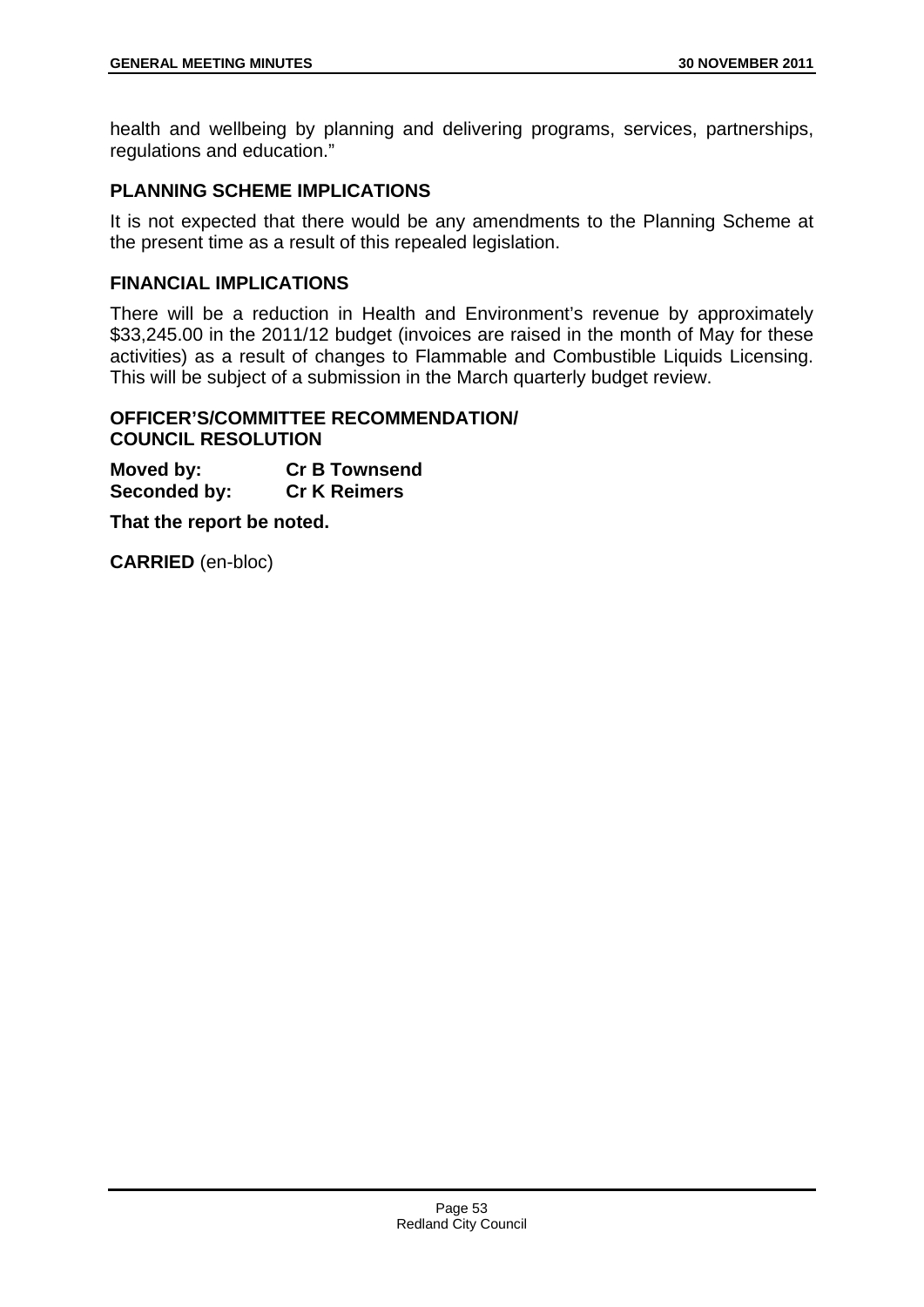health and wellbeing by planning and delivering programs, services, partnerships, regulations and education."

# **PLANNING SCHEME IMPLICATIONS**

It is not expected that there would be any amendments to the Planning Scheme at the present time as a result of this repealed legislation.

## **FINANCIAL IMPLICATIONS**

There will be a reduction in Health and Environment's revenue by approximately \$33,245.00 in the 2011/12 budget (invoices are raised in the month of May for these activities) as a result of changes to Flammable and Combustible Liquids Licensing. This will be subject of a submission in the March quarterly budget review.

## **OFFICER'S/COMMITTEE RECOMMENDATION/ COUNCIL RESOLUTION**

**Moved by: Cr B Townsend Seconded by: Cr K Reimers** 

**That the report be noted.**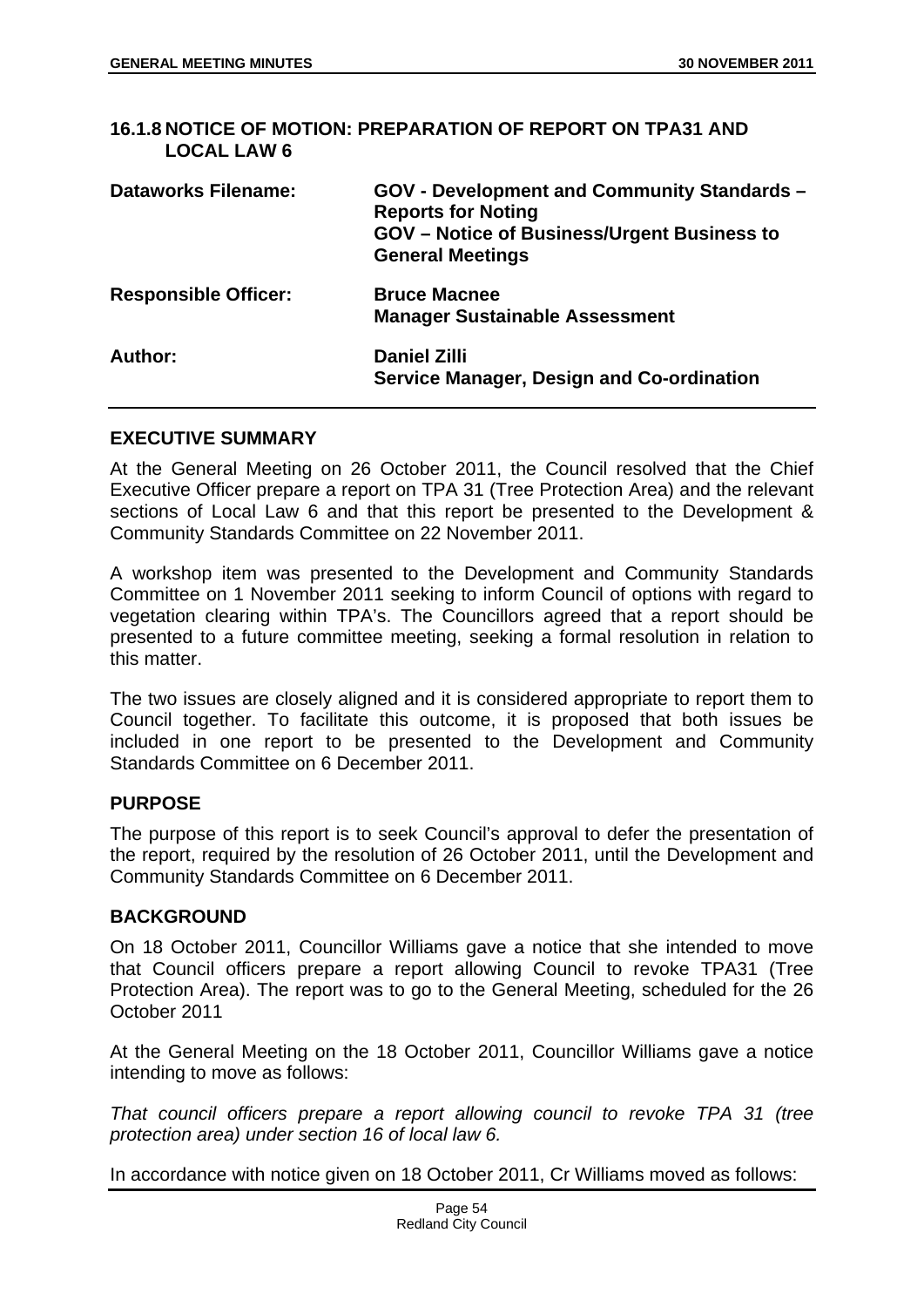## **16.1.8 NOTICE OF MOTION: PREPARATION OF REPORT ON TPA31 AND LOCAL LAW 6**

| <b>Dataworks Filename:</b>  | GOV - Development and Community Standards -<br><b>Reports for Noting</b><br><b>GOV</b> – Notice of Business/Urgent Business to<br><b>General Meetings</b> |
|-----------------------------|-----------------------------------------------------------------------------------------------------------------------------------------------------------|
| <b>Responsible Officer:</b> | <b>Bruce Macnee</b><br><b>Manager Sustainable Assessment</b>                                                                                              |
| Author:                     | <b>Daniel Zilli</b><br>Service Manager, Design and Co-ordination                                                                                          |

## **EXECUTIVE SUMMARY**

At the General Meeting on 26 October 2011, the Council resolved that the Chief Executive Officer prepare a report on TPA 31 (Tree Protection Area) and the relevant sections of Local Law 6 and that this report be presented to the Development & Community Standards Committee on 22 November 2011.

A workshop item was presented to the Development and Community Standards Committee on 1 November 2011 seeking to inform Council of options with regard to vegetation clearing within TPA's. The Councillors agreed that a report should be presented to a future committee meeting, seeking a formal resolution in relation to this matter.

The two issues are closely aligned and it is considered appropriate to report them to Council together. To facilitate this outcome, it is proposed that both issues be included in one report to be presented to the Development and Community Standards Committee on 6 December 2011.

## **PURPOSE**

The purpose of this report is to seek Council's approval to defer the presentation of the report, required by the resolution of 26 October 2011, until the Development and Community Standards Committee on 6 December 2011.

## **BACKGROUND**

On 18 October 2011, Councillor Williams gave a notice that she intended to move that Council officers prepare a report allowing Council to revoke TPA31 (Tree Protection Area). The report was to go to the General Meeting, scheduled for the 26 October 2011

At the General Meeting on the 18 October 2011, Councillor Williams gave a notice intending to move as follows:

*That council officers prepare a report allowing council to revoke TPA 31 (tree protection area) under section 16 of local law 6.* 

In accordance with notice given on 18 October 2011, Cr Williams moved as follows: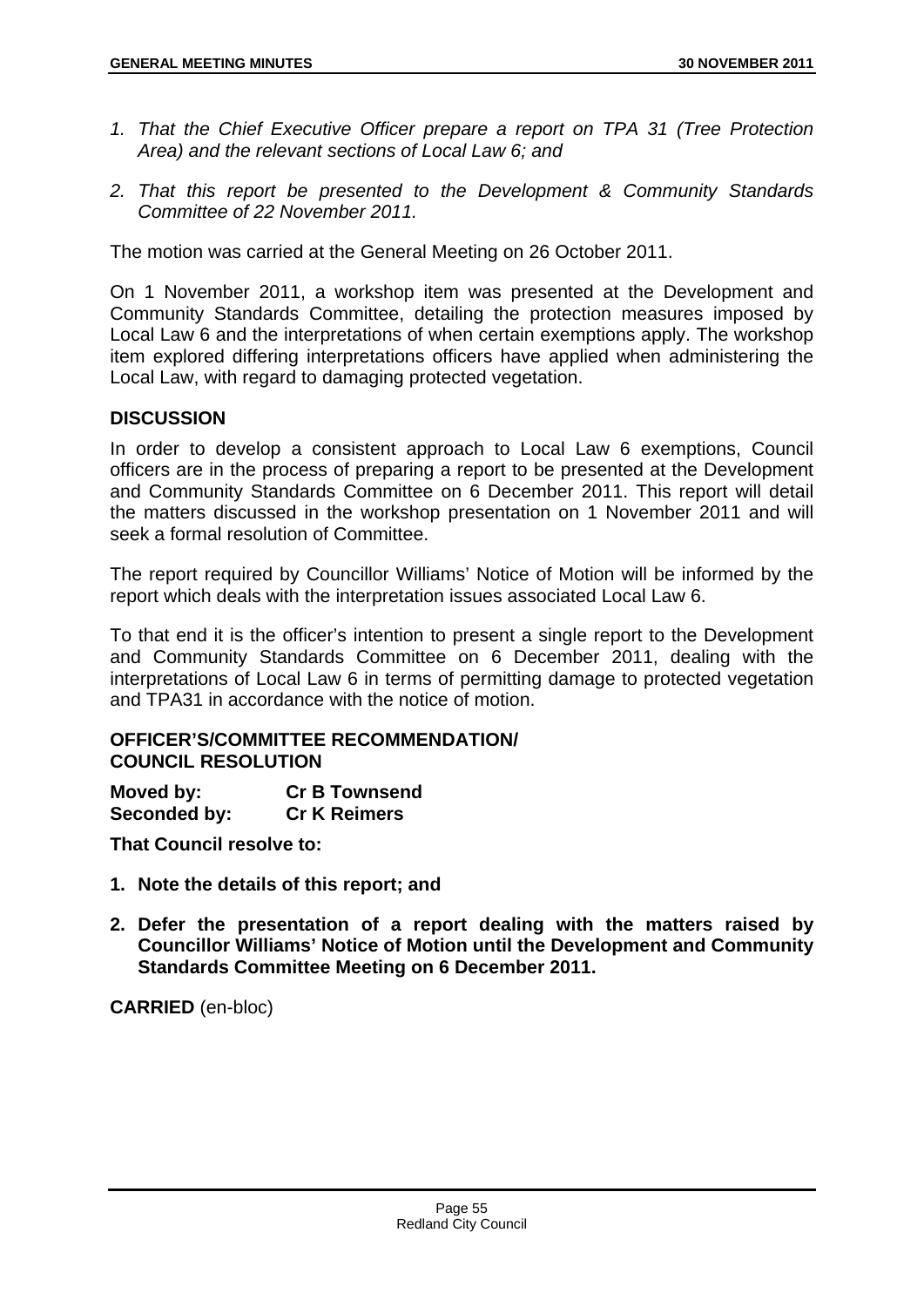- *1. That the Chief Executive Officer prepare a report on TPA 31 (Tree Protection Area) and the relevant sections of Local Law 6; and*
- *2. That this report be presented to the Development & Community Standards Committee of 22 November 2011.*

The motion was carried at the General Meeting on 26 October 2011.

On 1 November 2011, a workshop item was presented at the Development and Community Standards Committee, detailing the protection measures imposed by Local Law 6 and the interpretations of when certain exemptions apply. The workshop item explored differing interpretations officers have applied when administering the Local Law, with regard to damaging protected vegetation.

## **DISCUSSION**

In order to develop a consistent approach to Local Law 6 exemptions, Council officers are in the process of preparing a report to be presented at the Development and Community Standards Committee on 6 December 2011. This report will detail the matters discussed in the workshop presentation on 1 November 2011 and will seek a formal resolution of Committee.

The report required by Councillor Williams' Notice of Motion will be informed by the report which deals with the interpretation issues associated Local Law 6.

To that end it is the officer's intention to present a single report to the Development and Community Standards Committee on 6 December 2011, dealing with the interpretations of Local Law 6 in terms of permitting damage to protected vegetation and TPA31 in accordance with the notice of motion.

#### **OFFICER'S/COMMITTEE RECOMMENDATION/ COUNCIL RESOLUTION**

| Moved by:    | <b>Cr B Townsend</b> |
|--------------|----------------------|
| Seconded by: | <b>Cr K Reimers</b>  |

**That Council resolve to:** 

- **1. Note the details of this report; and**
- **2. Defer the presentation of a report dealing with the matters raised by Councillor Williams' Notice of Motion until the Development and Community Standards Committee Meeting on 6 December 2011.**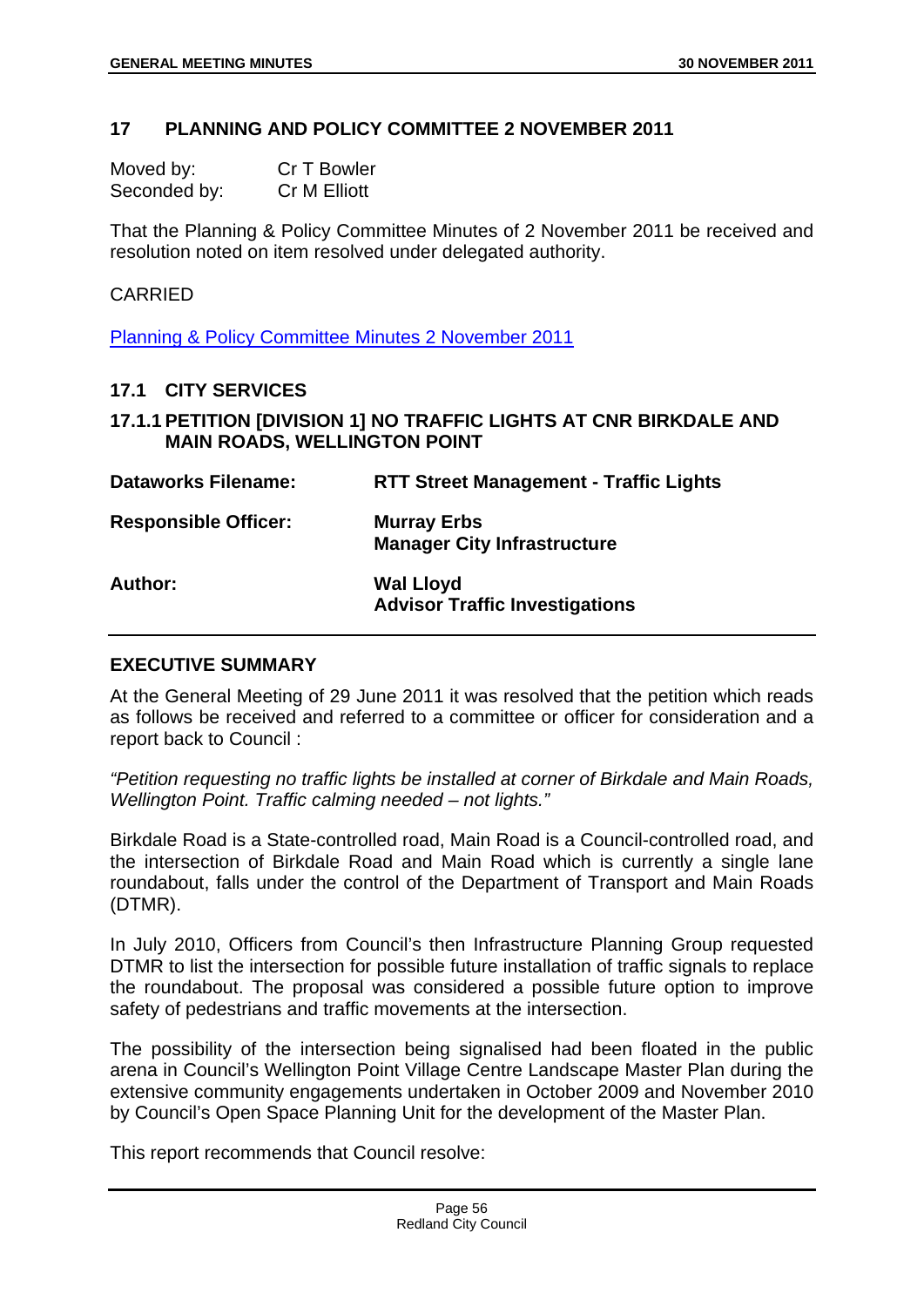#### **17 PLANNING AND POLICY COMMITTEE 2 NOVEMBER 2011**

| Moved by:    | Cr T Bowler  |
|--------------|--------------|
| Seconded by: | Cr M Elliott |

That the Planning & Policy Committee Minutes of 2 November 2011 be received and resolution noted on item resolved under delegated authority.

#### CARRIED

Planning & Policy Committee Minutes 2 November 2011

#### **17.1 CITY SERVICES**

## **17.1.1 PETITION [DIVISION 1] NO TRAFFIC LIGHTS AT CNR BIRKDALE AND MAIN ROADS, WELLINGTON POINT**

| <b>Dataworks Filename:</b>  | <b>RTT Street Management - Traffic Lights</b>             |
|-----------------------------|-----------------------------------------------------------|
| <b>Responsible Officer:</b> | <b>Murray Erbs</b><br><b>Manager City Infrastructure</b>  |
| <b>Author:</b>              | <b>Wal Lloyd</b><br><b>Advisor Traffic Investigations</b> |

## **EXECUTIVE SUMMARY**

At the General Meeting of 29 June 2011 it was resolved that the petition which reads as follows be received and referred to a committee or officer for consideration and a report back to Council :

*"Petition requesting no traffic lights be installed at corner of Birkdale and Main Roads, Wellington Point. Traffic calming needed – not lights."* 

Birkdale Road is a State-controlled road, Main Road is a Council-controlled road, and the intersection of Birkdale Road and Main Road which is currently a single lane roundabout, falls under the control of the Department of Transport and Main Roads (DTMR).

In July 2010, Officers from Council's then Infrastructure Planning Group requested DTMR to list the intersection for possible future installation of traffic signals to replace the roundabout. The proposal was considered a possible future option to improve safety of pedestrians and traffic movements at the intersection.

The possibility of the intersection being signalised had been floated in the public arena in Council's Wellington Point Village Centre Landscape Master Plan during the extensive community engagements undertaken in October 2009 and November 2010 by Council's Open Space Planning Unit for the development of the Master Plan.

This report recommends that Council resolve: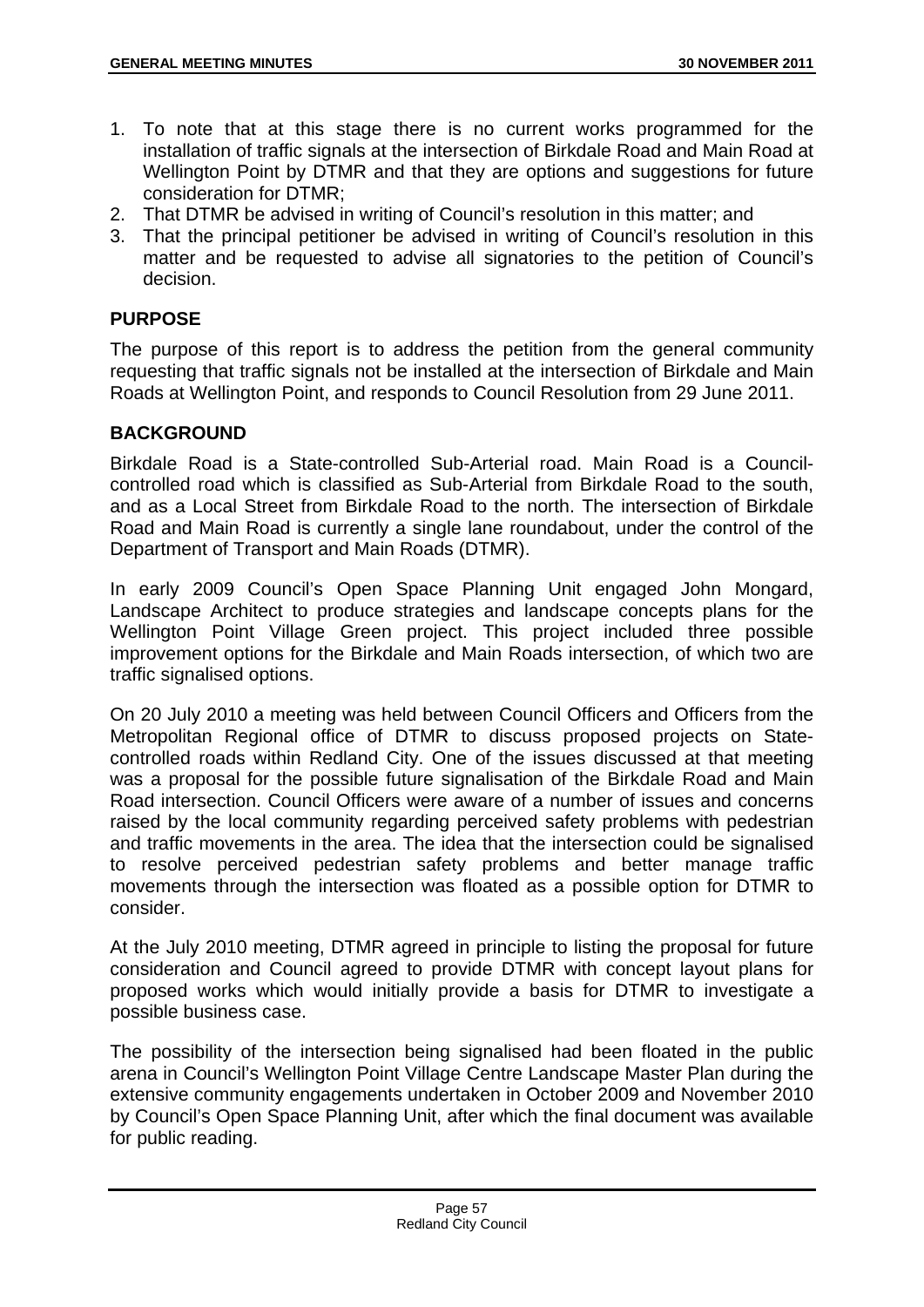- 1. To note that at this stage there is no current works programmed for the installation of traffic signals at the intersection of Birkdale Road and Main Road at Wellington Point by DTMR and that they are options and suggestions for future consideration for DTMR;
- 2. That DTMR be advised in writing of Council's resolution in this matter; and
- 3. That the principal petitioner be advised in writing of Council's resolution in this matter and be requested to advise all signatories to the petition of Council's decision.

## **PURPOSE**

The purpose of this report is to address the petition from the general community requesting that traffic signals not be installed at the intersection of Birkdale and Main Roads at Wellington Point, and responds to Council Resolution from 29 June 2011.

## **BACKGROUND**

Birkdale Road is a State-controlled Sub-Arterial road. Main Road is a Councilcontrolled road which is classified as Sub-Arterial from Birkdale Road to the south, and as a Local Street from Birkdale Road to the north. The intersection of Birkdale Road and Main Road is currently a single lane roundabout, under the control of the Department of Transport and Main Roads (DTMR).

In early 2009 Council's Open Space Planning Unit engaged John Mongard, Landscape Architect to produce strategies and landscape concepts plans for the Wellington Point Village Green project. This project included three possible improvement options for the Birkdale and Main Roads intersection, of which two are traffic signalised options.

On 20 July 2010 a meeting was held between Council Officers and Officers from the Metropolitan Regional office of DTMR to discuss proposed projects on Statecontrolled roads within Redland City. One of the issues discussed at that meeting was a proposal for the possible future signalisation of the Birkdale Road and Main Road intersection. Council Officers were aware of a number of issues and concerns raised by the local community regarding perceived safety problems with pedestrian and traffic movements in the area. The idea that the intersection could be signalised to resolve perceived pedestrian safety problems and better manage traffic movements through the intersection was floated as a possible option for DTMR to consider.

At the July 2010 meeting, DTMR agreed in principle to listing the proposal for future consideration and Council agreed to provide DTMR with concept layout plans for proposed works which would initially provide a basis for DTMR to investigate a possible business case.

The possibility of the intersection being signalised had been floated in the public arena in Council's Wellington Point Village Centre Landscape Master Plan during the extensive community engagements undertaken in October 2009 and November 2010 by Council's Open Space Planning Unit, after which the final document was available for public reading.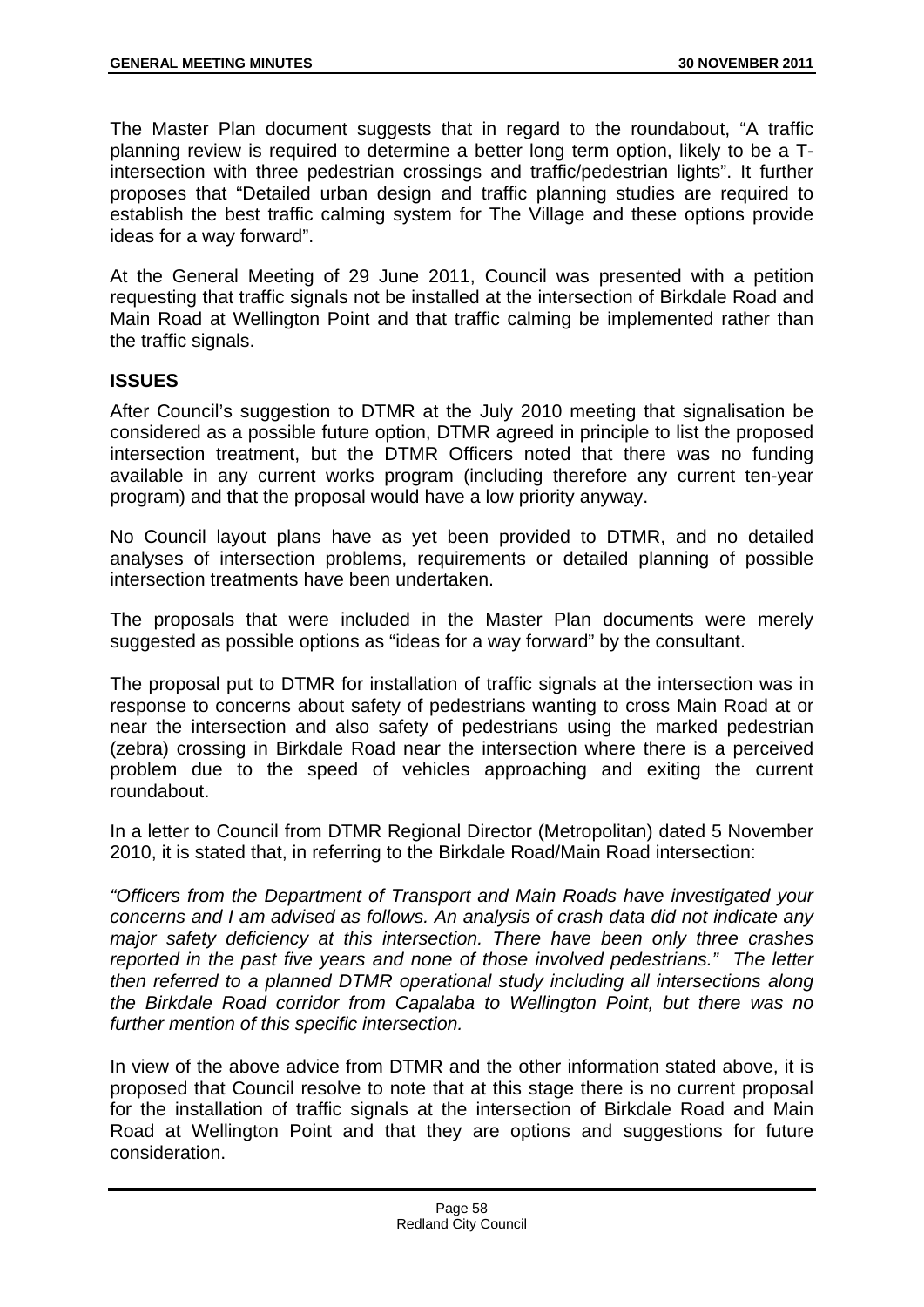The Master Plan document suggests that in regard to the roundabout, "A traffic planning review is required to determine a better long term option, likely to be a Tintersection with three pedestrian crossings and traffic/pedestrian lights". It further proposes that "Detailed urban design and traffic planning studies are required to establish the best traffic calming system for The Village and these options provide ideas for a way forward".

At the General Meeting of 29 June 2011, Council was presented with a petition requesting that traffic signals not be installed at the intersection of Birkdale Road and Main Road at Wellington Point and that traffic calming be implemented rather than the traffic signals.

# **ISSUES**

After Council's suggestion to DTMR at the July 2010 meeting that signalisation be considered as a possible future option, DTMR agreed in principle to list the proposed intersection treatment, but the DTMR Officers noted that there was no funding available in any current works program (including therefore any current ten-year program) and that the proposal would have a low priority anyway.

No Council layout plans have as yet been provided to DTMR, and no detailed analyses of intersection problems, requirements or detailed planning of possible intersection treatments have been undertaken.

The proposals that were included in the Master Plan documents were merely suggested as possible options as "ideas for a way forward" by the consultant.

The proposal put to DTMR for installation of traffic signals at the intersection was in response to concerns about safety of pedestrians wanting to cross Main Road at or near the intersection and also safety of pedestrians using the marked pedestrian (zebra) crossing in Birkdale Road near the intersection where there is a perceived problem due to the speed of vehicles approaching and exiting the current roundabout.

In a letter to Council from DTMR Regional Director (Metropolitan) dated 5 November 2010, it is stated that, in referring to the Birkdale Road/Main Road intersection:

*"Officers from the Department of Transport and Main Roads have investigated your concerns and I am advised as follows. An analysis of crash data did not indicate any major safety deficiency at this intersection. There have been only three crashes reported in the past five years and none of those involved pedestrians." The letter then referred to a planned DTMR operational study including all intersections along the Birkdale Road corridor from Capalaba to Wellington Point, but there was no further mention of this specific intersection.* 

In view of the above advice from DTMR and the other information stated above, it is proposed that Council resolve to note that at this stage there is no current proposal for the installation of traffic signals at the intersection of Birkdale Road and Main Road at Wellington Point and that they are options and suggestions for future consideration.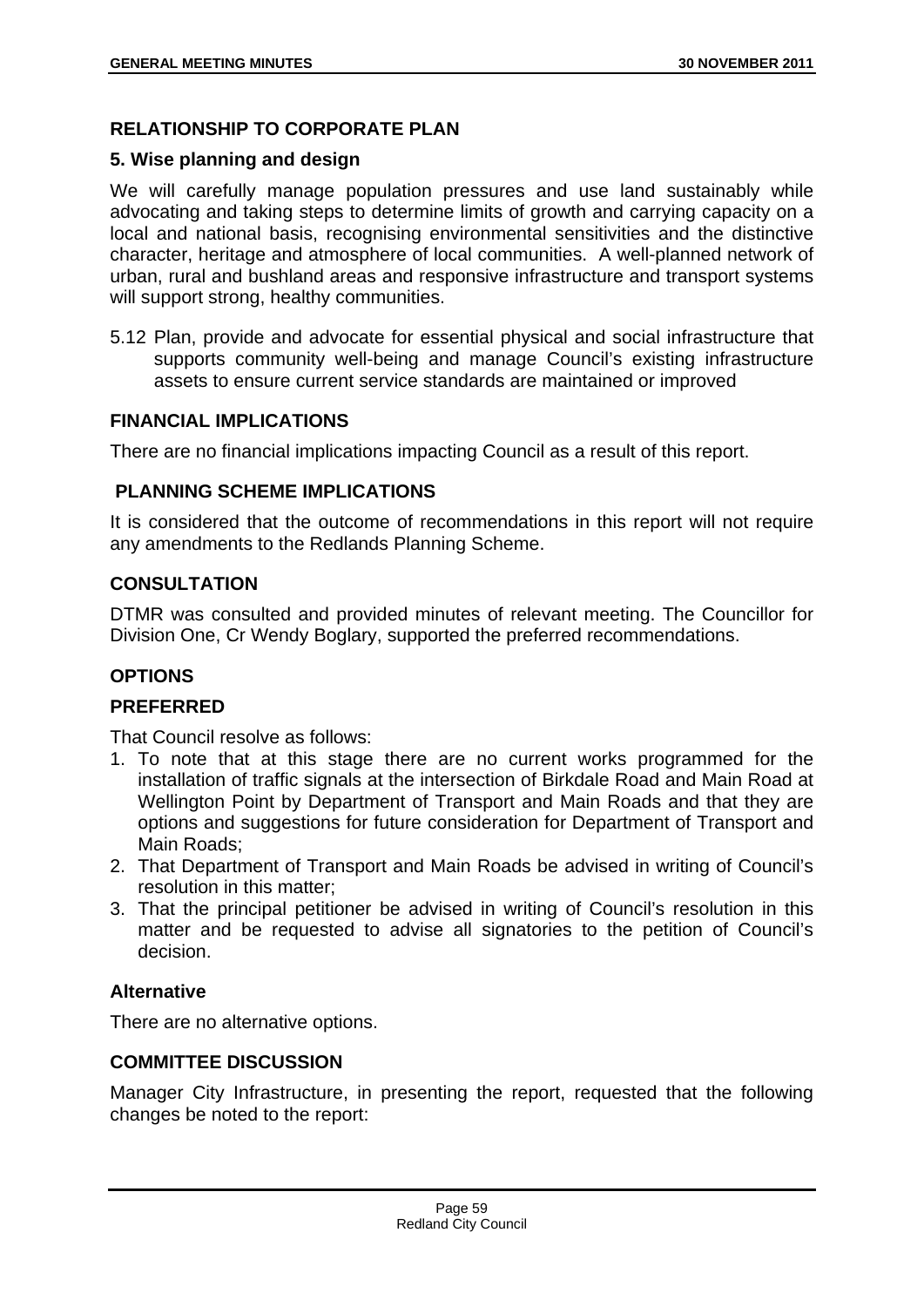# **RELATIONSHIP TO CORPORATE PLAN**

# **5. Wise planning and design**

We will carefully manage population pressures and use land sustainably while advocating and taking steps to determine limits of growth and carrying capacity on a local and national basis, recognising environmental sensitivities and the distinctive character, heritage and atmosphere of local communities. A well-planned network of urban, rural and bushland areas and responsive infrastructure and transport systems will support strong, healthy communities.

5.12 Plan, provide and advocate for essential physical and social infrastructure that supports community well-being and manage Council's existing infrastructure assets to ensure current service standards are maintained or improved

# **FINANCIAL IMPLICATIONS**

There are no financial implications impacting Council as a result of this report.

# **PLANNING SCHEME IMPLICATIONS**

It is considered that the outcome of recommendations in this report will not require any amendments to the Redlands Planning Scheme.

# **CONSULTATION**

DTMR was consulted and provided minutes of relevant meeting. The Councillor for Division One, Cr Wendy Boglary, supported the preferred recommendations.

# **OPTIONS**

# **PREFERRED**

That Council resolve as follows:

- 1. To note that at this stage there are no current works programmed for the installation of traffic signals at the intersection of Birkdale Road and Main Road at Wellington Point by Department of Transport and Main Roads and that they are options and suggestions for future consideration for Department of Transport and Main Roads;
- 2. That Department of Transport and Main Roads be advised in writing of Council's resolution in this matter;
- 3. That the principal petitioner be advised in writing of Council's resolution in this matter and be requested to advise all signatories to the petition of Council's decision.

# **Alternative**

There are no alternative options.

# **COMMITTEE DISCUSSION**

Manager City Infrastructure, in presenting the report, requested that the following changes be noted to the report: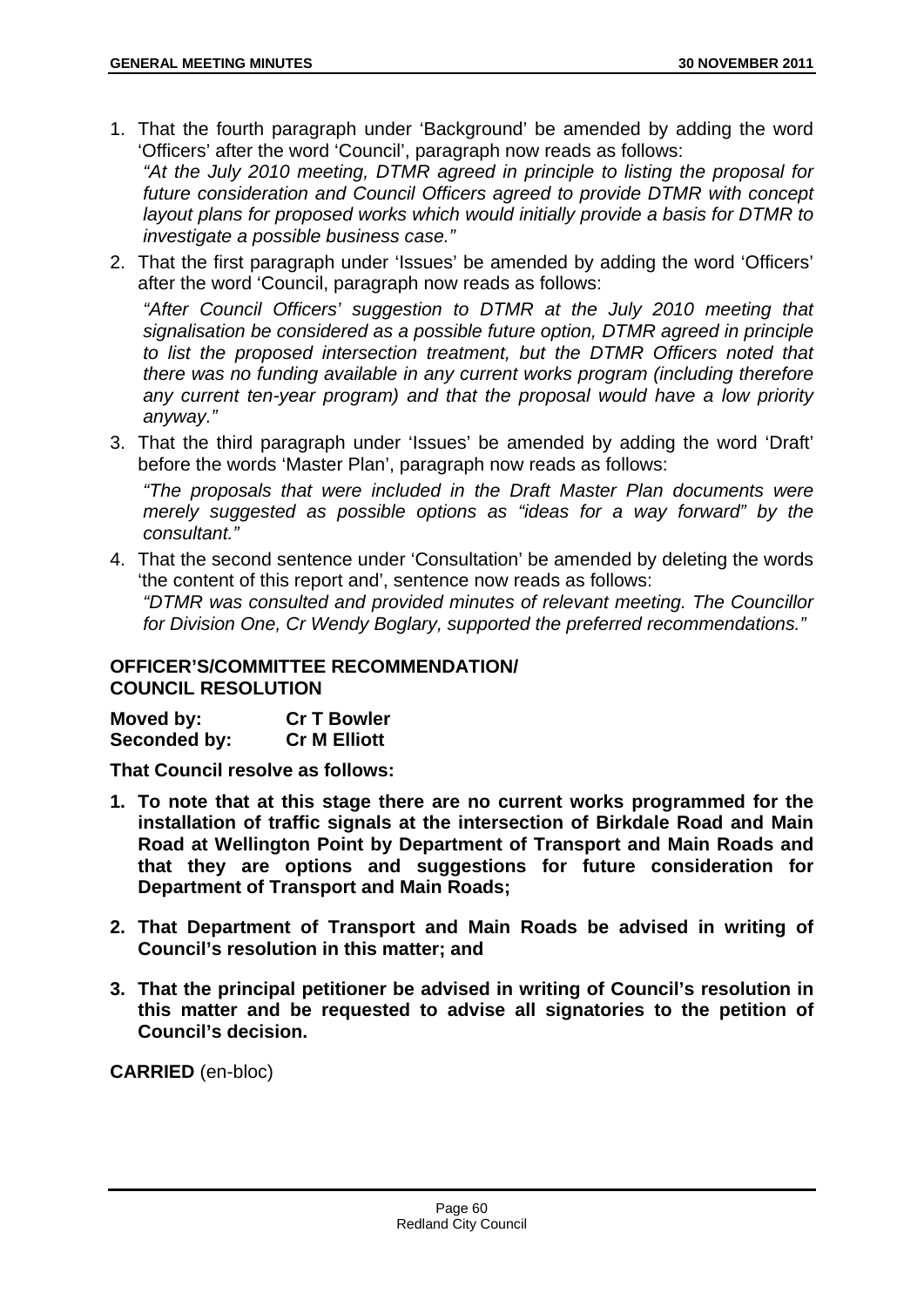- 1. That the fourth paragraph under 'Background' be amended by adding the word 'Officers' after the word 'Council', paragraph now reads as follows: *"At the July 2010 meeting, DTMR agreed in principle to listing the proposal for future consideration and Council Officers agreed to provide DTMR with concept layout plans for proposed works which would initially provide a basis for DTMR to investigate a possible business case."*
- 2. That the first paragraph under 'Issues' be amended by adding the word 'Officers' after the word 'Council, paragraph now reads as follows:

*"After Council Officers' suggestion to DTMR at the July 2010 meeting that signalisation be considered as a possible future option, DTMR agreed in principle to list the proposed intersection treatment, but the DTMR Officers noted that there was no funding available in any current works program (including therefore any current ten-year program) and that the proposal would have a low priority anyway."* 

3. That the third paragraph under 'Issues' be amended by adding the word 'Draft' before the words 'Master Plan', paragraph now reads as follows:

*"The proposals that were included in the Draft Master Plan documents were merely suggested as possible options as "ideas for a way forward" by the consultant."* 

4. That the second sentence under 'Consultation' be amended by deleting the words 'the content of this report and', sentence now reads as follows: *"DTMR was consulted and provided minutes of relevant meeting. The Councillor for Division One, Cr Wendy Boglary, supported the preferred recommendations."* 

## **OFFICER'S/COMMITTEE RECOMMENDATION/ COUNCIL RESOLUTION**

| Moved by:    | <b>Cr T Bowler</b>  |
|--------------|---------------------|
| Seconded by: | <b>Cr M Elliott</b> |

**That Council resolve as follows:** 

- **1. To note that at this stage there are no current works programmed for the installation of traffic signals at the intersection of Birkdale Road and Main Road at Wellington Point by Department of Transport and Main Roads and that they are options and suggestions for future consideration for Department of Transport and Main Roads;**
- **2. That Department of Transport and Main Roads be advised in writing of Council's resolution in this matter; and**
- **3. That the principal petitioner be advised in writing of Council's resolution in this matter and be requested to advise all signatories to the petition of Council's decision.**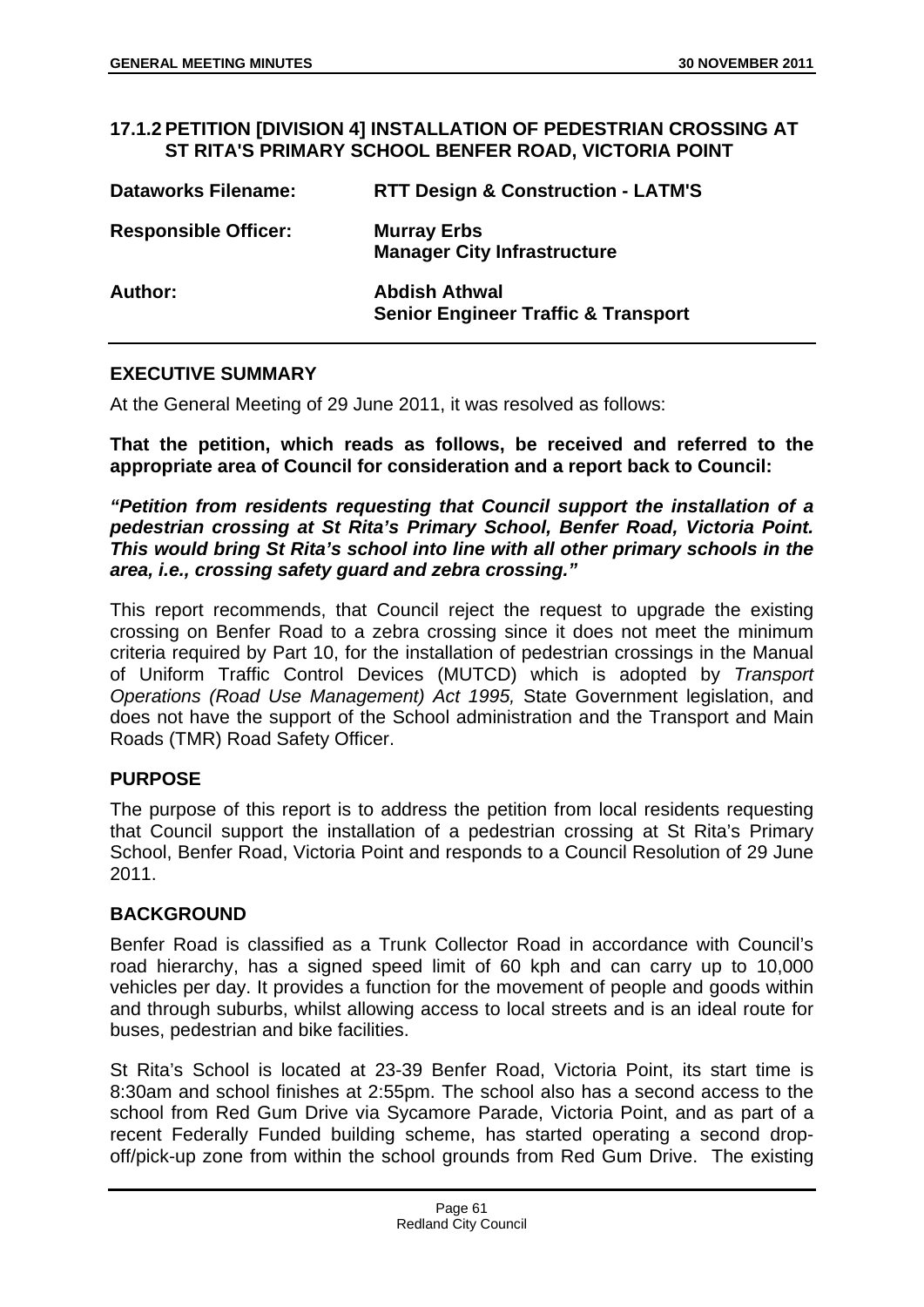#### **17.1.2 PETITION [DIVISION 4] INSTALLATION OF PEDESTRIAN CROSSING AT ST RITA'S PRIMARY SCHOOL BENFER ROAD, VICTORIA POINT**

| <b>Dataworks Filename:</b>  | <b>RTT Design &amp; Construction - LATM'S</b>                          |
|-----------------------------|------------------------------------------------------------------------|
| <b>Responsible Officer:</b> | <b>Murray Erbs</b><br><b>Manager City Infrastructure</b>               |
| Author:                     | <b>Abdish Athwal</b><br><b>Senior Engineer Traffic &amp; Transport</b> |

# **EXECUTIVE SUMMARY**

At the General Meeting of 29 June 2011, it was resolved as follows:

**That the petition, which reads as follows, be received and referred to the appropriate area of Council for consideration and a report back to Council:** 

*"Petition from residents requesting that Council support the installation of a pedestrian crossing at St Rita's Primary School, Benfer Road, Victoria Point. This would bring St Rita's school into line with all other primary schools in the area, i.e., crossing safety guard and zebra crossing."*

This report recommends, that Council reject the request to upgrade the existing crossing on Benfer Road to a zebra crossing since it does not meet the minimum criteria required by Part 10, for the installation of pedestrian crossings in the Manual of Uniform Traffic Control Devices (MUTCD) which is adopted by *Transport Operations (Road Use Management) Act 1995,* State Government legislation, and does not have the support of the School administration and the Transport and Main Roads (TMR) Road Safety Officer.

## **PURPOSE**

The purpose of this report is to address the petition from local residents requesting that Council support the installation of a pedestrian crossing at St Rita's Primary School, Benfer Road, Victoria Point and responds to a Council Resolution of 29 June 2011.

## **BACKGROUND**

Benfer Road is classified as a Trunk Collector Road in accordance with Council's road hierarchy, has a signed speed limit of 60 kph and can carry up to 10,000 vehicles per day. It provides a function for the movement of people and goods within and through suburbs, whilst allowing access to local streets and is an ideal route for buses, pedestrian and bike facilities.

St Rita's School is located at 23-39 Benfer Road, Victoria Point, its start time is 8:30am and school finishes at 2:55pm. The school also has a second access to the school from Red Gum Drive via Sycamore Parade, Victoria Point, and as part of a recent Federally Funded building scheme, has started operating a second dropoff/pick-up zone from within the school grounds from Red Gum Drive. The existing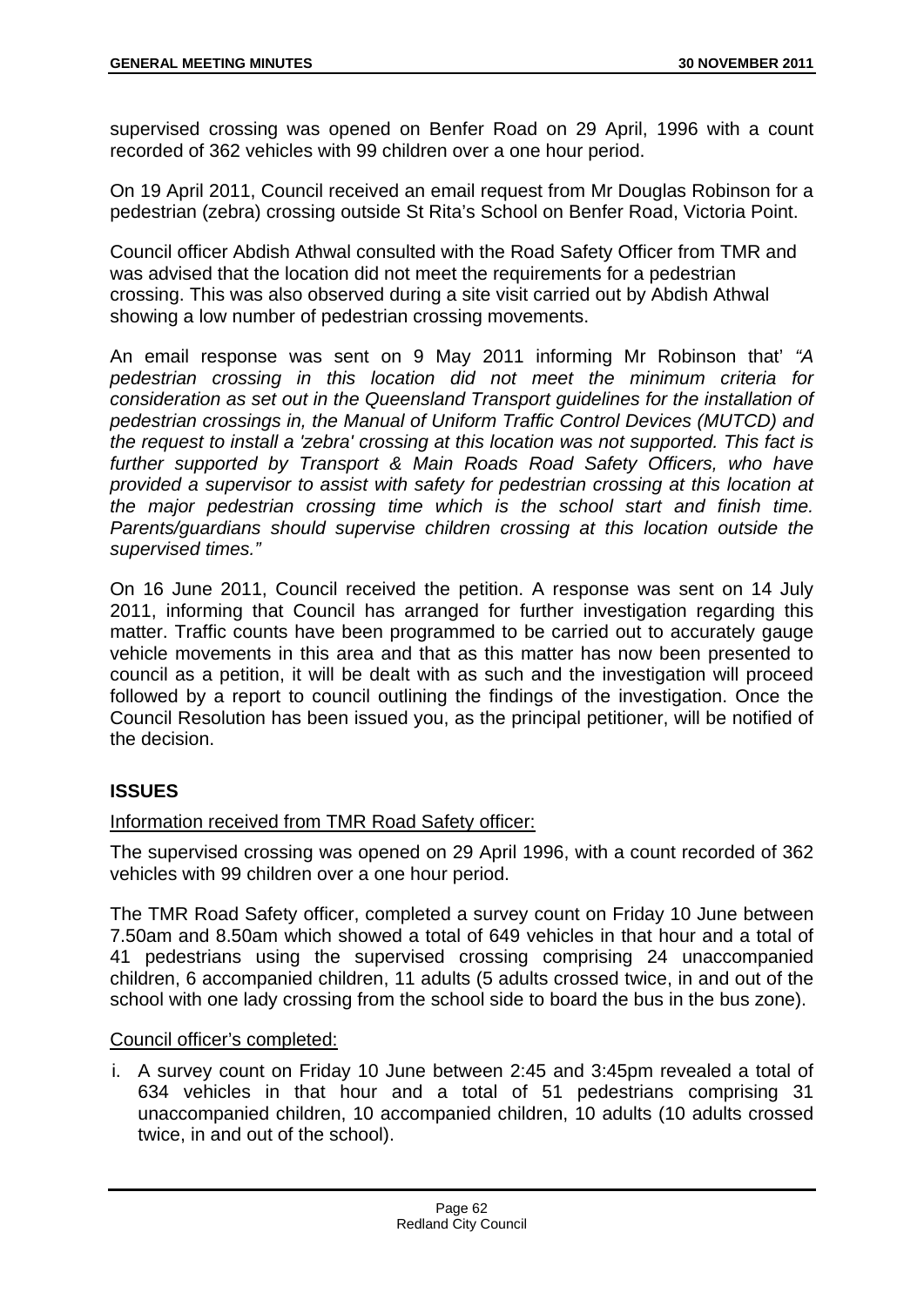supervised crossing was opened on Benfer Road on 29 April, 1996 with a count recorded of 362 vehicles with 99 children over a one hour period.

On 19 April 2011, Council received an email request from Mr Douglas Robinson for a pedestrian (zebra) crossing outside St Rita's School on Benfer Road, Victoria Point.

Council officer Abdish Athwal consulted with the Road Safety Officer from TMR and was advised that the location did not meet the requirements for a pedestrian crossing. This was also observed during a site visit carried out by Abdish Athwal showing a low number of pedestrian crossing movements.

An email response was sent on 9 May 2011 informing Mr Robinson that' *"A pedestrian crossing in this location did not meet the minimum criteria for consideration as set out in the Queensland Transport guidelines for the installation of pedestrian crossings in, the Manual of Uniform Traffic Control Devices (MUTCD) and the request to install a 'zebra' crossing at this location was not supported. This fact is further supported by Transport & Main Roads Road Safety Officers, who have provided a supervisor to assist with safety for pedestrian crossing at this location at the major pedestrian crossing time which is the school start and finish time. Parents/guardians should supervise children crossing at this location outside the supervised times."*

On 16 June 2011, Council received the petition. A response was sent on 14 July 2011, informing that Council has arranged for further investigation regarding this matter. Traffic counts have been programmed to be carried out to accurately gauge vehicle movements in this area and that as this matter has now been presented to council as a petition, it will be dealt with as such and the investigation will proceed followed by a report to council outlining the findings of the investigation. Once the Council Resolution has been issued you, as the principal petitioner, will be notified of the decision.

# **ISSUES**

## Information received from TMR Road Safety officer:

The supervised crossing was opened on 29 April 1996, with a count recorded of 362 vehicles with 99 children over a one hour period.

The TMR Road Safety officer, completed a survey count on Friday 10 June between 7.50am and 8.50am which showed a total of 649 vehicles in that hour and a total of 41 pedestrians using the supervised crossing comprising 24 unaccompanied children, 6 accompanied children, 11 adults (5 adults crossed twice, in and out of the school with one lady crossing from the school side to board the bus in the bus zone).

## Council officer's completed:

i. A survey count on Friday 10 June between 2:45 and 3:45pm revealed a total of 634 vehicles in that hour and a total of 51 pedestrians comprising 31 unaccompanied children, 10 accompanied children, 10 adults (10 adults crossed twice, in and out of the school).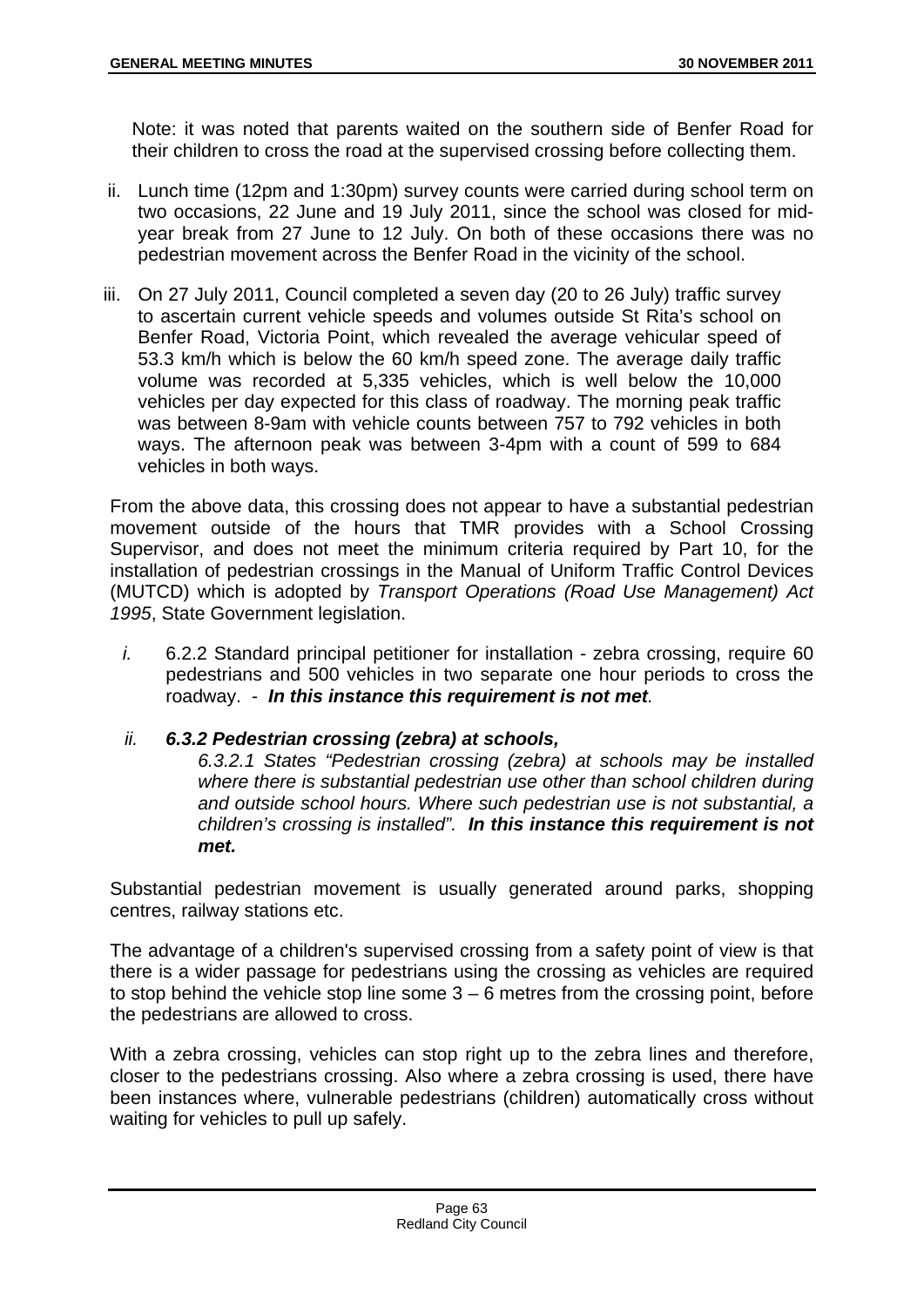Note: it was noted that parents waited on the southern side of Benfer Road for their children to cross the road at the supervised crossing before collecting them.

- ii. Lunch time (12pm and 1:30pm) survey counts were carried during school term on two occasions, 22 June and 19 July 2011, since the school was closed for midyear break from 27 June to 12 July. On both of these occasions there was no pedestrian movement across the Benfer Road in the vicinity of the school.
- iii. On 27 July 2011, Council completed a seven day (20 to 26 July) traffic survey to ascertain current vehicle speeds and volumes outside St Rita's school on Benfer Road, Victoria Point, which revealed the average vehicular speed of 53.3 km/h which is below the 60 km/h speed zone. The average daily traffic volume was recorded at 5,335 vehicles, which is well below the 10,000 vehicles per day expected for this class of roadway. The morning peak traffic was between 8-9am with vehicle counts between 757 to 792 vehicles in both ways. The afternoon peak was between 3-4pm with a count of 599 to 684 vehicles in both ways.

From the above data, this crossing does not appear to have a substantial pedestrian movement outside of the hours that TMR provides with a School Crossing Supervisor, and does not meet the minimum criteria required by Part 10, for the installation of pedestrian crossings in the Manual of Uniform Traffic Control Devices (MUTCD) which is adopted by *Transport Operations (Road Use Management) Act 1995*, State Government legislation.

- *i.* 6.2.2 Standard principal petitioner for installation zebra crossing, require 60 pedestrians and 500 vehicles in two separate one hour periods to cross the roadway. - *In this instance this requirement is not met.*
- *ii. 6.3.2 Pedestrian crossing (zebra) at schools,*

*6.3.2.1 States "Pedestrian crossing (zebra) at schools may be installed where there is substantial pedestrian use other than school children during and outside school hours. Where such pedestrian use is not substantial, a children's crossing is installed". In this instance this requirement is not met.* 

Substantial pedestrian movement is usually generated around parks, shopping centres, railway stations etc.

The advantage of a children's supervised crossing from a safety point of view is that there is a wider passage for pedestrians using the crossing as vehicles are required to stop behind the vehicle stop line some  $3 - 6$  metres from the crossing point, before the pedestrians are allowed to cross.

With a zebra crossing, vehicles can stop right up to the zebra lines and therefore, closer to the pedestrians crossing. Also where a zebra crossing is used, there have been instances where, vulnerable pedestrians (children) automatically cross without waiting for vehicles to pull up safely.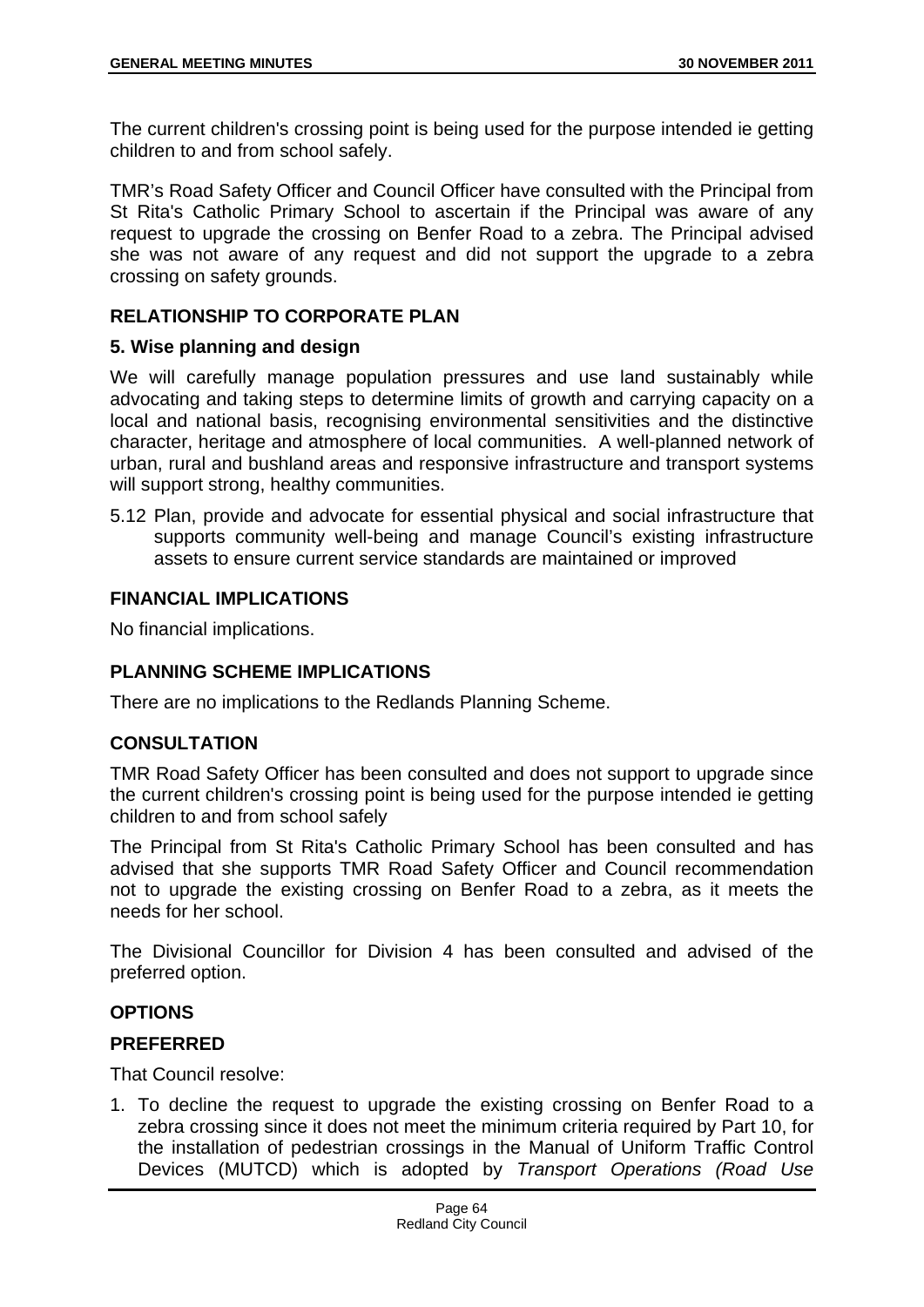The current children's crossing point is being used for the purpose intended ie getting children to and from school safely.

TMR's Road Safety Officer and Council Officer have consulted with the Principal from St Rita's Catholic Primary School to ascertain if the Principal was aware of any request to upgrade the crossing on Benfer Road to a zebra. The Principal advised she was not aware of any request and did not support the upgrade to a zebra crossing on safety grounds.

# **RELATIONSHIP TO CORPORATE PLAN**

## **5. Wise planning and design**

We will carefully manage population pressures and use land sustainably while advocating and taking steps to determine limits of growth and carrying capacity on a local and national basis, recognising environmental sensitivities and the distinctive character, heritage and atmosphere of local communities. A well-planned network of urban, rural and bushland areas and responsive infrastructure and transport systems will support strong, healthy communities.

5.12 Plan, provide and advocate for essential physical and social infrastructure that supports community well-being and manage Council's existing infrastructure assets to ensure current service standards are maintained or improved

## **FINANCIAL IMPLICATIONS**

No financial implications.

# **PLANNING SCHEME IMPLICATIONS**

There are no implications to the Redlands Planning Scheme.

## **CONSULTATION**

TMR Road Safety Officer has been consulted and does not support to upgrade since the current children's crossing point is being used for the purpose intended ie getting children to and from school safely

The Principal from St Rita's Catholic Primary School has been consulted and has advised that she supports TMR Road Safety Officer and Council recommendation not to upgrade the existing crossing on Benfer Road to a zebra, as it meets the needs for her school.

The Divisional Councillor for Division 4 has been consulted and advised of the preferred option.

## **OPTIONS**

## **PREFERRED**

That Council resolve:

1. To decline the request to upgrade the existing crossing on Benfer Road to a zebra crossing since it does not meet the minimum criteria required by Part 10, for the installation of pedestrian crossings in the Manual of Uniform Traffic Control Devices (MUTCD) which is adopted by *Transport Operations (Road Use*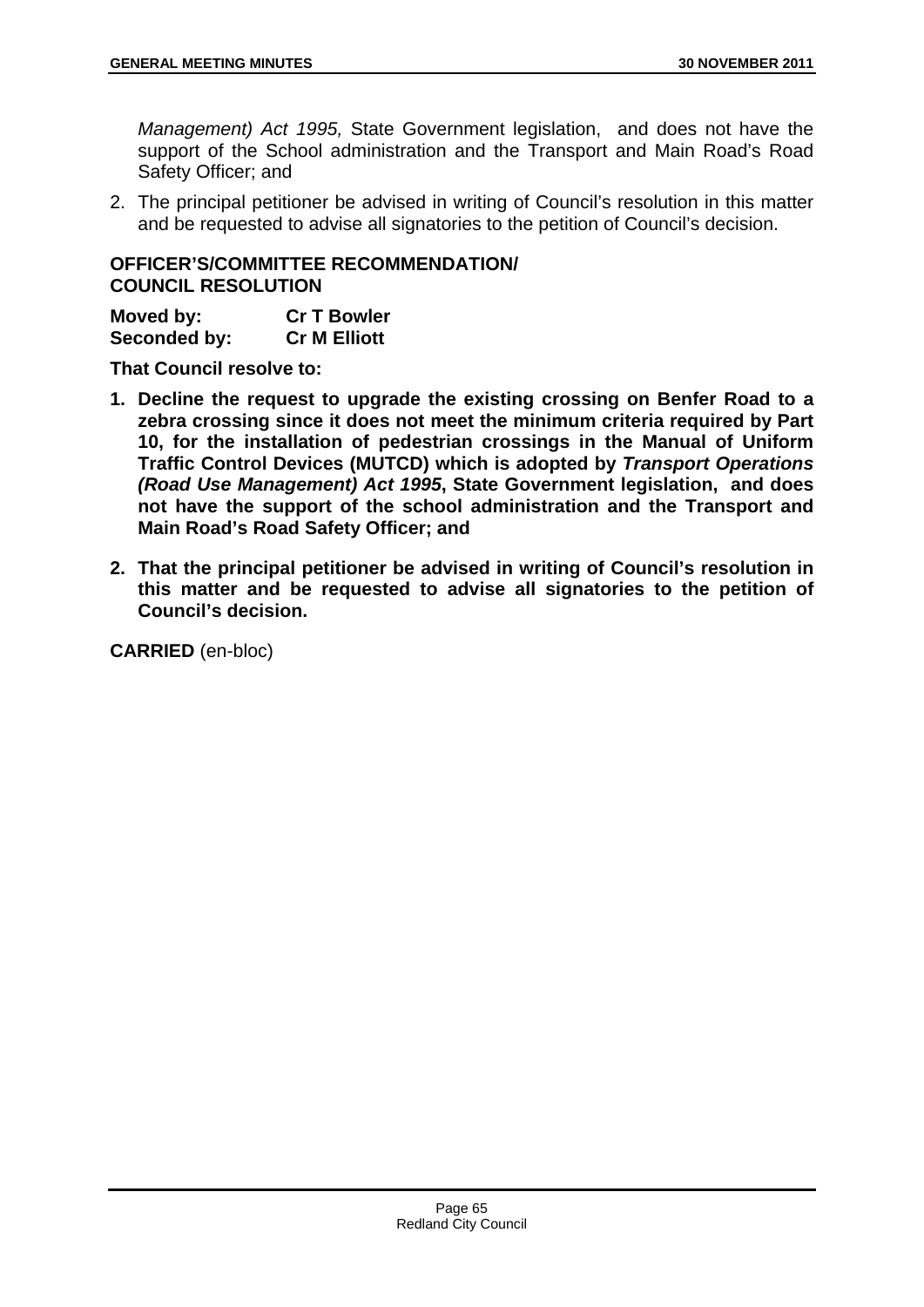*Management) Act 1995,* State Government legislation, and does not have the support of the School administration and the Transport and Main Road's Road Safety Officer; and

2. The principal petitioner be advised in writing of Council's resolution in this matter and be requested to advise all signatories to the petition of Council's decision.

## **OFFICER'S/COMMITTEE RECOMMENDATION/ COUNCIL RESOLUTION**

| Moved by:    | <b>Cr T Bowler</b>  |
|--------------|---------------------|
| Seconded by: | <b>Cr M Elliott</b> |

**That Council resolve to:** 

- **1. Decline the request to upgrade the existing crossing on Benfer Road to a zebra crossing since it does not meet the minimum criteria required by Part 10, for the installation of pedestrian crossings in the Manual of Uniform Traffic Control Devices (MUTCD) which is adopted by** *Transport Operations (Road Use Management) Act 1995***, State Government legislation, and does not have the support of the school administration and the Transport and Main Road's Road Safety Officer; and**
- **2. That the principal petitioner be advised in writing of Council's resolution in this matter and be requested to advise all signatories to the petition of Council's decision.**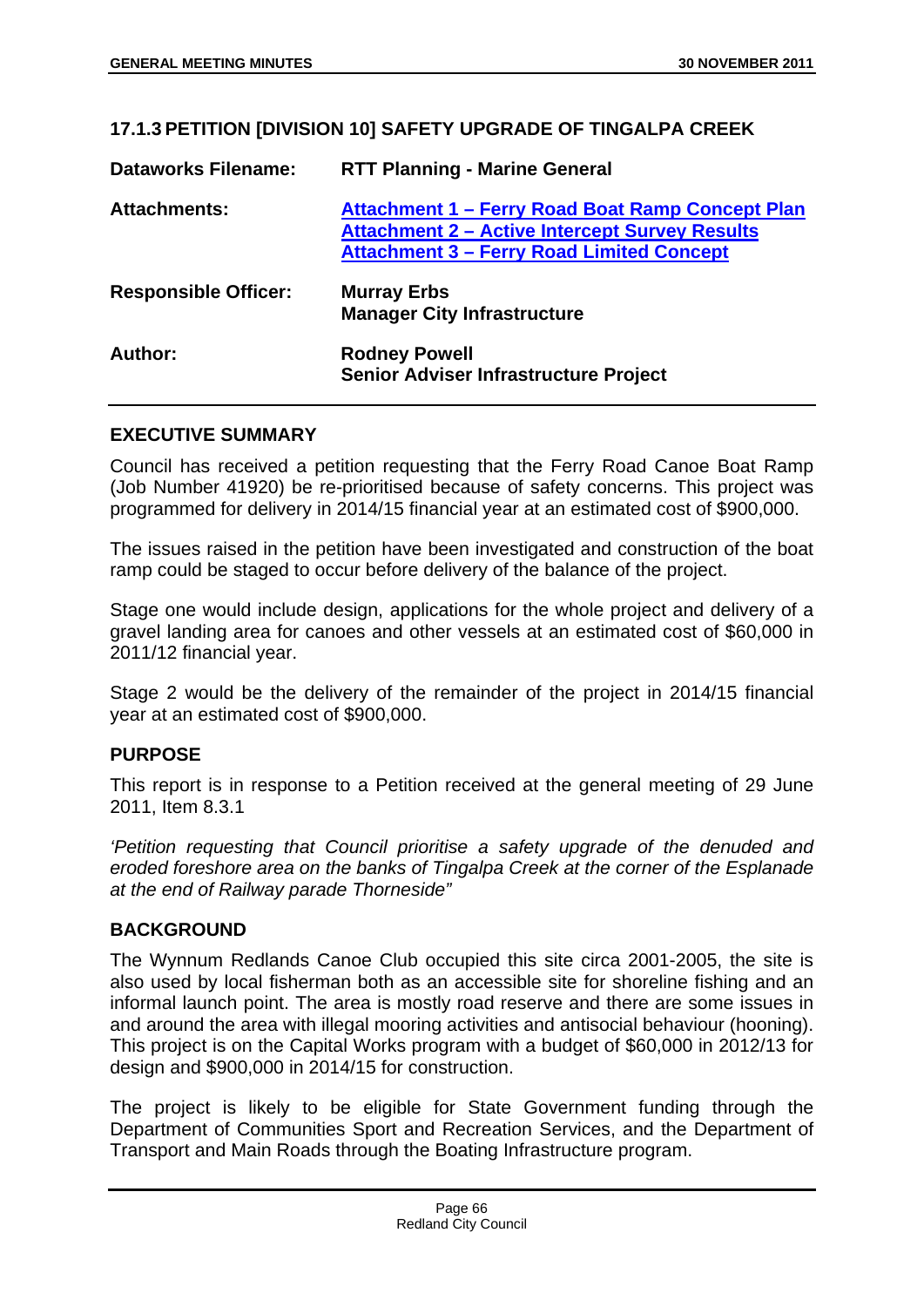### **17.1.3 PETITION [DIVISION 10] SAFETY UPGRADE OF TINGALPA CREEK**

| <b>Dataworks Filename:</b>  | <b>RTT Planning - Marine General</b>                                                                                                                          |
|-----------------------------|---------------------------------------------------------------------------------------------------------------------------------------------------------------|
| <b>Attachments:</b>         | Attachment 1 – Ferry Road Boat Ramp Concept Plan<br><b>Attachment 2 – Active Intercept Survey Results</b><br><b>Attachment 3 - Ferry Road Limited Concept</b> |
| <b>Responsible Officer:</b> | <b>Murray Erbs</b><br><b>Manager City Infrastructure</b>                                                                                                      |
| Author:                     | <b>Rodney Powell</b><br>Senior Adviser Infrastructure Project                                                                                                 |

### **EXECUTIVE SUMMARY**

Council has received a petition requesting that the Ferry Road Canoe Boat Ramp (Job Number 41920) be re-prioritised because of safety concerns. This project was programmed for delivery in 2014/15 financial year at an estimated cost of \$900,000.

The issues raised in the petition have been investigated and construction of the boat ramp could be staged to occur before delivery of the balance of the project.

Stage one would include design, applications for the whole project and delivery of a gravel landing area for canoes and other vessels at an estimated cost of \$60,000 in 2011/12 financial year.

Stage 2 would be the delivery of the remainder of the project in 2014/15 financial year at an estimated cost of \$900,000.

## **PURPOSE**

This report is in response to a Petition received at the general meeting of 29 June 2011, Item 8.3.1

*'Petition requesting that Council prioritise a safety upgrade of the denuded and eroded foreshore area on the banks of Tingalpa Creek at the corner of the Esplanade at the end of Railway parade Thorneside"* 

## **BACKGROUND**

The Wynnum Redlands Canoe Club occupied this site circa 2001-2005, the site is also used by local fisherman both as an accessible site for shoreline fishing and an informal launch point. The area is mostly road reserve and there are some issues in and around the area with illegal mooring activities and antisocial behaviour (hooning). This project is on the Capital Works program with a budget of \$60,000 in 2012/13 for design and \$900,000 in 2014/15 for construction.

The project is likely to be eligible for State Government funding through the Department of Communities Sport and Recreation Services, and the Department of Transport and Main Roads through the Boating Infrastructure program.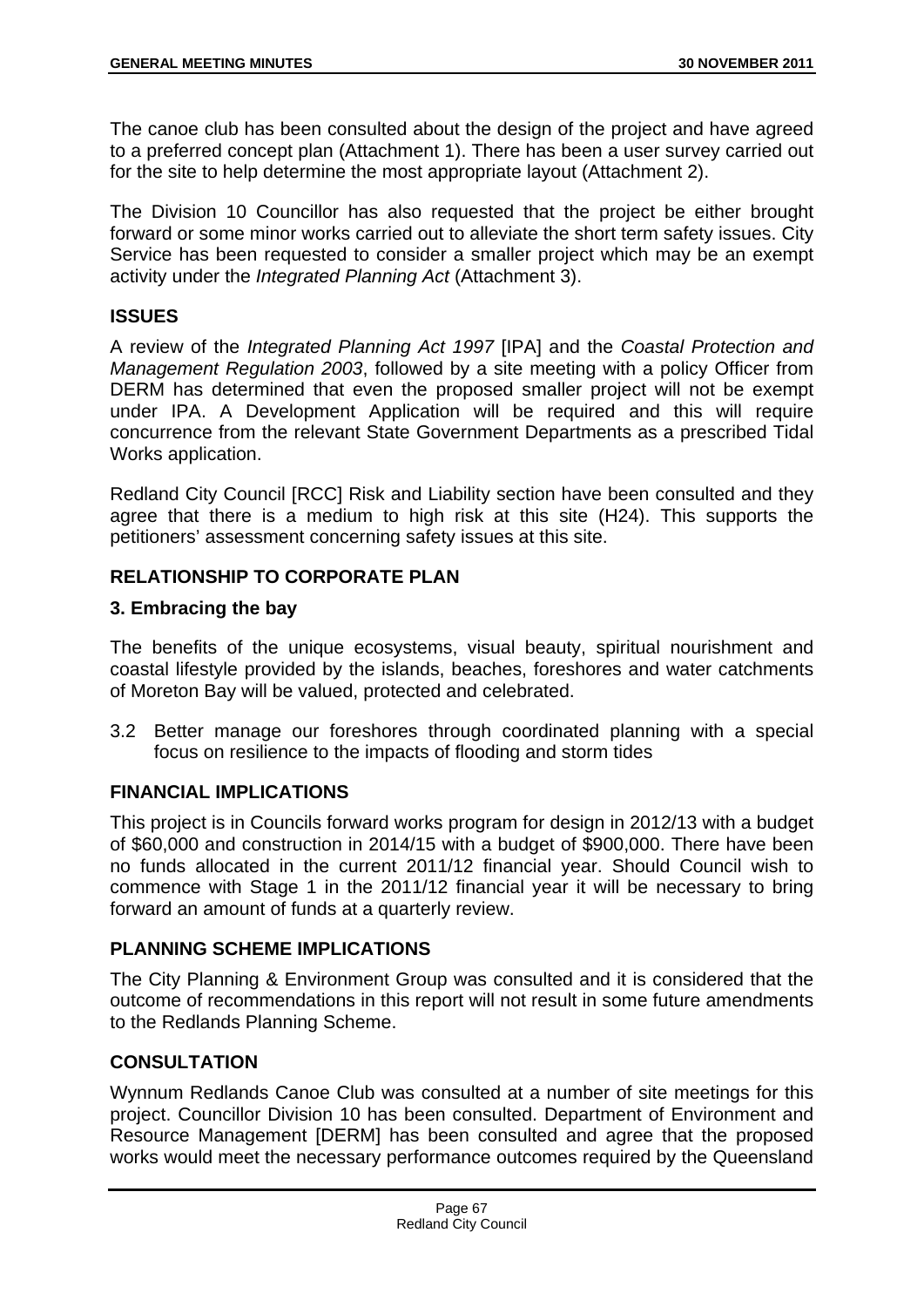The canoe club has been consulted about the design of the project and have agreed to a preferred concept plan (Attachment 1). There has been a user survey carried out for the site to help determine the most appropriate layout (Attachment 2).

The Division 10 Councillor has also requested that the project be either brought forward or some minor works carried out to alleviate the short term safety issues. City Service has been requested to consider a smaller project which may be an exempt activity under the *Integrated Planning Act* (Attachment 3).

# **ISSUES**

A review of the *Integrated Planning Act 1997* [IPA] and the *Coastal Protection and Management Regulation 2003*, followed by a site meeting with a policy Officer from DERM has determined that even the proposed smaller project will not be exempt under IPA. A Development Application will be required and this will require concurrence from the relevant State Government Departments as a prescribed Tidal Works application.

Redland City Council [RCC] Risk and Liability section have been consulted and they agree that there is a medium to high risk at this site (H24). This supports the petitioners' assessment concerning safety issues at this site.

# **RELATIONSHIP TO CORPORATE PLAN**

## **3. Embracing the bay**

The benefits of the unique ecosystems, visual beauty, spiritual nourishment and coastal lifestyle provided by the islands, beaches, foreshores and water catchments of Moreton Bay will be valued, protected and celebrated.

3.2 Better manage our foreshores through coordinated planning with a special focus on resilience to the impacts of flooding and storm tides

## **FINANCIAL IMPLICATIONS**

This project is in Councils forward works program for design in 2012/13 with a budget of \$60,000 and construction in 2014/15 with a budget of \$900,000. There have been no funds allocated in the current 2011/12 financial year. Should Council wish to commence with Stage 1 in the 2011/12 financial year it will be necessary to bring forward an amount of funds at a quarterly review.

# **PLANNING SCHEME IMPLICATIONS**

The City Planning & Environment Group was consulted and it is considered that the outcome of recommendations in this report will not result in some future amendments to the Redlands Planning Scheme.

# **CONSULTATION**

Wynnum Redlands Canoe Club was consulted at a number of site meetings for this project. Councillor Division 10 has been consulted. Department of Environment and Resource Management [DERM] has been consulted and agree that the proposed works would meet the necessary performance outcomes required by the Queensland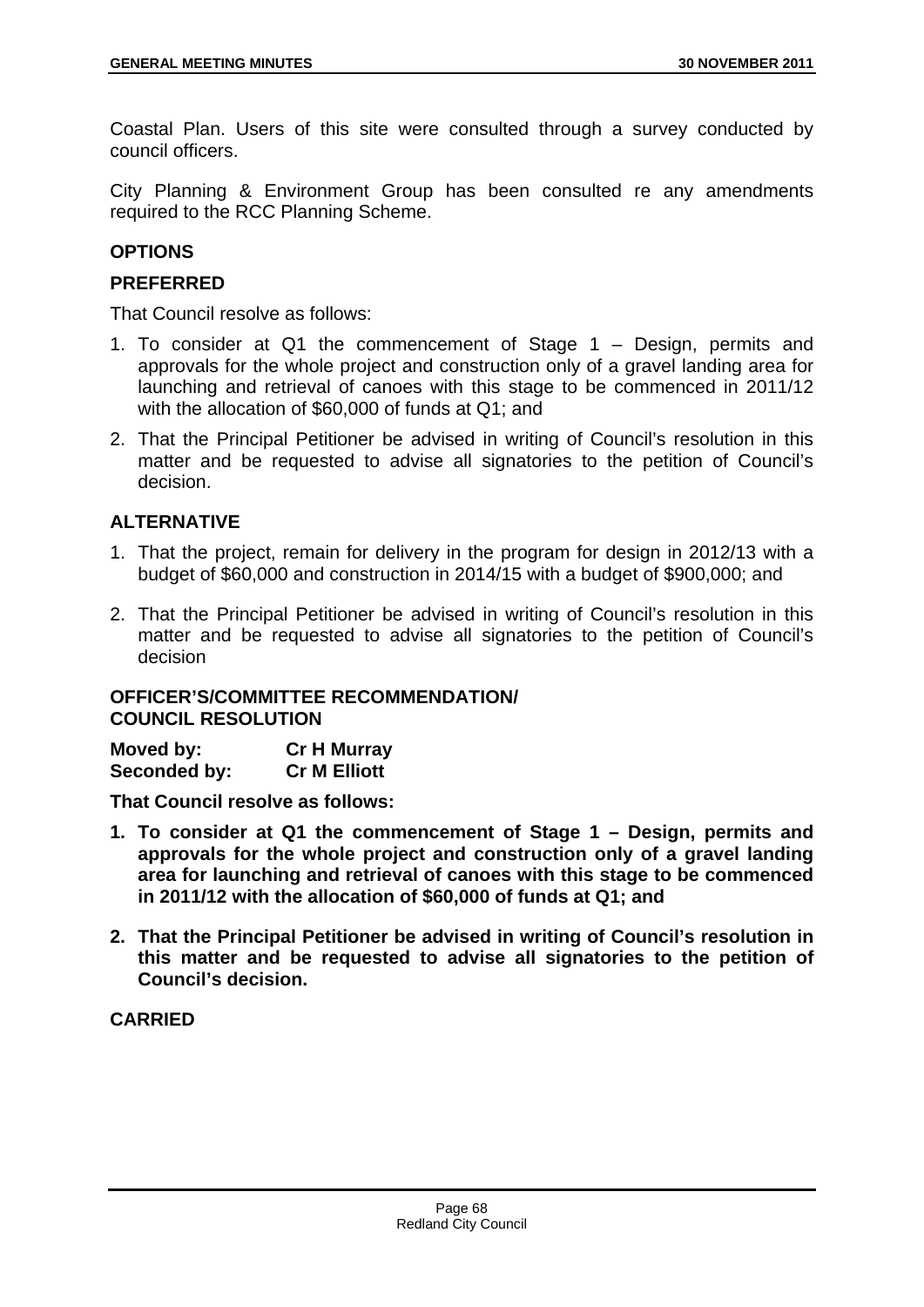Coastal Plan. Users of this site were consulted through a survey conducted by council officers.

City Planning & Environment Group has been consulted re any amendments required to the RCC Planning Scheme.

# **OPTIONS**

## **PREFERRED**

That Council resolve as follows:

- 1. To consider at Q1 the commencement of Stage 1 Design, permits and approvals for the whole project and construction only of a gravel landing area for launching and retrieval of canoes with this stage to be commenced in 2011/12 with the allocation of \$60,000 of funds at Q1; and
- 2. That the Principal Petitioner be advised in writing of Council's resolution in this matter and be requested to advise all signatories to the petition of Council's decision.

## **ALTERNATIVE**

- 1. That the project, remain for delivery in the program for design in 2012/13 with a budget of \$60,000 and construction in 2014/15 with a budget of \$900,000; and
- 2. That the Principal Petitioner be advised in writing of Council's resolution in this matter and be requested to advise all signatories to the petition of Council's decision

## **OFFICER'S/COMMITTEE RECOMMENDATION/ COUNCIL RESOLUTION**

| Moved by:    | <b>Cr H Murray</b>  |
|--------------|---------------------|
| Seconded by: | <b>Cr M Elliott</b> |

**That Council resolve as follows:** 

- **1. To consider at Q1 the commencement of Stage 1 Design, permits and approvals for the whole project and construction only of a gravel landing area for launching and retrieval of canoes with this stage to be commenced in 2011/12 with the allocation of \$60,000 of funds at Q1; and**
- **2. That the Principal Petitioner be advised in writing of Council's resolution in this matter and be requested to advise all signatories to the petition of Council's decision.**

## **CARRIED**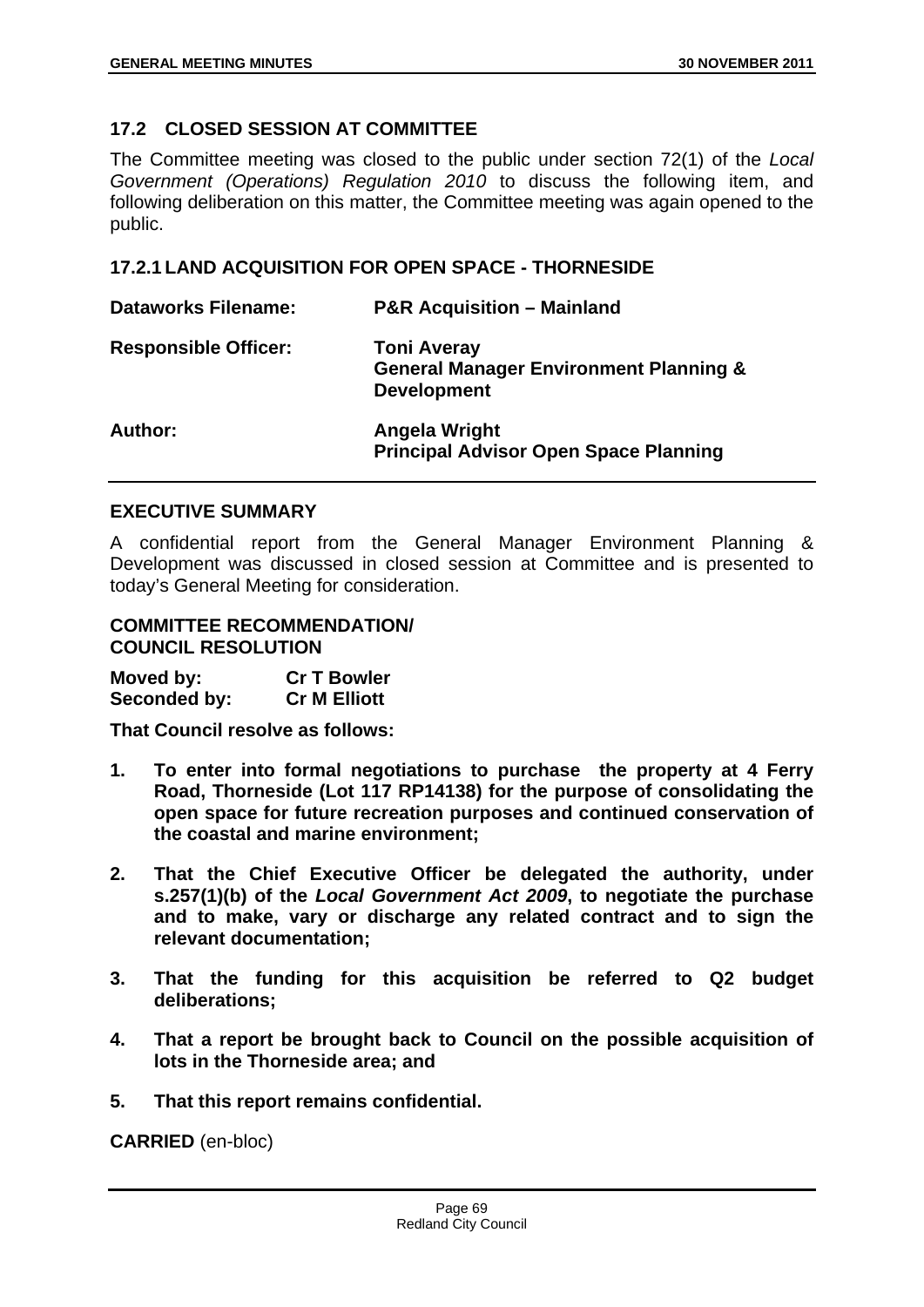# **17.2 CLOSED SESSION AT COMMITTEE**

The Committee meeting was closed to the public under section 72(1) of the *Local Government (Operations) Regulation 2010* to discuss the following item, and following deliberation on this matter, the Committee meeting was again opened to the public.

## **17.2.1 LAND ACQUISITION FOR OPEN SPACE - THORNESIDE**

| <b>Dataworks Filename:</b>  | <b>P&amp;R Acquisition - Mainland</b>                                                         |
|-----------------------------|-----------------------------------------------------------------------------------------------|
| <b>Responsible Officer:</b> | <b>Toni Averay</b><br><b>General Manager Environment Planning &amp;</b><br><b>Development</b> |
| Author:                     | Angela Wright<br><b>Principal Advisor Open Space Planning</b>                                 |

#### **EXECUTIVE SUMMARY**

A confidential report from the General Manager Environment Planning & Development was discussed in closed session at Committee and is presented to today's General Meeting for consideration.

### **COMMITTEE RECOMMENDATION/ COUNCIL RESOLUTION**

| Moved by:    | <b>Cr T Bowler</b>  |
|--------------|---------------------|
| Seconded by: | <b>Cr M Elliott</b> |

**That Council resolve as follows:** 

- **1. To enter into formal negotiations to purchase the property at 4 Ferry Road, Thorneside (Lot 117 RP14138) for the purpose of consolidating the open space for future recreation purposes and continued conservation of the coastal and marine environment;**
- **2. That the Chief Executive Officer be delegated the authority, under s.257(1)(b) of the** *Local Government Act 2009***, to negotiate the purchase and to make, vary or discharge any related contract and to sign the relevant documentation;**
- **3. That the funding for this acquisition be referred to Q2 budget deliberations;**
- **4. That a report be brought back to Council on the possible acquisition of lots in the Thorneside area; and**
- **5. That this report remains confidential.**

**CARRIED** (en-bloc)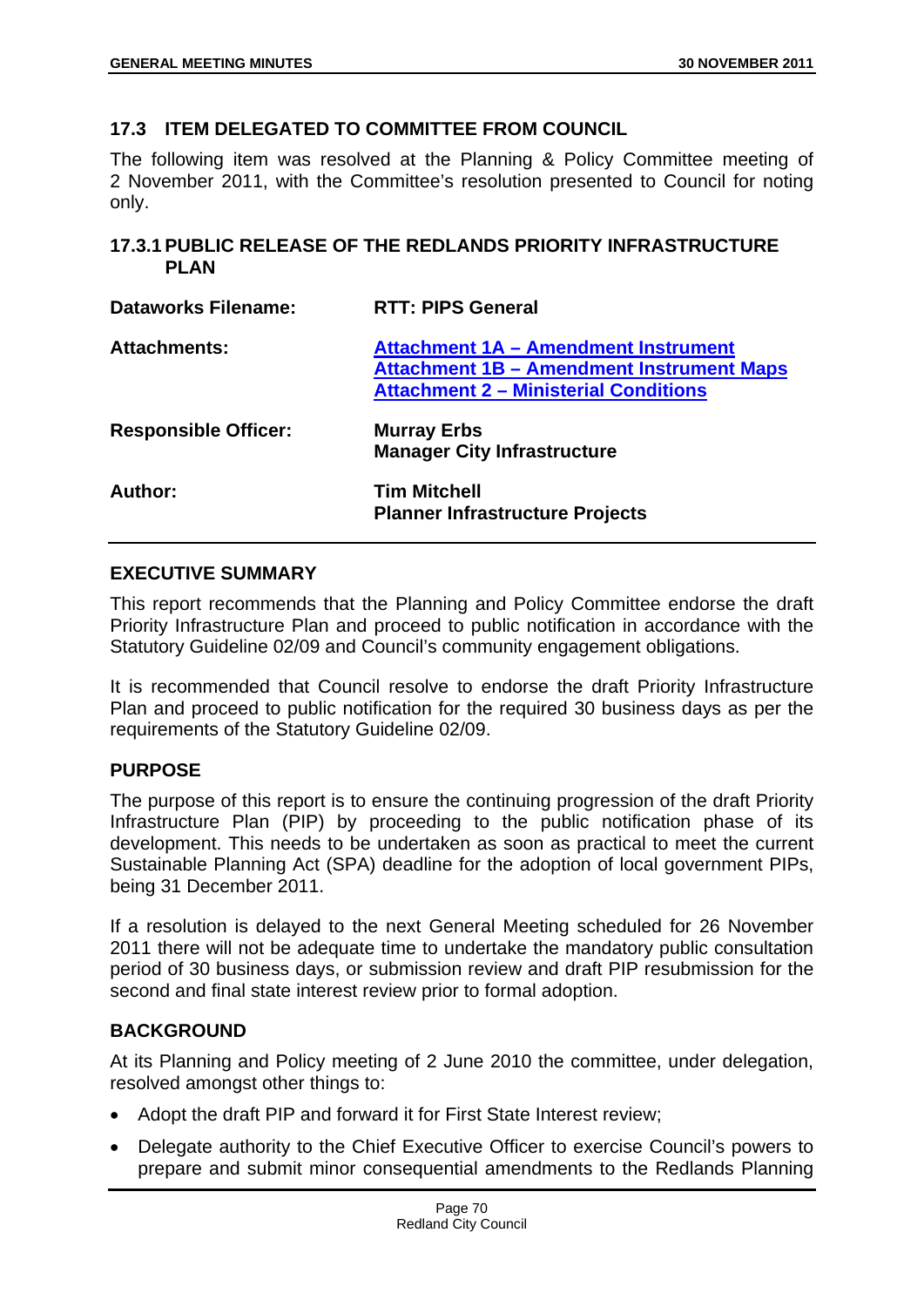## **17.3 ITEM DELEGATED TO COMMITTEE FROM COUNCIL**

The following item was resolved at the Planning & Policy Committee meeting of 2 November 2011, with the Committee's resolution presented to Council for noting only.

## **17.3.1 PUBLIC RELEASE OF THE REDLANDS PRIORITY INFRASTRUCTURE PLAN**

| <b>Dataworks Filename:</b>  | <b>RTT: PIPS General</b>                                                                                                                 |
|-----------------------------|------------------------------------------------------------------------------------------------------------------------------------------|
| <b>Attachments:</b>         | Attachment 1A - Amendment Instrument<br><b>Attachment 1B - Amendment Instrument Maps</b><br><b>Attachment 2 - Ministerial Conditions</b> |
| <b>Responsible Officer:</b> | <b>Murray Erbs</b><br><b>Manager City Infrastructure</b>                                                                                 |
| Author:                     | <b>Tim Mitchell</b><br><b>Planner Infrastructure Projects</b>                                                                            |

# **EXECUTIVE SUMMARY**

This report recommends that the Planning and Policy Committee endorse the draft Priority Infrastructure Plan and proceed to public notification in accordance with the Statutory Guideline 02/09 and Council's community engagement obligations.

It is recommended that Council resolve to endorse the draft Priority Infrastructure Plan and proceed to public notification for the required 30 business days as per the requirements of the Statutory Guideline 02/09.

## **PURPOSE**

The purpose of this report is to ensure the continuing progression of the draft Priority Infrastructure Plan (PIP) by proceeding to the public notification phase of its development. This needs to be undertaken as soon as practical to meet the current Sustainable Planning Act (SPA) deadline for the adoption of local government PIPs, being 31 December 2011.

If a resolution is delayed to the next General Meeting scheduled for 26 November 2011 there will not be adequate time to undertake the mandatory public consultation period of 30 business days, or submission review and draft PIP resubmission for the second and final state interest review prior to formal adoption.

# **BACKGROUND**

At its Planning and Policy meeting of 2 June 2010 the committee, under delegation, resolved amongst other things to:

- Adopt the draft PIP and forward it for First State Interest review:
- Delegate authority to the Chief Executive Officer to exercise Council's powers to prepare and submit minor consequential amendments to the Redlands Planning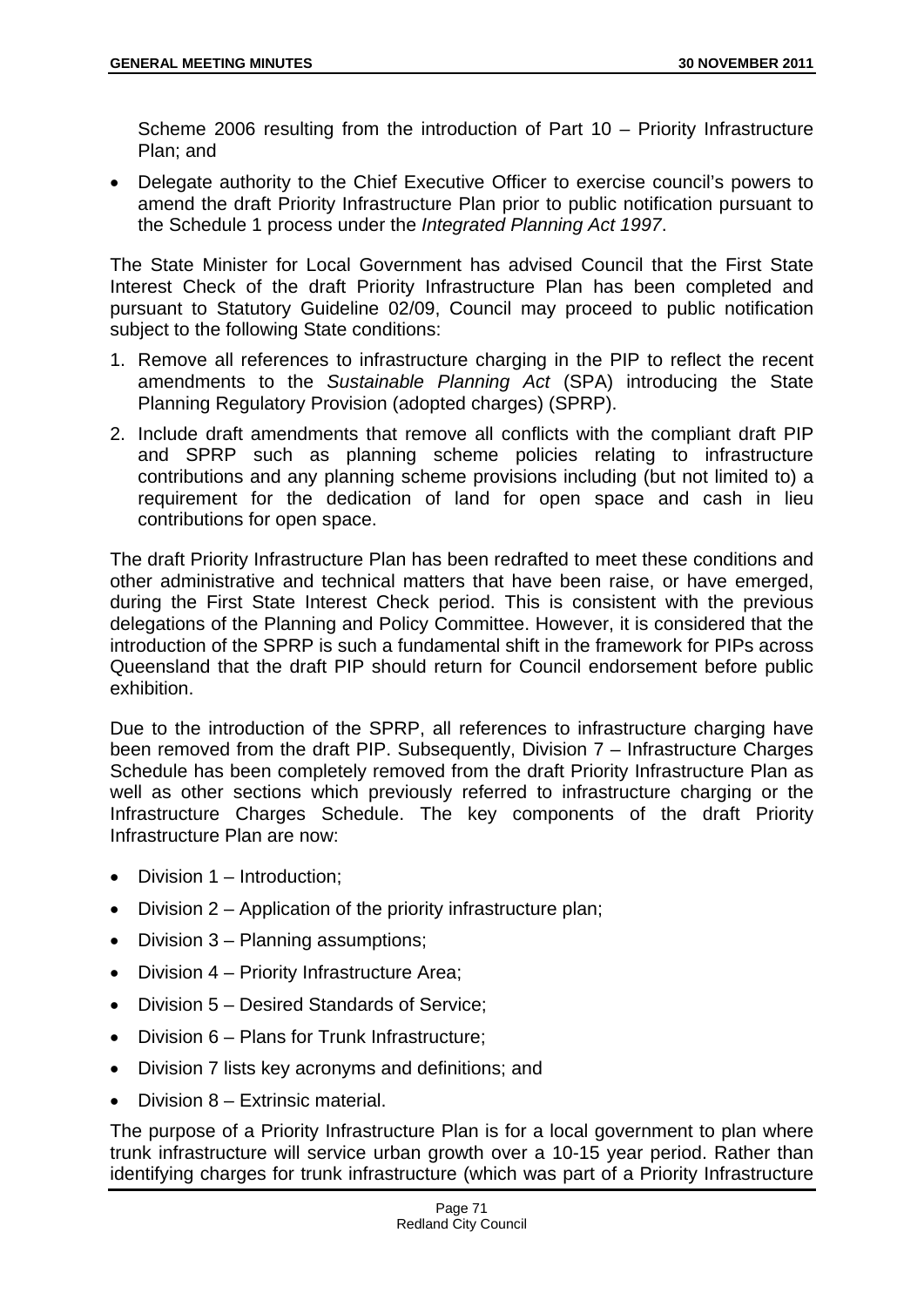Scheme 2006 resulting from the introduction of Part 10 – Priority Infrastructure Plan; and

 Delegate authority to the Chief Executive Officer to exercise council's powers to amend the draft Priority Infrastructure Plan prior to public notification pursuant to the Schedule 1 process under the *Integrated Planning Act 1997*.

The State Minister for Local Government has advised Council that the First State Interest Check of the draft Priority Infrastructure Plan has been completed and pursuant to Statutory Guideline 02/09, Council may proceed to public notification subject to the following State conditions:

- 1. Remove all references to infrastructure charging in the PIP to reflect the recent amendments to the *Sustainable Planning Act* (SPA) introducing the State Planning Regulatory Provision (adopted charges) (SPRP).
- 2. Include draft amendments that remove all conflicts with the compliant draft PIP and SPRP such as planning scheme policies relating to infrastructure contributions and any planning scheme provisions including (but not limited to) a requirement for the dedication of land for open space and cash in lieu contributions for open space.

The draft Priority Infrastructure Plan has been redrafted to meet these conditions and other administrative and technical matters that have been raise, or have emerged, during the First State Interest Check period. This is consistent with the previous delegations of the Planning and Policy Committee. However, it is considered that the introduction of the SPRP is such a fundamental shift in the framework for PIPs across Queensland that the draft PIP should return for Council endorsement before public exhibition.

Due to the introduction of the SPRP, all references to infrastructure charging have been removed from the draft PIP. Subsequently, Division 7 – Infrastructure Charges Schedule has been completely removed from the draft Priority Infrastructure Plan as well as other sections which previously referred to infrastructure charging or the Infrastructure Charges Schedule. The key components of the draft Priority Infrastructure Plan are now:

- Division 1 Introduction;
- Division 2 Application of the priority infrastructure plan;
- Division 3 Planning assumptions;
- Division 4 Priority Infrastructure Area;
- Division 5 Desired Standards of Service;
- Division 6 Plans for Trunk Infrastructure;
- Division 7 lists key acronyms and definitions; and
- Division 8 Extrinsic material.

The purpose of a Priority Infrastructure Plan is for a local government to plan where trunk infrastructure will service urban growth over a 10-15 year period. Rather than identifying charges for trunk infrastructure (which was part of a Priority Infrastructure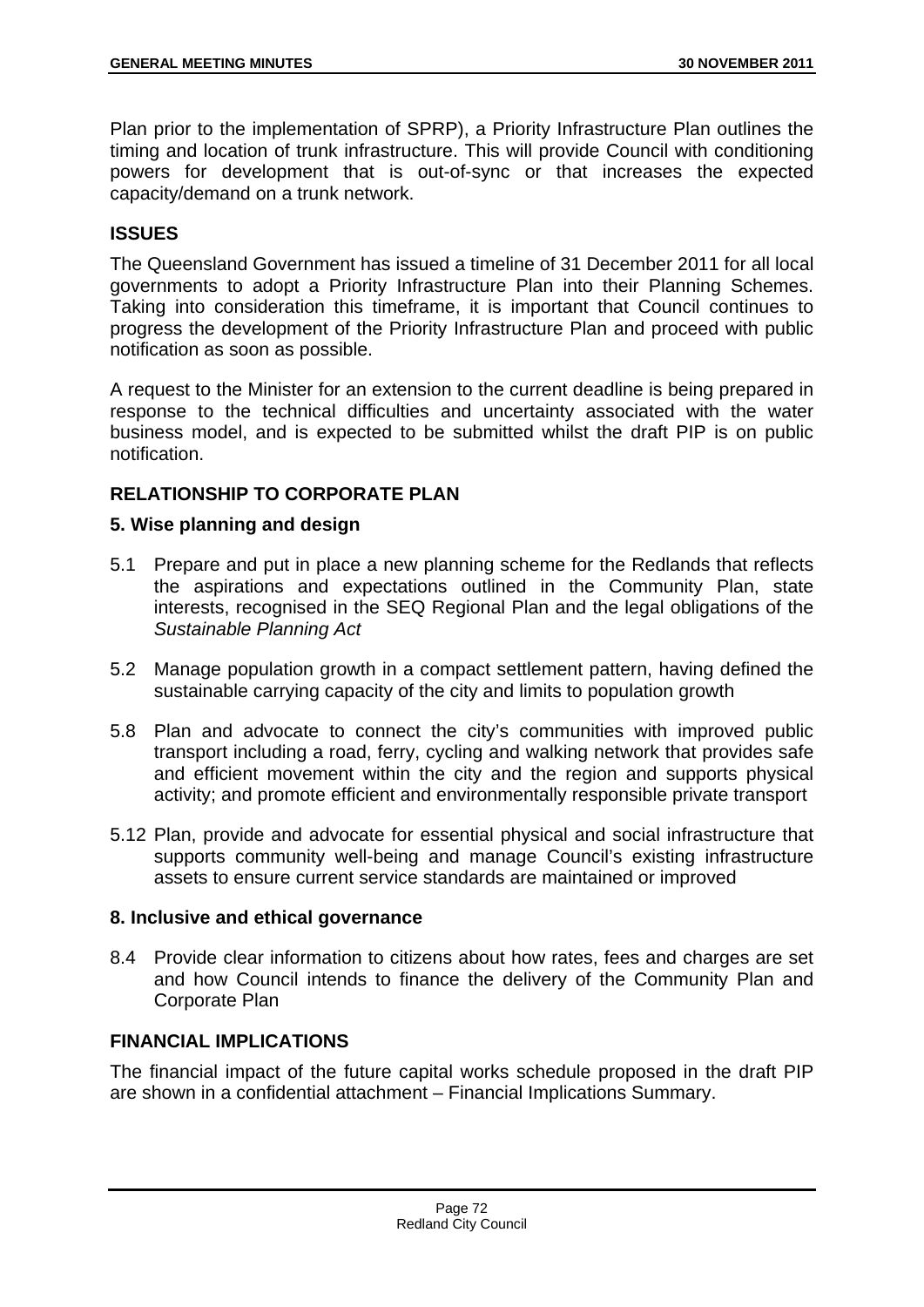Plan prior to the implementation of SPRP), a Priority Infrastructure Plan outlines the timing and location of trunk infrastructure. This will provide Council with conditioning powers for development that is out-of-sync or that increases the expected capacity/demand on a trunk network.

## **ISSUES**

The Queensland Government has issued a timeline of 31 December 2011 for all local governments to adopt a Priority Infrastructure Plan into their Planning Schemes. Taking into consideration this timeframe, it is important that Council continues to progress the development of the Priority Infrastructure Plan and proceed with public notification as soon as possible.

A request to the Minister for an extension to the current deadline is being prepared in response to the technical difficulties and uncertainty associated with the water business model, and is expected to be submitted whilst the draft PIP is on public notification.

## **RELATIONSHIP TO CORPORATE PLAN**

## **5. Wise planning and design**

- 5.1 Prepare and put in place a new planning scheme for the Redlands that reflects the aspirations and expectations outlined in the Community Plan, state interests, recognised in the SEQ Regional Plan and the legal obligations of the *Sustainable Planning Act*
- 5.2 Manage population growth in a compact settlement pattern, having defined the sustainable carrying capacity of the city and limits to population growth
- 5.8 Plan and advocate to connect the city's communities with improved public transport including a road, ferry, cycling and walking network that provides safe and efficient movement within the city and the region and supports physical activity; and promote efficient and environmentally responsible private transport
- 5.12 Plan, provide and advocate for essential physical and social infrastructure that supports community well-being and manage Council's existing infrastructure assets to ensure current service standards are maintained or improved

## **8. Inclusive and ethical governance**

8.4 Provide clear information to citizens about how rates, fees and charges are set and how Council intends to finance the delivery of the Community Plan and Corporate Plan

## **FINANCIAL IMPLICATIONS**

The financial impact of the future capital works schedule proposed in the draft PIP are shown in a confidential attachment – Financial Implications Summary.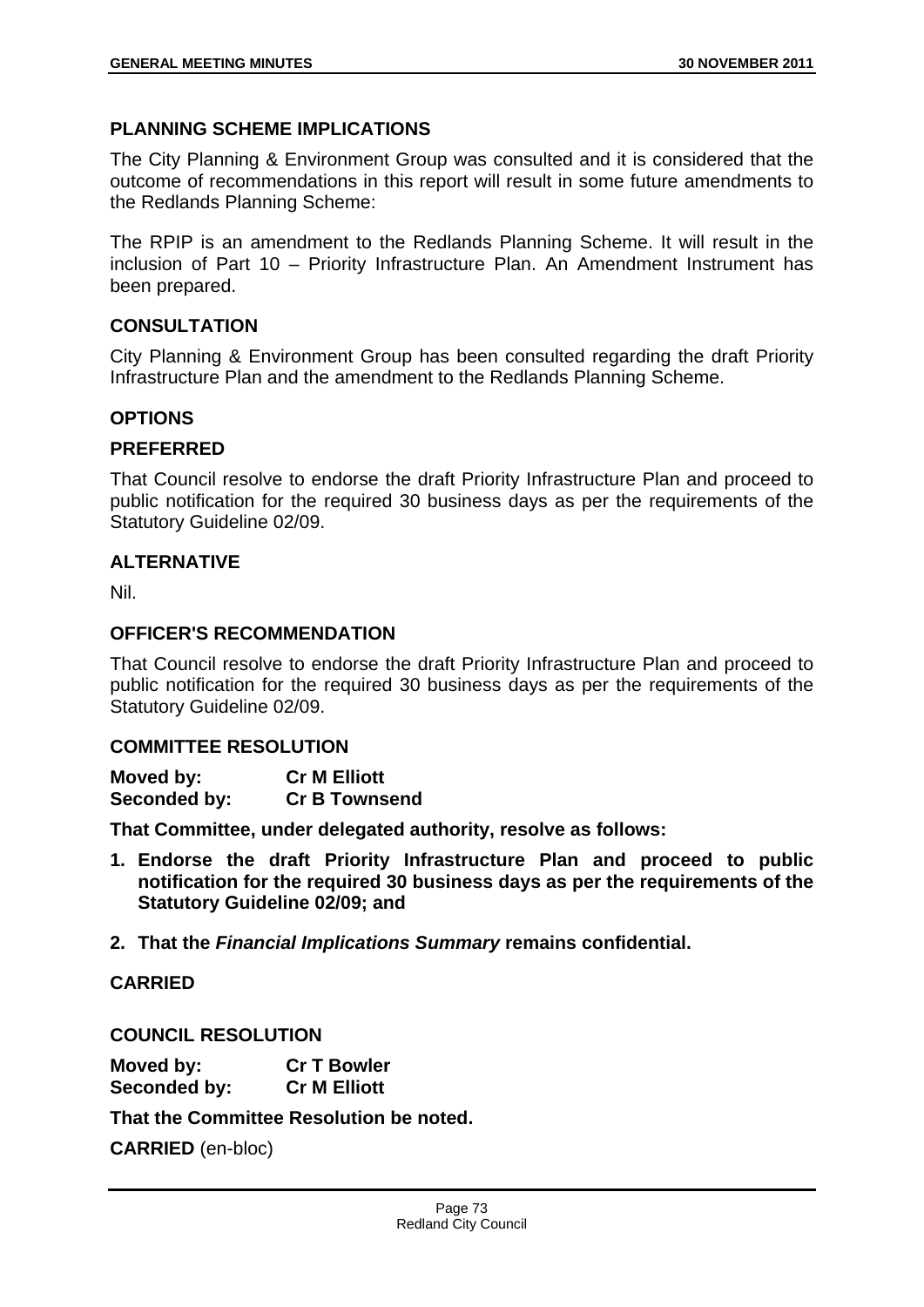## **PLANNING SCHEME IMPLICATIONS**

The City Planning & Environment Group was consulted and it is considered that the outcome of recommendations in this report will result in some future amendments to the Redlands Planning Scheme:

The RPIP is an amendment to the Redlands Planning Scheme. It will result in the inclusion of Part 10 – Priority Infrastructure Plan. An Amendment Instrument has been prepared.

### **CONSULTATION**

City Planning & Environment Group has been consulted regarding the draft Priority Infrastructure Plan and the amendment to the Redlands Planning Scheme.

### **OPTIONS**

#### **PREFERRED**

That Council resolve to endorse the draft Priority Infrastructure Plan and proceed to public notification for the required 30 business days as per the requirements of the Statutory Guideline 02/09.

### **ALTERNATIVE**

Nil.

#### **OFFICER'S RECOMMENDATION**

That Council resolve to endorse the draft Priority Infrastructure Plan and proceed to public notification for the required 30 business days as per the requirements of the Statutory Guideline 02/09.

#### **COMMITTEE RESOLUTION**

| Moved by:    | <b>Cr M Elliott</b>  |
|--------------|----------------------|
| Seconded by: | <b>Cr B Townsend</b> |

**That Committee, under delegated authority, resolve as follows:** 

- **1. Endorse the draft Priority Infrastructure Plan and proceed to public notification for the required 30 business days as per the requirements of the Statutory Guideline 02/09; and**
- **2. That the** *Financial Implications Summary* **remains confidential.**

#### **CARRIED**

**COUNCIL RESOLUTION** 

| Moved by:    | <b>Cr T Bowler</b>  |
|--------------|---------------------|
| Seconded by: | <b>Cr M Elliott</b> |

**That the Committee Resolution be noted.** 

**CARRIED** (en-bloc)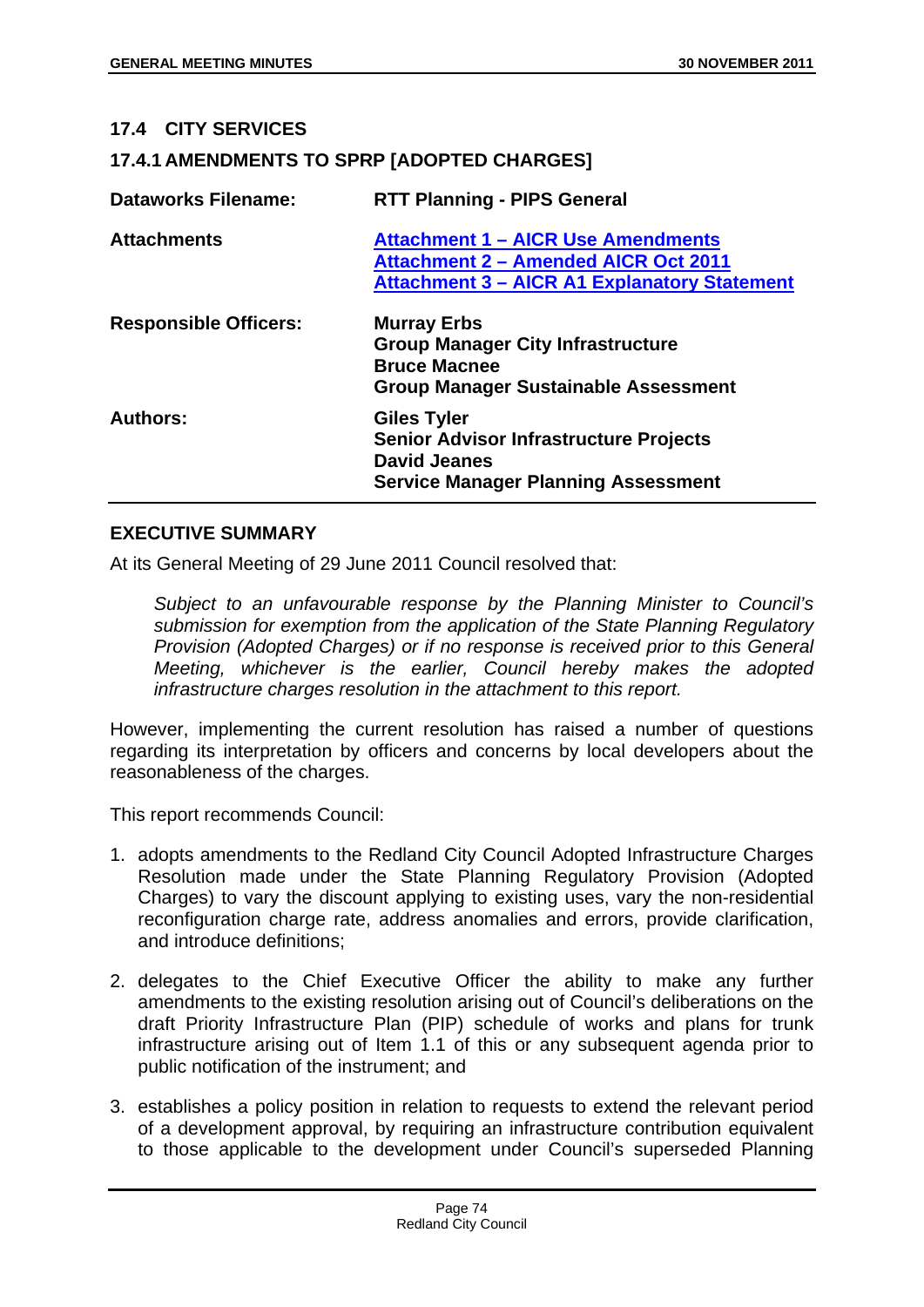### **17.4 CITY SERVICES**

## **17.4.1 AMENDMENTS TO SPRP [ADOPTED CHARGES]**

| <b>Dataworks Filename:</b>   | <b>RTT Planning - PIPS General</b>                                                                                                              |
|------------------------------|-------------------------------------------------------------------------------------------------------------------------------------------------|
| <b>Attachments</b>           | <b>Attachment 1 - AICR Use Amendments</b><br><b>Attachment 2 - Amended AICR Oct 2011</b><br><b>Attachment 3 - AICR A1 Explanatory Statement</b> |
| <b>Responsible Officers:</b> | <b>Murray Erbs</b><br><b>Group Manager City Infrastructure</b><br><b>Bruce Macnee</b><br><b>Group Manager Sustainable Assessment</b>            |
| <b>Authors:</b>              | <b>Giles Tyler</b><br><b>Senior Advisor Infrastructure Projects</b><br><b>David Jeanes</b><br><b>Service Manager Planning Assessment</b>        |

### **EXECUTIVE SUMMARY**

At its General Meeting of 29 June 2011 Council resolved that:

*Subject to an unfavourable response by the Planning Minister to Council's submission for exemption from the application of the State Planning Regulatory Provision (Adopted Charges) or if no response is received prior to this General Meeting, whichever is the earlier, Council hereby makes the adopted infrastructure charges resolution in the attachment to this report.* 

However, implementing the current resolution has raised a number of questions regarding its interpretation by officers and concerns by local developers about the reasonableness of the charges.

This report recommends Council:

- 1. adopts amendments to the Redland City Council Adopted Infrastructure Charges Resolution made under the State Planning Regulatory Provision (Adopted Charges) to vary the discount applying to existing uses, vary the non-residential reconfiguration charge rate, address anomalies and errors, provide clarification, and introduce definitions;
- 2. delegates to the Chief Executive Officer the ability to make any further amendments to the existing resolution arising out of Council's deliberations on the draft Priority Infrastructure Plan (PIP) schedule of works and plans for trunk infrastructure arising out of Item 1.1 of this or any subsequent agenda prior to public notification of the instrument; and
- 3. establishes a policy position in relation to requests to extend the relevant period of a development approval, by requiring an infrastructure contribution equivalent to those applicable to the development under Council's superseded Planning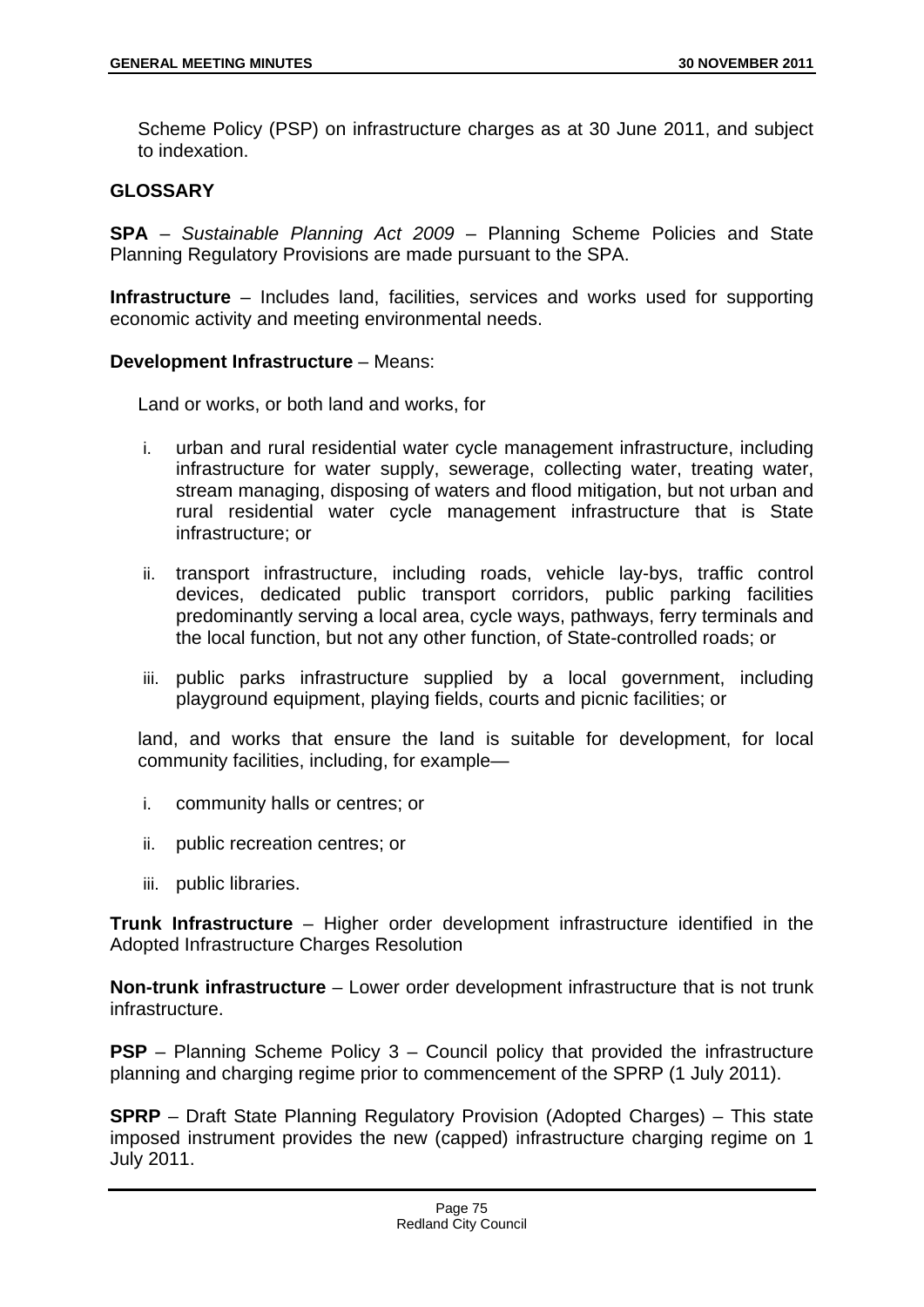Scheme Policy (PSP) on infrastructure charges as at 30 June 2011, and subject to indexation.

## **GLOSSARY**

**SPA** – *Sustainable Planning Act 2009* – Planning Scheme Policies and State Planning Regulatory Provisions are made pursuant to the SPA.

**Infrastructure** – Includes land, facilities, services and works used for supporting economic activity and meeting environmental needs.

### **Development Infrastructure** – Means:

Land or works, or both land and works, for

- i. urban and rural residential water cycle management infrastructure, including infrastructure for water supply, sewerage, collecting water, treating water, stream managing, disposing of waters and flood mitigation, but not urban and rural residential water cycle management infrastructure that is State infrastructure; or
- ii. transport infrastructure, including roads, vehicle lay-bys, traffic control devices, dedicated public transport corridors, public parking facilities predominantly serving a local area, cycle ways, pathways, ferry terminals and the local function, but not any other function, of State-controlled roads; or
- iii. public parks infrastructure supplied by a local government, including playground equipment, playing fields, courts and picnic facilities; or

land, and works that ensure the land is suitable for development, for local community facilities, including, for example—

- i. community halls or centres; or
- ii. public recreation centres; or
- iii. public libraries.

**Trunk Infrastructure** – Higher order development infrastructure identified in the Adopted Infrastructure Charges Resolution

**Non-trunk infrastructure** – Lower order development infrastructure that is not trunk infrastructure.

**PSP** – Planning Scheme Policy 3 – Council policy that provided the infrastructure planning and charging regime prior to commencement of the SPRP (1 July 2011).

**SPRP** – Draft State Planning Regulatory Provision (Adopted Charges) – This state imposed instrument provides the new (capped) infrastructure charging regime on 1 July 2011.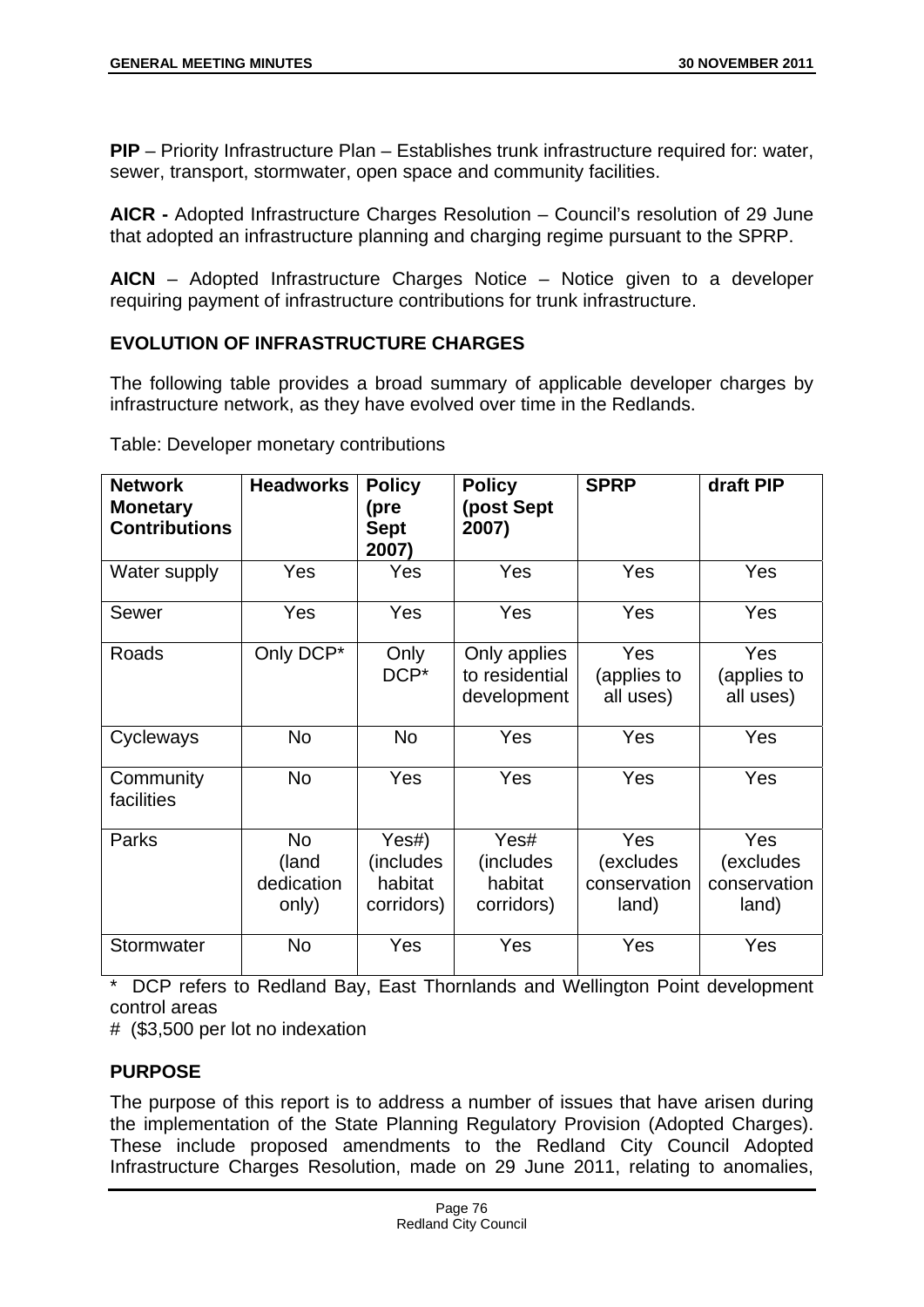**PIP** – Priority Infrastructure Plan – Establishes trunk infrastructure required for: water, sewer, transport, stormwater, open space and community facilities.

**AICR -** Adopted Infrastructure Charges Resolution – Council's resolution of 29 June that adopted an infrastructure planning and charging regime pursuant to the SPRP.

**AICN** – Adopted Infrastructure Charges Notice – Notice given to a developer requiring payment of infrastructure contributions for trunk infrastructure.

# **EVOLUTION OF INFRASTRUCTURE CHARGES**

The following table provides a broad summary of applicable developer charges by infrastructure network, as they have evolved over time in the Redlands.

| <b>Network</b><br><b>Monetary</b><br><b>Contributions</b> | <b>Headworks</b>                          | <b>Policy</b><br>(pre<br><b>Sept</b><br>2007) | <b>Policy</b><br>(post Sept<br>2007)          | <b>SPRP</b>                               | draft PIP                                 |
|-----------------------------------------------------------|-------------------------------------------|-----------------------------------------------|-----------------------------------------------|-------------------------------------------|-------------------------------------------|
| Water supply                                              | Yes                                       | Yes                                           | Yes                                           | Yes                                       | Yes                                       |
| Sewer                                                     | Yes                                       | Yes                                           | Yes                                           | Yes                                       | Yes                                       |
| Roads                                                     | Only DCP*                                 | Only<br>DCP*                                  | Only applies<br>to residential<br>development | Yes<br>(applies to<br>all uses)           | Yes<br>(applies to<br>all uses)           |
| Cycleways                                                 | No                                        | <b>No</b>                                     | <b>Yes</b>                                    | Yes                                       | Yes                                       |
| Community<br>facilities                                   | <b>No</b>                                 | Yes                                           | <b>Yes</b>                                    | Yes                                       | <b>Yes</b>                                |
| Parks                                                     | <b>No</b><br>(land<br>dedication<br>only) | Yes#)<br>(includes)<br>habitat<br>corridors)  | Yes#<br>(includes<br>habitat<br>corridors)    | Yes<br>(excludes<br>conservation<br>land) | Yes<br>(excludes<br>conservation<br>land) |
| Stormwater                                                | <b>No</b>                                 | Yes                                           | Yes                                           | Yes                                       | Yes                                       |

Table: Developer monetary contributions

DCP refers to Redland Bay, East Thornlands and Wellington Point development control areas

# (\$3,500 per lot no indexation

# **PURPOSE**

The purpose of this report is to address a number of issues that have arisen during the implementation of the State Planning Regulatory Provision (Adopted Charges). These include proposed amendments to the Redland City Council Adopted Infrastructure Charges Resolution, made on 29 June 2011, relating to anomalies,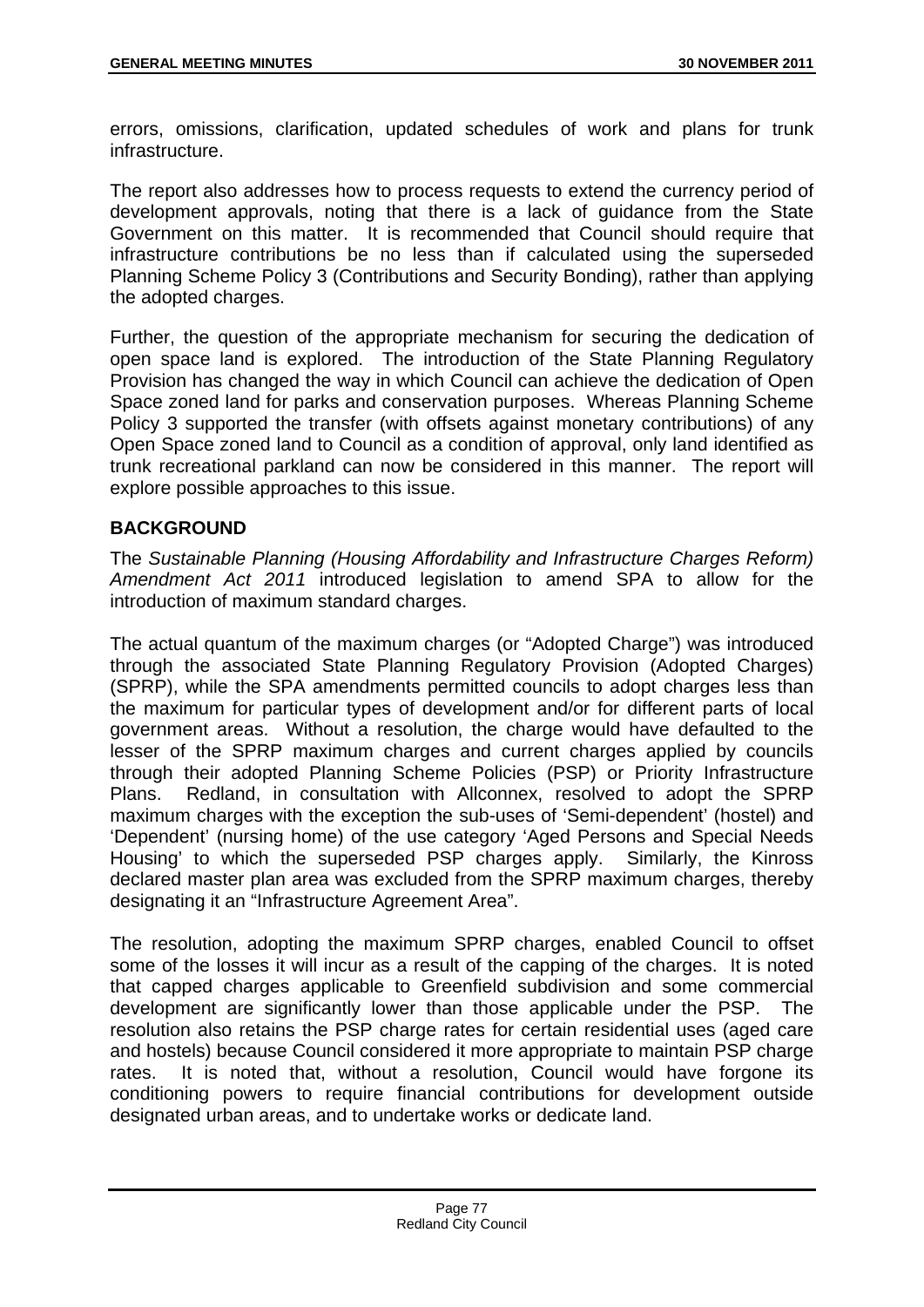errors, omissions, clarification, updated schedules of work and plans for trunk infrastructure.

The report also addresses how to process requests to extend the currency period of development approvals, noting that there is a lack of guidance from the State Government on this matter. It is recommended that Council should require that infrastructure contributions be no less than if calculated using the superseded Planning Scheme Policy 3 (Contributions and Security Bonding), rather than applying the adopted charges.

Further, the question of the appropriate mechanism for securing the dedication of open space land is explored. The introduction of the State Planning Regulatory Provision has changed the way in which Council can achieve the dedication of Open Space zoned land for parks and conservation purposes. Whereas Planning Scheme Policy 3 supported the transfer (with offsets against monetary contributions) of any Open Space zoned land to Council as a condition of approval, only land identified as trunk recreational parkland can now be considered in this manner. The report will explore possible approaches to this issue.

## **BACKGROUND**

The *Sustainable Planning (Housing Affordability and Infrastructure Charges Reform) Amendment Act 2011* introduced legislation to amend SPA to allow for the introduction of maximum standard charges.

The actual quantum of the maximum charges (or "Adopted Charge") was introduced through the associated State Planning Regulatory Provision (Adopted Charges) (SPRP), while the SPA amendments permitted councils to adopt charges less than the maximum for particular types of development and/or for different parts of local government areas. Without a resolution, the charge would have defaulted to the lesser of the SPRP maximum charges and current charges applied by councils through their adopted Planning Scheme Policies (PSP) or Priority Infrastructure Plans. Redland, in consultation with Allconnex, resolved to adopt the SPRP maximum charges with the exception the sub-uses of 'Semi-dependent' (hostel) and 'Dependent' (nursing home) of the use category 'Aged Persons and Special Needs Housing' to which the superseded PSP charges apply. Similarly, the Kinross declared master plan area was excluded from the SPRP maximum charges, thereby designating it an "Infrastructure Agreement Area".

The resolution, adopting the maximum SPRP charges, enabled Council to offset some of the losses it will incur as a result of the capping of the charges. It is noted that capped charges applicable to Greenfield subdivision and some commercial development are significantly lower than those applicable under the PSP. The resolution also retains the PSP charge rates for certain residential uses (aged care and hostels) because Council considered it more appropriate to maintain PSP charge rates. It is noted that, without a resolution, Council would have forgone its conditioning powers to require financial contributions for development outside designated urban areas, and to undertake works or dedicate land.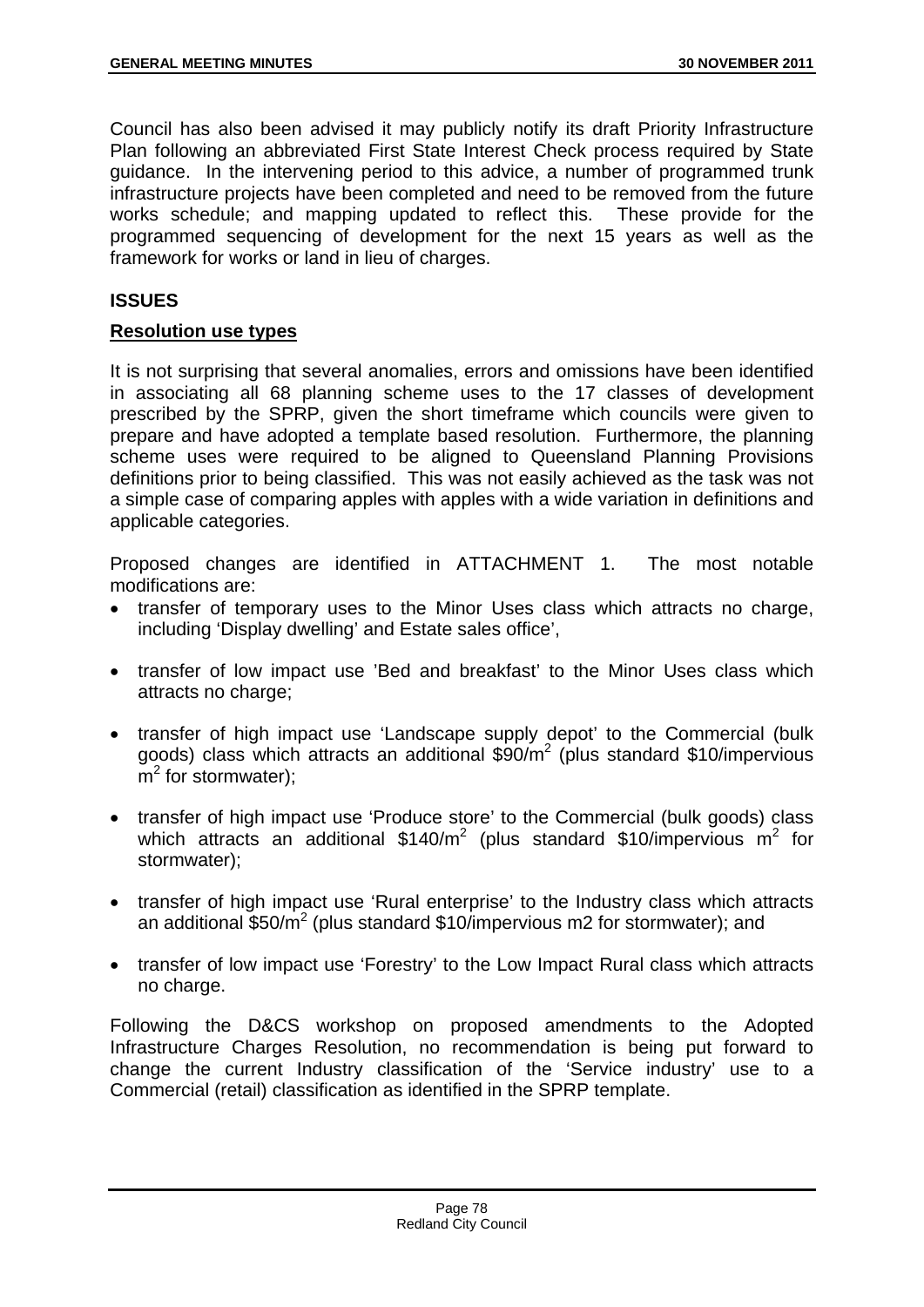Council has also been advised it may publicly notify its draft Priority Infrastructure Plan following an abbreviated First State Interest Check process required by State guidance. In the intervening period to this advice, a number of programmed trunk infrastructure projects have been completed and need to be removed from the future works schedule; and mapping updated to reflect this. These provide for the programmed sequencing of development for the next 15 years as well as the framework for works or land in lieu of charges.

# **ISSUES**

## **Resolution use types**

It is not surprising that several anomalies, errors and omissions have been identified in associating all 68 planning scheme uses to the 17 classes of development prescribed by the SPRP, given the short timeframe which councils were given to prepare and have adopted a template based resolution. Furthermore, the planning scheme uses were required to be aligned to Queensland Planning Provisions definitions prior to being classified. This was not easily achieved as the task was not a simple case of comparing apples with apples with a wide variation in definitions and applicable categories.

Proposed changes are identified in ATTACHMENT 1. The most notable modifications are:

- transfer of temporary uses to the Minor Uses class which attracts no charge, including 'Display dwelling' and Estate sales office',
- transfer of low impact use 'Bed and breakfast' to the Minor Uses class which attracts no charge;
- transfer of high impact use 'Landscape supply depot' to the Commercial (bulk goods) class which attracts an additional \$90/m<sup>2</sup> (plus standard \$10/impervious  $\overline{m}^2$  for stormwater);
- transfer of high impact use 'Produce store' to the Commercial (bulk goods) class which attracts an additional  $$140/m^2$  (plus standard \$10/impervious m<sup>2</sup> for stormwater);
- transfer of high impact use 'Rural enterprise' to the Industry class which attracts an additional  $$50/m^2$  (plus standard \$10/impervious m2 for stormwater); and
- transfer of low impact use 'Forestry' to the Low Impact Rural class which attracts no charge.

Following the D&CS workshop on proposed amendments to the Adopted Infrastructure Charges Resolution, no recommendation is being put forward to change the current Industry classification of the 'Service industry' use to a Commercial (retail) classification as identified in the SPRP template.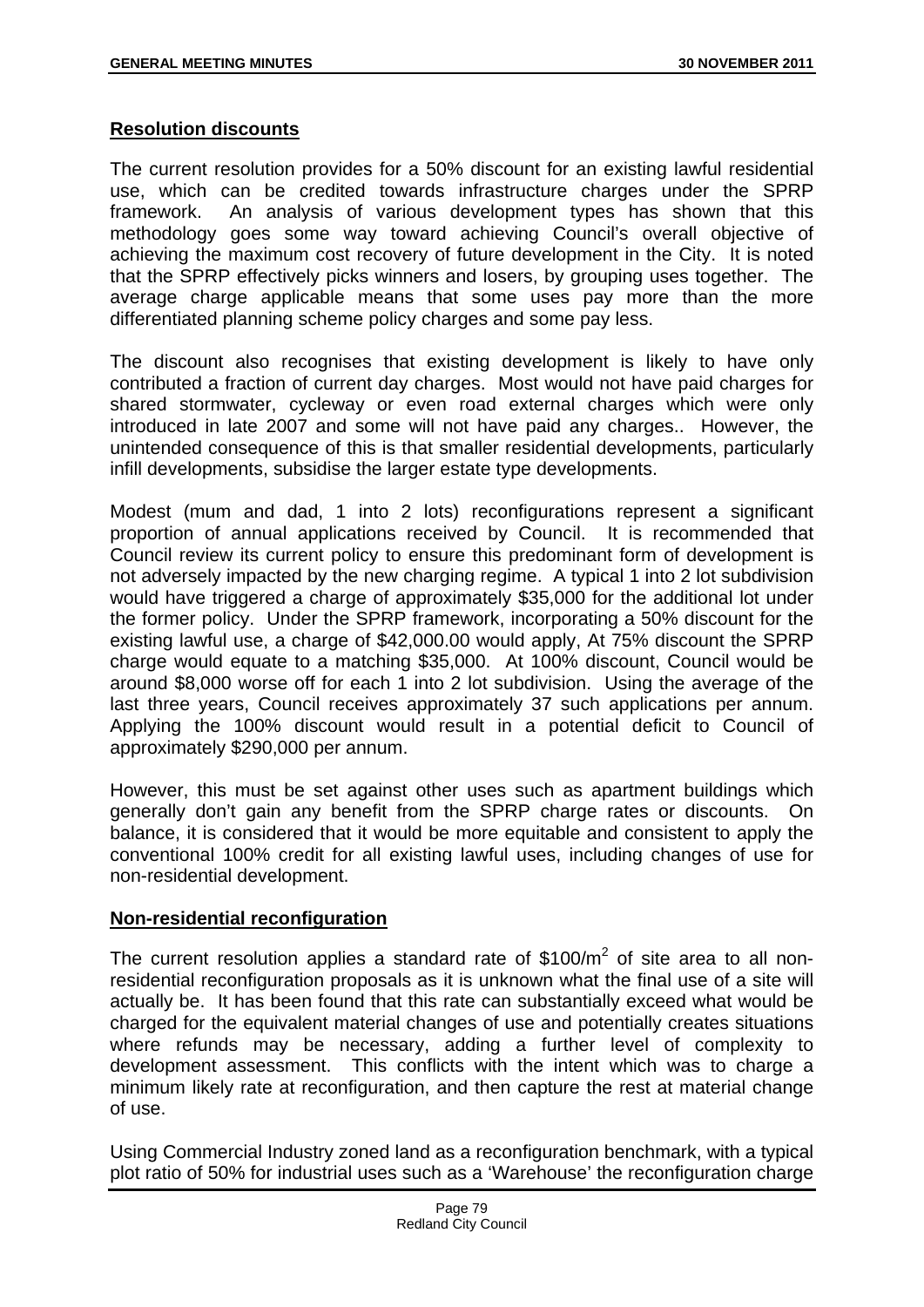### **Resolution discounts**

The current resolution provides for a 50% discount for an existing lawful residential use, which can be credited towards infrastructure charges under the SPRP framework. An analysis of various development types has shown that this methodology goes some way toward achieving Council's overall objective of achieving the maximum cost recovery of future development in the City. It is noted that the SPRP effectively picks winners and losers, by grouping uses together. The average charge applicable means that some uses pay more than the more differentiated planning scheme policy charges and some pay less.

The discount also recognises that existing development is likely to have only contributed a fraction of current day charges. Most would not have paid charges for shared stormwater, cycleway or even road external charges which were only introduced in late 2007 and some will not have paid any charges.. However, the unintended consequence of this is that smaller residential developments, particularly infill developments, subsidise the larger estate type developments.

Modest (mum and dad, 1 into 2 lots) reconfigurations represent a significant proportion of annual applications received by Council. It is recommended that Council review its current policy to ensure this predominant form of development is not adversely impacted by the new charging regime. A typical 1 into 2 lot subdivision would have triggered a charge of approximately \$35,000 for the additional lot under the former policy. Under the SPRP framework, incorporating a 50% discount for the existing lawful use, a charge of \$42,000.00 would apply, At 75% discount the SPRP charge would equate to a matching \$35,000. At 100% discount, Council would be around \$8,000 worse off for each 1 into 2 lot subdivision. Using the average of the last three years, Council receives approximately 37 such applications per annum. Applying the 100% discount would result in a potential deficit to Council of approximately \$290,000 per annum.

However, this must be set against other uses such as apartment buildings which generally don't gain any benefit from the SPRP charge rates or discounts. On balance, it is considered that it would be more equitable and consistent to apply the conventional 100% credit for all existing lawful uses, including changes of use for non-residential development.

## **Non-residential reconfiguration**

The current resolution applies a standard rate of \$100/ $m^2$  of site area to all nonresidential reconfiguration proposals as it is unknown what the final use of a site will actually be. It has been found that this rate can substantially exceed what would be charged for the equivalent material changes of use and potentially creates situations where refunds may be necessary, adding a further level of complexity to development assessment. This conflicts with the intent which was to charge a minimum likely rate at reconfiguration, and then capture the rest at material change of use.

Using Commercial Industry zoned land as a reconfiguration benchmark, with a typical plot ratio of 50% for industrial uses such as a 'Warehouse' the reconfiguration charge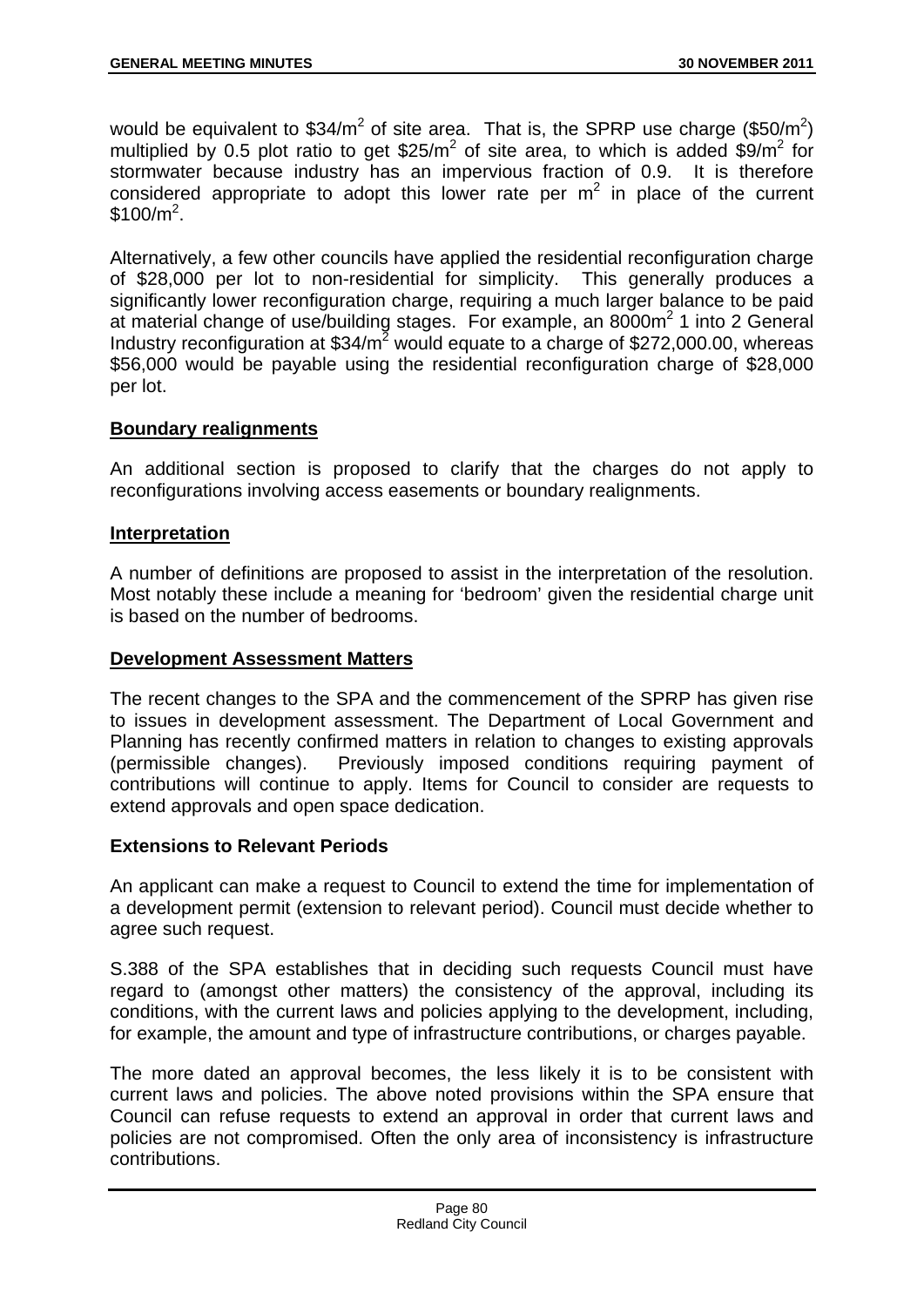would be equivalent to \$34/m<sup>2</sup> of site area. That is, the SPRP use charge (\$50/m<sup>2</sup>) multiplied by 0.5 plot ratio to get  $$25/m^2$  of site area, to which is added  $$9/m^2$  for stormwater because industry has an impervious fraction of 0.9. It is therefore considered appropriate to adopt this lower rate per  $m<sup>2</sup>$  in place of the current  $$100/m^2$ .

Alternatively, a few other councils have applied the residential reconfiguration charge of \$28,000 per lot to non-residential for simplicity. This generally produces a significantly lower reconfiguration charge, requiring a much larger balance to be paid at material change of use/building stages. For example, an  $8000m^2$  1 into 2 General Industry reconfiguration at  $$34/m^2$  would equate to a charge of \$272,000.00, whereas \$56,000 would be payable using the residential reconfiguration charge of \$28,000 per lot.

## **Boundary realignments**

An additional section is proposed to clarify that the charges do not apply to reconfigurations involving access easements or boundary realignments.

## **Interpretation**

A number of definitions are proposed to assist in the interpretation of the resolution. Most notably these include a meaning for 'bedroom' given the residential charge unit is based on the number of bedrooms.

## **Development Assessment Matters**

The recent changes to the SPA and the commencement of the SPRP has given rise to issues in development assessment. The Department of Local Government and Planning has recently confirmed matters in relation to changes to existing approvals (permissible changes). Previously imposed conditions requiring payment of contributions will continue to apply. Items for Council to consider are requests to extend approvals and open space dedication.

## **Extensions to Relevant Periods**

An applicant can make a request to Council to extend the time for implementation of a development permit (extension to relevant period). Council must decide whether to agree such request.

S.388 of the SPA establishes that in deciding such requests Council must have regard to (amongst other matters) the consistency of the approval, including its conditions, with the current laws and policies applying to the development, including, for example, the amount and type of infrastructure contributions, or charges payable.

The more dated an approval becomes, the less likely it is to be consistent with current laws and policies. The above noted provisions within the SPA ensure that Council can refuse requests to extend an approval in order that current laws and policies are not compromised. Often the only area of inconsistency is infrastructure contributions.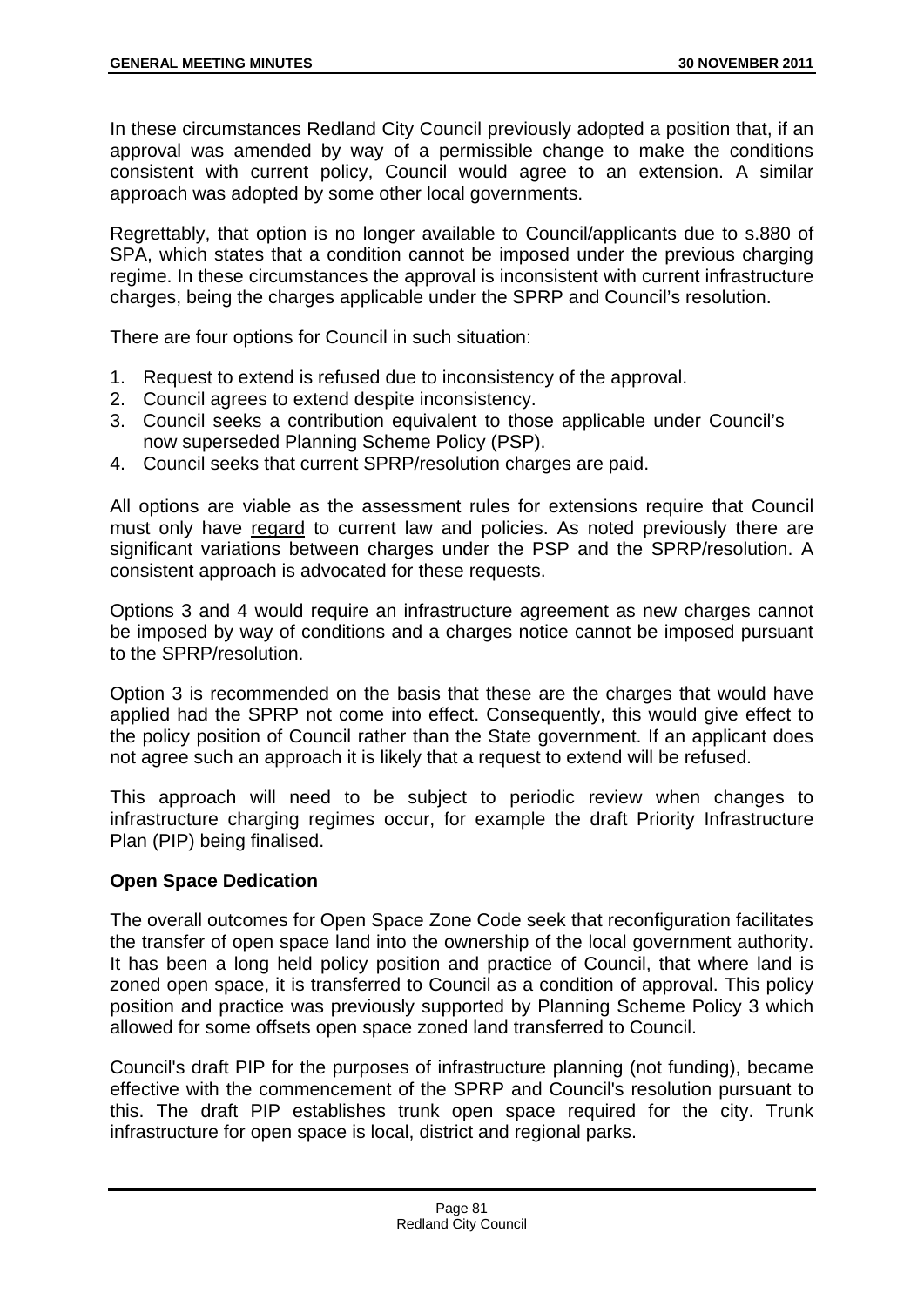In these circumstances Redland City Council previously adopted a position that, if an approval was amended by way of a permissible change to make the conditions consistent with current policy, Council would agree to an extension. A similar approach was adopted by some other local governments.

Regrettably, that option is no longer available to Council/applicants due to s.880 of SPA, which states that a condition cannot be imposed under the previous charging regime. In these circumstances the approval is inconsistent with current infrastructure charges, being the charges applicable under the SPRP and Council's resolution.

There are four options for Council in such situation:

- 1. Request to extend is refused due to inconsistency of the approval.
- 2. Council agrees to extend despite inconsistency.
- 3. Council seeks a contribution equivalent to those applicable under Council's now superseded Planning Scheme Policy (PSP).
- 4. Council seeks that current SPRP/resolution charges are paid.

All options are viable as the assessment rules for extensions require that Council must only have regard to current law and policies. As noted previously there are significant variations between charges under the PSP and the SPRP/resolution. A consistent approach is advocated for these requests.

Options 3 and 4 would require an infrastructure agreement as new charges cannot be imposed by way of conditions and a charges notice cannot be imposed pursuant to the SPRP/resolution.

Option 3 is recommended on the basis that these are the charges that would have applied had the SPRP not come into effect. Consequently, this would give effect to the policy position of Council rather than the State government. If an applicant does not agree such an approach it is likely that a request to extend will be refused.

This approach will need to be subject to periodic review when changes to infrastructure charging regimes occur, for example the draft Priority Infrastructure Plan (PIP) being finalised.

## **Open Space Dedication**

The overall outcomes for Open Space Zone Code seek that reconfiguration facilitates the transfer of open space land into the ownership of the local government authority. It has been a long held policy position and practice of Council, that where land is zoned open space, it is transferred to Council as a condition of approval. This policy position and practice was previously supported by Planning Scheme Policy 3 which allowed for some offsets open space zoned land transferred to Council.

Council's draft PIP for the purposes of infrastructure planning (not funding), became effective with the commencement of the SPRP and Council's resolution pursuant to this. The draft PIP establishes trunk open space required for the city. Trunk infrastructure for open space is local, district and regional parks.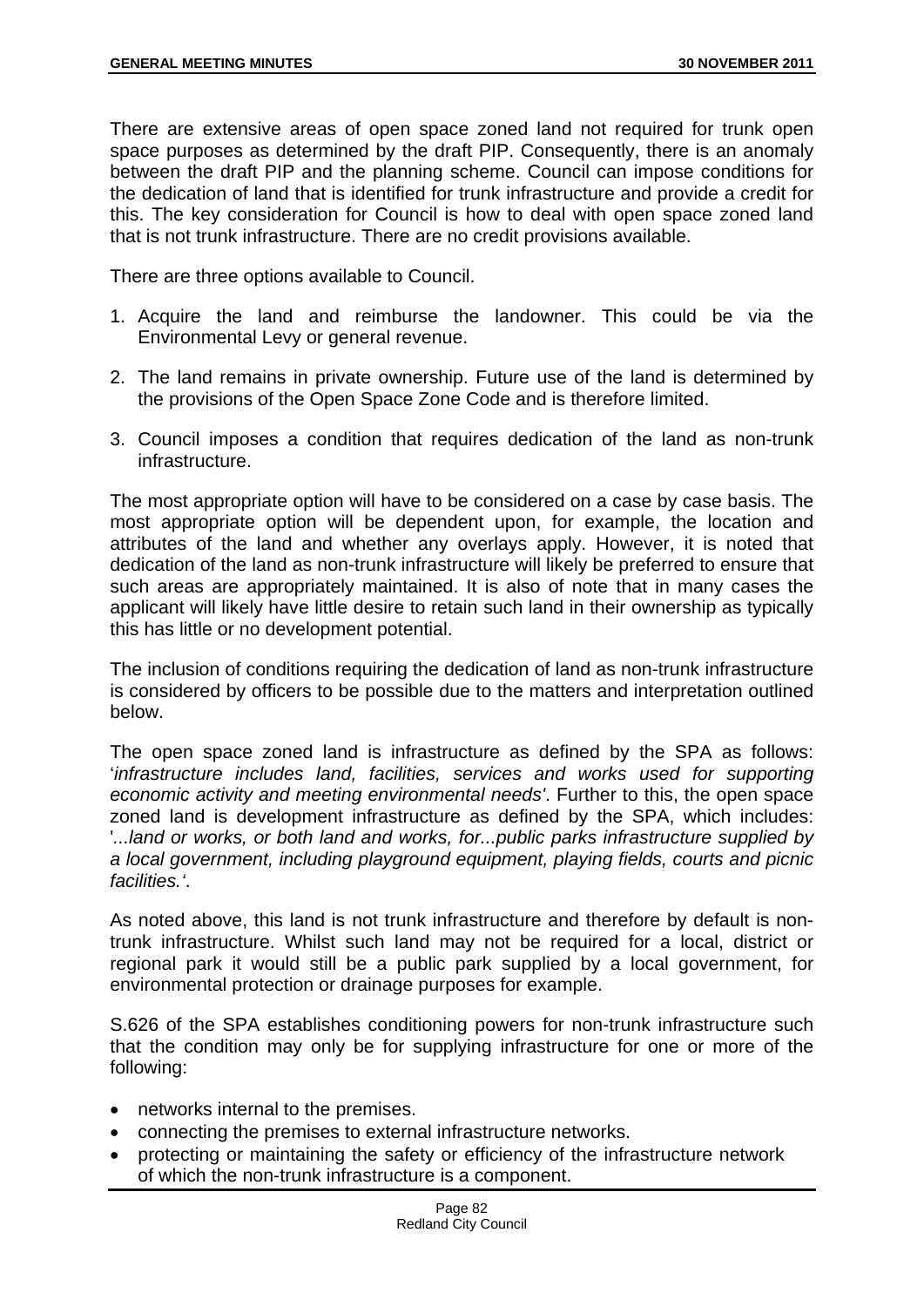There are extensive areas of open space zoned land not required for trunk open space purposes as determined by the draft PIP. Consequently, there is an anomaly between the draft PIP and the planning scheme. Council can impose conditions for the dedication of land that is identified for trunk infrastructure and provide a credit for this. The key consideration for Council is how to deal with open space zoned land that is not trunk infrastructure. There are no credit provisions available.

There are three options available to Council.

- 1. Acquire the land and reimburse the landowner. This could be via the Environmental Levy or general revenue.
- 2. The land remains in private ownership. Future use of the land is determined by the provisions of the Open Space Zone Code and is therefore limited.
- 3. Council imposes a condition that requires dedication of the land as non-trunk infrastructure.

The most appropriate option will have to be considered on a case by case basis. The most appropriate option will be dependent upon, for example, the location and attributes of the land and whether any overlays apply. However, it is noted that dedication of the land as non-trunk infrastructure will likely be preferred to ensure that such areas are appropriately maintained. It is also of note that in many cases the applicant will likely have little desire to retain such land in their ownership as typically this has little or no development potential.

The inclusion of conditions requiring the dedication of land as non-trunk infrastructure is considered by officers to be possible due to the matters and interpretation outlined below.

The open space zoned land is infrastructure as defined by the SPA as follows: '*infrastructure includes land, facilities, services and works used for supporting economic activity and meeting environmental needs'*. Further to this, the open space zoned land is development infrastructure as defined by the SPA, which includes: '*...land or works, or both land and works, for...public parks infrastructure supplied by a local government, including playground equipment, playing fields, courts and picnic facilities.'*.

As noted above, this land is not trunk infrastructure and therefore by default is nontrunk infrastructure. Whilst such land may not be required for a local, district or regional park it would still be a public park supplied by a local government, for environmental protection or drainage purposes for example.

S.626 of the SPA establishes conditioning powers for non-trunk infrastructure such that the condition may only be for supplying infrastructure for one or more of the following:

- networks internal to the premises.
- connecting the premises to external infrastructure networks.
- protecting or maintaining the safety or efficiency of the infrastructure network of which the non-trunk infrastructure is a component.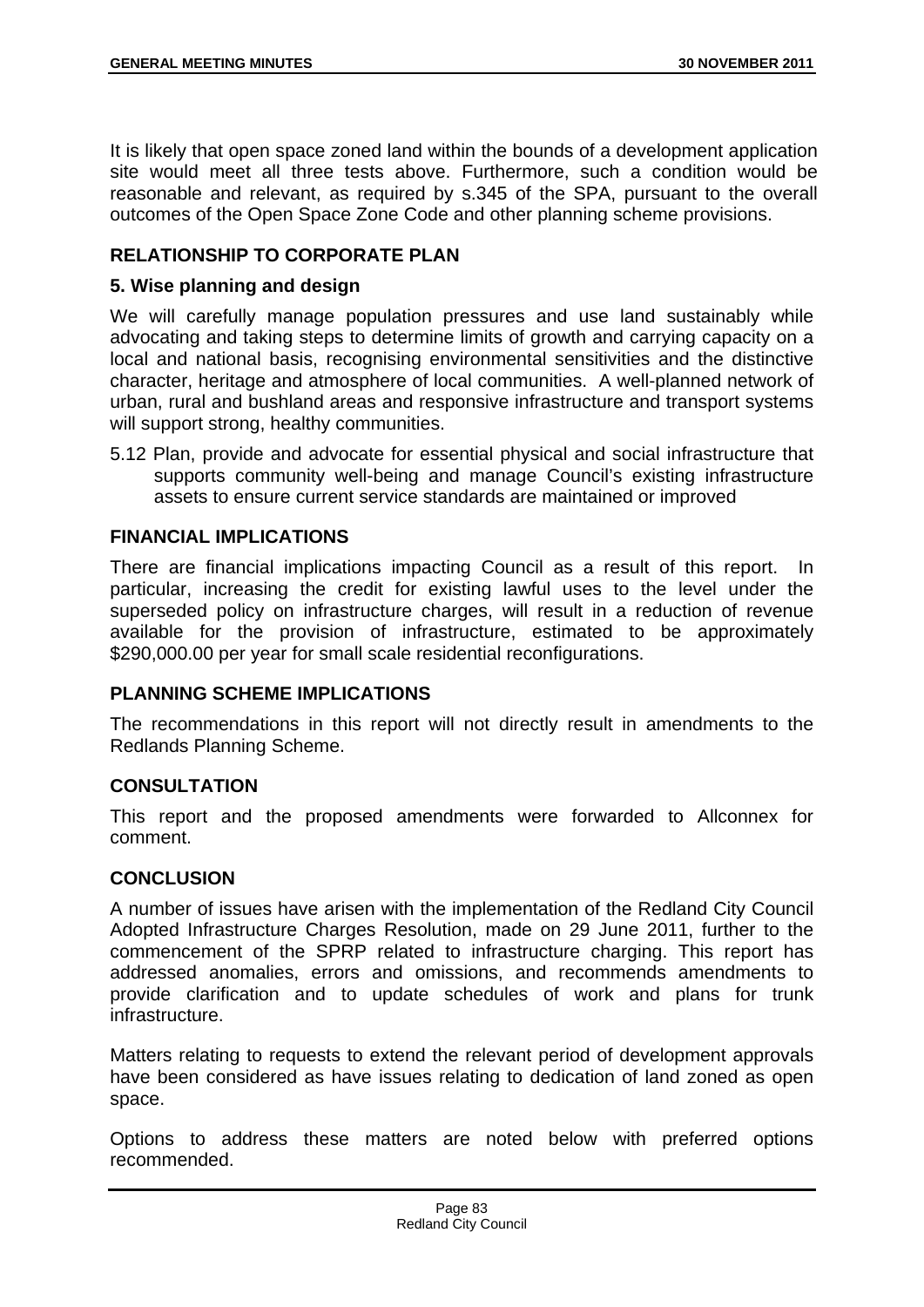It is likely that open space zoned land within the bounds of a development application site would meet all three tests above. Furthermore, such a condition would be reasonable and relevant, as required by s.345 of the SPA, pursuant to the overall outcomes of the Open Space Zone Code and other planning scheme provisions.

# **RELATIONSHIP TO CORPORATE PLAN**

### **5. Wise planning and design**

We will carefully manage population pressures and use land sustainably while advocating and taking steps to determine limits of growth and carrying capacity on a local and national basis, recognising environmental sensitivities and the distinctive character, heritage and atmosphere of local communities. A well-planned network of urban, rural and bushland areas and responsive infrastructure and transport systems will support strong, healthy communities.

5.12 Plan, provide and advocate for essential physical and social infrastructure that supports community well-being and manage Council's existing infrastructure assets to ensure current service standards are maintained or improved

### **FINANCIAL IMPLICATIONS**

There are financial implications impacting Council as a result of this report. In particular, increasing the credit for existing lawful uses to the level under the superseded policy on infrastructure charges, will result in a reduction of revenue available for the provision of infrastructure, estimated to be approximately \$290,000.00 per year for small scale residential reconfigurations.

## **PLANNING SCHEME IMPLICATIONS**

The recommendations in this report will not directly result in amendments to the Redlands Planning Scheme.

## **CONSULTATION**

This report and the proposed amendments were forwarded to Allconnex for comment.

## **CONCLUSION**

A number of issues have arisen with the implementation of the Redland City Council Adopted Infrastructure Charges Resolution, made on 29 June 2011, further to the commencement of the SPRP related to infrastructure charging. This report has addressed anomalies, errors and omissions, and recommends amendments to provide clarification and to update schedules of work and plans for trunk infrastructure.

Matters relating to requests to extend the relevant period of development approvals have been considered as have issues relating to dedication of land zoned as open space.

Options to address these matters are noted below with preferred options recommended.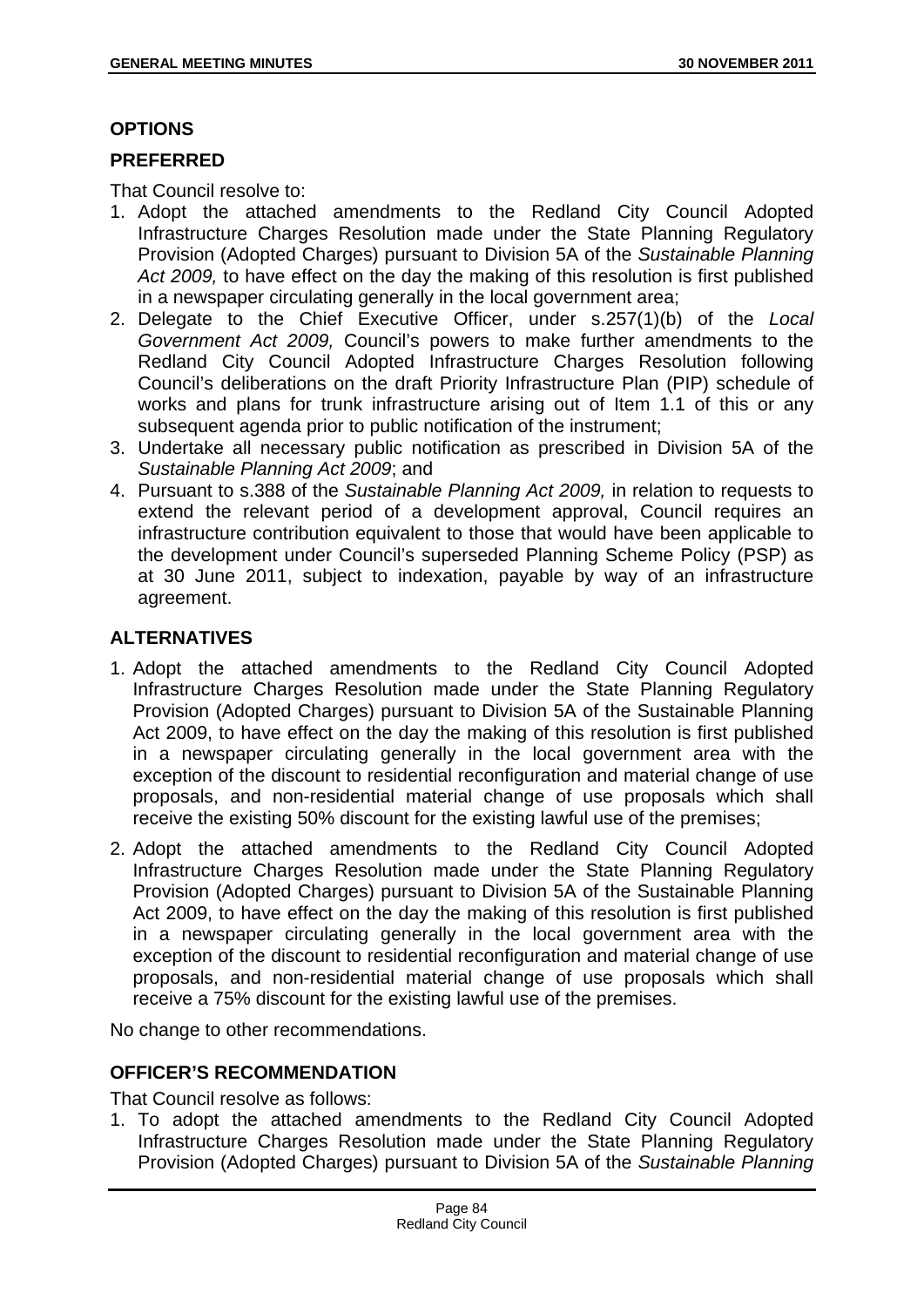## **OPTIONS**

## **PREFERRED**

That Council resolve to:

- 1. Adopt the attached amendments to the Redland City Council Adopted Infrastructure Charges Resolution made under the State Planning Regulatory Provision (Adopted Charges) pursuant to Division 5A of the *Sustainable Planning Act 2009,* to have effect on the day the making of this resolution is first published in a newspaper circulating generally in the local government area;
- 2. Delegate to the Chief Executive Officer, under s.257(1)(b) of the *Local Government Act 2009,* Council's powers to make further amendments to the Redland City Council Adopted Infrastructure Charges Resolution following Council's deliberations on the draft Priority Infrastructure Plan (PIP) schedule of works and plans for trunk infrastructure arising out of Item 1.1 of this or any subsequent agenda prior to public notification of the instrument;
- 3. Undertake all necessary public notification as prescribed in Division 5A of the *Sustainable Planning Act 2009*; and
- 4. Pursuant to s.388 of the *Sustainable Planning Act 2009,* in relation to requests to extend the relevant period of a development approval, Council requires an infrastructure contribution equivalent to those that would have been applicable to the development under Council's superseded Planning Scheme Policy (PSP) as at 30 June 2011, subject to indexation, payable by way of an infrastructure agreement.

# **ALTERNATIVES**

- 1. Adopt the attached amendments to the Redland City Council Adopted Infrastructure Charges Resolution made under the State Planning Regulatory Provision (Adopted Charges) pursuant to Division 5A of the Sustainable Planning Act 2009, to have effect on the day the making of this resolution is first published in a newspaper circulating generally in the local government area with the exception of the discount to residential reconfiguration and material change of use proposals, and non-residential material change of use proposals which shall receive the existing 50% discount for the existing lawful use of the premises;
- 2. Adopt the attached amendments to the Redland City Council Adopted Infrastructure Charges Resolution made under the State Planning Regulatory Provision (Adopted Charges) pursuant to Division 5A of the Sustainable Planning Act 2009, to have effect on the day the making of this resolution is first published in a newspaper circulating generally in the local government area with the exception of the discount to residential reconfiguration and material change of use proposals, and non-residential material change of use proposals which shall receive a 75% discount for the existing lawful use of the premises.

No change to other recommendations.

# **OFFICER'S RECOMMENDATION**

That Council resolve as follows:

1. To adopt the attached amendments to the Redland City Council Adopted Infrastructure Charges Resolution made under the State Planning Regulatory Provision (Adopted Charges) pursuant to Division 5A of the *Sustainable Planning*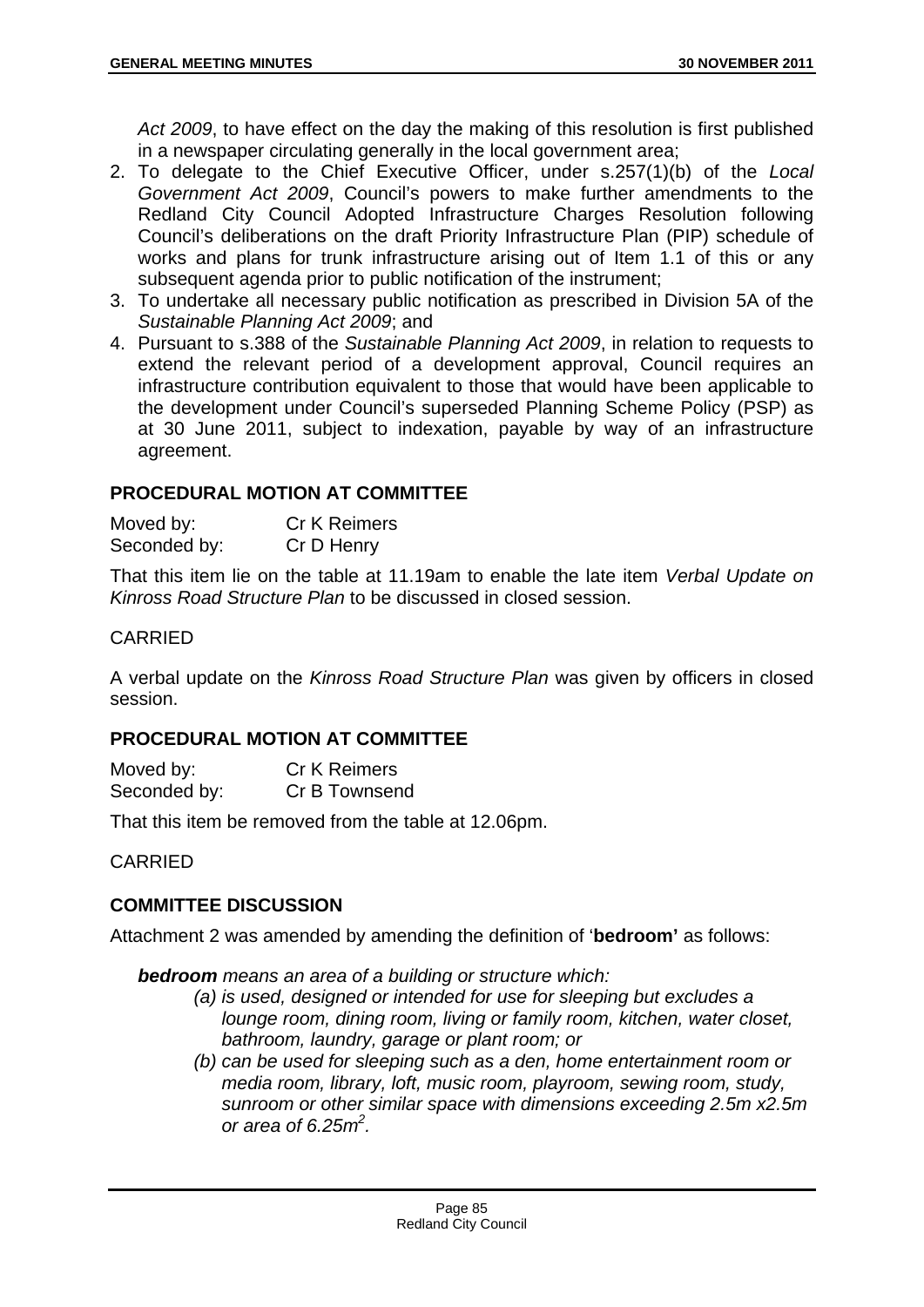*Act 2009*, to have effect on the day the making of this resolution is first published in a newspaper circulating generally in the local government area;

- 2. To delegate to the Chief Executive Officer, under s.257(1)(b) of the *Local Government Act 2009*, Council's powers to make further amendments to the Redland City Council Adopted Infrastructure Charges Resolution following Council's deliberations on the draft Priority Infrastructure Plan (PIP) schedule of works and plans for trunk infrastructure arising out of Item 1.1 of this or any subsequent agenda prior to public notification of the instrument;
- 3. To undertake all necessary public notification as prescribed in Division 5A of the *Sustainable Planning Act 2009*; and
- 4. Pursuant to s.388 of the *Sustainable Planning Act 2009*, in relation to requests to extend the relevant period of a development approval, Council requires an infrastructure contribution equivalent to those that would have been applicable to the development under Council's superseded Planning Scheme Policy (PSP) as at 30 June 2011, subject to indexation, payable by way of an infrastructure agreement.

## **PROCEDURAL MOTION AT COMMITTEE**

| Moved by:    | <b>Cr K Reimers</b> |
|--------------|---------------------|
| Seconded by: | Cr D Henry          |

That this item lie on the table at 11.19am to enable the late item *Verbal Update on Kinross Road Structure Plan* to be discussed in closed session.

## CARRIED

A verbal update on the *Kinross Road Structure Plan* was given by officers in closed session.

## **PROCEDURAL MOTION AT COMMITTEE**

| Moved by:    | <b>Cr K Reimers</b> |
|--------------|---------------------|
| Seconded by: | Cr B Townsend       |

That this item be removed from the table at 12.06pm.

CARRIED

# **COMMITTEE DISCUSSION**

Attachment 2 was amended by amending the definition of '**bedroom'** as follows:

*bedroom means an area of a building or structure which:* 

- *(a) is used, designed or intended for use for sleeping but excludes a lounge room, dining room, living or family room, kitchen, water closet, bathroom, laundry, garage or plant room; or*
- *(b) can be used for sleeping such as a den, home entertainment room or media room, library, loft, music room, playroom, sewing room, study, sunroom or other similar space with dimensions exceeding 2.5m x2.5m or area of 6.25m2 .*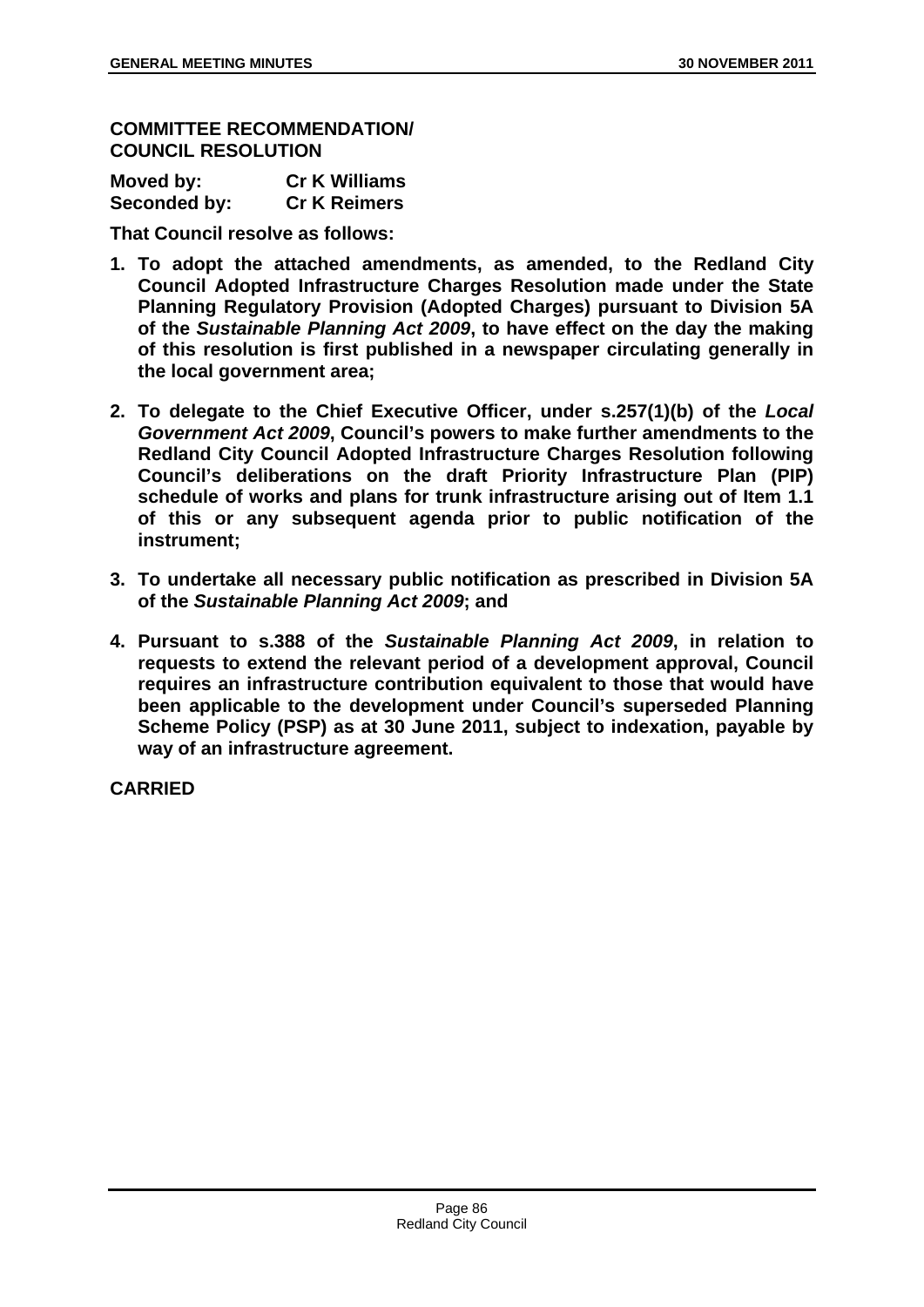**COMMITTEE RECOMMENDATION/ COUNCIL RESOLUTION** 

| Moved by:    | <b>Cr K Williams</b> |
|--------------|----------------------|
| Seconded by: | <b>Cr K Reimers</b>  |

**That Council resolve as follows:** 

- **1. To adopt the attached amendments, as amended, to the Redland City Council Adopted Infrastructure Charges Resolution made under the State Planning Regulatory Provision (Adopted Charges) pursuant to Division 5A of the** *Sustainable Planning Act 2009***, to have effect on the day the making of this resolution is first published in a newspaper circulating generally in the local government area;**
- **2. To delegate to the Chief Executive Officer, under s.257(1)(b) of the** *Local Government Act 2009***, Council's powers to make further amendments to the Redland City Council Adopted Infrastructure Charges Resolution following Council's deliberations on the draft Priority Infrastructure Plan (PIP) schedule of works and plans for trunk infrastructure arising out of Item 1.1 of this or any subsequent agenda prior to public notification of the instrument;**
- **3. To undertake all necessary public notification as prescribed in Division 5A of the** *Sustainable Planning Act 2009***; and**
- **4. Pursuant to s.388 of the** *Sustainable Planning Act 2009***, in relation to requests to extend the relevant period of a development approval, Council requires an infrastructure contribution equivalent to those that would have been applicable to the development under Council's superseded Planning Scheme Policy (PSP) as at 30 June 2011, subject to indexation, payable by way of an infrastructure agreement.**

**CARRIED**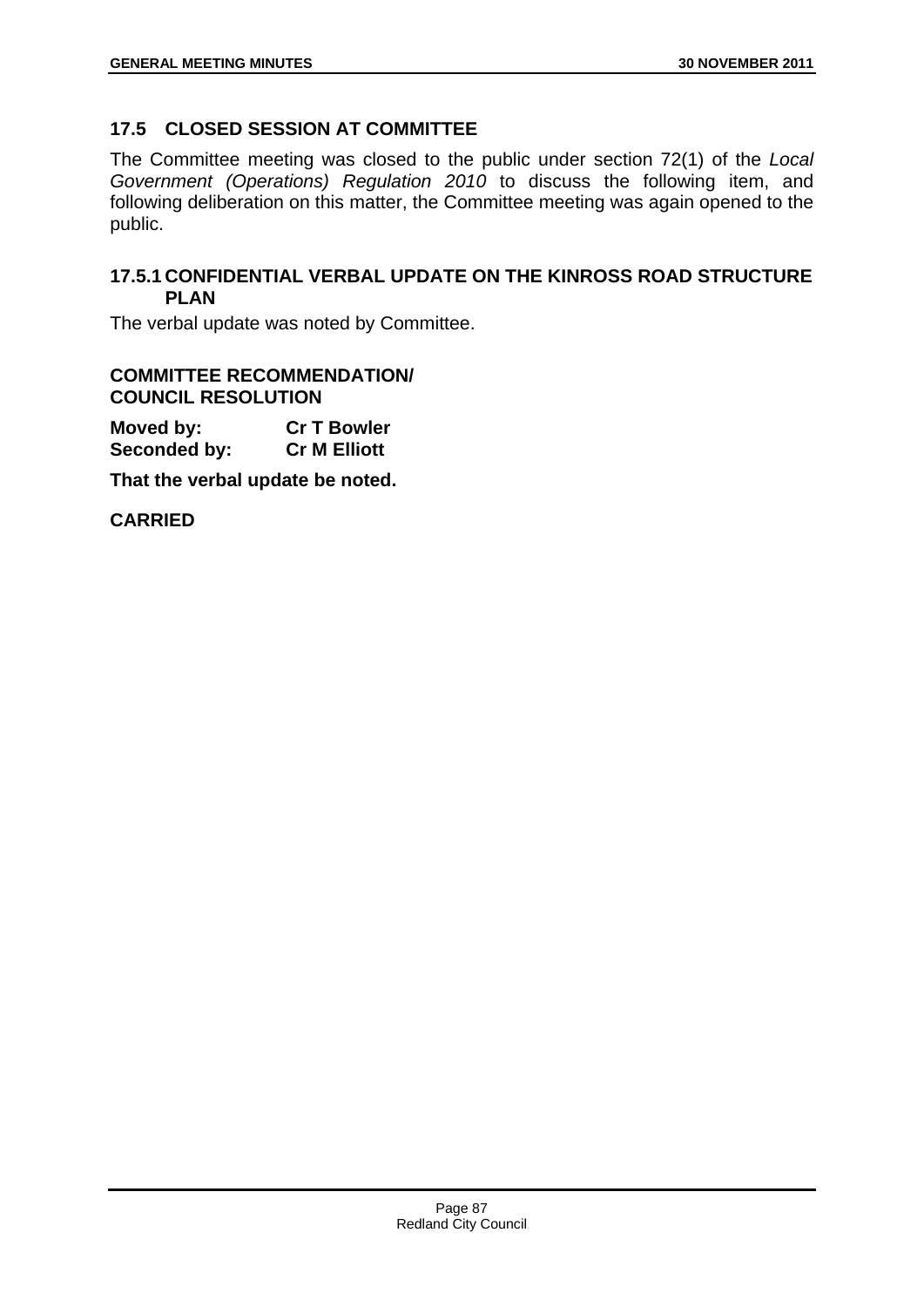# **17.5 CLOSED SESSION AT COMMITTEE**

The Committee meeting was closed to the public under section 72(1) of the *Local Government (Operations) Regulation 2010* to discuss the following item, and following deliberation on this matter, the Committee meeting was again opened to the public.

## **17.5.1 CONFIDENTIAL VERBAL UPDATE ON THE KINROSS ROAD STRUCTURE PLAN**

The verbal update was noted by Committee.

#### **COMMITTEE RECOMMENDATION/ COUNCIL RESOLUTION**

**Moved by: Cr T Bowler Seconded by: Cr M Elliott** 

**That the verbal update be noted.** 

**CARRIED**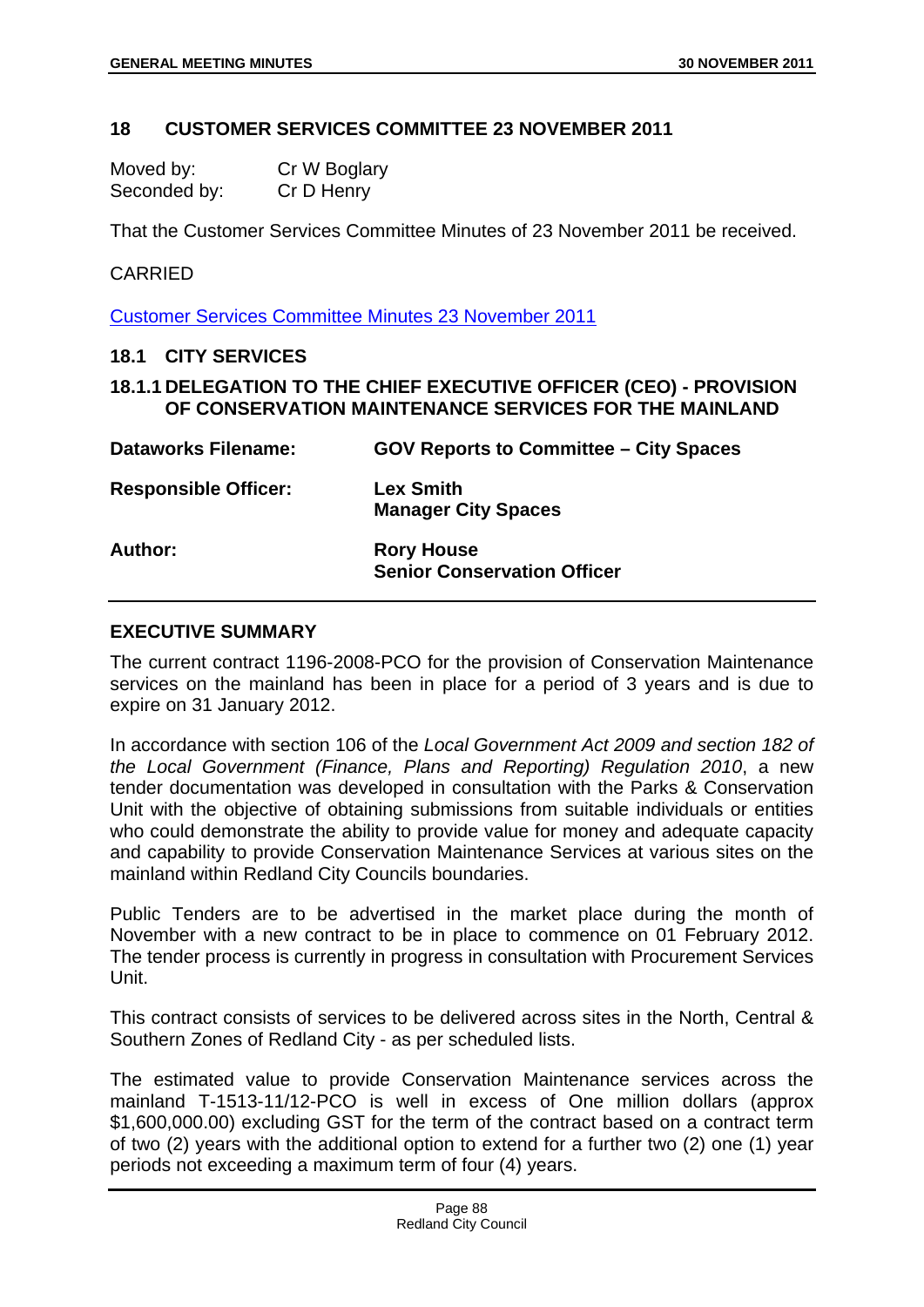### **18 CUSTOMER SERVICES COMMITTEE 23 NOVEMBER 2011**

| Moved by:    | Cr W Boglary |
|--------------|--------------|
| Seconded by: | Cr D Henry   |

That the Customer Services Committee Minutes of 23 November 2011 be received.

#### CARRIED

Customer Services Committee Minutes 23 November 2011

### **18.1 CITY SERVICES**

## **18.1.1 DELEGATION TO THE CHIEF EXECUTIVE OFFICER (CEO) - PROVISION OF CONSERVATION MAINTENANCE SERVICES FOR THE MAINLAND**

| <b>Dataworks Filename:</b>  | <b>GOV Reports to Committee - City Spaces</b>           |
|-----------------------------|---------------------------------------------------------|
| <b>Responsible Officer:</b> | <b>Lex Smith</b><br><b>Manager City Spaces</b>          |
| Author:                     | <b>Rory House</b><br><b>Senior Conservation Officer</b> |

### **EXECUTIVE SUMMARY**

The current contract 1196-2008-PCO for the provision of Conservation Maintenance services on the mainland has been in place for a period of 3 years and is due to expire on 31 January 2012.

In accordance with section 106 of the *Local Government Act 2009 and section 182 of the Local Government (Finance, Plans and Reporting) Regulation 2010*, a new tender documentation was developed in consultation with the Parks & Conservation Unit with the objective of obtaining submissions from suitable individuals or entities who could demonstrate the ability to provide value for money and adequate capacity and capability to provide Conservation Maintenance Services at various sites on the mainland within Redland City Councils boundaries.

Public Tenders are to be advertised in the market place during the month of November with a new contract to be in place to commence on 01 February 2012. The tender process is currently in progress in consultation with Procurement Services Unit.

This contract consists of services to be delivered across sites in the North, Central & Southern Zones of Redland City - as per scheduled lists.

The estimated value to provide Conservation Maintenance services across the mainland T-1513-11/12-PCO is well in excess of One million dollars (approx \$1,600,000.00) excluding GST for the term of the contract based on a contract term of two (2) years with the additional option to extend for a further two (2) one (1) year periods not exceeding a maximum term of four (4) years.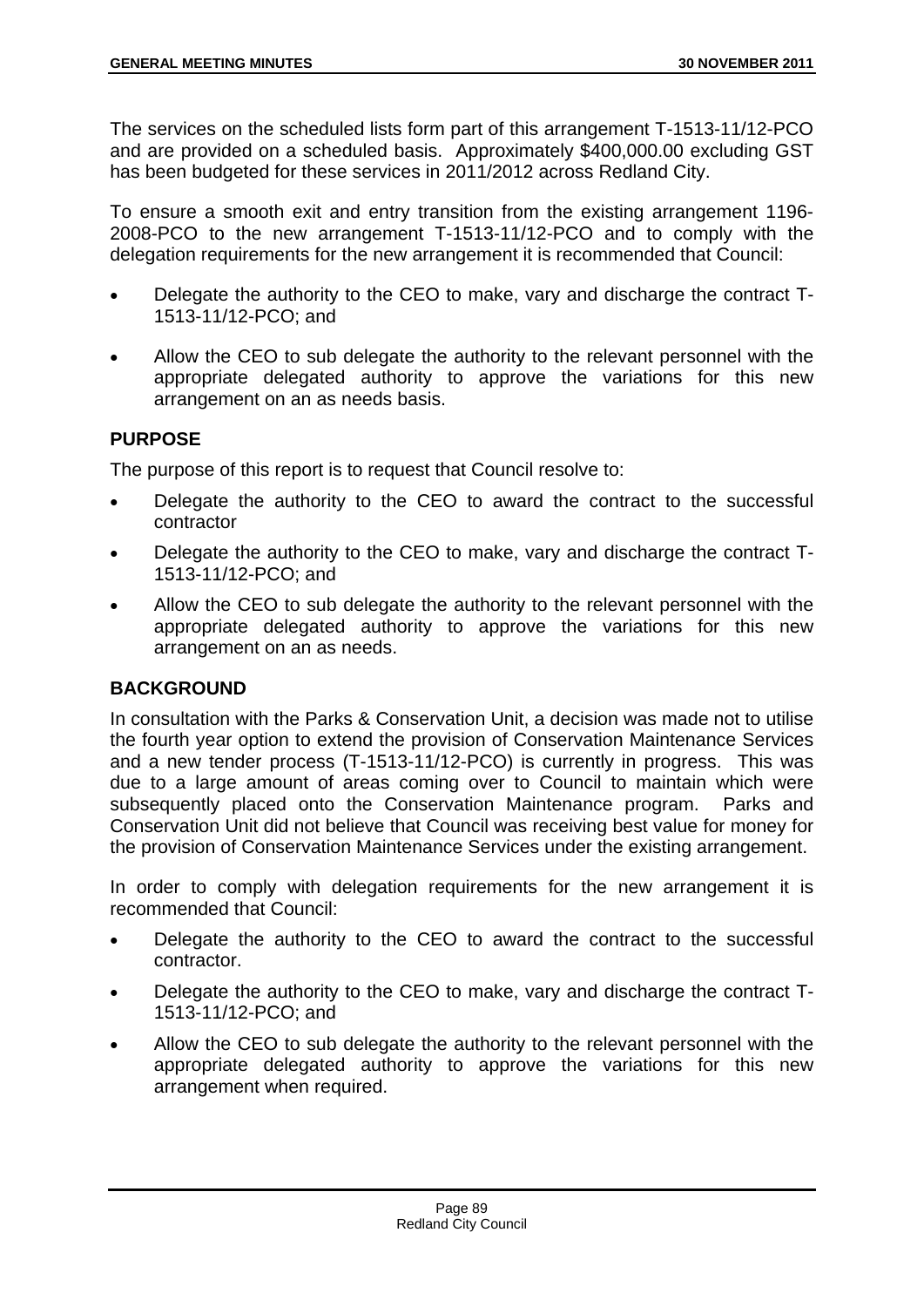The services on the scheduled lists form part of this arrangement T-1513-11/12-PCO and are provided on a scheduled basis. Approximately \$400,000.00 excluding GST has been budgeted for these services in 2011/2012 across Redland City.

To ensure a smooth exit and entry transition from the existing arrangement 1196- 2008-PCO to the new arrangement T-1513-11/12-PCO and to comply with the delegation requirements for the new arrangement it is recommended that Council:

- Delegate the authority to the CEO to make, vary and discharge the contract T-1513-11/12-PCO; and
- Allow the CEO to sub delegate the authority to the relevant personnel with the appropriate delegated authority to approve the variations for this new arrangement on an as needs basis.

## **PURPOSE**

The purpose of this report is to request that Council resolve to:

- Delegate the authority to the CEO to award the contract to the successful contractor
- Delegate the authority to the CEO to make, vary and discharge the contract T-1513-11/12-PCO; and
- Allow the CEO to sub delegate the authority to the relevant personnel with the appropriate delegated authority to approve the variations for this new arrangement on an as needs.

# **BACKGROUND**

In consultation with the Parks & Conservation Unit, a decision was made not to utilise the fourth year option to extend the provision of Conservation Maintenance Services and a new tender process (T-1513-11/12-PCO) is currently in progress. This was due to a large amount of areas coming over to Council to maintain which were subsequently placed onto the Conservation Maintenance program. Parks and Conservation Unit did not believe that Council was receiving best value for money for the provision of Conservation Maintenance Services under the existing arrangement.

In order to comply with delegation requirements for the new arrangement it is recommended that Council:

- Delegate the authority to the CEO to award the contract to the successful contractor.
- Delegate the authority to the CEO to make, vary and discharge the contract T-1513-11/12-PCO; and
- Allow the CEO to sub delegate the authority to the relevant personnel with the appropriate delegated authority to approve the variations for this new arrangement when required.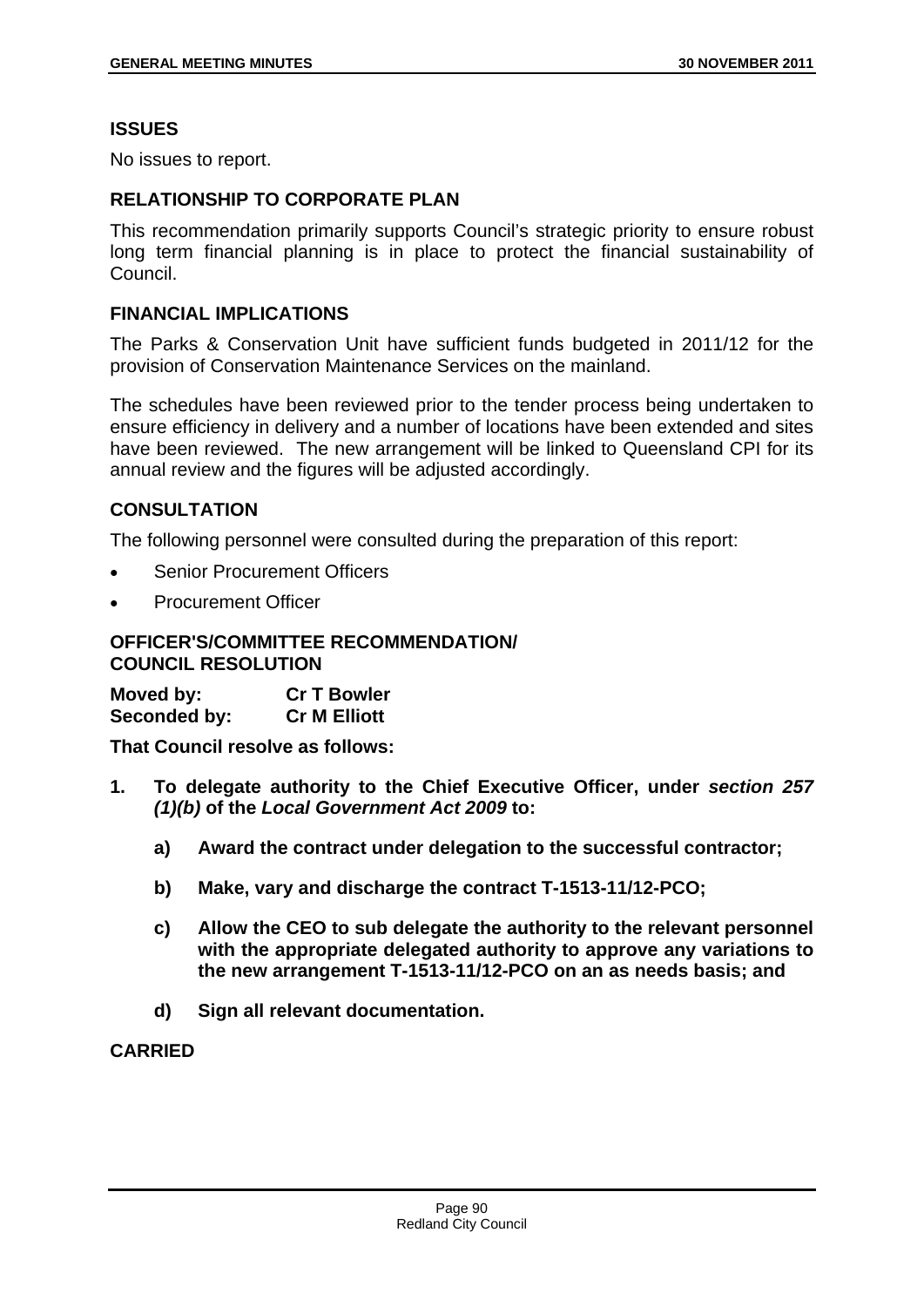## **ISSUES**

No issues to report.

### **RELATIONSHIP TO CORPORATE PLAN**

This recommendation primarily supports Council's strategic priority to ensure robust long term financial planning is in place to protect the financial sustainability of Council.

### **FINANCIAL IMPLICATIONS**

The Parks & Conservation Unit have sufficient funds budgeted in 2011/12 for the provision of Conservation Maintenance Services on the mainland.

The schedules have been reviewed prior to the tender process being undertaken to ensure efficiency in delivery and a number of locations have been extended and sites have been reviewed. The new arrangement will be linked to Queensland CPI for its annual review and the figures will be adjusted accordingly.

## **CONSULTATION**

The following personnel were consulted during the preparation of this report:

- Senior Procurement Officers
- Procurement Officer

#### **OFFICER'S/COMMITTEE RECOMMENDATION/ COUNCIL RESOLUTION**

**Moved by: Cr T Bowler Seconded by: Cr M Elliott** 

**That Council resolve as follows:** 

- **1. To delegate authority to the Chief Executive Officer, under** *section 257 (1)(b)* **of the** *Local Government Act 2009* **to:** 
	- **a) Award the contract under delegation to the successful contractor;**
	- **b) Make, vary and discharge the contract T-1513-11/12-PCO;**
	- **c) Allow the CEO to sub delegate the authority to the relevant personnel with the appropriate delegated authority to approve any variations to the new arrangement T-1513-11/12-PCO on an as needs basis; and**
	- **d) Sign all relevant documentation.**

#### **CARRIED**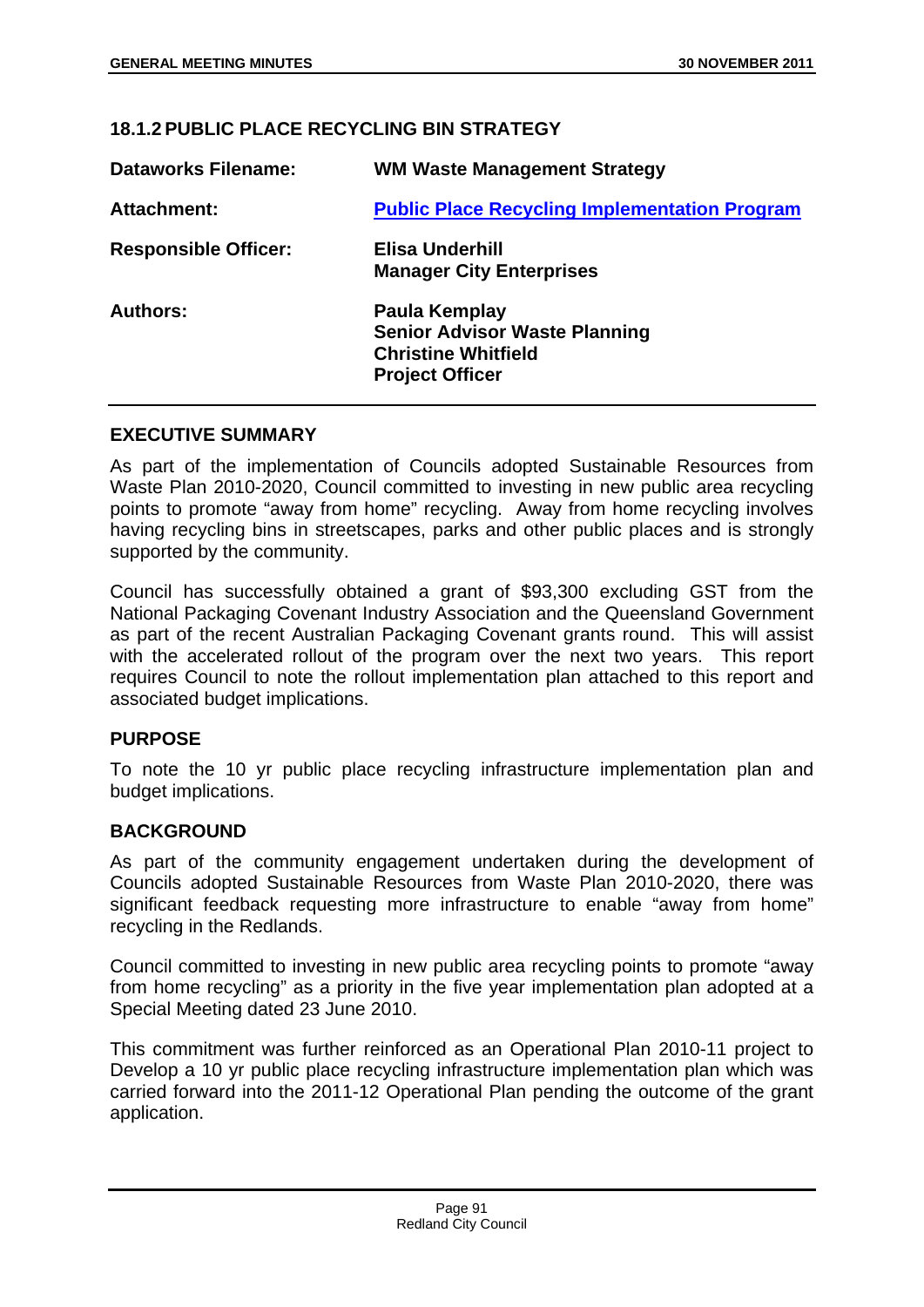## **18.1.2 PUBLIC PLACE RECYCLING BIN STRATEGY**

| <b>Dataworks Filename:</b>  | <b>WM Waste Management Strategy</b>                                                                           |
|-----------------------------|---------------------------------------------------------------------------------------------------------------|
| Attachment:                 | <b>Public Place Recycling Implementation Program</b>                                                          |
| <b>Responsible Officer:</b> | <b>Elisa Underhill</b><br><b>Manager City Enterprises</b>                                                     |
| <b>Authors:</b>             | Paula Kemplay<br><b>Senior Advisor Waste Planning</b><br><b>Christine Whitfield</b><br><b>Project Officer</b> |

### **EXECUTIVE SUMMARY**

As part of the implementation of Councils adopted Sustainable Resources from Waste Plan 2010-2020, Council committed to investing in new public area recycling points to promote "away from home" recycling. Away from home recycling involves having recycling bins in streetscapes, parks and other public places and is strongly supported by the community.

Council has successfully obtained a grant of \$93,300 excluding GST from the National Packaging Covenant Industry Association and the Queensland Government as part of the recent Australian Packaging Covenant grants round. This will assist with the accelerated rollout of the program over the next two years. This report requires Council to note the rollout implementation plan attached to this report and associated budget implications.

## **PURPOSE**

To note the 10 yr public place recycling infrastructure implementation plan and budget implications.

#### **BACKGROUND**

As part of the community engagement undertaken during the development of Councils adopted Sustainable Resources from Waste Plan 2010-2020, there was significant feedback requesting more infrastructure to enable "away from home" recycling in the Redlands.

Council committed to investing in new public area recycling points to promote "away from home recycling" as a priority in the five year implementation plan adopted at a Special Meeting dated 23 June 2010.

This commitment was further reinforced as an Operational Plan 2010-11 project to Develop a 10 yr public place recycling infrastructure implementation plan which was carried forward into the 2011-12 Operational Plan pending the outcome of the grant application.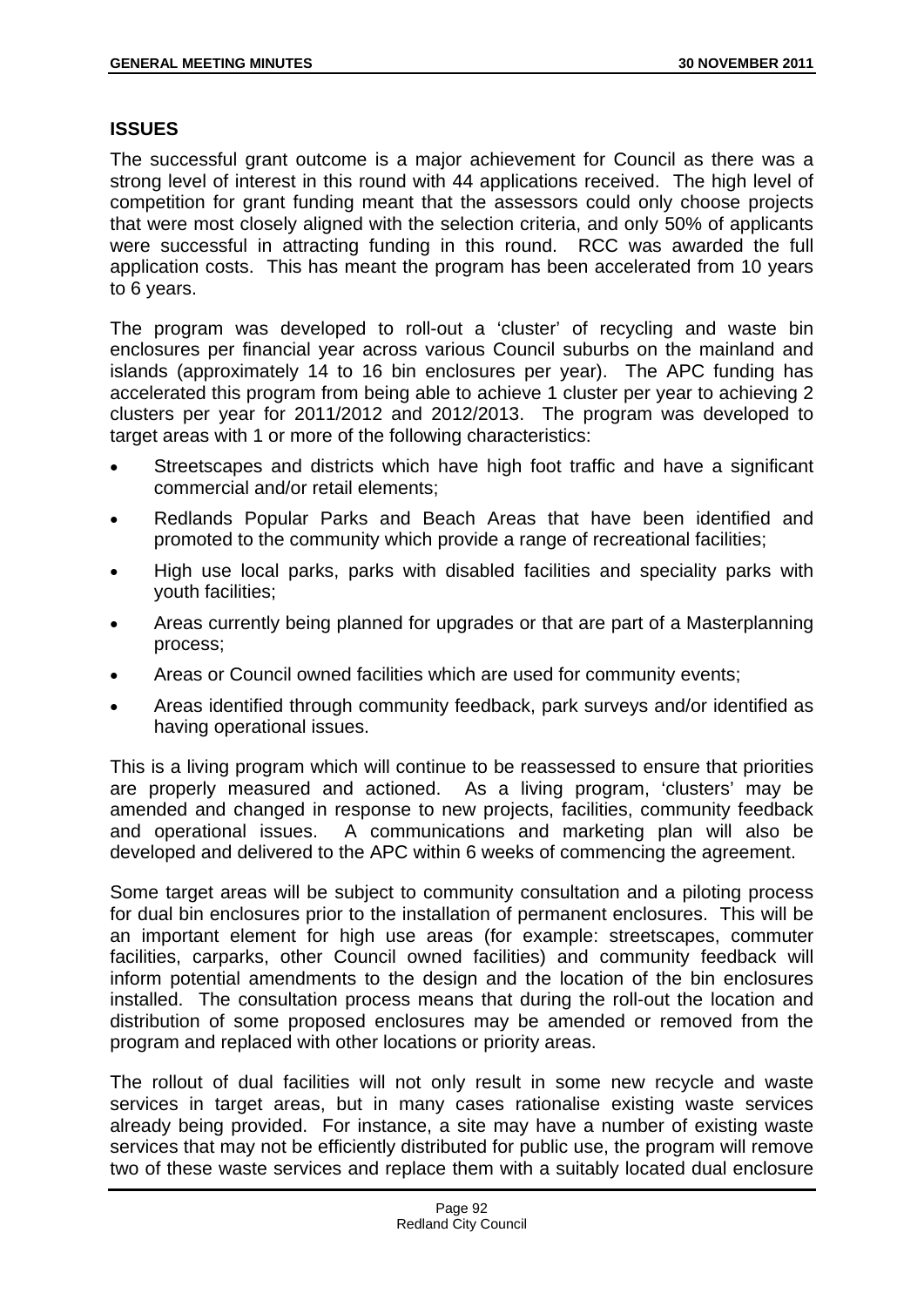## **ISSUES**

The successful grant outcome is a major achievement for Council as there was a strong level of interest in this round with 44 applications received. The high level of competition for grant funding meant that the assessors could only choose projects that were most closely aligned with the selection criteria, and only 50% of applicants were successful in attracting funding in this round. RCC was awarded the full application costs. This has meant the program has been accelerated from 10 years to 6 years.

The program was developed to roll-out a 'cluster' of recycling and waste bin enclosures per financial year across various Council suburbs on the mainland and islands (approximately 14 to 16 bin enclosures per year). The APC funding has accelerated this program from being able to achieve 1 cluster per year to achieving 2 clusters per year for 2011/2012 and 2012/2013. The program was developed to target areas with 1 or more of the following characteristics:

- Streetscapes and districts which have high foot traffic and have a significant commercial and/or retail elements;
- Redlands Popular Parks and Beach Areas that have been identified and promoted to the community which provide a range of recreational facilities;
- High use local parks, parks with disabled facilities and speciality parks with youth facilities;
- Areas currently being planned for upgrades or that are part of a Masterplanning process;
- Areas or Council owned facilities which are used for community events;
- Areas identified through community feedback, park surveys and/or identified as having operational issues.

This is a living program which will continue to be reassessed to ensure that priorities are properly measured and actioned. As a living program, 'clusters' may be amended and changed in response to new projects, facilities, community feedback and operational issues. A communications and marketing plan will also be developed and delivered to the APC within 6 weeks of commencing the agreement.

Some target areas will be subject to community consultation and a piloting process for dual bin enclosures prior to the installation of permanent enclosures. This will be an important element for high use areas (for example: streetscapes, commuter facilities, carparks, other Council owned facilities) and community feedback will inform potential amendments to the design and the location of the bin enclosures installed. The consultation process means that during the roll-out the location and distribution of some proposed enclosures may be amended or removed from the program and replaced with other locations or priority areas.

The rollout of dual facilities will not only result in some new recycle and waste services in target areas, but in many cases rationalise existing waste services already being provided. For instance, a site may have a number of existing waste services that may not be efficiently distributed for public use, the program will remove two of these waste services and replace them with a suitably located dual enclosure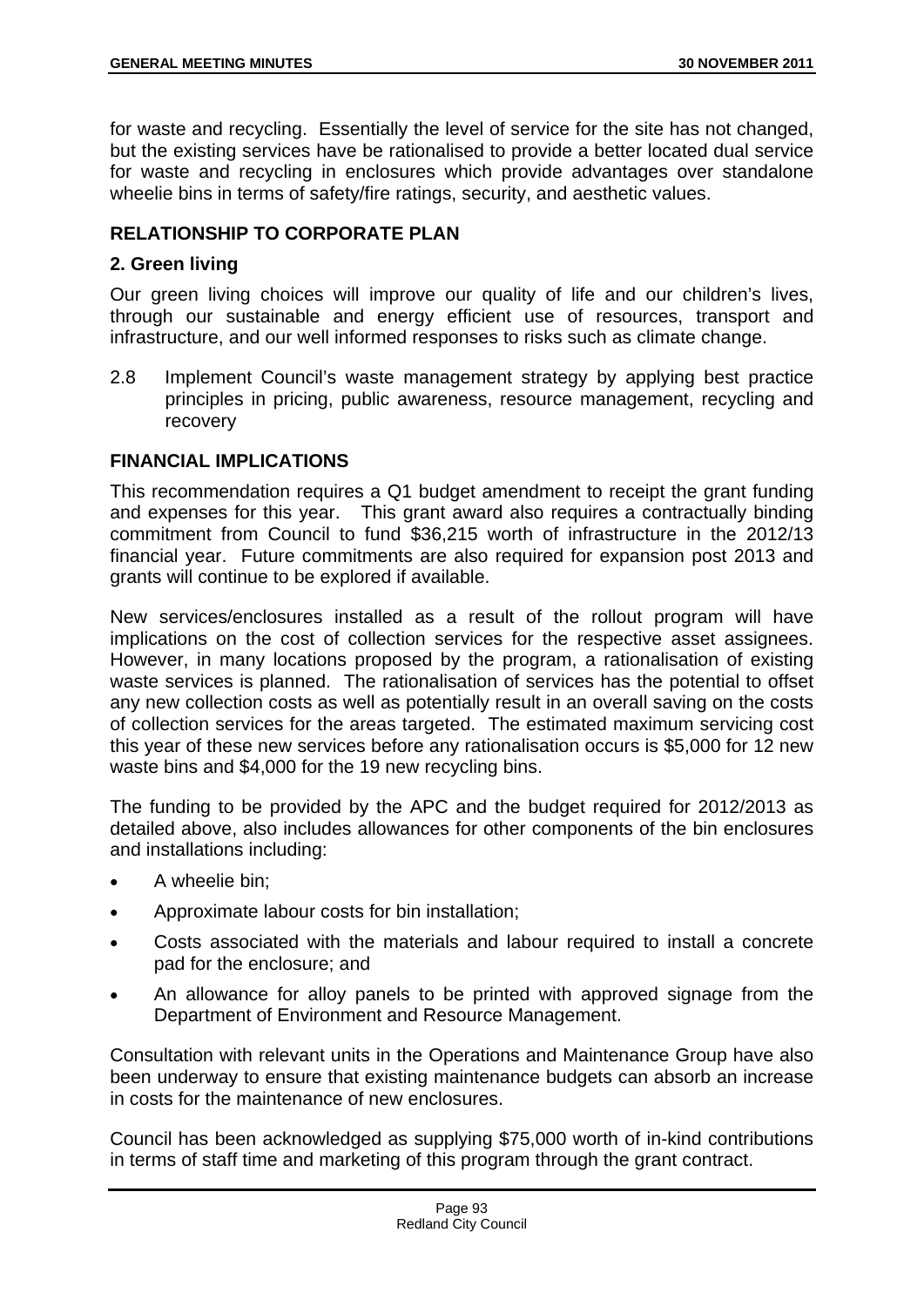for waste and recycling. Essentially the level of service for the site has not changed, but the existing services have be rationalised to provide a better located dual service for waste and recycling in enclosures which provide advantages over standalone wheelie bins in terms of safety/fire ratings, security, and aesthetic values.

# **RELATIONSHIP TO CORPORATE PLAN**

## **2. Green living**

Our green living choices will improve our quality of life and our children's lives, through our sustainable and energy efficient use of resources, transport and infrastructure, and our well informed responses to risks such as climate change.

2.8 Implement Council's waste management strategy by applying best practice principles in pricing, public awareness, resource management, recycling and recovery

## **FINANCIAL IMPLICATIONS**

This recommendation requires a Q1 budget amendment to receipt the grant funding and expenses for this year. This grant award also requires a contractually binding commitment from Council to fund \$36,215 worth of infrastructure in the 2012/13 financial year. Future commitments are also required for expansion post 2013 and grants will continue to be explored if available.

New services/enclosures installed as a result of the rollout program will have implications on the cost of collection services for the respective asset assignees. However, in many locations proposed by the program, a rationalisation of existing waste services is planned. The rationalisation of services has the potential to offset any new collection costs as well as potentially result in an overall saving on the costs of collection services for the areas targeted. The estimated maximum servicing cost this year of these new services before any rationalisation occurs is \$5,000 for 12 new waste bins and \$4,000 for the 19 new recycling bins.

The funding to be provided by the APC and the budget required for 2012/2013 as detailed above, also includes allowances for other components of the bin enclosures and installations including:

- A wheelie bin:
- Approximate labour costs for bin installation;
- Costs associated with the materials and labour required to install a concrete pad for the enclosure; and
- An allowance for alloy panels to be printed with approved signage from the Department of Environment and Resource Management.

Consultation with relevant units in the Operations and Maintenance Group have also been underway to ensure that existing maintenance budgets can absorb an increase in costs for the maintenance of new enclosures.

Council has been acknowledged as supplying \$75,000 worth of in-kind contributions in terms of staff time and marketing of this program through the grant contract.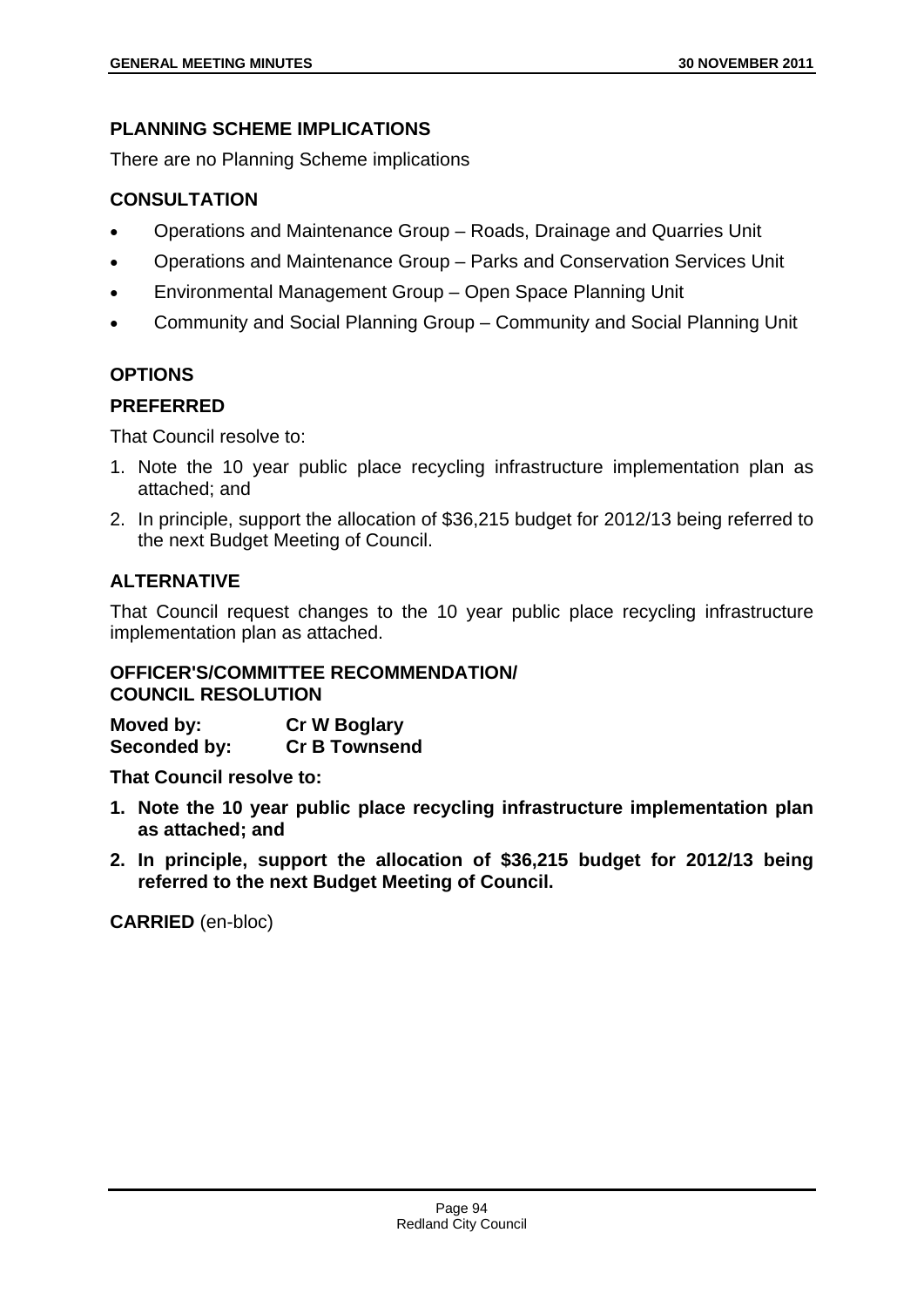## **PLANNING SCHEME IMPLICATIONS**

There are no Planning Scheme implications

# **CONSULTATION**

- Operations and Maintenance Group Roads, Drainage and Quarries Unit
- Operations and Maintenance Group Parks and Conservation Services Unit
- Environmental Management Group Open Space Planning Unit
- Community and Social Planning Group Community and Social Planning Unit

# **OPTIONS**

# **PREFERRED**

That Council resolve to:

- 1. Note the 10 year public place recycling infrastructure implementation plan as attached; and
- 2. In principle, support the allocation of \$36,215 budget for 2012/13 being referred to the next Budget Meeting of Council.

# **ALTERNATIVE**

That Council request changes to the 10 year public place recycling infrastructure implementation plan as attached.

## **OFFICER'S/COMMITTEE RECOMMENDATION/ COUNCIL RESOLUTION**

**Moved by: Cr W Boglary Seconded by: Cr B Townsend** 

**That Council resolve to:** 

- **1. Note the 10 year public place recycling infrastructure implementation plan as attached; and**
- **2. In principle, support the allocation of \$36,215 budget for 2012/13 being referred to the next Budget Meeting of Council.**

**CARRIED** (en-bloc)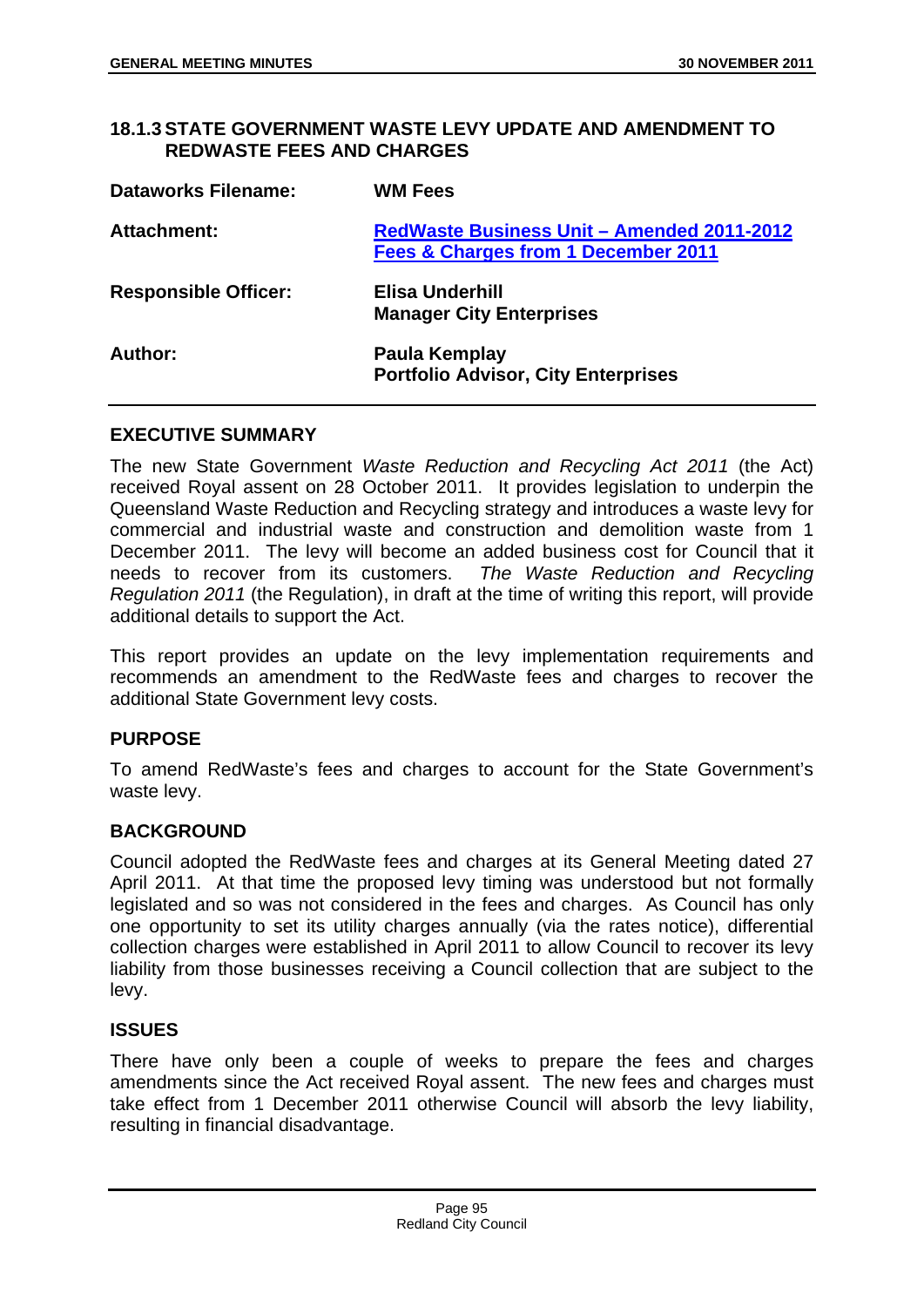### **18.1.3 STATE GOVERNMENT WASTE LEVY UPDATE AND AMENDMENT TO REDWASTE FEES AND CHARGES**

| <b>Dataworks Filename:</b>  | <b>WM Fees</b>                                                                    |
|-----------------------------|-----------------------------------------------------------------------------------|
| <b>Attachment:</b>          | RedWaste Business Unit - Amended 2011-2012<br>Fees & Charges from 1 December 2011 |
| <b>Responsible Officer:</b> | Elisa Underhill<br><b>Manager City Enterprises</b>                                |
| Author:                     | Paula Kemplay<br><b>Portfolio Advisor, City Enterprises</b>                       |

### **EXECUTIVE SUMMARY**

The new State Government *Waste Reduction and Recycling Act 2011* (the Act) received Royal assent on 28 October 2011. It provides legislation to underpin the Queensland Waste Reduction and Recycling strategy and introduces a waste levy for commercial and industrial waste and construction and demolition waste from 1 December 2011. The levy will become an added business cost for Council that it needs to recover from its customers. *The Waste Reduction and Recycling Regulation 2011* (the Regulation), in draft at the time of writing this report, will provide additional details to support the Act.

This report provides an update on the levy implementation requirements and recommends an amendment to the RedWaste fees and charges to recover the additional State Government levy costs.

## **PURPOSE**

To amend RedWaste's fees and charges to account for the State Government's waste levy.

#### **BACKGROUND**

Council adopted the RedWaste fees and charges at its General Meeting dated 27 April 2011. At that time the proposed levy timing was understood but not formally legislated and so was not considered in the fees and charges. As Council has only one opportunity to set its utility charges annually (via the rates notice), differential collection charges were established in April 2011 to allow Council to recover its levy liability from those businesses receiving a Council collection that are subject to the levy.

## **ISSUES**

There have only been a couple of weeks to prepare the fees and charges amendments since the Act received Royal assent. The new fees and charges must take effect from 1 December 2011 otherwise Council will absorb the levy liability, resulting in financial disadvantage.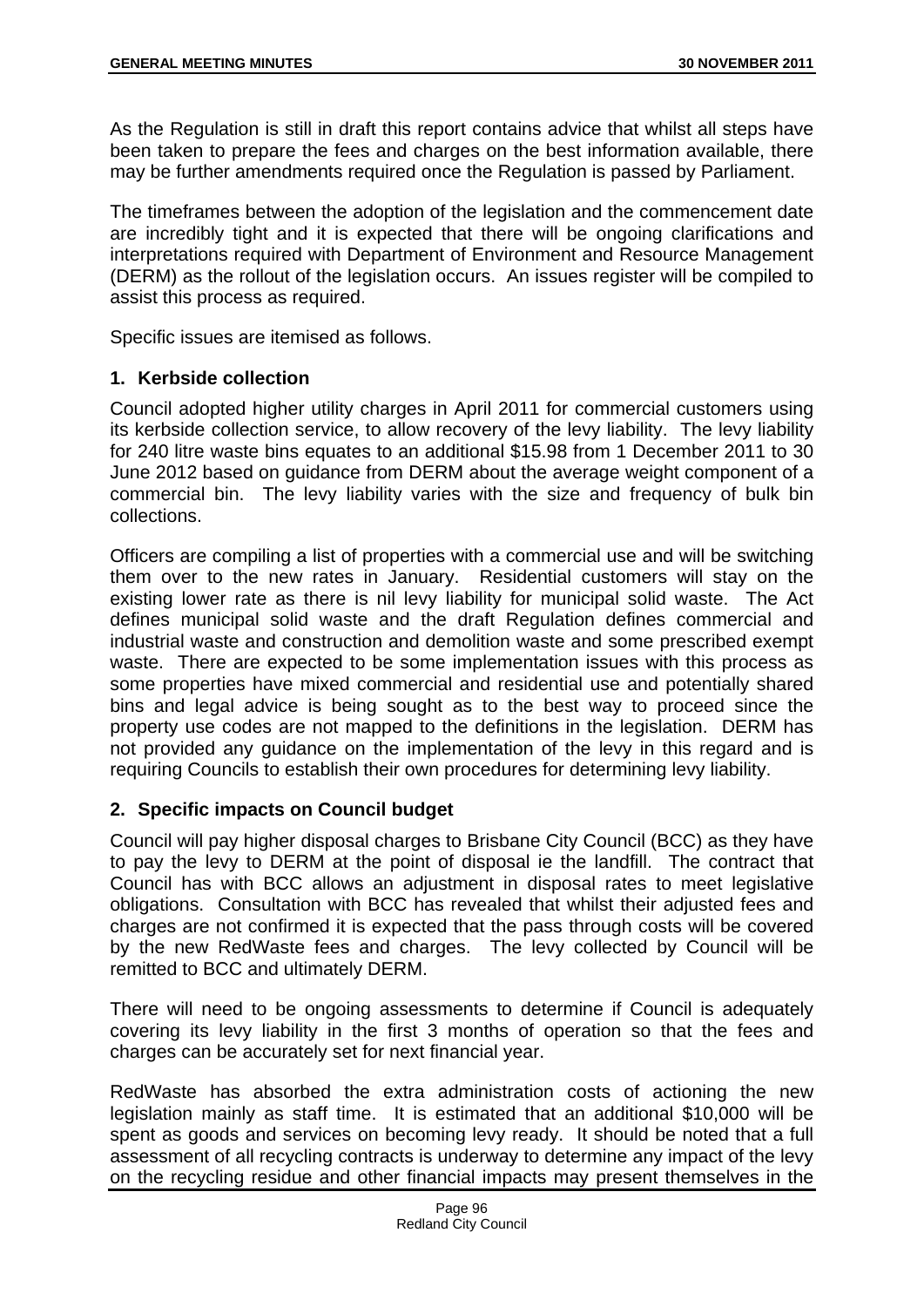As the Regulation is still in draft this report contains advice that whilst all steps have been taken to prepare the fees and charges on the best information available, there may be further amendments required once the Regulation is passed by Parliament.

The timeframes between the adoption of the legislation and the commencement date are incredibly tight and it is expected that there will be ongoing clarifications and interpretations required with Department of Environment and Resource Management (DERM) as the rollout of the legislation occurs. An issues register will be compiled to assist this process as required.

Specific issues are itemised as follows.

## **1. Kerbside collection**

Council adopted higher utility charges in April 2011 for commercial customers using its kerbside collection service, to allow recovery of the levy liability. The levy liability for 240 litre waste bins equates to an additional \$15.98 from 1 December 2011 to 30 June 2012 based on guidance from DERM about the average weight component of a commercial bin. The levy liability varies with the size and frequency of bulk bin collections.

Officers are compiling a list of properties with a commercial use and will be switching them over to the new rates in January. Residential customers will stay on the existing lower rate as there is nil levy liability for municipal solid waste. The Act defines municipal solid waste and the draft Regulation defines commercial and industrial waste and construction and demolition waste and some prescribed exempt waste. There are expected to be some implementation issues with this process as some properties have mixed commercial and residential use and potentially shared bins and legal advice is being sought as to the best way to proceed since the property use codes are not mapped to the definitions in the legislation. DERM has not provided any guidance on the implementation of the levy in this regard and is requiring Councils to establish their own procedures for determining levy liability.

## **2. Specific impacts on Council budget**

Council will pay higher disposal charges to Brisbane City Council (BCC) as they have to pay the levy to DERM at the point of disposal ie the landfill. The contract that Council has with BCC allows an adjustment in disposal rates to meet legislative obligations. Consultation with BCC has revealed that whilst their adjusted fees and charges are not confirmed it is expected that the pass through costs will be covered by the new RedWaste fees and charges. The levy collected by Council will be remitted to BCC and ultimately DERM.

There will need to be ongoing assessments to determine if Council is adequately covering its levy liability in the first 3 months of operation so that the fees and charges can be accurately set for next financial year.

RedWaste has absorbed the extra administration costs of actioning the new legislation mainly as staff time. It is estimated that an additional \$10,000 will be spent as goods and services on becoming levy ready. It should be noted that a full assessment of all recycling contracts is underway to determine any impact of the levy on the recycling residue and other financial impacts may present themselves in the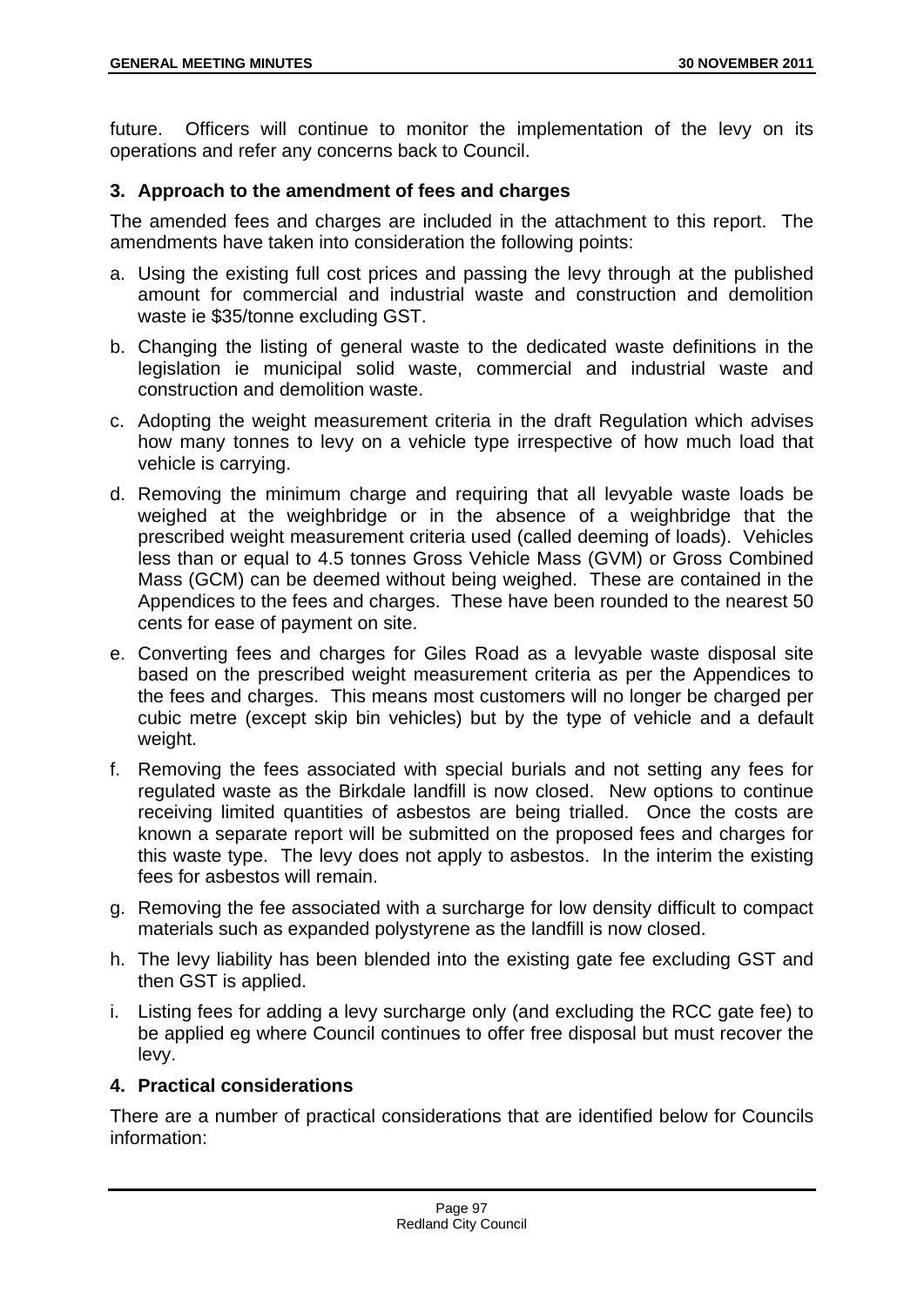future. Officers will continue to monitor the implementation of the levy on its operations and refer any concerns back to Council.

## **3. Approach to the amendment of fees and charges**

The amended fees and charges are included in the attachment to this report. The amendments have taken into consideration the following points:

- a. Using the existing full cost prices and passing the levy through at the published amount for commercial and industrial waste and construction and demolition waste ie \$35/tonne excluding GST.
- b. Changing the listing of general waste to the dedicated waste definitions in the legislation ie municipal solid waste, commercial and industrial waste and construction and demolition waste.
- c. Adopting the weight measurement criteria in the draft Regulation which advises how many tonnes to levy on a vehicle type irrespective of how much load that vehicle is carrying.
- d. Removing the minimum charge and requiring that all levyable waste loads be weighed at the weighbridge or in the absence of a weighbridge that the prescribed weight measurement criteria used (called deeming of loads). Vehicles less than or equal to 4.5 tonnes Gross Vehicle Mass (GVM) or Gross Combined Mass (GCM) can be deemed without being weighed. These are contained in the Appendices to the fees and charges. These have been rounded to the nearest 50 cents for ease of payment on site.
- e. Converting fees and charges for Giles Road as a levyable waste disposal site based on the prescribed weight measurement criteria as per the Appendices to the fees and charges. This means most customers will no longer be charged per cubic metre (except skip bin vehicles) but by the type of vehicle and a default weight.
- f. Removing the fees associated with special burials and not setting any fees for regulated waste as the Birkdale landfill is now closed. New options to continue receiving limited quantities of asbestos are being trialled. Once the costs are known a separate report will be submitted on the proposed fees and charges for this waste type. The levy does not apply to asbestos. In the interim the existing fees for asbestos will remain.
- g. Removing the fee associated with a surcharge for low density difficult to compact materials such as expanded polystyrene as the landfill is now closed.
- h. The levy liability has been blended into the existing gate fee excluding GST and then GST is applied.
- i. Listing fees for adding a levy surcharge only (and excluding the RCC gate fee) to be applied eg where Council continues to offer free disposal but must recover the levy.

# **4. Practical considerations**

There are a number of practical considerations that are identified below for Councils information: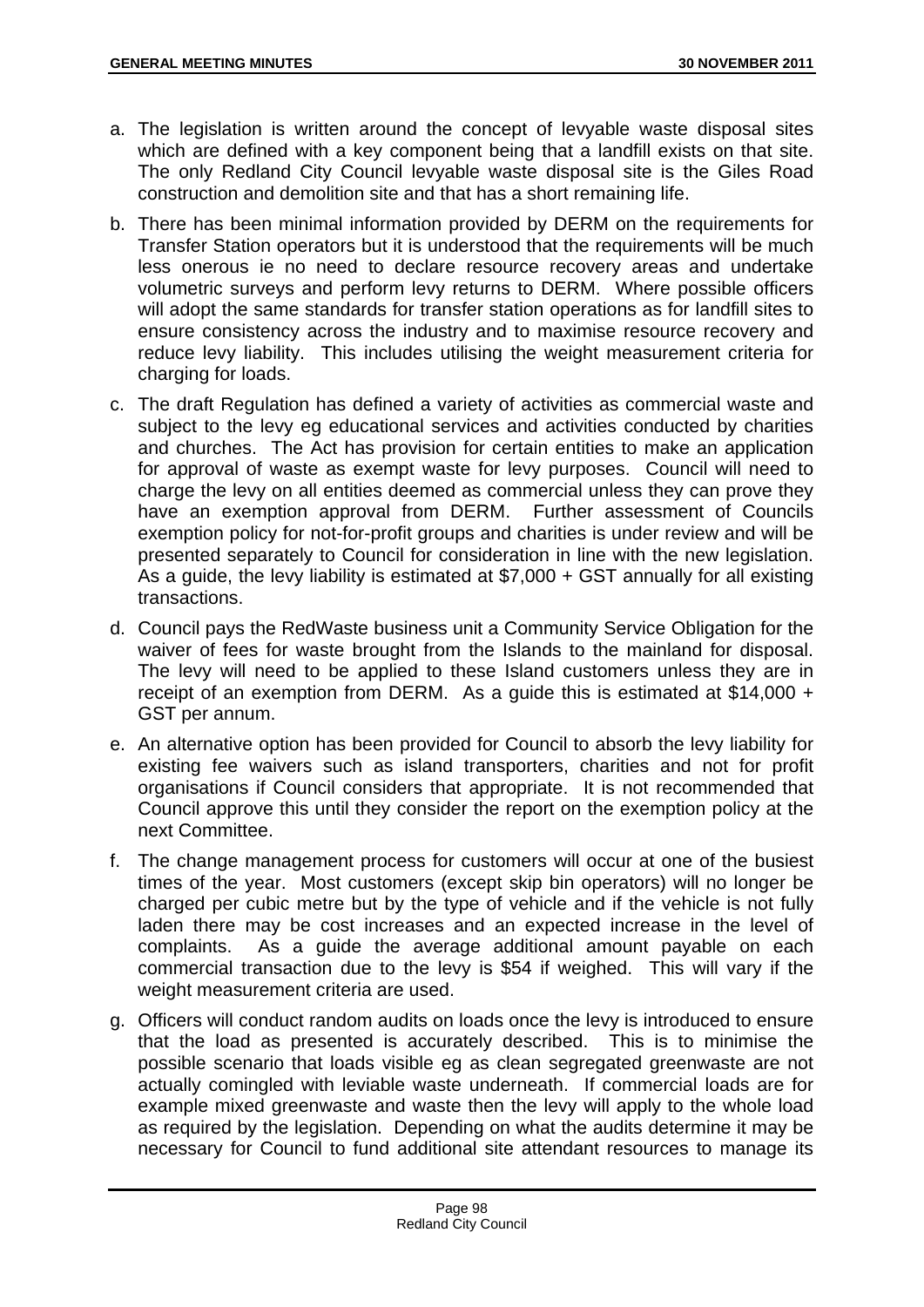- a. The legislation is written around the concept of levyable waste disposal sites which are defined with a key component being that a landfill exists on that site. The only Redland City Council levyable waste disposal site is the Giles Road construction and demolition site and that has a short remaining life.
- b. There has been minimal information provided by DERM on the requirements for Transfer Station operators but it is understood that the requirements will be much less onerous ie no need to declare resource recovery areas and undertake volumetric surveys and perform levy returns to DERM. Where possible officers will adopt the same standards for transfer station operations as for landfill sites to ensure consistency across the industry and to maximise resource recovery and reduce levy liability. This includes utilising the weight measurement criteria for charging for loads.
- c. The draft Regulation has defined a variety of activities as commercial waste and subject to the levy eg educational services and activities conducted by charities and churches. The Act has provision for certain entities to make an application for approval of waste as exempt waste for levy purposes. Council will need to charge the levy on all entities deemed as commercial unless they can prove they have an exemption approval from DERM. Further assessment of Councils exemption policy for not-for-profit groups and charities is under review and will be presented separately to Council for consideration in line with the new legislation. As a guide, the levy liability is estimated at \$7,000 + GST annually for all existing transactions.
- d. Council pays the RedWaste business unit a Community Service Obligation for the waiver of fees for waste brought from the Islands to the mainland for disposal. The levy will need to be applied to these Island customers unless they are in receipt of an exemption from DERM. As a guide this is estimated at \$14,000 + GST per annum.
- e. An alternative option has been provided for Council to absorb the levy liability for existing fee waivers such as island transporters, charities and not for profit organisations if Council considers that appropriate. It is not recommended that Council approve this until they consider the report on the exemption policy at the next Committee.
- f. The change management process for customers will occur at one of the busiest times of the year. Most customers (except skip bin operators) will no longer be charged per cubic metre but by the type of vehicle and if the vehicle is not fully laden there may be cost increases and an expected increase in the level of complaints. As a guide the average additional amount payable on each commercial transaction due to the levy is \$54 if weighed. This will vary if the weight measurement criteria are used.
- g. Officers will conduct random audits on loads once the levy is introduced to ensure that the load as presented is accurately described. This is to minimise the possible scenario that loads visible eg as clean segregated greenwaste are not actually comingled with leviable waste underneath. If commercial loads are for example mixed greenwaste and waste then the levy will apply to the whole load as required by the legislation. Depending on what the audits determine it may be necessary for Council to fund additional site attendant resources to manage its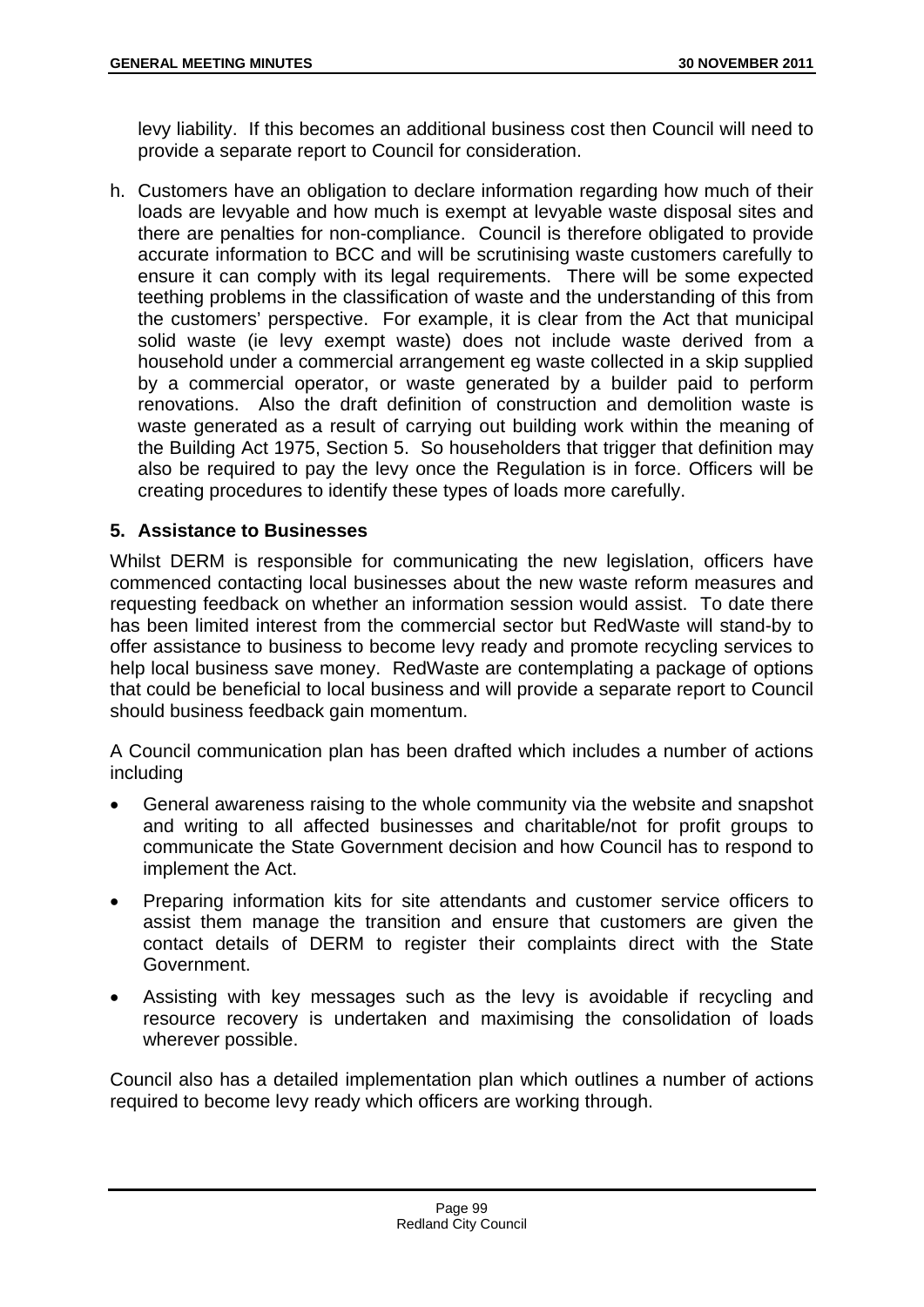levy liability. If this becomes an additional business cost then Council will need to provide a separate report to Council for consideration.

h. Customers have an obligation to declare information regarding how much of their loads are levyable and how much is exempt at levyable waste disposal sites and there are penalties for non-compliance. Council is therefore obligated to provide accurate information to BCC and will be scrutinising waste customers carefully to ensure it can comply with its legal requirements. There will be some expected teething problems in the classification of waste and the understanding of this from the customers' perspective. For example, it is clear from the Act that municipal solid waste (ie levy exempt waste) does not include waste derived from a household under a commercial arrangement eg waste collected in a skip supplied by a commercial operator, or waste generated by a builder paid to perform renovations. Also the draft definition of construction and demolition waste is waste generated as a result of carrying out building work within the meaning of the Building Act 1975, Section 5. So householders that trigger that definition may also be required to pay the levy once the Regulation is in force. Officers will be creating procedures to identify these types of loads more carefully.

## **5. Assistance to Businesses**

Whilst DERM is responsible for communicating the new legislation, officers have commenced contacting local businesses about the new waste reform measures and requesting feedback on whether an information session would assist. To date there has been limited interest from the commercial sector but RedWaste will stand-by to offer assistance to business to become levy ready and promote recycling services to help local business save money. RedWaste are contemplating a package of options that could be beneficial to local business and will provide a separate report to Council should business feedback gain momentum.

A Council communication plan has been drafted which includes a number of actions including

- General awareness raising to the whole community via the website and snapshot and writing to all affected businesses and charitable/not for profit groups to communicate the State Government decision and how Council has to respond to implement the Act.
- Preparing information kits for site attendants and customer service officers to assist them manage the transition and ensure that customers are given the contact details of DERM to register their complaints direct with the State Government.
- Assisting with key messages such as the levy is avoidable if recycling and resource recovery is undertaken and maximising the consolidation of loads wherever possible.

Council also has a detailed implementation plan which outlines a number of actions required to become levy ready which officers are working through.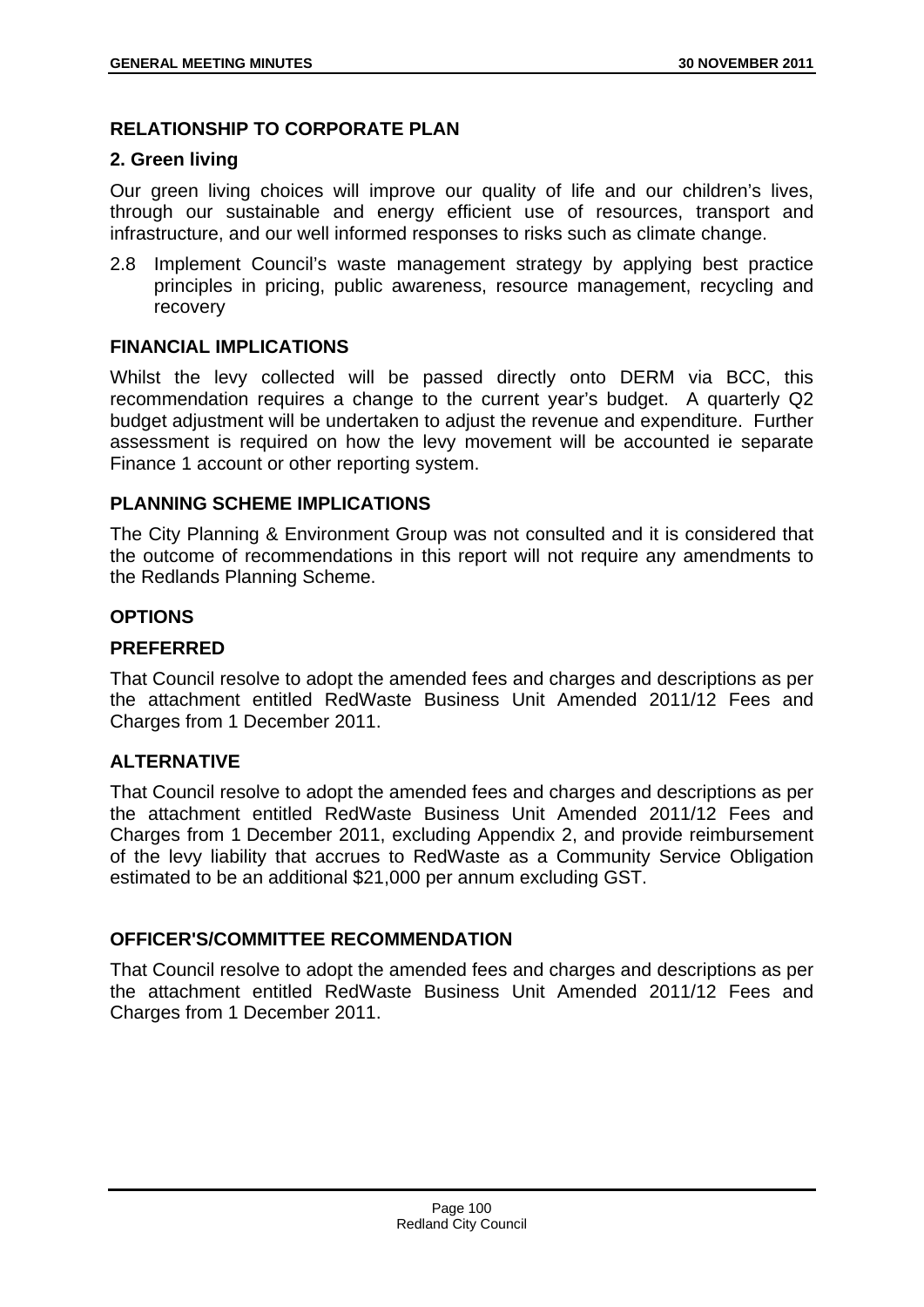## **RELATIONSHIP TO CORPORATE PLAN**

## **2. Green living**

Our green living choices will improve our quality of life and our children's lives, through our sustainable and energy efficient use of resources, transport and infrastructure, and our well informed responses to risks such as climate change.

2.8 Implement Council's waste management strategy by applying best practice principles in pricing, public awareness, resource management, recycling and recovery

## **FINANCIAL IMPLICATIONS**

Whilst the levy collected will be passed directly onto DERM via BCC, this recommendation requires a change to the current year's budget. A quarterly Q2 budget adjustment will be undertaken to adjust the revenue and expenditure. Further assessment is required on how the levy movement will be accounted ie separate Finance 1 account or other reporting system.

## **PLANNING SCHEME IMPLICATIONS**

The City Planning & Environment Group was not consulted and it is considered that the outcome of recommendations in this report will not require any amendments to the Redlands Planning Scheme.

## **OPTIONS**

## **PREFERRED**

That Council resolve to adopt the amended fees and charges and descriptions as per the attachment entitled RedWaste Business Unit Amended 2011/12 Fees and Charges from 1 December 2011.

# **ALTERNATIVE**

That Council resolve to adopt the amended fees and charges and descriptions as per the attachment entitled RedWaste Business Unit Amended 2011/12 Fees and Charges from 1 December 2011, excluding Appendix 2, and provide reimbursement of the levy liability that accrues to RedWaste as a Community Service Obligation estimated to be an additional \$21,000 per annum excluding GST.

## **OFFICER'S/COMMITTEE RECOMMENDATION**

That Council resolve to adopt the amended fees and charges and descriptions as per the attachment entitled RedWaste Business Unit Amended 2011/12 Fees and Charges from 1 December 2011.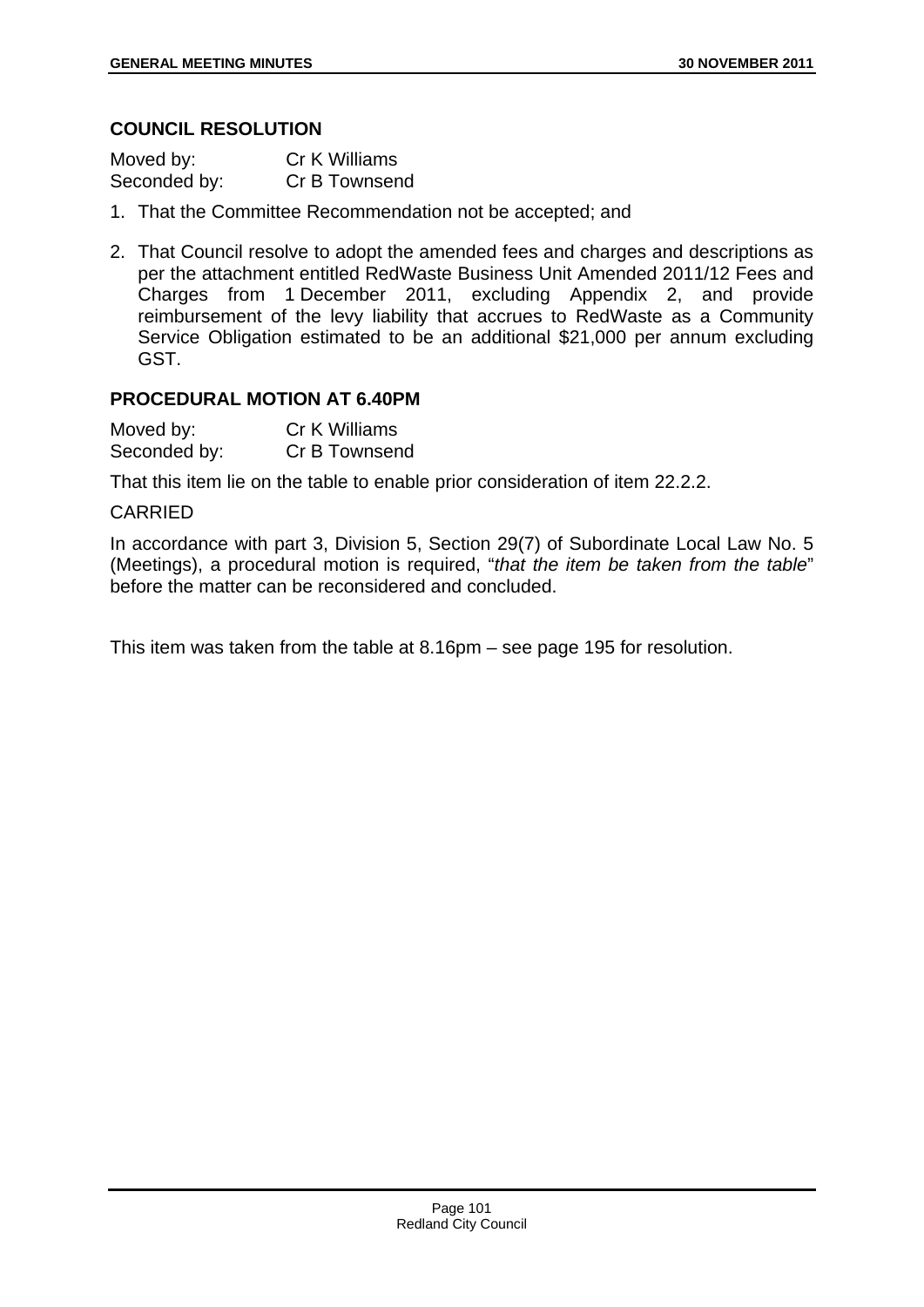### **COUNCIL RESOLUTION**

| Moved by:    | Cr K Williams |
|--------------|---------------|
| Seconded by: | Cr B Townsend |

- 1. That the Committee Recommendation not be accepted; and
- 2. That Council resolve to adopt the amended fees and charges and descriptions as per the attachment entitled RedWaste Business Unit Amended 2011/12 Fees and Charges from 1 December 2011, excluding Appendix 2, and provide reimbursement of the levy liability that accrues to RedWaste as a Community Service Obligation estimated to be an additional \$21,000 per annum excluding GST.

## **PROCEDURAL MOTION AT 6.40PM**

| Moved by:    | <b>Cr K Williams</b> |
|--------------|----------------------|
| Seconded by: | Cr B Townsend        |

That this item lie on the table to enable prior consideration of item 22.2.2.

#### CARRIED

In accordance with part 3, Division 5, Section 29(7) of Subordinate Local Law No. 5 (Meetings), a procedural motion is required, "*that the item be taken from the table*" before the matter can be reconsidered and concluded.

This item was taken from the table at 8.16pm – see page 195 for resolution.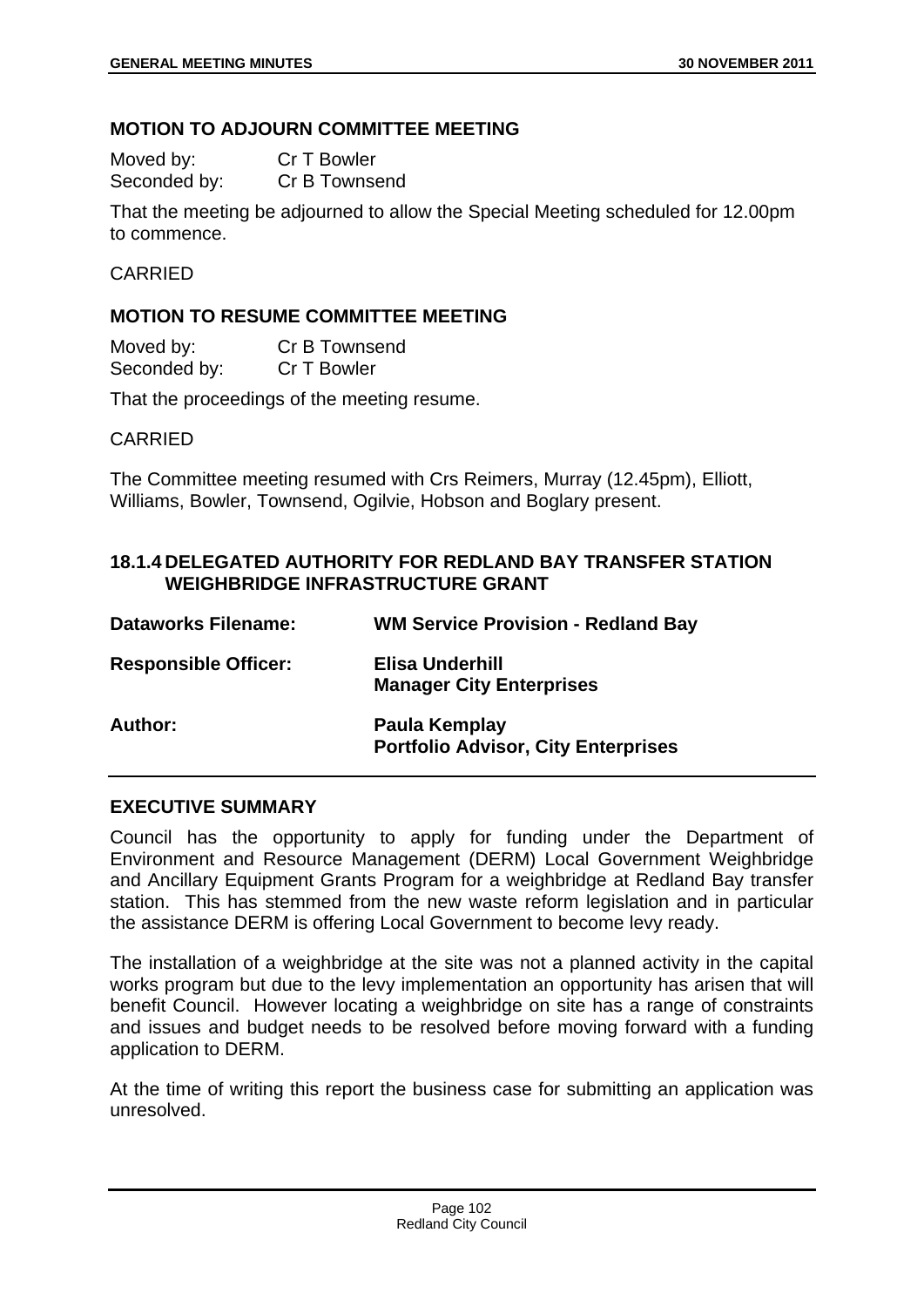## **MOTION TO ADJOURN COMMITTEE MEETING**

| Moved by:    | Cr T Bowler   |
|--------------|---------------|
| Seconded by: | Cr B Townsend |

That the meeting be adjourned to allow the Special Meeting scheduled for 12.00pm to commence.

#### CARRIED

## **MOTION TO RESUME COMMITTEE MEETING**

| Moved by:    | Cr B Townsend |
|--------------|---------------|
| Seconded by: | Cr T Bowler   |

That the proceedings of the meeting resume.

#### CARRIED

The Committee meeting resumed with Crs Reimers, Murray (12.45pm), Elliott, Williams, Bowler, Townsend, Ogilvie, Hobson and Boglary present.

## **18.1.4 DELEGATED AUTHORITY FOR REDLAND BAY TRANSFER STATION WEIGHBRIDGE INFRASTRUCTURE GRANT**

| <b>Dataworks Filename:</b>  | <b>WM Service Provision - Redland Bay</b>                   |
|-----------------------------|-------------------------------------------------------------|
| <b>Responsible Officer:</b> | Elisa Underhill<br><b>Manager City Enterprises</b>          |
| Author:                     | Paula Kemplay<br><b>Portfolio Advisor, City Enterprises</b> |

## **EXECUTIVE SUMMARY**

Council has the opportunity to apply for funding under the Department of Environment and Resource Management (DERM) Local Government Weighbridge and Ancillary Equipment Grants Program for a weighbridge at Redland Bay transfer station. This has stemmed from the new waste reform legislation and in particular the assistance DERM is offering Local Government to become levy ready.

The installation of a weighbridge at the site was not a planned activity in the capital works program but due to the levy implementation an opportunity has arisen that will benefit Council. However locating a weighbridge on site has a range of constraints and issues and budget needs to be resolved before moving forward with a funding application to DERM.

At the time of writing this report the business case for submitting an application was unresolved.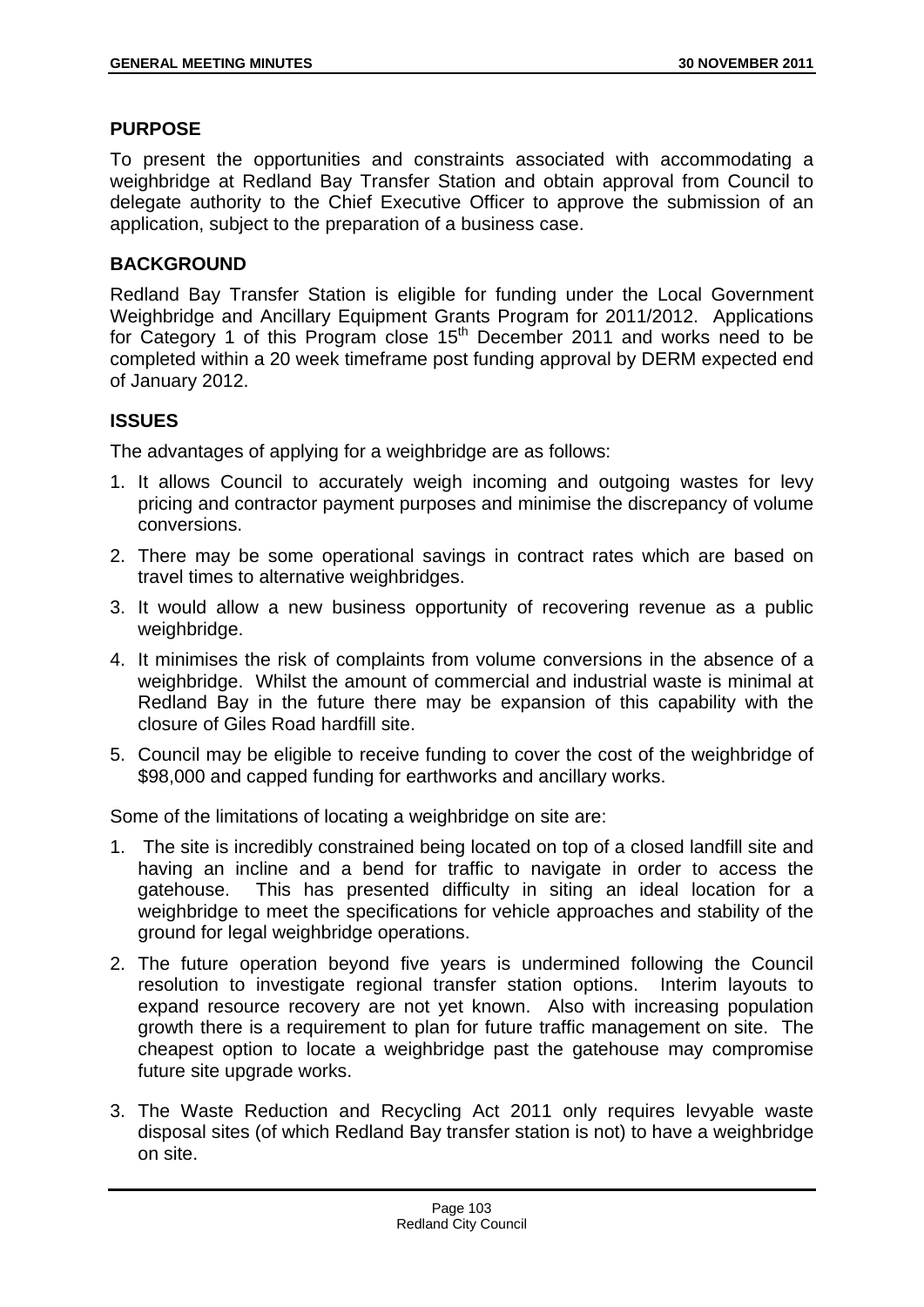#### **PURPOSE**

To present the opportunities and constraints associated with accommodating a weighbridge at Redland Bay Transfer Station and obtain approval from Council to delegate authority to the Chief Executive Officer to approve the submission of an application, subject to the preparation of a business case.

## **BACKGROUND**

Redland Bay Transfer Station is eligible for funding under the Local Government Weighbridge and Ancillary Equipment Grants Program for 2011/2012. Applications for Category 1 of this Program close 15th December 2011 and works need to be completed within a 20 week timeframe post funding approval by DERM expected end of January 2012.

## **ISSUES**

The advantages of applying for a weighbridge are as follows:

- 1. It allows Council to accurately weigh incoming and outgoing wastes for levy pricing and contractor payment purposes and minimise the discrepancy of volume conversions.
- 2. There may be some operational savings in contract rates which are based on travel times to alternative weighbridges.
- 3. It would allow a new business opportunity of recovering revenue as a public weighbridge.
- 4. It minimises the risk of complaints from volume conversions in the absence of a weighbridge. Whilst the amount of commercial and industrial waste is minimal at Redland Bay in the future there may be expansion of this capability with the closure of Giles Road hardfill site.
- 5. Council may be eligible to receive funding to cover the cost of the weighbridge of \$98,000 and capped funding for earthworks and ancillary works.

Some of the limitations of locating a weighbridge on site are:

- 1. The site is incredibly constrained being located on top of a closed landfill site and having an incline and a bend for traffic to navigate in order to access the gatehouse. This has presented difficulty in siting an ideal location for a weighbridge to meet the specifications for vehicle approaches and stability of the ground for legal weighbridge operations.
- 2. The future operation beyond five years is undermined following the Council resolution to investigate regional transfer station options. Interim layouts to expand resource recovery are not yet known. Also with increasing population growth there is a requirement to plan for future traffic management on site. The cheapest option to locate a weighbridge past the gatehouse may compromise future site upgrade works.
- 3. The Waste Reduction and Recycling Act 2011 only requires levyable waste disposal sites (of which Redland Bay transfer station is not) to have a weighbridge on site.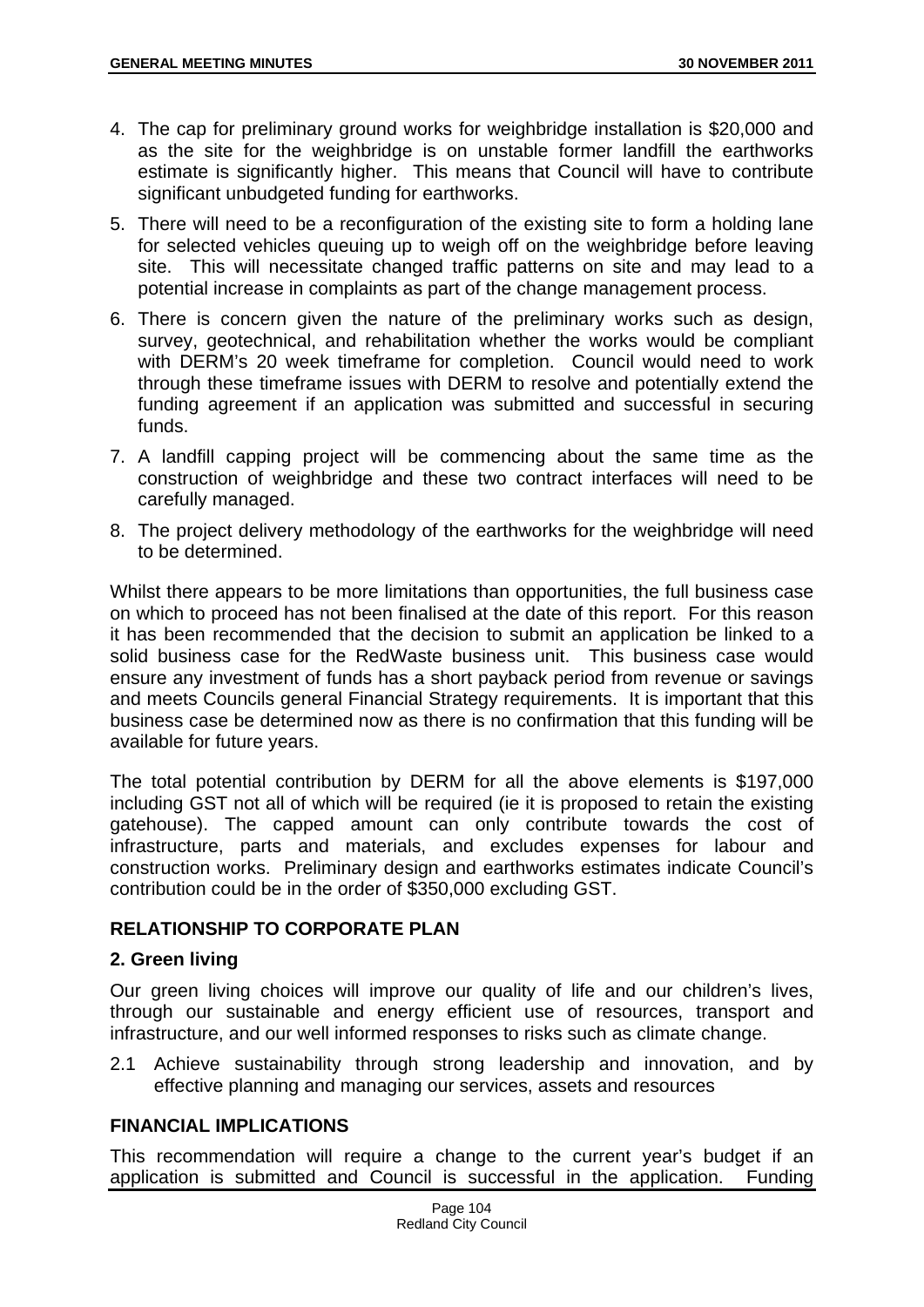- 4. The cap for preliminary ground works for weighbridge installation is \$20,000 and as the site for the weighbridge is on unstable former landfill the earthworks estimate is significantly higher. This means that Council will have to contribute significant unbudgeted funding for earthworks.
- 5. There will need to be a reconfiguration of the existing site to form a holding lane for selected vehicles queuing up to weigh off on the weighbridge before leaving site. This will necessitate changed traffic patterns on site and may lead to a potential increase in complaints as part of the change management process.
- 6. There is concern given the nature of the preliminary works such as design, survey, geotechnical, and rehabilitation whether the works would be compliant with DERM's 20 week timeframe for completion. Council would need to work through these timeframe issues with DERM to resolve and potentially extend the funding agreement if an application was submitted and successful in securing funds.
- 7. A landfill capping project will be commencing about the same time as the construction of weighbridge and these two contract interfaces will need to be carefully managed.
- 8. The project delivery methodology of the earthworks for the weighbridge will need to be determined.

Whilst there appears to be more limitations than opportunities, the full business case on which to proceed has not been finalised at the date of this report. For this reason it has been recommended that the decision to submit an application be linked to a solid business case for the RedWaste business unit. This business case would ensure any investment of funds has a short payback period from revenue or savings and meets Councils general Financial Strategy requirements. It is important that this business case be determined now as there is no confirmation that this funding will be available for future years.

The total potential contribution by DERM for all the above elements is \$197,000 including GST not all of which will be required (ie it is proposed to retain the existing gatehouse). The capped amount can only contribute towards the cost of infrastructure, parts and materials, and excludes expenses for labour and construction works. Preliminary design and earthworks estimates indicate Council's contribution could be in the order of \$350,000 excluding GST.

# **RELATIONSHIP TO CORPORATE PLAN**

## **2. Green living**

Our green living choices will improve our quality of life and our children's lives, through our sustainable and energy efficient use of resources, transport and infrastructure, and our well informed responses to risks such as climate change.

2.1 Achieve sustainability through strong leadership and innovation, and by effective planning and managing our services, assets and resources

## **FINANCIAL IMPLICATIONS**

This recommendation will require a change to the current year's budget if an application is submitted and Council is successful in the application. Funding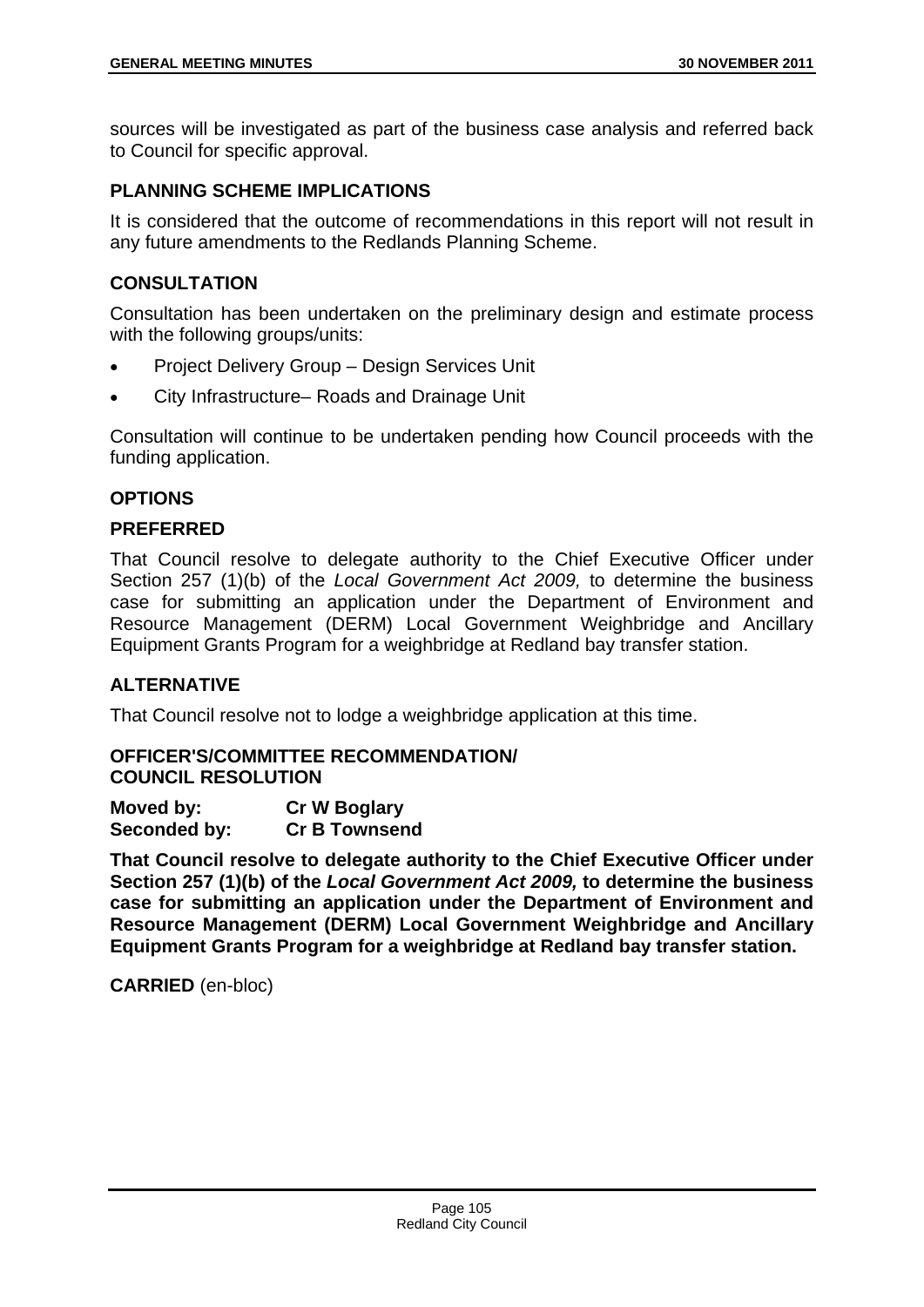sources will be investigated as part of the business case analysis and referred back to Council for specific approval.

## **PLANNING SCHEME IMPLICATIONS**

It is considered that the outcome of recommendations in this report will not result in any future amendments to the Redlands Planning Scheme.

## **CONSULTATION**

Consultation has been undertaken on the preliminary design and estimate process with the following groups/units:

- Project Delivery Group Design Services Unit
- City Infrastructure– Roads and Drainage Unit

Consultation will continue to be undertaken pending how Council proceeds with the funding application.

## **OPTIONS**

## **PREFERRED**

That Council resolve to delegate authority to the Chief Executive Officer under Section 257 (1)(b) of the *Local Government Act 2009,* to determine the business case for submitting an application under the Department of Environment and Resource Management (DERM) Local Government Weighbridge and Ancillary Equipment Grants Program for a weighbridge at Redland bay transfer station.

## **ALTERNATIVE**

That Council resolve not to lodge a weighbridge application at this time.

# **OFFICER'S/COMMITTEE RECOMMENDATION/**

**COUNCIL RESOLUTION** 

| Moved by:    | <b>Cr W Boglary</b>  |
|--------------|----------------------|
| Seconded by: | <b>Cr B Townsend</b> |

**That Council resolve to delegate authority to the Chief Executive Officer under Section 257 (1)(b) of the** *Local Government Act 2009,* **to determine the business case for submitting an application under the Department of Environment and Resource Management (DERM) Local Government Weighbridge and Ancillary Equipment Grants Program for a weighbridge at Redland bay transfer station.**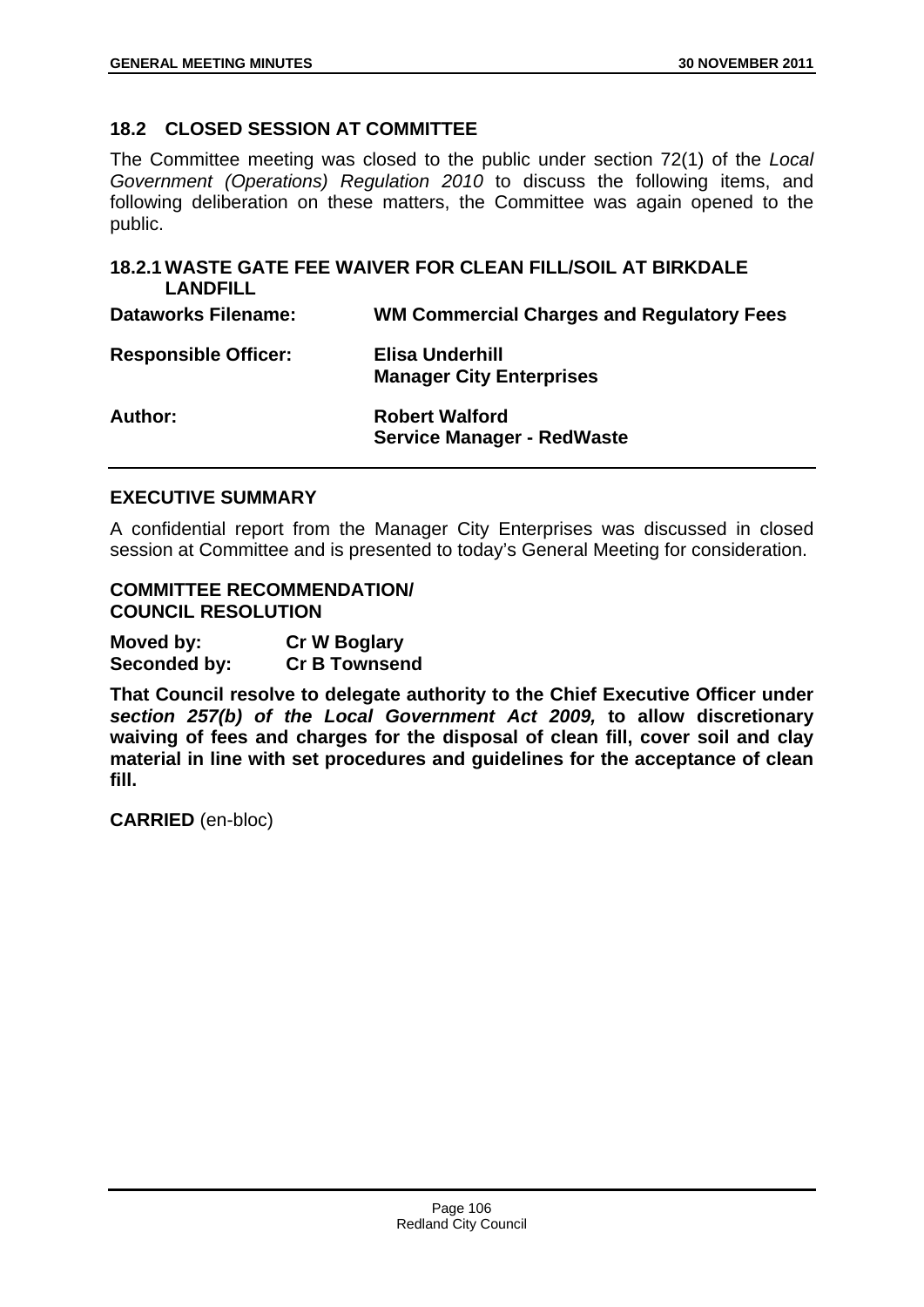## **18.2 CLOSED SESSION AT COMMITTEE**

The Committee meeting was closed to the public under section 72(1) of the *Local Government (Operations) Regulation 2010* to discuss the following items, and following deliberation on these matters, the Committee was again opened to the public.

| <b>LANDFILL</b>             | 18.2.1 WASTE GATE FEE WAIVER FOR CLEAN FILL/SOIL AT BIRKDALE |
|-----------------------------|--------------------------------------------------------------|
| <b>Dataworks Filename:</b>  | <b>WM Commercial Charges and Regulatory Fees</b>             |
| <b>Responsible Officer:</b> | Elisa Underhill<br><b>Manager City Enterprises</b>           |
| Author:                     | <b>Robert Walford</b><br><b>Service Manager - RedWaste</b>   |

#### **EXECUTIVE SUMMARY**

A confidential report from the Manager City Enterprises was discussed in closed session at Committee and is presented to today's General Meeting for consideration.

#### **COMMITTEE RECOMMENDATION/ COUNCIL RESOLUTION**

**Moved by: Cr W Boglary Seconded by: Cr B Townsend** 

**That Council resolve to delegate authority to the Chief Executive Officer under**  *section 257(b) of the Local Government Act 2009,* **to allow discretionary waiving of fees and charges for the disposal of clean fill, cover soil and clay material in line with set procedures and guidelines for the acceptance of clean fill.**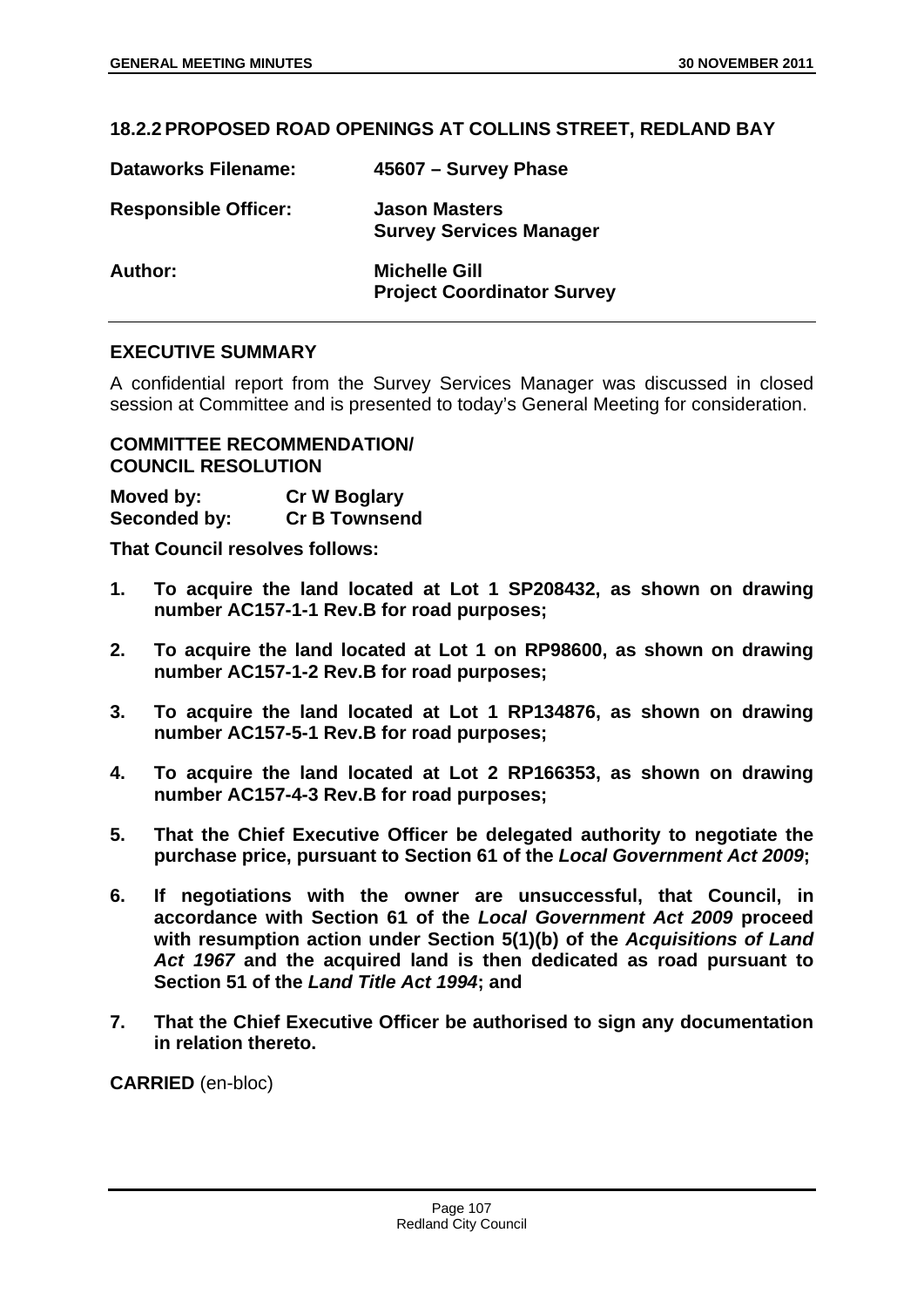#### **18.2.2 PROPOSED ROAD OPENINGS AT COLLINS STREET, REDLAND BAY**

| <b>Dataworks Filename:</b>  | 45607 - Survey Phase                                      |
|-----------------------------|-----------------------------------------------------------|
| <b>Responsible Officer:</b> | <b>Jason Masters</b><br><b>Survey Services Manager</b>    |
| Author:                     | <b>Michelle Gill</b><br><b>Project Coordinator Survey</b> |

#### **EXECUTIVE SUMMARY**

A confidential report from the Survey Services Manager was discussed in closed session at Committee and is presented to today's General Meeting for consideration.

#### **COMMITTEE RECOMMENDATION/ COUNCIL RESOLUTION**

**Moved by: Cr W Boglary Seconded by: Cr B Townsend** 

**That Council resolves follows:** 

- **1. To acquire the land located at Lot 1 SP208432, as shown on drawing number AC157-1-1 Rev.B for road purposes;**
- **2. To acquire the land located at Lot 1 on RP98600, as shown on drawing number AC157-1-2 Rev.B for road purposes;**
- **3. To acquire the land located at Lot 1 RP134876, as shown on drawing number AC157-5-1 Rev.B for road purposes;**
- **4. To acquire the land located at Lot 2 RP166353, as shown on drawing number AC157-4-3 Rev.B for road purposes;**
- **5. That the Chief Executive Officer be delegated authority to negotiate the purchase price, pursuant to Section 61 of the** *Local Government Act 2009***;**
- **6. If negotiations with the owner are unsuccessful, that Council, in accordance with Section 61 of the** *Local Government Act 2009* **proceed with resumption action under Section 5(1)(b) of the** *Acquisitions of Land Act 1967* **and the acquired land is then dedicated as road pursuant to Section 51 of the** *Land Title Act 1994***; and**
- **7. That the Chief Executive Officer be authorised to sign any documentation in relation thereto.**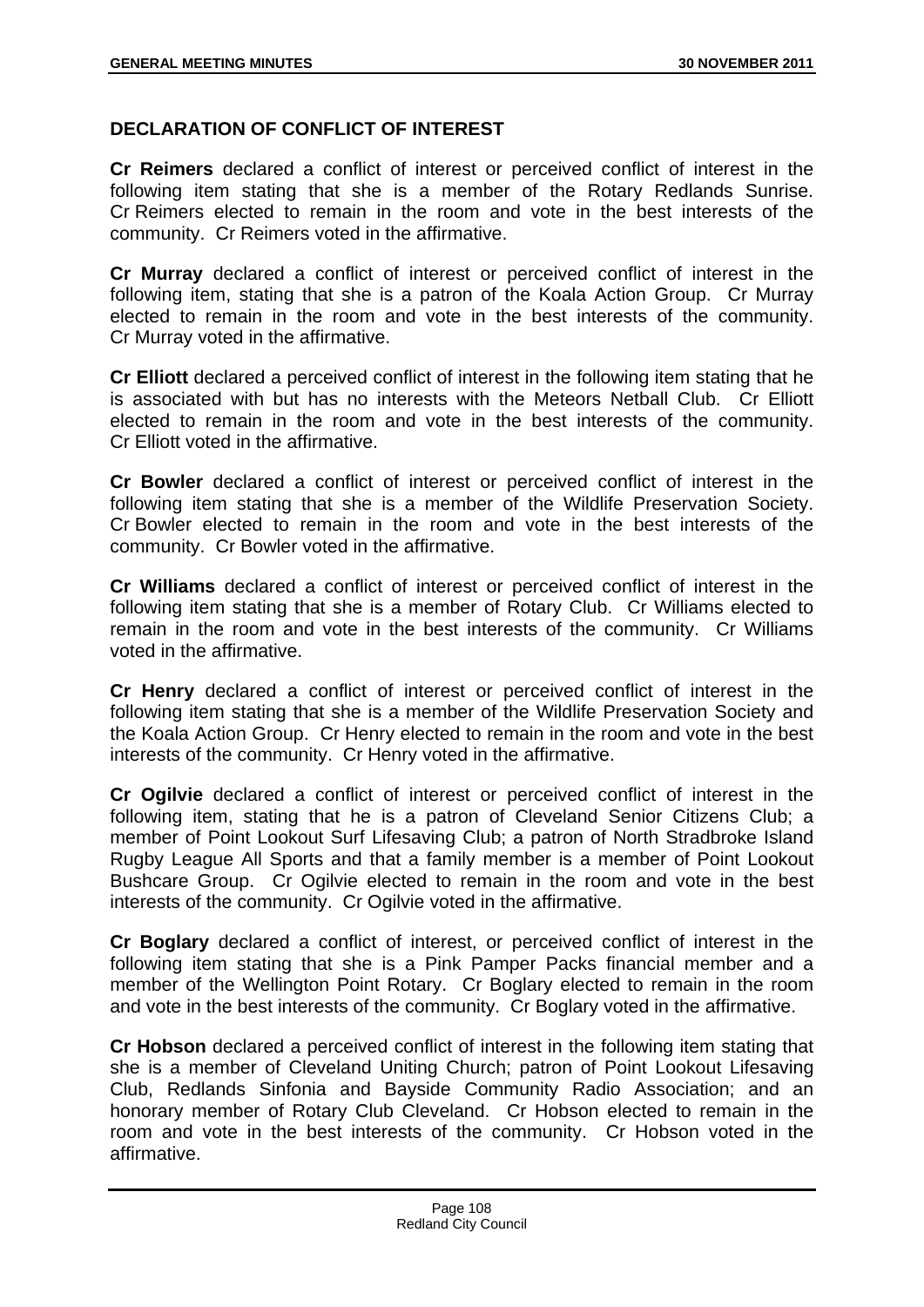## **DECLARATION OF CONFLICT OF INTEREST**

**Cr Reimers** declared a conflict of interest or perceived conflict of interest in the following item stating that she is a member of the Rotary Redlands Sunrise. Cr Reimers elected to remain in the room and vote in the best interests of the community. Cr Reimers voted in the affirmative.

**Cr Murray** declared a conflict of interest or perceived conflict of interest in the following item, stating that she is a patron of the Koala Action Group. Cr Murray elected to remain in the room and vote in the best interests of the community. Cr Murray voted in the affirmative.

**Cr Elliott** declared a perceived conflict of interest in the following item stating that he is associated with but has no interests with the Meteors Netball Club. Cr Elliott elected to remain in the room and vote in the best interests of the community. Cr Elliott voted in the affirmative.

**Cr Bowler** declared a conflict of interest or perceived conflict of interest in the following item stating that she is a member of the Wildlife Preservation Society. Cr Bowler elected to remain in the room and vote in the best interests of the community. Cr Bowler voted in the affirmative.

**Cr Williams** declared a conflict of interest or perceived conflict of interest in the following item stating that she is a member of Rotary Club. Cr Williams elected to remain in the room and vote in the best interests of the community. Cr Williams voted in the affirmative.

**Cr Henry** declared a conflict of interest or perceived conflict of interest in the following item stating that she is a member of the Wildlife Preservation Society and the Koala Action Group. Cr Henry elected to remain in the room and vote in the best interests of the community. Cr Henry voted in the affirmative.

**Cr Ogilvie** declared a conflict of interest or perceived conflict of interest in the following item, stating that he is a patron of Cleveland Senior Citizens Club; a member of Point Lookout Surf Lifesaving Club; a patron of North Stradbroke Island Rugby League All Sports and that a family member is a member of Point Lookout Bushcare Group. Cr Ogilvie elected to remain in the room and vote in the best interests of the community. Cr Ogilvie voted in the affirmative.

**Cr Boglary** declared a conflict of interest, or perceived conflict of interest in the following item stating that she is a Pink Pamper Packs financial member and a member of the Wellington Point Rotary. Cr Boglary elected to remain in the room and vote in the best interests of the community. Cr Boglary voted in the affirmative.

**Cr Hobson** declared a perceived conflict of interest in the following item stating that she is a member of Cleveland Uniting Church; patron of Point Lookout Lifesaving Club, Redlands Sinfonia and Bayside Community Radio Association; and an honorary member of Rotary Club Cleveland. Cr Hobson elected to remain in the room and vote in the best interests of the community. Cr Hobson voted in the affirmative.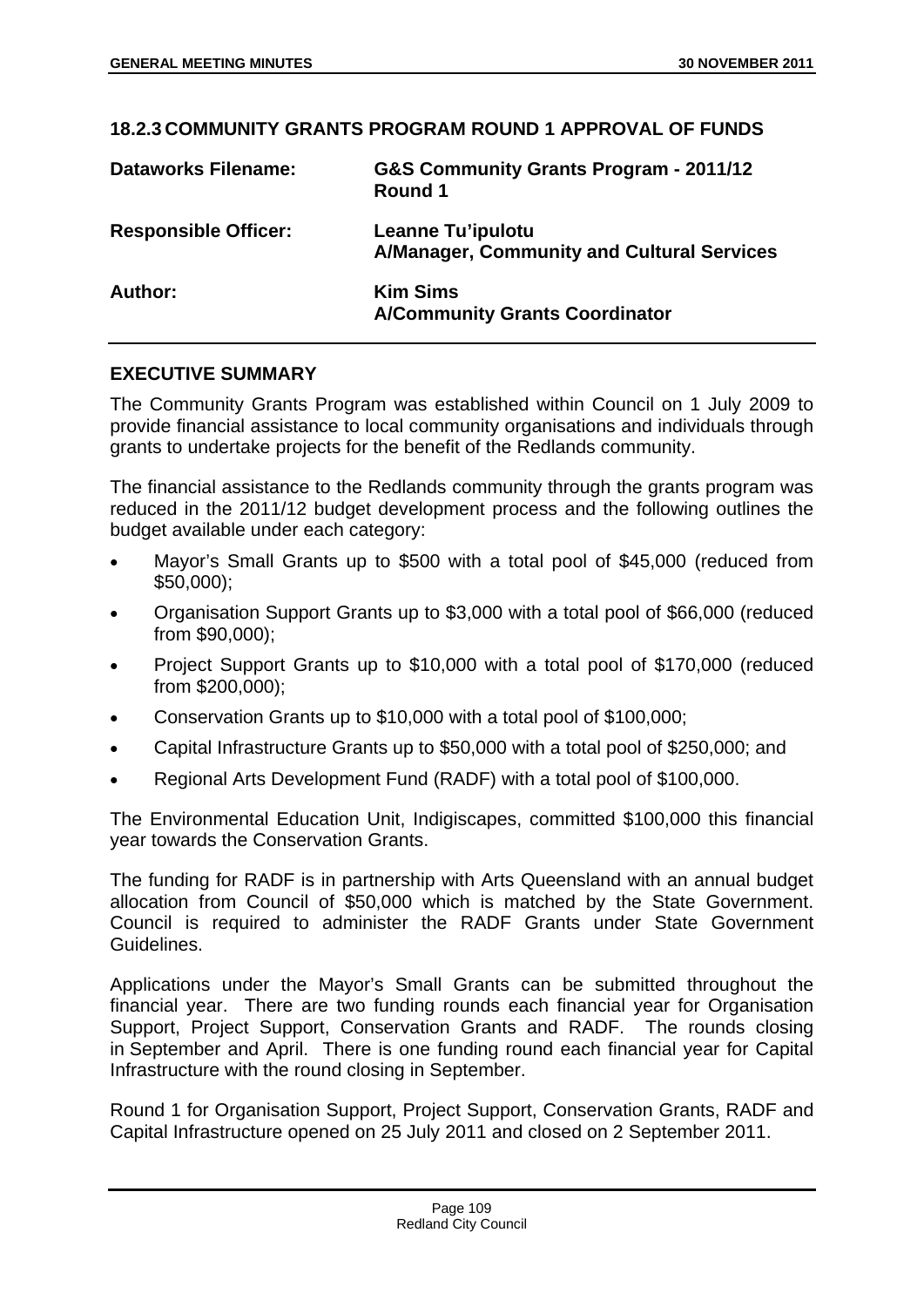# **18.2.3 COMMUNITY GRANTS PROGRAM ROUND 1 APPROVAL OF FUNDS Dataworks Filename: G&S Community Grants Program - 2011/12 Round 1 Responsible Officer: Leanne Tu'ipulotu A/Manager, Community and Cultural Services Author: Kim Sims**

## **EXECUTIVE SUMMARY**

The Community Grants Program was established within Council on 1 July 2009 to provide financial assistance to local community organisations and individuals through grants to undertake projects for the benefit of the Redlands community.

**A/Community Grants Coordinator** 

The financial assistance to the Redlands community through the grants program was reduced in the 2011/12 budget development process and the following outlines the budget available under each category:

- Mayor's Small Grants up to \$500 with a total pool of \$45,000 (reduced from \$50,000);
- Organisation Support Grants up to \$3,000 with a total pool of \$66,000 (reduced from \$90,000);
- Project Support Grants up to \$10,000 with a total pool of \$170,000 (reduced from \$200,000);
- Conservation Grants up to \$10,000 with a total pool of \$100,000;
- Capital Infrastructure Grants up to \$50,000 with a total pool of \$250,000; and
- Regional Arts Development Fund (RADF) with a total pool of \$100,000.

The Environmental Education Unit, Indigiscapes, committed \$100,000 this financial year towards the Conservation Grants.

The funding for RADF is in partnership with Arts Queensland with an annual budget allocation from Council of \$50,000 which is matched by the State Government. Council is required to administer the RADF Grants under State Government Guidelines.

Applications under the Mayor's Small Grants can be submitted throughout the financial year. There are two funding rounds each financial year for Organisation Support, Project Support, Conservation Grants and RADF. The rounds closing in September and April. There is one funding round each financial year for Capital Infrastructure with the round closing in September.

Round 1 for Organisation Support, Project Support, Conservation Grants, RADF and Capital Infrastructure opened on 25 July 2011 and closed on 2 September 2011.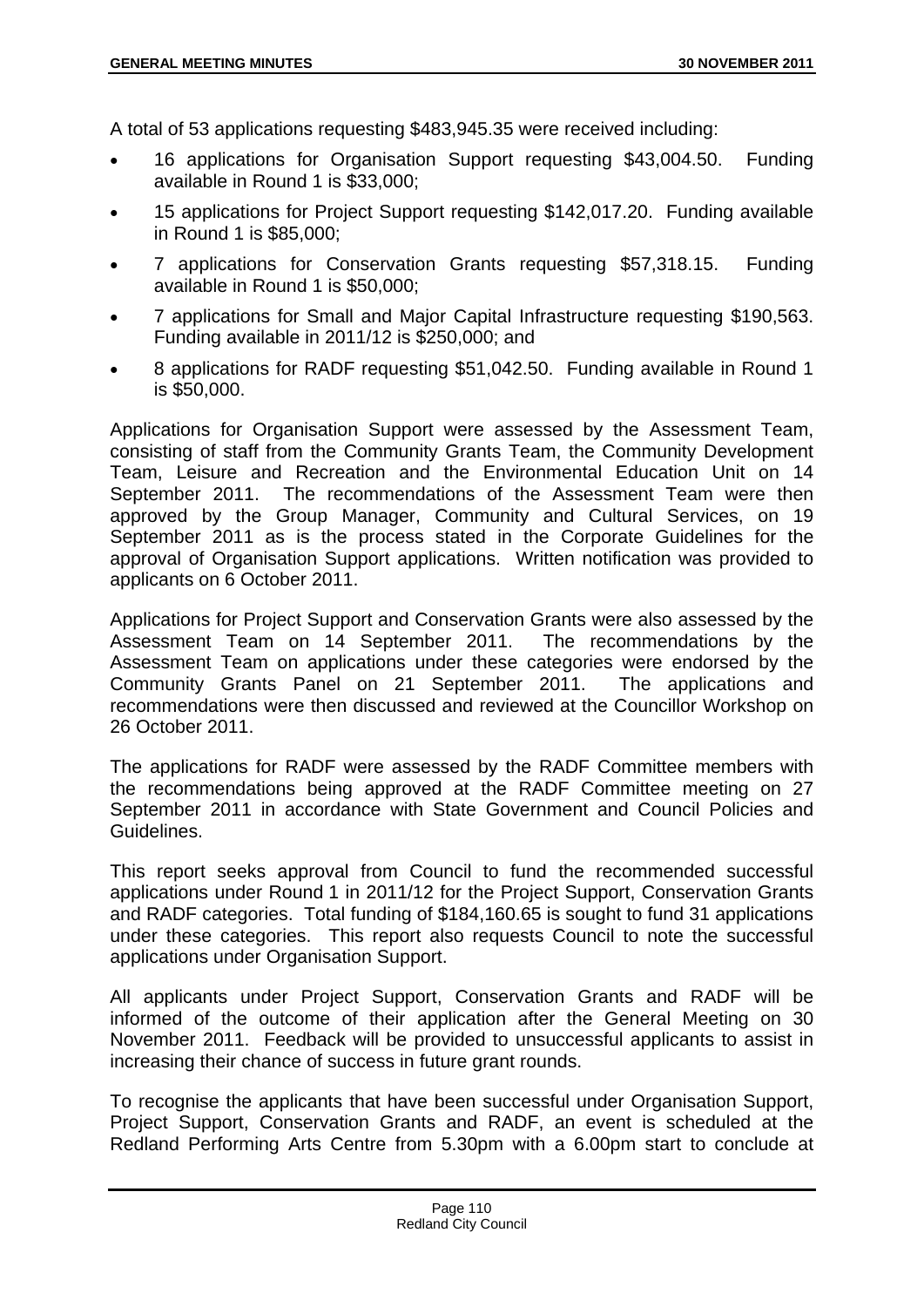A total of 53 applications requesting \$483,945.35 were received including:

- 16 applications for Organisation Support requesting \$43,004.50. Funding available in Round 1 is \$33,000;
- 15 applications for Project Support requesting \$142,017.20. Funding available in Round 1 is \$85,000;
- 7 applications for Conservation Grants requesting \$57,318.15. Funding available in Round 1 is \$50,000;
- 7 applications for Small and Major Capital Infrastructure requesting \$190,563. Funding available in 2011/12 is \$250,000; and
- 8 applications for RADF requesting \$51,042.50. Funding available in Round 1 is \$50,000.

Applications for Organisation Support were assessed by the Assessment Team, consisting of staff from the Community Grants Team, the Community Development Team, Leisure and Recreation and the Environmental Education Unit on 14 September 2011. The recommendations of the Assessment Team were then approved by the Group Manager, Community and Cultural Services, on 19 September 2011 as is the process stated in the Corporate Guidelines for the approval of Organisation Support applications. Written notification was provided to applicants on 6 October 2011.

Applications for Project Support and Conservation Grants were also assessed by the Assessment Team on 14 September 2011. The recommendations by the Assessment Team on applications under these categories were endorsed by the Community Grants Panel on 21 September 2011. The applications and recommendations were then discussed and reviewed at the Councillor Workshop on 26 October 2011.

The applications for RADF were assessed by the RADF Committee members with the recommendations being approved at the RADF Committee meeting on 27 September 2011 in accordance with State Government and Council Policies and Guidelines.

This report seeks approval from Council to fund the recommended successful applications under Round 1 in 2011/12 for the Project Support, Conservation Grants and RADF categories. Total funding of \$184,160.65 is sought to fund 31 applications under these categories. This report also requests Council to note the successful applications under Organisation Support.

All applicants under Project Support, Conservation Grants and RADF will be informed of the outcome of their application after the General Meeting on 30 November 2011. Feedback will be provided to unsuccessful applicants to assist in increasing their chance of success in future grant rounds.

To recognise the applicants that have been successful under Organisation Support, Project Support, Conservation Grants and RADF, an event is scheduled at the Redland Performing Arts Centre from 5.30pm with a 6.00pm start to conclude at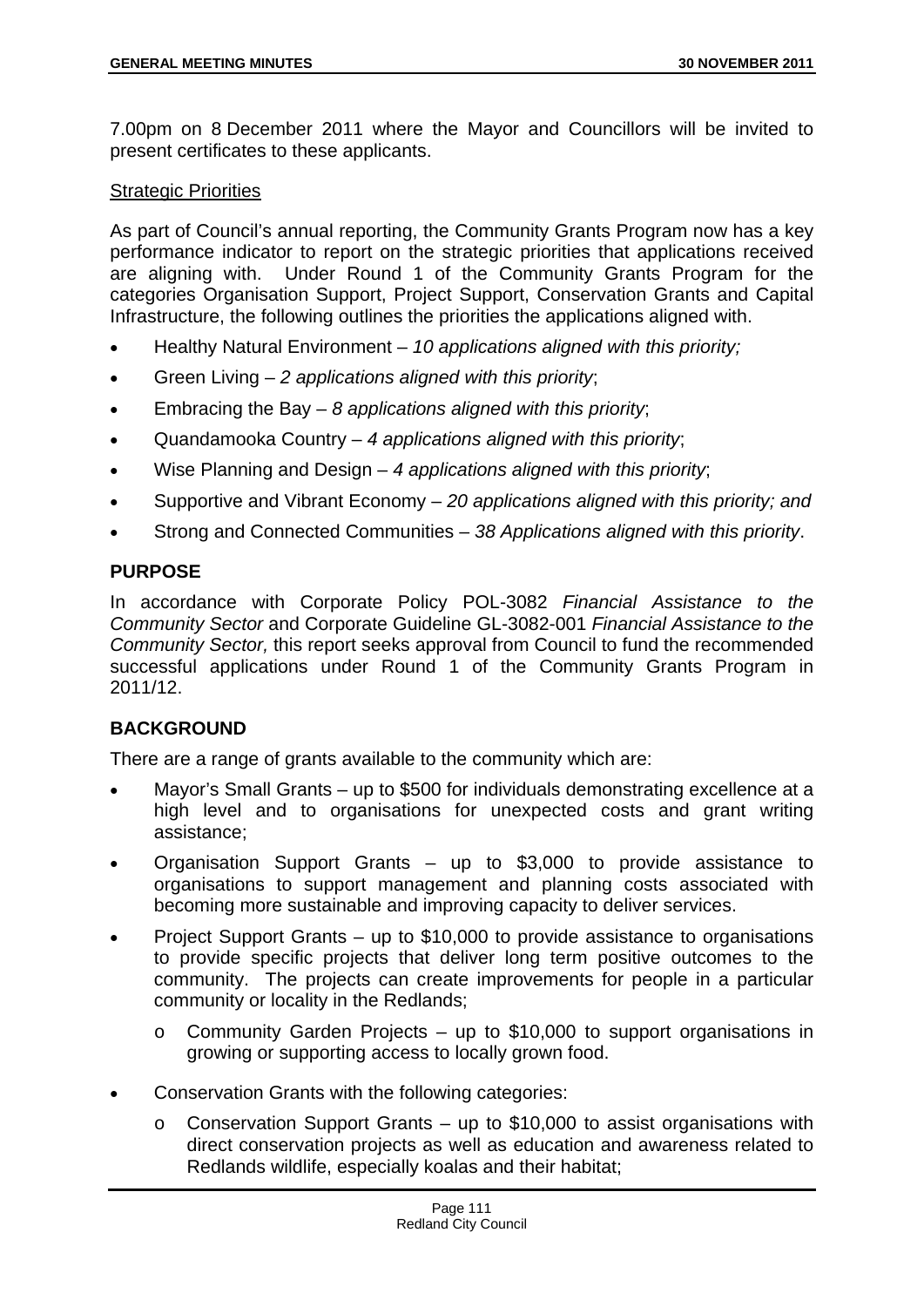7.00pm on 8 December 2011 where the Mayor and Councillors will be invited to present certificates to these applicants.

#### Strategic Priorities

As part of Council's annual reporting, the Community Grants Program now has a key performance indicator to report on the strategic priorities that applications received are aligning with. Under Round 1 of the Community Grants Program for the categories Organisation Support, Project Support, Conservation Grants and Capital Infrastructure, the following outlines the priorities the applications aligned with.

- Healthy Natural Environment *10 applications aligned with this priority;*
- Green Living *2 applications aligned with this priority*;
- Embracing the Bay *8 applications aligned with this priority*;
- Quandamooka Country *4 applications aligned with this priority*;
- Wise Planning and Design 4 applications aligned with this priority;
- Supportive and Vibrant Economy *20 applications aligned with this priority; and*
- Strong and Connected Communities *38 Applications aligned with this priority*.

## **PURPOSE**

In accordance with Corporate Policy POL-3082 *Financial Assistance to the Community Sector* and Corporate Guideline GL-3082-001 *Financial Assistance to the Community Sector,* this report seeks approval from Council to fund the recommended successful applications under Round 1 of the Community Grants Program in 2011/12.

# **BACKGROUND**

There are a range of grants available to the community which are:

- Mayor's Small Grants up to \$500 for individuals demonstrating excellence at a high level and to organisations for unexpected costs and grant writing assistance;
- Organisation Support Grants up to \$3,000 to provide assistance to organisations to support management and planning costs associated with becoming more sustainable and improving capacity to deliver services.
- Project Support Grants up to \$10,000 to provide assistance to organisations to provide specific projects that deliver long term positive outcomes to the community. The projects can create improvements for people in a particular community or locality in the Redlands;
	- o Community Garden Projects up to \$10,000 to support organisations in growing or supporting access to locally grown food.
- Conservation Grants with the following categories:
	- o Conservation Support Grants up to \$10,000 to assist organisations with direct conservation projects as well as education and awareness related to Redlands wildlife, especially koalas and their habitat;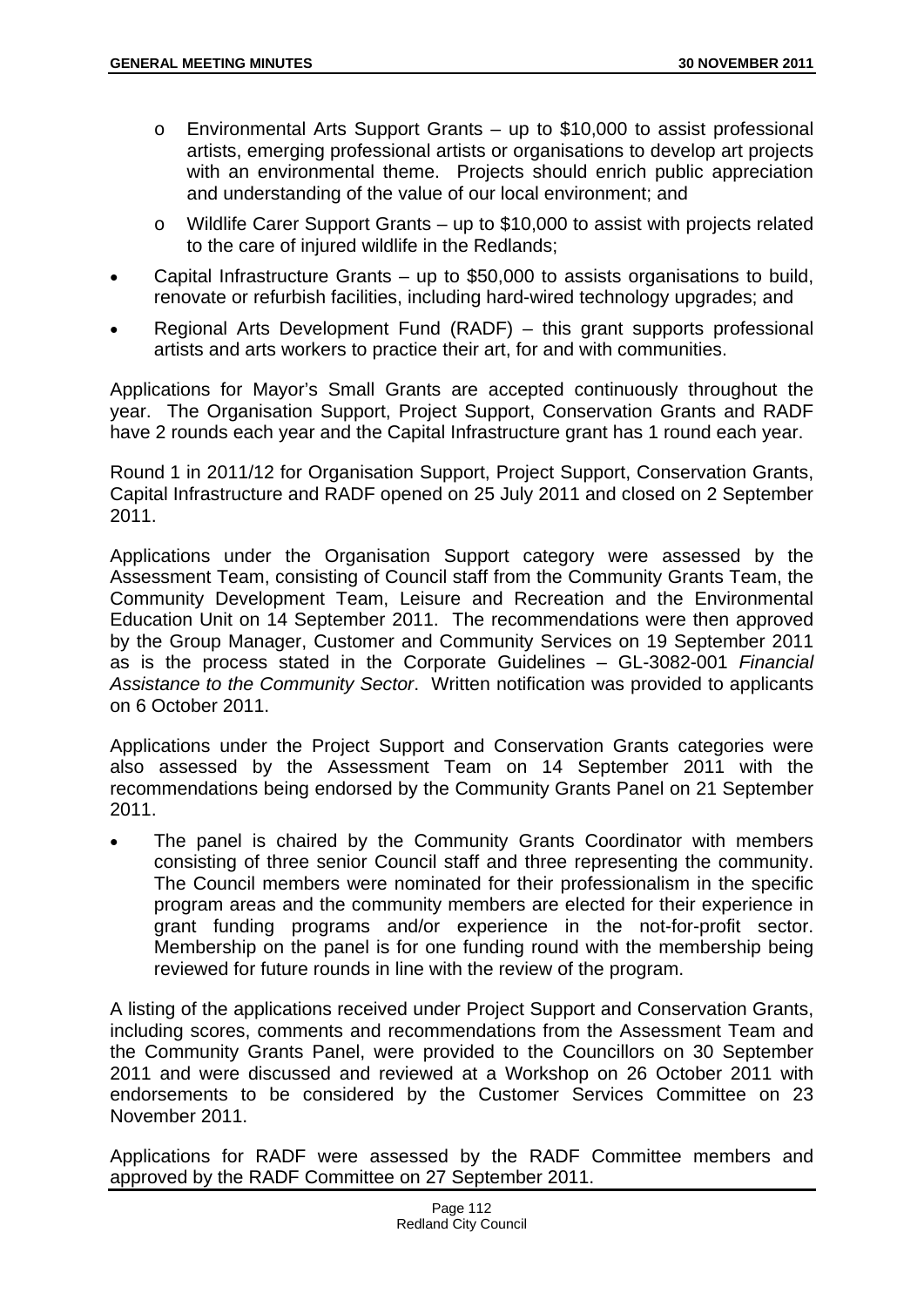- o Environmental Arts Support Grants up to \$10,000 to assist professional artists, emerging professional artists or organisations to develop art projects with an environmental theme. Projects should enrich public appreciation and understanding of the value of our local environment; and
- o Wildlife Carer Support Grants up to \$10,000 to assist with projects related to the care of injured wildlife in the Redlands;
- Capital Infrastructure Grants up to \$50,000 to assists organisations to build, renovate or refurbish facilities, including hard-wired technology upgrades; and
- Regional Arts Development Fund (RADF) this grant supports professional artists and arts workers to practice their art, for and with communities.

Applications for Mayor's Small Grants are accepted continuously throughout the year. The Organisation Support, Project Support, Conservation Grants and RADF have 2 rounds each year and the Capital Infrastructure grant has 1 round each year.

Round 1 in 2011/12 for Organisation Support, Project Support, Conservation Grants, Capital Infrastructure and RADF opened on 25 July 2011 and closed on 2 September 2011.

Applications under the Organisation Support category were assessed by the Assessment Team, consisting of Council staff from the Community Grants Team, the Community Development Team, Leisure and Recreation and the Environmental Education Unit on 14 September 2011. The recommendations were then approved by the Group Manager, Customer and Community Services on 19 September 2011 as is the process stated in the Corporate Guidelines – GL-3082-001 *Financial Assistance to the Community Sector*. Written notification was provided to applicants on 6 October 2011.

Applications under the Project Support and Conservation Grants categories were also assessed by the Assessment Team on 14 September 2011 with the recommendations being endorsed by the Community Grants Panel on 21 September 2011.

 The panel is chaired by the Community Grants Coordinator with members consisting of three senior Council staff and three representing the community. The Council members were nominated for their professionalism in the specific program areas and the community members are elected for their experience in grant funding programs and/or experience in the not-for-profit sector. Membership on the panel is for one funding round with the membership being reviewed for future rounds in line with the review of the program.

A listing of the applications received under Project Support and Conservation Grants, including scores, comments and recommendations from the Assessment Team and the Community Grants Panel, were provided to the Councillors on 30 September 2011 and were discussed and reviewed at a Workshop on 26 October 2011 with endorsements to be considered by the Customer Services Committee on 23 November 2011.

Applications for RADF were assessed by the RADF Committee members and approved by the RADF Committee on 27 September 2011.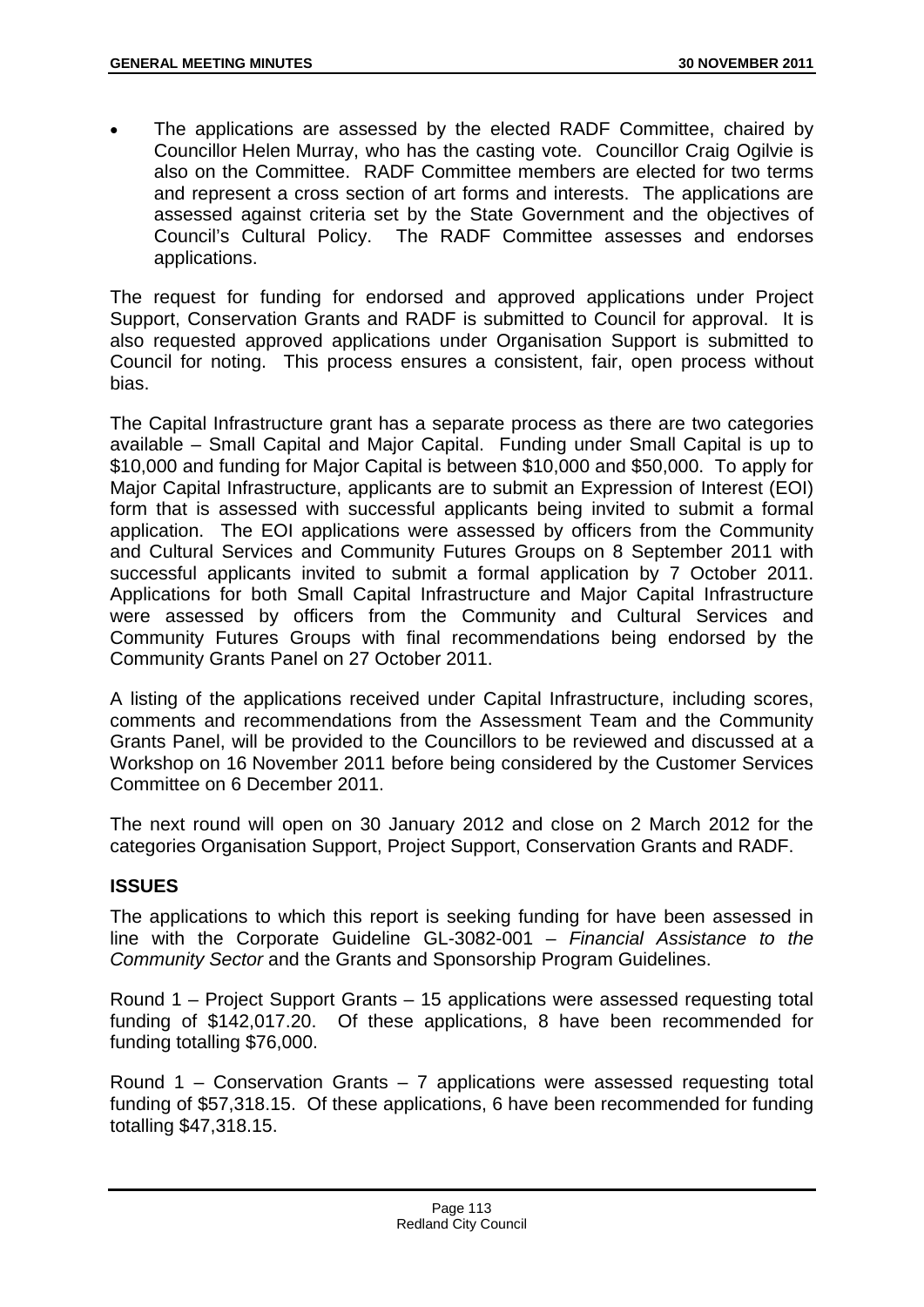The applications are assessed by the elected RADF Committee, chaired by Councillor Helen Murray, who has the casting vote. Councillor Craig Ogilvie is also on the Committee. RADF Committee members are elected for two terms and represent a cross section of art forms and interests. The applications are assessed against criteria set by the State Government and the objectives of Council's Cultural Policy. The RADF Committee assesses and endorses applications.

The request for funding for endorsed and approved applications under Project Support, Conservation Grants and RADF is submitted to Council for approval. It is also requested approved applications under Organisation Support is submitted to Council for noting. This process ensures a consistent, fair, open process without bias.

The Capital Infrastructure grant has a separate process as there are two categories available – Small Capital and Major Capital. Funding under Small Capital is up to \$10,000 and funding for Major Capital is between \$10,000 and \$50,000. To apply for Major Capital Infrastructure, applicants are to submit an Expression of Interest (EOI) form that is assessed with successful applicants being invited to submit a formal application. The EOI applications were assessed by officers from the Community and Cultural Services and Community Futures Groups on 8 September 2011 with successful applicants invited to submit a formal application by 7 October 2011. Applications for both Small Capital Infrastructure and Major Capital Infrastructure were assessed by officers from the Community and Cultural Services and Community Futures Groups with final recommendations being endorsed by the Community Grants Panel on 27 October 2011.

A listing of the applications received under Capital Infrastructure, including scores, comments and recommendations from the Assessment Team and the Community Grants Panel, will be provided to the Councillors to be reviewed and discussed at a Workshop on 16 November 2011 before being considered by the Customer Services Committee on 6 December 2011.

The next round will open on 30 January 2012 and close on 2 March 2012 for the categories Organisation Support, Project Support, Conservation Grants and RADF.

## **ISSUES**

The applications to which this report is seeking funding for have been assessed in line with the Corporate Guideline GL-3082-001 – *Financial Assistance to the Community Sector* and the Grants and Sponsorship Program Guidelines.

Round 1 – Project Support Grants – 15 applications were assessed requesting total funding of \$142,017.20. Of these applications, 8 have been recommended for funding totalling \$76,000.

Round 1 – Conservation Grants – 7 applications were assessed requesting total funding of \$57,318.15. Of these applications, 6 have been recommended for funding totalling \$47,318.15.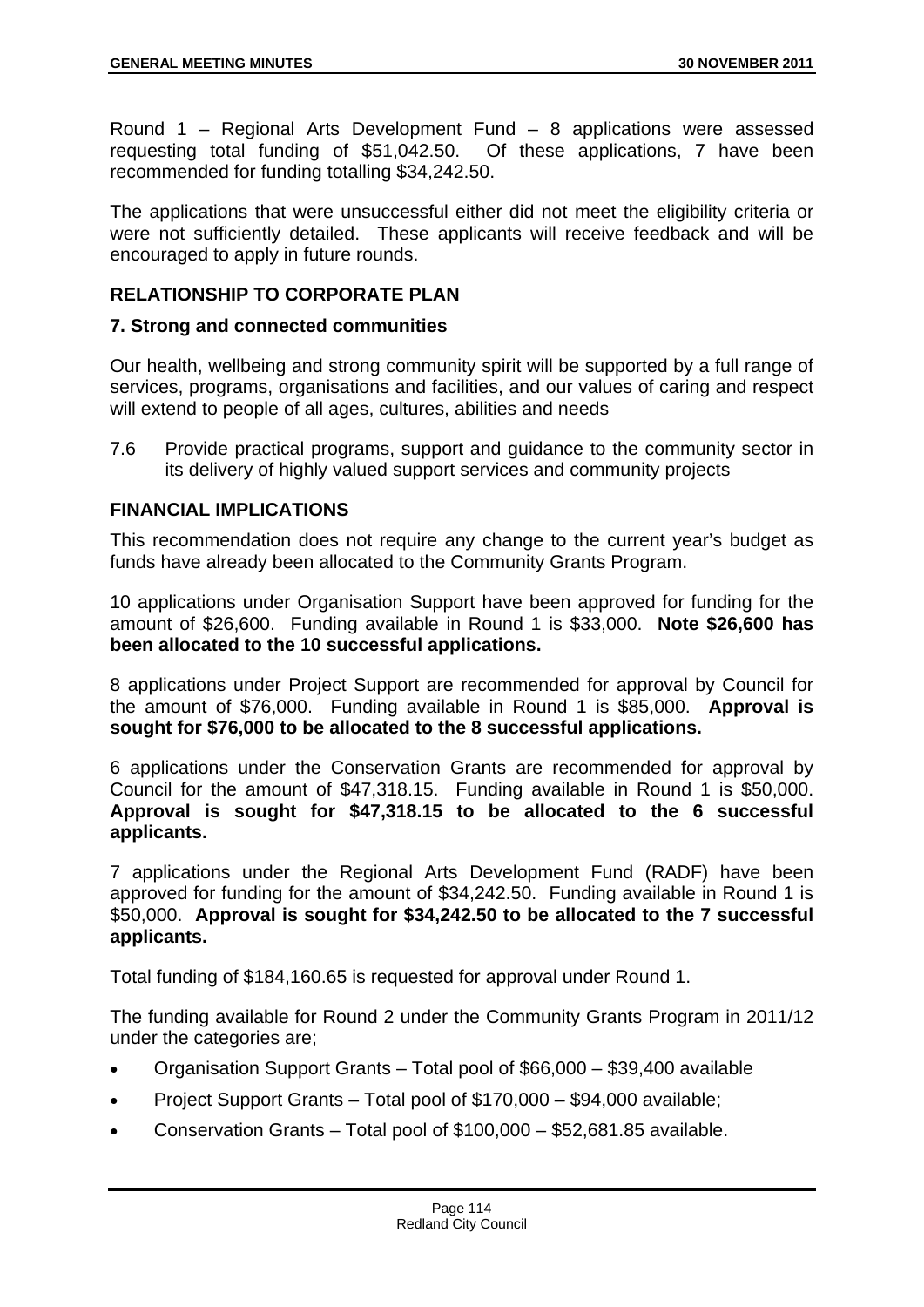Round 1 – Regional Arts Development Fund – 8 applications were assessed requesting total funding of \$51,042.50. Of these applications, 7 have been recommended for funding totalling \$34,242.50.

The applications that were unsuccessful either did not meet the eligibility criteria or were not sufficiently detailed. These applicants will receive feedback and will be encouraged to apply in future rounds.

## **RELATIONSHIP TO CORPORATE PLAN**

#### **7. Strong and connected communities**

Our health, wellbeing and strong community spirit will be supported by a full range of services, programs, organisations and facilities, and our values of caring and respect will extend to people of all ages, cultures, abilities and needs

7.6 Provide practical programs, support and guidance to the community sector in its delivery of highly valued support services and community projects

## **FINANCIAL IMPLICATIONS**

This recommendation does not require any change to the current year's budget as funds have already been allocated to the Community Grants Program.

10 applications under Organisation Support have been approved for funding for the amount of \$26,600. Funding available in Round 1 is \$33,000. **Note \$26,600 has been allocated to the 10 successful applications.**

8 applications under Project Support are recommended for approval by Council for the amount of \$76,000. Funding available in Round 1 is \$85,000. **Approval is sought for \$76,000 to be allocated to the 8 successful applications.**

6 applications under the Conservation Grants are recommended for approval by Council for the amount of \$47,318.15. Funding available in Round 1 is \$50,000. **Approval is sought for \$47,318.15 to be allocated to the 6 successful applicants.**

7 applications under the Regional Arts Development Fund (RADF) have been approved for funding for the amount of \$34,242.50. Funding available in Round 1 is \$50,000. **Approval is sought for \$34,242.50 to be allocated to the 7 successful applicants.**

Total funding of \$184,160.65 is requested for approval under Round 1.

The funding available for Round 2 under the Community Grants Program in 2011/12 under the categories are;

- Organisation Support Grants Total pool of \$66,000 \$39,400 available
- Project Support Grants Total pool of \$170,000 \$94,000 available;
- Conservation Grants Total pool of \$100,000 \$52,681.85 available.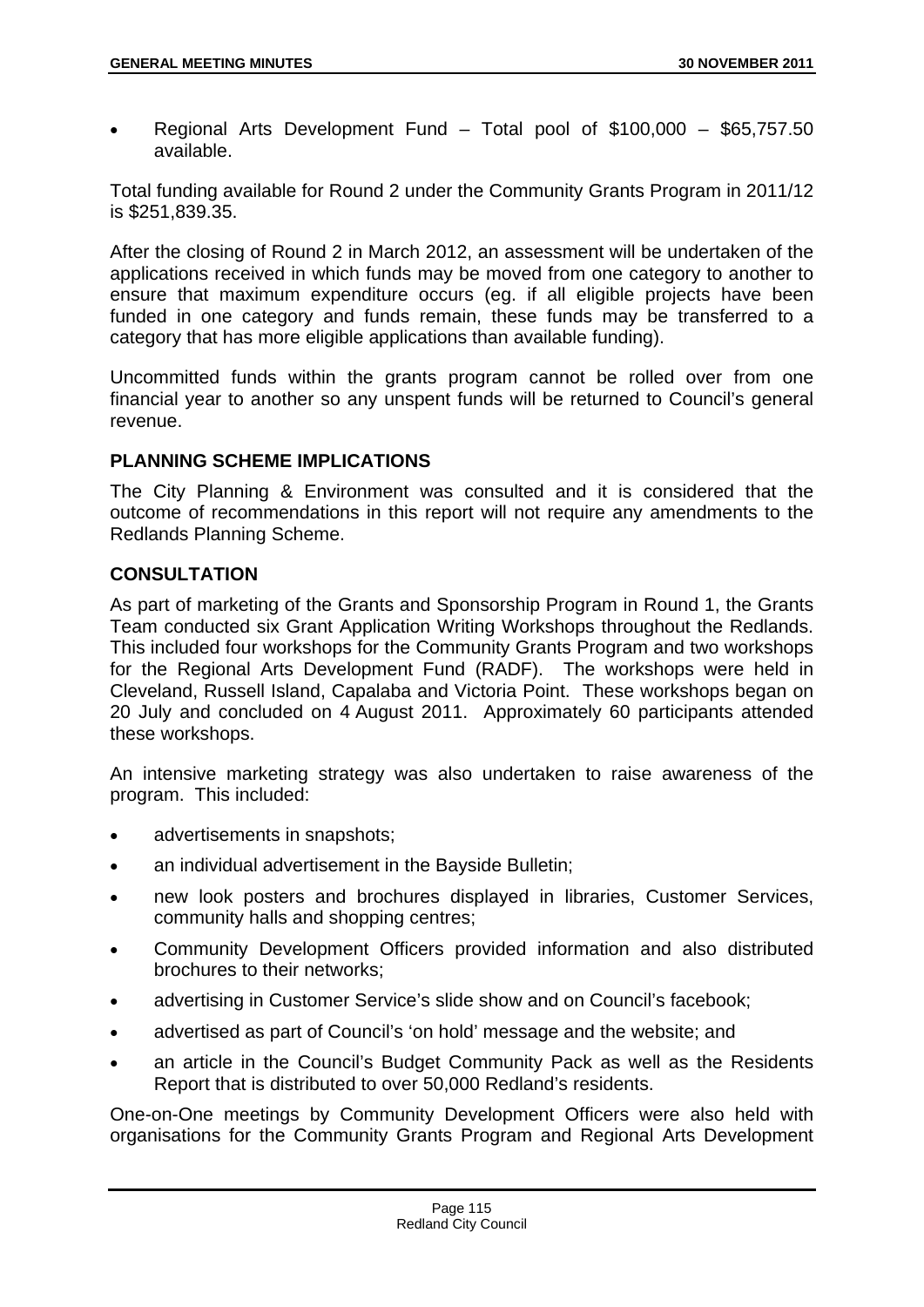Regional Arts Development Fund – Total pool of \$100,000 – \$65,757.50 available.

Total funding available for Round 2 under the Community Grants Program in 2011/12 is \$251,839.35.

After the closing of Round 2 in March 2012, an assessment will be undertaken of the applications received in which funds may be moved from one category to another to ensure that maximum expenditure occurs (eg. if all eligible projects have been funded in one category and funds remain, these funds may be transferred to a category that has more eligible applications than available funding).

Uncommitted funds within the grants program cannot be rolled over from one financial year to another so any unspent funds will be returned to Council's general revenue.

## **PLANNING SCHEME IMPLICATIONS**

The City Planning & Environment was consulted and it is considered that the outcome of recommendations in this report will not require any amendments to the Redlands Planning Scheme.

## **CONSULTATION**

As part of marketing of the Grants and Sponsorship Program in Round 1, the Grants Team conducted six Grant Application Writing Workshops throughout the Redlands. This included four workshops for the Community Grants Program and two workshops for the Regional Arts Development Fund (RADF). The workshops were held in Cleveland, Russell Island, Capalaba and Victoria Point. These workshops began on 20 July and concluded on 4 August 2011. Approximately 60 participants attended these workshops.

An intensive marketing strategy was also undertaken to raise awareness of the program. This included:

- advertisements in snapshots;
- an individual advertisement in the Bayside Bulletin:
- new look posters and brochures displayed in libraries, Customer Services, community halls and shopping centres;
- Community Development Officers provided information and also distributed brochures to their networks;
- advertising in Customer Service's slide show and on Council's facebook:
- advertised as part of Council's 'on hold' message and the website; and
- an article in the Council's Budget Community Pack as well as the Residents Report that is distributed to over 50,000 Redland's residents.

One-on-One meetings by Community Development Officers were also held with organisations for the Community Grants Program and Regional Arts Development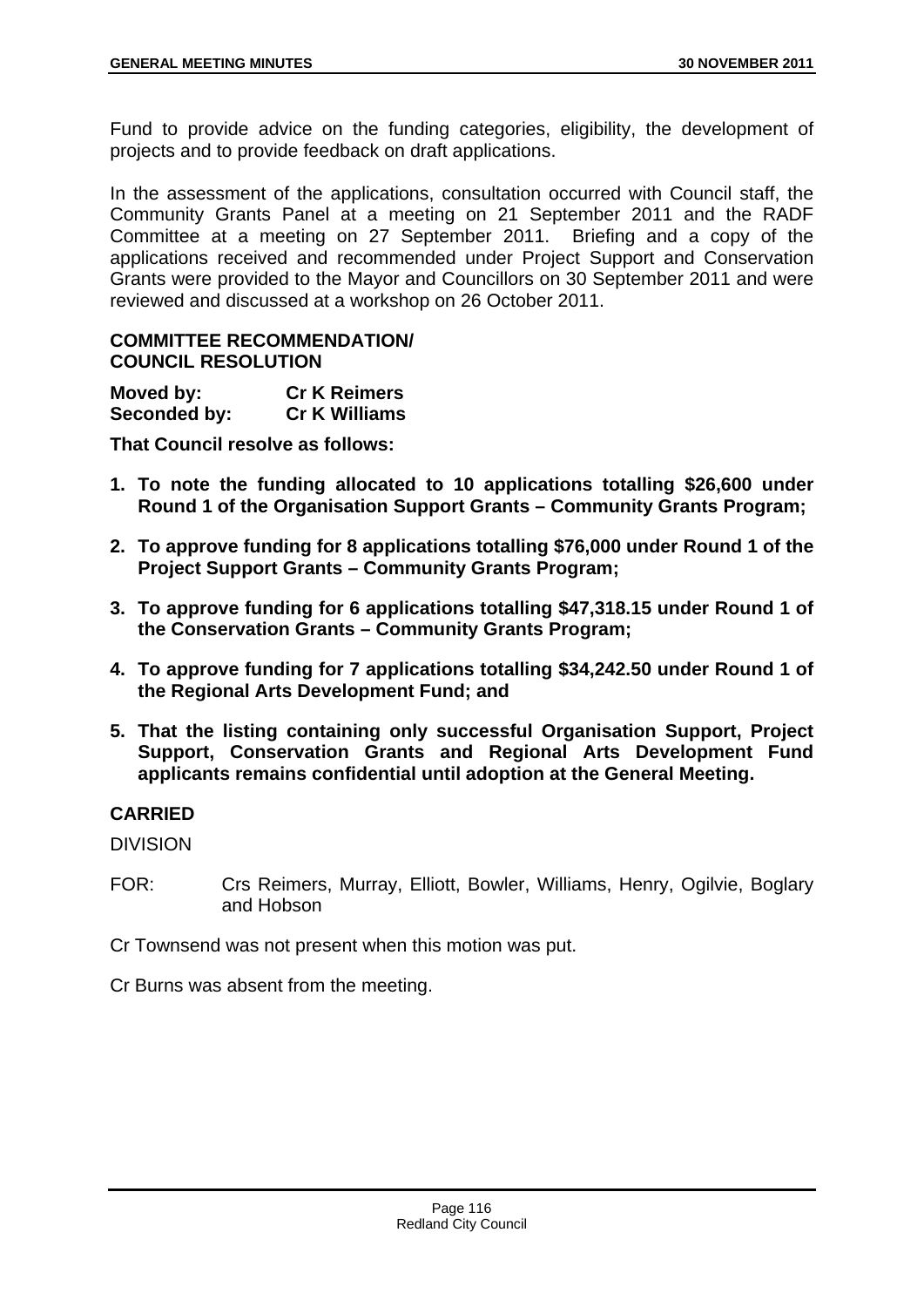Fund to provide advice on the funding categories, eligibility, the development of projects and to provide feedback on draft applications.

In the assessment of the applications, consultation occurred with Council staff, the Community Grants Panel at a meeting on 21 September 2011 and the RADF Committee at a meeting on 27 September 2011. Briefing and a copy of the applications received and recommended under Project Support and Conservation Grants were provided to the Mayor and Councillors on 30 September 2011 and were reviewed and discussed at a workshop on 26 October 2011.

## **COMMITTEE RECOMMENDATION/ COUNCIL RESOLUTION**

| Moved by:    | <b>Cr K Reimers</b>  |
|--------------|----------------------|
| Seconded by: | <b>Cr K Williams</b> |

**That Council resolve as follows:** 

- **1. To note the funding allocated to 10 applications totalling \$26,600 under Round 1 of the Organisation Support Grants – Community Grants Program;**
- **2. To approve funding for 8 applications totalling \$76,000 under Round 1 of the Project Support Grants – Community Grants Program;**
- **3. To approve funding for 6 applications totalling \$47,318.15 under Round 1 of the Conservation Grants – Community Grants Program;**
- **4. To approve funding for 7 applications totalling \$34,242.50 under Round 1 of the Regional Arts Development Fund; and**
- **5. That the listing containing only successful Organisation Support, Project Support, Conservation Grants and Regional Arts Development Fund applicants remains confidential until adoption at the General Meeting.**

## **CARRIED**

DIVISION

FOR: Crs Reimers, Murray, Elliott, Bowler, Williams, Henry, Ogilvie, Boglary and Hobson

Cr Townsend was not present when this motion was put.

Cr Burns was absent from the meeting.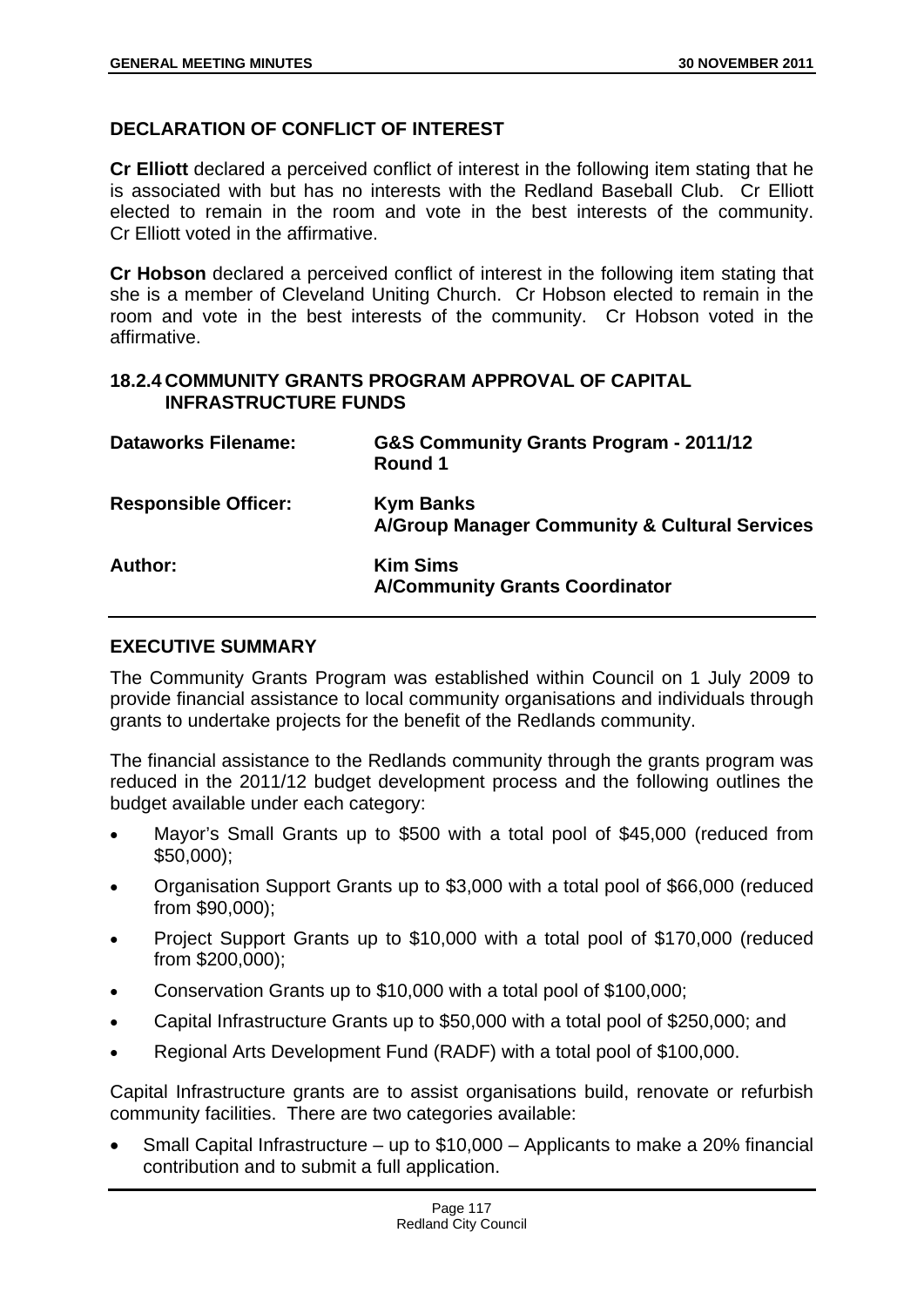## **DECLARATION OF CONFLICT OF INTEREST**

**Cr Elliott** declared a perceived conflict of interest in the following item stating that he is associated with but has no interests with the Redland Baseball Club. Cr Elliott elected to remain in the room and vote in the best interests of the community. Cr Elliott voted in the affirmative.

**Cr Hobson** declared a perceived conflict of interest in the following item stating that she is a member of Cleveland Uniting Church. Cr Hobson elected to remain in the room and vote in the best interests of the community. Cr Hobson voted in the affirmative.

#### **18.2.4 COMMUNITY GRANTS PROGRAM APPROVAL OF CAPITAL INFRASTRUCTURE FUNDS**

| <b>Dataworks Filename:</b>  | G&S Community Grants Program - 2011/12<br>Round 1                            |
|-----------------------------|------------------------------------------------------------------------------|
| <b>Responsible Officer:</b> | <b>Kym Banks</b><br><b>A/Group Manager Community &amp; Cultural Services</b> |
| Author:                     | <b>Kim Sims</b><br><b>A/Community Grants Coordinator</b>                     |

## **EXECUTIVE SUMMARY**

The Community Grants Program was established within Council on 1 July 2009 to provide financial assistance to local community organisations and individuals through grants to undertake projects for the benefit of the Redlands community.

The financial assistance to the Redlands community through the grants program was reduced in the 2011/12 budget development process and the following outlines the budget available under each category:

- Mayor's Small Grants up to \$500 with a total pool of \$45,000 (reduced from \$50,000);
- Organisation Support Grants up to \$3,000 with a total pool of \$66,000 (reduced from \$90,000);
- Project Support Grants up to \$10,000 with a total pool of \$170,000 (reduced from \$200,000);
- Conservation Grants up to \$10,000 with a total pool of \$100,000;
- Capital Infrastructure Grants up to \$50,000 with a total pool of \$250,000; and
- Regional Arts Development Fund (RADF) with a total pool of \$100,000.

Capital Infrastructure grants are to assist organisations build, renovate or refurbish community facilities. There are two categories available:

 Small Capital Infrastructure – up to \$10,000 – Applicants to make a 20% financial contribution and to submit a full application.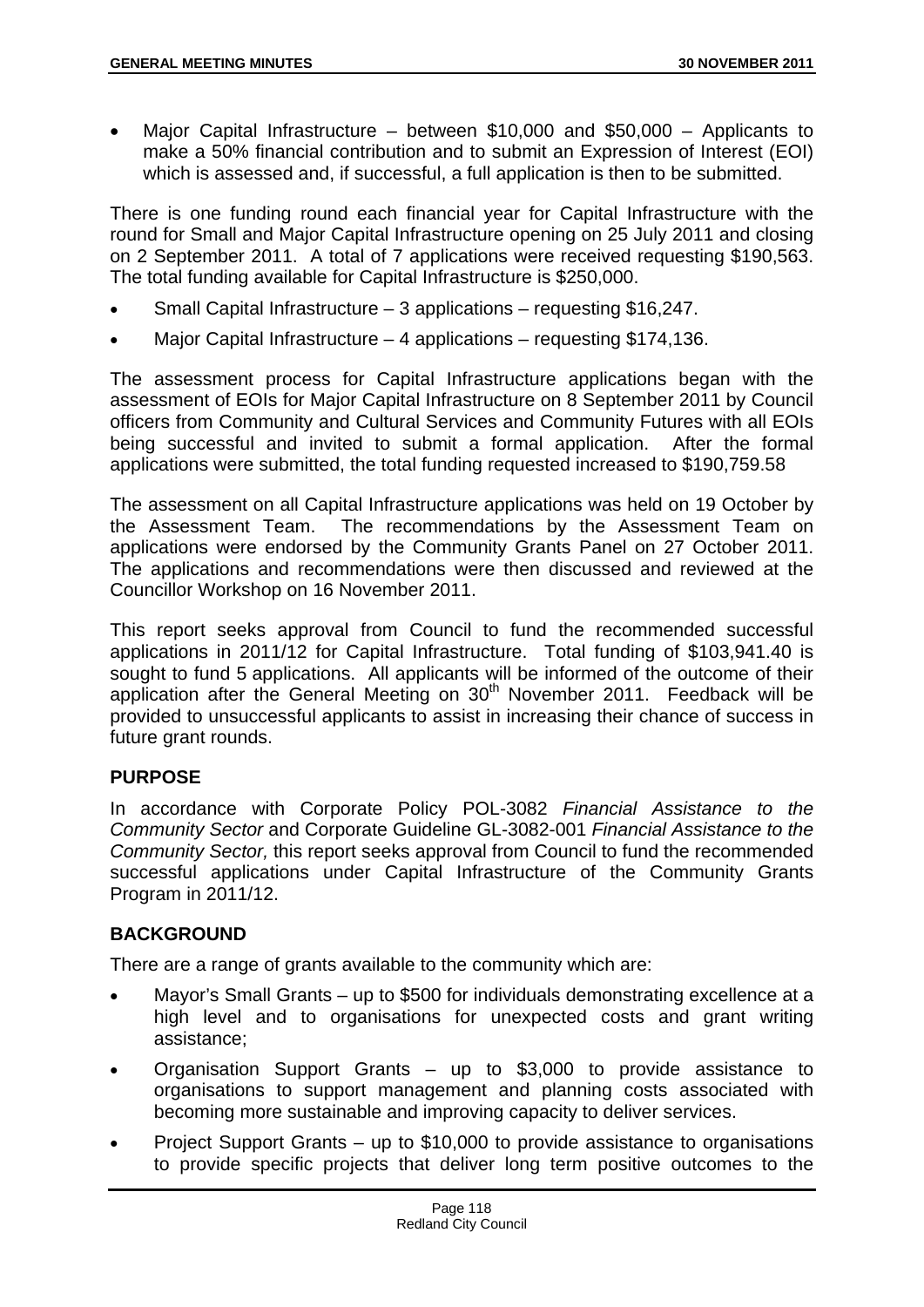Major Capital Infrastructure – between \$10,000 and \$50,000 – Applicants to make a 50% financial contribution and to submit an Expression of Interest (EOI) which is assessed and, if successful, a full application is then to be submitted.

There is one funding round each financial year for Capital Infrastructure with the round for Small and Major Capital Infrastructure opening on 25 July 2011 and closing on 2 September 2011. A total of 7 applications were received requesting \$190,563. The total funding available for Capital Infrastructure is \$250,000.

- Small Capital Infrastructure 3 applications requesting \$16,247.
- Major Capital Infrastructure 4 applications requesting \$174,136.

The assessment process for Capital Infrastructure applications began with the assessment of EOIs for Major Capital Infrastructure on 8 September 2011 by Council officers from Community and Cultural Services and Community Futures with all EOIs being successful and invited to submit a formal application. After the formal applications were submitted, the total funding requested increased to \$190,759.58

The assessment on all Capital Infrastructure applications was held on 19 October by the Assessment Team. The recommendations by the Assessment Team on applications were endorsed by the Community Grants Panel on 27 October 2011. The applications and recommendations were then discussed and reviewed at the Councillor Workshop on 16 November 2011.

This report seeks approval from Council to fund the recommended successful applications in 2011/12 for Capital Infrastructure. Total funding of \$103,941.40 is sought to fund 5 applications. All applicants will be informed of the outcome of their application after the General Meeting on  $30<sup>th</sup>$  November 2011. Feedback will be provided to unsuccessful applicants to assist in increasing their chance of success in future grant rounds.

## **PURPOSE**

In accordance with Corporate Policy POL-3082 *Financial Assistance to the Community Sector* and Corporate Guideline GL-3082-001 *Financial Assistance to the Community Sector,* this report seeks approval from Council to fund the recommended successful applications under Capital Infrastructure of the Community Grants Program in 2011/12.

# **BACKGROUND**

There are a range of grants available to the community which are:

- Mayor's Small Grants up to \$500 for individuals demonstrating excellence at a high level and to organisations for unexpected costs and grant writing assistance;
- Organisation Support Grants up to \$3,000 to provide assistance to organisations to support management and planning costs associated with becoming more sustainable and improving capacity to deliver services.
- Project Support Grants up to \$10,000 to provide assistance to organisations to provide specific projects that deliver long term positive outcomes to the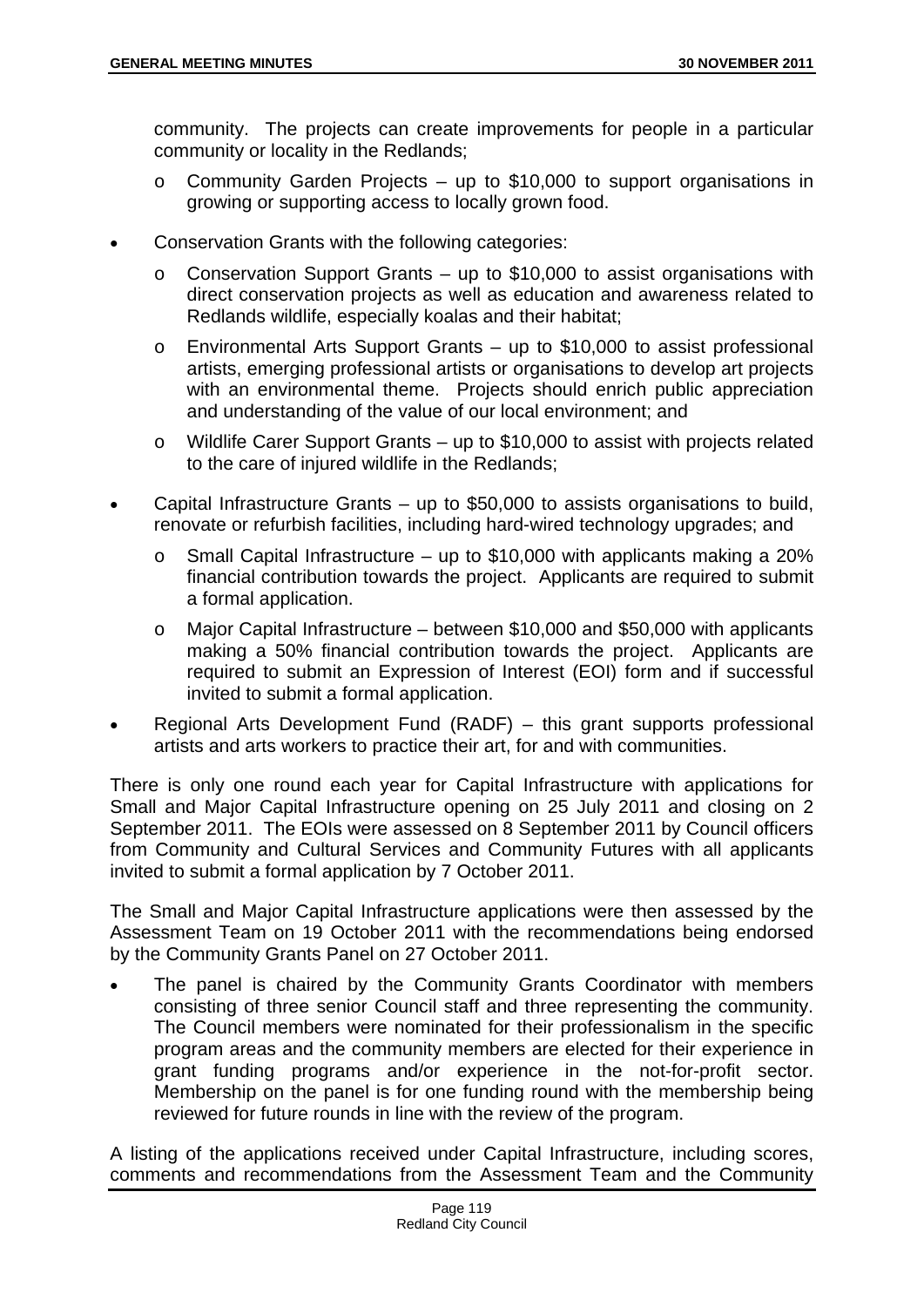community. The projects can create improvements for people in a particular community or locality in the Redlands;

- o Community Garden Projects up to \$10,000 to support organisations in growing or supporting access to locally grown food.
- Conservation Grants with the following categories:
	- $\circ$  Conservation Support Grants up to \$10,000 to assist organisations with direct conservation projects as well as education and awareness related to Redlands wildlife, especially koalas and their habitat;
	- o Environmental Arts Support Grants up to \$10,000 to assist professional artists, emerging professional artists or organisations to develop art projects with an environmental theme. Projects should enrich public appreciation and understanding of the value of our local environment; and
	- o Wildlife Carer Support Grants up to \$10,000 to assist with projects related to the care of injured wildlife in the Redlands;
- Capital Infrastructure Grants up to \$50,000 to assists organisations to build, renovate or refurbish facilities, including hard-wired technology upgrades; and
	- $\circ$  Small Capital Infrastructure up to \$10,000 with applicants making a 20% financial contribution towards the project. Applicants are required to submit a formal application.
	- o Major Capital Infrastructure between \$10,000 and \$50,000 with applicants making a 50% financial contribution towards the project. Applicants are required to submit an Expression of Interest (EOI) form and if successful invited to submit a formal application.
- Regional Arts Development Fund (RADF) this grant supports professional artists and arts workers to practice their art, for and with communities.

There is only one round each year for Capital Infrastructure with applications for Small and Major Capital Infrastructure opening on 25 July 2011 and closing on 2 September 2011. The EOIs were assessed on 8 September 2011 by Council officers from Community and Cultural Services and Community Futures with all applicants invited to submit a formal application by 7 October 2011.

The Small and Major Capital Infrastructure applications were then assessed by the Assessment Team on 19 October 2011 with the recommendations being endorsed by the Community Grants Panel on 27 October 2011.

 The panel is chaired by the Community Grants Coordinator with members consisting of three senior Council staff and three representing the community. The Council members were nominated for their professionalism in the specific program areas and the community members are elected for their experience in grant funding programs and/or experience in the not-for-profit sector. Membership on the panel is for one funding round with the membership being reviewed for future rounds in line with the review of the program.

A listing of the applications received under Capital Infrastructure, including scores, comments and recommendations from the Assessment Team and the Community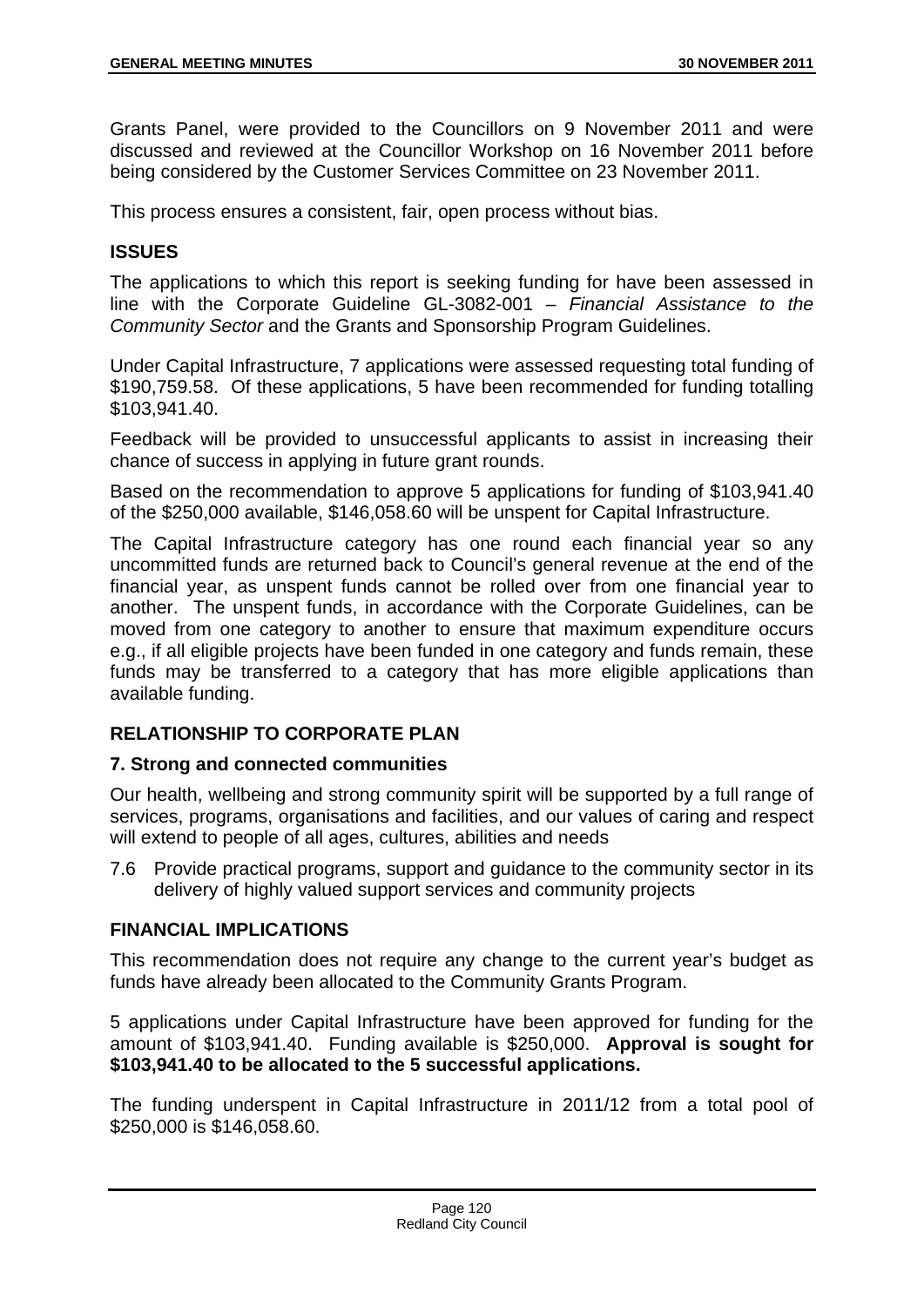Grants Panel, were provided to the Councillors on 9 November 2011 and were discussed and reviewed at the Councillor Workshop on 16 November 2011 before being considered by the Customer Services Committee on 23 November 2011.

This process ensures a consistent, fair, open process without bias.

## **ISSUES**

The applications to which this report is seeking funding for have been assessed in line with the Corporate Guideline GL-3082-001 – *Financial Assistance to the Community Sector* and the Grants and Sponsorship Program Guidelines.

Under Capital Infrastructure, 7 applications were assessed requesting total funding of \$190,759.58. Of these applications, 5 have been recommended for funding totalling \$103,941.40.

Feedback will be provided to unsuccessful applicants to assist in increasing their chance of success in applying in future grant rounds.

Based on the recommendation to approve 5 applications for funding of \$103,941.40 of the \$250,000 available, \$146,058.60 will be unspent for Capital Infrastructure.

The Capital Infrastructure category has one round each financial year so any uncommitted funds are returned back to Council's general revenue at the end of the financial year, as unspent funds cannot be rolled over from one financial year to another. The unspent funds, in accordance with the Corporate Guidelines, can be moved from one category to another to ensure that maximum expenditure occurs e.g., if all eligible projects have been funded in one category and funds remain, these funds may be transferred to a category that has more eligible applications than available funding.

# **RELATIONSHIP TO CORPORATE PLAN**

## **7. Strong and connected communities**

Our health, wellbeing and strong community spirit will be supported by a full range of services, programs, organisations and facilities, and our values of caring and respect will extend to people of all ages, cultures, abilities and needs

7.6 Provide practical programs, support and guidance to the community sector in its delivery of highly valued support services and community projects

## **FINANCIAL IMPLICATIONS**

This recommendation does not require any change to the current year's budget as funds have already been allocated to the Community Grants Program.

5 applications under Capital Infrastructure have been approved for funding for the amount of \$103,941.40. Funding available is \$250,000. **Approval is sought for \$103,941.40 to be allocated to the 5 successful applications.**

The funding underspent in Capital Infrastructure in 2011/12 from a total pool of \$250,000 is \$146,058.60.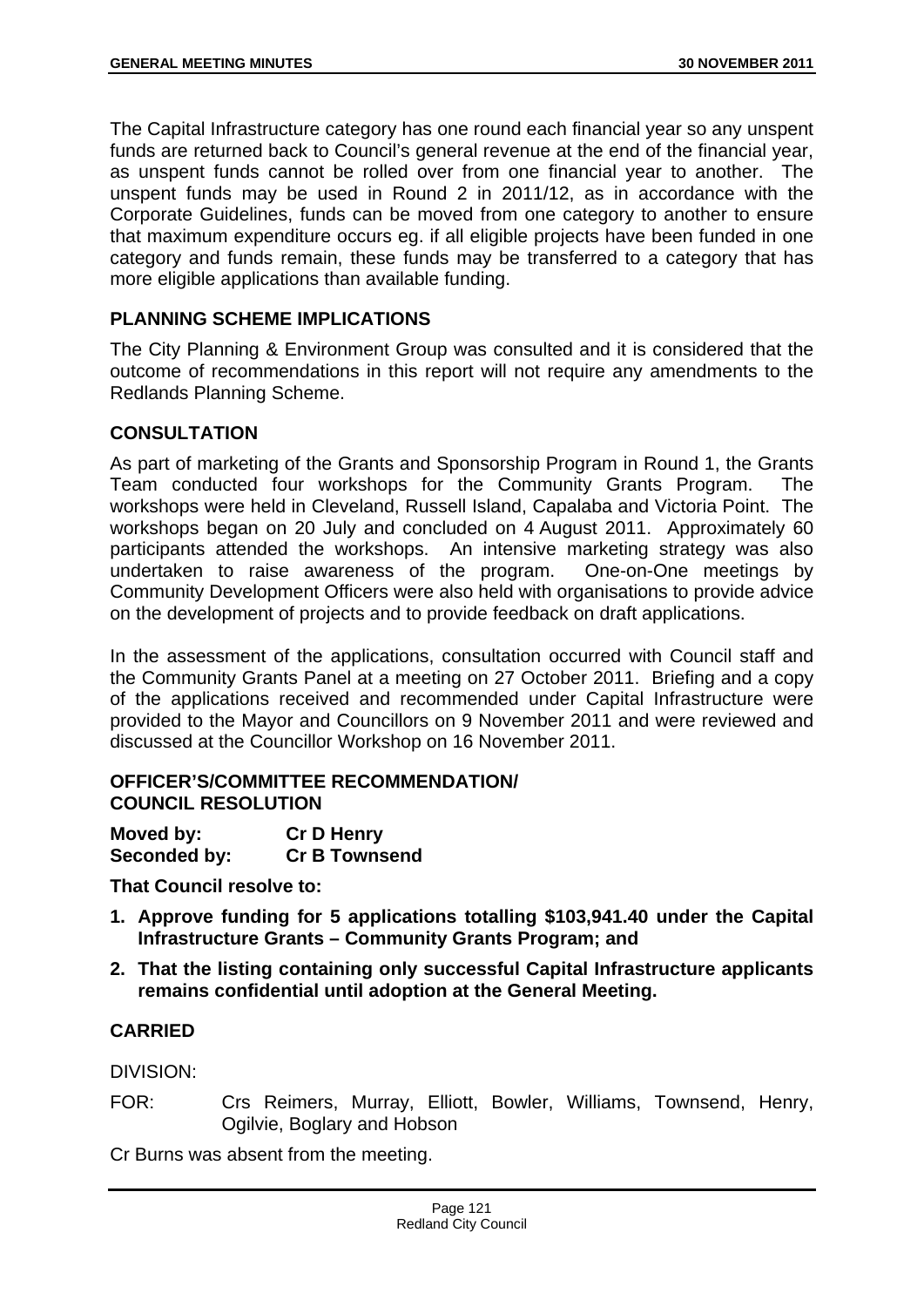The Capital Infrastructure category has one round each financial year so any unspent funds are returned back to Council's general revenue at the end of the financial year, as unspent funds cannot be rolled over from one financial year to another. The unspent funds may be used in Round 2 in 2011/12, as in accordance with the Corporate Guidelines, funds can be moved from one category to another to ensure that maximum expenditure occurs eg. if all eligible projects have been funded in one category and funds remain, these funds may be transferred to a category that has more eligible applications than available funding.

# **PLANNING SCHEME IMPLICATIONS**

The City Planning & Environment Group was consulted and it is considered that the outcome of recommendations in this report will not require any amendments to the Redlands Planning Scheme.

## **CONSULTATION**

As part of marketing of the Grants and Sponsorship Program in Round 1, the Grants Team conducted four workshops for the Community Grants Program. The workshops were held in Cleveland, Russell Island, Capalaba and Victoria Point. The workshops began on 20 July and concluded on 4 August 2011. Approximately 60 participants attended the workshops. An intensive marketing strategy was also undertaken to raise awareness of the program. One-on-One meetings by Community Development Officers were also held with organisations to provide advice on the development of projects and to provide feedback on draft applications.

In the assessment of the applications, consultation occurred with Council staff and the Community Grants Panel at a meeting on 27 October 2011. Briefing and a copy of the applications received and recommended under Capital Infrastructure were provided to the Mayor and Councillors on 9 November 2011 and were reviewed and discussed at the Councillor Workshop on 16 November 2011.

## **OFFICER'S/COMMITTEE RECOMMENDATION/ COUNCIL RESOLUTION**

| Moved by:    | <b>Cr D Henry</b>    |
|--------------|----------------------|
| Seconded by: | <b>Cr B Townsend</b> |

**That Council resolve to:** 

- **1. Approve funding for 5 applications totalling \$103,941.40 under the Capital Infrastructure Grants – Community Grants Program; and**
- **2. That the listing containing only successful Capital Infrastructure applicants remains confidential until adoption at the General Meeting.**

## **CARRIED**

DIVISION:

FOR: Crs Reimers, Murray, Elliott, Bowler, Williams, Townsend, Henry, Ogilvie, Boglary and Hobson

Cr Burns was absent from the meeting.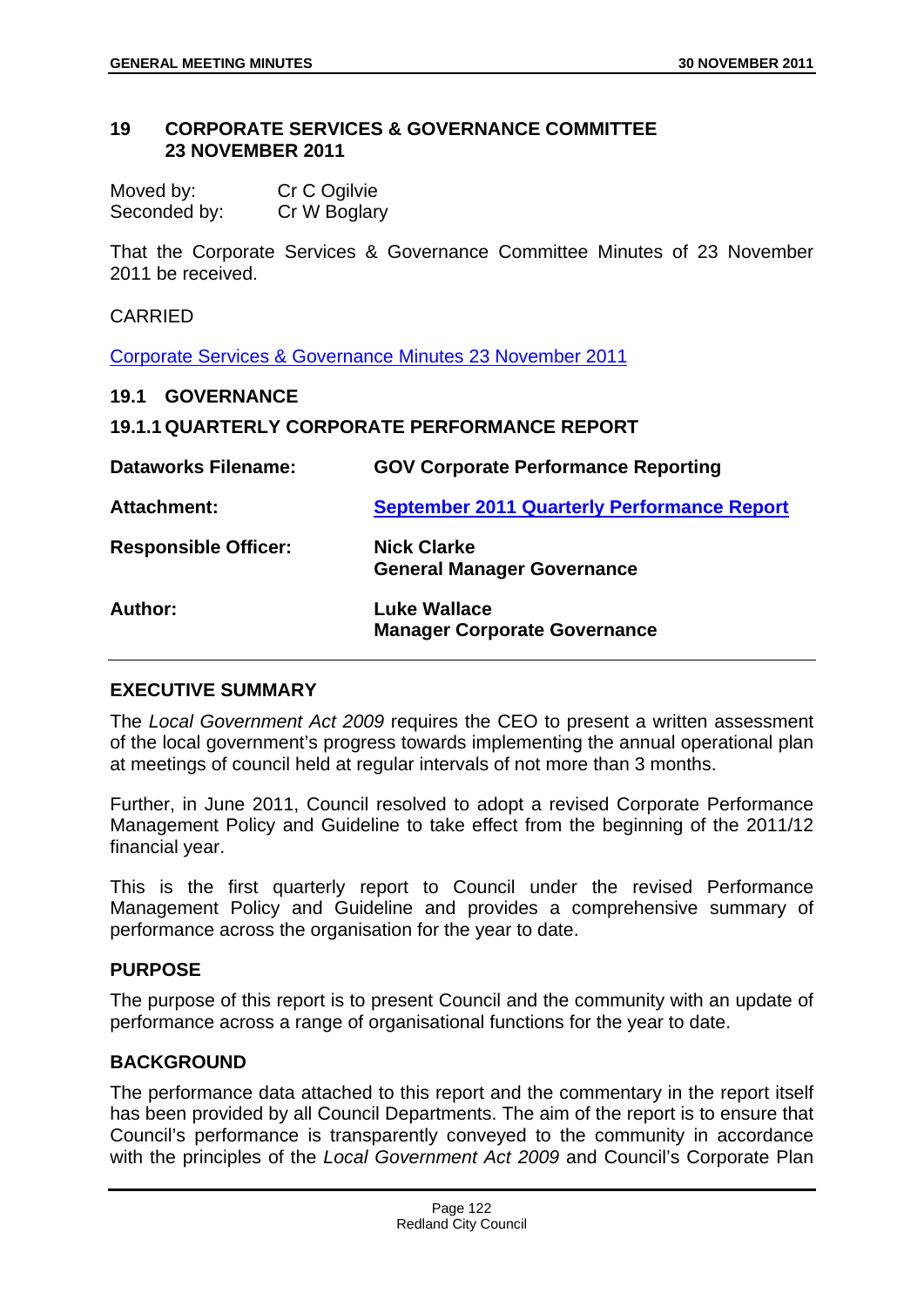#### **19 CORPORATE SERVICES & GOVERNANCE COMMITTEE 23 NOVEMBER 2011**

Moved by: Cr C Ogilvie Seconded by: Cr W Boglary

That the Corporate Services & Governance Committee Minutes of 23 November 2011 be received.

#### CARRIED

Corporate Services & Governance Minutes 23 November 2011

#### **19.1 GOVERNANCE**

## **19.1.1 QUARTERLY CORPORATE PERFORMANCE REPORT**

| <b>Dataworks Filename:</b>  | <b>GOV Corporate Performance Reporting</b>                 |
|-----------------------------|------------------------------------------------------------|
| <b>Attachment:</b>          | <b>September 2011 Quarterly Performance Report</b>         |
| <b>Responsible Officer:</b> | <b>Nick Clarke</b><br><b>General Manager Governance</b>    |
| Author:                     | <b>Luke Wallace</b><br><b>Manager Corporate Governance</b> |

## **EXECUTIVE SUMMARY**

The *Local Government Act 2009* requires the CEO to present a written assessment of the local government's progress towards implementing the annual operational plan at meetings of council held at regular intervals of not more than 3 months.

Further, in June 2011, Council resolved to adopt a revised Corporate Performance Management Policy and Guideline to take effect from the beginning of the 2011/12 financial year.

This is the first quarterly report to Council under the revised Performance Management Policy and Guideline and provides a comprehensive summary of performance across the organisation for the year to date.

## **PURPOSE**

The purpose of this report is to present Council and the community with an update of performance across a range of organisational functions for the year to date.

## **BACKGROUND**

The performance data attached to this report and the commentary in the report itself has been provided by all Council Departments. The aim of the report is to ensure that Council's performance is transparently conveyed to the community in accordance with the principles of the *Local Government Act 2009* and Council's Corporate Plan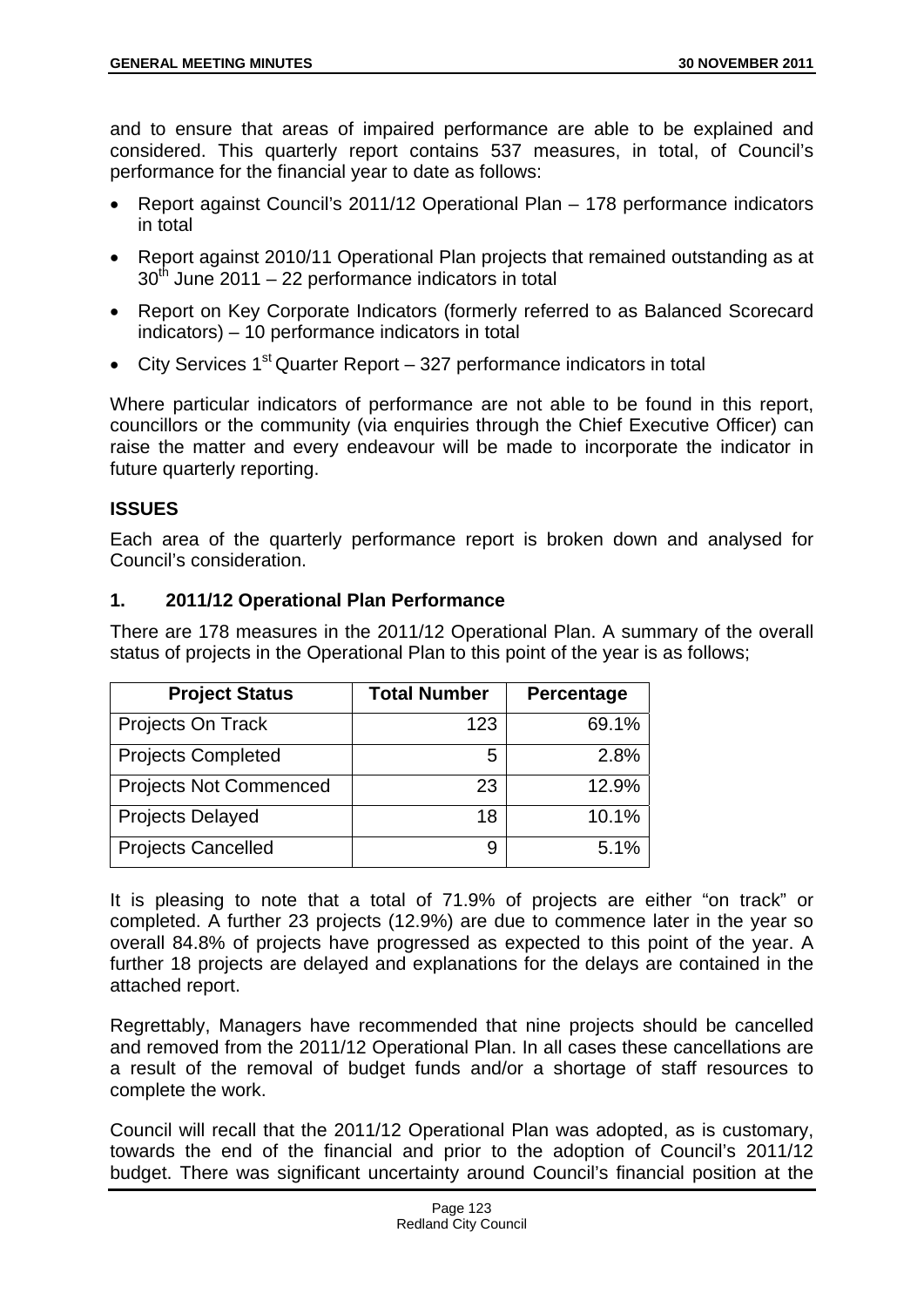and to ensure that areas of impaired performance are able to be explained and considered. This quarterly report contains 537 measures, in total, of Council's performance for the financial year to date as follows:

- Report against Council's 2011/12 Operational Plan 178 performance indicators in total
- Report against 2010/11 Operational Plan projects that remained outstanding as at  $30<sup>th</sup>$  June 2011 – 22 performance indicators in total
- Report on Key Corporate Indicators (formerly referred to as Balanced Scorecard indicators) – 10 performance indicators in total
- City Services  $1<sup>st</sup>$  Quarter Report 327 performance indicators in total

Where particular indicators of performance are not able to be found in this report, councillors or the community (via enquiries through the Chief Executive Officer) can raise the matter and every endeavour will be made to incorporate the indicator in future quarterly reporting.

## **ISSUES**

Each area of the quarterly performance report is broken down and analysed for Council's consideration.

## **1. 2011/12 Operational Plan Performance**

There are 178 measures in the 2011/12 Operational Plan. A summary of the overall status of projects in the Operational Plan to this point of the year is as follows;

| <b>Project Status</b>         | <b>Total Number</b> | Percentage |
|-------------------------------|---------------------|------------|
| Projects On Track             | 123                 | 69.1%      |
| <b>Projects Completed</b>     | 5                   | 2.8%       |
| <b>Projects Not Commenced</b> | 23                  | 12.9%      |
| <b>Projects Delayed</b>       | 18                  | 10.1%      |
| <b>Projects Cancelled</b>     | 9                   | 5.1%       |

It is pleasing to note that a total of 71.9% of projects are either "on track" or completed. A further 23 projects (12.9%) are due to commence later in the year so overall 84.8% of projects have progressed as expected to this point of the year. A further 18 projects are delayed and explanations for the delays are contained in the attached report.

Regrettably, Managers have recommended that nine projects should be cancelled and removed from the 2011/12 Operational Plan. In all cases these cancellations are a result of the removal of budget funds and/or a shortage of staff resources to complete the work.

Council will recall that the 2011/12 Operational Plan was adopted, as is customary, towards the end of the financial and prior to the adoption of Council's 2011/12 budget. There was significant uncertainty around Council's financial position at the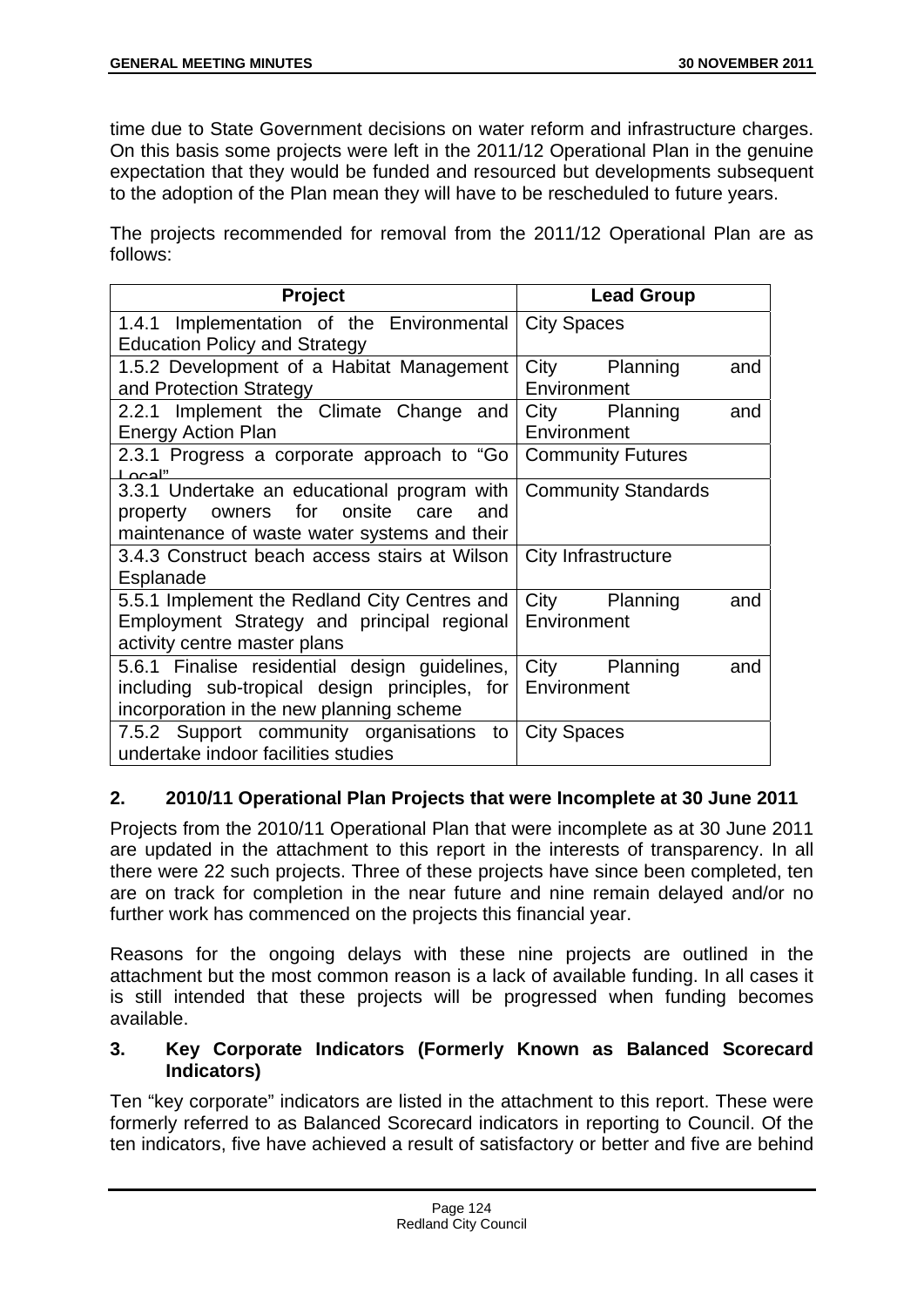time due to State Government decisions on water reform and infrastructure charges. On this basis some projects were left in the 2011/12 Operational Plan in the genuine expectation that they would be funded and resourced but developments subsequent to the adoption of the Plan mean they will have to be rescheduled to future years.

The projects recommended for removal from the 2011/12 Operational Plan are as follows:

| Project                                                                                                                                                | <b>Lead Group</b>                      |  |
|--------------------------------------------------------------------------------------------------------------------------------------------------------|----------------------------------------|--|
| 1.4.1 Implementation of the Environmental<br><b>Education Policy and Strategy</b>                                                                      | <b>City Spaces</b>                     |  |
|                                                                                                                                                        |                                        |  |
| 1.5.2 Development of a Habitat Management<br>and Protection Strategy                                                                                   | City<br>Planning<br>and<br>Environment |  |
| 2.2.1 Implement the Climate Change and                                                                                                                 | City<br>Planning<br>and                |  |
| <b>Energy Action Plan</b>                                                                                                                              | Environment                            |  |
| 2.3.1 Progress a corporate approach to "Go<br>"ادہ ا                                                                                                   | <b>Community Futures</b>               |  |
| 3.3.1 Undertake an educational program with<br>owners for<br>onsite<br>care<br>and<br>property<br>maintenance of waste water systems and their         | <b>Community Standards</b>             |  |
| 3.4.3 Construct beach access stairs at Wilson<br>Esplanade                                                                                             | City Infrastructure                    |  |
| 5.5.1 Implement the Redland City Centres and<br>Employment Strategy and principal regional Environment<br>activity centre master plans                 | City<br>Planning<br>and                |  |
| 5.6.1 Finalise residential design guidelines,<br>including sub-tropical design principles, for Environment<br>incorporation in the new planning scheme | City<br>Planning<br>and                |  |
| 7.5.2 Support community organisations<br>to<br>undertake indoor facilities studies                                                                     | <b>City Spaces</b>                     |  |

# **2. 2010/11 Operational Plan Projects that were Incomplete at 30 June 2011**

Projects from the 2010/11 Operational Plan that were incomplete as at 30 June 2011 are updated in the attachment to this report in the interests of transparency. In all there were 22 such projects. Three of these projects have since been completed, ten are on track for completion in the near future and nine remain delayed and/or no further work has commenced on the projects this financial year.

Reasons for the ongoing delays with these nine projects are outlined in the attachment but the most common reason is a lack of available funding. In all cases it is still intended that these projects will be progressed when funding becomes available.

## **3. Key Corporate Indicators (Formerly Known as Balanced Scorecard Indicators)**

Ten "key corporate" indicators are listed in the attachment to this report. These were formerly referred to as Balanced Scorecard indicators in reporting to Council. Of the ten indicators, five have achieved a result of satisfactory or better and five are behind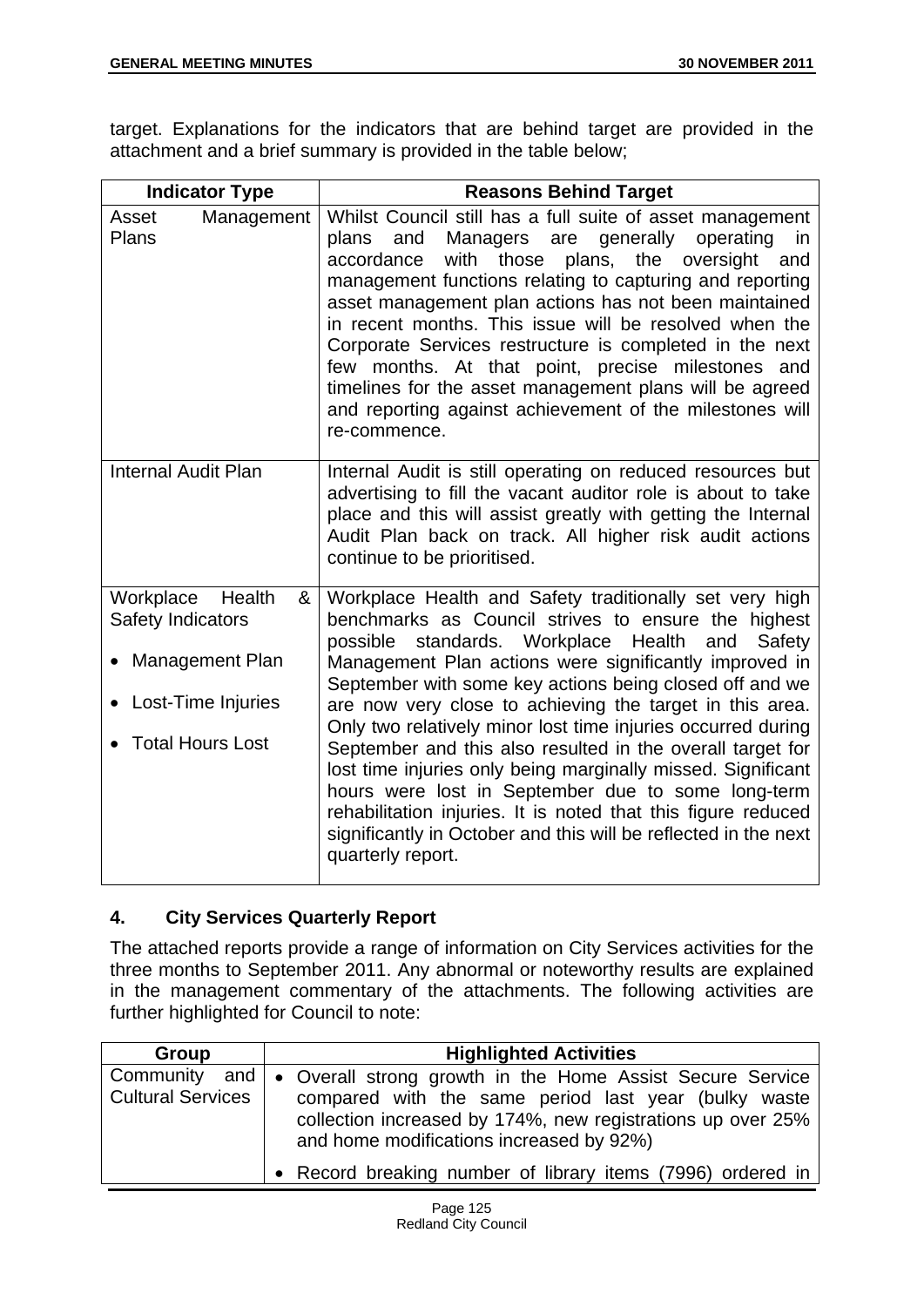target. Explanations for the indicators that are behind target are provided in the attachment and a brief summary is provided in the table below;

| <b>Indicator Type</b>                                                                                             | <b>Reasons Behind Target</b>                                                                                                                                                                                                                                                                                                                                                                                                                                                                                                                                                                                                                                                                                                                                             |
|-------------------------------------------------------------------------------------------------------------------|--------------------------------------------------------------------------------------------------------------------------------------------------------------------------------------------------------------------------------------------------------------------------------------------------------------------------------------------------------------------------------------------------------------------------------------------------------------------------------------------------------------------------------------------------------------------------------------------------------------------------------------------------------------------------------------------------------------------------------------------------------------------------|
| Management<br>Asset<br>Plans                                                                                      | Whilst Council still has a full suite of asset management<br>generally<br>plans<br>Managers<br>operating<br>and<br>are<br>in<br>with those plans, the oversight<br>accordance<br>and<br>management functions relating to capturing and reporting<br>asset management plan actions has not been maintained<br>in recent months. This issue will be resolved when the<br>Corporate Services restructure is completed in the next<br>few months. At that point, precise milestones<br>and<br>timelines for the asset management plans will be agreed<br>and reporting against achievement of the milestones will<br>re-commence.                                                                                                                                            |
| <b>Internal Audit Plan</b>                                                                                        | Internal Audit is still operating on reduced resources but<br>advertising to fill the vacant auditor role is about to take<br>place and this will assist greatly with getting the Internal<br>Audit Plan back on track. All higher risk audit actions<br>continue to be prioritised.                                                                                                                                                                                                                                                                                                                                                                                                                                                                                     |
| Workplace<br>Health<br>&<br>Safety Indicators<br>Management Plan<br>Lost-Time Injuries<br><b>Total Hours Lost</b> | Workplace Health and Safety traditionally set very high<br>benchmarks as Council strives to ensure the highest<br>standards. Workplace Health<br>possible<br>Safety<br>and<br>Management Plan actions were significantly improved in<br>September with some key actions being closed off and we<br>are now very close to achieving the target in this area.<br>Only two relatively minor lost time injuries occurred during<br>September and this also resulted in the overall target for<br>lost time injuries only being marginally missed. Significant<br>hours were lost in September due to some long-term<br>rehabilitation injuries. It is noted that this figure reduced<br>significantly in October and this will be reflected in the next<br>quarterly report. |

# **4. City Services Quarterly Report**

The attached reports provide a range of information on City Services activities for the three months to September 2011. Any abnormal or noteworthy results are explained in the management commentary of the attachments. The following activities are further highlighted for Council to note:

| Group                                     | <b>Highlighted Activities</b>                                                                                                                                                                                                |
|-------------------------------------------|------------------------------------------------------------------------------------------------------------------------------------------------------------------------------------------------------------------------------|
| Community and<br><b>Cultural Services</b> | • Overall strong growth in the Home Assist Secure Service<br>compared with the same period last year (bulky waste<br>collection increased by 174%, new registrations up over 25%<br>and home modifications increased by 92%) |
|                                           | • Record breaking number of library items (7996) ordered in                                                                                                                                                                  |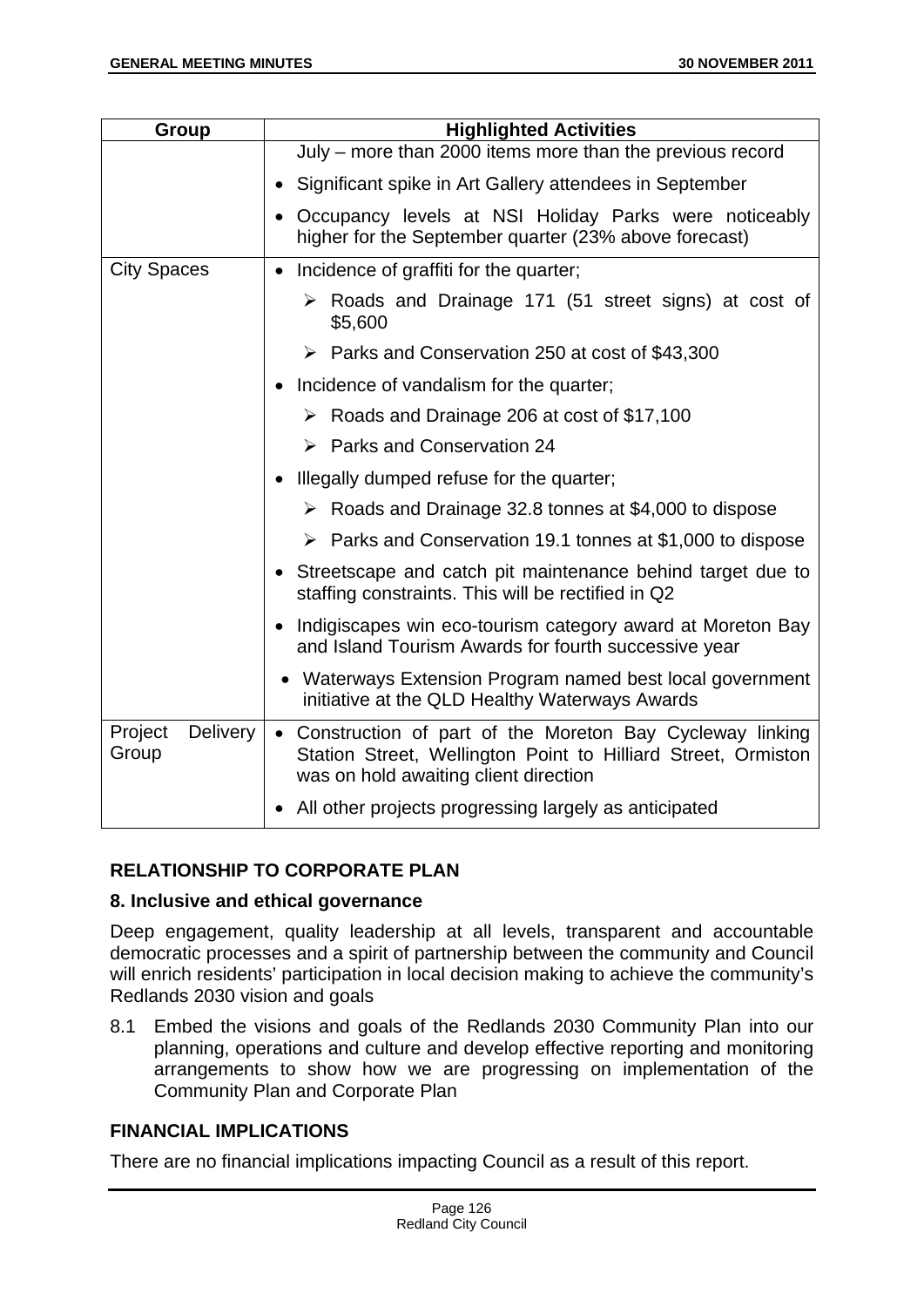| <b>Group</b>                 | <b>Highlighted Activities</b>                                                                                                                                        |
|------------------------------|----------------------------------------------------------------------------------------------------------------------------------------------------------------------|
|                              | July - more than 2000 items more than the previous record                                                                                                            |
|                              | Significant spike in Art Gallery attendees in September<br>$\bullet$                                                                                                 |
|                              | Occupancy levels at NSI Holiday Parks were noticeably<br>$\bullet$<br>higher for the September quarter (23% above forecast)                                          |
| <b>City Spaces</b>           | Incidence of graffiti for the quarter;<br>$\bullet$                                                                                                                  |
|                              | $\triangleright$ Roads and Drainage 171 (51 street signs) at cost of<br>\$5,600                                                                                      |
|                              | $\triangleright$ Parks and Conservation 250 at cost of \$43,300                                                                                                      |
|                              | • Incidence of vandalism for the quarter;                                                                                                                            |
|                              | $\triangleright$ Roads and Drainage 206 at cost of \$17,100                                                                                                          |
|                              | $\triangleright$ Parks and Conservation 24                                                                                                                           |
|                              | • Illegally dumped refuse for the quarter;                                                                                                                           |
|                              | ▶ Roads and Drainage 32.8 tonnes at \$4,000 to dispose                                                                                                               |
|                              | $\triangleright$ Parks and Conservation 19.1 tonnes at \$1,000 to dispose                                                                                            |
|                              | • Streetscape and catch pit maintenance behind target due to<br>staffing constraints. This will be rectified in Q2                                                   |
|                              | Indigiscapes win eco-tourism category award at Moreton Bay<br>$\bullet$<br>and Island Tourism Awards for fourth successive year                                      |
|                              | • Waterways Extension Program named best local government<br>initiative at the QLD Healthy Waterways Awards                                                          |
| Delivery<br>Project<br>Group | • Construction of part of the Moreton Bay Cycleway linking<br>Station Street, Wellington Point to Hilliard Street, Ormiston<br>was on hold awaiting client direction |
|                              | All other projects progressing largely as anticipated<br>$\bullet$                                                                                                   |

# **RELATIONSHIP TO CORPORATE PLAN**

## **8. Inclusive and ethical governance**

Deep engagement, quality leadership at all levels, transparent and accountable democratic processes and a spirit of partnership between the community and Council will enrich residents' participation in local decision making to achieve the community's Redlands 2030 vision and goals

8.1 Embed the visions and goals of the Redlands 2030 Community Plan into our planning, operations and culture and develop effective reporting and monitoring arrangements to show how we are progressing on implementation of the Community Plan and Corporate Plan

# **FINANCIAL IMPLICATIONS**

There are no financial implications impacting Council as a result of this report.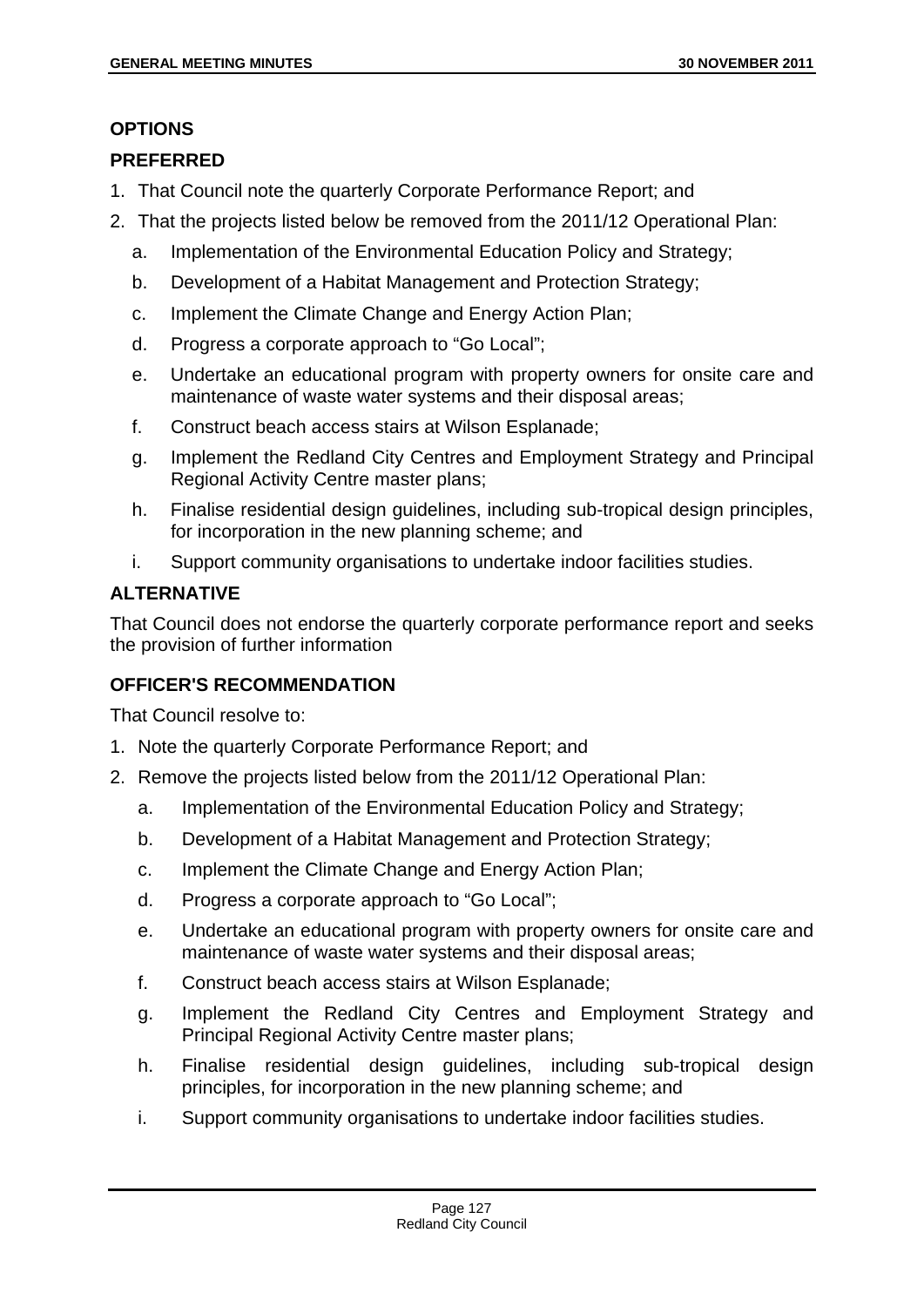## **OPTIONS**

## **PREFERRED**

- 1. That Council note the quarterly Corporate Performance Report; and
- 2. That the projects listed below be removed from the 2011/12 Operational Plan:
	- a. Implementation of the Environmental Education Policy and Strategy;
	- b. Development of a Habitat Management and Protection Strategy;
	- c. Implement the Climate Change and Energy Action Plan;
	- d. Progress a corporate approach to "Go Local";
	- e. Undertake an educational program with property owners for onsite care and maintenance of waste water systems and their disposal areas;
	- f. Construct beach access stairs at Wilson Esplanade;
	- g. Implement the Redland City Centres and Employment Strategy and Principal Regional Activity Centre master plans;
	- h. Finalise residential design guidelines, including sub-tropical design principles, for incorporation in the new planning scheme; and
	- i. Support community organisations to undertake indoor facilities studies.

## **ALTERNATIVE**

That Council does not endorse the quarterly corporate performance report and seeks the provision of further information

# **OFFICER'S RECOMMENDATION**

That Council resolve to:

- 1. Note the quarterly Corporate Performance Report; and
- 2. Remove the projects listed below from the 2011/12 Operational Plan:
	- a. Implementation of the Environmental Education Policy and Strategy;
	- b. Development of a Habitat Management and Protection Strategy;
	- c. Implement the Climate Change and Energy Action Plan;
	- d. Progress a corporate approach to "Go Local";
	- e. Undertake an educational program with property owners for onsite care and maintenance of waste water systems and their disposal areas;
	- f. Construct beach access stairs at Wilson Esplanade;
	- g. Implement the Redland City Centres and Employment Strategy and Principal Regional Activity Centre master plans;
	- h. Finalise residential design guidelines, including sub-tropical design principles, for incorporation in the new planning scheme; and
	- i. Support community organisations to undertake indoor facilities studies.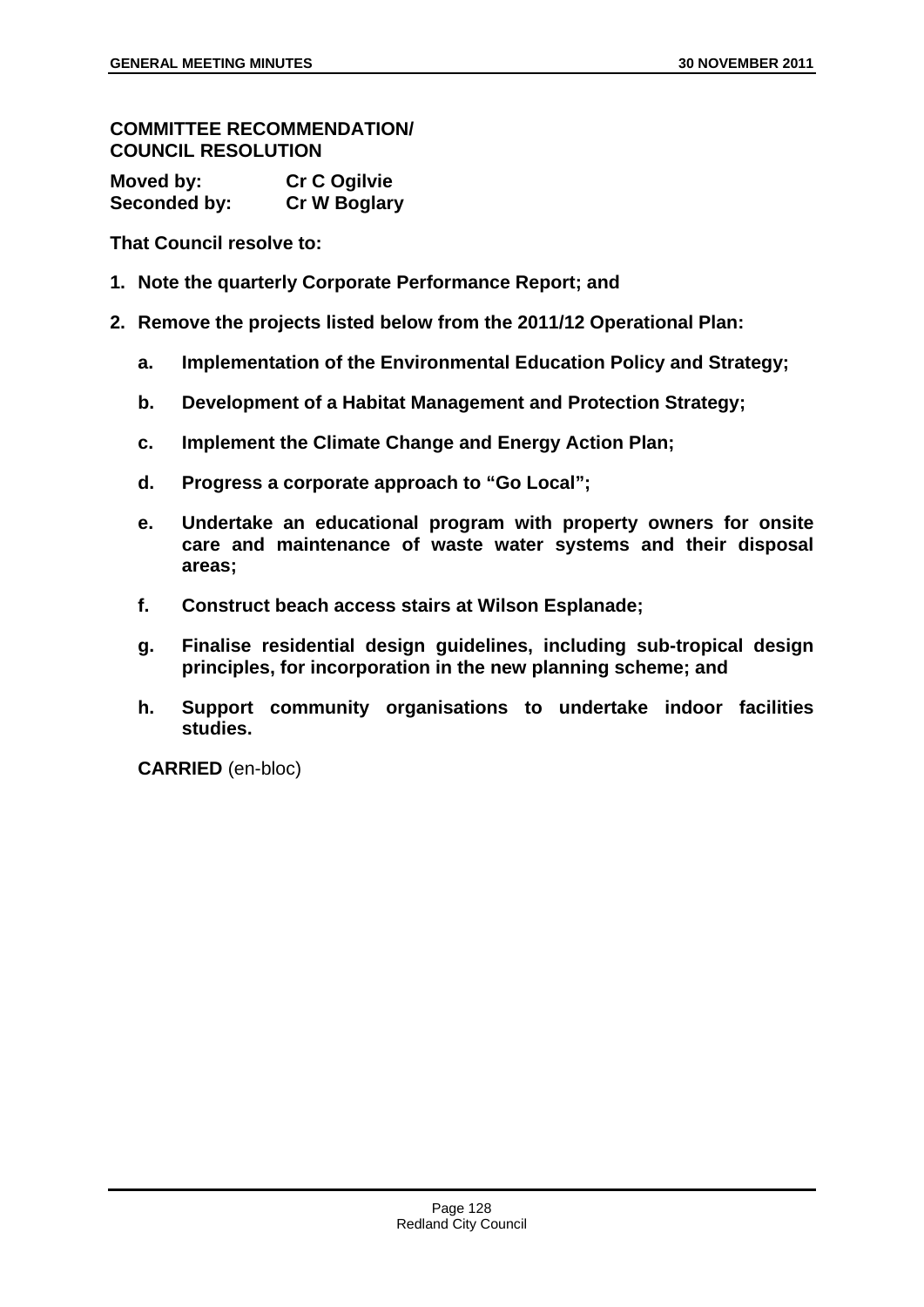#### **COMMITTEE RECOMMENDATION/ COUNCIL RESOLUTION**

| Moved by:    | <b>Cr C Ogilvie</b> |
|--------------|---------------------|
| Seconded by: | <b>Cr W Boglary</b> |

**That Council resolve to:** 

- **1. Note the quarterly Corporate Performance Report; and**
- **2. Remove the projects listed below from the 2011/12 Operational Plan:** 
	- **a. Implementation of the Environmental Education Policy and Strategy;**
	- **b. Development of a Habitat Management and Protection Strategy;**
	- **c. Implement the Climate Change and Energy Action Plan;**
	- **d. Progress a corporate approach to "Go Local";**
	- **e. Undertake an educational program with property owners for onsite care and maintenance of waste water systems and their disposal areas;**
	- **f. Construct beach access stairs at Wilson Esplanade;**
	- **g. Finalise residential design guidelines, including sub-tropical design principles, for incorporation in the new planning scheme; and**
	- **h. Support community organisations to undertake indoor facilities studies.**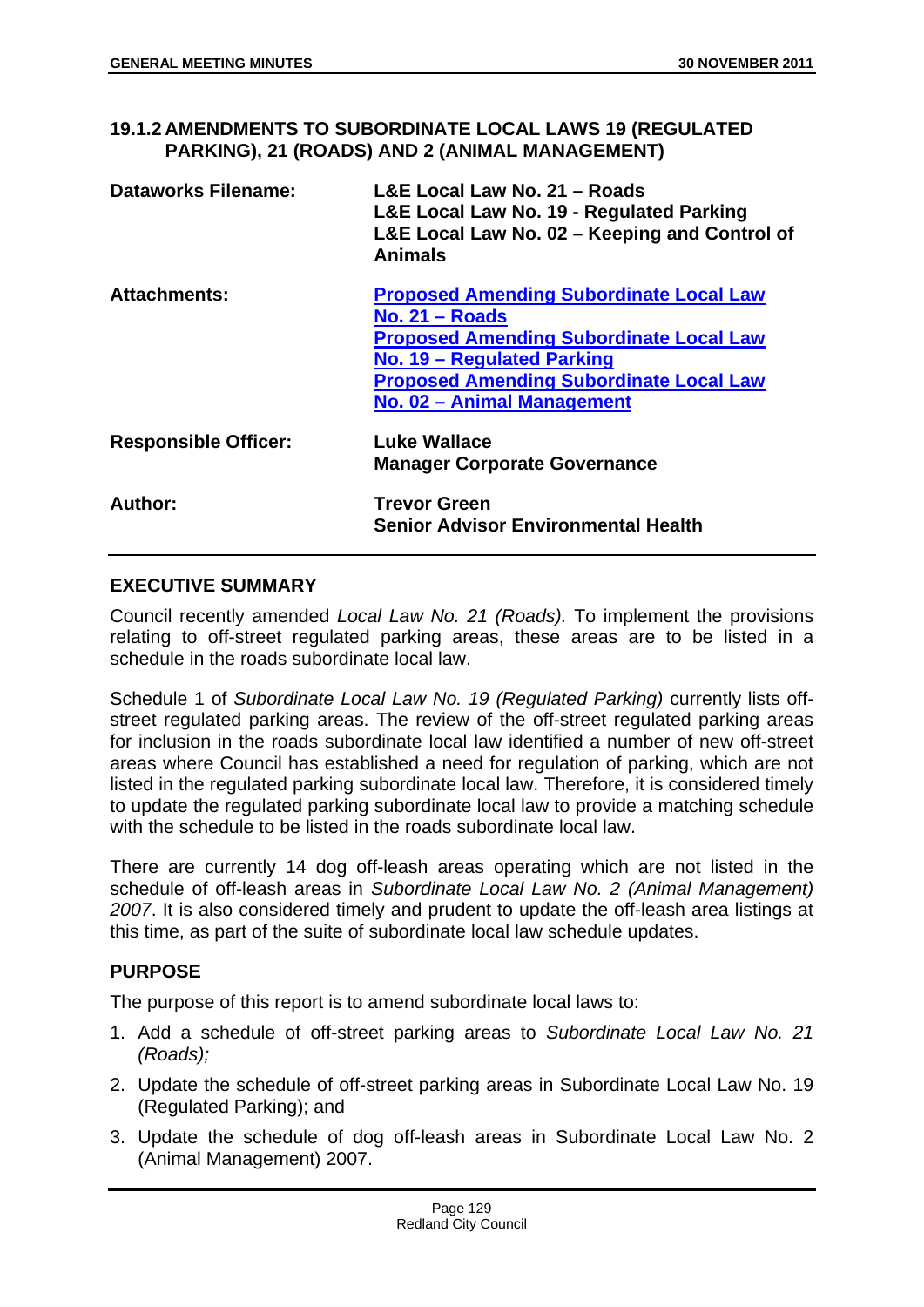**19.1.2 AMENDMENTS TO SUBORDINATE LOCAL LAWS 19 (REGULATED PARKING), 21 (ROADS) AND 2 (ANIMAL MANAGEMENT)** 

| <b>Dataworks Filename:</b>  | L&E Local Law No. 21 - Roads<br>L&E Local Law No. 19 - Regulated Parking<br>L&E Local Law No. 02 - Keeping and Control of<br><b>Animals</b>                                                                                        |
|-----------------------------|------------------------------------------------------------------------------------------------------------------------------------------------------------------------------------------------------------------------------------|
| <b>Attachments:</b>         | <b>Proposed Amending Subordinate Local Law</b><br>No. $21 -$ Roads<br><b>Proposed Amending Subordinate Local Law</b><br>No. 19 - Regulated Parking<br><b>Proposed Amending Subordinate Local Law</b><br>No. 02 - Animal Management |
| <b>Responsible Officer:</b> | Luke Wallace<br><b>Manager Corporate Governance</b>                                                                                                                                                                                |
| Author:                     | <b>Trevor Green</b><br><b>Senior Advisor Environmental Health</b>                                                                                                                                                                  |

## **EXECUTIVE SUMMARY**

Council recently amended *Local Law No. 21 (Roads).* To implement the provisions relating to off-street regulated parking areas, these areas are to be listed in a schedule in the roads subordinate local law.

Schedule 1 of *Subordinate Local Law No. 19 (Regulated Parking)* currently lists offstreet regulated parking areas. The review of the off-street regulated parking areas for inclusion in the roads subordinate local law identified a number of new off-street areas where Council has established a need for regulation of parking, which are not listed in the regulated parking subordinate local law. Therefore, it is considered timely to update the regulated parking subordinate local law to provide a matching schedule with the schedule to be listed in the roads subordinate local law

There are currently 14 dog off-leash areas operating which are not listed in the schedule of off-leash areas in *Subordinate Local Law No. 2 (Animal Management) 2007*. It is also considered timely and prudent to update the off-leash area listings at this time, as part of the suite of subordinate local law schedule updates.

## **PURPOSE**

The purpose of this report is to amend subordinate local laws to:

- 1. Add a schedule of off-street parking areas to *Subordinate Local Law No. 21 (Roads);*
- 2. Update the schedule of off-street parking areas in Subordinate Local Law No. 19 (Regulated Parking); and
- 3. Update the schedule of dog off-leash areas in Subordinate Local Law No. 2 (Animal Management) 2007.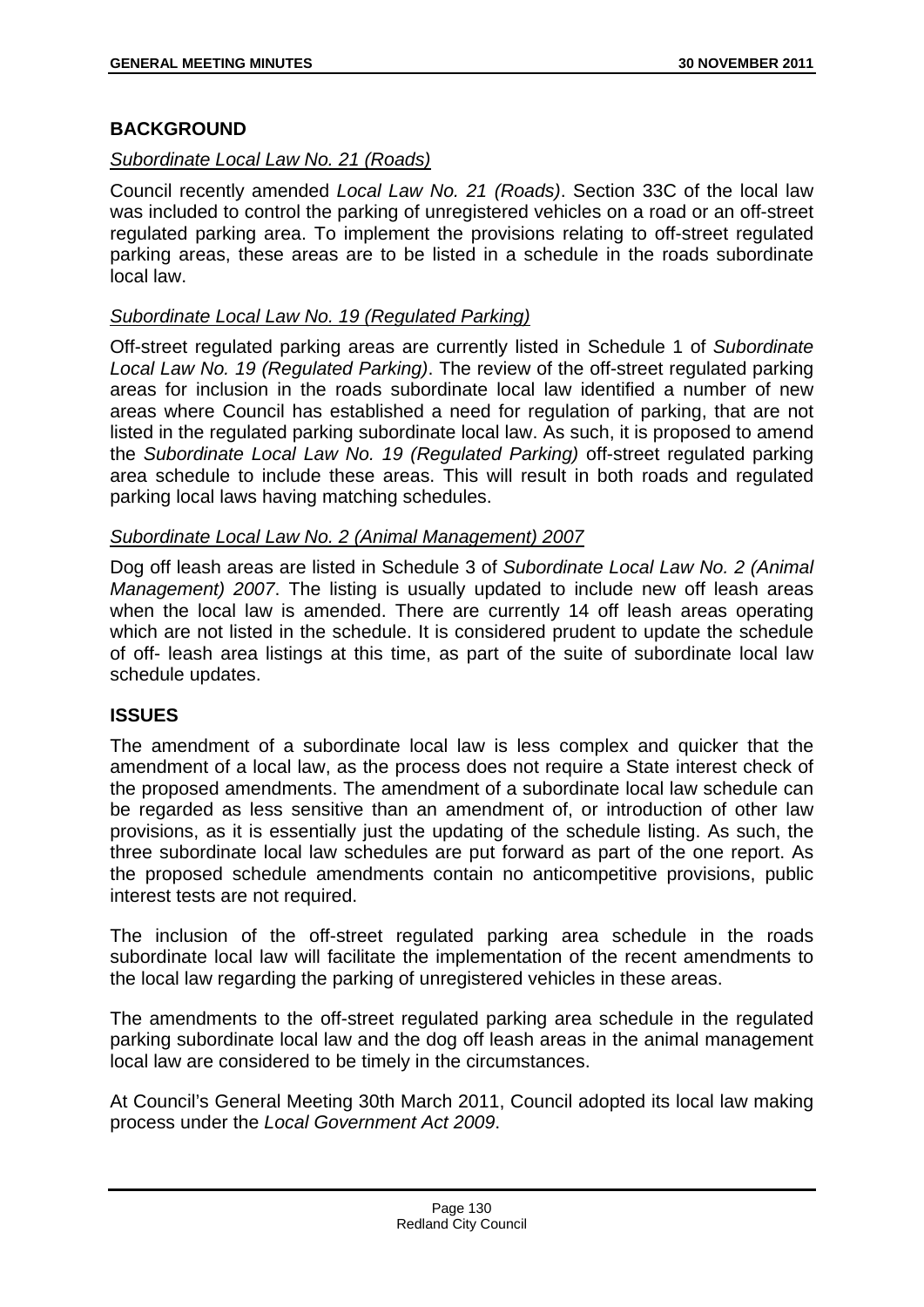## **BACKGROUND**

## *Subordinate Local Law No. 21 (Roads)*

Council recently amended *Local Law No. 21 (Roads)*. Section 33C of the local law was included to control the parking of unregistered vehicles on a road or an off-street regulated parking area. To implement the provisions relating to off-street regulated parking areas, these areas are to be listed in a schedule in the roads subordinate local law.

## *Subordinate Local Law No. 19 (Regulated Parking)*

Off-street regulated parking areas are currently listed in Schedule 1 of *Subordinate Local Law No. 19 (Regulated Parking)*. The review of the off-street regulated parking areas for inclusion in the roads subordinate local law identified a number of new areas where Council has established a need for regulation of parking, that are not listed in the regulated parking subordinate local law. As such, it is proposed to amend the *Subordinate Local Law No. 19 (Regulated Parking)* off-street regulated parking area schedule to include these areas. This will result in both roads and regulated parking local laws having matching schedules.

## *Subordinate Local Law No. 2 (Animal Management) 2007*

Dog off leash areas are listed in Schedule 3 of *Subordinate Local Law No. 2 (Animal Management) 2007*. The listing is usually updated to include new off leash areas when the local law is amended. There are currently 14 off leash areas operating which are not listed in the schedule. It is considered prudent to update the schedule of off- leash area listings at this time, as part of the suite of subordinate local law schedule updates.

## **ISSUES**

The amendment of a subordinate local law is less complex and quicker that the amendment of a local law, as the process does not require a State interest check of the proposed amendments. The amendment of a subordinate local law schedule can be regarded as less sensitive than an amendment of, or introduction of other law provisions, as it is essentially just the updating of the schedule listing. As such, the three subordinate local law schedules are put forward as part of the one report. As the proposed schedule amendments contain no anticompetitive provisions, public interest tests are not required.

The inclusion of the off-street regulated parking area schedule in the roads subordinate local law will facilitate the implementation of the recent amendments to the local law regarding the parking of unregistered vehicles in these areas.

The amendments to the off-street regulated parking area schedule in the regulated parking subordinate local law and the dog off leash areas in the animal management local law are considered to be timely in the circumstances.

At Council's General Meeting 30th March 2011, Council adopted its local law making process under the *Local Government Act 2009*.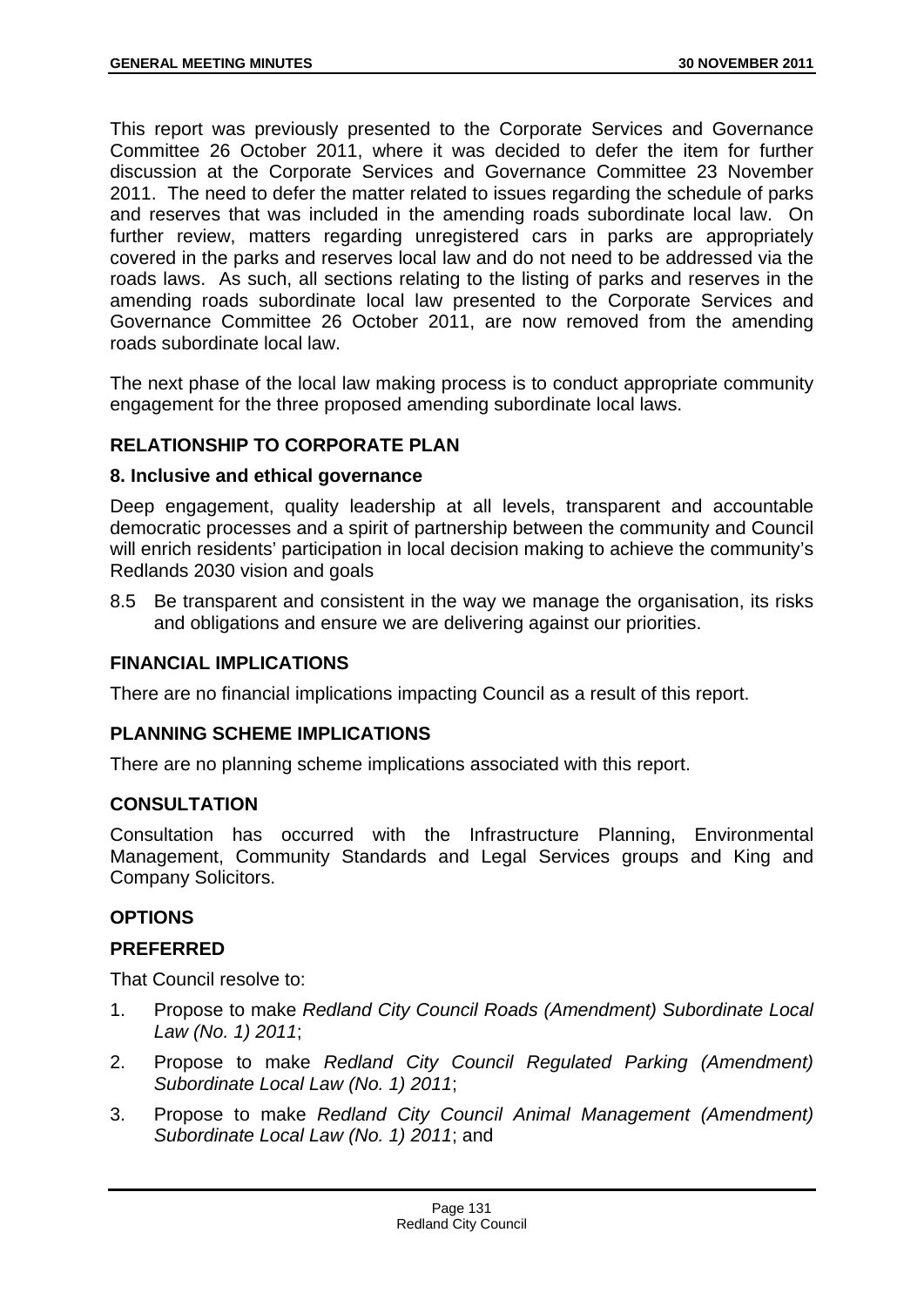This report was previously presented to the Corporate Services and Governance Committee 26 October 2011, where it was decided to defer the item for further discussion at the Corporate Services and Governance Committee 23 November 2011. The need to defer the matter related to issues regarding the schedule of parks and reserves that was included in the amending roads subordinate local law. On further review, matters regarding unregistered cars in parks are appropriately covered in the parks and reserves local law and do not need to be addressed via the roads laws. As such, all sections relating to the listing of parks and reserves in the amending roads subordinate local law presented to the Corporate Services and Governance Committee 26 October 2011, are now removed from the amending roads subordinate local law.

The next phase of the local law making process is to conduct appropriate community engagement for the three proposed amending subordinate local laws.

# **RELATIONSHIP TO CORPORATE PLAN**

## **8. Inclusive and ethical governance**

Deep engagement, quality leadership at all levels, transparent and accountable democratic processes and a spirit of partnership between the community and Council will enrich residents' participation in local decision making to achieve the community's Redlands 2030 vision and goals

8.5 Be transparent and consistent in the way we manage the organisation, its risks and obligations and ensure we are delivering against our priorities.

# **FINANCIAL IMPLICATIONS**

There are no financial implications impacting Council as a result of this report.

# **PLANNING SCHEME IMPLICATIONS**

There are no planning scheme implications associated with this report.

## **CONSULTATION**

Consultation has occurred with the Infrastructure Planning, Environmental Management, Community Standards and Legal Services groups and King and Company Solicitors.

# **OPTIONS**

## **PREFERRED**

That Council resolve to:

- 1. Propose to make *Redland City Council Roads (Amendment) Subordinate Local Law (No. 1) 2011*;
- 2. Propose to make *Redland City Council Regulated Parking (Amendment) Subordinate Local Law (No. 1) 2011*;
- 3. Propose to make *Redland City Council Animal Management (Amendment) Subordinate Local Law (No. 1) 2011*; and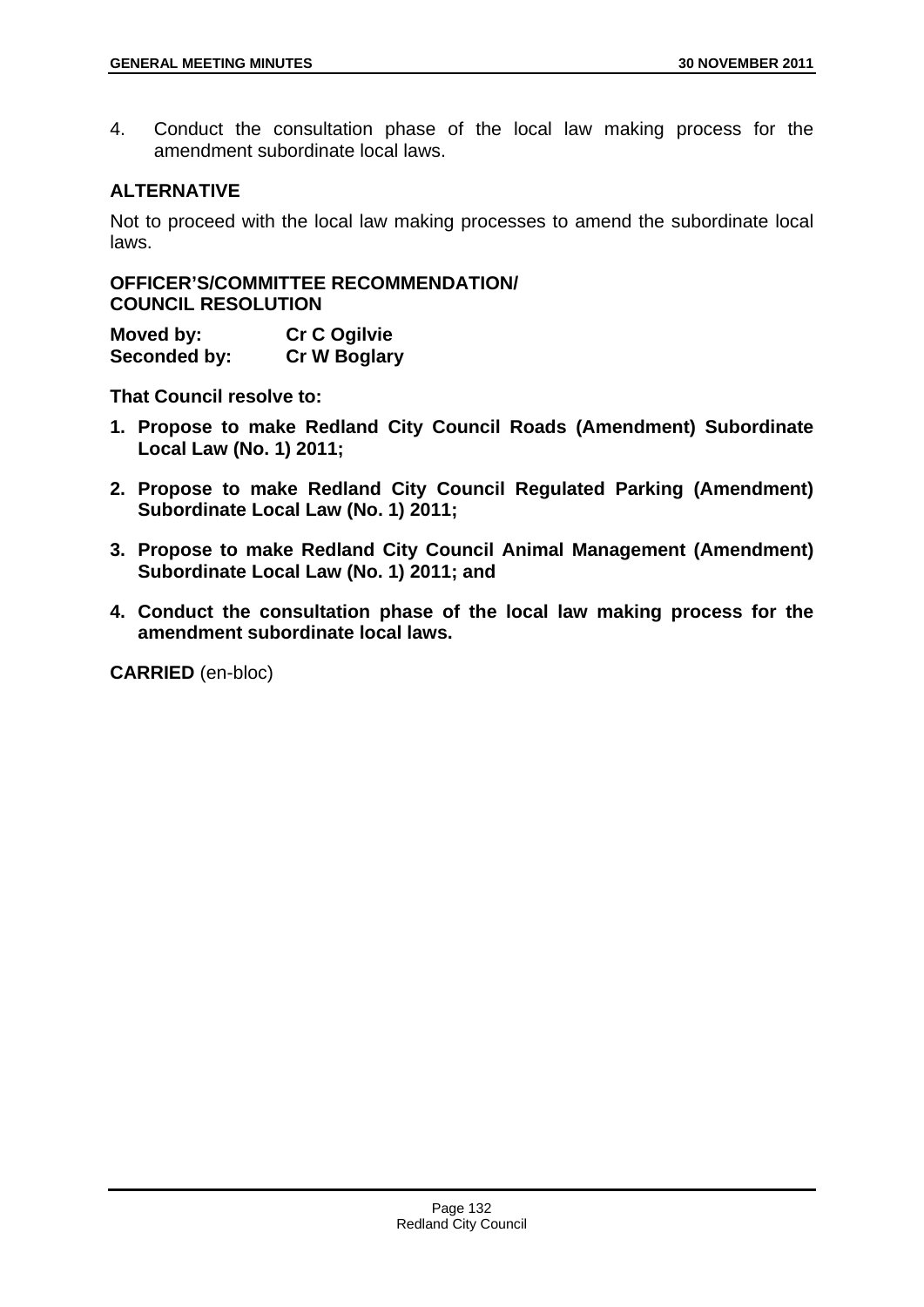4. Conduct the consultation phase of the local law making process for the amendment subordinate local laws.

## **ALTERNATIVE**

Not to proceed with the local law making processes to amend the subordinate local laws.

**OFFICER'S/COMMITTEE RECOMMENDATION/ COUNCIL RESOLUTION** 

**Moved by: Cr C Ogilvie Seconded by: Cr W Boglary** 

**That Council resolve to:** 

- **1. Propose to make Redland City Council Roads (Amendment) Subordinate Local Law (No. 1) 2011;**
- **2. Propose to make Redland City Council Regulated Parking (Amendment) Subordinate Local Law (No. 1) 2011;**
- **3. Propose to make Redland City Council Animal Management (Amendment) Subordinate Local Law (No. 1) 2011; and**
- **4. Conduct the consultation phase of the local law making process for the amendment subordinate local laws.**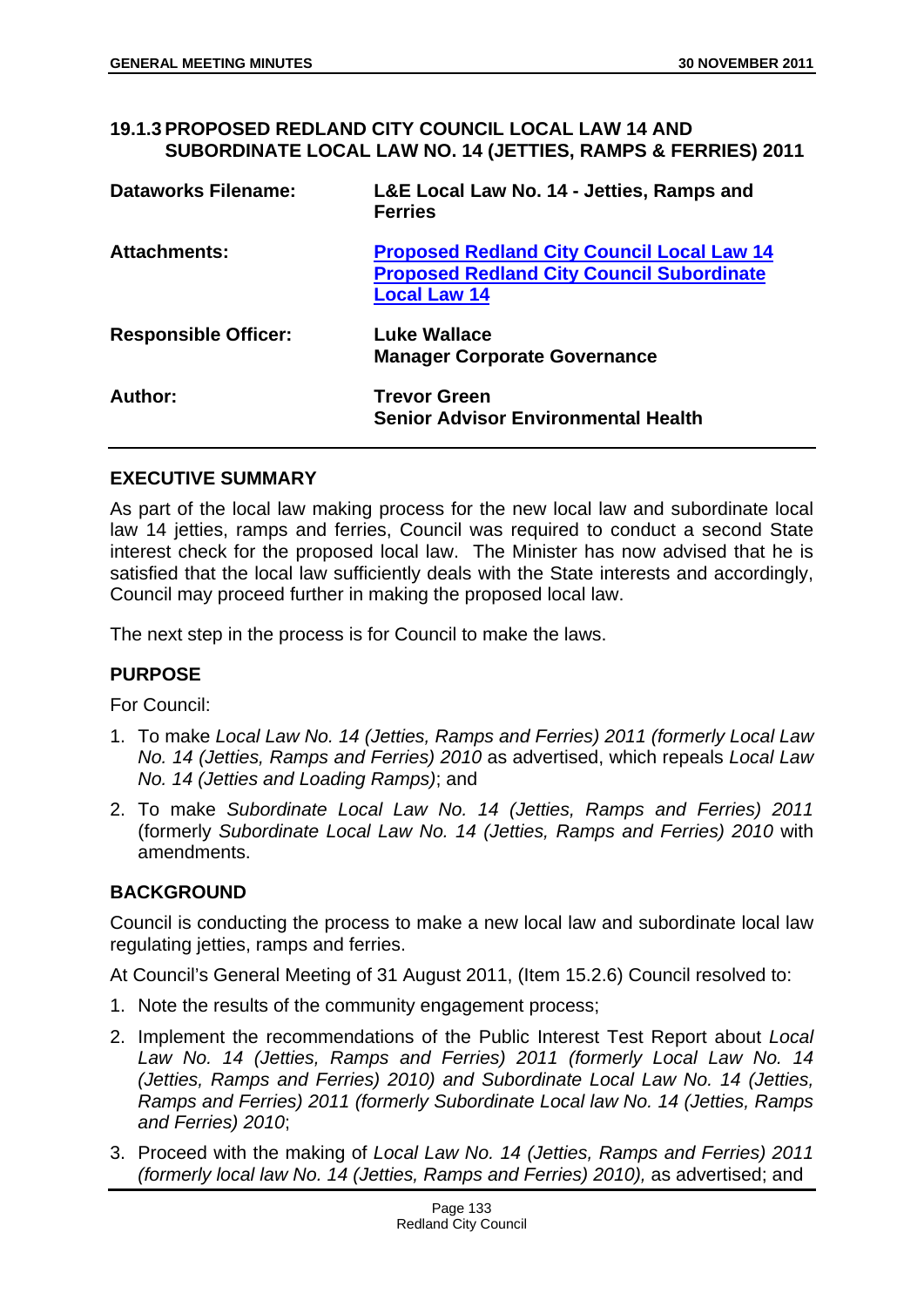#### **19.1.3 PROPOSED REDLAND CITY COUNCIL LOCAL LAW 14 AND SUBORDINATE LOCAL LAW NO. 14 (JETTIES, RAMPS & FERRIES) 2011**

| <b>Dataworks Filename:</b>  | L&E Local Law No. 14 - Jetties, Ramps and<br><b>Ferries</b>                                                                  |
|-----------------------------|------------------------------------------------------------------------------------------------------------------------------|
| <b>Attachments:</b>         | <b>Proposed Redland City Council Local Law 14</b><br><b>Proposed Redland City Council Subordinate</b><br><b>Local Law 14</b> |
| <b>Responsible Officer:</b> | <b>Luke Wallace</b><br><b>Manager Corporate Governance</b>                                                                   |
| Author:                     | <b>Trevor Green</b><br><b>Senior Advisor Environmental Health</b>                                                            |

## **EXECUTIVE SUMMARY**

As part of the local law making process for the new local law and subordinate local law 14 jetties, ramps and ferries, Council was required to conduct a second State interest check for the proposed local law. The Minister has now advised that he is satisfied that the local law sufficiently deals with the State interests and accordingly, Council may proceed further in making the proposed local law.

The next step in the process is for Council to make the laws.

## **PURPOSE**

For Council:

- 1. To make *Local Law No. 14 (Jetties, Ramps and Ferries) 2011 (formerly Local Law No. 14 (Jetties, Ramps and Ferries) 2010* as advertised, which repeals *Local Law No. 14 (Jetties and Loading Ramps)*; and
- 2. To make *Subordinate Local Law No. 14 (Jetties, Ramps and Ferries) 2011* (formerly *Subordinate Local Law No. 14 (Jetties, Ramps and Ferries) 2010* with amendments.

## **BACKGROUND**

Council is conducting the process to make a new local law and subordinate local law regulating jetties, ramps and ferries.

At Council's General Meeting of 31 August 2011, (Item 15.2.6) Council resolved to:

- 1. Note the results of the community engagement process;
- 2. Implement the recommendations of the Public Interest Test Report about *Local Law No. 14 (Jetties, Ramps and Ferries) 2011 (formerly Local Law No. 14 (Jetties, Ramps and Ferries) 2010) and Subordinate Local Law No. 14 (Jetties, Ramps and Ferries) 2011 (formerly Subordinate Local law No. 14 (Jetties, Ramps and Ferries) 2010*;
- 3. Proceed with the making of *Local Law No. 14 (Jetties, Ramps and Ferries) 2011 (formerly local law No. 14 (Jetties, Ramps and Ferries) 2010),* as advertised; and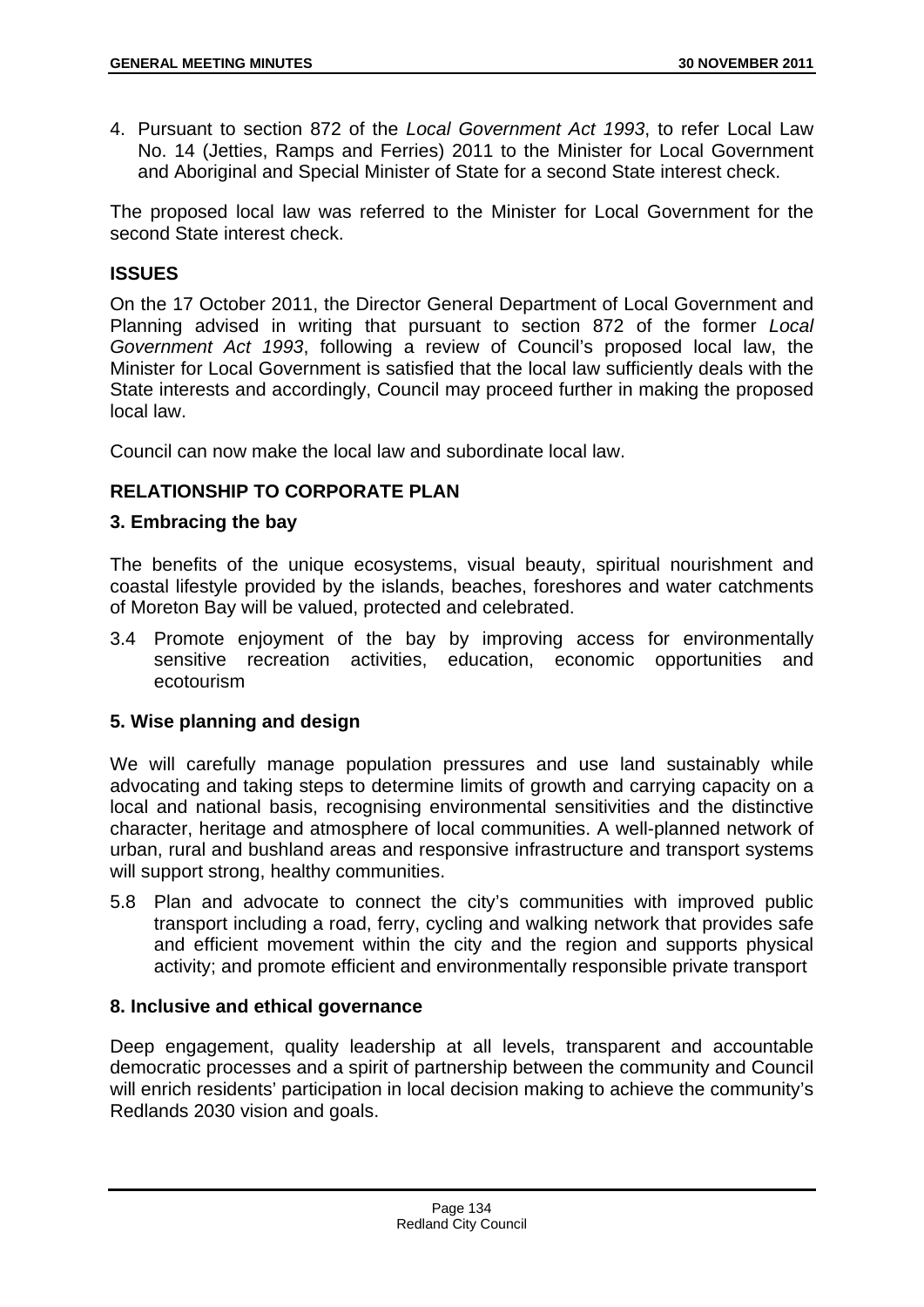4. Pursuant to section 872 of the *Local Government Act 1993*, to refer Local Law No. 14 (Jetties, Ramps and Ferries) 2011 to the Minister for Local Government and Aboriginal and Special Minister of State for a second State interest check.

The proposed local law was referred to the Minister for Local Government for the second State interest check.

## **ISSUES**

On the 17 October 2011, the Director General Department of Local Government and Planning advised in writing that pursuant to section 872 of the former *Local Government Act 1993*, following a review of Council's proposed local law, the Minister for Local Government is satisfied that the local law sufficiently deals with the State interests and accordingly, Council may proceed further in making the proposed local law.

Council can now make the local law and subordinate local law.

## **RELATIONSHIP TO CORPORATE PLAN**

## **3. Embracing the bay**

The benefits of the unique ecosystems, visual beauty, spiritual nourishment and coastal lifestyle provided by the islands, beaches, foreshores and water catchments of Moreton Bay will be valued, protected and celebrated.

3.4 Promote enjoyment of the bay by improving access for environmentally sensitive recreation activities, education, economic opportunities and ecotourism

## **5. Wise planning and design**

We will carefully manage population pressures and use land sustainably while advocating and taking steps to determine limits of growth and carrying capacity on a local and national basis, recognising environmental sensitivities and the distinctive character, heritage and atmosphere of local communities. A well-planned network of urban, rural and bushland areas and responsive infrastructure and transport systems will support strong, healthy communities.

5.8 Plan and advocate to connect the city's communities with improved public transport including a road, ferry, cycling and walking network that provides safe and efficient movement within the city and the region and supports physical activity; and promote efficient and environmentally responsible private transport

## **8. Inclusive and ethical governance**

Deep engagement, quality leadership at all levels, transparent and accountable democratic processes and a spirit of partnership between the community and Council will enrich residents' participation in local decision making to achieve the community's Redlands 2030 vision and goals.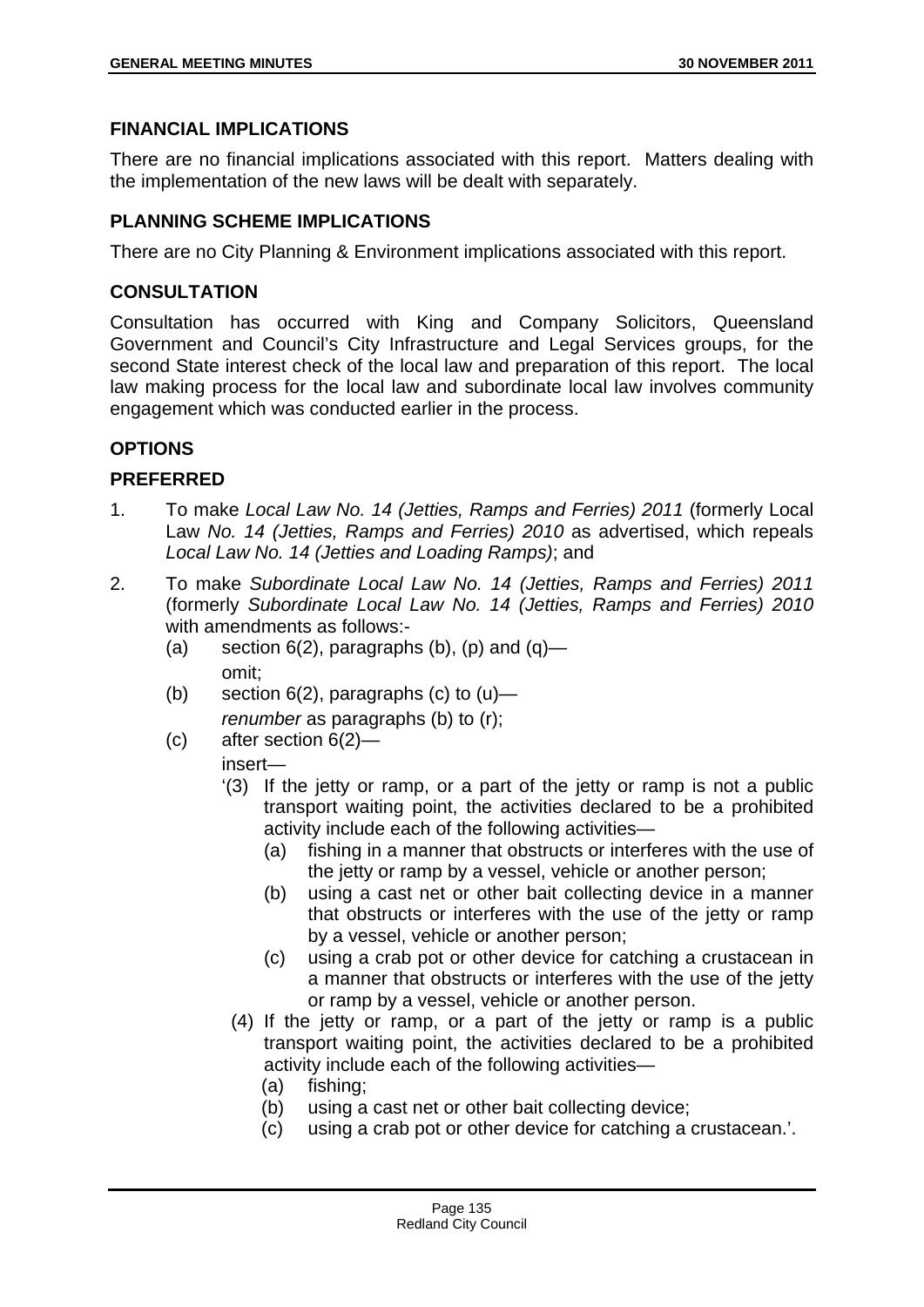## **FINANCIAL IMPLICATIONS**

There are no financial implications associated with this report. Matters dealing with the implementation of the new laws will be dealt with separately.

# **PLANNING SCHEME IMPLICATIONS**

There are no City Planning & Environment implications associated with this report.

# **CONSULTATION**

Consultation has occurred with King and Company Solicitors, Queensland Government and Council's City Infrastructure and Legal Services groups, for the second State interest check of the local law and preparation of this report. The local law making process for the local law and subordinate local law involves community engagement which was conducted earlier in the process.

## **OPTIONS**

## **PREFERRED**

- 1. To make *Local Law No. 14 (Jetties, Ramps and Ferries) 2011* (formerly Local Law *No. 14 (Jetties, Ramps and Ferries) 2010* as advertised, which repeals *Local Law No. 14 (Jetties and Loading Ramps)*; and
- 2. To make *Subordinate Local Law No. 14 (Jetties, Ramps and Ferries) 2011* (formerly *Subordinate Local Law No. 14 (Jetties, Ramps and Ferries) 2010* with amendments as follows:-
	- (a) section  $6(2)$ , paragraphs (b), (p) and (q) omit;
	- (b) section  $6(2)$ , paragraphs (c) to  $(u)$  *renumber* as paragraphs (b) to (r);
	- (c) after section 6(2)—

# insert—

- '(3) If the jetty or ramp, or a part of the jetty or ramp is not a public transport waiting point, the activities declared to be a prohibited activity include each of the following activities—
	- (a) fishing in a manner that obstructs or interferes with the use of the jetty or ramp by a vessel, vehicle or another person;
	- (b) using a cast net or other bait collecting device in a manner that obstructs or interferes with the use of the jetty or ramp by a vessel, vehicle or another person;
	- (c) using a crab pot or other device for catching a crustacean in a manner that obstructs or interferes with the use of the jetty or ramp by a vessel, vehicle or another person.
	- (4) If the jetty or ramp, or a part of the jetty or ramp is a public transport waiting point, the activities declared to be a prohibited activity include each of the following activities—
		- (a) fishing;
		- (b) using a cast net or other bait collecting device;
		- (c) using a crab pot or other device for catching a crustacean.'.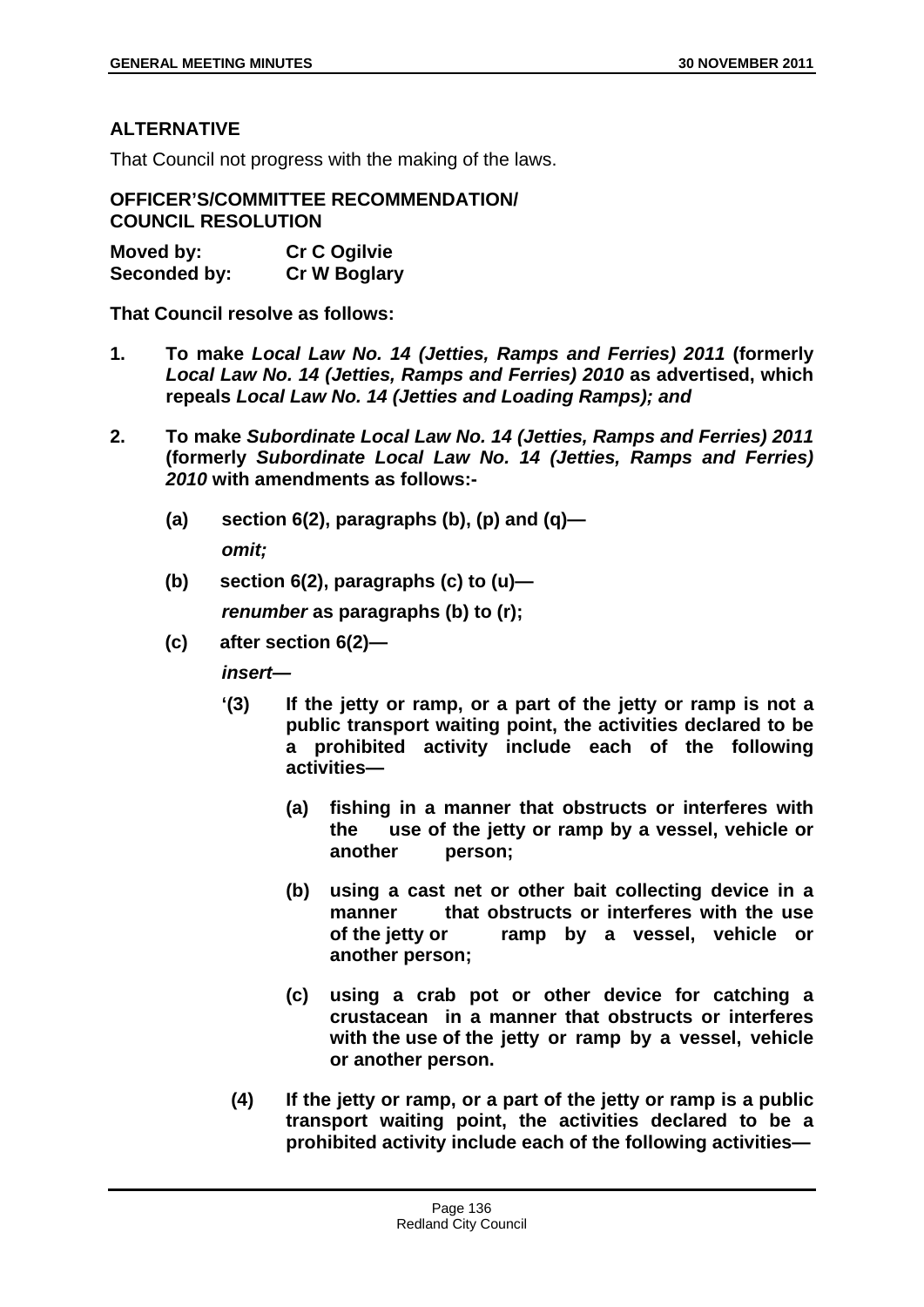## **ALTERNATIVE**

That Council not progress with the making of the laws.

**OFFICER'S/COMMITTEE RECOMMENDATION/ COUNCIL RESOLUTION** 

| Moved by:    | <b>Cr C Ogilvie</b> |
|--------------|---------------------|
| Seconded by: | <b>Cr W Boglary</b> |

**That Council resolve as follows:** 

- **1. To make** *Local Law No. 14 (Jetties, Ramps and Ferries) 2011* **(formerly**  *Local Law No. 14 (Jetties, Ramps and Ferries) 2010* **as advertised, which repeals** *Local Law No. 14 (Jetties and Loading Ramps); and*
- **2. To make** *Subordinate Local Law No. 14 (Jetties, Ramps and Ferries) 2011* **(formerly** *Subordinate Local Law No. 14 (Jetties, Ramps and Ferries) 2010* **with amendments as follows:-** 
	- **(a) section 6(2), paragraphs (b), (p) and (q)**  *omit;*
	- **(b) section 6(2), paragraphs (c) to (u)—**

*renumber* **as paragraphs (b) to (r);**

**(c) after section 6(2)—** 

*insert—* 

- **'(3) If the jetty or ramp, or a part of the jetty or ramp is not a public transport waiting point, the activities declared to be a prohibited activity include each of the following activities—** 
	- **(a) fishing in a manner that obstructs or interferes with the use of the jetty or ramp by a vessel, vehicle or another person;**
	- **(b) using a cast net or other bait collecting device in a manner that obstructs or interferes with the use of the jetty or ramp by a vessel, vehicle or another person;**
	- **(c) using a crab pot or other device for catching a crustacean in a manner that obstructs or interferes with the use of the jetty or ramp by a vessel, vehicle or another person.**
- **(4) If the jetty or ramp, or a part of the jetty or ramp is a public transport waiting point, the activities declared to be a prohibited activity include each of the following activities—**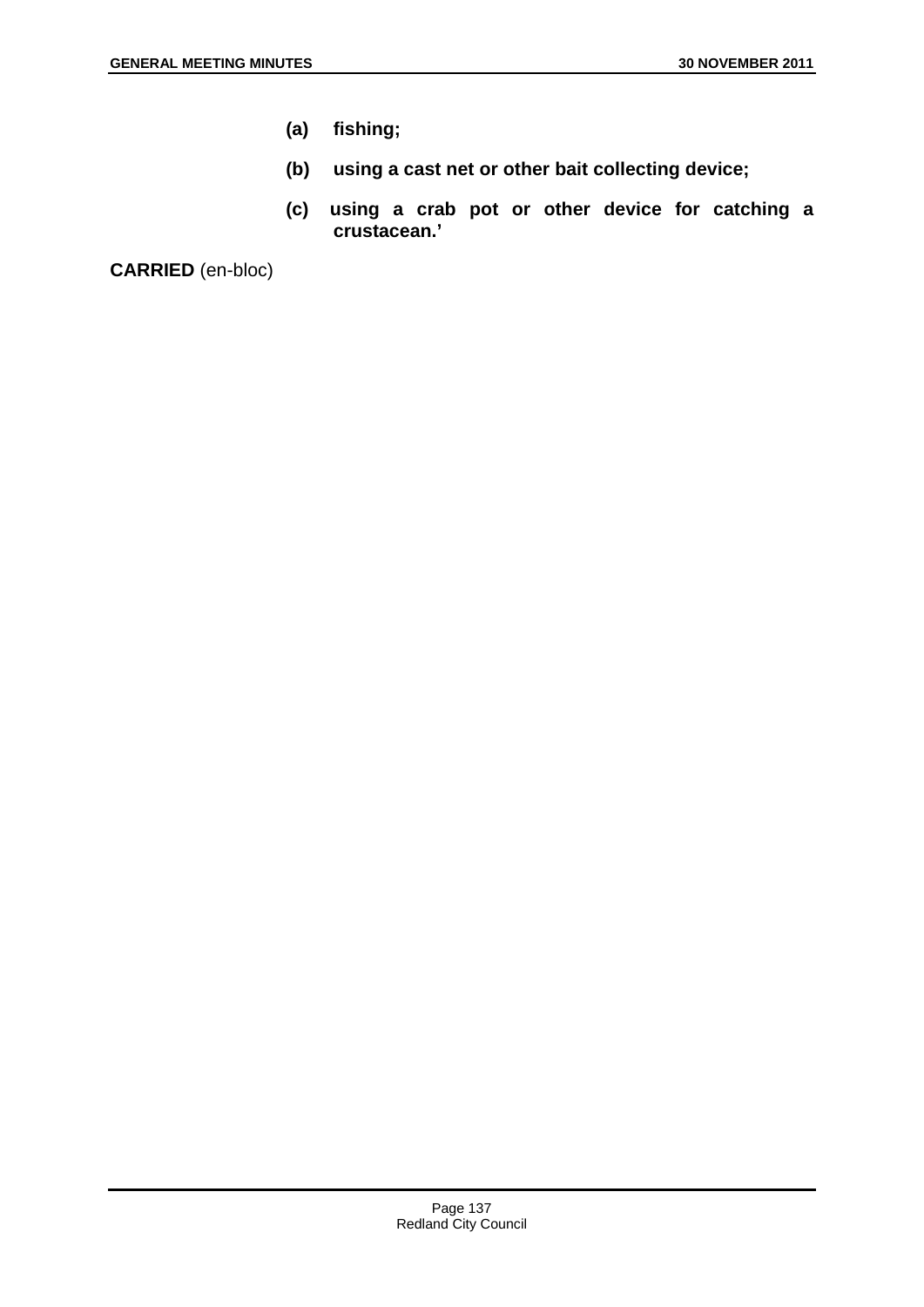- **(a) fishing;**
- **(b) using a cast net or other bait collecting device;**
- **(c) using a crab pot or other device for catching a crustacean.'**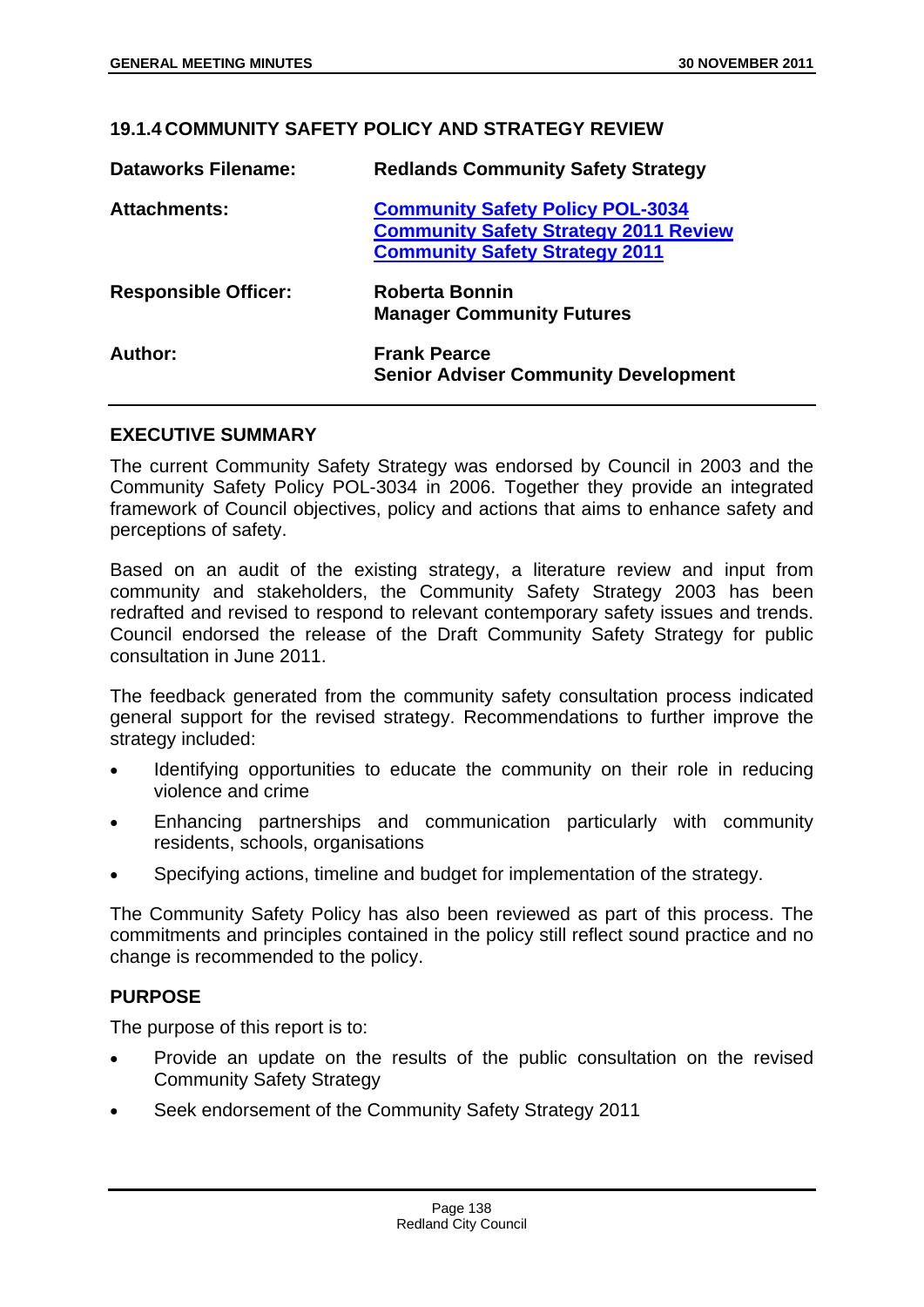## **19.1.4 COMMUNITY SAFETY POLICY AND STRATEGY REVIEW**

| <b>Dataworks Filename:</b>  | <b>Redlands Community Safety Strategy</b>                                                                                        |
|-----------------------------|----------------------------------------------------------------------------------------------------------------------------------|
| <b>Attachments:</b>         | <b>Community Safety Policy POL-3034</b><br><b>Community Safety Strategy 2011 Review</b><br><b>Community Safety Strategy 2011</b> |
| <b>Responsible Officer:</b> | Roberta Bonnin<br><b>Manager Community Futures</b>                                                                               |
| Author:                     | <b>Frank Pearce</b><br><b>Senior Adviser Community Development</b>                                                               |

### **EXECUTIVE SUMMARY**

The current Community Safety Strategy was endorsed by Council in 2003 and the Community Safety Policy POL-3034 in 2006. Together they provide an integrated framework of Council objectives, policy and actions that aims to enhance safety and perceptions of safety.

Based on an audit of the existing strategy, a literature review and input from community and stakeholders, the Community Safety Strategy 2003 has been redrafted and revised to respond to relevant contemporary safety issues and trends. Council endorsed the release of the Draft Community Safety Strategy for public consultation in June 2011.

The feedback generated from the community safety consultation process indicated general support for the revised strategy. Recommendations to further improve the strategy included:

- Identifying opportunities to educate the community on their role in reducing violence and crime
- Enhancing partnerships and communication particularly with community residents, schools, organisations
- Specifying actions, timeline and budget for implementation of the strategy.

The Community Safety Policy has also been reviewed as part of this process. The commitments and principles contained in the policy still reflect sound practice and no change is recommended to the policy.

## **PURPOSE**

The purpose of this report is to:

- Provide an update on the results of the public consultation on the revised Community Safety Strategy
- Seek endorsement of the Community Safety Strategy 2011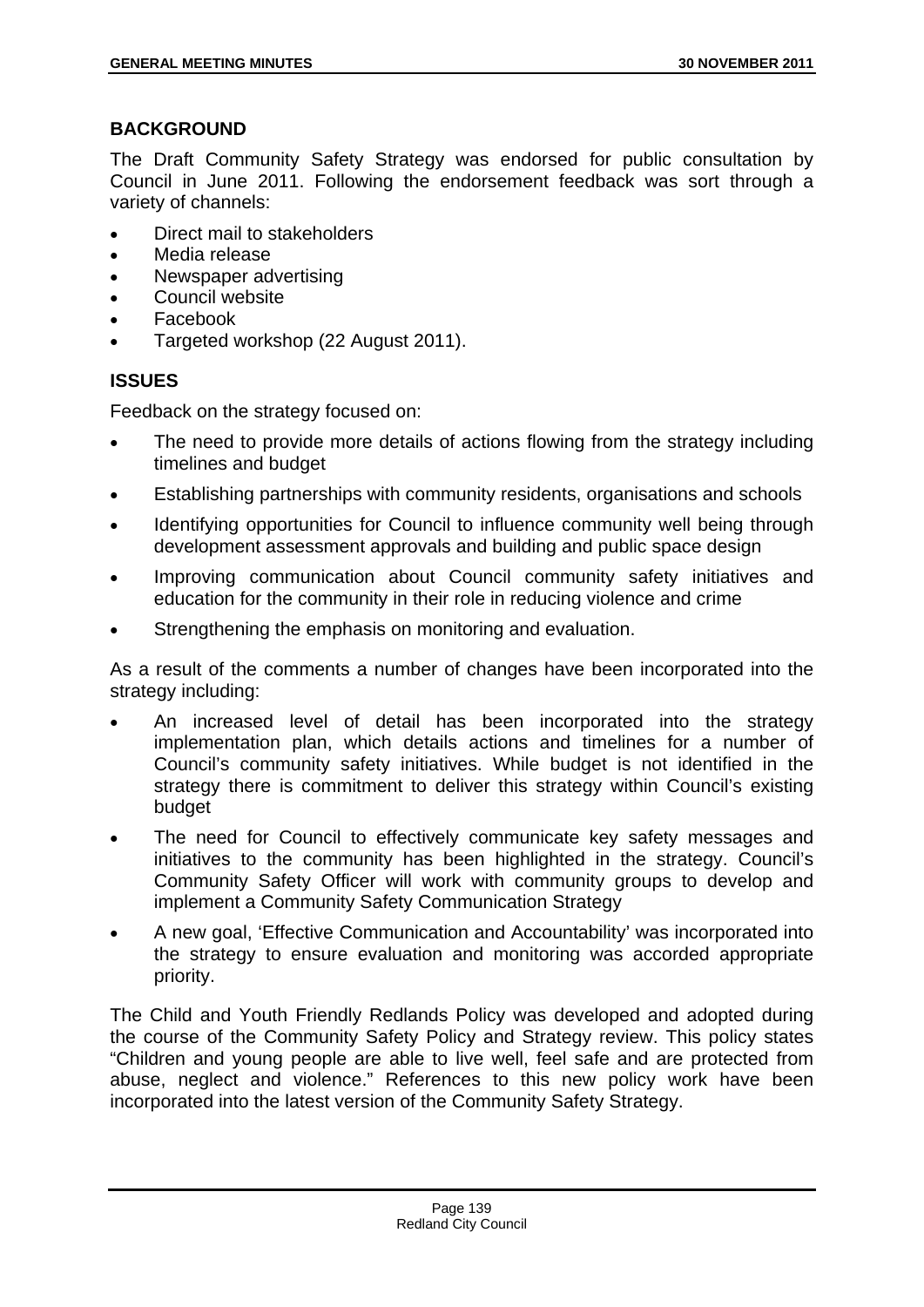# **BACKGROUND**

The Draft Community Safety Strategy was endorsed for public consultation by Council in June 2011. Following the endorsement feedback was sort through a variety of channels:

- Direct mail to stakeholders
- Media release
- Newspaper advertising
- Council website
- Facebook
- Targeted workshop (22 August 2011).

# **ISSUES**

Feedback on the strategy focused on:

- The need to provide more details of actions flowing from the strategy including timelines and budget
- Establishing partnerships with community residents, organisations and schools
- Identifying opportunities for Council to influence community well being through development assessment approvals and building and public space design
- Improving communication about Council community safety initiatives and education for the community in their role in reducing violence and crime
- Strengthening the emphasis on monitoring and evaluation.

As a result of the comments a number of changes have been incorporated into the strategy including:

- An increased level of detail has been incorporated into the strategy implementation plan, which details actions and timelines for a number of Council's community safety initiatives. While budget is not identified in the strategy there is commitment to deliver this strategy within Council's existing budget
- The need for Council to effectively communicate key safety messages and initiatives to the community has been highlighted in the strategy. Council's Community Safety Officer will work with community groups to develop and implement a Community Safety Communication Strategy
- A new goal, 'Effective Communication and Accountability' was incorporated into the strategy to ensure evaluation and monitoring was accorded appropriate priority.

The Child and Youth Friendly Redlands Policy was developed and adopted during the course of the Community Safety Policy and Strategy review. This policy states "Children and young people are able to live well, feel safe and are protected from abuse, neglect and violence." References to this new policy work have been incorporated into the latest version of the Community Safety Strategy.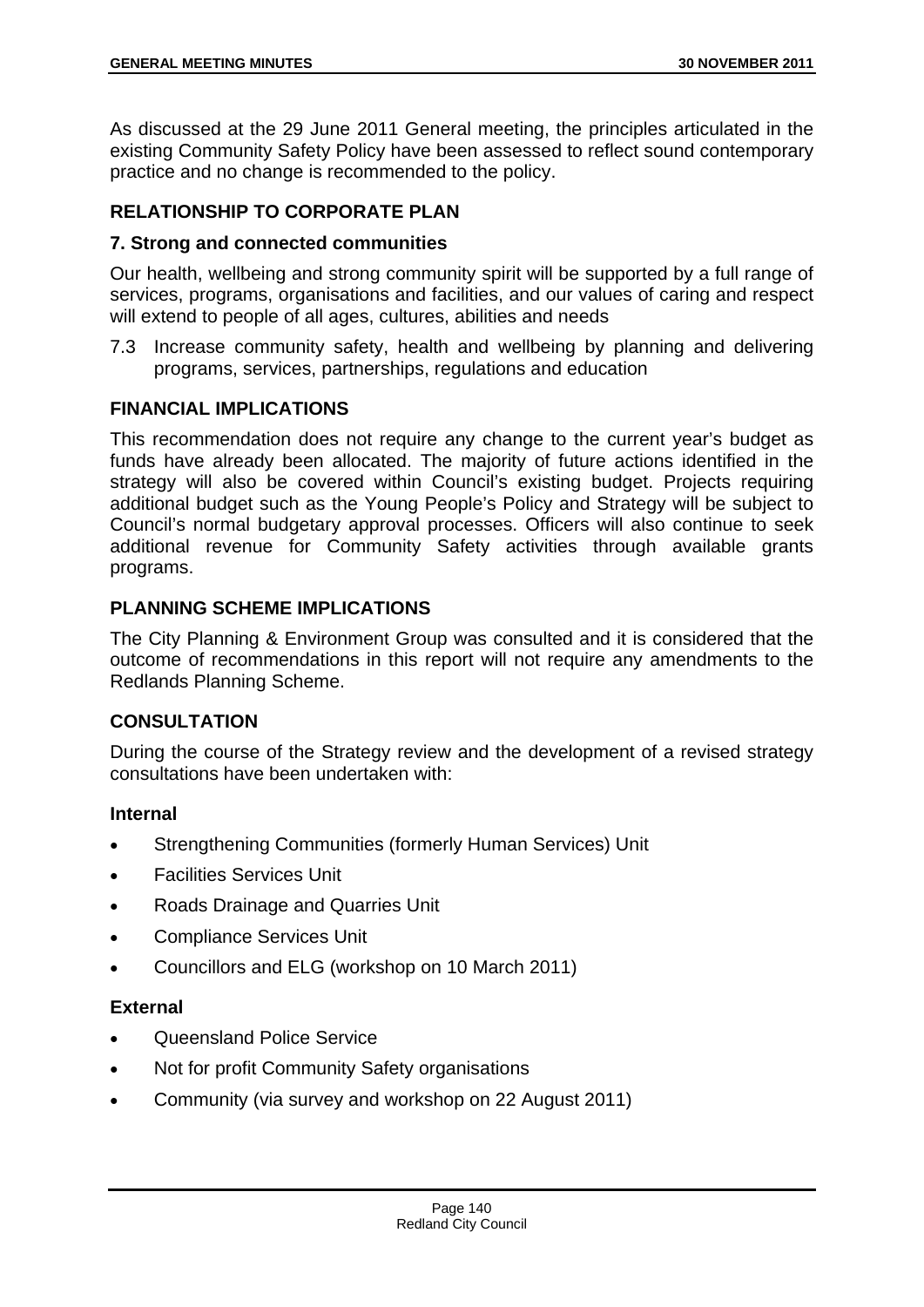As discussed at the 29 June 2011 General meeting, the principles articulated in the existing Community Safety Policy have been assessed to reflect sound contemporary practice and no change is recommended to the policy.

# **RELATIONSHIP TO CORPORATE PLAN**

# **7. Strong and connected communities**

Our health, wellbeing and strong community spirit will be supported by a full range of services, programs, organisations and facilities, and our values of caring and respect will extend to people of all ages, cultures, abilities and needs

7.3 Increase community safety, health and wellbeing by planning and delivering programs, services, partnerships, regulations and education

# **FINANCIAL IMPLICATIONS**

This recommendation does not require any change to the current year's budget as funds have already been allocated. The majority of future actions identified in the strategy will also be covered within Council's existing budget. Projects requiring additional budget such as the Young People's Policy and Strategy will be subject to Council's normal budgetary approval processes. Officers will also continue to seek additional revenue for Community Safety activities through available grants programs.

# **PLANNING SCHEME IMPLICATIONS**

The City Planning & Environment Group was consulted and it is considered that the outcome of recommendations in this report will not require any amendments to the Redlands Planning Scheme.

# **CONSULTATION**

During the course of the Strategy review and the development of a revised strategy consultations have been undertaken with:

## **Internal**

- Strengthening Communities (formerly Human Services) Unit
- Facilities Services Unit
- Roads Drainage and Quarries Unit
- Compliance Services Unit
- Councillors and ELG (workshop on 10 March 2011)

## **External**

- Queensland Police Service
- Not for profit Community Safety organisations
- Community (via survey and workshop on 22 August 2011)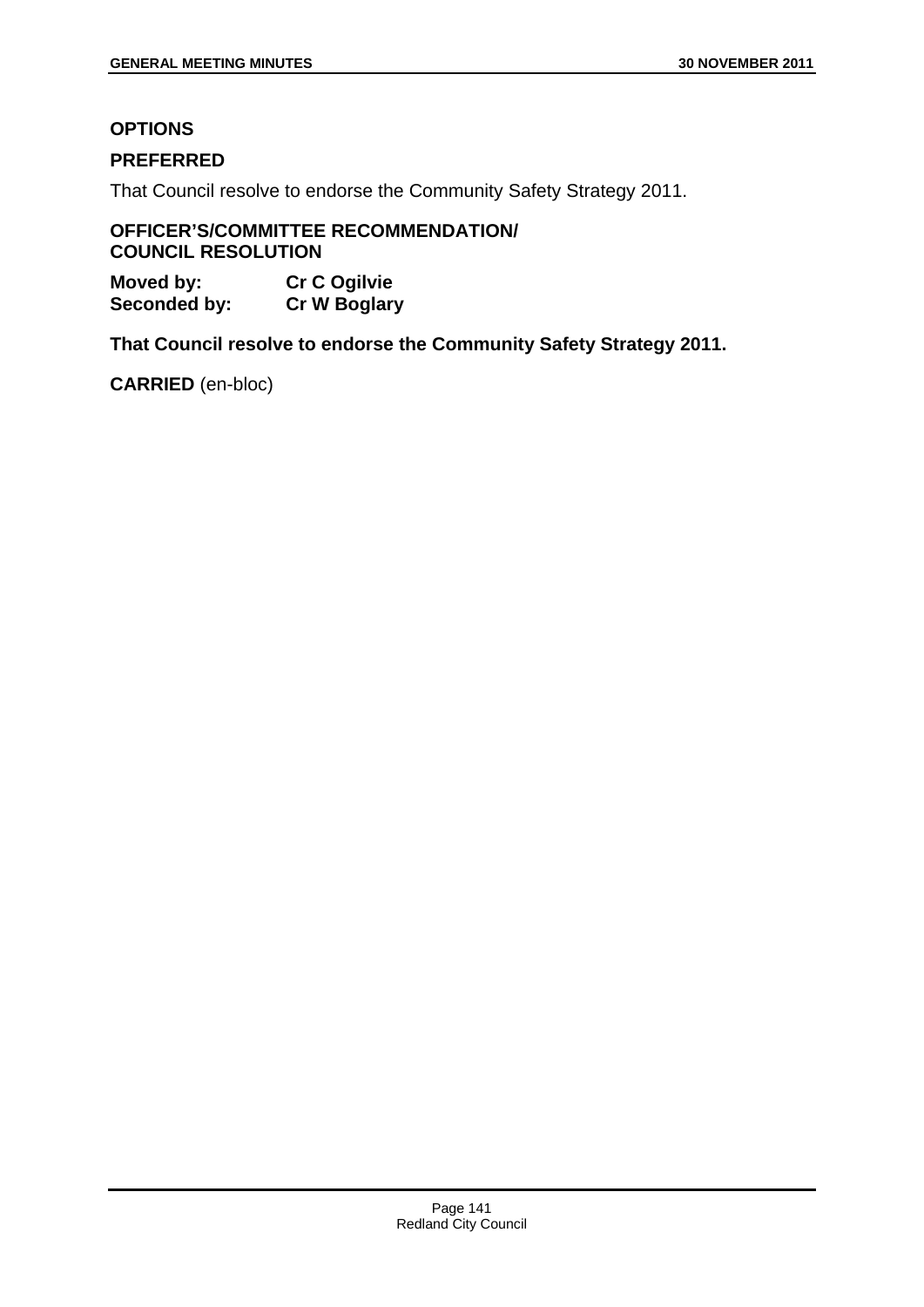# **OPTIONS**

## **PREFERRED**

That Council resolve to endorse the Community Safety Strategy 2011.

### **OFFICER'S/COMMITTEE RECOMMENDATION/ COUNCIL RESOLUTION**

**Moved by: Cr C Ogilvie Seconded by: Cr W Boglary** 

**That Council resolve to endorse the Community Safety Strategy 2011.**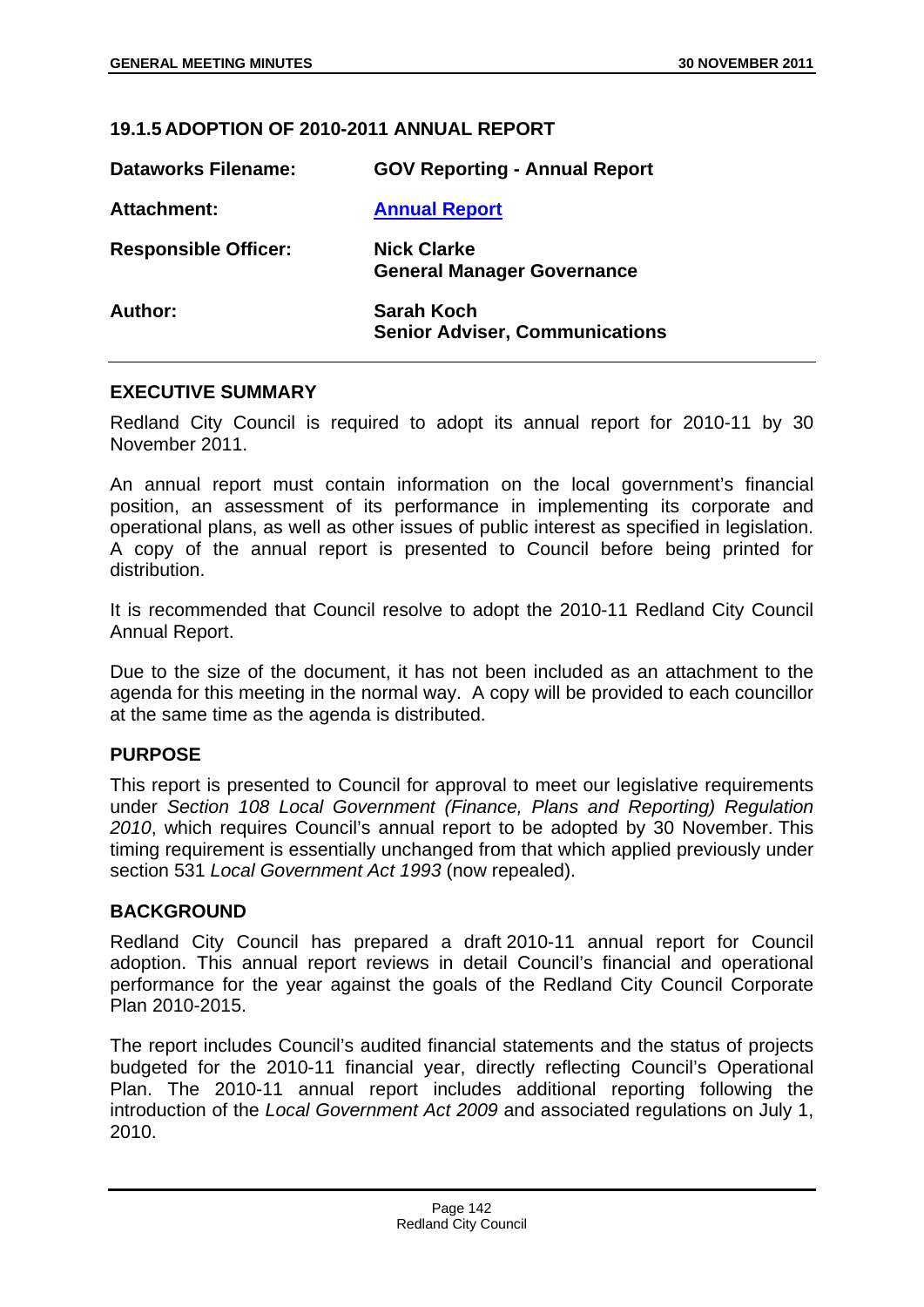## **19.1.5 ADOPTION OF 2010-2011 ANNUAL REPORT**

| <b>Dataworks Filename:</b>  | <b>GOV Reporting - Annual Report</b>                       |
|-----------------------------|------------------------------------------------------------|
| Attachment:                 | <b>Annual Report</b>                                       |
| <b>Responsible Officer:</b> | <b>Nick Clarke</b><br><b>General Manager Governance</b>    |
| Author:                     | <b>Sarah Koch</b><br><b>Senior Adviser, Communications</b> |

### **EXECUTIVE SUMMARY**

Redland City Council is required to adopt its annual report for 2010-11 by 30 November 2011.

An annual report must contain information on the local government's financial position, an assessment of its performance in implementing its corporate and operational plans, as well as other issues of public interest as specified in legislation. A copy of the annual report is presented to Council before being printed for distribution.

It is recommended that Council resolve to adopt the 2010-11 Redland City Council Annual Report.

Due to the size of the document, it has not been included as an attachment to the agenda for this meeting in the normal way. A copy will be provided to each councillor at the same time as the agenda is distributed.

#### **PURPOSE**

This report is presented to Council for approval to meet our legislative requirements under *Section 108 Local Government (Finance, Plans and Reporting) Regulation 2010*, which requires Council's annual report to be adopted by 30 November. This timing requirement is essentially unchanged from that which applied previously under section 531 *Local Government Act 1993* (now repealed).

#### **BACKGROUND**

Redland City Council has prepared a draft 2010-11 annual report for Council adoption. This annual report reviews in detail Council's financial and operational performance for the year against the goals of the Redland City Council Corporate Plan 2010-2015.

The report includes Council's audited financial statements and the status of projects budgeted for the 2010-11 financial year, directly reflecting Council's Operational Plan. The 2010-11 annual report includes additional reporting following the introduction of the *Local Government Act 2009* and associated regulations on July 1, 2010.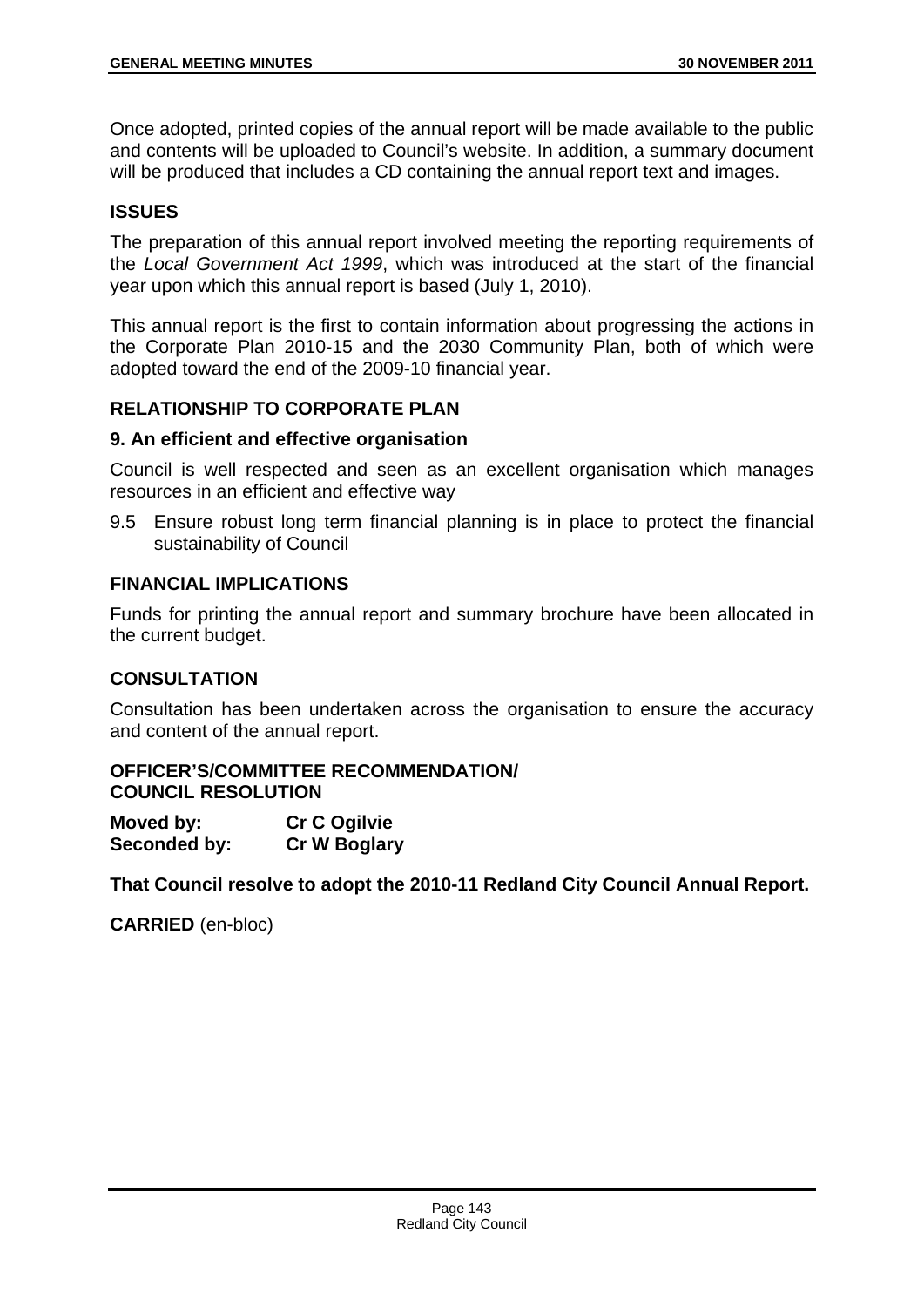Once adopted, printed copies of the annual report will be made available to the public and contents will be uploaded to Council's website. In addition, a summary document will be produced that includes a CD containing the annual report text and images.

# **ISSUES**

The preparation of this annual report involved meeting the reporting requirements of the *Local Government Act 1999*, which was introduced at the start of the financial year upon which this annual report is based (July 1, 2010).

This annual report is the first to contain information about progressing the actions in the Corporate Plan 2010-15 and the 2030 Community Plan, both of which were adopted toward the end of the 2009-10 financial year.

## **RELATIONSHIP TO CORPORATE PLAN**

### **9. An efficient and effective organisation**

Council is well respected and seen as an excellent organisation which manages resources in an efficient and effective way

9.5 Ensure robust long term financial planning is in place to protect the financial sustainability of Council

## **FINANCIAL IMPLICATIONS**

Funds for printing the annual report and summary brochure have been allocated in the current budget.

## **CONSULTATION**

Consultation has been undertaken across the organisation to ensure the accuracy and content of the annual report.

### **OFFICER'S/COMMITTEE RECOMMENDATION/ COUNCIL RESOLUTION**

| Moved by:    | <b>Cr C Ogilvie</b> |
|--------------|---------------------|
| Seconded by: | <b>Cr W Boglary</b> |

**That Council resolve to adopt the 2010-11 Redland City Council Annual Report.**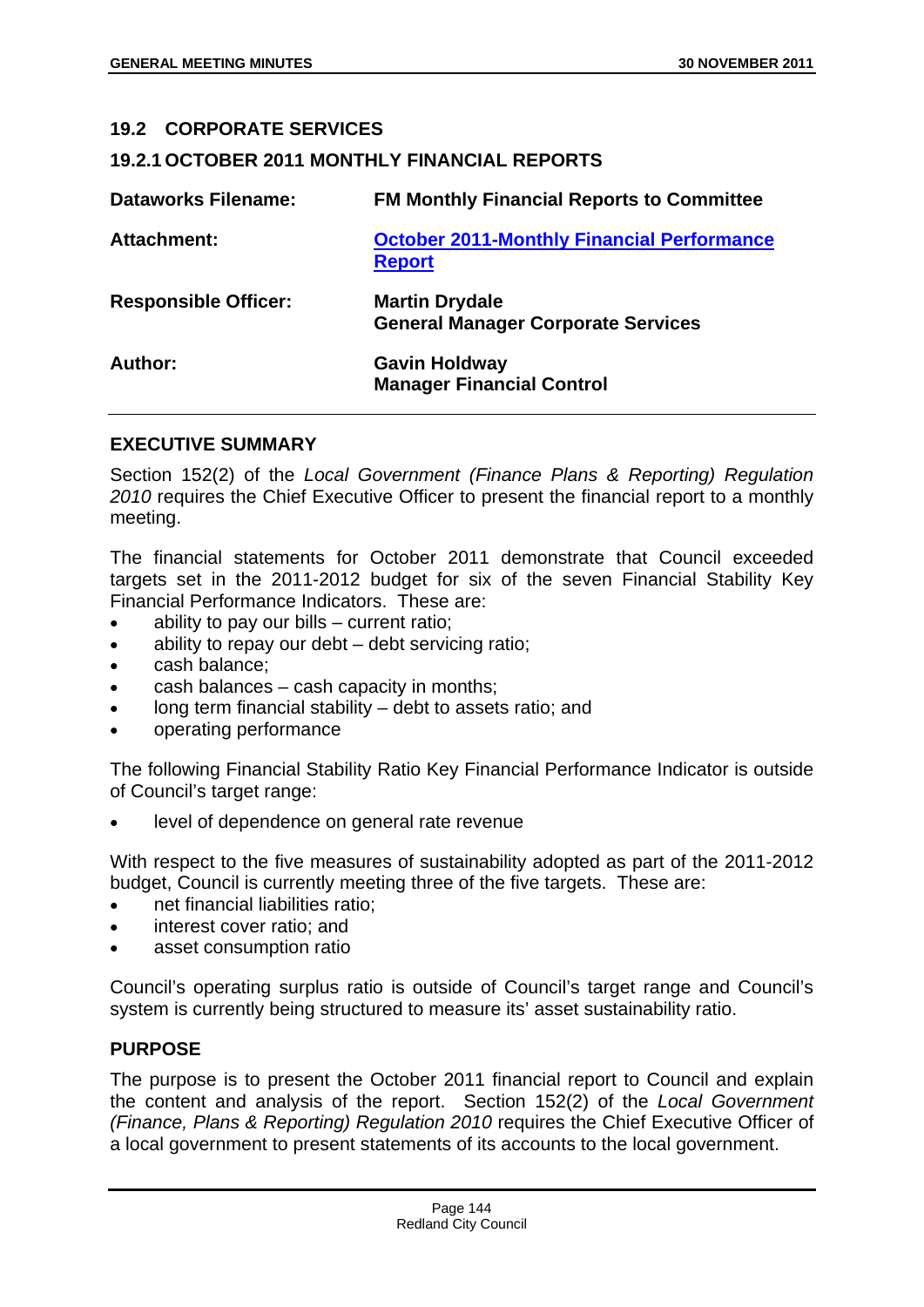#### **19.2 CORPORATE SERVICES**

### **19.2.1 OCTOBER 2011 MONTHLY FINANCIAL REPORTS**

| <b>Dataworks Filename:</b>  | <b>FM Monthly Financial Reports to Committee</b>                   |
|-----------------------------|--------------------------------------------------------------------|
| <b>Attachment:</b>          | <b>October 2011-Monthly Financial Performance</b><br><b>Report</b> |
| <b>Responsible Officer:</b> | <b>Martin Drydale</b><br><b>General Manager Corporate Services</b> |
| Author:                     | <b>Gavin Holdway</b><br><b>Manager Financial Control</b>           |

### **EXECUTIVE SUMMARY**

Section 152(2) of the *Local Government (Finance Plans & Reporting) Regulation 2010* requires the Chief Executive Officer to present the financial report to a monthly meeting.

The financial statements for October 2011 demonstrate that Council exceeded targets set in the 2011-2012 budget for six of the seven Financial Stability Key Financial Performance Indicators. These are:

- ability to pay our bills current ratio:
- ability to repay our debt debt servicing ratio;
- cash balance;
- cash balances cash capacity in months;
- long term financial stability debt to assets ratio; and
- operating performance

The following Financial Stability Ratio Key Financial Performance Indicator is outside of Council's target range:

level of dependence on general rate revenue

With respect to the five measures of sustainability adopted as part of the 2011-2012 budget, Council is currently meeting three of the five targets. These are:

- net financial liabilities ratio;
- interest cover ratio; and
- asset consumption ratio

Council's operating surplus ratio is outside of Council's target range and Council's system is currently being structured to measure its' asset sustainability ratio.

## **PURPOSE**

The purpose is to present the October 2011 financial report to Council and explain the content and analysis of the report. Section 152(2) of the *Local Government (Finance, Plans & Reporting) Regulation 2010* requires the Chief Executive Officer of a local government to present statements of its accounts to the local government.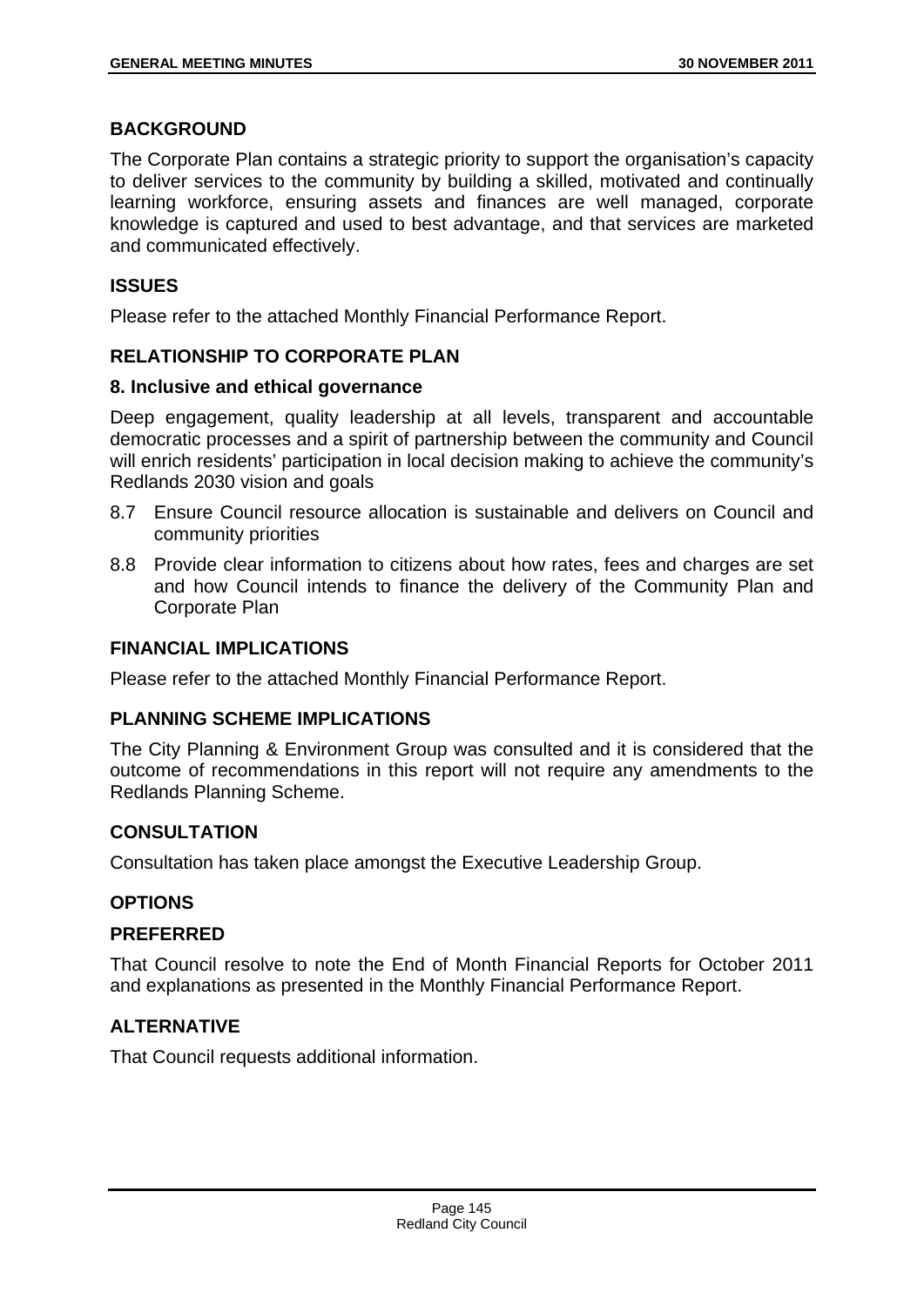## **BACKGROUND**

The Corporate Plan contains a strategic priority to support the organisation's capacity to deliver services to the community by building a skilled, motivated and continually learning workforce, ensuring assets and finances are well managed, corporate knowledge is captured and used to best advantage, and that services are marketed and communicated effectively.

## **ISSUES**

Please refer to the attached Monthly Financial Performance Report.

## **RELATIONSHIP TO CORPORATE PLAN**

### **8. Inclusive and ethical governance**

Deep engagement, quality leadership at all levels, transparent and accountable democratic processes and a spirit of partnership between the community and Council will enrich residents' participation in local decision making to achieve the community's Redlands 2030 vision and goals

- 8.7 Ensure Council resource allocation is sustainable and delivers on Council and community priorities
- 8.8 Provide clear information to citizens about how rates, fees and charges are set and how Council intends to finance the delivery of the Community Plan and Corporate Plan

### **FINANCIAL IMPLICATIONS**

Please refer to the attached Monthly Financial Performance Report.

## **PLANNING SCHEME IMPLICATIONS**

The City Planning & Environment Group was consulted and it is considered that the outcome of recommendations in this report will not require any amendments to the Redlands Planning Scheme.

## **CONSULTATION**

Consultation has taken place amongst the Executive Leadership Group.

## **OPTIONS**

#### **PREFERRED**

That Council resolve to note the End of Month Financial Reports for October 2011 and explanations as presented in the Monthly Financial Performance Report.

## **ALTERNATIVE**

That Council requests additional information.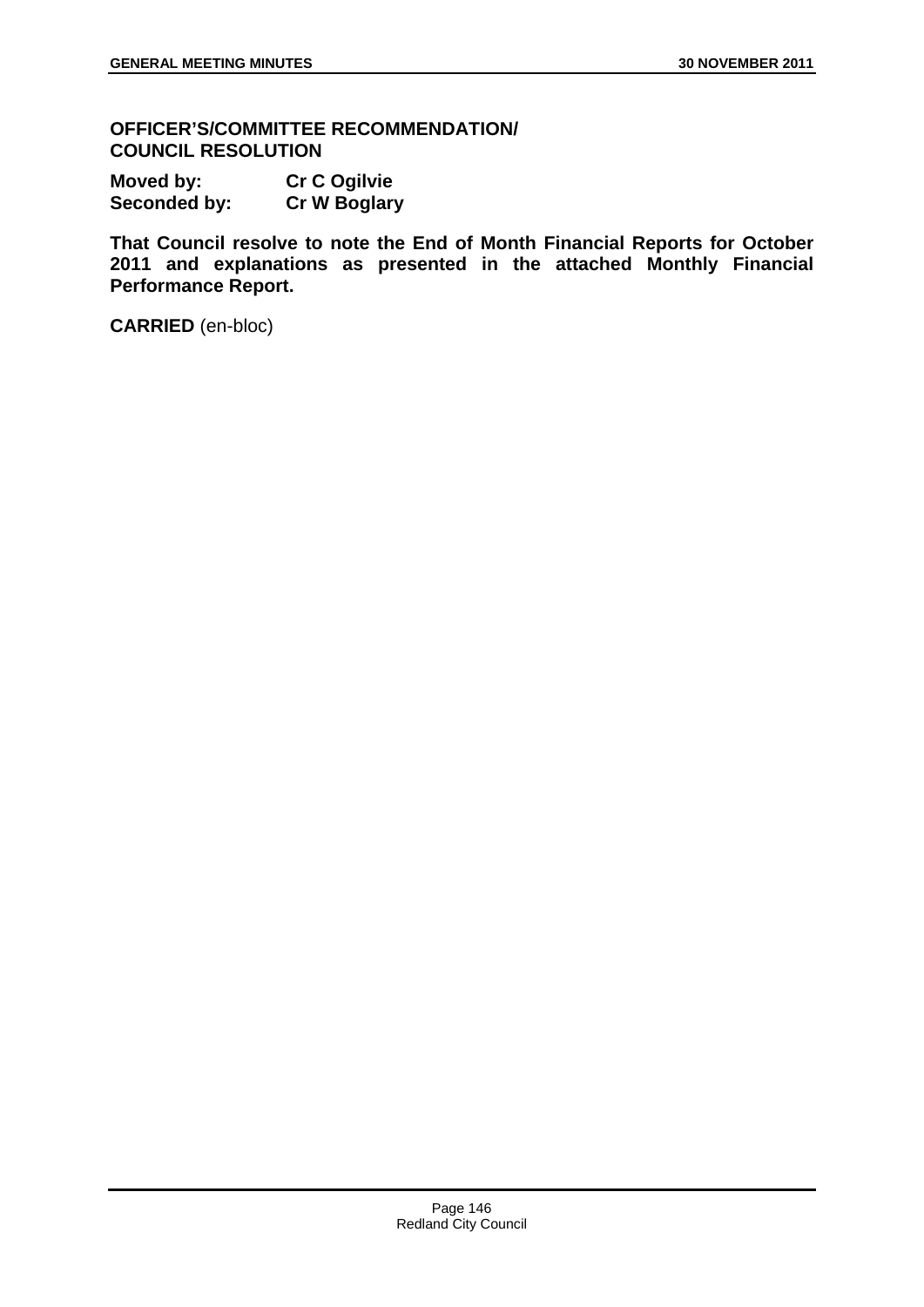**OFFICER'S/COMMITTEE RECOMMENDATION/ COUNCIL RESOLUTION** 

| Moved by:    | <b>Cr C Ogilvie</b> |
|--------------|---------------------|
| Seconded by: | <b>Cr W Boglary</b> |

**That Council resolve to note the End of Month Financial Reports for October 2011 and explanations as presented in the attached Monthly Financial Performance Report.**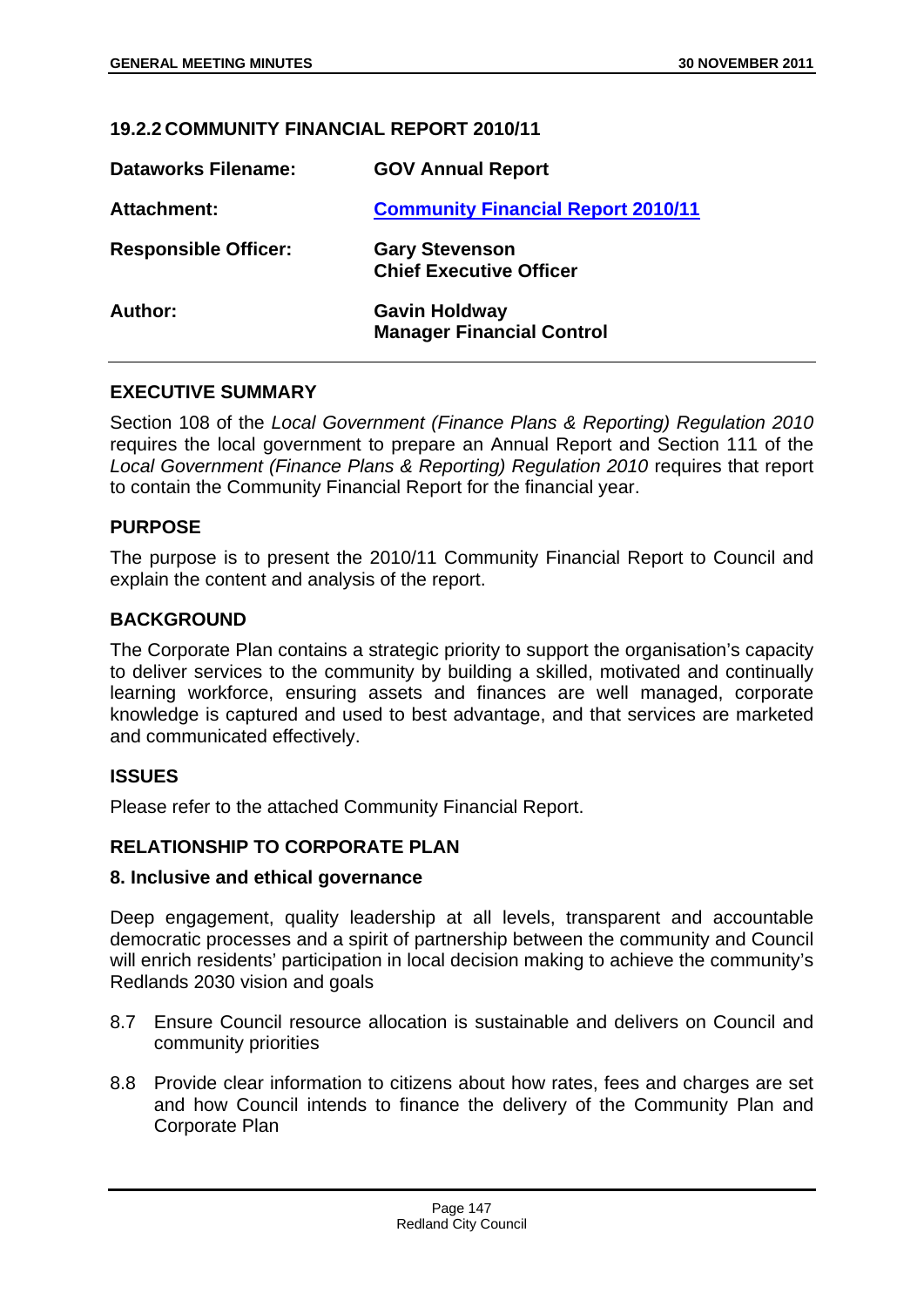## **19.2.2 COMMUNITY FINANCIAL REPORT 2010/11**

| <b>Dataworks Filename:</b>  | <b>GOV Annual Report</b>                                 |
|-----------------------------|----------------------------------------------------------|
| <b>Attachment:</b>          | <b>Community Financial Report 2010/11</b>                |
| <b>Responsible Officer:</b> | <b>Gary Stevenson</b><br><b>Chief Executive Officer</b>  |
| Author:                     | <b>Gavin Holdway</b><br><b>Manager Financial Control</b> |

## **EXECUTIVE SUMMARY**

Section 108 of the *Local Government (Finance Plans & Reporting) Regulation 2010*  requires the local government to prepare an Annual Report and Section 111 of the Local Government (Finance Plans & Reporting) Regulation 2010 requires that report to contain the Community Financial Report for the financial year.

### **PURPOSE**

The purpose is to present the 2010/11 Community Financial Report to Council and explain the content and analysis of the report.

### **BACKGROUND**

The Corporate Plan contains a strategic priority to support the organisation's capacity to deliver services to the community by building a skilled, motivated and continually learning workforce, ensuring assets and finances are well managed, corporate knowledge is captured and used to best advantage, and that services are marketed and communicated effectively.

## **ISSUES**

Please refer to the attached Community Financial Report.

#### **RELATIONSHIP TO CORPORATE PLAN**

#### **8. Inclusive and ethical governance**

Deep engagement, quality leadership at all levels, transparent and accountable democratic processes and a spirit of partnership between the community and Council will enrich residents' participation in local decision making to achieve the community's Redlands 2030 vision and goals

- 8.7 Ensure Council resource allocation is sustainable and delivers on Council and community priorities
- 8.8 Provide clear information to citizens about how rates, fees and charges are set and how Council intends to finance the delivery of the Community Plan and Corporate Plan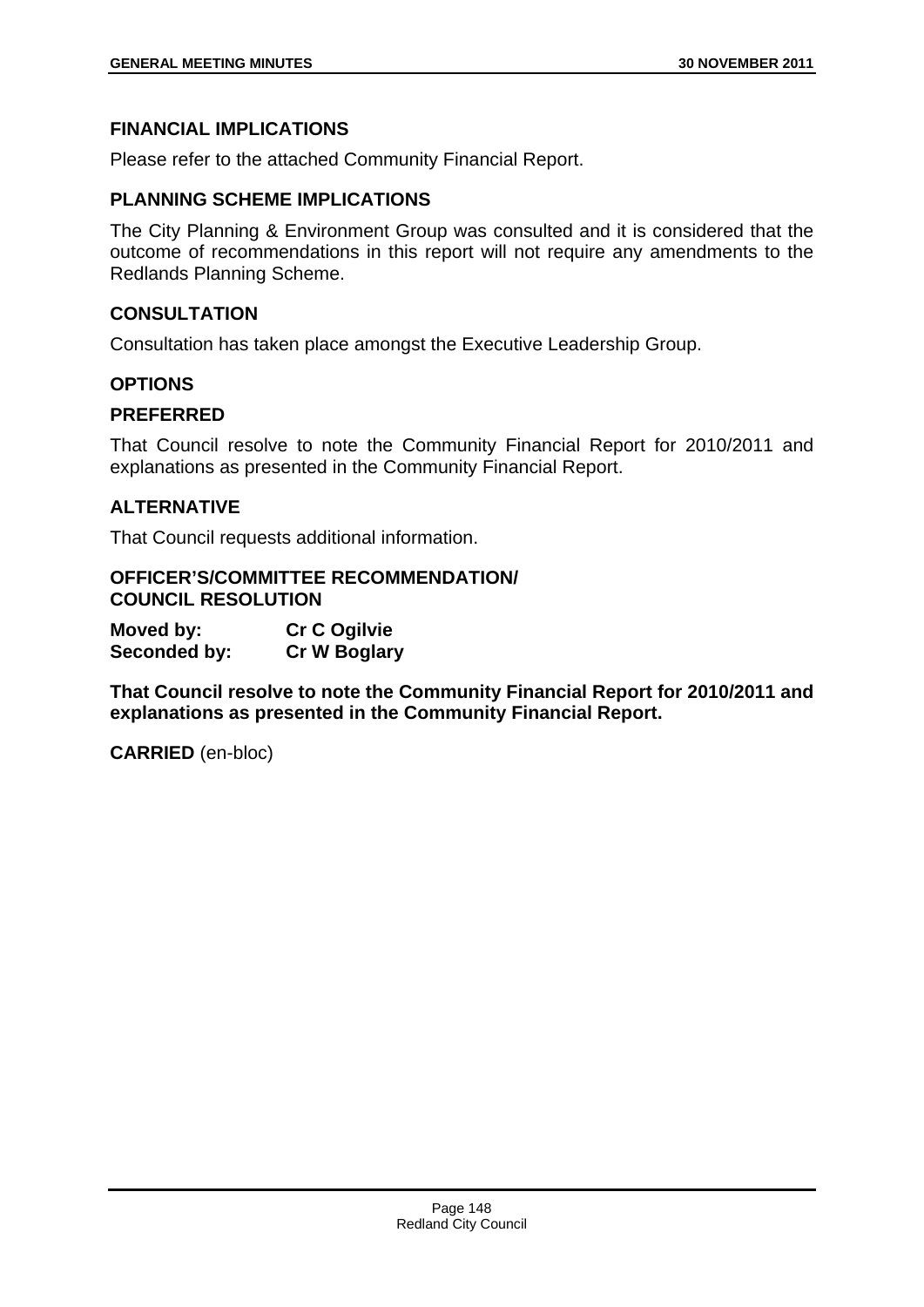## **FINANCIAL IMPLICATIONS**

Please refer to the attached Community Financial Report.

#### **PLANNING SCHEME IMPLICATIONS**

The City Planning & Environment Group was consulted and it is considered that the outcome of recommendations in this report will not require any amendments to the Redlands Planning Scheme.

### **CONSULTATION**

Consultation has taken place amongst the Executive Leadership Group.

### **OPTIONS**

### **PREFERRED**

That Council resolve to note the Community Financial Report for 2010/2011 and explanations as presented in the Community Financial Report.

### **ALTERNATIVE**

That Council requests additional information.

#### **OFFICER'S/COMMITTEE RECOMMENDATION/ COUNCIL RESOLUTION**

**Moved by: Cr C Ogilvie Seconded by: Cr W Boglary** 

**That Council resolve to note the Community Financial Report for 2010/2011 and explanations as presented in the Community Financial Report.**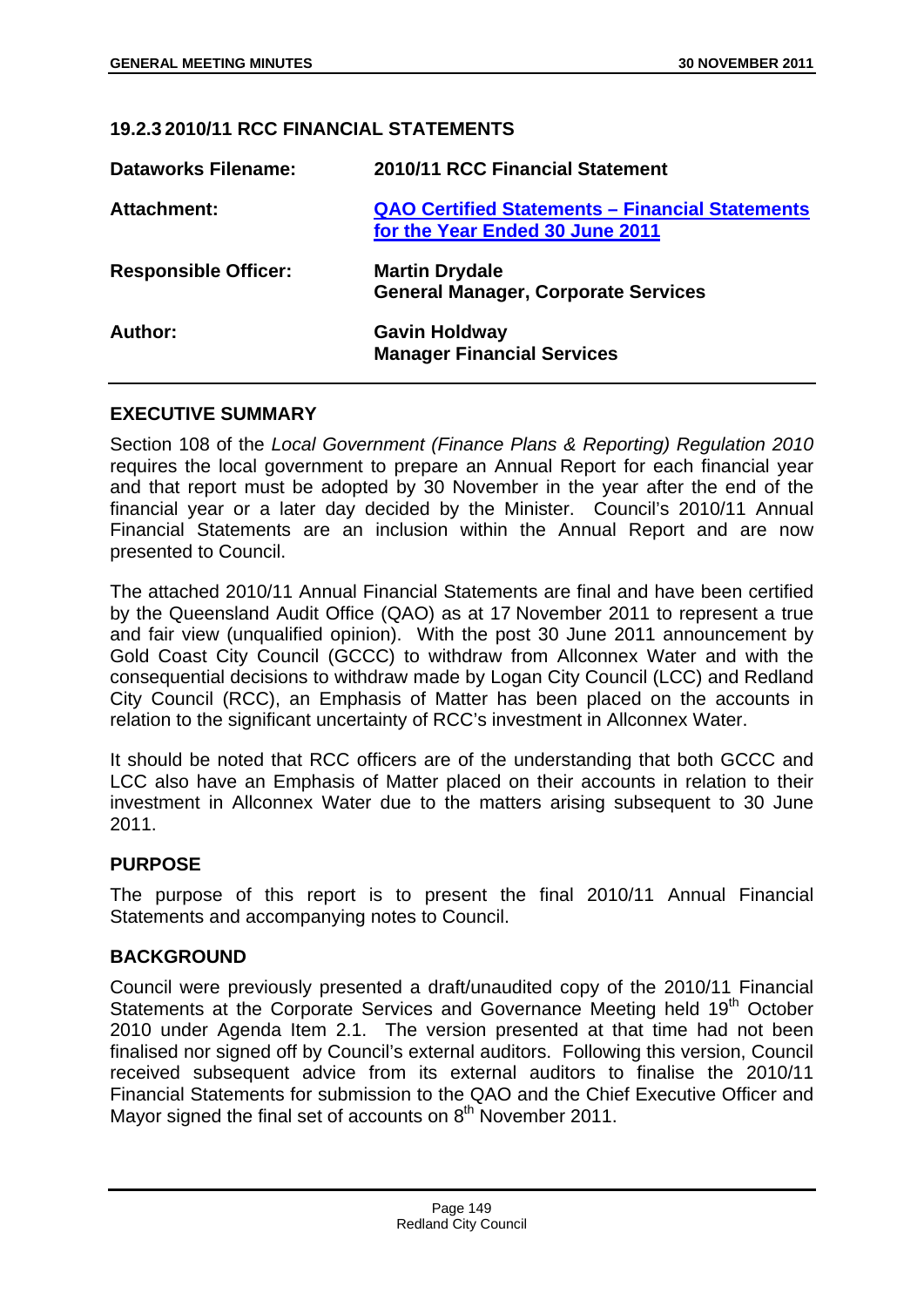## **19.2.3 2010/11 RCC FINANCIAL STATEMENTS**

| <b>Dataworks Filename:</b>  | 2010/11 RCC Financial Statement                                                           |
|-----------------------------|-------------------------------------------------------------------------------------------|
| <b>Attachment:</b>          | <b>QAO Certified Statements - Financial Statements</b><br>for the Year Ended 30 June 2011 |
| <b>Responsible Officer:</b> | <b>Martin Drydale</b><br><b>General Manager, Corporate Services</b>                       |
| Author:                     | <b>Gavin Holdway</b><br><b>Manager Financial Services</b>                                 |

### **EXECUTIVE SUMMARY**

Section 108 of the *Local Government (Finance Plans & Reporting) Regulation 2010*  requires the local government to prepare an Annual Report for each financial year and that report must be adopted by 30 November in the year after the end of the financial year or a later day decided by the Minister. Council's 2010/11 Annual Financial Statements are an inclusion within the Annual Report and are now presented to Council.

The attached 2010/11 Annual Financial Statements are final and have been certified by the Queensland Audit Office (QAO) as at 17 November 2011 to represent a true and fair view (unqualified opinion). With the post 30 June 2011 announcement by Gold Coast City Council (GCCC) to withdraw from Allconnex Water and with the consequential decisions to withdraw made by Logan City Council (LCC) and Redland City Council (RCC), an Emphasis of Matter has been placed on the accounts in relation to the significant uncertainty of RCC's investment in Allconnex Water.

It should be noted that RCC officers are of the understanding that both GCCC and LCC also have an Emphasis of Matter placed on their accounts in relation to their investment in Allconnex Water due to the matters arising subsequent to 30 June 2011.

## **PURPOSE**

The purpose of this report is to present the final 2010/11 Annual Financial Statements and accompanying notes to Council.

#### **BACKGROUND**

Council were previously presented a draft/unaudited copy of the 2010/11 Financial Statements at the Corporate Services and Governance Meeting held 19<sup>th</sup> October 2010 under Agenda Item 2.1. The version presented at that time had not been finalised nor signed off by Council's external auditors. Following this version, Council received subsequent advice from its external auditors to finalise the 2010/11 Financial Statements for submission to the QAO and the Chief Executive Officer and Mayor signed the final set of accounts on 8<sup>th</sup> November 2011.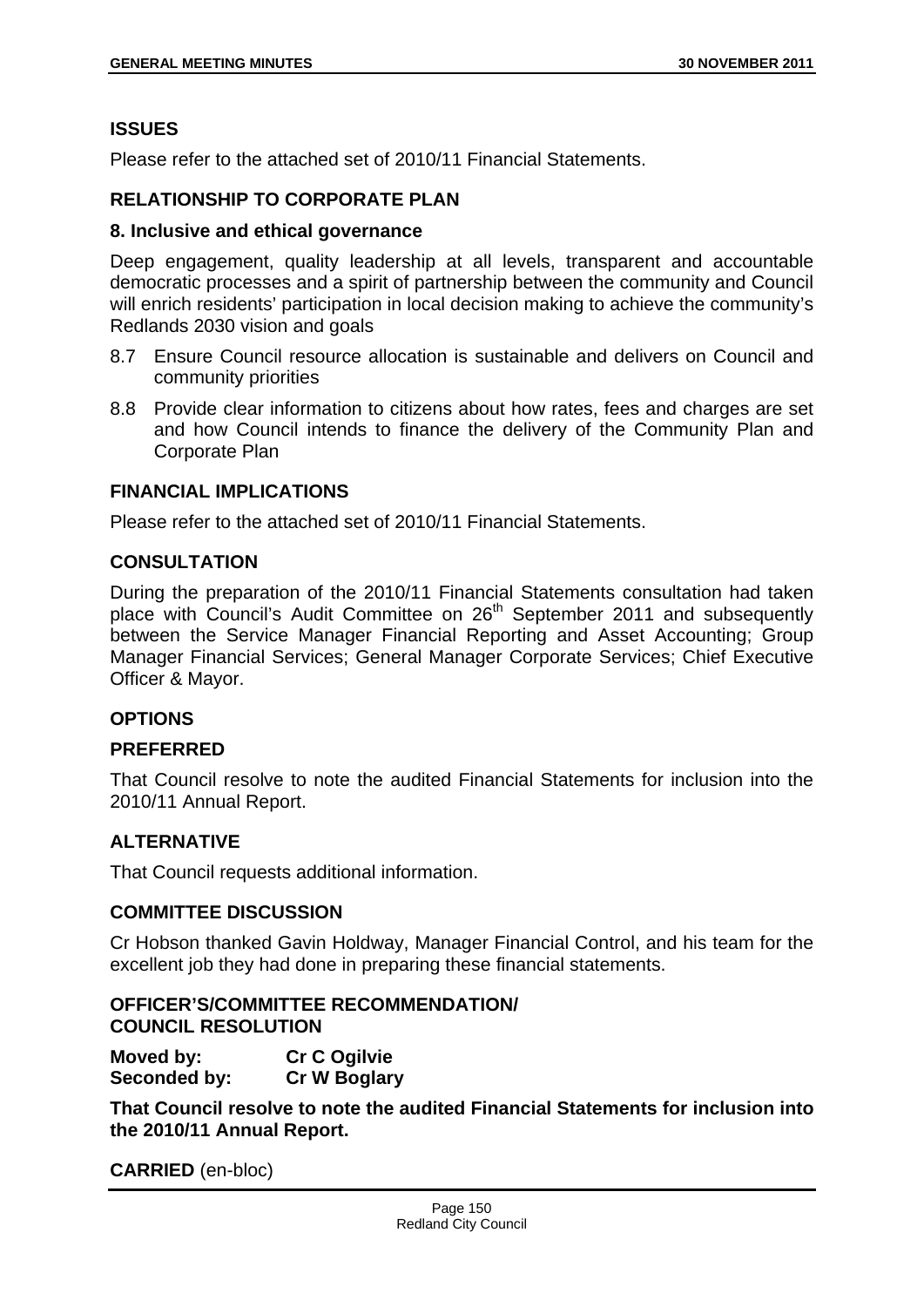## **ISSUES**

Please refer to the attached set of 2010/11 Financial Statements.

### **RELATIONSHIP TO CORPORATE PLAN**

#### **8. Inclusive and ethical governance**

Deep engagement, quality leadership at all levels, transparent and accountable democratic processes and a spirit of partnership between the community and Council will enrich residents' participation in local decision making to achieve the community's Redlands 2030 vision and goals

- 8.7 Ensure Council resource allocation is sustainable and delivers on Council and community priorities
- 8.8 Provide clear information to citizens about how rates, fees and charges are set and how Council intends to finance the delivery of the Community Plan and Corporate Plan

### **FINANCIAL IMPLICATIONS**

Please refer to the attached set of 2010/11 Financial Statements.

### **CONSULTATION**

During the preparation of the 2010/11 Financial Statements consultation had taken place with Council's Audit Committee on 26<sup>th</sup> September 2011 and subsequently between the Service Manager Financial Reporting and Asset Accounting; Group Manager Financial Services; General Manager Corporate Services; Chief Executive Officer & Mayor.

#### **OPTIONS**

#### **PREFERRED**

That Council resolve to note the audited Financial Statements for inclusion into the 2010/11 Annual Report.

## **ALTERNATIVE**

That Council requests additional information.

#### **COMMITTEE DISCUSSION**

Cr Hobson thanked Gavin Holdway, Manager Financial Control, and his team for the excellent job they had done in preparing these financial statements.

**OFFICER'S/COMMITTEE RECOMMENDATION/ COUNCIL RESOLUTION** 

**Moved by: Cr C Ogilvie Seconded by: Cr W Boglary** 

**That Council resolve to note the audited Financial Statements for inclusion into the 2010/11 Annual Report.**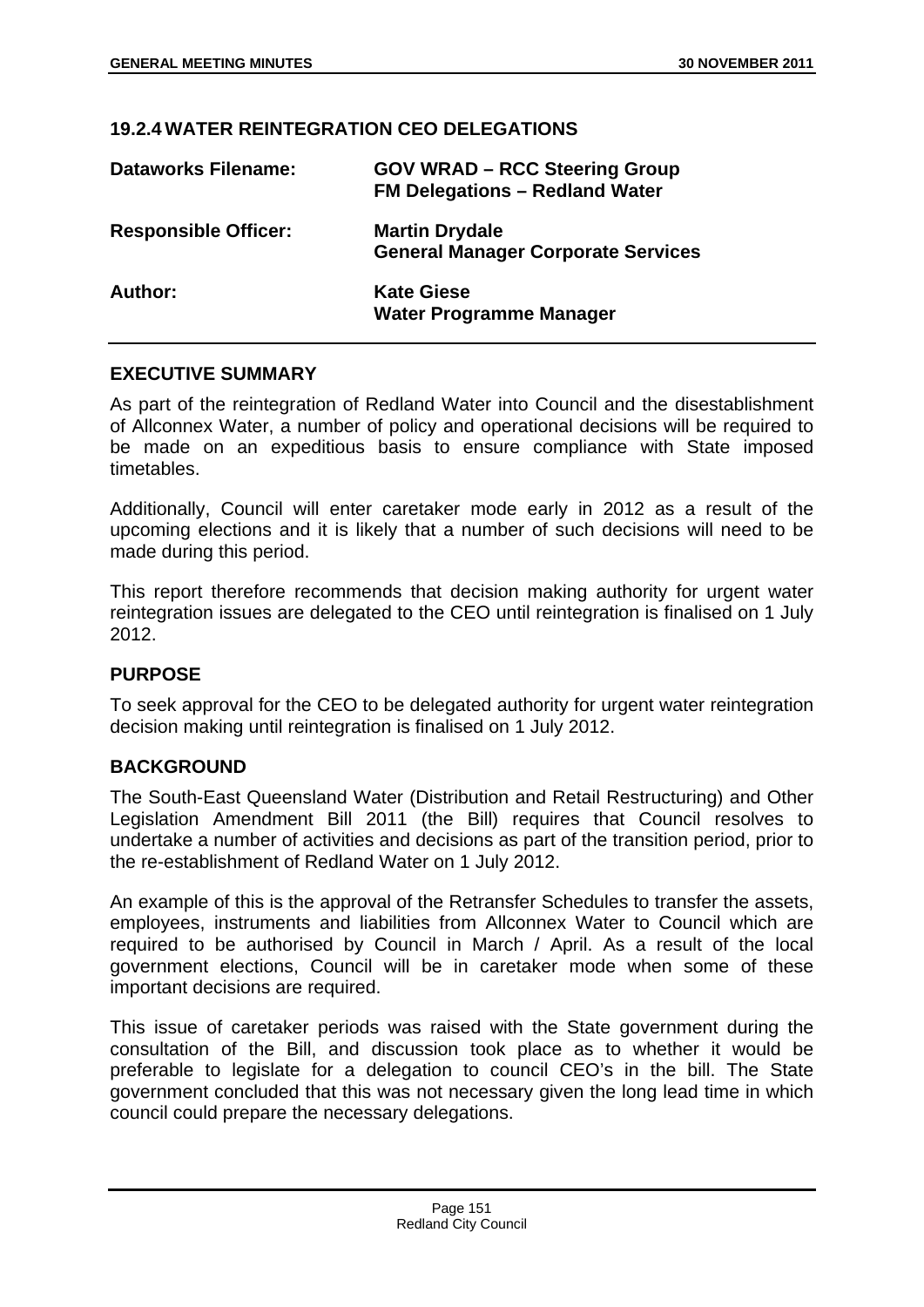## **19.2.4 WATER REINTEGRATION CEO DELEGATIONS**

| <b>Dataworks Filename:</b>  | <b>GOV WRAD - RCC Steering Group</b><br><b>FM Delegations - Redland Water</b> |
|-----------------------------|-------------------------------------------------------------------------------|
| <b>Responsible Officer:</b> | <b>Martin Drydale</b><br><b>General Manager Corporate Services</b>            |
| Author:                     | <b>Kate Giese</b><br><b>Water Programme Manager</b>                           |

## **EXECUTIVE SUMMARY**

As part of the reintegration of Redland Water into Council and the disestablishment of Allconnex Water, a number of policy and operational decisions will be required to be made on an expeditious basis to ensure compliance with State imposed timetables.

Additionally, Council will enter caretaker mode early in 2012 as a result of the upcoming elections and it is likely that a number of such decisions will need to be made during this period.

This report therefore recommends that decision making authority for urgent water reintegration issues are delegated to the CEO until reintegration is finalised on 1 July 2012.

#### **PURPOSE**

To seek approval for the CEO to be delegated authority for urgent water reintegration decision making until reintegration is finalised on 1 July 2012.

#### **BACKGROUND**

The South-East Queensland Water (Distribution and Retail Restructuring) and Other Legislation Amendment Bill 2011 (the Bill) requires that Council resolves to undertake a number of activities and decisions as part of the transition period, prior to the re-establishment of Redland Water on 1 July 2012.

An example of this is the approval of the Retransfer Schedules to transfer the assets, employees, instruments and liabilities from Allconnex Water to Council which are required to be authorised by Council in March / April. As a result of the local government elections, Council will be in caretaker mode when some of these important decisions are required.

This issue of caretaker periods was raised with the State government during the consultation of the Bill, and discussion took place as to whether it would be preferable to legislate for a delegation to council CEO's in the bill. The State government concluded that this was not necessary given the long lead time in which council could prepare the necessary delegations.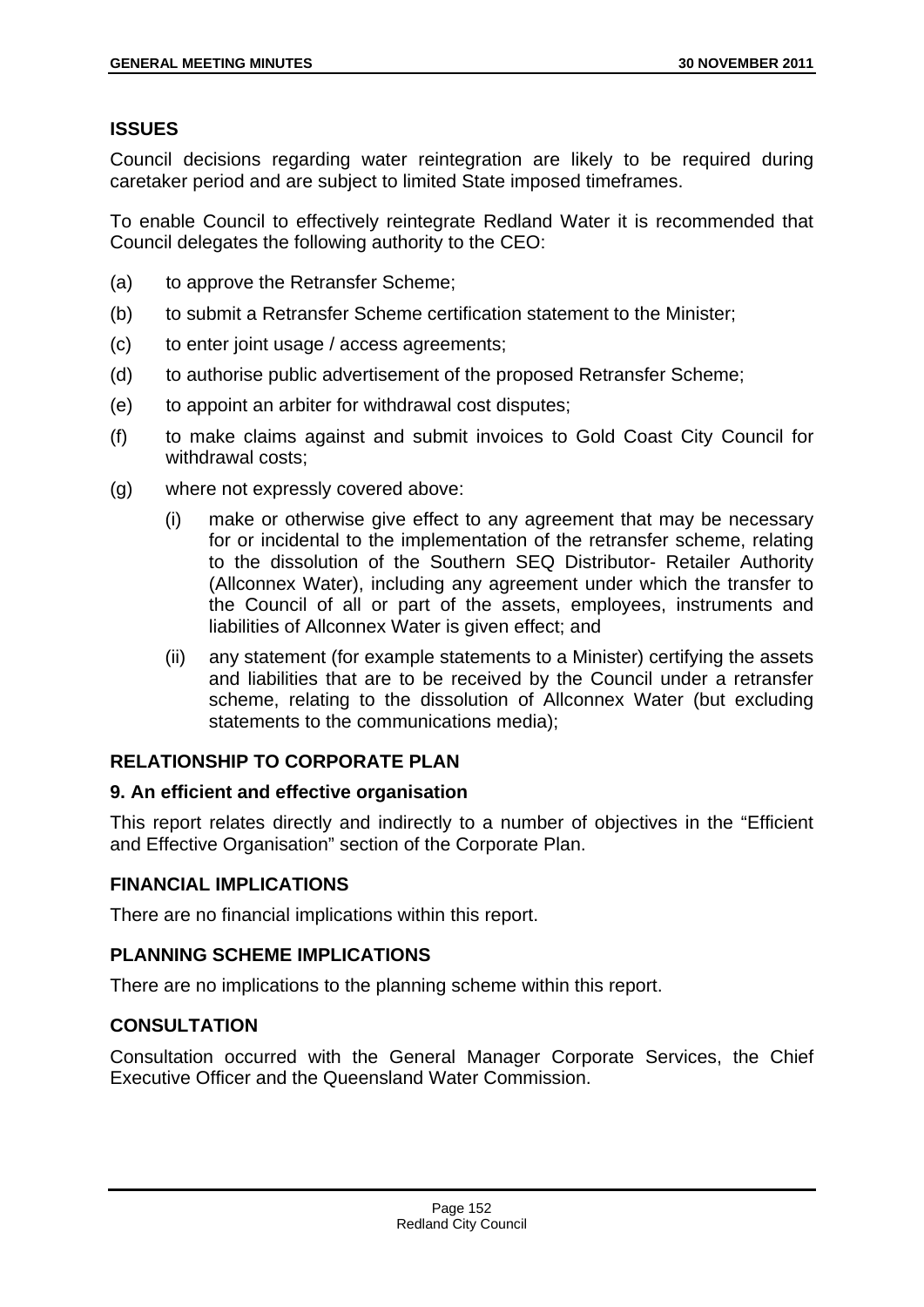# **ISSUES**

Council decisions regarding water reintegration are likely to be required during caretaker period and are subject to limited State imposed timeframes.

To enable Council to effectively reintegrate Redland Water it is recommended that Council delegates the following authority to the CEO:

- (a) to approve the Retransfer Scheme;
- (b) to submit a Retransfer Scheme certification statement to the Minister;
- (c) to enter joint usage / access agreements;
- (d) to authorise public advertisement of the proposed Retransfer Scheme;
- (e) to appoint an arbiter for withdrawal cost disputes;
- (f) to make claims against and submit invoices to Gold Coast City Council for withdrawal costs;
- (g) where not expressly covered above:
	- (i) make or otherwise give effect to any agreement that may be necessary for or incidental to the implementation of the retransfer scheme, relating to the dissolution of the Southern SEQ Distributor- Retailer Authority (Allconnex Water), including any agreement under which the transfer to the Council of all or part of the assets, employees, instruments and liabilities of Allconnex Water is given effect; and
	- (ii) any statement (for example statements to a Minister) certifying the assets and liabilities that are to be received by the Council under a retransfer scheme, relating to the dissolution of Allconnex Water (but excluding statements to the communications media);

# **RELATIONSHIP TO CORPORATE PLAN**

## **9. An efficient and effective organisation**

This report relates directly and indirectly to a number of objectives in the "Efficient and Effective Organisation" section of the Corporate Plan.

## **FINANCIAL IMPLICATIONS**

There are no financial implications within this report.

# **PLANNING SCHEME IMPLICATIONS**

There are no implications to the planning scheme within this report.

# **CONSULTATION**

Consultation occurred with the General Manager Corporate Services, the Chief Executive Officer and the Queensland Water Commission.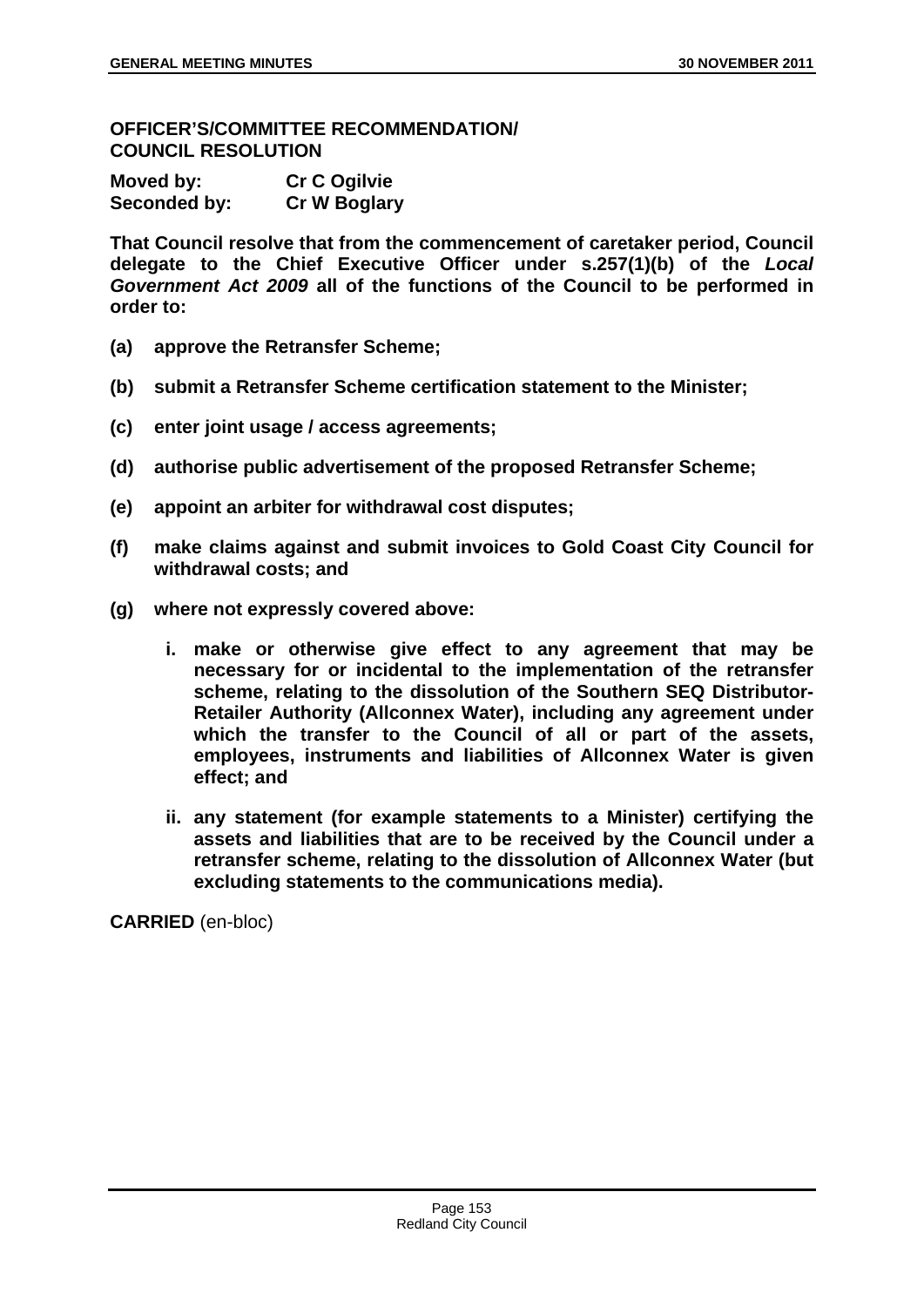### **OFFICER'S/COMMITTEE RECOMMENDATION/ COUNCIL RESOLUTION**

| Moved by:    | <b>Cr C Ogilvie</b> |
|--------------|---------------------|
| Seconded by: | <b>Cr W Boglary</b> |

**That Council resolve that from the commencement of caretaker period, Council delegate to the Chief Executive Officer under s.257(1)(b) of the** *Local Government Act 2009* **all of the functions of the Council to be performed in order to:** 

- **(a) approve the Retransfer Scheme;**
- **(b) submit a Retransfer Scheme certification statement to the Minister;**
- **(c) enter joint usage / access agreements;**
- **(d) authorise public advertisement of the proposed Retransfer Scheme;**
- **(e) appoint an arbiter for withdrawal cost disputes;**
- **(f) make claims against and submit invoices to Gold Coast City Council for withdrawal costs; and**
- **(g) where not expressly covered above:** 
	- **i. make or otherwise give effect to any agreement that may be necessary for or incidental to the implementation of the retransfer scheme, relating to the dissolution of the Southern SEQ Distributor-Retailer Authority (Allconnex Water), including any agreement under which the transfer to the Council of all or part of the assets, employees, instruments and liabilities of Allconnex Water is given effect; and**
	- **ii. any statement (for example statements to a Minister) certifying the assets and liabilities that are to be received by the Council under a retransfer scheme, relating to the dissolution of Allconnex Water (but excluding statements to the communications media).**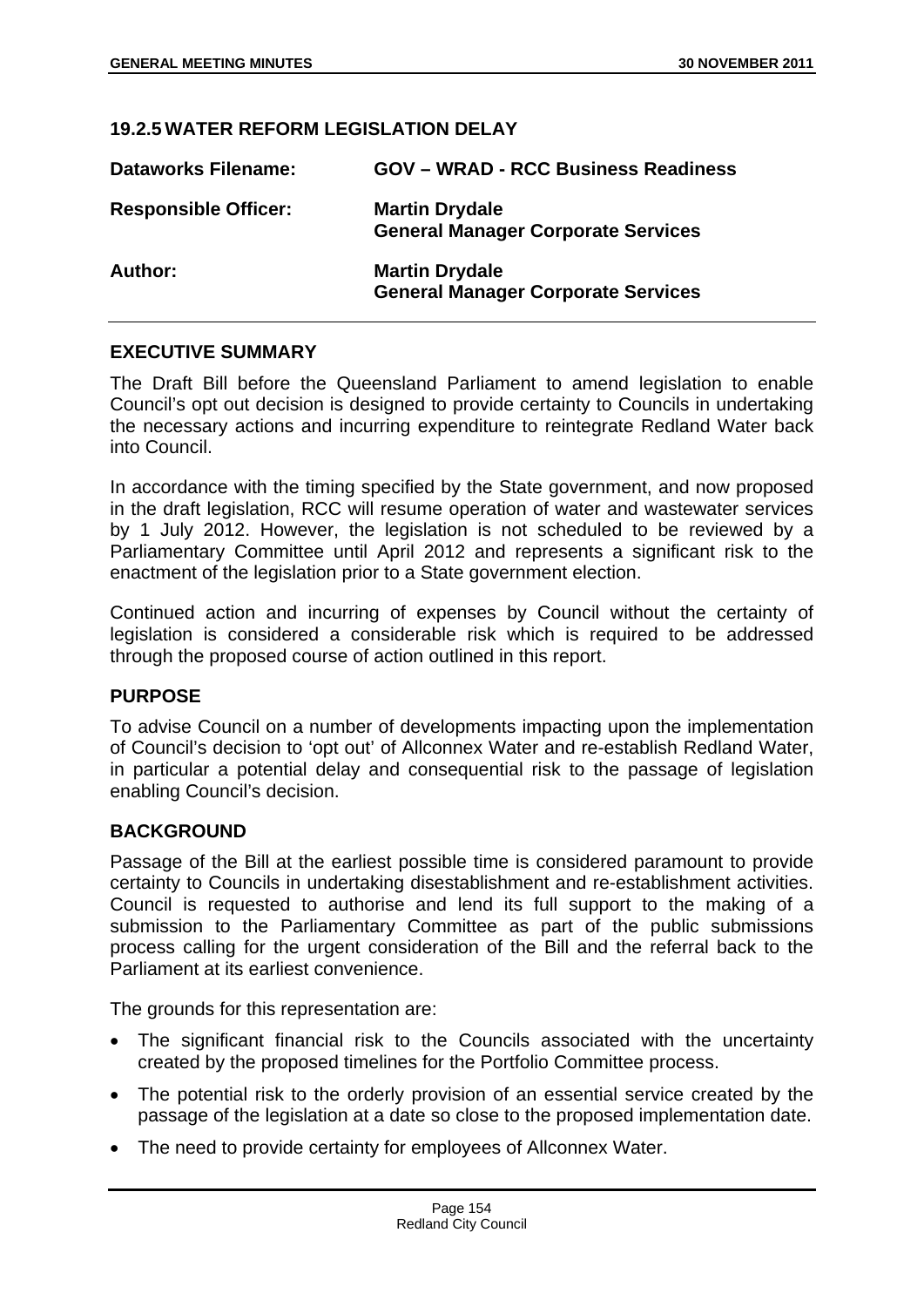## **19.2.5 WATER REFORM LEGISLATION DELAY**

| <b>Dataworks Filename:</b>  | <b>GOV - WRAD - RCC Business Readiness</b>                         |
|-----------------------------|--------------------------------------------------------------------|
| <b>Responsible Officer:</b> | <b>Martin Drydale</b><br><b>General Manager Corporate Services</b> |
| Author:                     | <b>Martin Drydale</b><br><b>General Manager Corporate Services</b> |

### **EXECUTIVE SUMMARY**

The Draft Bill before the Queensland Parliament to amend legislation to enable Council's opt out decision is designed to provide certainty to Councils in undertaking the necessary actions and incurring expenditure to reintegrate Redland Water back into Council.

In accordance with the timing specified by the State government, and now proposed in the draft legislation, RCC will resume operation of water and wastewater services by 1 July 2012. However, the legislation is not scheduled to be reviewed by a Parliamentary Committee until April 2012 and represents a significant risk to the enactment of the legislation prior to a State government election.

Continued action and incurring of expenses by Council without the certainty of legislation is considered a considerable risk which is required to be addressed through the proposed course of action outlined in this report.

#### **PURPOSE**

To advise Council on a number of developments impacting upon the implementation of Council's decision to 'opt out' of Allconnex Water and re-establish Redland Water, in particular a potential delay and consequential risk to the passage of legislation enabling Council's decision.

#### **BACKGROUND**

Passage of the Bill at the earliest possible time is considered paramount to provide certainty to Councils in undertaking disestablishment and re-establishment activities. Council is requested to authorise and lend its full support to the making of a submission to the Parliamentary Committee as part of the public submissions process calling for the urgent consideration of the Bill and the referral back to the Parliament at its earliest convenience.

The grounds for this representation are:

- The significant financial risk to the Councils associated with the uncertainty created by the proposed timelines for the Portfolio Committee process.
- The potential risk to the orderly provision of an essential service created by the passage of the legislation at a date so close to the proposed implementation date.
- The need to provide certainty for employees of Allconnex Water.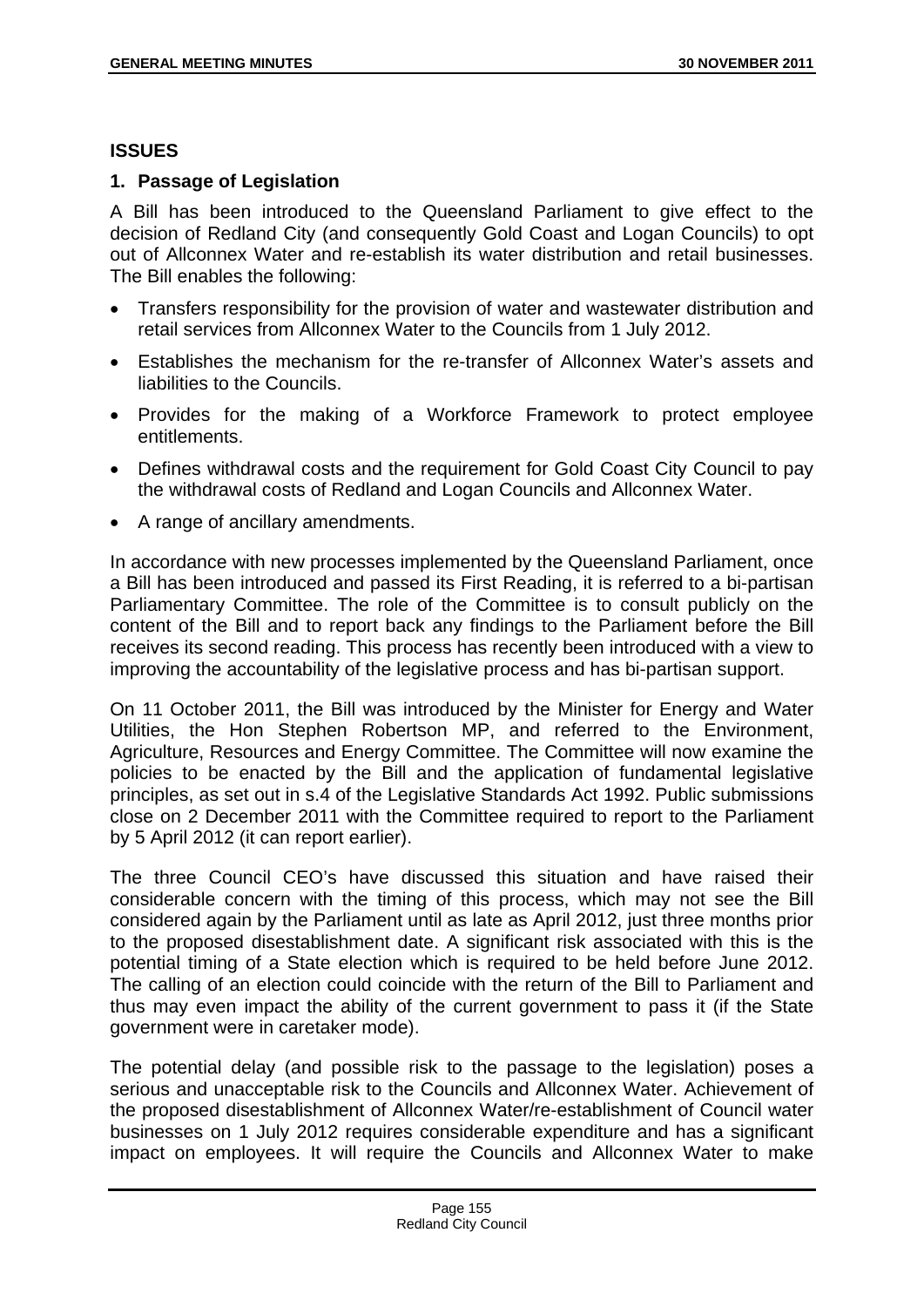### **ISSUES**

## **1. Passage of Legislation**

A Bill has been introduced to the Queensland Parliament to give effect to the decision of Redland City (and consequently Gold Coast and Logan Councils) to opt out of Allconnex Water and re-establish its water distribution and retail businesses. The Bill enables the following:

- Transfers responsibility for the provision of water and wastewater distribution and retail services from Allconnex Water to the Councils from 1 July 2012.
- Establishes the mechanism for the re-transfer of Allconnex Water's assets and liabilities to the Councils.
- Provides for the making of a Workforce Framework to protect employee entitlements.
- Defines withdrawal costs and the requirement for Gold Coast City Council to pay the withdrawal costs of Redland and Logan Councils and Allconnex Water.
- A range of ancillary amendments.

In accordance with new processes implemented by the Queensland Parliament, once a Bill has been introduced and passed its First Reading, it is referred to a bi-partisan Parliamentary Committee. The role of the Committee is to consult publicly on the content of the Bill and to report back any findings to the Parliament before the Bill receives its second reading. This process has recently been introduced with a view to improving the accountability of the legislative process and has bi-partisan support.

On 11 October 2011, the Bill was introduced by the Minister for Energy and Water Utilities, the Hon Stephen Robertson MP, and referred to the Environment, Agriculture, Resources and Energy Committee. The Committee will now examine the policies to be enacted by the Bill and the application of fundamental legislative principles, as set out in s.4 of the Legislative Standards Act 1992. Public submissions close on 2 December 2011 with the Committee required to report to the Parliament by 5 April 2012 (it can report earlier).

The three Council CEO's have discussed this situation and have raised their considerable concern with the timing of this process, which may not see the Bill considered again by the Parliament until as late as April 2012, just three months prior to the proposed disestablishment date. A significant risk associated with this is the potential timing of a State election which is required to be held before June 2012. The calling of an election could coincide with the return of the Bill to Parliament and thus may even impact the ability of the current government to pass it (if the State government were in caretaker mode).

The potential delay (and possible risk to the passage to the legislation) poses a serious and unacceptable risk to the Councils and Allconnex Water. Achievement of the proposed disestablishment of Allconnex Water/re-establishment of Council water businesses on 1 July 2012 requires considerable expenditure and has a significant impact on employees. It will require the Councils and Allconnex Water to make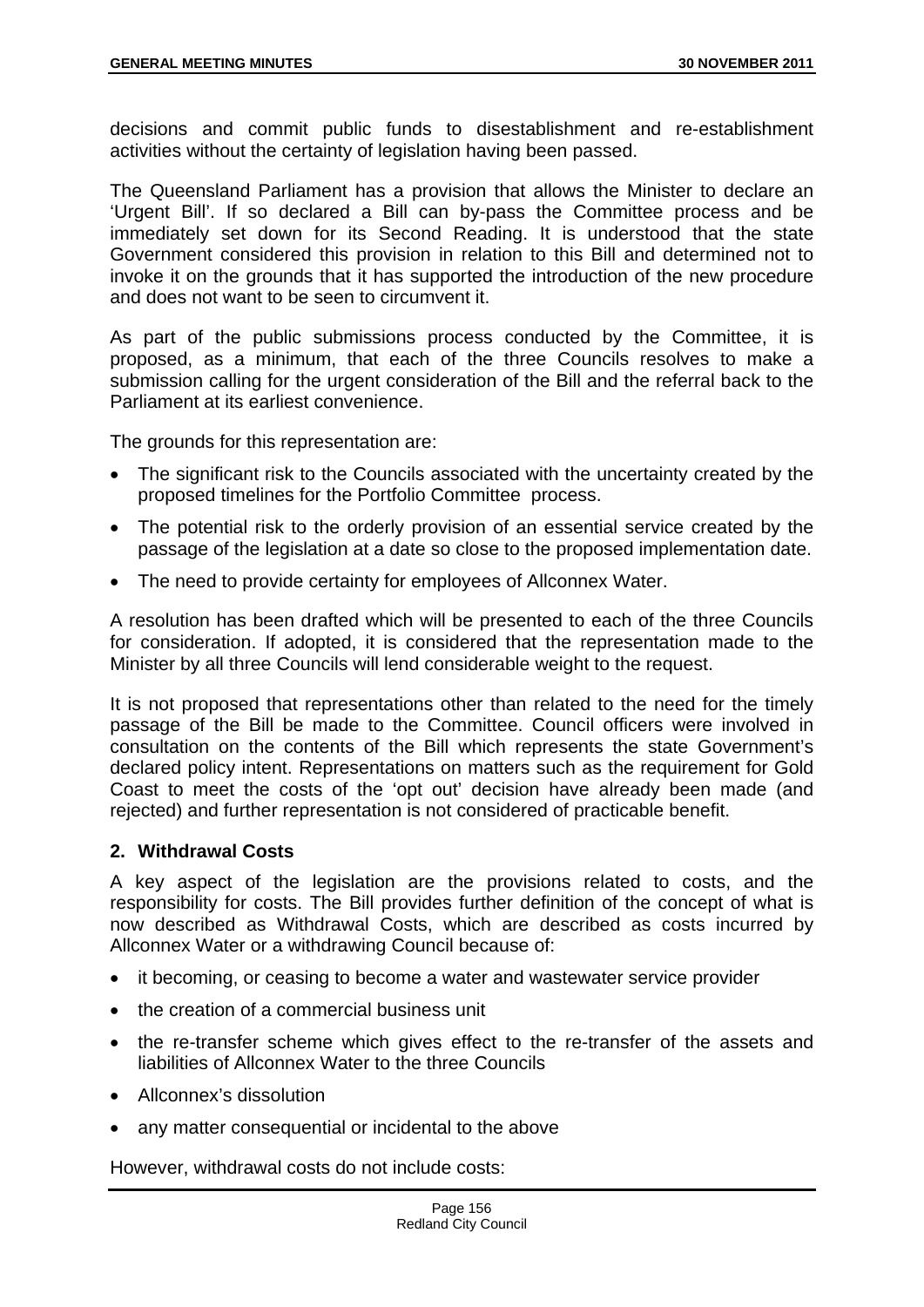decisions and commit public funds to disestablishment and re-establishment activities without the certainty of legislation having been passed.

The Queensland Parliament has a provision that allows the Minister to declare an 'Urgent Bill'. If so declared a Bill can by-pass the Committee process and be immediately set down for its Second Reading. It is understood that the state Government considered this provision in relation to this Bill and determined not to invoke it on the grounds that it has supported the introduction of the new procedure and does not want to be seen to circumvent it.

As part of the public submissions process conducted by the Committee, it is proposed, as a minimum, that each of the three Councils resolves to make a submission calling for the urgent consideration of the Bill and the referral back to the Parliament at its earliest convenience.

The grounds for this representation are:

- The significant risk to the Councils associated with the uncertainty created by the proposed timelines for the Portfolio Committee process.
- The potential risk to the orderly provision of an essential service created by the passage of the legislation at a date so close to the proposed implementation date.
- The need to provide certainty for employees of Allconnex Water.

A resolution has been drafted which will be presented to each of the three Councils for consideration. If adopted, it is considered that the representation made to the Minister by all three Councils will lend considerable weight to the request.

It is not proposed that representations other than related to the need for the timely passage of the Bill be made to the Committee. Council officers were involved in consultation on the contents of the Bill which represents the state Government's declared policy intent. Representations on matters such as the requirement for Gold Coast to meet the costs of the 'opt out' decision have already been made (and rejected) and further representation is not considered of practicable benefit.

## **2. Withdrawal Costs**

A key aspect of the legislation are the provisions related to costs, and the responsibility for costs. The Bill provides further definition of the concept of what is now described as Withdrawal Costs, which are described as costs incurred by Allconnex Water or a withdrawing Council because of:

- it becoming, or ceasing to become a water and wastewater service provider
- the creation of a commercial business unit
- the re-transfer scheme which gives effect to the re-transfer of the assets and liabilities of Allconnex Water to the three Councils
- Allconnex's dissolution
- any matter consequential or incidental to the above

However, withdrawal costs do not include costs: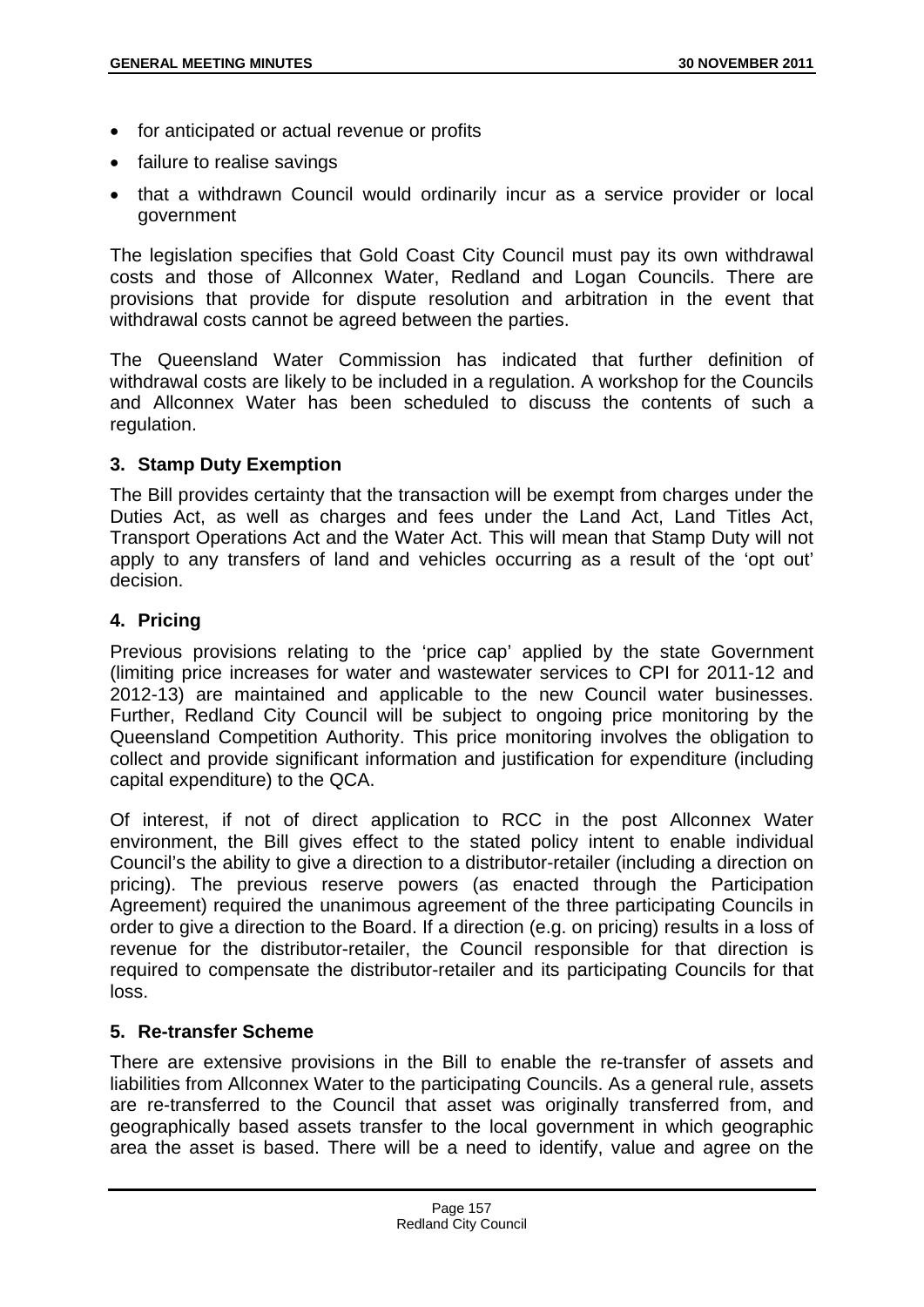- for anticipated or actual revenue or profits
- failure to realise savings
- that a withdrawn Council would ordinarily incur as a service provider or local government

The legislation specifies that Gold Coast City Council must pay its own withdrawal costs and those of Allconnex Water, Redland and Logan Councils. There are provisions that provide for dispute resolution and arbitration in the event that withdrawal costs cannot be agreed between the parties.

The Queensland Water Commission has indicated that further definition of withdrawal costs are likely to be included in a regulation. A workshop for the Councils and Allconnex Water has been scheduled to discuss the contents of such a regulation.

### **3. Stamp Duty Exemption**

The Bill provides certainty that the transaction will be exempt from charges under the Duties Act, as well as charges and fees under the Land Act, Land Titles Act, Transport Operations Act and the Water Act. This will mean that Stamp Duty will not apply to any transfers of land and vehicles occurring as a result of the 'opt out' decision.

### **4. Pricing**

Previous provisions relating to the 'price cap' applied by the state Government (limiting price increases for water and wastewater services to CPI for 2011-12 and 2012-13) are maintained and applicable to the new Council water businesses. Further, Redland City Council will be subject to ongoing price monitoring by the Queensland Competition Authority. This price monitoring involves the obligation to collect and provide significant information and justification for expenditure (including capital expenditure) to the QCA.

Of interest, if not of direct application to RCC in the post Allconnex Water environment, the Bill gives effect to the stated policy intent to enable individual Council's the ability to give a direction to a distributor-retailer (including a direction on pricing). The previous reserve powers (as enacted through the Participation Agreement) required the unanimous agreement of the three participating Councils in order to give a direction to the Board. If a direction (e.g. on pricing) results in a loss of revenue for the distributor-retailer, the Council responsible for that direction is required to compensate the distributor-retailer and its participating Councils for that loss.

## **5. Re-transfer Scheme**

There are extensive provisions in the Bill to enable the re-transfer of assets and liabilities from Allconnex Water to the participating Councils. As a general rule, assets are re-transferred to the Council that asset was originally transferred from, and geographically based assets transfer to the local government in which geographic area the asset is based. There will be a need to identify, value and agree on the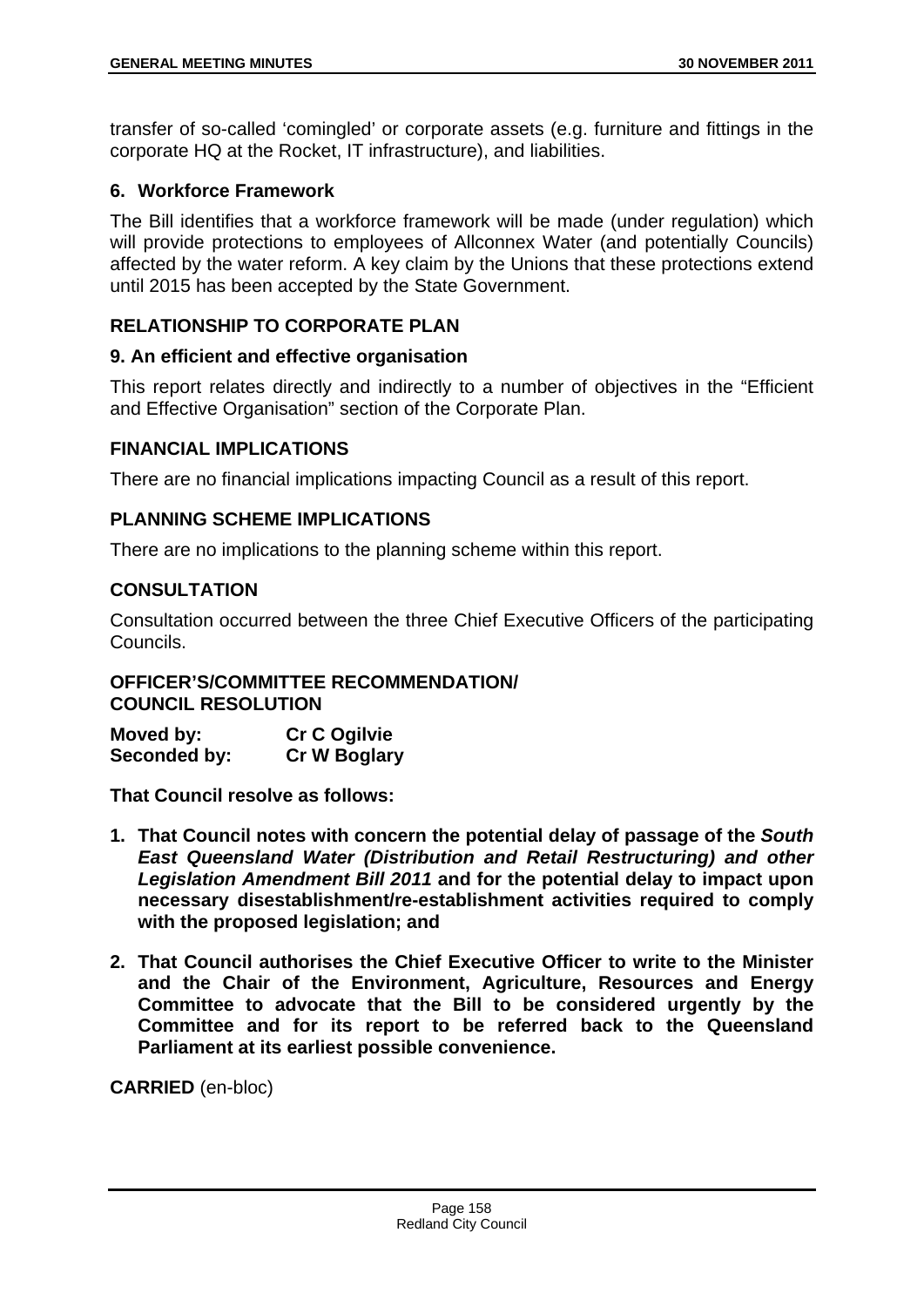transfer of so-called 'comingled' or corporate assets (e.g. furniture and fittings in the corporate HQ at the Rocket, IT infrastructure), and liabilities.

## **6. Workforce Framework**

The Bill identifies that a workforce framework will be made (under regulation) which will provide protections to employees of Allconnex Water (and potentially Councils) affected by the water reform. A key claim by the Unions that these protections extend until 2015 has been accepted by the State Government.

# **RELATIONSHIP TO CORPORATE PLAN**

## **9. An efficient and effective organisation**

This report relates directly and indirectly to a number of objectives in the "Efficient and Effective Organisation" section of the Corporate Plan.

## **FINANCIAL IMPLICATIONS**

There are no financial implications impacting Council as a result of this report.

## **PLANNING SCHEME IMPLICATIONS**

There are no implications to the planning scheme within this report.

# **CONSULTATION**

Consultation occurred between the three Chief Executive Officers of the participating Councils.

## **OFFICER'S/COMMITTEE RECOMMENDATION/ COUNCIL RESOLUTION**

| Moved by:    | <b>Cr C Ogilvie</b> |
|--------------|---------------------|
| Seconded by: | <b>Cr W Boglary</b> |

**That Council resolve as follows:** 

- **1. That Council notes with concern the potential delay of passage of the** *South East Queensland Water (Distribution and Retail Restructuring) and other Legislation Amendment Bill 2011* **and for the potential delay to impact upon necessary disestablishment/re-establishment activities required to comply with the proposed legislation; and**
- **2. That Council authorises the Chief Executive Officer to write to the Minister and the Chair of the Environment, Agriculture, Resources and Energy Committee to advocate that the Bill to be considered urgently by the Committee and for its report to be referred back to the Queensland Parliament at its earliest possible convenience.**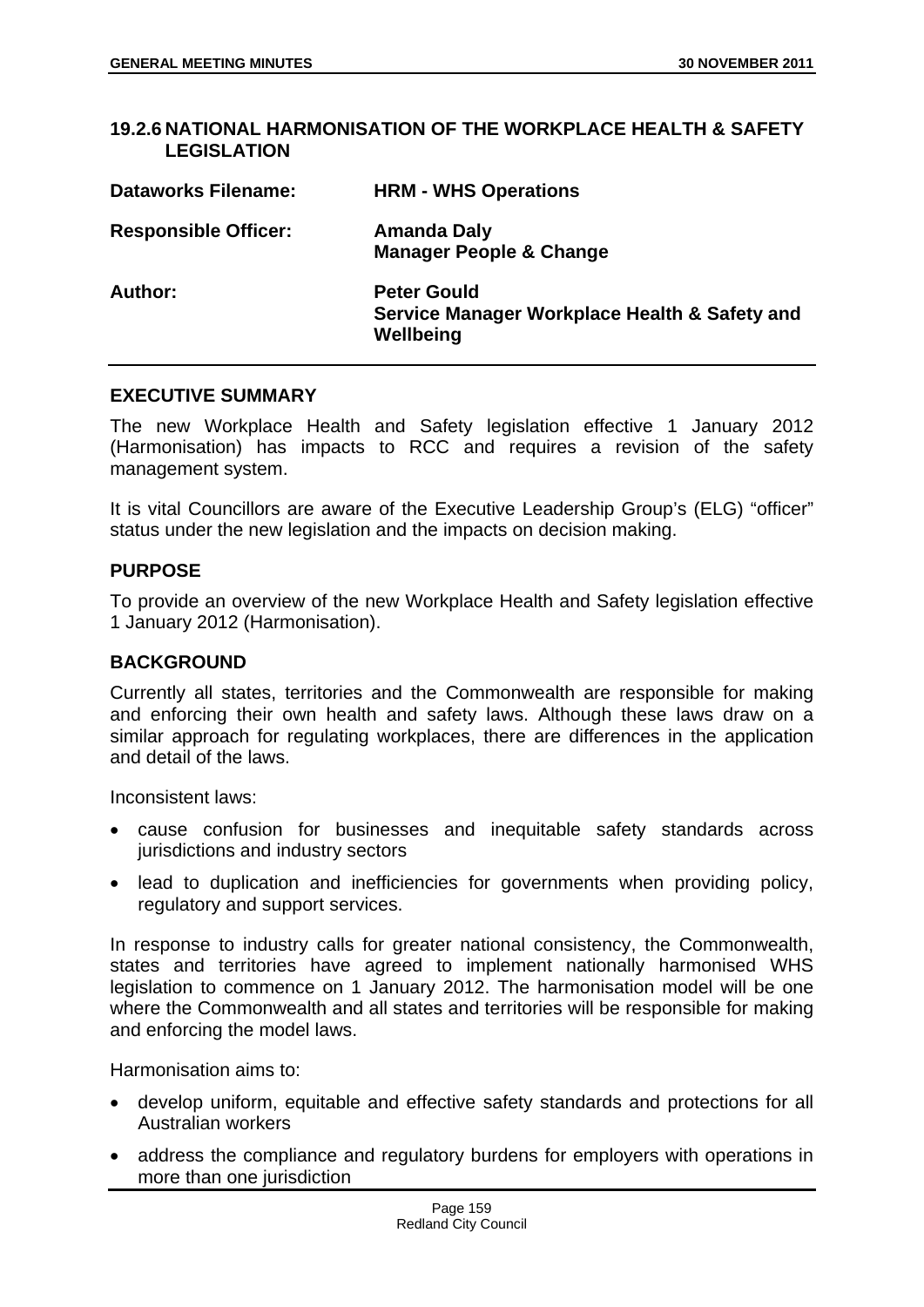| <b>LEGISLATION</b>          | ו זאט אוויראט וואט אין אינט אין דער וויך וואסווירן וואסווירן וואסווירן ווידער אין דער היידע ווידער ווידער וויד |
|-----------------------------|----------------------------------------------------------------------------------------------------------------|
| <b>Dataworks Filename:</b>  | <b>HRM - WHS Operations</b>                                                                                    |
| <b>Responsible Officer:</b> | <b>Amanda Daly</b><br><b>Manager People &amp; Change</b>                                                       |
| Author:                     | <b>Peter Gould</b><br>Service Manager Workplace Health & Safety and<br>Wellbeing                               |

**19.2.6 NATIONAL HARMONISATION OF THE WORKPLACE HEALTH & SAFETY** 

### **EXECUTIVE SUMMARY**

The new Workplace Health and Safety legislation effective 1 January 2012 (Harmonisation) has impacts to RCC and requires a revision of the safety management system.

It is vital Councillors are aware of the Executive Leadership Group's (ELG) "officer" status under the new legislation and the impacts on decision making.

### **PURPOSE**

To provide an overview of the new Workplace Health and Safety legislation effective 1 January 2012 (Harmonisation).

#### **BACKGROUND**

Currently all states, territories and the Commonwealth are responsible for making and enforcing their own health and safety laws. Although these laws draw on a similar approach for regulating workplaces, there are differences in the application and detail of the laws.

Inconsistent laws:

- cause confusion for businesses and inequitable safety standards across jurisdictions and industry sectors
- lead to duplication and inefficiencies for governments when providing policy, regulatory and support services.

In response to industry calls for greater national consistency, the Commonwealth, states and territories have agreed to implement nationally harmonised WHS legislation to commence on 1 January 2012. The harmonisation model will be one where the Commonwealth and all states and territories will be responsible for making and enforcing the model laws.

Harmonisation aims to:

- develop uniform, equitable and effective safety standards and protections for all Australian workers
- address the compliance and regulatory burdens for employers with operations in more than one jurisdiction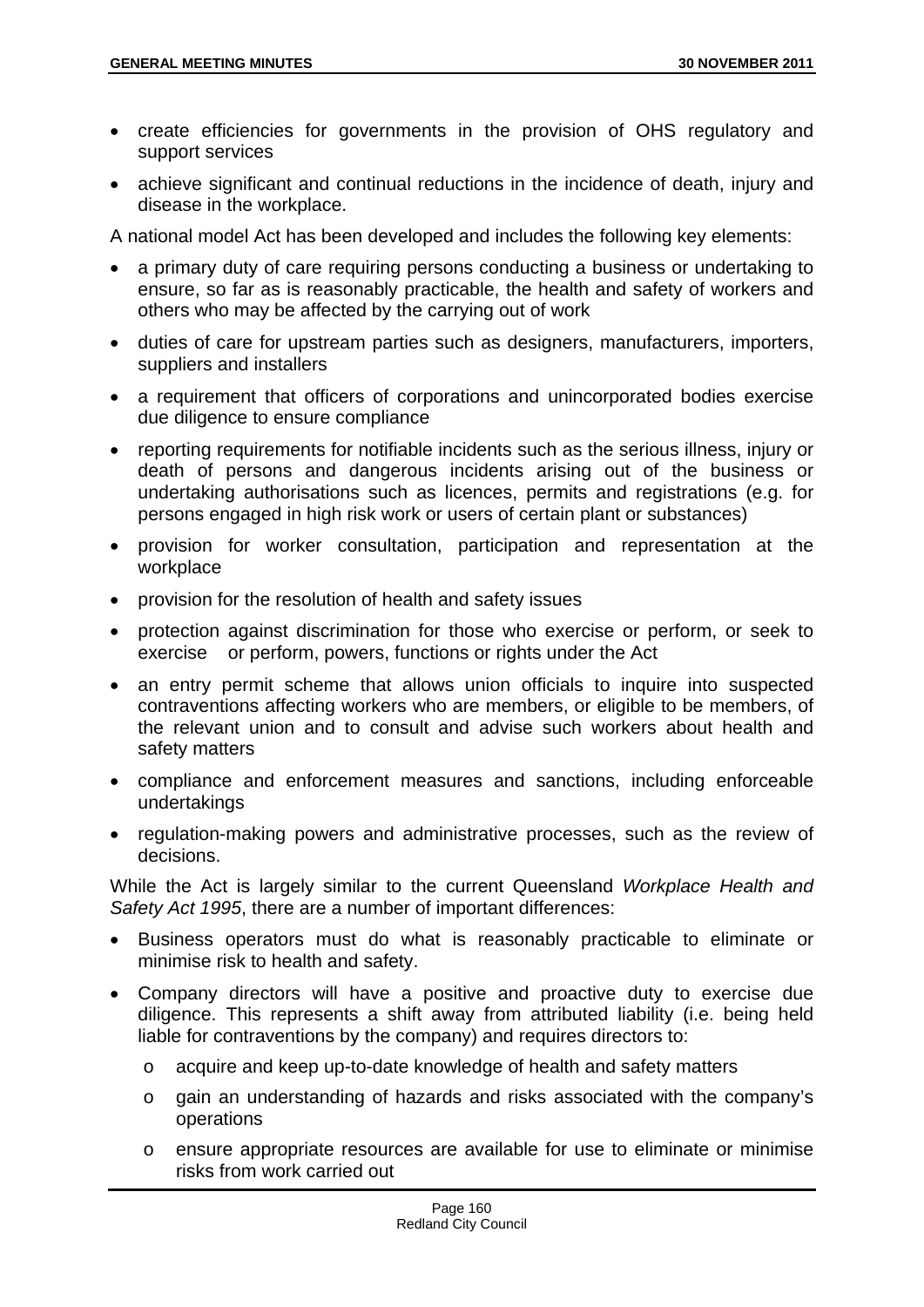- create efficiencies for governments in the provision of OHS regulatory and support services
- achieve significant and continual reductions in the incidence of death, injury and disease in the workplace.

A national model Act has been developed and includes the following key elements:

- a primary duty of care requiring persons conducting a business or undertaking to ensure, so far as is reasonably practicable, the health and safety of workers and others who may be affected by the carrying out of work
- duties of care for upstream parties such as designers, manufacturers, importers, suppliers and installers
- a requirement that officers of corporations and unincorporated bodies exercise due diligence to ensure compliance
- reporting requirements for notifiable incidents such as the serious illness, injury or death of persons and dangerous incidents arising out of the business or undertaking authorisations such as licences, permits and registrations (e.g. for persons engaged in high risk work or users of certain plant or substances)
- provision for worker consultation, participation and representation at the workplace
- provision for the resolution of health and safety issues
- protection against discrimination for those who exercise or perform, or seek to exercise or perform, powers, functions or rights under the Act
- an entry permit scheme that allows union officials to inquire into suspected contraventions affecting workers who are members, or eligible to be members, of the relevant union and to consult and advise such workers about health and safety matters
- compliance and enforcement measures and sanctions, including enforceable undertakings
- regulation-making powers and administrative processes, such as the review of decisions.

While the Act is largely similar to the current Queensland *Workplace Health and Safety Act 1995*, there are a number of important differences:

- Business operators must do what is reasonably practicable to eliminate or minimise risk to health and safety.
- Company directors will have a positive and proactive duty to exercise due diligence. This represents a shift away from attributed liability (i.e. being held liable for contraventions by the company) and requires directors to:
	- o acquire and keep up-to-date knowledge of health and safety matters
	- o gain an understanding of hazards and risks associated with the company's operations
	- o ensure appropriate resources are available for use to eliminate or minimise risks from work carried out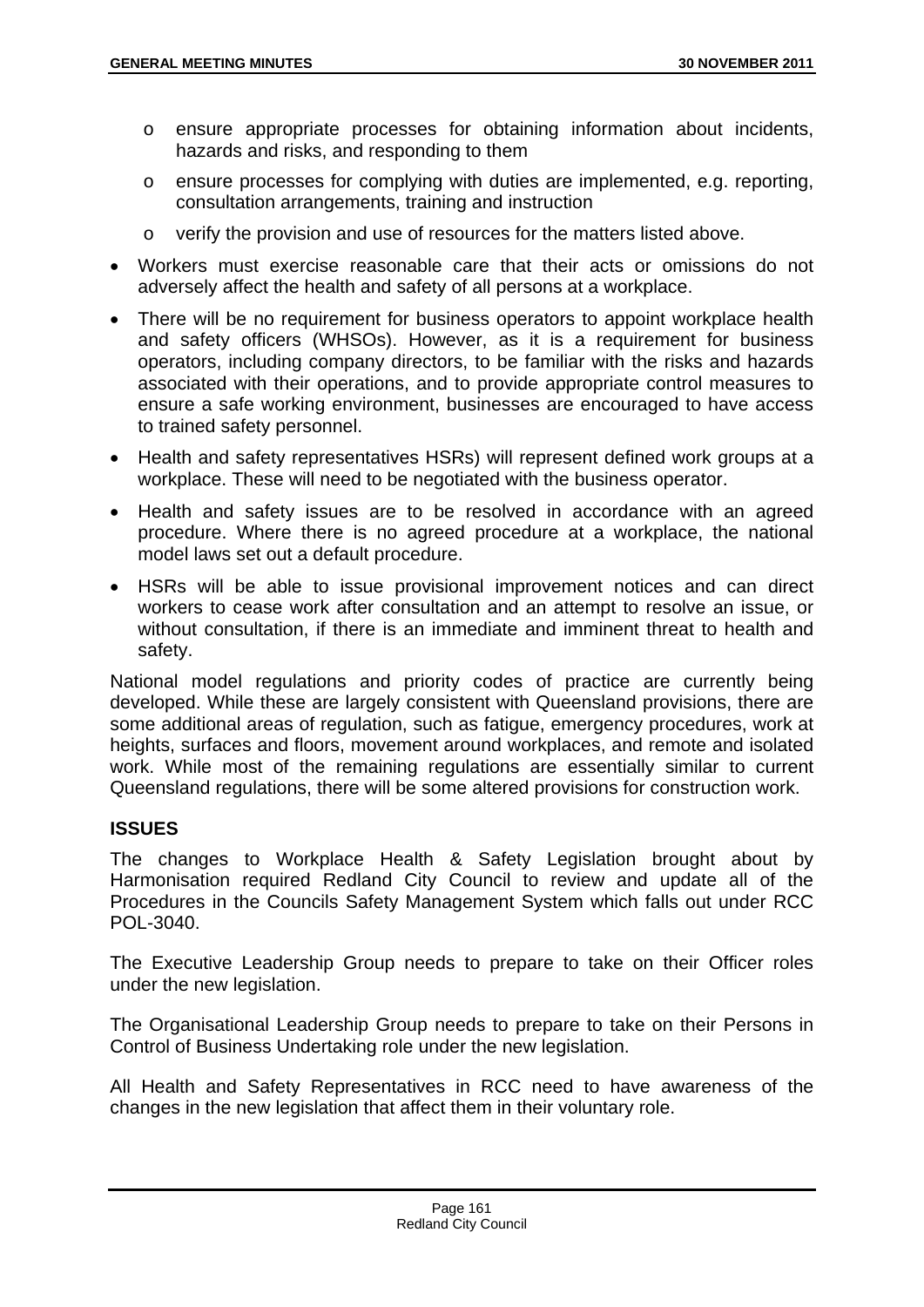- o ensure appropriate processes for obtaining information about incidents, hazards and risks, and responding to them
- o ensure processes for complying with duties are implemented, e.g. reporting, consultation arrangements, training and instruction
- o verify the provision and use of resources for the matters listed above.
- Workers must exercise reasonable care that their acts or omissions do not adversely affect the health and safety of all persons at a workplace.
- There will be no requirement for business operators to appoint workplace health and safety officers (WHSOs). However, as it is a requirement for business operators, including company directors, to be familiar with the risks and hazards associated with their operations, and to provide appropriate control measures to ensure a safe working environment, businesses are encouraged to have access to trained safety personnel.
- Health and safety representatives HSRs) will represent defined work groups at a workplace. These will need to be negotiated with the business operator.
- Health and safety issues are to be resolved in accordance with an agreed procedure. Where there is no agreed procedure at a workplace, the national model laws set out a default procedure.
- HSRs will be able to issue provisional improvement notices and can direct workers to cease work after consultation and an attempt to resolve an issue, or without consultation, if there is an immediate and imminent threat to health and safety.

National model regulations and priority codes of practice are currently being developed. While these are largely consistent with Queensland provisions, there are some additional areas of regulation, such as fatigue, emergency procedures, work at heights, surfaces and floors, movement around workplaces, and remote and isolated work. While most of the remaining regulations are essentially similar to current Queensland regulations, there will be some altered provisions for construction work.

## **ISSUES**

The changes to Workplace Health & Safety Legislation brought about by Harmonisation required Redland City Council to review and update all of the Procedures in the Councils Safety Management System which falls out under RCC POL-3040.

The Executive Leadership Group needs to prepare to take on their Officer roles under the new legislation.

The Organisational Leadership Group needs to prepare to take on their Persons in Control of Business Undertaking role under the new legislation.

All Health and Safety Representatives in RCC need to have awareness of the changes in the new legislation that affect them in their voluntary role.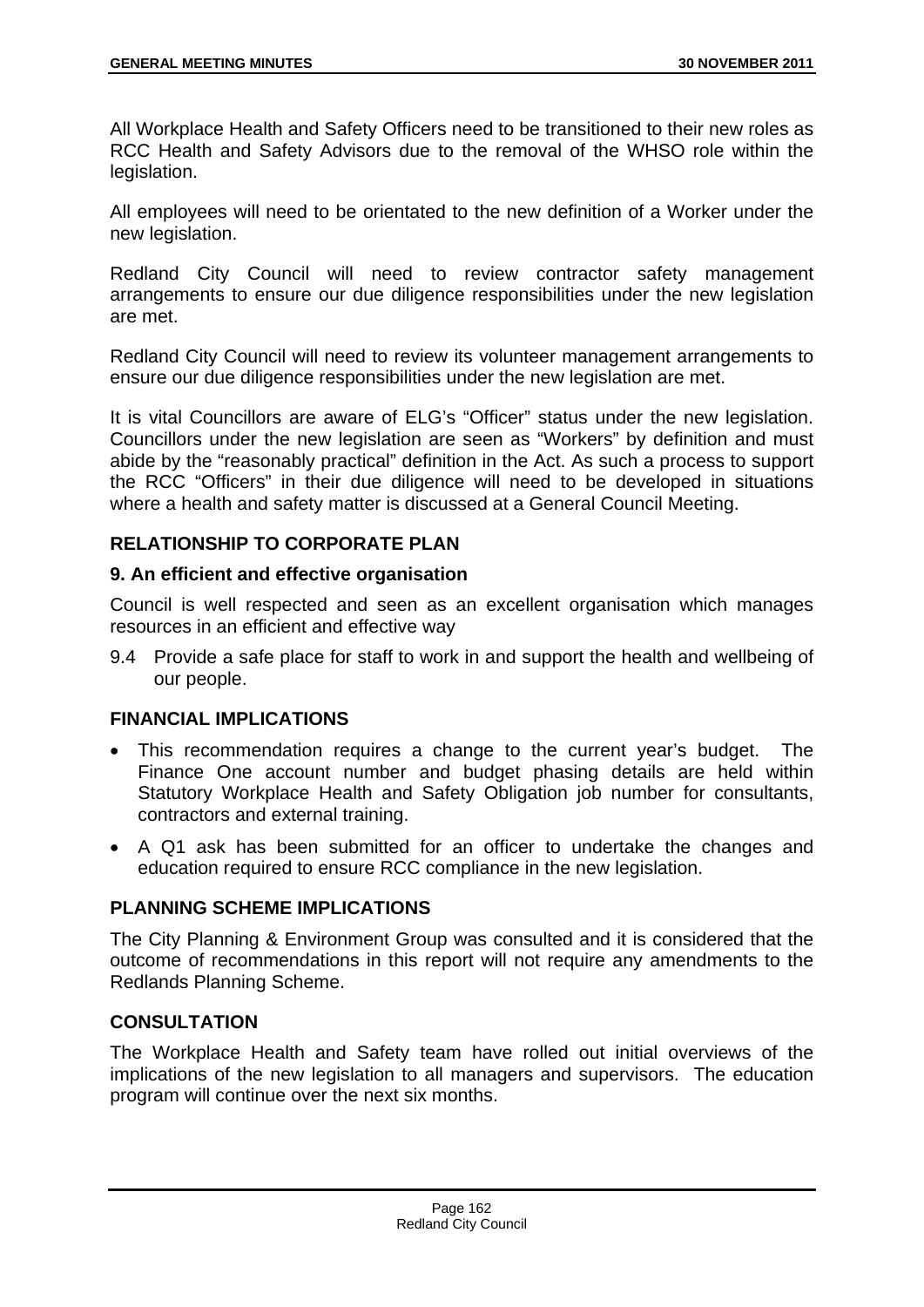All Workplace Health and Safety Officers need to be transitioned to their new roles as RCC Health and Safety Advisors due to the removal of the WHSO role within the legislation.

All employees will need to be orientated to the new definition of a Worker under the new legislation.

Redland City Council will need to review contractor safety management arrangements to ensure our due diligence responsibilities under the new legislation are met.

Redland City Council will need to review its volunteer management arrangements to ensure our due diligence responsibilities under the new legislation are met.

It is vital Councillors are aware of ELG's "Officer" status under the new legislation. Councillors under the new legislation are seen as "Workers" by definition and must abide by the "reasonably practical" definition in the Act. As such a process to support the RCC "Officers" in their due diligence will need to be developed in situations where a health and safety matter is discussed at a General Council Meeting.

# **RELATIONSHIP TO CORPORATE PLAN**

## **9. An efficient and effective organisation**

Council is well respected and seen as an excellent organisation which manages resources in an efficient and effective way

9.4 Provide a safe place for staff to work in and support the health and wellbeing of our people.

## **FINANCIAL IMPLICATIONS**

- This recommendation requires a change to the current year's budget. The Finance One account number and budget phasing details are held within Statutory Workplace Health and Safety Obligation job number for consultants, contractors and external training.
- A Q1 ask has been submitted for an officer to undertake the changes and education required to ensure RCC compliance in the new legislation.

## **PLANNING SCHEME IMPLICATIONS**

The City Planning & Environment Group was consulted and it is considered that the outcome of recommendations in this report will not require any amendments to the Redlands Planning Scheme.

## **CONSULTATION**

The Workplace Health and Safety team have rolled out initial overviews of the implications of the new legislation to all managers and supervisors. The education program will continue over the next six months.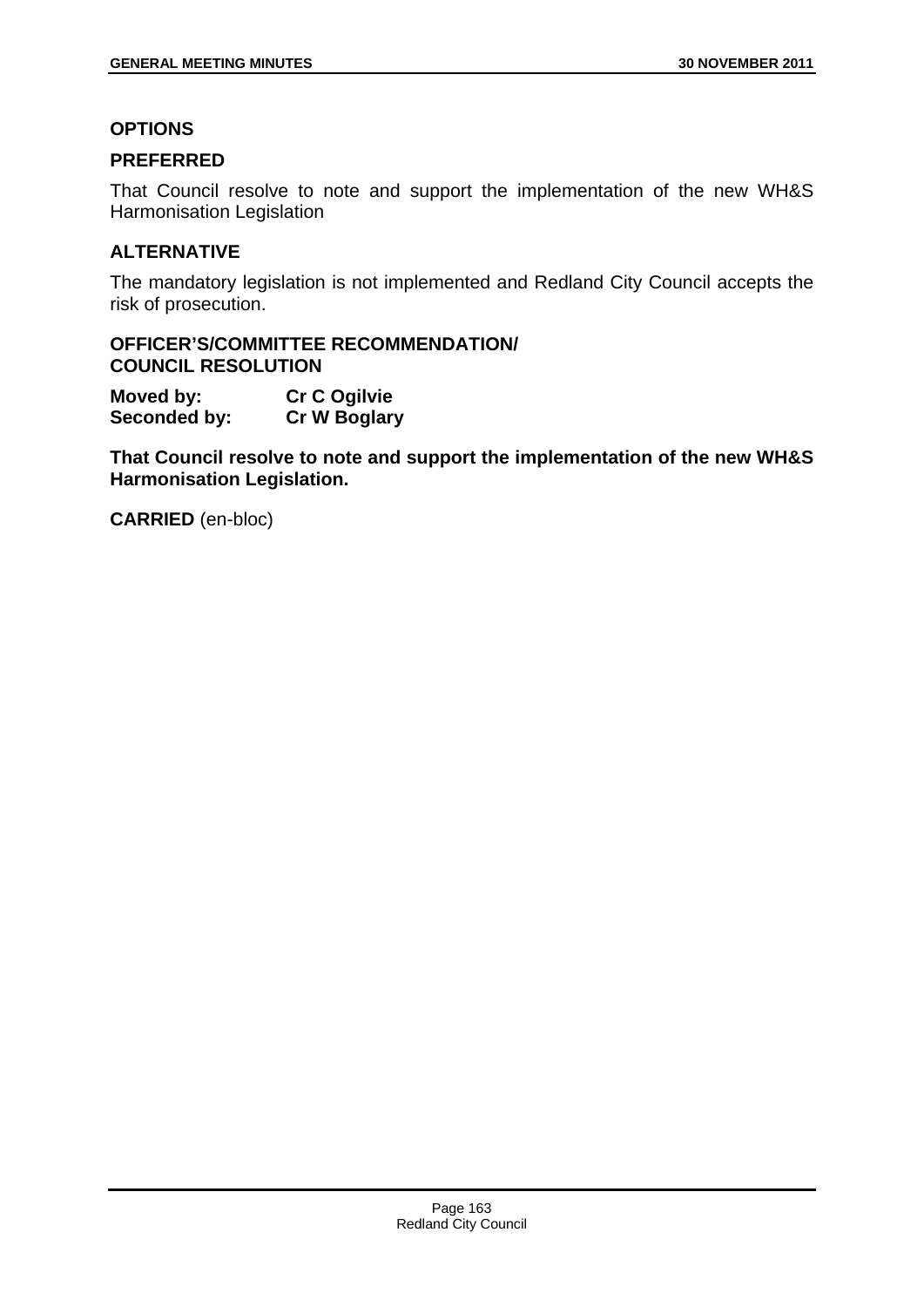## **OPTIONS**

# **PREFERRED**

That Council resolve to note and support the implementation of the new WH&S Harmonisation Legislation

# **ALTERNATIVE**

The mandatory legislation is not implemented and Redland City Council accepts the risk of prosecution.

## **OFFICER'S/COMMITTEE RECOMMENDATION/ COUNCIL RESOLUTION**

**Moved by: Cr C Ogilvie Seconded by: Cr W Boglary** 

**That Council resolve to note and support the implementation of the new WH&S Harmonisation Legislation.**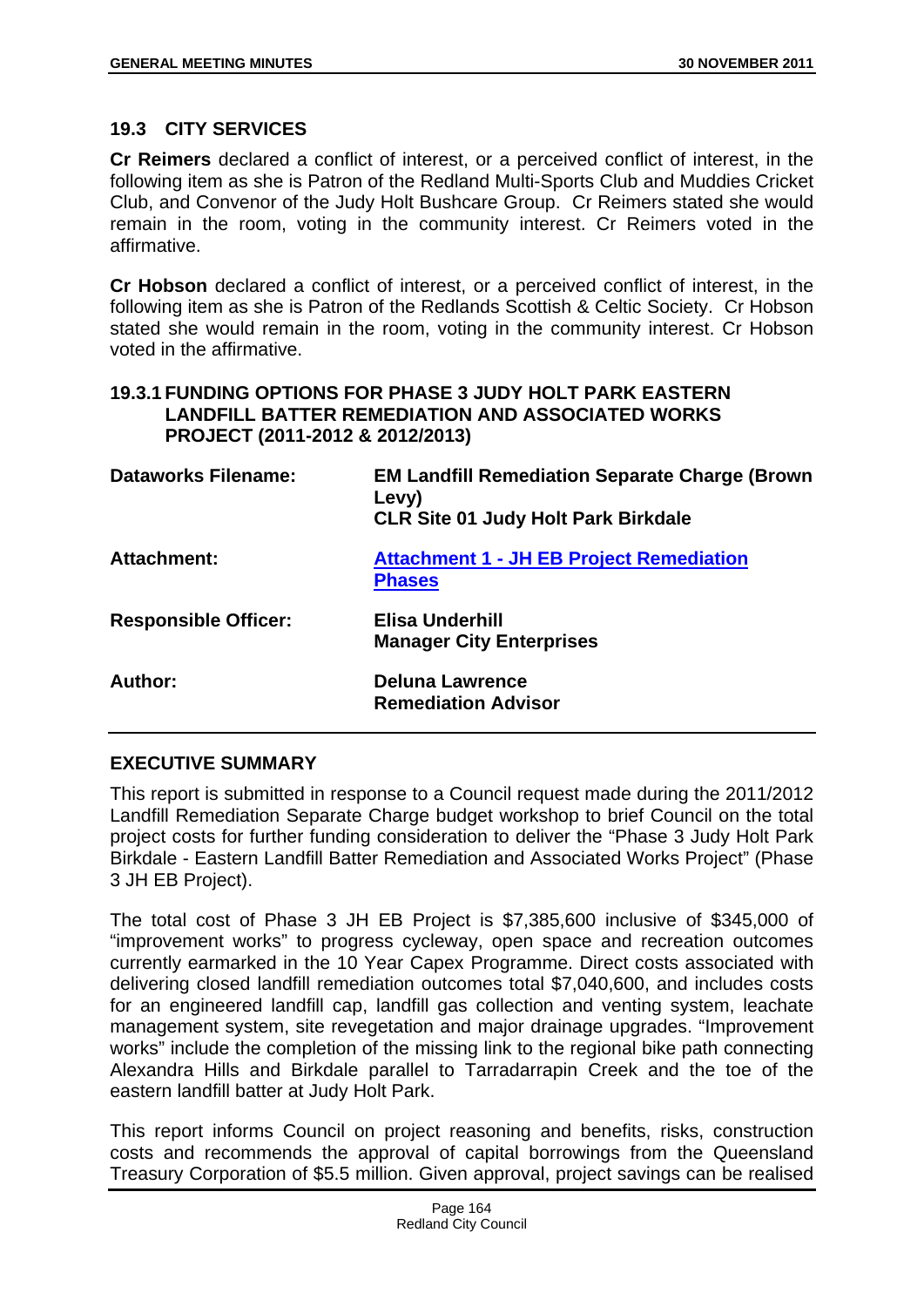## **19.3 CITY SERVICES**

**Cr Reimers** declared a conflict of interest, or a perceived conflict of interest, in the following item as she is Patron of the Redland Multi-Sports Club and Muddies Cricket Club, and Convenor of the Judy Holt Bushcare Group. Cr Reimers stated she would remain in the room, voting in the community interest. Cr Reimers voted in the affirmative.

**Cr Hobson** declared a conflict of interest, or a perceived conflict of interest, in the following item as she is Patron of the Redlands Scottish & Celtic Society. Cr Hobson stated she would remain in the room, voting in the community interest. Cr Hobson voted in the affirmative.

## **19.3.1 FUNDING OPTIONS FOR PHASE 3 JUDY HOLT PARK EASTERN LANDFILL BATTER REMEDIATION AND ASSOCIATED WORKS PROJECT (2011-2012 & 2012/2013)**

| <b>Dataworks Filename:</b>  | <b>EM Landfill Remediation Separate Charge (Brown</b><br>Levy)<br><b>CLR Site 01 Judy Holt Park Birkdale</b> |
|-----------------------------|--------------------------------------------------------------------------------------------------------------|
| Attachment:                 | <b>Attachment 1 - JH EB Project Remediation</b><br><b>Phases</b>                                             |
| <b>Responsible Officer:</b> | Elisa Underhill<br><b>Manager City Enterprises</b>                                                           |
| Author:                     | <b>Deluna Lawrence</b><br><b>Remediation Advisor</b>                                                         |

## **EXECUTIVE SUMMARY**

This report is submitted in response to a Council request made during the 2011/2012 Landfill Remediation Separate Charge budget workshop to brief Council on the total project costs for further funding consideration to deliver the "Phase 3 Judy Holt Park Birkdale - Eastern Landfill Batter Remediation and Associated Works Project" (Phase 3 JH EB Project).

The total cost of Phase 3 JH EB Project is \$7,385,600 inclusive of \$345,000 of "improvement works" to progress cycleway, open space and recreation outcomes currently earmarked in the 10 Year Capex Programme. Direct costs associated with delivering closed landfill remediation outcomes total \$7,040,600, and includes costs for an engineered landfill cap, landfill gas collection and venting system, leachate management system, site revegetation and major drainage upgrades. "Improvement works" include the completion of the missing link to the regional bike path connecting Alexandra Hills and Birkdale parallel to Tarradarrapin Creek and the toe of the eastern landfill batter at Judy Holt Park.

This report informs Council on project reasoning and benefits, risks, construction costs and recommends the approval of capital borrowings from the Queensland Treasury Corporation of \$5.5 million. Given approval, project savings can be realised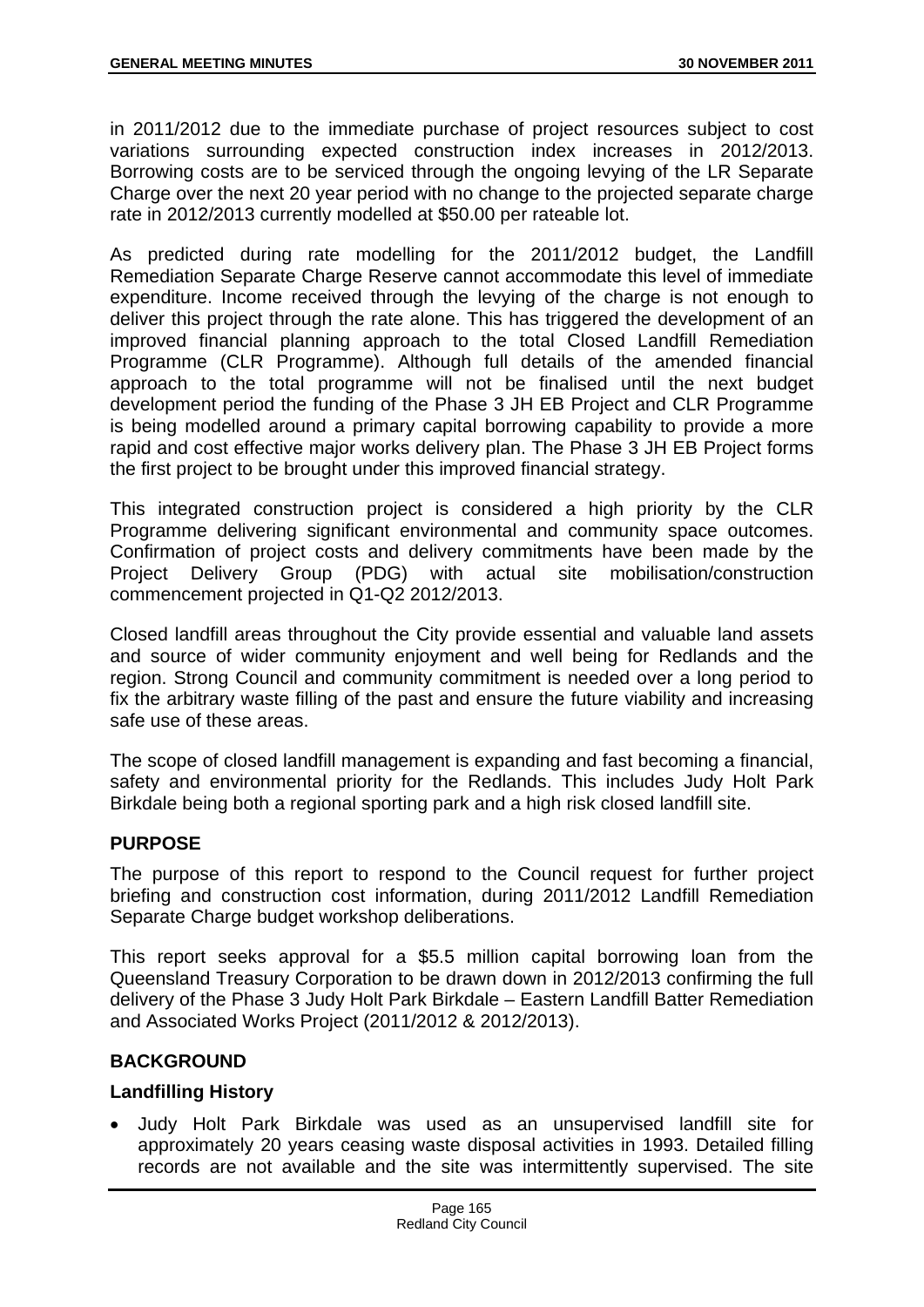in 2011/2012 due to the immediate purchase of project resources subject to cost variations surrounding expected construction index increases in 2012/2013. Borrowing costs are to be serviced through the ongoing levying of the LR Separate Charge over the next 20 year period with no change to the projected separate charge rate in 2012/2013 currently modelled at \$50.00 per rateable lot.

As predicted during rate modelling for the 2011/2012 budget, the Landfill Remediation Separate Charge Reserve cannot accommodate this level of immediate expenditure. Income received through the levying of the charge is not enough to deliver this project through the rate alone. This has triggered the development of an improved financial planning approach to the total Closed Landfill Remediation Programme (CLR Programme). Although full details of the amended financial approach to the total programme will not be finalised until the next budget development period the funding of the Phase 3 JH EB Project and CLR Programme is being modelled around a primary capital borrowing capability to provide a more rapid and cost effective major works delivery plan. The Phase 3 JH EB Project forms the first project to be brought under this improved financial strategy.

This integrated construction project is considered a high priority by the CLR Programme delivering significant environmental and community space outcomes. Confirmation of project costs and delivery commitments have been made by the Project Delivery Group (PDG) with actual site mobilisation/construction commencement projected in Q1-Q2 2012/2013.

Closed landfill areas throughout the City provide essential and valuable land assets and source of wider community enjoyment and well being for Redlands and the region. Strong Council and community commitment is needed over a long period to fix the arbitrary waste filling of the past and ensure the future viability and increasing safe use of these areas.

The scope of closed landfill management is expanding and fast becoming a financial, safety and environmental priority for the Redlands. This includes Judy Holt Park Birkdale being both a regional sporting park and a high risk closed landfill site.

## **PURPOSE**

The purpose of this report to respond to the Council request for further project briefing and construction cost information, during 2011/2012 Landfill Remediation Separate Charge budget workshop deliberations.

This report seeks approval for a \$5.5 million capital borrowing loan from the Queensland Treasury Corporation to be drawn down in 2012/2013 confirming the full delivery of the Phase 3 Judy Holt Park Birkdale – Eastern Landfill Batter Remediation and Associated Works Project (2011/2012 & 2012/2013).

## **BACKGROUND**

## **Landfilling History**

 Judy Holt Park Birkdale was used as an unsupervised landfill site for approximately 20 years ceasing waste disposal activities in 1993. Detailed filling records are not available and the site was intermittently supervised. The site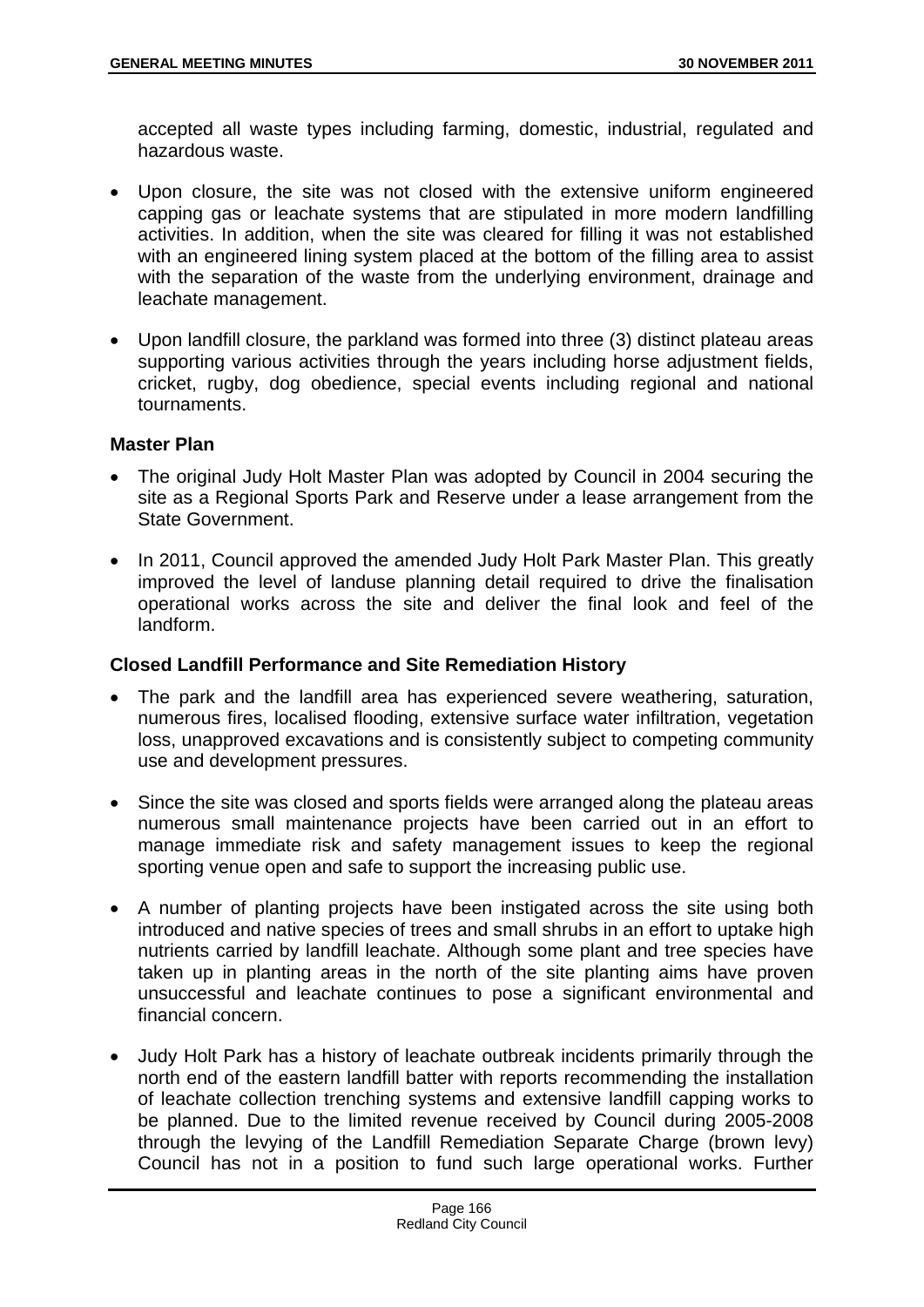accepted all waste types including farming, domestic, industrial, regulated and hazardous waste.

- Upon closure, the site was not closed with the extensive uniform engineered capping gas or leachate systems that are stipulated in more modern landfilling activities. In addition, when the site was cleared for filling it was not established with an engineered lining system placed at the bottom of the filling area to assist with the separation of the waste from the underlying environment, drainage and leachate management.
- Upon landfill closure, the parkland was formed into three (3) distinct plateau areas supporting various activities through the years including horse adjustment fields, cricket, rugby, dog obedience, special events including regional and national tournaments.

### **Master Plan**

- The original Judy Holt Master Plan was adopted by Council in 2004 securing the site as a Regional Sports Park and Reserve under a lease arrangement from the State Government.
- In 2011, Council approved the amended Judy Holt Park Master Plan. This greatly improved the level of landuse planning detail required to drive the finalisation operational works across the site and deliver the final look and feel of the landform.

## **Closed Landfill Performance and Site Remediation History**

- The park and the landfill area has experienced severe weathering, saturation, numerous fires, localised flooding, extensive surface water infiltration, vegetation loss, unapproved excavations and is consistently subject to competing community use and development pressures.
- Since the site was closed and sports fields were arranged along the plateau areas numerous small maintenance projects have been carried out in an effort to manage immediate risk and safety management issues to keep the regional sporting venue open and safe to support the increasing public use.
- A number of planting projects have been instigated across the site using both introduced and native species of trees and small shrubs in an effort to uptake high nutrients carried by landfill leachate. Although some plant and tree species have taken up in planting areas in the north of the site planting aims have proven unsuccessful and leachate continues to pose a significant environmental and financial concern.
- Judy Holt Park has a history of leachate outbreak incidents primarily through the north end of the eastern landfill batter with reports recommending the installation of leachate collection trenching systems and extensive landfill capping works to be planned. Due to the limited revenue received by Council during 2005-2008 through the levying of the Landfill Remediation Separate Charge (brown levy) Council has not in a position to fund such large operational works. Further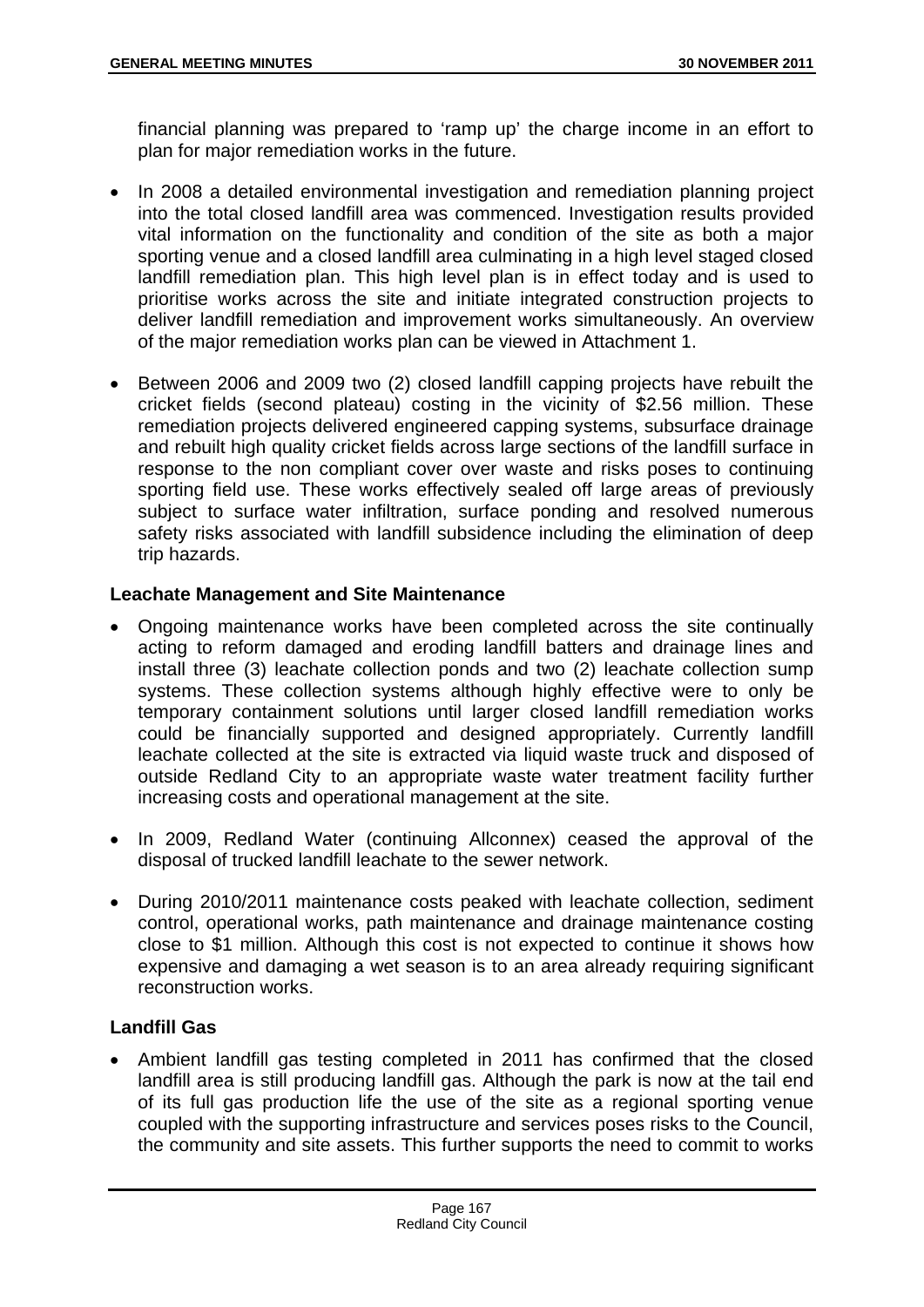financial planning was prepared to 'ramp up' the charge income in an effort to plan for major remediation works in the future.

- In 2008 a detailed environmental investigation and remediation planning project into the total closed landfill area was commenced. Investigation results provided vital information on the functionality and condition of the site as both a major sporting venue and a closed landfill area culminating in a high level staged closed landfill remediation plan. This high level plan is in effect today and is used to prioritise works across the site and initiate integrated construction projects to deliver landfill remediation and improvement works simultaneously. An overview of the major remediation works plan can be viewed in Attachment 1.
- Between 2006 and 2009 two (2) closed landfill capping projects have rebuilt the cricket fields (second plateau) costing in the vicinity of \$2.56 million. These remediation projects delivered engineered capping systems, subsurface drainage and rebuilt high quality cricket fields across large sections of the landfill surface in response to the non compliant cover over waste and risks poses to continuing sporting field use. These works effectively sealed off large areas of previously subject to surface water infiltration, surface ponding and resolved numerous safety risks associated with landfill subsidence including the elimination of deep trip hazards.

## **Leachate Management and Site Maintenance**

- Ongoing maintenance works have been completed across the site continually acting to reform damaged and eroding landfill batters and drainage lines and install three (3) leachate collection ponds and two (2) leachate collection sump systems. These collection systems although highly effective were to only be temporary containment solutions until larger closed landfill remediation works could be financially supported and designed appropriately. Currently landfill leachate collected at the site is extracted via liquid waste truck and disposed of outside Redland City to an appropriate waste water treatment facility further increasing costs and operational management at the site.
- In 2009, Redland Water (continuing Allconnex) ceased the approval of the disposal of trucked landfill leachate to the sewer network.
- During 2010/2011 maintenance costs peaked with leachate collection, sediment control, operational works, path maintenance and drainage maintenance costing close to \$1 million. Although this cost is not expected to continue it shows how expensive and damaging a wet season is to an area already requiring significant reconstruction works.

# **Landfill Gas**

 Ambient landfill gas testing completed in 2011 has confirmed that the closed landfill area is still producing landfill gas. Although the park is now at the tail end of its full gas production life the use of the site as a regional sporting venue coupled with the supporting infrastructure and services poses risks to the Council, the community and site assets. This further supports the need to commit to works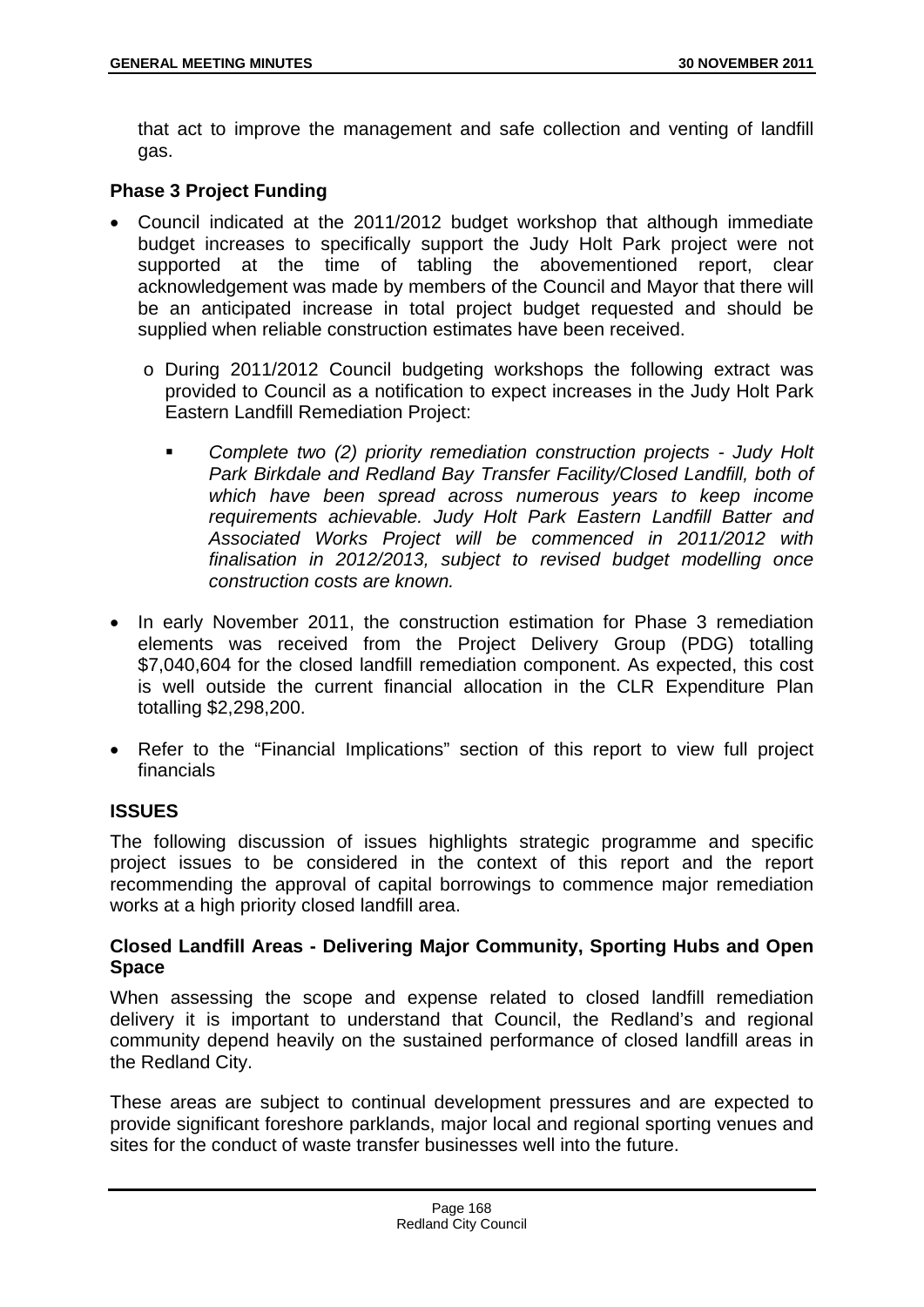that act to improve the management and safe collection and venting of landfill gas.

# **Phase 3 Project Funding**

- Council indicated at the 2011/2012 budget workshop that although immediate budget increases to specifically support the Judy Holt Park project were not supported at the time of tabling the abovementioned report, clear acknowledgement was made by members of the Council and Mayor that there will be an anticipated increase in total project budget requested and should be supplied when reliable construction estimates have been received.
	- o During 2011/2012 Council budgeting workshops the following extract was provided to Council as a notification to expect increases in the Judy Holt Park Eastern Landfill Remediation Project:
		- *Complete two (2) priority remediation construction projects Judy Holt*  Park Birkdale and Redland Bay Transfer Facility/Closed Landfill, both of *which have been spread across numerous years to keep income requirements achievable. Judy Holt Park Eastern Landfill Batter and Associated Works Project will be commenced in 2011/2012 with finalisation in 2012/2013, subject to revised budget modelling once construction costs are known.*
- In early November 2011, the construction estimation for Phase 3 remediation elements was received from the Project Delivery Group (PDG) totalling \$7,040,604 for the closed landfill remediation component. As expected, this cost is well outside the current financial allocation in the CLR Expenditure Plan totalling \$2,298,200.
- Refer to the "Financial Implications" section of this report to view full project financials

## **ISSUES**

The following discussion of issues highlights strategic programme and specific project issues to be considered in the context of this report and the report recommending the approval of capital borrowings to commence major remediation works at a high priority closed landfill area.

## **Closed Landfill Areas - Delivering Major Community, Sporting Hubs and Open Space**

When assessing the scope and expense related to closed landfill remediation delivery it is important to understand that Council, the Redland's and regional community depend heavily on the sustained performance of closed landfill areas in the Redland City.

These areas are subject to continual development pressures and are expected to provide significant foreshore parklands, major local and regional sporting venues and sites for the conduct of waste transfer businesses well into the future.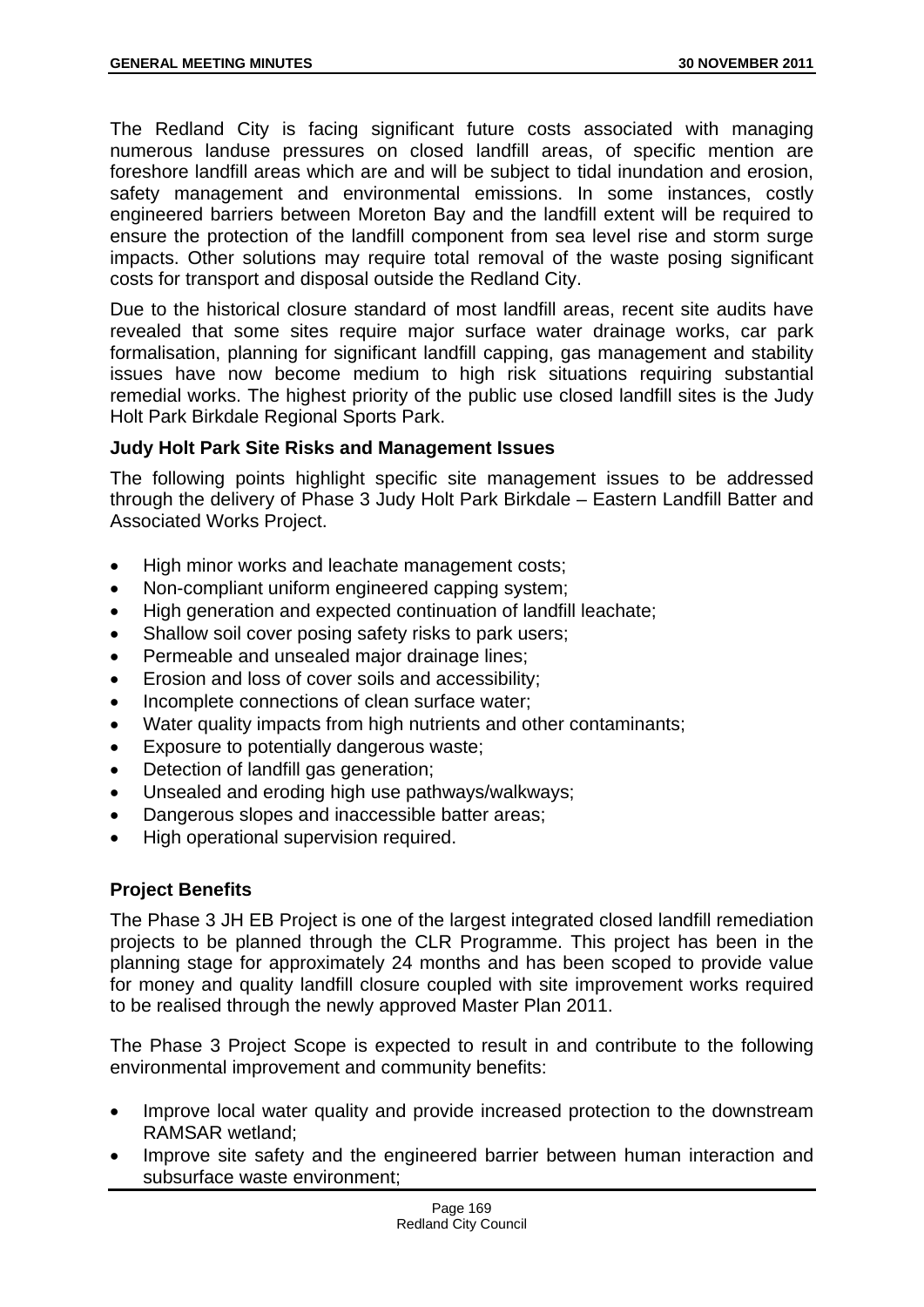The Redland City is facing significant future costs associated with managing numerous landuse pressures on closed landfill areas, of specific mention are foreshore landfill areas which are and will be subject to tidal inundation and erosion, safety management and environmental emissions. In some instances, costly engineered barriers between Moreton Bay and the landfill extent will be required to ensure the protection of the landfill component from sea level rise and storm surge impacts. Other solutions may require total removal of the waste posing significant costs for transport and disposal outside the Redland City.

Due to the historical closure standard of most landfill areas, recent site audits have revealed that some sites require major surface water drainage works, car park formalisation, planning for significant landfill capping, gas management and stability issues have now become medium to high risk situations requiring substantial remedial works. The highest priority of the public use closed landfill sites is the Judy Holt Park Birkdale Regional Sports Park.

## **Judy Holt Park Site Risks and Management Issues**

The following points highlight specific site management issues to be addressed through the delivery of Phase 3 Judy Holt Park Birkdale – Eastern Landfill Batter and Associated Works Project.

- High minor works and leachate management costs;
- Non-compliant uniform engineered capping system;
- High generation and expected continuation of landfill leachate;
- Shallow soil cover posing safety risks to park users;
- Permeable and unsealed major drainage lines;
- Erosion and loss of cover soils and accessibility;
- Incomplete connections of clean surface water;
- Water quality impacts from high nutrients and other contaminants;
- **Exposure to potentially dangerous waste;**
- Detection of landfill gas generation;
- Unsealed and eroding high use pathways/walkways;
- Dangerous slopes and inaccessible batter areas;
- High operational supervision required.

## **Project Benefits**

The Phase 3 JH EB Project is one of the largest integrated closed landfill remediation projects to be planned through the CLR Programme. This project has been in the planning stage for approximately 24 months and has been scoped to provide value for money and quality landfill closure coupled with site improvement works required to be realised through the newly approved Master Plan 2011.

The Phase 3 Project Scope is expected to result in and contribute to the following environmental improvement and community benefits:

- Improve local water quality and provide increased protection to the downstream RAMSAR wetland;
- Improve site safety and the engineered barrier between human interaction and subsurface waste environment;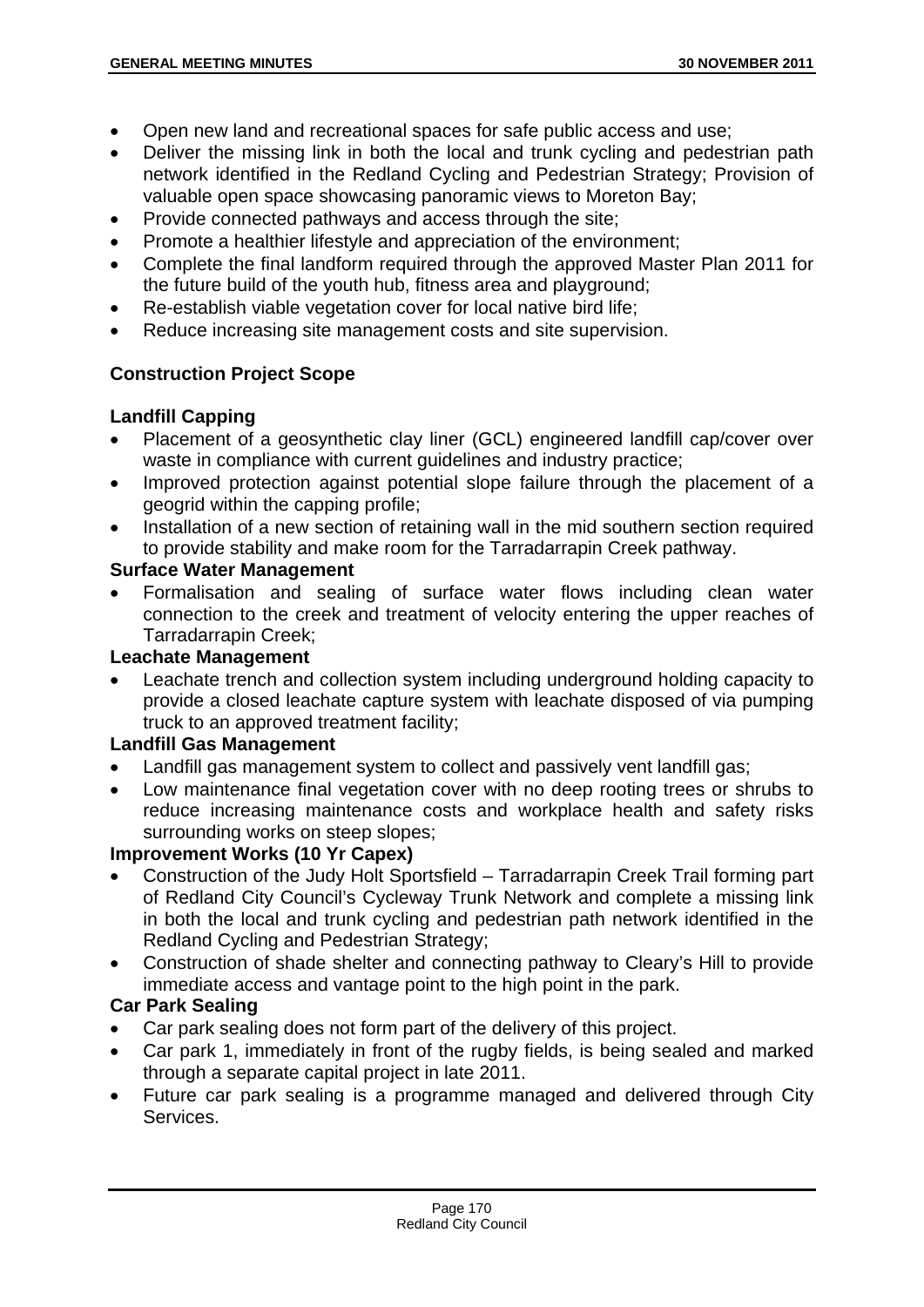- Open new land and recreational spaces for safe public access and use;
- Deliver the missing link in both the local and trunk cycling and pedestrian path network identified in the Redland Cycling and Pedestrian Strategy; Provision of valuable open space showcasing panoramic views to Moreton Bay;
- Provide connected pathways and access through the site;
- Promote a healthier lifestyle and appreciation of the environment;
- Complete the final landform required through the approved Master Plan 2011 for the future build of the youth hub, fitness area and playground;
- Re-establish viable vegetation cover for local native bird life;
- Reduce increasing site management costs and site supervision.

# **Construction Project Scope**

# **Landfill Capping**

- Placement of a geosynthetic clay liner (GCL) engineered landfill cap/cover over waste in compliance with current guidelines and industry practice;
- Improved protection against potential slope failure through the placement of a geogrid within the capping profile;
- Installation of a new section of retaining wall in the mid southern section required to provide stability and make room for the Tarradarrapin Creek pathway.

# **Surface Water Management**

 Formalisation and sealing of surface water flows including clean water connection to the creek and treatment of velocity entering the upper reaches of Tarradarrapin Creek;

# **Leachate Management**

 Leachate trench and collection system including underground holding capacity to provide a closed leachate capture system with leachate disposed of via pumping truck to an approved treatment facility;

## **Landfill Gas Management**

- Landfill gas management system to collect and passively vent landfill gas;
- Low maintenance final vegetation cover with no deep rooting trees or shrubs to reduce increasing maintenance costs and workplace health and safety risks surrounding works on steep slopes;

## **Improvement Works (10 Yr Capex)**

- Construction of the Judy Holt Sportsfield Tarradarrapin Creek Trail forming part of Redland City Council's Cycleway Trunk Network and complete a missing link in both the local and trunk cycling and pedestrian path network identified in the Redland Cycling and Pedestrian Strategy;
- Construction of shade shelter and connecting pathway to Cleary's Hill to provide immediate access and vantage point to the high point in the park.

## **Car Park Sealing**

- Car park sealing does not form part of the delivery of this project.
- Car park 1, immediately in front of the rugby fields, is being sealed and marked through a separate capital project in late 2011.
- Future car park sealing is a programme managed and delivered through City Services.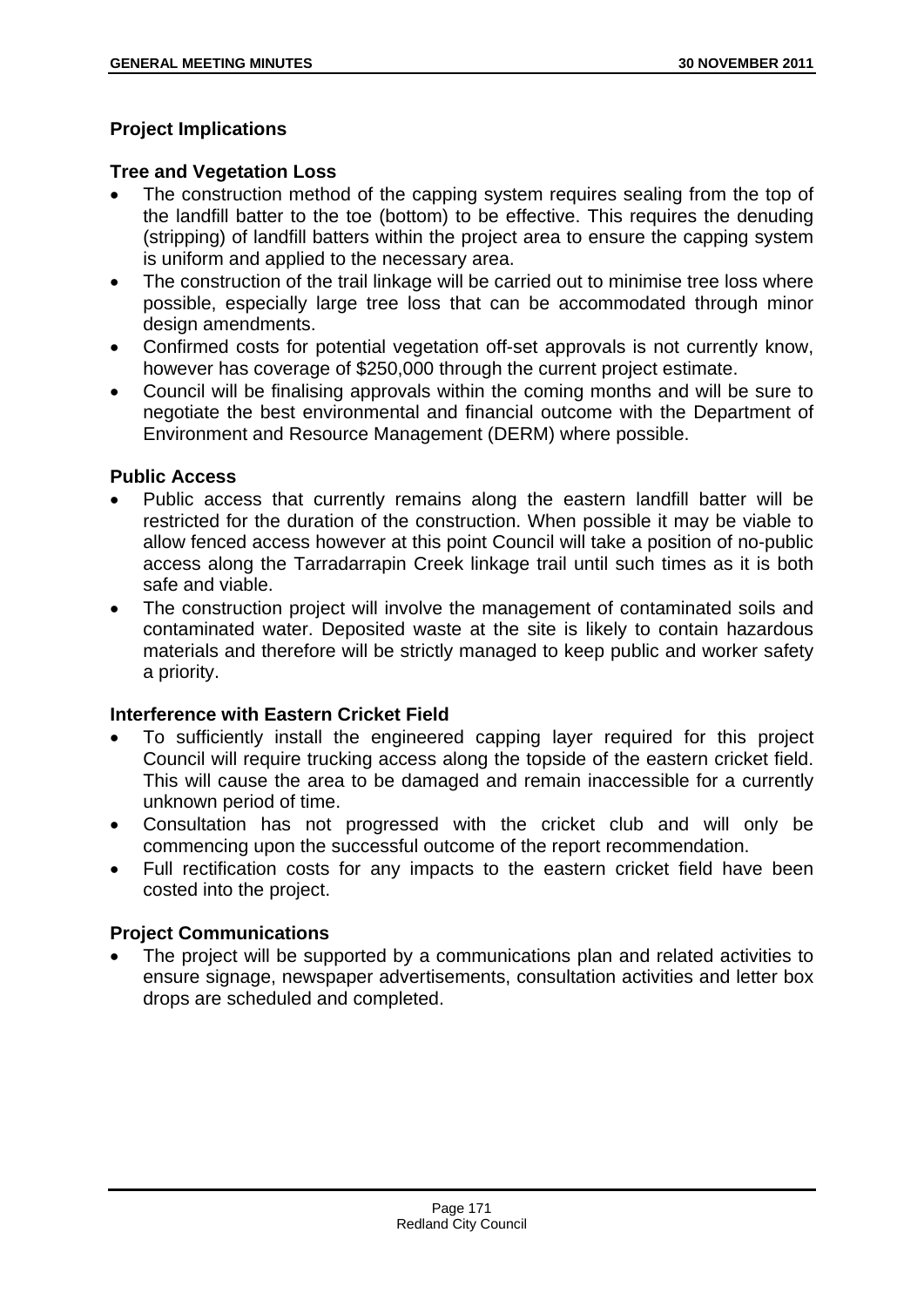# **Project Implications**

## **Tree and Vegetation Loss**

- The construction method of the capping system requires sealing from the top of the landfill batter to the toe (bottom) to be effective. This requires the denuding (stripping) of landfill batters within the project area to ensure the capping system is uniform and applied to the necessary area.
- The construction of the trail linkage will be carried out to minimise tree loss where possible, especially large tree loss that can be accommodated through minor design amendments.
- Confirmed costs for potential vegetation off-set approvals is not currently know, however has coverage of \$250,000 through the current project estimate.
- Council will be finalising approvals within the coming months and will be sure to negotiate the best environmental and financial outcome with the Department of Environment and Resource Management (DERM) where possible.

## **Public Access**

- Public access that currently remains along the eastern landfill batter will be restricted for the duration of the construction. When possible it may be viable to allow fenced access however at this point Council will take a position of no-public access along the Tarradarrapin Creek linkage trail until such times as it is both safe and viable.
- The construction project will involve the management of contaminated soils and contaminated water. Deposited waste at the site is likely to contain hazardous materials and therefore will be strictly managed to keep public and worker safety a priority.

## **Interference with Eastern Cricket Field**

- To sufficiently install the engineered capping layer required for this project Council will require trucking access along the topside of the eastern cricket field. This will cause the area to be damaged and remain inaccessible for a currently unknown period of time.
- Consultation has not progressed with the cricket club and will only be commencing upon the successful outcome of the report recommendation.
- Full rectification costs for any impacts to the eastern cricket field have been costed into the project.

## **Project Communications**

 The project will be supported by a communications plan and related activities to ensure signage, newspaper advertisements, consultation activities and letter box drops are scheduled and completed.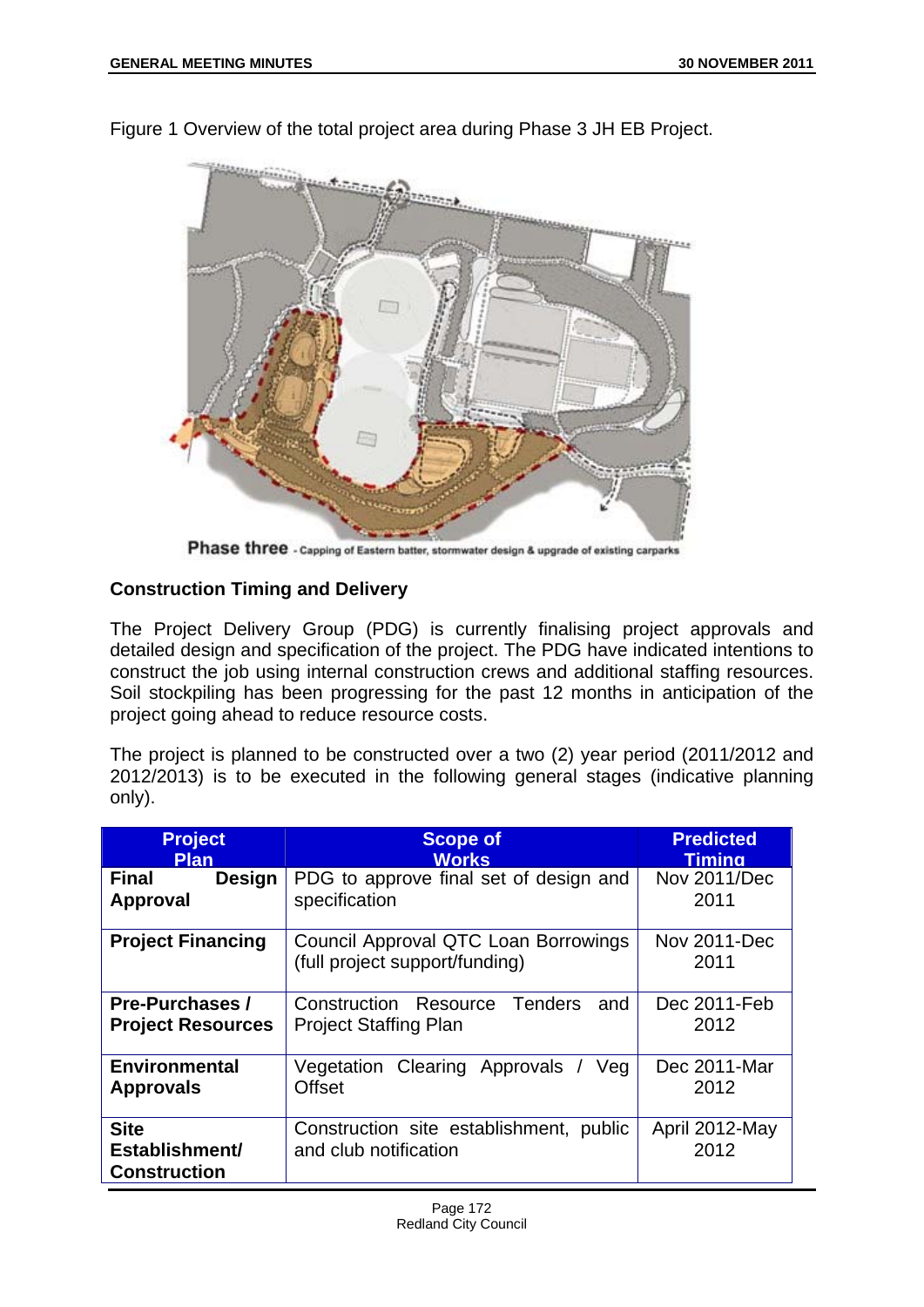

Figure 1 Overview of the total project area during Phase 3 JH EB Project.

Phase three - Capping of Eastern batter, stormwater design & upgrade of existing carparks

# **Construction Timing and Delivery**

The Project Delivery Group (PDG) is currently finalising project approvals and detailed design and specification of the project. The PDG have indicated intentions to construct the job using internal construction crews and additional staffing resources. Soil stockpiling has been progressing for the past 12 months in anticipation of the project going ahead to reduce resource costs.

The project is planned to be constructed over a two (2) year period (2011/2012 and 2012/2013) is to be executed in the following general stages (indicative planning only).

| <b>Project</b><br><b>Plan</b>                        | <b>Scope of</b><br><b>Works</b>                                         | <b>Predicted</b><br>Timina  |
|------------------------------------------------------|-------------------------------------------------------------------------|-----------------------------|
| <b>Final</b><br>Design<br>Approval                   | PDG to approve final set of design and<br>specification                 | <b>Nov 2011/Dec</b><br>2011 |
| <b>Project Financing</b>                             | Council Approval QTC Loan Borrowings<br>(full project support/funding)  | Nov 2011-Dec<br>2011        |
| <b>Pre-Purchases /</b><br><b>Project Resources</b>   | Tenders<br>Construction Resource<br>and<br><b>Project Staffing Plan</b> | Dec 2011-Feb<br>2012        |
| <b>Environmental</b><br><b>Approvals</b>             | Vegetation Clearing Approvals<br>Veg<br><b>Offset</b>                   | Dec 2011-Mar<br>2012        |
| <b>Site</b><br>Establishment/<br><b>Construction</b> | Construction site establishment, public<br>and club notification        | April 2012-May<br>2012      |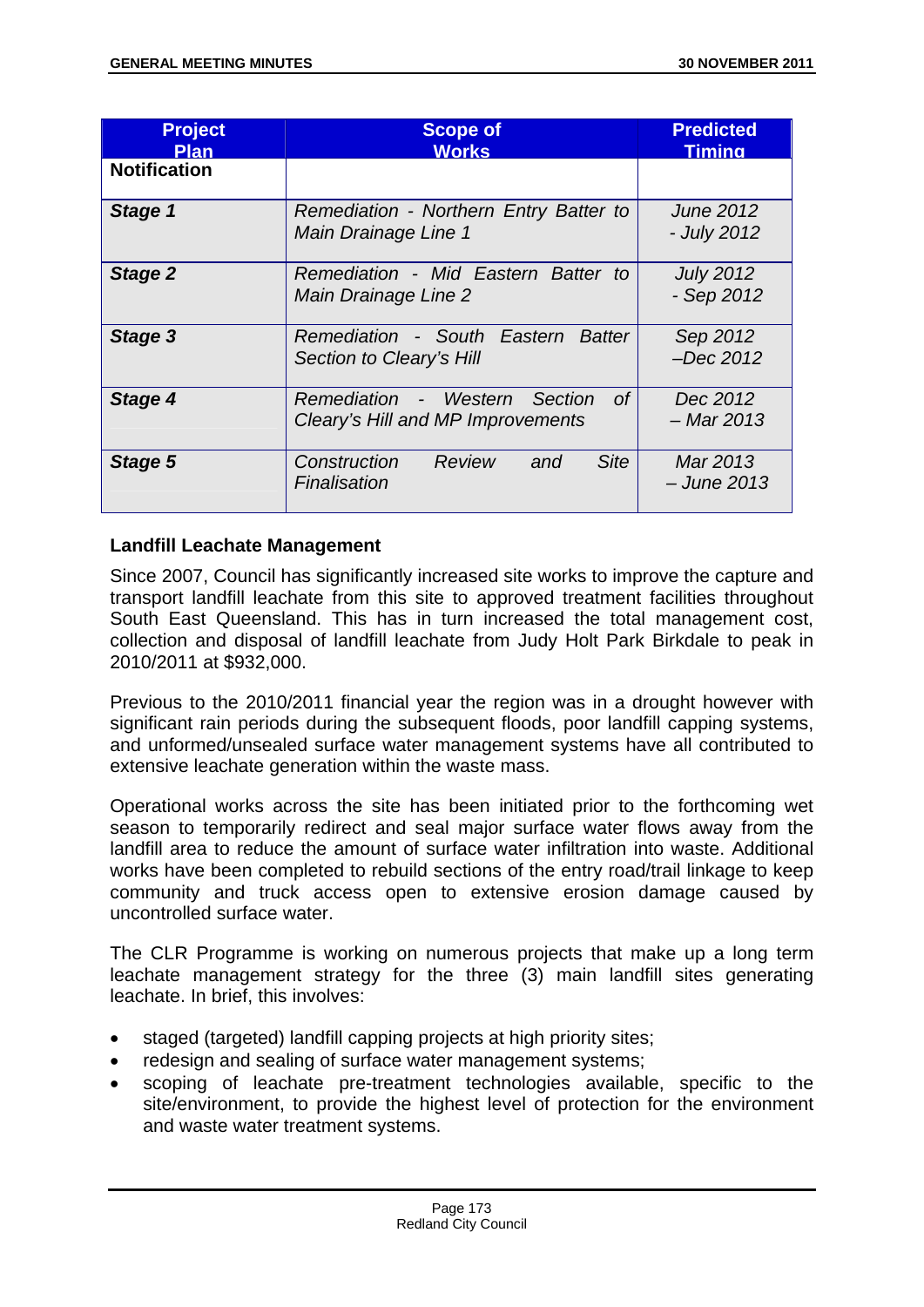| <b>Project</b><br><b>Plan</b> | <b>Scope of</b><br><b>Works</b>                                          | <b>Predicted</b><br><b>Timina</b> |
|-------------------------------|--------------------------------------------------------------------------|-----------------------------------|
| <b>Notification</b>           |                                                                          |                                   |
| Stage 1                       | Remediation - Northern Entry Batter to<br>Main Drainage Line 1           | <b>June 2012</b><br>- July 2012   |
| Stage 2                       | Remediation - Mid Eastern Batter to<br>Main Drainage Line 2              | <b>July 2012</b><br>$-$ Sep 2012  |
| Stage 3                       | Remediation - South Eastern Batter<br>Section to Cleary's Hill           | Sep 2012<br>$-Dec$ 2012           |
| Stage 4                       | Remediation - Western Section<br>0f<br>Cleary's Hill and MP Improvements | Dec 2012<br>– Mar 2013            |
| Stage 5                       | Review<br><b>Site</b><br>Construction<br>and<br>Finalisation             | Mar 2013<br>$-$ June 2013         |

## **Landfill Leachate Management**

Since 2007, Council has significantly increased site works to improve the capture and transport landfill leachate from this site to approved treatment facilities throughout South East Queensland. This has in turn increased the total management cost, collection and disposal of landfill leachate from Judy Holt Park Birkdale to peak in 2010/2011 at \$932,000.

Previous to the 2010/2011 financial year the region was in a drought however with significant rain periods during the subsequent floods, poor landfill capping systems, and unformed/unsealed surface water management systems have all contributed to extensive leachate generation within the waste mass.

Operational works across the site has been initiated prior to the forthcoming wet season to temporarily redirect and seal major surface water flows away from the landfill area to reduce the amount of surface water infiltration into waste. Additional works have been completed to rebuild sections of the entry road/trail linkage to keep community and truck access open to extensive erosion damage caused by uncontrolled surface water.

The CLR Programme is working on numerous projects that make up a long term leachate management strategy for the three (3) main landfill sites generating leachate. In brief, this involves:

- staged (targeted) landfill capping projects at high priority sites;
- redesign and sealing of surface water management systems;
- scoping of leachate pre-treatment technologies available, specific to the site/environment, to provide the highest level of protection for the environment and waste water treatment systems.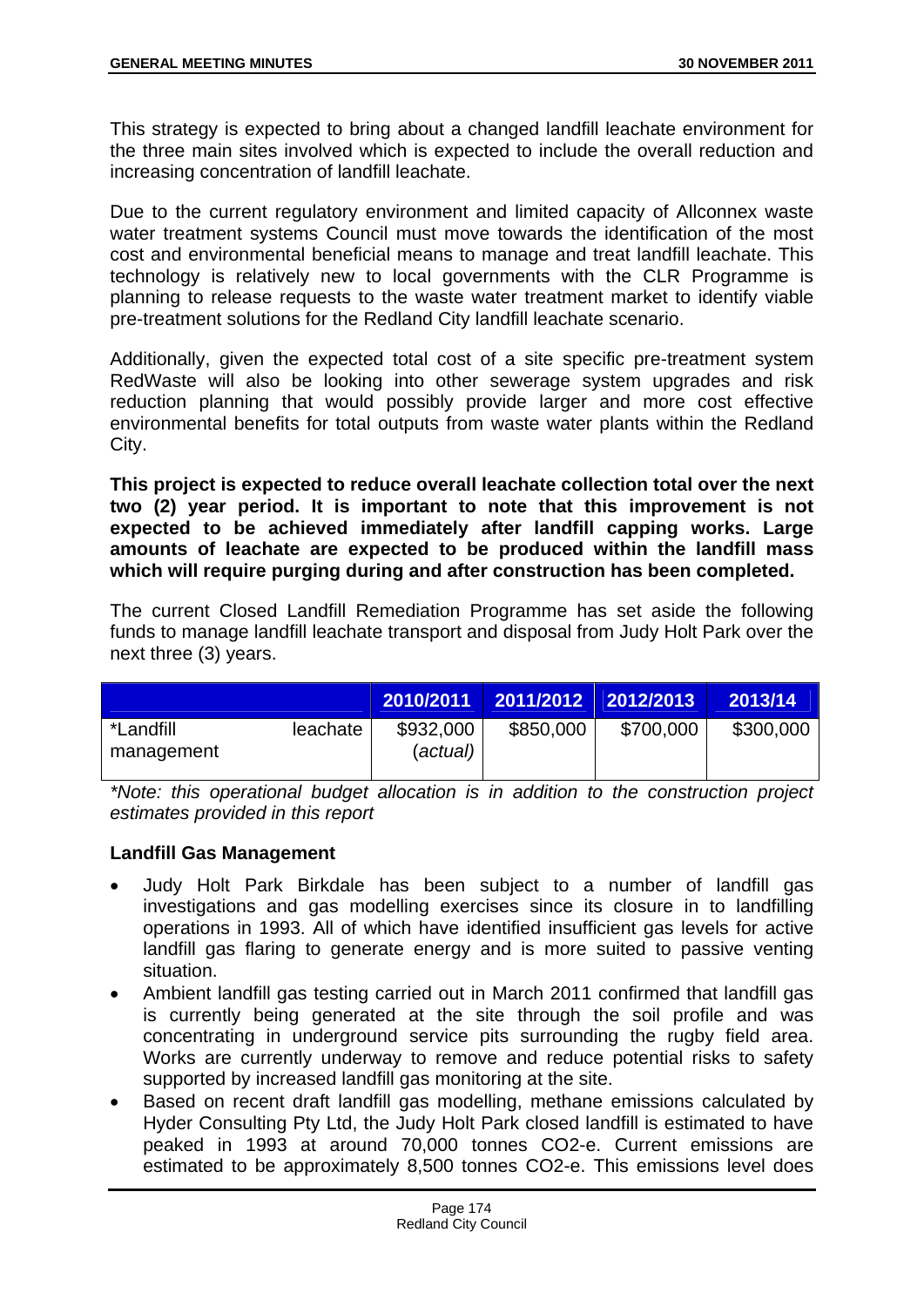This strategy is expected to bring about a changed landfill leachate environment for the three main sites involved which is expected to include the overall reduction and increasing concentration of landfill leachate.

Due to the current regulatory environment and limited capacity of Allconnex waste water treatment systems Council must move towards the identification of the most cost and environmental beneficial means to manage and treat landfill leachate. This technology is relatively new to local governments with the CLR Programme is planning to release requests to the waste water treatment market to identify viable pre-treatment solutions for the Redland City landfill leachate scenario.

Additionally, given the expected total cost of a site specific pre-treatment system RedWaste will also be looking into other sewerage system upgrades and risk reduction planning that would possibly provide larger and more cost effective environmental benefits for total outputs from waste water plants within the Redland City.

**This project is expected to reduce overall leachate collection total over the next two (2) year period. It is important to note that this improvement is not expected to be achieved immediately after landfill capping works. Large amounts of leachate are expected to be produced within the landfill mass which will require purging during and after construction has been completed.** 

The current Closed Landfill Remediation Programme has set aside the following funds to manage landfill leachate transport and disposal from Judy Holt Park over the next three (3) years.

|                                |          | 2010/2011             | 2011/2012 2012/2013 |           | 2013/14   |
|--------------------------------|----------|-----------------------|---------------------|-----------|-----------|
| <i>*Landfill</i><br>management | leachate | \$932,000<br>(actual) | \$850,000           | \$700,000 | \$300,000 |

*\*Note: this operational budget allocation is in addition to the construction project estimates provided in this report* 

# **Landfill Gas Management**

- Judy Holt Park Birkdale has been subject to a number of landfill gas investigations and gas modelling exercises since its closure in to landfilling operations in 1993. All of which have identified insufficient gas levels for active landfill gas flaring to generate energy and is more suited to passive venting situation.
- Ambient landfill gas testing carried out in March 2011 confirmed that landfill gas is currently being generated at the site through the soil profile and was concentrating in underground service pits surrounding the rugby field area. Works are currently underway to remove and reduce potential risks to safety supported by increased landfill gas monitoring at the site.
- Based on recent draft landfill gas modelling, methane emissions calculated by Hyder Consulting Pty Ltd, the Judy Holt Park closed landfill is estimated to have peaked in 1993 at around 70,000 tonnes CO2-e. Current emissions are estimated to be approximately 8,500 tonnes CO2-e. This emissions level does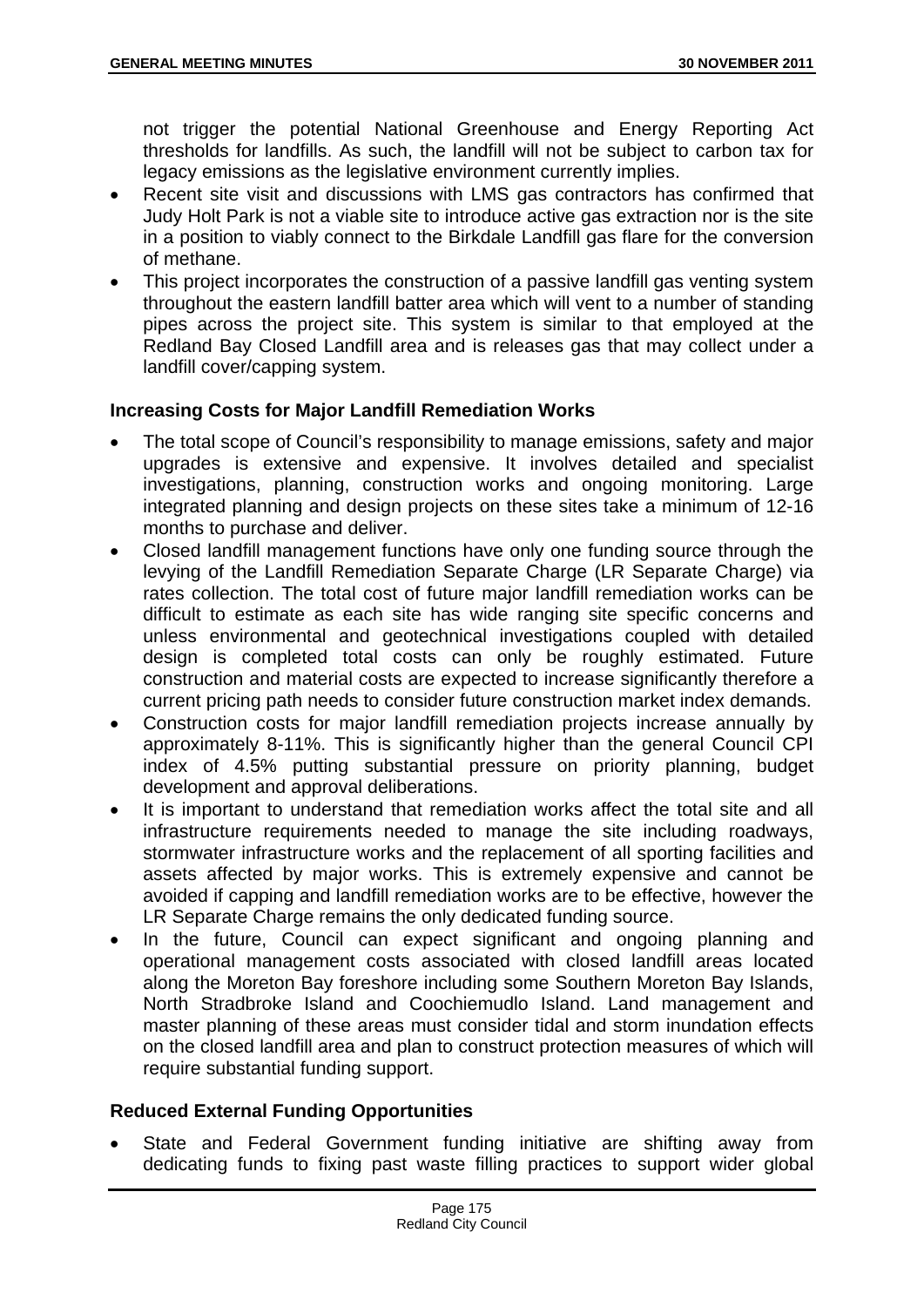not trigger the potential National Greenhouse and Energy Reporting Act thresholds for landfills. As such, the landfill will not be subject to carbon tax for legacy emissions as the legislative environment currently implies.

- Recent site visit and discussions with LMS gas contractors has confirmed that Judy Holt Park is not a viable site to introduce active gas extraction nor is the site in a position to viably connect to the Birkdale Landfill gas flare for the conversion of methane.
- This project incorporates the construction of a passive landfill gas venting system throughout the eastern landfill batter area which will vent to a number of standing pipes across the project site. This system is similar to that employed at the Redland Bay Closed Landfill area and is releases gas that may collect under a landfill cover/capping system.

## **Increasing Costs for Major Landfill Remediation Works**

- The total scope of Council's responsibility to manage emissions, safety and major upgrades is extensive and expensive. It involves detailed and specialist investigations, planning, construction works and ongoing monitoring. Large integrated planning and design projects on these sites take a minimum of 12-16 months to purchase and deliver.
- Closed landfill management functions have only one funding source through the levying of the Landfill Remediation Separate Charge (LR Separate Charge) via rates collection. The total cost of future major landfill remediation works can be difficult to estimate as each site has wide ranging site specific concerns and unless environmental and geotechnical investigations coupled with detailed design is completed total costs can only be roughly estimated. Future construction and material costs are expected to increase significantly therefore a current pricing path needs to consider future construction market index demands.
- Construction costs for major landfill remediation projects increase annually by approximately 8-11%. This is significantly higher than the general Council CPI index of 4.5% putting substantial pressure on priority planning, budget development and approval deliberations.
- It is important to understand that remediation works affect the total site and all infrastructure requirements needed to manage the site including roadways, stormwater infrastructure works and the replacement of all sporting facilities and assets affected by major works. This is extremely expensive and cannot be avoided if capping and landfill remediation works are to be effective, however the LR Separate Charge remains the only dedicated funding source.
- In the future, Council can expect significant and ongoing planning and operational management costs associated with closed landfill areas located along the Moreton Bay foreshore including some Southern Moreton Bay Islands, North Stradbroke Island and Coochiemudlo Island. Land management and master planning of these areas must consider tidal and storm inundation effects on the closed landfill area and plan to construct protection measures of which will require substantial funding support.

## **Reduced External Funding Opportunities**

 State and Federal Government funding initiative are shifting away from dedicating funds to fixing past waste filling practices to support wider global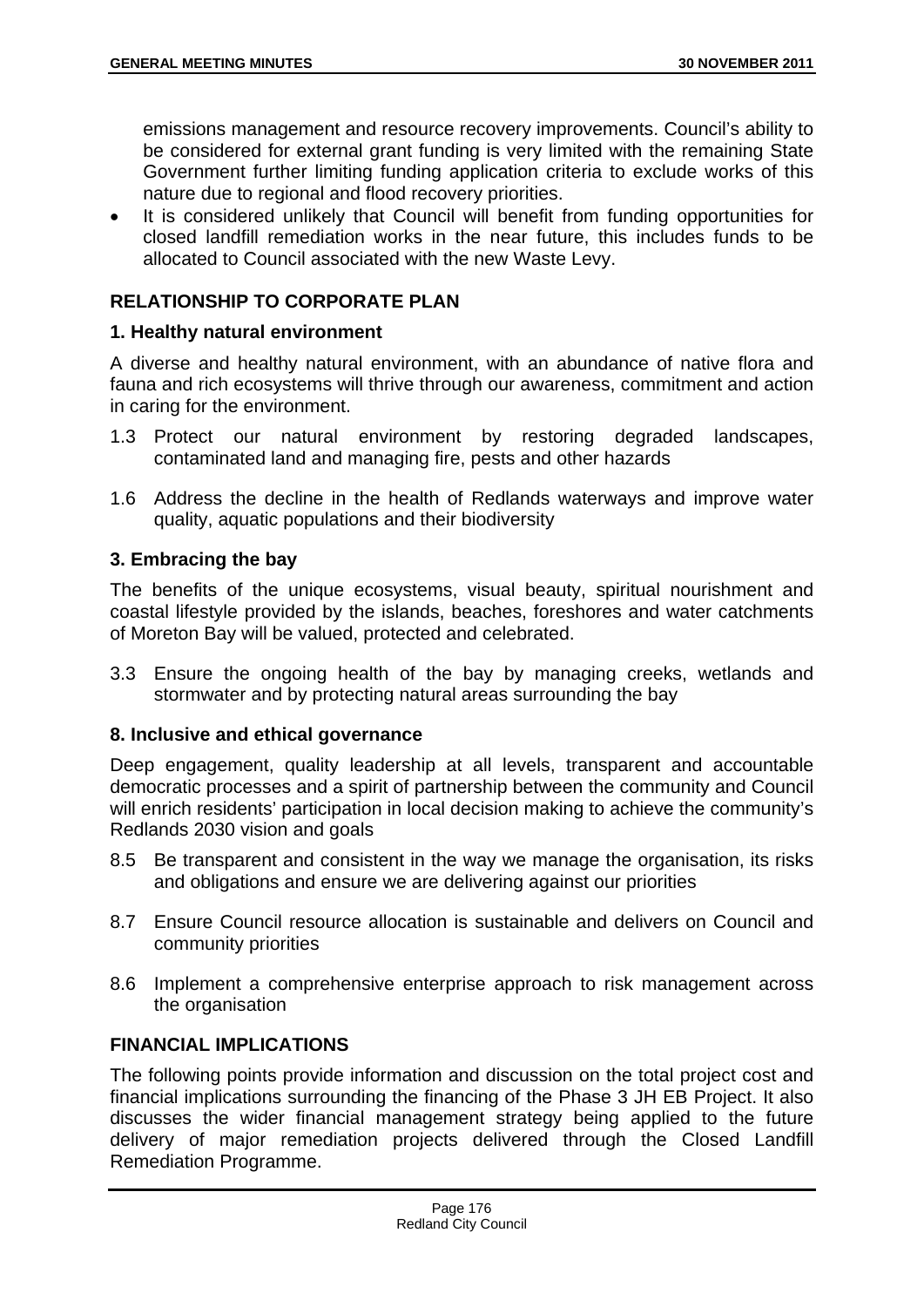emissions management and resource recovery improvements. Council's ability to be considered for external grant funding is very limited with the remaining State Government further limiting funding application criteria to exclude works of this nature due to regional and flood recovery priorities.

 It is considered unlikely that Council will benefit from funding opportunities for closed landfill remediation works in the near future, this includes funds to be allocated to Council associated with the new Waste Levy.

## **RELATIONSHIP TO CORPORATE PLAN**

## **1. Healthy natural environment**

A diverse and healthy natural environment, with an abundance of native flora and fauna and rich ecosystems will thrive through our awareness, commitment and action in caring for the environment.

- 1.3 Protect our natural environment by restoring degraded landscapes, contaminated land and managing fire, pests and other hazards
- 1.6 Address the decline in the health of Redlands waterways and improve water quality, aquatic populations and their biodiversity

#### **3. Embracing the bay**

The benefits of the unique ecosystems, visual beauty, spiritual nourishment and coastal lifestyle provided by the islands, beaches, foreshores and water catchments of Moreton Bay will be valued, protected and celebrated.

3.3 Ensure the ongoing health of the bay by managing creeks, wetlands and stormwater and by protecting natural areas surrounding the bay

## **8. Inclusive and ethical governance**

Deep engagement, quality leadership at all levels, transparent and accountable democratic processes and a spirit of partnership between the community and Council will enrich residents' participation in local decision making to achieve the community's Redlands 2030 vision and goals

- 8.5 Be transparent and consistent in the way we manage the organisation, its risks and obligations and ensure we are delivering against our priorities
- 8.7 Ensure Council resource allocation is sustainable and delivers on Council and community priorities
- 8.6 Implement a comprehensive enterprise approach to risk management across the organisation

# **FINANCIAL IMPLICATIONS**

The following points provide information and discussion on the total project cost and financial implications surrounding the financing of the Phase 3 JH EB Project. It also discusses the wider financial management strategy being applied to the future delivery of major remediation projects delivered through the Closed Landfill Remediation Programme.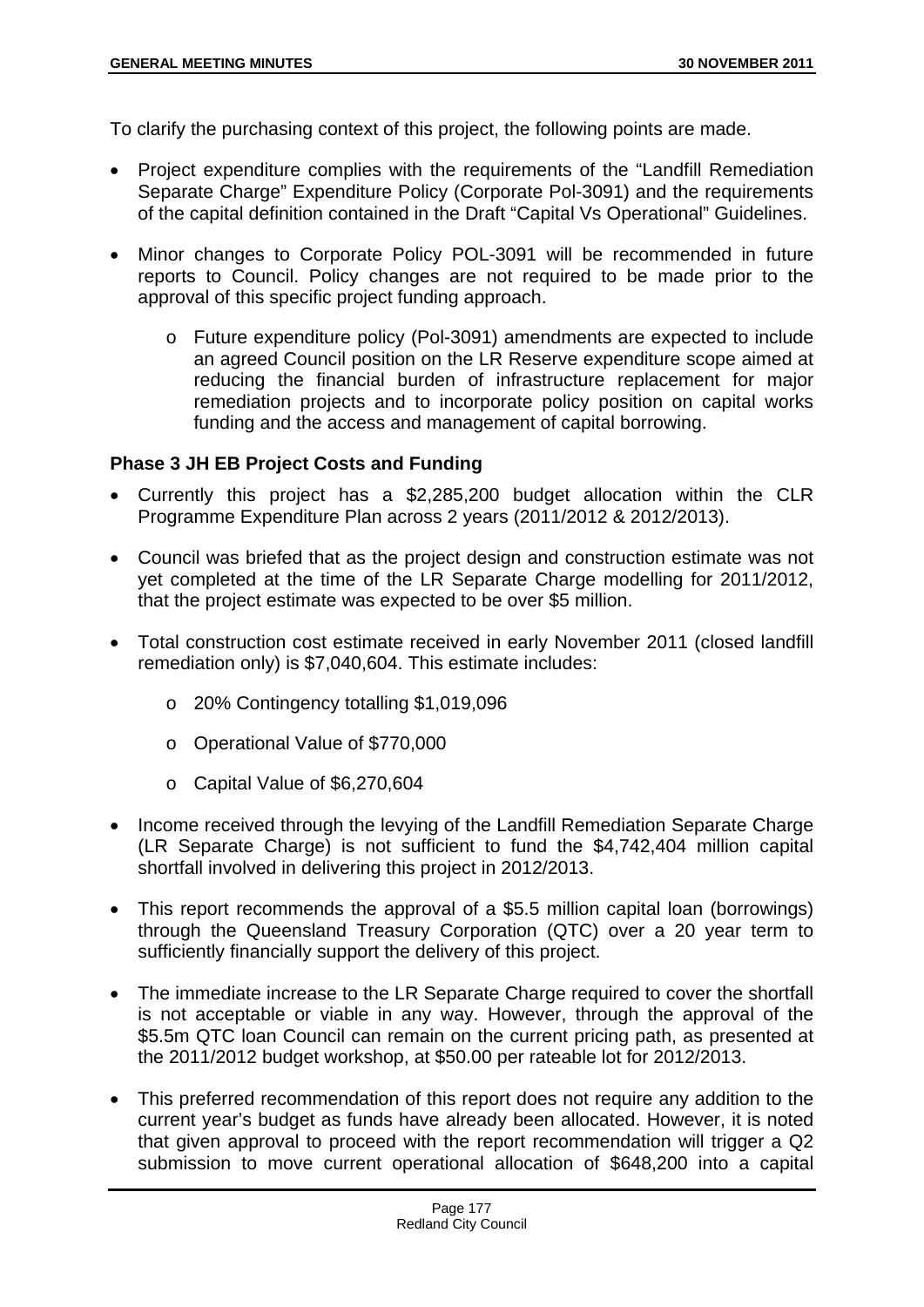To clarify the purchasing context of this project, the following points are made.

- Project expenditure complies with the requirements of the "Landfill Remediation Separate Charge" Expenditure Policy (Corporate Pol-3091) and the requirements of the capital definition contained in the Draft "Capital Vs Operational" Guidelines.
- Minor changes to Corporate Policy POL-3091 will be recommended in future reports to Council. Policy changes are not required to be made prior to the approval of this specific project funding approach.
	- o Future expenditure policy (Pol-3091) amendments are expected to include an agreed Council position on the LR Reserve expenditure scope aimed at reducing the financial burden of infrastructure replacement for major remediation projects and to incorporate policy position on capital works funding and the access and management of capital borrowing.

## **Phase 3 JH EB Project Costs and Funding**

- Currently this project has a \$2,285,200 budget allocation within the CLR Programme Expenditure Plan across 2 years (2011/2012 & 2012/2013).
- Council was briefed that as the project design and construction estimate was not yet completed at the time of the LR Separate Charge modelling for 2011/2012, that the project estimate was expected to be over \$5 million.
- Total construction cost estimate received in early November 2011 (closed landfill remediation only) is \$7,040,604. This estimate includes:
	- o 20% Contingency totalling \$1,019,096
	- o Operational Value of \$770,000
	- o Capital Value of \$6,270,604
- Income received through the levying of the Landfill Remediation Separate Charge (LR Separate Charge) is not sufficient to fund the \$4,742,404 million capital shortfall involved in delivering this project in 2012/2013.
- This report recommends the approval of a \$5.5 million capital loan (borrowings) through the Queensland Treasury Corporation (QTC) over a 20 year term to sufficiently financially support the delivery of this project.
- The immediate increase to the LR Separate Charge required to cover the shortfall is not acceptable or viable in any way. However, through the approval of the \$5.5m QTC loan Council can remain on the current pricing path, as presented at the 2011/2012 budget workshop, at \$50.00 per rateable lot for 2012/2013.
- This preferred recommendation of this report does not require any addition to the current year's budget as funds have already been allocated. However, it is noted that given approval to proceed with the report recommendation will trigger a Q2 submission to move current operational allocation of \$648,200 into a capital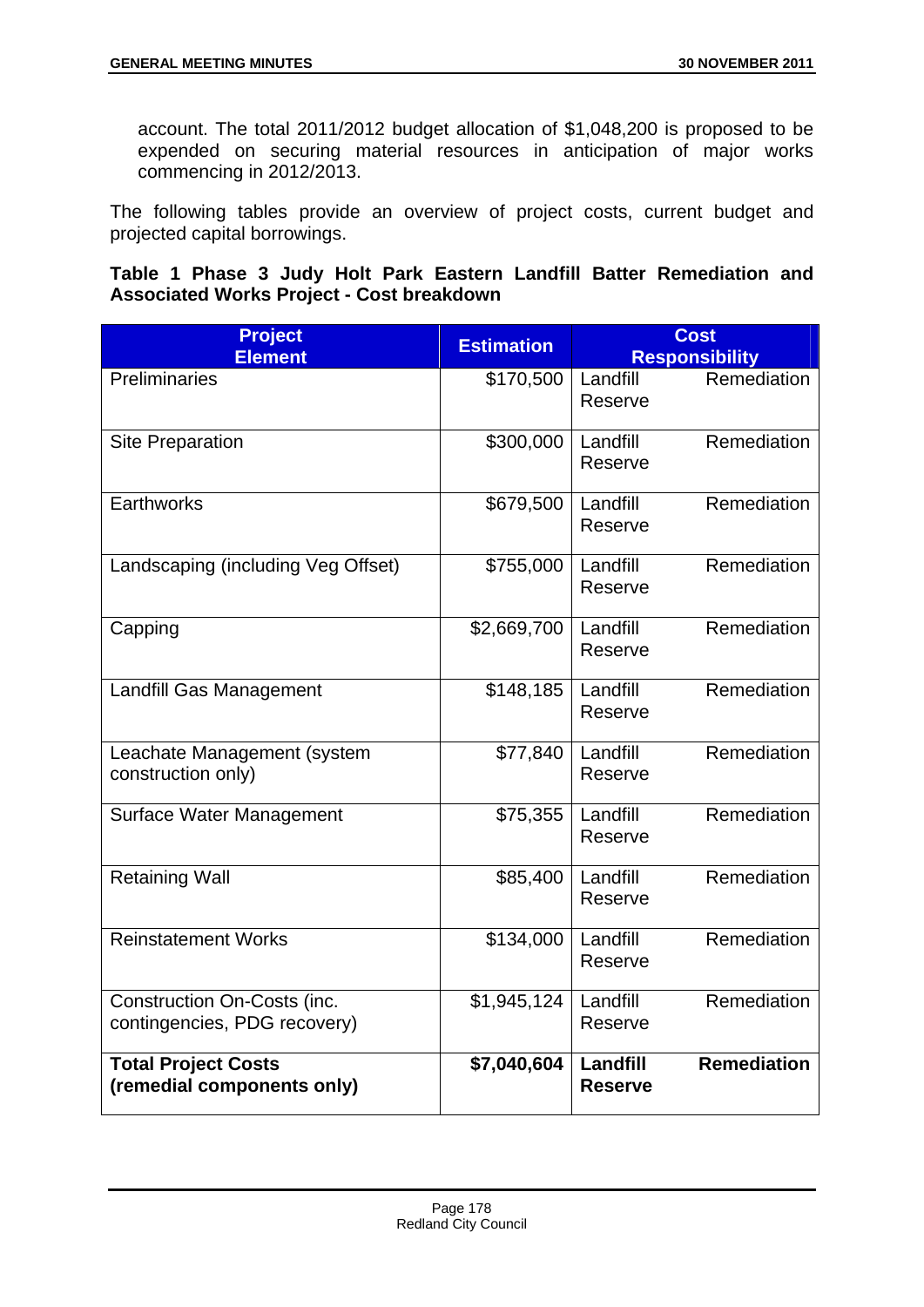account. The total 2011/2012 budget allocation of \$1,048,200 is proposed to be expended on securing material resources in anticipation of major works commencing in 2012/2013.

The following tables provide an overview of project costs, current budget and projected capital borrowings.

## **Table 1 Phase 3 Judy Holt Park Eastern Landfill Batter Remediation and Associated Works Project - Cost breakdown**

| <b>Project</b><br><b>Element</b>                            | <b>Estimation</b> | <b>Cost</b><br><b>Responsibility</b>             |
|-------------------------------------------------------------|-------------------|--------------------------------------------------|
| Preliminaries                                               | \$170,500         | Remediation<br>Landfill<br>Reserve               |
| <b>Site Preparation</b>                                     | \$300,000         | Remediation<br>Landfill<br>Reserve               |
| <b>Earthworks</b>                                           | \$679,500         | Remediation<br>Landfill<br>Reserve               |
| Landscaping (including Veg Offset)                          | \$755,000         | Remediation<br>Landfill<br>Reserve               |
| Capping                                                     | \$2,669,700       | Remediation<br>Landfill<br>Reserve               |
| Landfill Gas Management                                     | \$148,185         | Remediation<br>Landfill<br>Reserve               |
| Leachate Management (system<br>construction only)           | \$77,840          | Remediation<br>Landfill<br>Reserve               |
| <b>Surface Water Management</b>                             | \$75,355          | Remediation<br>Landfill<br>Reserve               |
| <b>Retaining Wall</b>                                       | \$85,400          | Remediation<br>Landfill<br>Reserve               |
| <b>Reinstatement Works</b>                                  | \$134,000         | Remediation<br>Landfill<br>Reserve               |
| Construction On-Costs (inc.<br>contingencies, PDG recovery) | \$1,945,124       | Remediation<br>Landfill<br>Reserve               |
| <b>Total Project Costs</b><br>(remedial components only)    | \$7,040,604       | <b>Remediation</b><br>Landfill<br><b>Reserve</b> |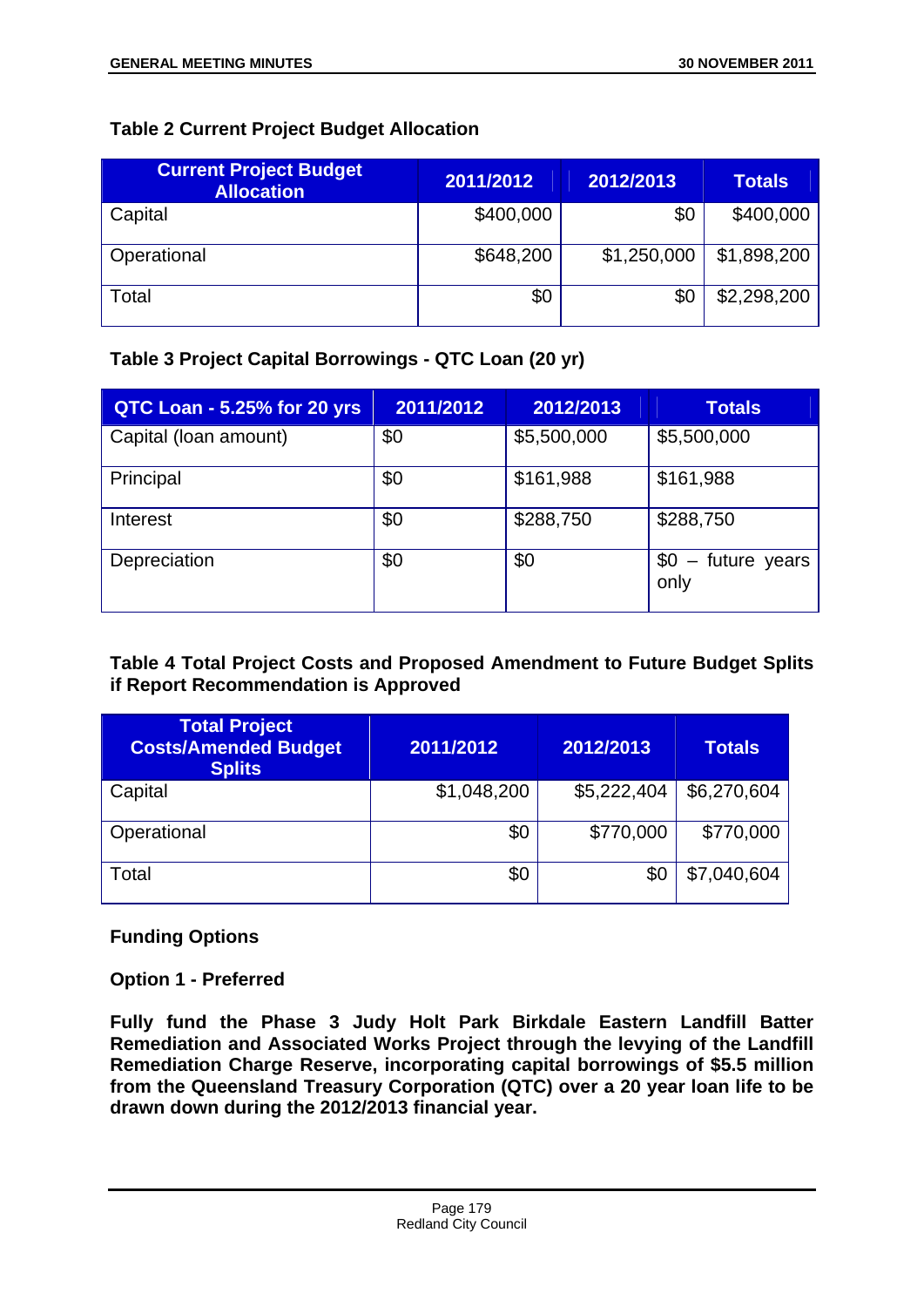# **Table 2 Current Project Budget Allocation**

| <b>Current Project Budget</b><br><b>Allocation</b> | 2011/2012 | 2012/2013   | <b>Totals</b> |
|----------------------------------------------------|-----------|-------------|---------------|
| Capital                                            | \$400,000 | \$0         | \$400,000     |
| Operational                                        | \$648,200 | \$1,250,000 | \$1,898,200   |
| Total                                              | \$0       | \$С         | \$2,298,200   |

# **Table 3 Project Capital Borrowings - QTC Loan (20 yr)**

| QTC Loan - 5.25% for 20 yrs | 2011/2012 | 2012/2013   | <b>Totals</b>                 |
|-----------------------------|-----------|-------------|-------------------------------|
| Capital (Ioan amount)       | \$0       | \$5,500,000 | \$5,500,000                   |
| Principal                   | \$0       | \$161,988   | \$161,988                     |
| Interest                    | \$0       | \$288,750   | \$288,750                     |
| Depreciation                | \$0       | \$0         | - future years<br>\$0<br>only |

## **Table 4 Total Project Costs and Proposed Amendment to Future Budget Splits if Report Recommendation is Approved**

| <b>Total Project</b><br><b>Costs/Amended Budget</b><br><b>Splits</b> | 2011/2012   | 2012/2013   | <b>Totals</b> |
|----------------------------------------------------------------------|-------------|-------------|---------------|
| Capital                                                              | \$1,048,200 | \$5,222,404 | \$6,270,604   |
| Operational                                                          | \$0         | \$770,000   | \$770,000     |
| Total                                                                | \$0         | \$0         | \$7,040,604   |

## **Funding Options**

**Option 1 - Preferred** 

**Fully fund the Phase 3 Judy Holt Park Birkdale Eastern Landfill Batter Remediation and Associated Works Project through the levying of the Landfill Remediation Charge Reserve, incorporating capital borrowings of \$5.5 million from the Queensland Treasury Corporation (QTC) over a 20 year loan life to be drawn down during the 2012/2013 financial year.**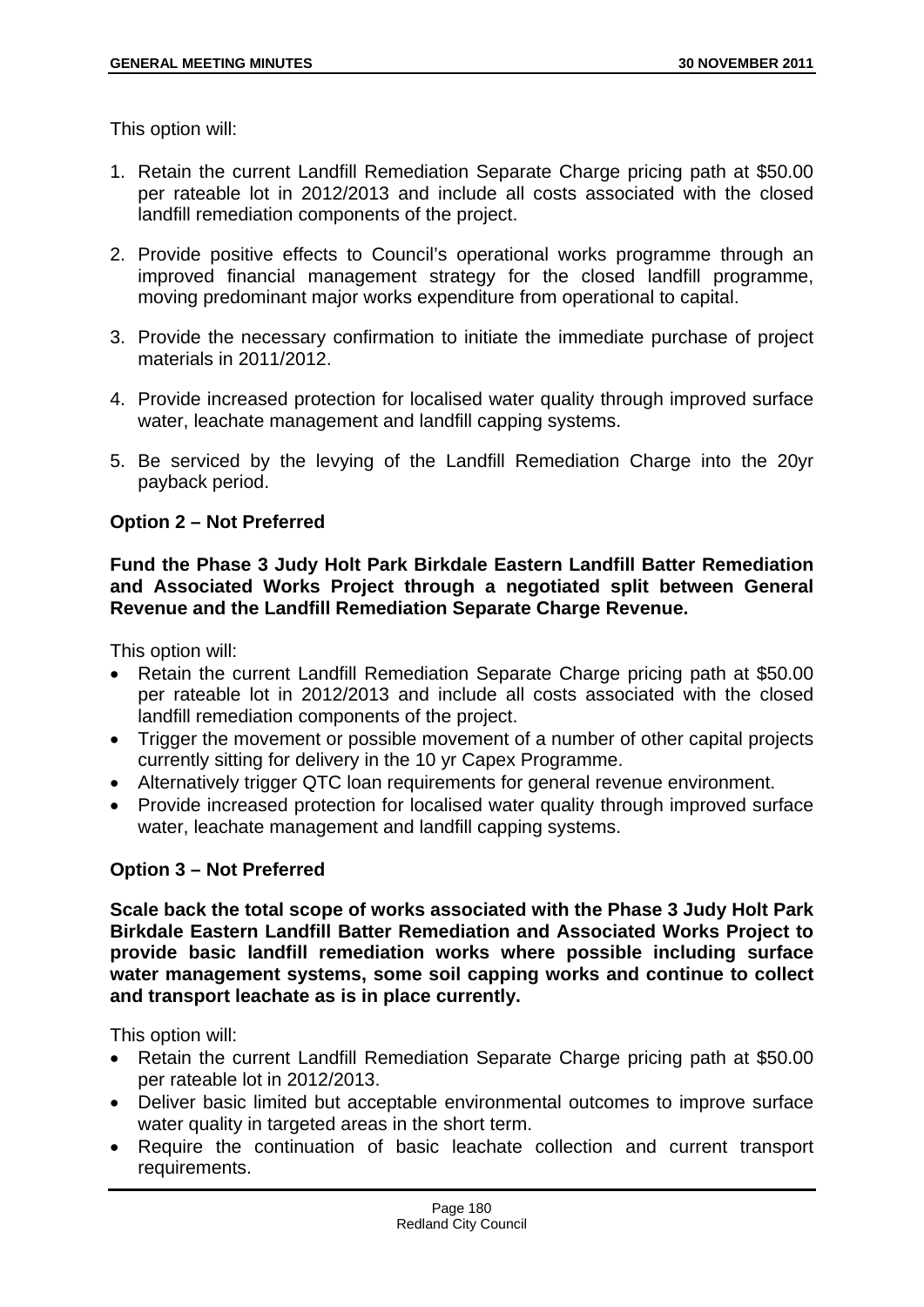This option will:

- 1. Retain the current Landfill Remediation Separate Charge pricing path at \$50.00 per rateable lot in 2012/2013 and include all costs associated with the closed landfill remediation components of the project.
- 2. Provide positive effects to Council's operational works programme through an improved financial management strategy for the closed landfill programme, moving predominant major works expenditure from operational to capital.
- 3. Provide the necessary confirmation to initiate the immediate purchase of project materials in 2011/2012.
- 4. Provide increased protection for localised water quality through improved surface water, leachate management and landfill capping systems.
- 5. Be serviced by the levying of the Landfill Remediation Charge into the 20yr payback period.

## **Option 2 – Not Preferred**

## **Fund the Phase 3 Judy Holt Park Birkdale Eastern Landfill Batter Remediation and Associated Works Project through a negotiated split between General Revenue and the Landfill Remediation Separate Charge Revenue.**

This option will:

- Retain the current Landfill Remediation Separate Charge pricing path at \$50.00 per rateable lot in 2012/2013 and include all costs associated with the closed landfill remediation components of the project.
- Trigger the movement or possible movement of a number of other capital projects currently sitting for delivery in the 10 yr Capex Programme.
- Alternatively trigger QTC loan requirements for general revenue environment.
- Provide increased protection for localised water quality through improved surface water, leachate management and landfill capping systems.

## **Option 3 – Not Preferred**

**Scale back the total scope of works associated with the Phase 3 Judy Holt Park Birkdale Eastern Landfill Batter Remediation and Associated Works Project to provide basic landfill remediation works where possible including surface water management systems, some soil capping works and continue to collect and transport leachate as is in place currently.** 

This option will:

- Retain the current Landfill Remediation Separate Charge pricing path at \$50.00 per rateable lot in 2012/2013.
- Deliver basic limited but acceptable environmental outcomes to improve surface water quality in targeted areas in the short term.
- Require the continuation of basic leachate collection and current transport requirements.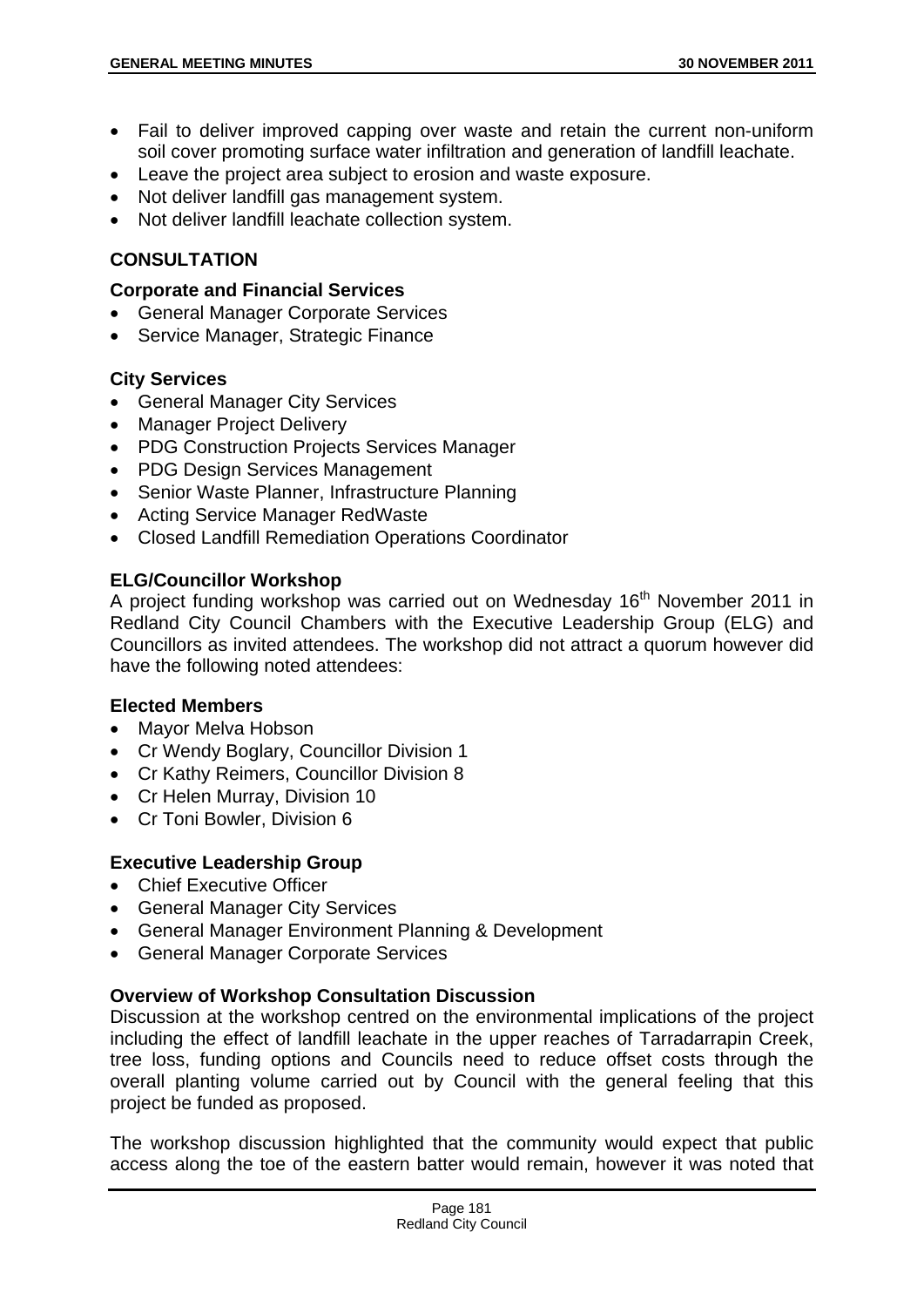- Fail to deliver improved capping over waste and retain the current non-uniform soil cover promoting surface water infiltration and generation of landfill leachate.
- Leave the project area subject to erosion and waste exposure.
- Not deliver landfill gas management system.
- Not deliver landfill leachate collection system.

## **CONSULTATION**

#### **Corporate and Financial Services**

- General Manager Corporate Services
- Service Manager, Strategic Finance

#### **City Services**

- General Manager City Services
- Manager Project Delivery
- PDG Construction Projects Services Manager
- PDG Design Services Management
- Senior Waste Planner, Infrastructure Planning
- Acting Service Manager RedWaste
- Closed Landfill Remediation Operations Coordinator

## **ELG/Councillor Workshop**

A project funding workshop was carried out on Wednesday 16<sup>th</sup> November 2011 in Redland City Council Chambers with the Executive Leadership Group (ELG) and Councillors as invited attendees. The workshop did not attract a quorum however did have the following noted attendees:

#### **Elected Members**

- Mayor Melva Hobson
- Cr Wendy Boglary, Councillor Division 1
- Cr Kathy Reimers, Councillor Division 8
- Cr Helen Murray, Division 10
- Cr Toni Bowler, Division 6

## **Executive Leadership Group**

- Chief Executive Officer
- General Manager City Services
- General Manager Environment Planning & Development
- General Manager Corporate Services

## **Overview of Workshop Consultation Discussion**

Discussion at the workshop centred on the environmental implications of the project including the effect of landfill leachate in the upper reaches of Tarradarrapin Creek, tree loss, funding options and Councils need to reduce offset costs through the overall planting volume carried out by Council with the general feeling that this project be funded as proposed.

The workshop discussion highlighted that the community would expect that public access along the toe of the eastern batter would remain, however it was noted that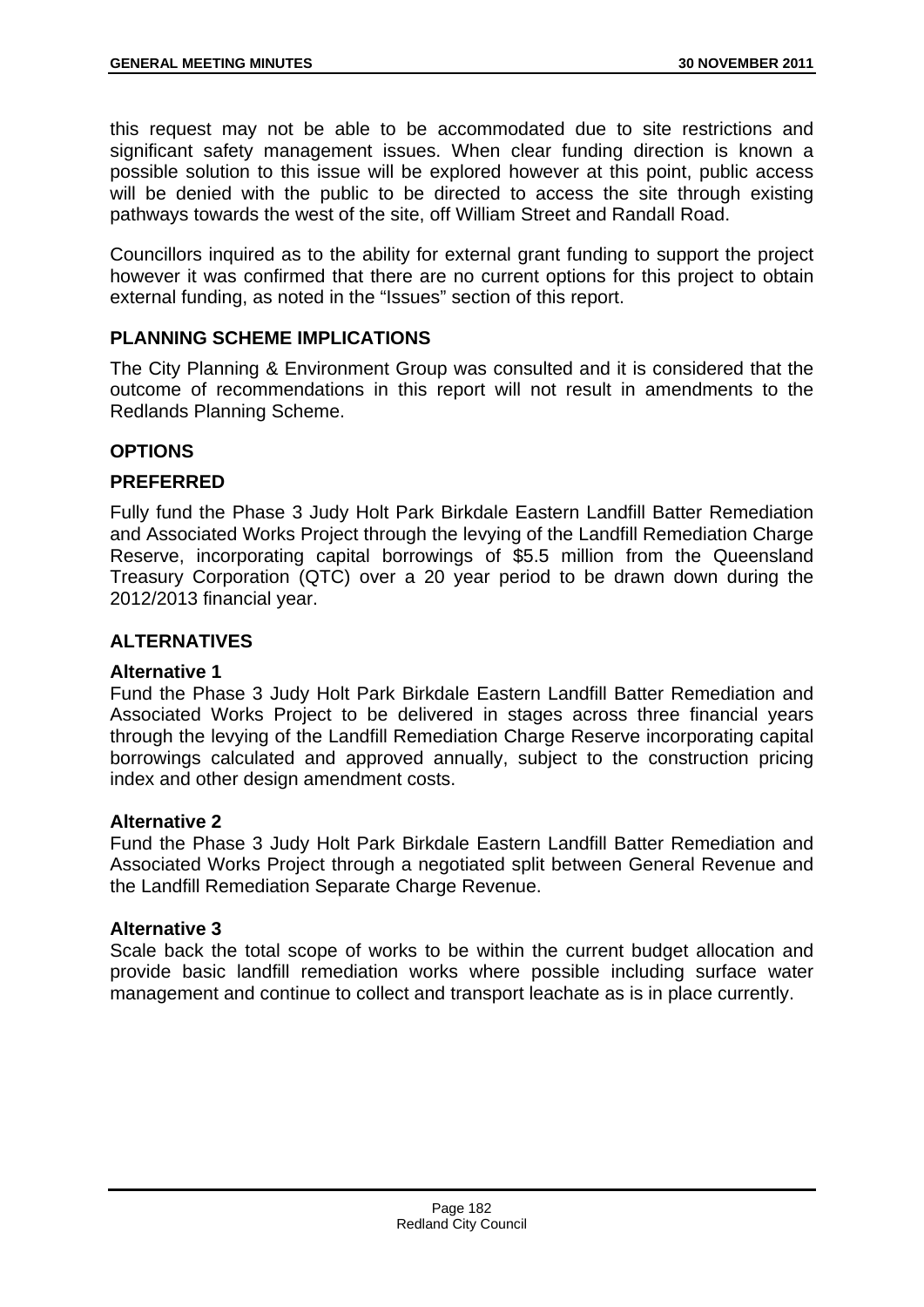this request may not be able to be accommodated due to site restrictions and significant safety management issues. When clear funding direction is known a possible solution to this issue will be explored however at this point, public access will be denied with the public to be directed to access the site through existing pathways towards the west of the site, off William Street and Randall Road.

Councillors inquired as to the ability for external grant funding to support the project however it was confirmed that there are no current options for this project to obtain external funding, as noted in the "Issues" section of this report.

## **PLANNING SCHEME IMPLICATIONS**

The City Planning & Environment Group was consulted and it is considered that the outcome of recommendations in this report will not result in amendments to the Redlands Planning Scheme.

## **OPTIONS**

#### **PREFERRED**

Fully fund the Phase 3 Judy Holt Park Birkdale Eastern Landfill Batter Remediation and Associated Works Project through the levying of the Landfill Remediation Charge Reserve, incorporating capital borrowings of \$5.5 million from the Queensland Treasury Corporation (QTC) over a 20 year period to be drawn down during the 2012/2013 financial year.

## **ALTERNATIVES**

#### **Alternative 1**

Fund the Phase 3 Judy Holt Park Birkdale Eastern Landfill Batter Remediation and Associated Works Project to be delivered in stages across three financial years through the levying of the Landfill Remediation Charge Reserve incorporating capital borrowings calculated and approved annually, subject to the construction pricing index and other design amendment costs.

#### **Alternative 2**

Fund the Phase 3 Judy Holt Park Birkdale Eastern Landfill Batter Remediation and Associated Works Project through a negotiated split between General Revenue and the Landfill Remediation Separate Charge Revenue.

#### **Alternative 3**

Scale back the total scope of works to be within the current budget allocation and provide basic landfill remediation works where possible including surface water management and continue to collect and transport leachate as is in place currently.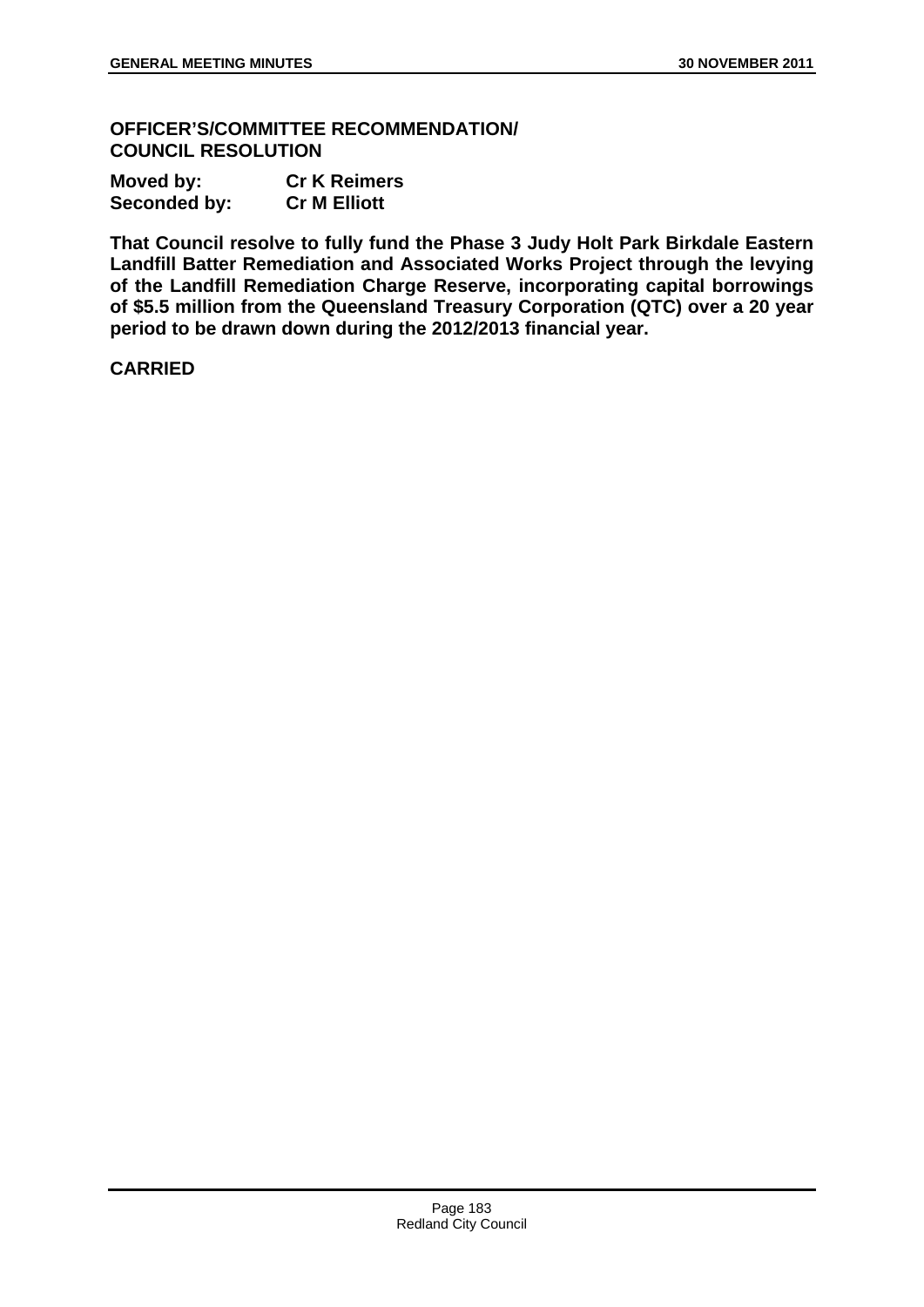**OFFICER'S/COMMITTEE RECOMMENDATION/ COUNCIL RESOLUTION** 

| Moved by:           | <b>Cr K Reimers</b> |  |  |
|---------------------|---------------------|--|--|
| <b>Seconded by:</b> | <b>Cr M Elliott</b> |  |  |

**That Council resolve to fully fund the Phase 3 Judy Holt Park Birkdale Eastern Landfill Batter Remediation and Associated Works Project through the levying of the Landfill Remediation Charge Reserve, incorporating capital borrowings of \$5.5 million from the Queensland Treasury Corporation (QTC) over a 20 year period to be drawn down during the 2012/2013 financial year.**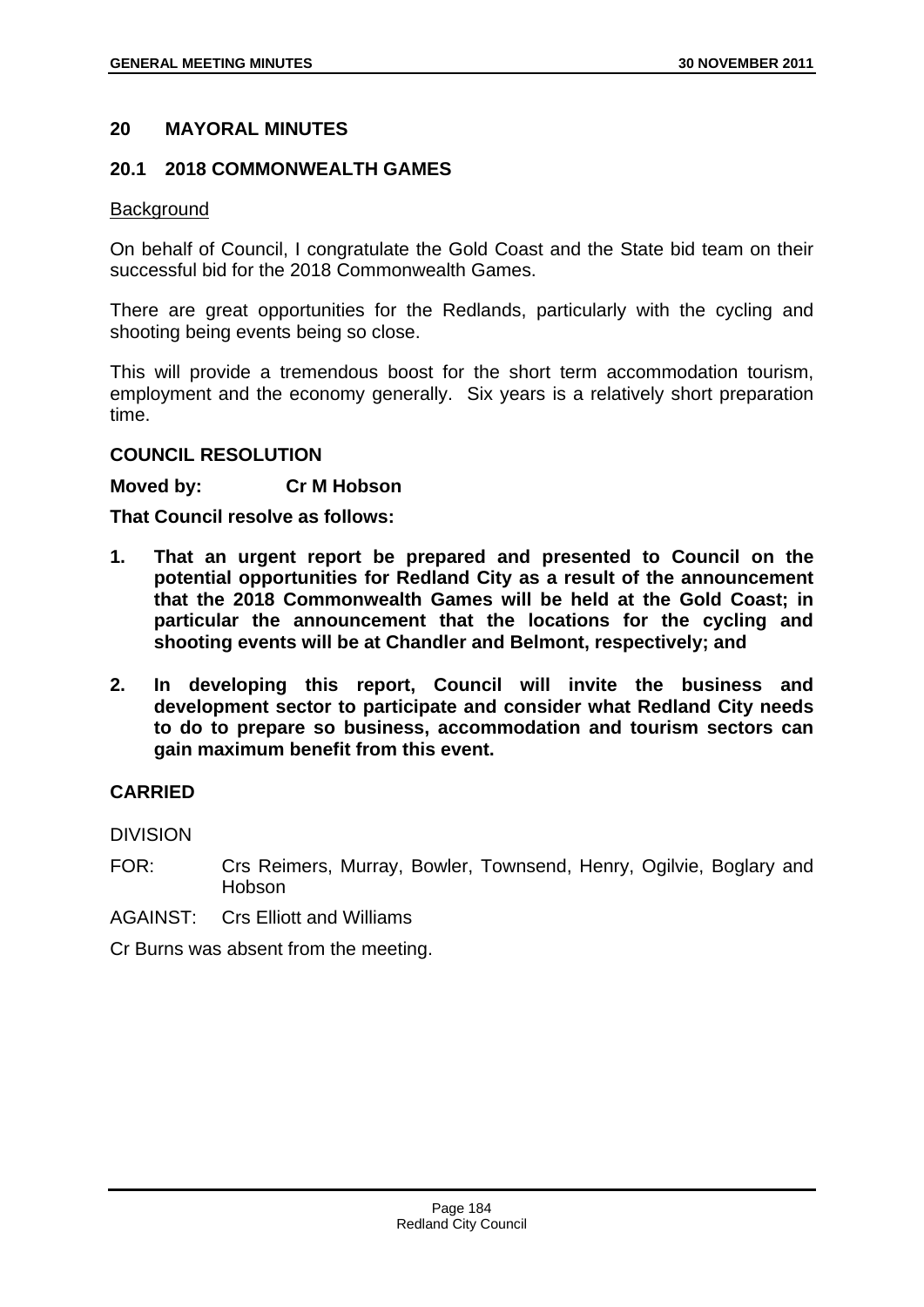## **20 MAYORAL MINUTES**

#### **20.1 2018 COMMONWEALTH GAMES**

#### **Background**

On behalf of Council, I congratulate the Gold Coast and the State bid team on their successful bid for the 2018 Commonwealth Games.

There are great opportunities for the Redlands, particularly with the cycling and shooting being events being so close.

This will provide a tremendous boost for the short term accommodation tourism, employment and the economy generally. Six years is a relatively short preparation time.

## **COUNCIL RESOLUTION**

#### **Moved by: Cr M Hobson**

**That Council resolve as follows:** 

- **1. That an urgent report be prepared and presented to Council on the potential opportunities for Redland City as a result of the announcement that the 2018 Commonwealth Games will be held at the Gold Coast; in particular the announcement that the locations for the cycling and shooting events will be at Chandler and Belmont, respectively; and**
- **2. In developing this report, Council will invite the business and development sector to participate and consider what Redland City needs to do to prepare so business, accommodation and tourism sectors can gain maximum benefit from this event.**

## **CARRIED**

DIVISION

- FOR: Crs Reimers, Murray, Bowler, Townsend, Henry, Ogilvie, Boglary and Hobson
- AGAINST: Crs Elliott and Williams

Cr Burns was absent from the meeting.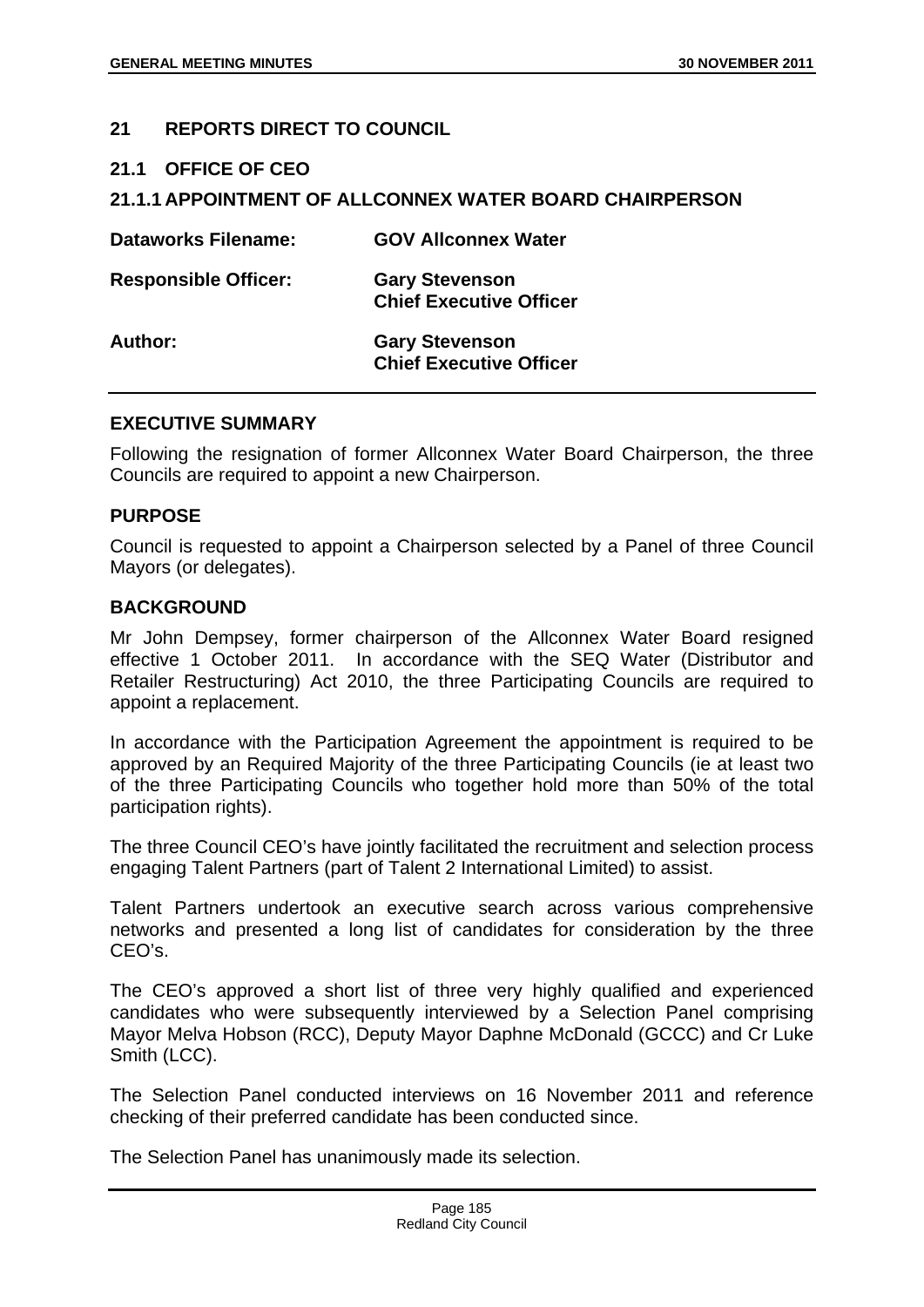## **21 REPORTS DIRECT TO COUNCIL**

**21.1 OFFICE OF CEO** 

## **21.1.1 APPOINTMENT OF ALLCONNEX WATER BOARD CHAIRPERSON**

| <b>Dataworks Filename:</b>  | <b>GOV Allconnex Water</b>                              |
|-----------------------------|---------------------------------------------------------|
| <b>Responsible Officer:</b> | <b>Gary Stevenson</b><br><b>Chief Executive Officer</b> |
| Author:                     | <b>Gary Stevenson</b><br><b>Chief Executive Officer</b> |

#### **EXECUTIVE SUMMARY**

Following the resignation of former Allconnex Water Board Chairperson, the three Councils are required to appoint a new Chairperson.

#### **PURPOSE**

Council is requested to appoint a Chairperson selected by a Panel of three Council Mayors (or delegates).

#### **BACKGROUND**

Mr John Dempsey, former chairperson of the Allconnex Water Board resigned effective 1 October 2011. In accordance with the SEQ Water (Distributor and Retailer Restructuring) Act 2010, the three Participating Councils are required to appoint a replacement.

In accordance with the Participation Agreement the appointment is required to be approved by an Required Majority of the three Participating Councils (ie at least two of the three Participating Councils who together hold more than 50% of the total participation rights).

The three Council CEO's have jointly facilitated the recruitment and selection process engaging Talent Partners (part of Talent 2 International Limited) to assist.

Talent Partners undertook an executive search across various comprehensive networks and presented a long list of candidates for consideration by the three CEO's.

The CEO's approved a short list of three very highly qualified and experienced candidates who were subsequently interviewed by a Selection Panel comprising Mayor Melva Hobson (RCC), Deputy Mayor Daphne McDonald (GCCC) and Cr Luke Smith (LCC).

The Selection Panel conducted interviews on 16 November 2011 and reference checking of their preferred candidate has been conducted since.

The Selection Panel has unanimously made its selection.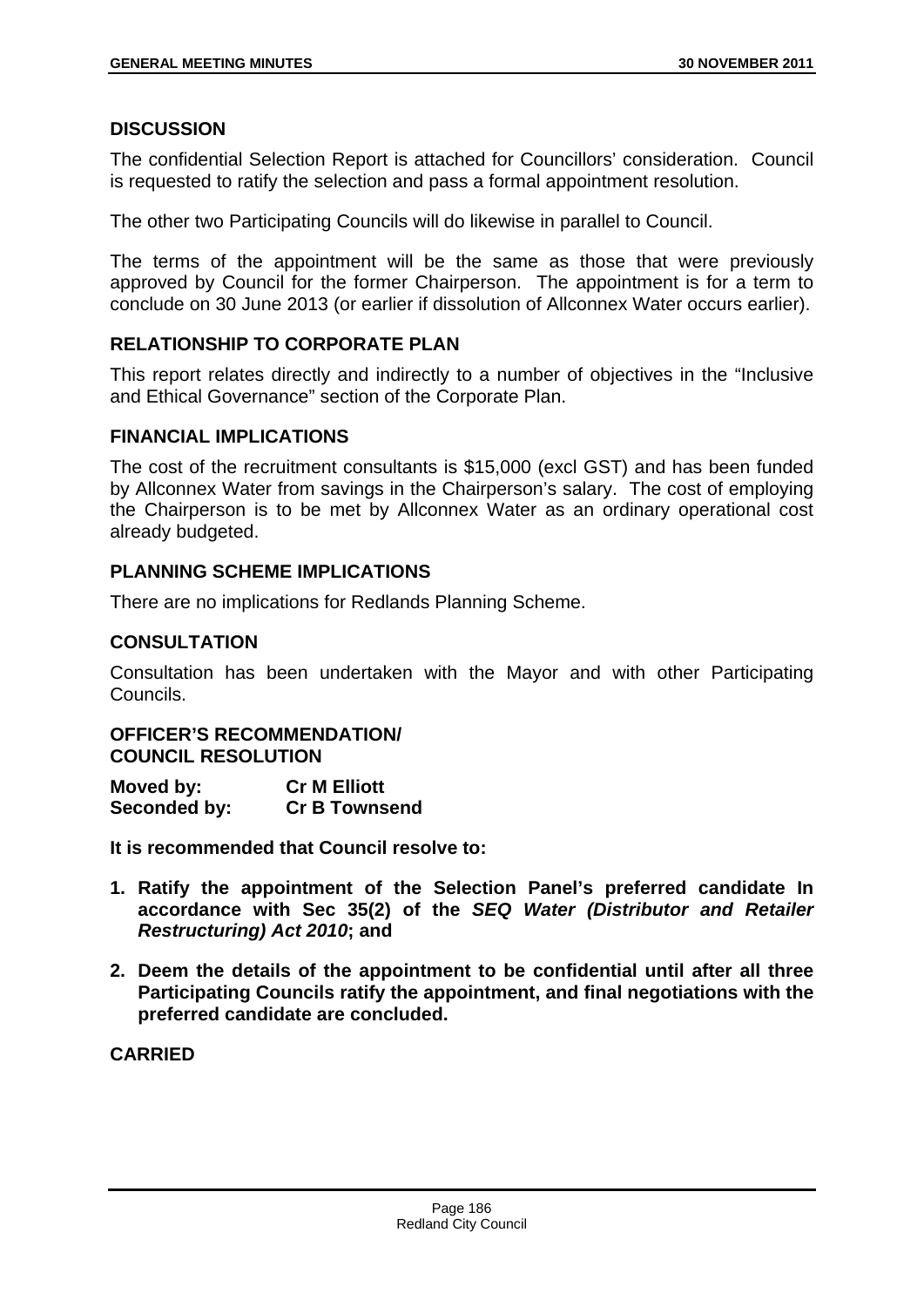## **DISCUSSION**

The confidential Selection Report is attached for Councillors' consideration. Council is requested to ratify the selection and pass a formal appointment resolution.

The other two Participating Councils will do likewise in parallel to Council.

The terms of the appointment will be the same as those that were previously approved by Council for the former Chairperson. The appointment is for a term to conclude on 30 June 2013 (or earlier if dissolution of Allconnex Water occurs earlier).

# **RELATIONSHIP TO CORPORATE PLAN**

This report relates directly and indirectly to a number of objectives in the "Inclusive and Ethical Governance" section of the Corporate Plan.

## **FINANCIAL IMPLICATIONS**

The cost of the recruitment consultants is \$15,000 (excl GST) and has been funded by Allconnex Water from savings in the Chairperson's salary. The cost of employing the Chairperson is to be met by Allconnex Water as an ordinary operational cost already budgeted.

# **PLANNING SCHEME IMPLICATIONS**

There are no implications for Redlands Planning Scheme.

# **CONSULTATION**

Consultation has been undertaken with the Mayor and with other Participating Councils.

#### **OFFICER'S RECOMMENDATION/ COUNCIL RESOLUTION**

| Moved by:    | <b>Cr M Elliott</b>  |
|--------------|----------------------|
| Seconded by: | <b>Cr B Townsend</b> |

**It is recommended that Council resolve to:** 

- **1. Ratify the appointment of the Selection Panel's preferred candidate In accordance with Sec 35(2) of the** *SEQ Water (Distributor and Retailer Restructuring) Act 2010***; and**
- **2. Deem the details of the appointment to be confidential until after all three Participating Councils ratify the appointment, and final negotiations with the preferred candidate are concluded.**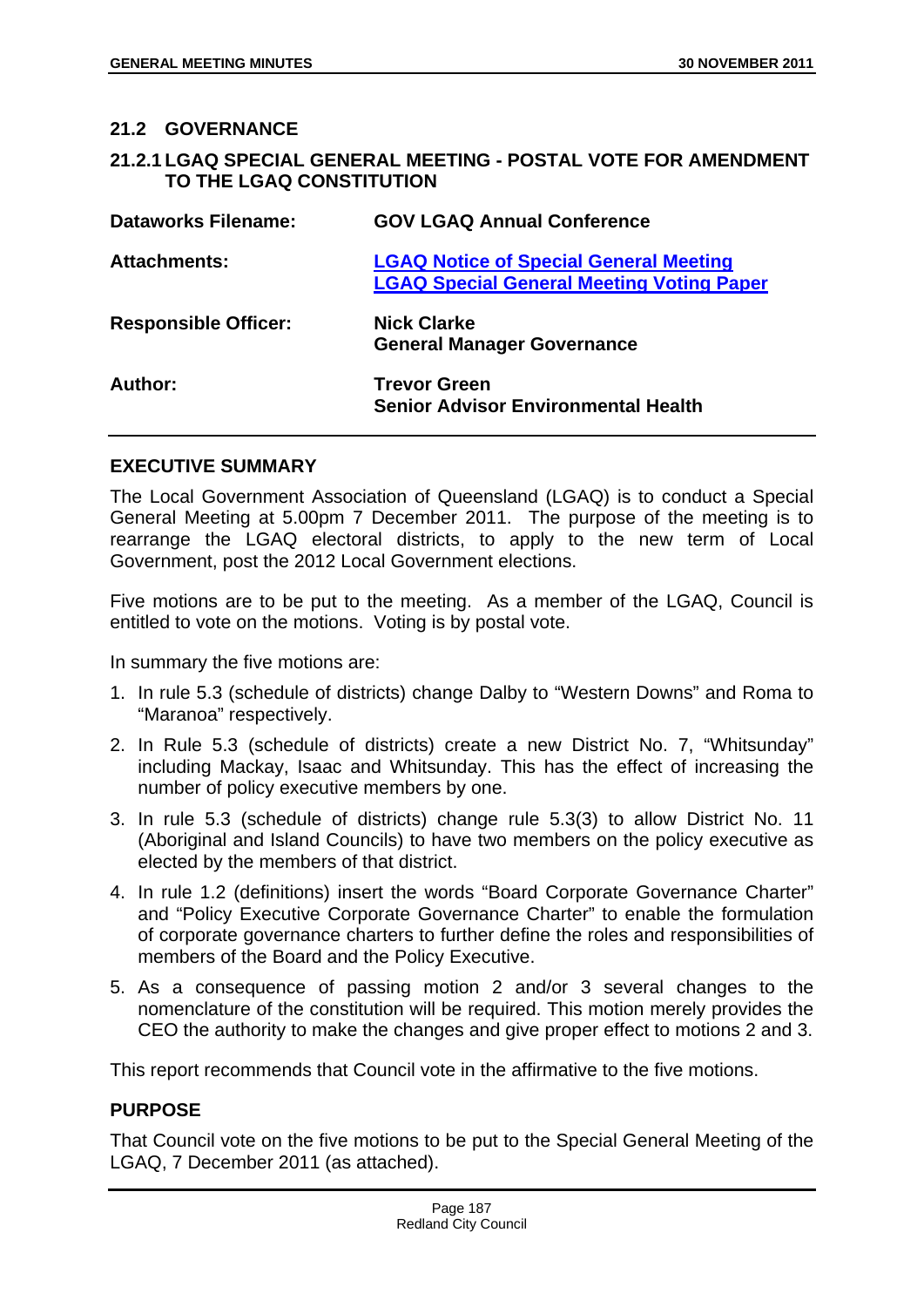#### **21.2 GOVERNANCE**

| 21.2.1 LGAQ SPECIAL GENERAL MEETING - POSTAL VOTE FOR AMENDMENT |  |  |
|-----------------------------------------------------------------|--|--|
| TO THE LGAQ CONSTITUTION                                        |  |  |

| <b>Dataworks Filename:</b>  | <b>GOV LGAQ Annual Conference</b>                                                                 |
|-----------------------------|---------------------------------------------------------------------------------------------------|
| <b>Attachments:</b>         | <b>LGAQ Notice of Special General Meeting</b><br><b>LGAQ Special General Meeting Voting Paper</b> |
| <b>Responsible Officer:</b> | <b>Nick Clarke</b><br><b>General Manager Governance</b>                                           |
| Author:                     | <b>Trevor Green</b><br><b>Senior Advisor Environmental Health</b>                                 |

#### **EXECUTIVE SUMMARY**

The Local Government Association of Queensland (LGAQ) is to conduct a Special General Meeting at 5.00pm 7 December 2011. The purpose of the meeting is to rearrange the LGAQ electoral districts, to apply to the new term of Local Government, post the 2012 Local Government elections.

Five motions are to be put to the meeting. As a member of the LGAQ, Council is entitled to vote on the motions. Voting is by postal vote.

In summary the five motions are:

- 1. In rule 5.3 (schedule of districts) change Dalby to "Western Downs" and Roma to "Maranoa" respectively.
- 2. In Rule 5.3 (schedule of districts) create a new District No. 7, "Whitsunday" including Mackay, Isaac and Whitsunday. This has the effect of increasing the number of policy executive members by one.
- 3. In rule 5.3 (schedule of districts) change rule 5.3(3) to allow District No. 11 (Aboriginal and Island Councils) to have two members on the policy executive as elected by the members of that district.
- 4. In rule 1.2 (definitions) insert the words "Board Corporate Governance Charter" and "Policy Executive Corporate Governance Charter" to enable the formulation of corporate governance charters to further define the roles and responsibilities of members of the Board and the Policy Executive.
- 5. As a consequence of passing motion 2 and/or 3 several changes to the nomenclature of the constitution will be required. This motion merely provides the CEO the authority to make the changes and give proper effect to motions 2 and 3.

This report recommends that Council vote in the affirmative to the five motions.

#### **PURPOSE**

That Council vote on the five motions to be put to the Special General Meeting of the LGAQ, 7 December 2011 (as attached).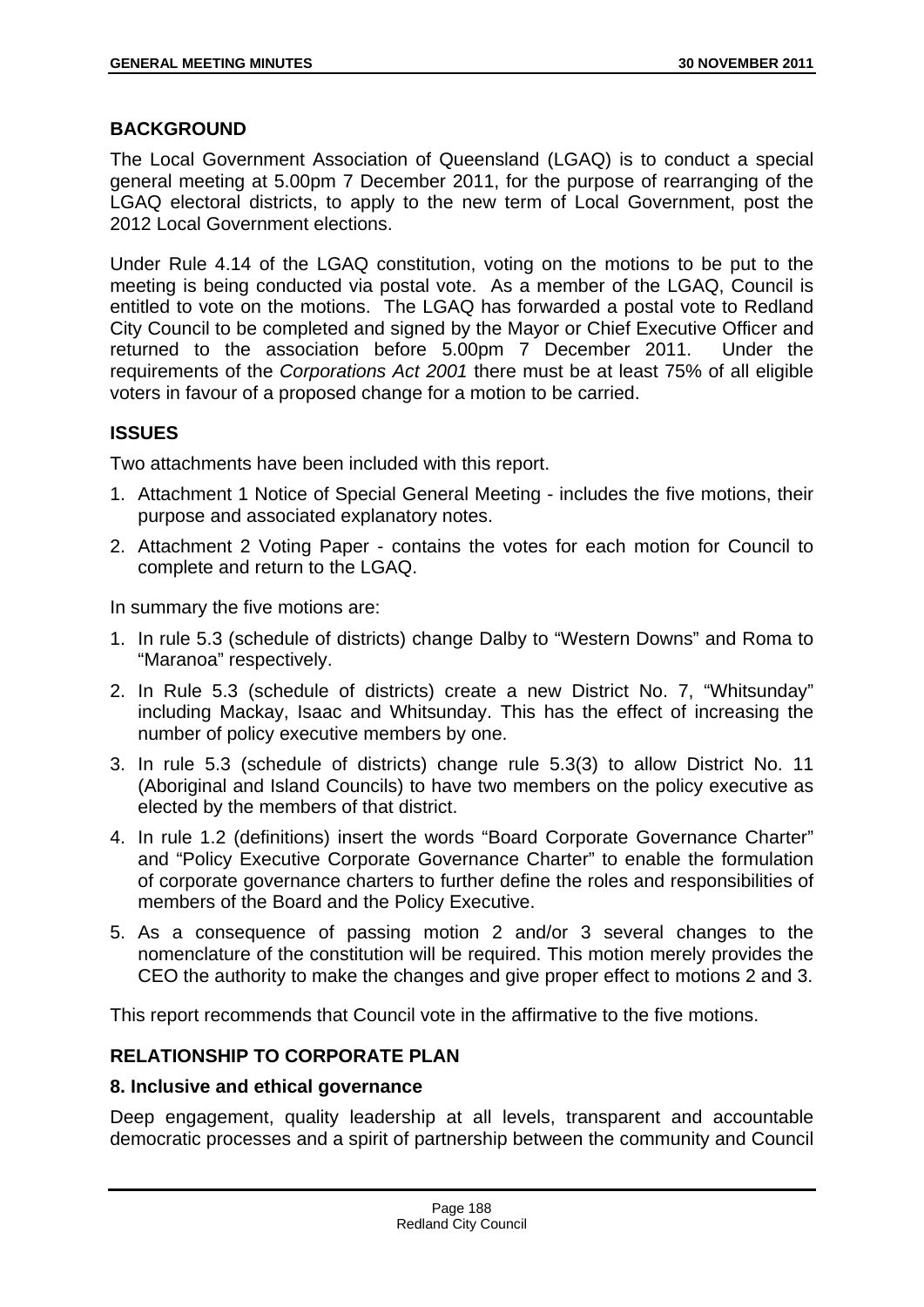## **BACKGROUND**

The Local Government Association of Queensland (LGAQ) is to conduct a special general meeting at 5.00pm 7 December 2011, for the purpose of rearranging of the LGAQ electoral districts, to apply to the new term of Local Government, post the 2012 Local Government elections.

Under Rule 4.14 of the LGAQ constitution, voting on the motions to be put to the meeting is being conducted via postal vote. As a member of the LGAQ, Council is entitled to vote on the motions. The LGAQ has forwarded a postal vote to Redland City Council to be completed and signed by the Mayor or Chief Executive Officer and returned to the association before 5.00pm 7 December 2011. Under the requirements of the *Corporations Act 2001* there must be at least 75% of all eligible voters in favour of a proposed change for a motion to be carried.

## **ISSUES**

Two attachments have been included with this report.

- 1. Attachment 1 Notice of Special General Meeting includes the five motions, their purpose and associated explanatory notes.
- 2. Attachment 2 Voting Paper contains the votes for each motion for Council to complete and return to the LGAQ.

In summary the five motions are:

- 1. In rule 5.3 (schedule of districts) change Dalby to "Western Downs" and Roma to "Maranoa" respectively.
- 2. In Rule 5.3 (schedule of districts) create a new District No. 7, "Whitsunday" including Mackay, Isaac and Whitsunday. This has the effect of increasing the number of policy executive members by one.
- 3. In rule 5.3 (schedule of districts) change rule 5.3(3) to allow District No. 11 (Aboriginal and Island Councils) to have two members on the policy executive as elected by the members of that district.
- 4. In rule 1.2 (definitions) insert the words "Board Corporate Governance Charter" and "Policy Executive Corporate Governance Charter" to enable the formulation of corporate governance charters to further define the roles and responsibilities of members of the Board and the Policy Executive.
- 5. As a consequence of passing motion 2 and/or 3 several changes to the nomenclature of the constitution will be required. This motion merely provides the CEO the authority to make the changes and give proper effect to motions 2 and 3.

This report recommends that Council vote in the affirmative to the five motions.

## **RELATIONSHIP TO CORPORATE PLAN**

## **8. Inclusive and ethical governance**

Deep engagement, quality leadership at all levels, transparent and accountable democratic processes and a spirit of partnership between the community and Council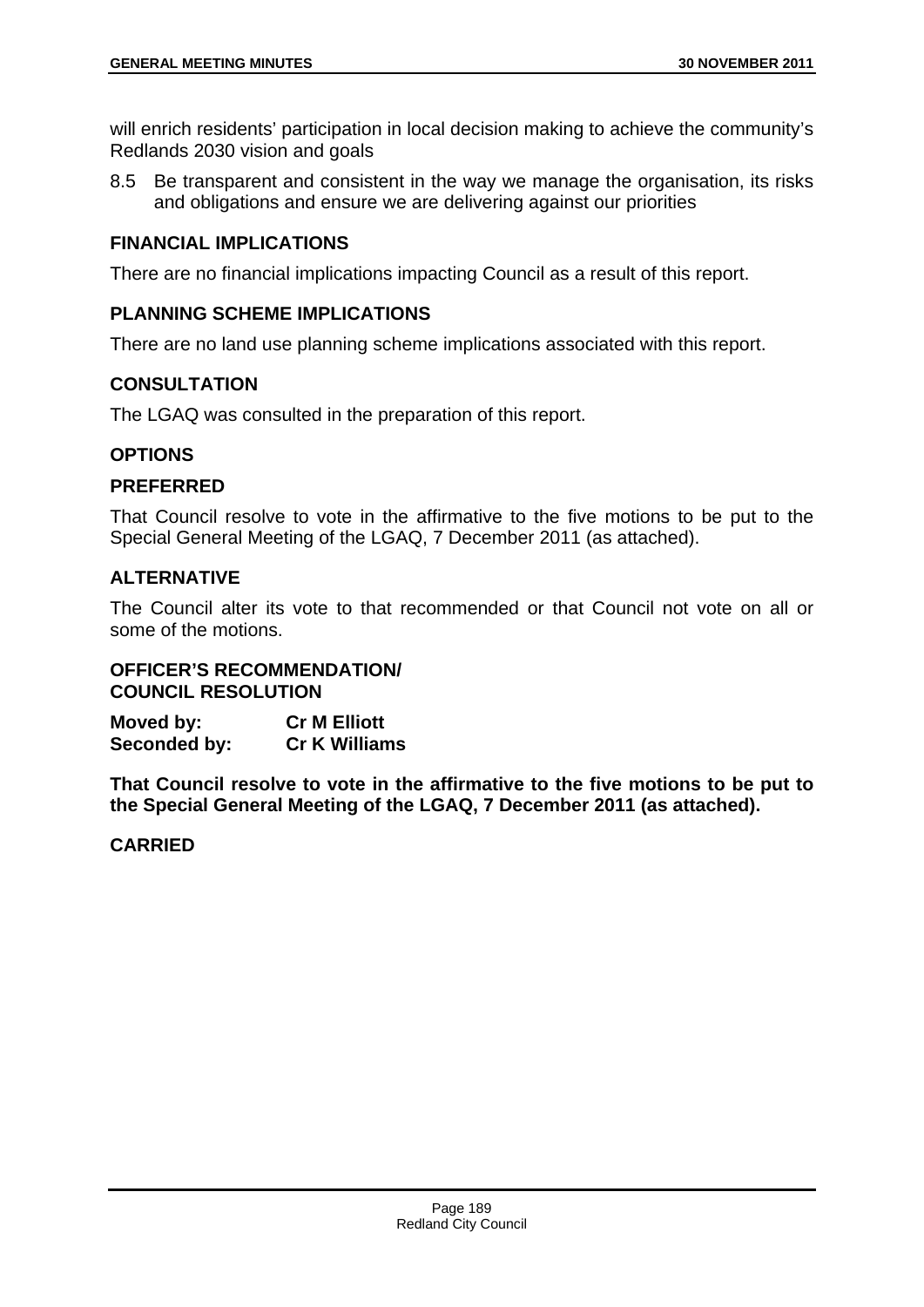will enrich residents' participation in local decision making to achieve the community's Redlands 2030 vision and goals

8.5 Be transparent and consistent in the way we manage the organisation, its risks and obligations and ensure we are delivering against our priorities

## **FINANCIAL IMPLICATIONS**

There are no financial implications impacting Council as a result of this report.

## **PLANNING SCHEME IMPLICATIONS**

There are no land use planning scheme implications associated with this report.

## **CONSULTATION**

The LGAQ was consulted in the preparation of this report.

## **OPTIONS**

## **PREFERRED**

That Council resolve to vote in the affirmative to the five motions to be put to the Special General Meeting of the LGAQ, 7 December 2011 (as attached).

## **ALTERNATIVE**

The Council alter its vote to that recommended or that Council not vote on all or some of the motions.

## **OFFICER'S RECOMMENDATION/ COUNCIL RESOLUTION**

**Moved by: Cr M Elliott Seconded by: Cr K Williams** 

**That Council resolve to vote in the affirmative to the five motions to be put to the Special General Meeting of the LGAQ, 7 December 2011 (as attached).**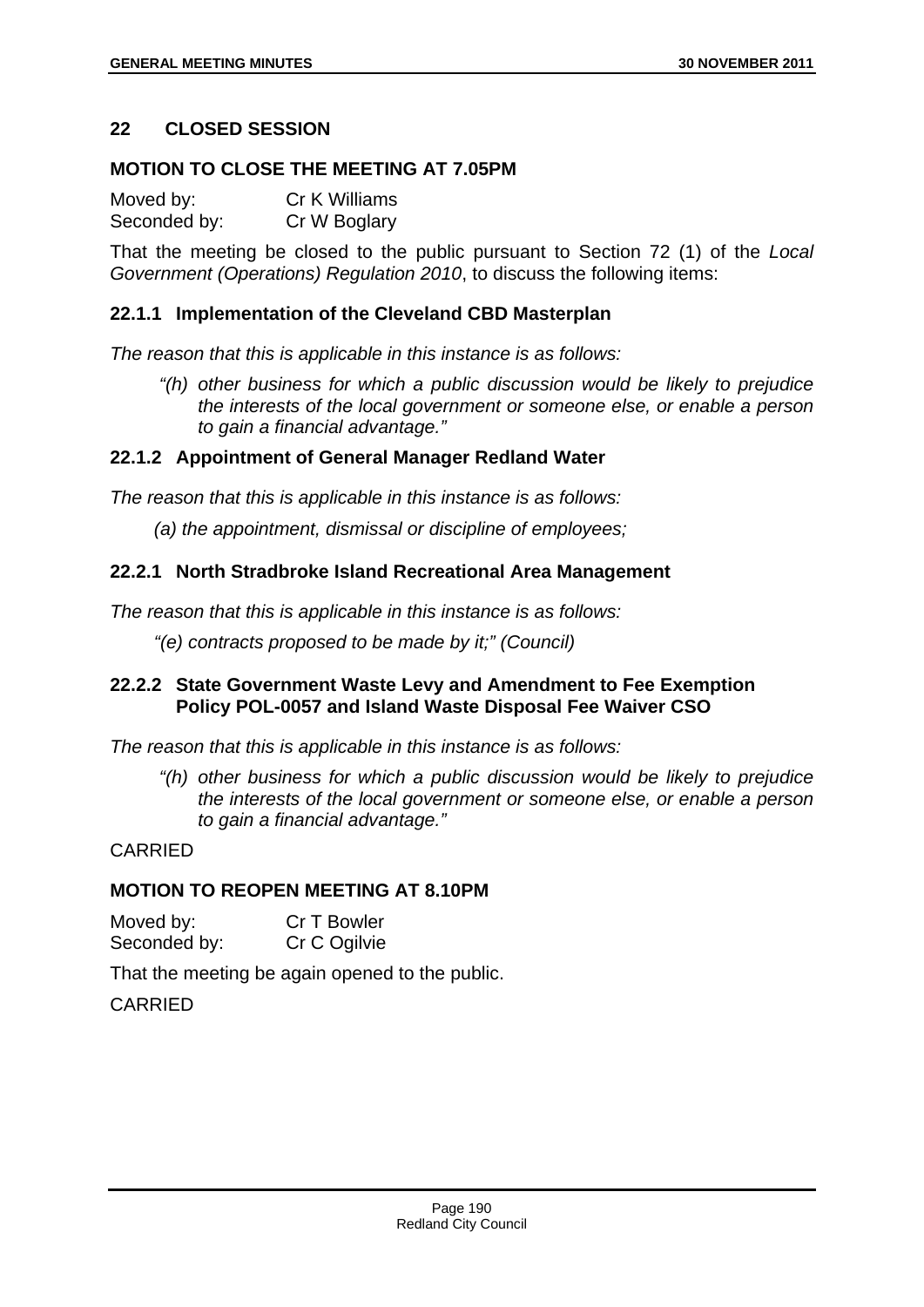## **22 CLOSED SESSION**

#### **MOTION TO CLOSE THE MEETING AT 7.05PM**

Moved by: Cr K Williams Seconded by: Cr W Boglary

That the meeting be closed to the public pursuant to Section 72 (1) of the *Local Government (Operations) Regulation 2010*, to discuss the following items:

#### **22.1.1 Implementation of the Cleveland CBD Masterplan**

*The reason that this is applicable in this instance is as follows:* 

 *"(h) other business for which a public discussion would be likely to prejudice the interests of the local government or someone else, or enable a person to gain a financial advantage."* 

#### **22.1.2 Appointment of General Manager Redland Water**

*The reason that this is applicable in this instance is as follows:* 

*(a) the appointment, dismissal or discipline of employees;* 

#### **22.2.1 North Stradbroke Island Recreational Area Management**

*The reason that this is applicable in this instance is as follows:* 

*"(e) contracts proposed to be made by it;" (Council)* 

## **22.2.2 State Government Waste Levy and Amendment to Fee Exemption Policy POL-0057 and Island Waste Disposal Fee Waiver CSO**

*The reason that this is applicable in this instance is as follows:* 

 *"(h) other business for which a public discussion would be likely to prejudice the interests of the local government or someone else, or enable a person to gain a financial advantage."* 

#### CARRIED

#### **MOTION TO REOPEN MEETING AT 8.10PM**

| Moved by:    | Cr T Bowler  |
|--------------|--------------|
| Seconded by: | Cr C Ogilvie |

That the meeting be again opened to the public.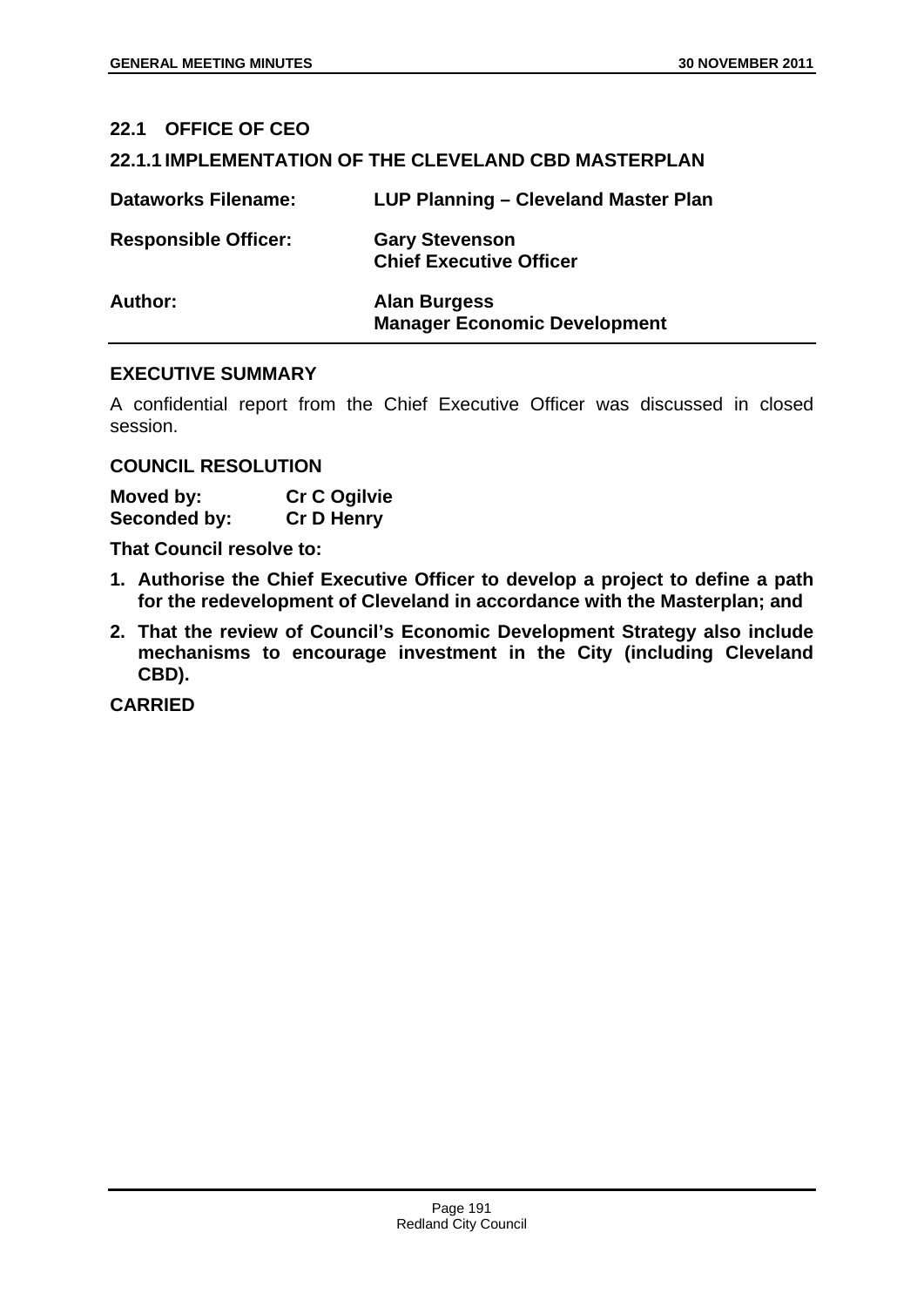# **22.1 OFFICE OF CEO 22.1.1 IMPLEMENTATION OF THE CLEVELAND CBD MASTERPLAN Dataworks Filename: LUP Planning – Cleveland Master Plan Responsible Officer: Gary Stevenson Chief Executive Officer Author: Alan Burgess**

## **EXECUTIVE SUMMARY**

A confidential report from the Chief Executive Officer was discussed in closed session.

**Manager Economic Development** 

#### **COUNCIL RESOLUTION**

| Moved by:    | <b>Cr C Ogilvie</b> |
|--------------|---------------------|
| Seconded by: | <b>Cr D Henry</b>   |

**That Council resolve to:** 

- **1. Authorise the Chief Executive Officer to develop a project to define a path for the redevelopment of Cleveland in accordance with the Masterplan; and**
- **2. That the review of Council's Economic Development Strategy also include mechanisms to encourage investment in the City (including Cleveland CBD).**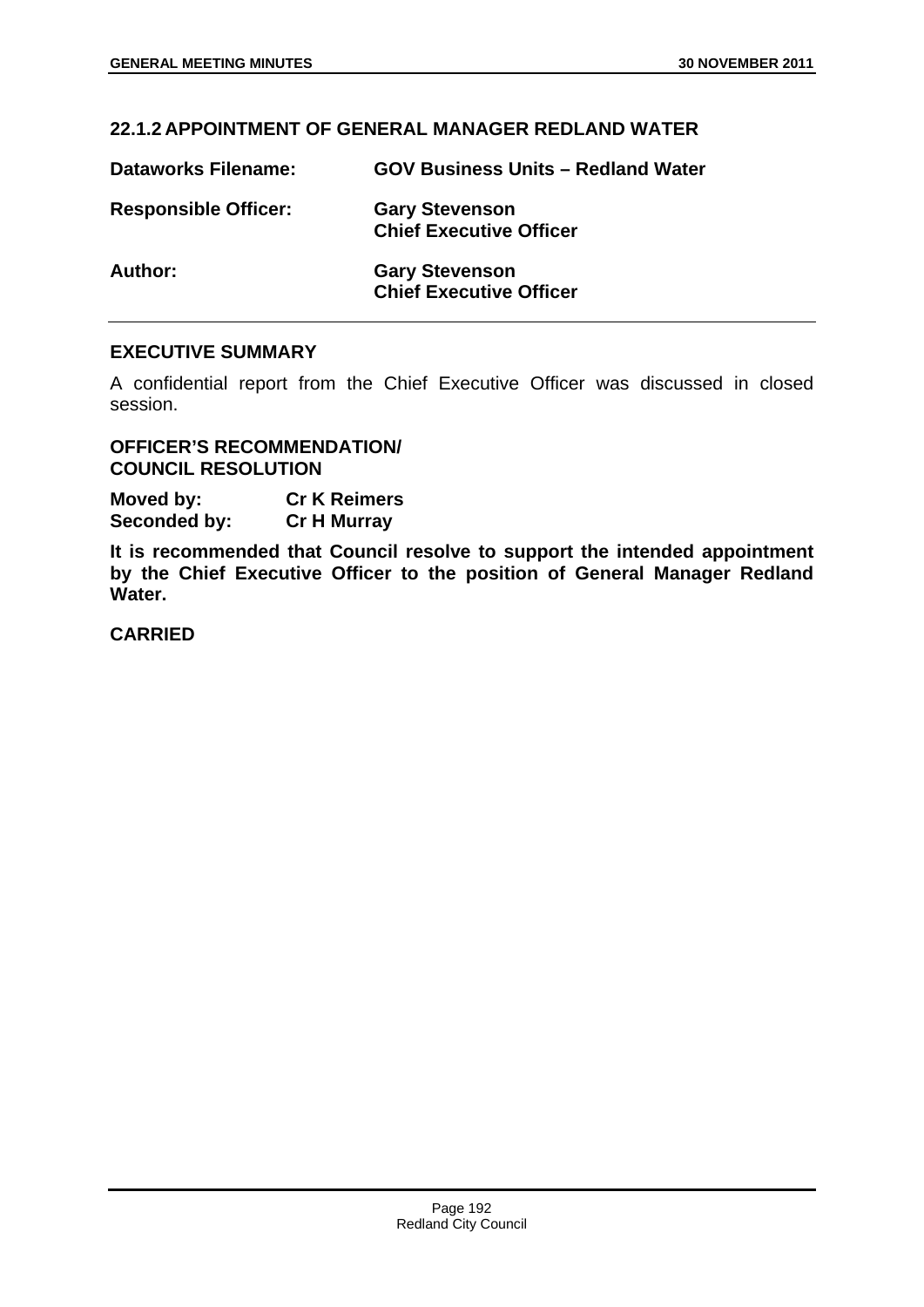# **22.1.2 APPOINTMENT OF GENERAL MANAGER REDLAND WATER**

| <b>Dataworks Filename:</b>  | <b>GOV Business Units - Redland Water</b>               |
|-----------------------------|---------------------------------------------------------|
| <b>Responsible Officer:</b> | <b>Gary Stevenson</b><br><b>Chief Executive Officer</b> |
| Author:                     | <b>Gary Stevenson</b><br><b>Chief Executive Officer</b> |

## **EXECUTIVE SUMMARY**

A confidential report from the Chief Executive Officer was discussed in closed session.

**OFFICER'S RECOMMENDATION/ COUNCIL RESOLUTION** 

**Moved by: Cr K Reimers Seconded by: Cr H Murray** 

**It is recommended that Council resolve to support the intended appointment by the Chief Executive Officer to the position of General Manager Redland Water.**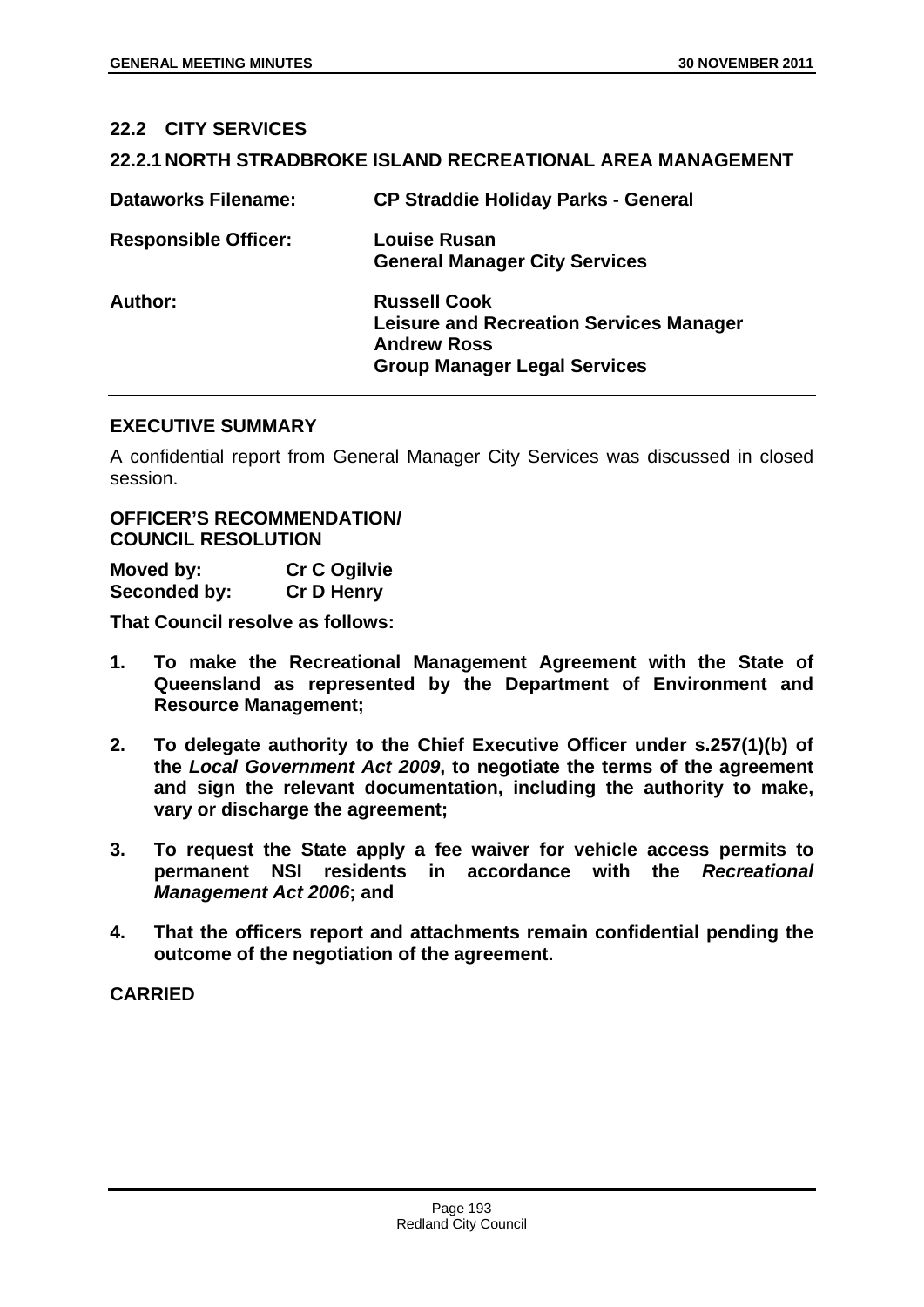# **22.2 CITY SERVICES 22.2.1 NORTH STRADBROKE ISLAND RECREATIONAL AREA MANAGEMENT Dataworks Filename: CP Straddie Holiday Parks - General Responsible Officer: Louise Rusan General Manager City Services Author: Russell Cook Leisure and Recreation Services Manager Andrew Ross Group Manager Legal Services**

#### **EXECUTIVE SUMMARY**

A confidential report from General Manager City Services was discussed in closed session.

## **OFFICER'S RECOMMENDATION/ COUNCIL RESOLUTION**

| Moved by:    | <b>Cr C Ogilvie</b> |
|--------------|---------------------|
| Seconded by: | <b>Cr D Henry</b>   |

**That Council resolve as follows:** 

- **1. To make the Recreational Management Agreement with the State of Queensland as represented by the Department of Environment and Resource Management;**
- **2. To delegate authority to the Chief Executive Officer under s.257(1)(b) of the** *Local Government Act 2009***, to negotiate the terms of the agreement and sign the relevant documentation, including the authority to make, vary or discharge the agreement;**
- **3. To request the State apply a fee waiver for vehicle access permits to permanent NSI residents in accordance with the** *Recreational Management Act 2006***; and**
- **4. That the officers report and attachments remain confidential pending the outcome of the negotiation of the agreement.**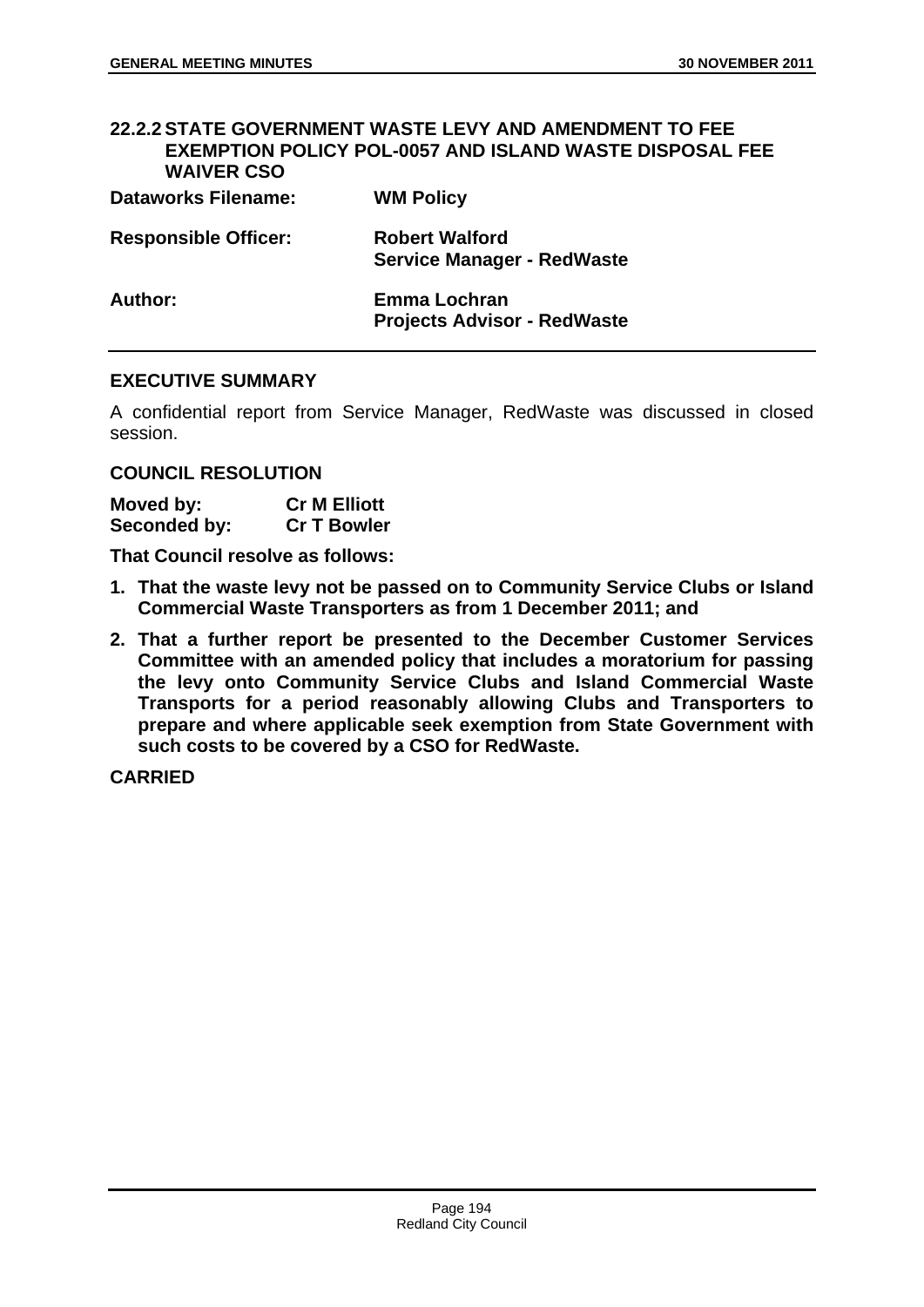# **22.2.2 STATE GOVERNMENT WASTE LEVY AND AMENDMENT TO FEE EXEMPTION POLICY POL-0057 AND ISLAND WASTE DISPOSAL FEE WAIVER CSO Dataworks Filename: WM Policy**

| <b>Responsible Officer:</b> | <b>Robert Walford</b><br><b>Service Manager - RedWaste</b> |
|-----------------------------|------------------------------------------------------------|
| Author:                     | Emma Lochran<br><b>Projects Advisor - RedWaste</b>         |

## **EXECUTIVE SUMMARY**

A confidential report from Service Manager, RedWaste was discussed in closed session.

## **COUNCIL RESOLUTION**

| Moved by:    | <b>Cr M Elliott</b> |
|--------------|---------------------|
| Seconded by: | <b>Cr T Bowler</b>  |

**That Council resolve as follows:** 

- **1. That the waste levy not be passed on to Community Service Clubs or Island Commercial Waste Transporters as from 1 December 2011; and**
- **2. That a further report be presented to the December Customer Services Committee with an amended policy that includes a moratorium for passing the levy onto Community Service Clubs and Island Commercial Waste Transports for a period reasonably allowing Clubs and Transporters to prepare and where applicable seek exemption from State Government with such costs to be covered by a CSO for RedWaste.**